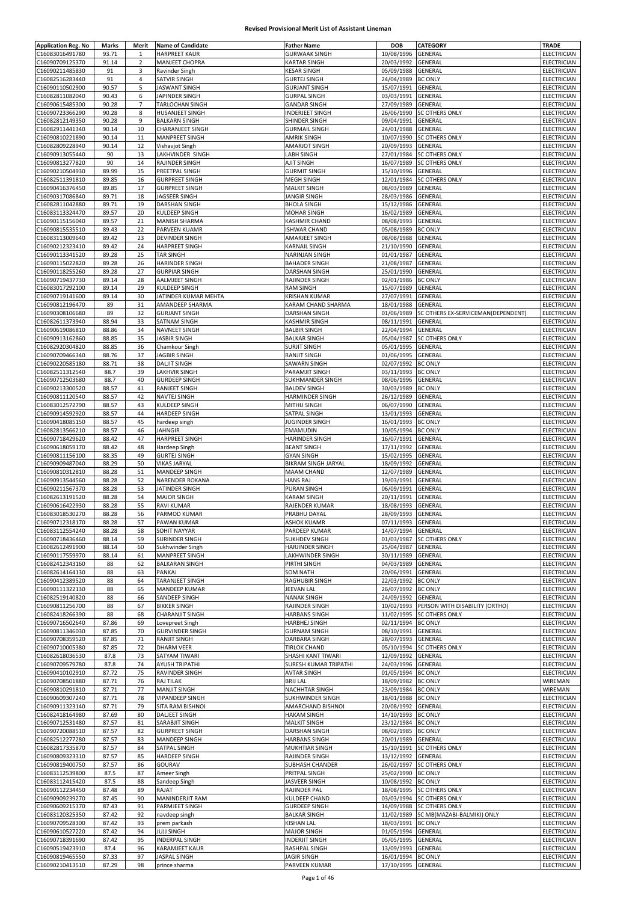| <b>Application Reg. No</b>         | Marks          | Merit          | <b>Name of Candidate</b>                     | <b>Father Name</b>                  | <b>DOB</b>                       | CATEGORY                           | <b>TRADE</b>               |
|------------------------------------|----------------|----------------|----------------------------------------------|-------------------------------------|----------------------------------|------------------------------------|----------------------------|
| C16083016491780                    | 93.71          | 1              | <b>HARPREET KAUR</b>                         | <b>GURWAAK SINGH</b>                | 10/08/1996                       | GENERAL                            | ELECTRICIAN                |
| C16090709125370                    | 91.14          | $\mathbf 2$    | MANJEET CHOPRA                               | <b>KARTAR SINGH</b>                 | 20/03/1992                       | GENERAL                            | ELECTRICIAN                |
| C16090211485830                    | 91             | $\mathsf 3$    | Ravinder Singh                               | <b>KESAR SINGH</b>                  | 05/09/1988                       | GENERAL                            | <b>ELECTRICIAN</b>         |
| C16082516283440                    | 91             | 4              | SATVIR SINGH                                 | <b>GURTEJ SINGH</b>                 | 24/04/1989                       | <b>BC ONLY</b>                     | ELECTRICIAN                |
| C16090110502900                    | 90.57          | 5              | JASWANT SINGH                                | <b>GURJANT SINGH</b>                | 15/07/1991                       | GENERAL                            | ELECTRICIAN                |
| C16082811082040                    | 90.43          | 6              | JAPINDER SINGH                               | <b>GURPAL SINGH</b>                 | 03/03/1991                       | GENERAL                            | ELECTRICIAN                |
| C16090615485300                    | 90.28          | $\overline{7}$ | TARLOCHAN SINGH                              | <b>GANDAR SINGH</b>                 | 27/09/1989                       | GENERAL                            | ELECTRICIAN                |
| C16090723366290                    | 90.28          | 8              | HUSANJEET SINGH                              | <b>INDERJEET SINGH</b>              | 26/06/1990                       | <b>SC OTHERS ONLY</b>              | <b>ELECTRICIAN</b>         |
| C16082812149350                    | 90.28          | 9              | <b>BALKARN SINGH</b>                         | SHINDER SINGH                       | 09/04/1991                       | GENERAL                            | ELECTRICIAN                |
| C16082911441340                    | 90.14          | 10             | <b>CHARANJEET SINGH</b>                      | <b>GURMAIL SINGH</b>                | 24/01/1988                       | GENERAL                            | ELECTRICIAN                |
| C16090810221890                    | 90.14          | 11             | MANPREET SINGH                               | <b>AMRIK SINGH</b>                  | 10/07/1990                       | <b>SC OTHERS ONLY</b>              | ELECTRICIAN                |
| C16082809228940                    | 90.14          | 12             | Vishavjot Singh                              | <b>AMARJOT SINGH</b>                | 20/09/1993                       | GENERAL                            | ELECTRICIAN                |
| C16090913055440                    | 90             | 13             | LAKHVINDER SINGH                             | LABH SINGH                          | 27/01/1984                       | <b>SC OTHERS ONLY</b>              | <b>ELECTRICIAN</b>         |
| C16090813277820                    | 90             | 14             | RAJINDER SINGH                               | AJIT SINGH                          | 16/07/1989                       | <b>SC OTHERS ONLY</b>              | ELECTRICIAN                |
| C16090210504930                    | 89.99          | 15             | PREETPAL SINGH                               | <b>GURMIT SINGH</b>                 | 15/10/1996                       | <b>GENERAL</b>                     | ELECTRICIAN                |
| C16082511391810                    | 89.85          | 16             | <b>GURPREET SINGH</b>                        | MEGH SINGH                          | 12/01/1984                       | <b>SC OTHERS ONLY</b>              | ELECTRICIAN                |
| C16090416376450                    | 89.85          | 17             | <b>GURPREET SINGH</b>                        | <b>MALKIT SINGH</b>                 | 08/03/1989                       | GENERAL                            | ELECTRICIAN                |
| C16090317086840                    | 89.71          | 18             | JAGSEER SINGH                                | JANGIR SINGH                        | 28/03/1986                       | GENERAL                            | ELECTRICIAN                |
| C16082811042880                    | 89.71          | 19             | DARSHAN SINGH                                | <b>BHOLA SINGH</b>                  | 15/12/1986                       | GENERAL                            | ELECTRICIAN                |
| C16083113324470                    | 89.57          | 20             | KULDEEP SINGH                                | <b>MOHAR SINGH</b>                  | 16/02/1989                       | GENERAL                            | <b>ELECTRICIAN</b>         |
| C16090115156040                    | 89.57          | 21             | <b>MANISH SHARMA</b>                         | KASHMIR CHAND                       | 08/08/1993                       | GENERAL                            | ELECTRICIAN                |
| C16090815535510                    | 89.43          | 22             | PARVEEN KUAMR                                | <b>ISHWAR CHAND</b>                 | 05/08/1989                       | <b>BC ONLY</b>                     | ELECTRICIAN                |
| C16083113009640                    | 89.42          | 23             | <b>DEVINDER SINGH</b>                        | AMARJEET SINGH                      | 08/08/1988                       | GENERAL                            | ELECTRICIAN                |
| C16090212323410                    | 89.42          | 24             | <b>HARPREET SINGH</b>                        | KARNAIL SINGH                       | 21/10/1990                       | GENERAL                            | ELECTRICIAN                |
| C16090113341520                    | 89.28          | 25             | <b>TAR SINGH</b>                             | NARINJAN SINGH                      | 01/01/1987                       | GENERAL                            | ELECTRICIAN                |
| C16090115022820                    | 89.28          | 26             | <b>HARINDER SINGH</b>                        | <b>BAHADER SINGH</b>                | 21/08/1987                       | GENERAL                            | <b>ELECTRICIAN</b>         |
| C16090118255260                    | 89.28          | 27             | <b>GURPIAR SINGH</b>                         | DARSHAN SINGH                       | 25/01/1990                       | GENERAL                            | ELECTRICIAN                |
| C16090719437730                    | 89.14          | 28             | <b>AALMJEET SINGH</b>                        | RAJINDER SINGH                      | 02/01/1986                       | <b>BC ONLY</b>                     | ELECTRICIAN                |
| C16083017292100                    | 89.14          | 29             | KULDEEP SINGH                                | <b>RAM SINGH</b>                    | 15/07/1989                       | GENERAL                            | ELECTRICIAN                |
| C16090719141600                    | 89.14          | 30             | JATINDER KUMAR MEHTA                         | <b>KRISHAN KUMAR</b>                | 27/07/1991                       | GENERAL                            | ELECTRICIAN                |
| C16090812196470                    | 89             | 31             | AMANDEEP SHARMA                              | KARAM CHAND SHARMA                  | 18/01/1988                       | GENERAL                            | ELECTRICIAN                |
| C16090308106680                    | 89             | 32             | <b>GURJANT SINGH</b>                         | DARSHAN SINGH                       | 01/06/1989                       | SC OTHERS EX-SERVICEMAN(DEPENDENT) | ELECTRICIAN                |
| C16082611373940                    | 88.94          | 33<br>34       | SATNAM SINGH<br><b>NAVNEET SINGH</b>         | <b>KASHMIR SINGH</b>                | 08/11/1991                       | GENERAL                            | ELECTRICIAN                |
| C16090619086810                    | 88.86          |                |                                              | <b>BALBIR SINGH</b>                 | 22/04/1994                       | GENERAL                            | ELECTRICIAN                |
| C16090913162860                    | 88.85          | 35             | <b>JASBIR SINGH</b>                          | <b>BALKAR SINGH</b>                 | 05/04/1987<br>05/01/1995         | <b>SC OTHERS ONLY</b>              | ELECTRICIAN                |
| C16082920304820                    | 88.85          | 36             | Chamkour Singh                               | <b>SURJIT SINGH</b>                 |                                  | GENERAL                            | ELECTRICIAN                |
| C16090709466340                    | 88.76          | 37             | <b>JAGBIR SINGH</b>                          | RANJIT SINGH                        | 01/06/1995                       | GENERAL                            | ELECTRICIAN                |
| C16090220585180                    | 88.71          | 38             | <b>DALJIT SINGH</b>                          | SAWARN SINGH                        | 02/07/1992                       | <b>BC ONLY</b>                     | ELECTRICIAN                |
| C16082511312540                    | 88.7           | 39             | LAKHVIR SINGH                                | PARAMJIT SINGH                      | 03/11/1993                       | <b>BC ONLY</b>                     | ELECTRICIAN                |
| C16090712503680                    | 88.7           | 40             | <b>GURDEEP SINGH</b>                         | SUKHMANDER SINGH                    | 08/06/1996                       | GENERAL                            | ELECTRICIAN                |
| C16090213300520                    | 88.57          | 41             | RANJEET SINGH                                | <b>BALDEV SINGH</b>                 | 30/03/1989                       | <b>BC ONLY</b>                     | ELECTRICIAN                |
| C16090811120540                    | 88.57          | 42             | NAVTEJ SINGH                                 | HARMINDER SINGH                     | 26/12/1989                       | GENERAL                            | ELECTRICIAN                |
| C16083012572790                    | 88.57          | 43<br>44       | <b>KULDEEP SINGH</b>                         | MITHU SINGH                         | 06/07/1990                       | GENERAL                            | ELECTRICIAN                |
| C16090914592920                    | 88.57          |                | <b>HARDEEP SINGH</b>                         | SATPAL SINGH                        | 13/01/1993                       | GENERAL                            | ELECTRICIAN                |
| C16090418085150                    | 88.57          | 45             | hardeep singh                                | JUGINDER SINGH                      | 16/01/1993                       | <b>BC ONLY</b>                     | ELECTRICIAN                |
| C16082813566210<br>C16090718429620 | 88.57<br>88.42 | 46<br>47       | <b>JAHNGIR</b><br><b>HARPREET SINGH</b>      | EMAMUDIN<br>HARINDER SINGH          | 10/05/1994<br>16/07/1991         | <b>BC ONLY</b><br>GENERAL          | ELECTRICIAN<br>ELECTRICIAN |
| C16090618059170                    | 88.42          | 48             | Hardeep Singh                                | <b>BEANT SINGH</b>                  | 17/11/1992                       | GENERAL                            | ELECTRICIAN                |
| C16090811156100                    | 88.35          | 49             | <b>GURTEJ SINGH</b>                          | <b>GYAN SINGH</b>                   | 15/02/1995                       | GENERAL                            | ELECTRICIAN                |
| C16090909487040                    | 88.29          | 50             | <b>VIKAS JARYAL</b>                          | <b>BIKRAM SINGH JARYAL</b>          | 18/09/1992                       | GENERAL                            | ELECTRICIAN                |
| C16090810312810                    | 88.28          | 51             | MANDEEP SINGH                                | MAAM CHAND                          | 12/07/1989                       | GENERAL                            | ELECTRICIAN                |
| C16090913544560                    | 88.28          | 52             | NARENDER ROKANA                              | <b>HANS RAJ</b>                     | 19/03/1991                       | GENERAL                            | ELECTRICIAN                |
| C16090211567370                    | 88.28          | 53             | JATINDER SINGH                               | <b>PURAN SINGH</b>                  | 06/09/1991                       | GENERAL                            | ELECTRICIAN                |
| C16082613191520                    | 88.28          | 54             | <b>MAJOR SINGH</b>                           | KARAM SINGH                         | 20/11/1991                       | GENERAL                            | ELECTRICIAN                |
| C16090616422930                    | 88.28          | 55             | <b>RAVI KUMAR</b>                            | RAJENDER KUMAR                      | 18/08/1993                       | GENERAL                            | ELECTRICIAN                |
| C16083018530270                    | 88.28          | 56             | PARMOD KUMAR                                 | PRABHU DAYAL                        | 28/09/1993                       | GENERAL                            | ELECTRICIAN                |
| C16090712318170                    | 88.28          | 57             | <b>PAWAN KUMAR</b>                           | ASHOK KUAMR                         | 07/11/1993 GENERAL               |                                    | ELECTRICIAN                |
| C16083112554240                    | 88.28          | 58             | SOHIT NAYYAR                                 | PARDEEP KUMAR                       | 14/07/1994 GENERAL               |                                    | ELECTRICIAN                |
| C16090718436460                    | 88.14          | 59             | SURINDER SINGH                               | <b>SUKHDEV SINGH</b>                | 01/03/1987                       | SC OTHERS ONLY                     | ELECTRICIAN                |
| C16082612491900                    | 88.14          | 60             | Sukhwinder Singh                             | HARJINDER SINGH                     | 25/04/1987                       | GENERAL                            | <b>ELECTRICIAN</b>         |
| C16090117559970                    | 88.14          | 61             | MANPREET SINGH                               | LAKHWINDER SINGH                    | 30/11/1989                       | GENERAL                            | ELECTRICIAN                |
| C16082412343160                    | 88             | 62             | <b>BALKARAN SINGH</b>                        | PIRTHI SINGH                        | 04/03/1989                       | GENERAL                            | ELECTRICIAN                |
| C16082614164130                    | 88             | 63             | PANKAJ                                       | <b>SOM NATH</b>                     | 20/06/1991                       | GENERAL                            | ELECTRICIAN                |
| C16090412389520                    | 88             | 64             | TARANJEET SINGH                              | RAGHUBIR SINGH                      | 22/03/1992                       | <b>BC ONLY</b>                     | ELECTRICIAN                |
| C16090111322130                    | 88             | 65             | MANDEEP KUMAR                                | <b>JEEVAN LAL</b>                   | 26/07/1992                       | <b>BC ONLY</b>                     | ELECTRICIAN                |
| C16082519140820                    | 88             | 66             | SANDEEP SINGH                                | <b>NANAK SINGH</b>                  | 24/09/1992                       | GENERAL                            | ELECTRICIAN                |
| C16090811256700                    | 88             | 67             | <b>BIKKER SINGH</b>                          | RAJINDER SINGH                      | 10/02/1993                       | PERSON WITH DISABILITY (ORTHO)     | ELECTRICIAN                |
| C16082418266390                    | 88             | 68             | <b>CHARANJIT SINGH</b>                       | <b>HARBANS SINGH</b>                | 11/02/1995                       | SC OTHERS ONLY                     | <b>ELECTRICIAN</b>         |
| C16090716502640                    | 87.86          | 69             | Lovepreet Singh                              | HARBHEJ SINGH                       | 02/11/1994                       | <b>BC ONLY</b>                     | ELECTRICIAN                |
| C16090811346030                    | 87.85          | 70             | <b>GURVINDER SINGH</b>                       | <b>GURNAM SINGH</b>                 | 08/10/1991                       | GENERAL                            | ELECTRICIAN                |
| C16090708359520                    | 87.85          | 71             | <b>RANJIT SINGH</b>                          | DARBARA SINGH                       | 28/07/1993                       | GENERAL                            | ELECTRICIAN                |
| C16090710005380                    | 87.85          | 72             | <b>DHARM VEER</b>                            | <b>TIRLOK CHAND</b>                 | 05/10/1994                       | SC OTHERS ONLY                     | ELECTRICIAN                |
| C16082618036530                    | 87.8           | 73             | SATYAM TIWARI                                | SHASHI KANT TIWARI                  | 12/09/1992                       | GENERAL                            | ELECTRICIAN                |
| C16090709579780                    | 87.8           | 74             | AYUSH TRIPATHI                               | SURESH KUMAR TRIPATHI               | 24/03/1996                       | GENERAL                            | ELECTRICIAN                |
| C16090410102910                    | 87.72          | 75             | RAVINDER SINGH                               | <b>AVTAR SINGH</b>                  | 01/05/1994 BC ONLY               |                                    | ELECTRICIAN                |
| C16090708501880                    | 87.71          | 76             | RAJ TILAK                                    | <b>BRIJ LAL</b>                     | 18/09/1982                       | <b>BC ONLY</b>                     | WIREMAN                    |
| C16090810291810                    | 87.71          | 77             | <b>MANJIT SINGH</b>                          | <b>NACHHTAR SINGH</b>               | 23/09/1984 BC ONLY               |                                    | WIREMAN                    |
| C16090609307240                    | 87.71          | 78             | <b>VIPANDEEP SINGH</b>                       | SUKHWINDER SINGH                    | 18/01/1988                       | <b>BC ONLY</b>                     | ELECTRICIAN                |
| C16090911323140                    | 87.71          | 79             | SITA RAM BISHNOI                             | AMARCHAND BISHNOI                   | 20/08/1992                       | GENERAL                            | ELECTRICIAN                |
| C16082418164980                    | 87.69          | 80             | DALJEET SINGH                                | <b>HAKAM SINGH</b>                  | 14/10/1993                       | <b>BC ONLY</b>                     | <b>ELECTRICIAN</b>         |
| C16090712531480                    | 87.57          | 81             | SARABJIT SINGH                               | <b>MALKIT SINGH</b>                 | 23/12/1984 BC ONLY               |                                    | ELECTRICIAN                |
| C16090720088510                    | 87.57          | 82             | <b>GURPREET SINGH</b>                        | DARSHAN SINGH                       | 08/02/1985                       | <b>BC ONLY</b>                     | ELECTRICIAN                |
| C16082512277280                    | 87.57          | 83             | MANDEEP SINGH                                | <b>HARBANS SINGH</b>                | 20/01/1989                       | GENERAL                            | ELECTRICIAN                |
| C16082817335870                    | 87.57          | 84             | SATPAL SINGH                                 | MUKHTIAR SINGH                      | 15/10/1991                       | <b>SC OTHERS ONLY</b>              | ELECTRICIAN                |
| C16090809323310                    | 87.57          | 85             | <b>HARDEEP SINGH</b>                         | RAJINDER SINGH                      | 13/12/1992                       | GENERAL                            | ELECTRICIAN                |
| C16090819400750                    | 87.57          | 86             | GOURAV                                       | SUBHASH CHANDER                     | 26/02/1997                       | SC OTHERS ONLY                     | ELECTRICIAN                |
| C16083112539800                    | 87.5           | 87             | Ameer Singh                                  | PRITPAL SINGH                       | 25/02/1990                       | <b>BC ONLY</b>                     | ELECTRICIAN                |
| C16083112415420                    | 87.5           | 88             | Sandeep Singh                                | JASVEER SINGH                       | 10/08/1992                       | <b>BC ONLY</b>                     | <b>ELECTRICIAN</b>         |
| C16090112234450                    | 87.48          | 89             | RAJAT                                        | RAJINDER PAL                        | 18/08/1995                       | SC OTHERS ONLY                     | ELECTRICIAN                |
| C16090909239270                    | 87.45          | 90             | <b>MANINDERJIT RAM</b>                       | KULDEEP CHAND                       | 03/03/1994                       | SC OTHERS ONLY                     | <b>ELECTRICIAN</b>         |
| C16090609215370                    | 87.43          | 91             | PARMJEET SINGH                               | <b>GURDEEP SINGH</b>                | 14/09/1988                       | SC OTHERS ONLY                     | ELECTRICIAN                |
| C16083120325350                    | 87.42          | 92             | navdeep singh                                | <b>BALKAR SINGH</b>                 | 11/02/1989                       | SC MB(MAZABI-BALMIKI) ONLY         | ELECTRICIAN                |
| C16090709528300                    | 87.42          | 93             | prem parkash                                 | <b>KISHAN LAL</b>                   | 18/03/1991                       | <b>BC ONLY</b>                     | ELECTRICIAN                |
|                                    |                |                |                                              |                                     |                                  |                                    |                            |
| C16090610527220                    | 87.42          | 94             | <b>JUJJ SINGH</b>                            | <b>MAJOR SINGH</b>                  | 01/05/1994                       | GENERAL                            | ELECTRICIAN                |
| C16090718391690                    | 87.42          | 95             | <b>INDERPAL SINGH</b>                        | <b>INDERJIT SINGH</b>               | 05/05/1995                       | GENERAL                            | ELECTRICIAN                |
| C16090519423910<br>C16090819465550 | 87.4<br>87.33  | 96<br>97       | <b>KARAMJEET KAUR</b><br><b>JASPAL SINGH</b> | RASHPAL SINGH<br><b>JAGIR SINGH</b> | 13/09/1993<br>16/01/1994 BC ONLY | GENERAL                            | ELECTRICIAN<br>ELECTRICIAN |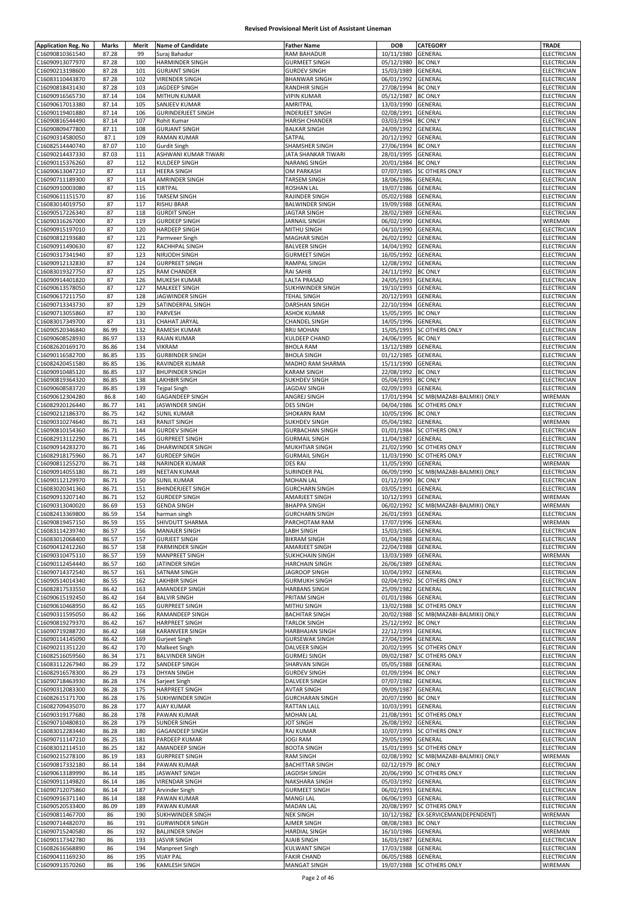| <b>Application Reg. No</b>         | Marks    | Merit      | <b>Name of Candidate</b>                 | <b>Father Name</b>                        | <b>DOB</b>         | CATEGORY                             | <b>TRADE</b>           |
|------------------------------------|----------|------------|------------------------------------------|-------------------------------------------|--------------------|--------------------------------------|------------------------|
| C16090810361540                    | 87.28    | 99         | Suraj Bahadur                            | RAM BAHADUR                               | 10/11/1980         | GENERAL                              | ELECTRICIAN            |
|                                    |          |            |                                          |                                           |                    |                                      |                        |
| C16090913077970                    | 87.28    | 100        | HARMINDER SINGH                          | <b>GURMEET SINGH</b>                      | 05/12/1980         | <b>BC ONLY</b>                       | ELECTRICIAN            |
| C16090213198600                    | 87.28    | 101        | <b>GURJANT SINGH</b>                     | <b>GURDEV SINGH</b>                       | 15/03/1989         | GENERAL                              | ELECTRICIAN            |
| C16083110443870                    | 87.28    | 102        | <b>VIRENDER SINGH</b>                    | <b>BHANWAR SINGH</b>                      | 06/01/1992         | GENERAL                              | ELECTRICIAN            |
| C16090818431430                    | 87.28    | 103        | JAGDEEP SINGH                            | RANDHIR SINGH                             | 27/08/1994         | <b>BC ONLY</b>                       | ELECTRICIAN            |
| C16090916565730                    | 87.14    | 104        | MITHUN KUMAR                             | <b>VIPIN KUMAR</b>                        | 05/12/1987         | <b>BC ONLY</b>                       | ELECTRICIAN            |
| C16090617013380                    | 87.14    | 105        | SANJEEV KUMAR                            | AMRITPAL                                  | 13/03/1990         | GENERAL                              | <b>ELECTRICIAN</b>     |
| C16090119401880                    | 87.14    | 106        | <b>GURINDERJEET SINGH</b>                | INDERJEET SINGH                           | 02/08/1991         | GENERAL                              | <b>ELECTRICIAN</b>     |
| C16090816544490                    | 87.14    | 107        | Rohit Kumar                              | <b>HARISH CHANDER</b>                     | 03/03/1994         | <b>BC ONLY</b>                       | ELECTRICIAN            |
| C16090809477800                    | 87.11    | 108        | <b>GURJANT SINGH</b>                     | <b>BALKAR SINGH</b>                       | 24/09/1992         | GENERAL                              | ELECTRICIAN            |
|                                    |          |            |                                          |                                           |                    |                                      |                        |
| C16090314580050                    | 87.1     | 109        | <b>RAMAN KUMAR</b>                       | SATPAL                                    | 20/12/1992         | GENERAL                              | ELECTRICIAN            |
| C16082514440740                    | 87.07    | 110        | <b>Gurdit Singh</b>                      | SHAMSHER SINGH                            | 27/06/1994         | <b>BC ONLY</b>                       | ELECTRICIAN            |
| C16090214437330                    | 87.03    | 111        | ASHWANI KUMAR TIWARI                     | JATA SHANKAR TIWARI                       | 28/01/1995         | GENERAL                              | ELECTRICIAN            |
| C16090115376260                    | 87       | 112        | <b>KULDEEP SINGH</b>                     | <b>NARANG SINGH</b>                       | 20/01/1984         | <b>BC ONLY</b>                       | ELECTRICIAN            |
| C16090613047210                    | 87       | 113        | <b>HEERA SINGH</b>                       | OM PARKASH                                | 07/07/1985         | SC OTHERS ONLY                       | ELECTRICIAN            |
| C16090711189300                    | 87       | 114        | <b>AMRINDER SINGH</b>                    | TARSEM SINGH                              | 18/06/1986         | GENERAL                              | ELECTRICIAN            |
| C16090910003080                    | 87       | 115        | <b>KIRTPAL</b>                           | ROSHAN LAL                                | 19/07/1986         | GENERAL                              | ELECTRICIAN            |
|                                    |          |            |                                          |                                           |                    |                                      |                        |
| C16090611151570                    | 87       | 116        | TARSEM SINGH                             | RAJINDER SINGH                            | 05/02/1988         | GENERAL                              | ELECTRICIAN            |
| C16083014019750                    | 87       | 117        | <b>RISHU BRAR</b>                        | <b>BALWINDER SINGH</b>                    | 19/09/1988         | GENERAL                              | ELECTRICIAN            |
| C16090517226340                    | 87       | 118        | <b>GURDIT SINGH</b>                      | <b>JAGTAR SINGH</b>                       | 28/02/1989         | GENERAL                              | ELECTRICIAN            |
| C16090316267000                    | 87       | 119        | <b>GURDEEP SINGH</b>                     | JARNAIL SINGH                             | 06/02/1990         | GENERAL                              | WIREMAN                |
| C16090915197010                    | 87       | 120        | <b>HARDEEP SINGH</b>                     | MITHU SINGH                               | 04/10/1990         | GENERAL                              | ELECTRICIAN            |
| C16090812193680                    | 87       | 121        | Parmveer Singh                           | <b>MAGHAR SINGH</b>                       | 26/02/1992         | GENERAL                              | ELECTRICIAN            |
|                                    | 87       | 122        |                                          |                                           | 14/04/1992         |                                      |                        |
| C16090911490630                    |          |            | RACHHPAL SINGH                           | <b>BALVEER SINGH</b>                      |                    | GENERAL                              | ELECTRICIAN            |
| C16090317341940                    | 87       | 123        | NIRJODH SINGH                            | <b>GURMEET SINGH</b>                      | 16/05/1992         | GENERAL                              | ELECTRICIAN            |
| C16090912132830                    | 87       | 124        | <b>GURPREET SINGH</b>                    | RAMPAL SINGH                              | 12/08/1992         | GENERAL                              | ELECTRICIAN            |
| C16083019327750                    | 87       | 125        | RAM CHANDER                              | RAI SAHIB                                 | 24/11/1992         | <b>BC ONLY</b>                       | ELECTRICIAN            |
| C16090914401820                    | 87       | 126        | MUKESH KUMAR                             | LALTA PRASAD                              | 24/05/1993         | GENERAL                              | ELECTRICIAN            |
| C16090613578050                    | 87       | 127        | <b>MALKEET SINGH</b>                     | SUKHWINDER SINGH                          | 19/10/1993         | GENERAL                              | ELECTRICIAN            |
| C16090617211750                    | 87       | 128        | JAGWINDER SINGH                          | TEHAL SINGH                               | 20/12/1993         | GENERAL                              | <b>ELECTRICIAN</b>     |
|                                    |          |            |                                          |                                           |                    |                                      |                        |
| C16090713343730                    | 87       | 129        | SATINDERPAL SINGH                        | DARSHAN SINGH                             | 22/10/1994         | GENERAL                              | ELECTRICIAN            |
| C16090713055860                    | 87       | 130        | PARVESH                                  | <b>ASHOK KUMAR</b>                        | 15/05/1995         | <b>BC ONLY</b>                       | ELECTRICIAN            |
| C16083017349700                    | 87       | 131        | CHAHAT JARYAL                            | CHANDEL SINGH                             | 14/05/1996         | GENERAL                              | <b>ELECTRICIAN</b>     |
| C16090520346840                    | 86.99    | 132        | RAMESH KUMAR                             | <b>BRIJ MOHAN</b>                         | 15/05/1993         | <b>SC OTHERS ONLY</b>                | ELECTRICIAN            |
| C16090608528930                    | 86.97    | 133        | RAJAN KUMAR                              | KULDEEP CHAND                             | 24/06/1995         | <b>BC ONLY</b>                       | ELECTRICIAN            |
| C16082620169170                    | 86.86    | 134        | <b>VIKRAM</b>                            | <b>BHOLA RAM</b>                          | 13/12/1989         | GENERAL                              | ELECTRICIAN            |
| C16090116582700                    | 86.85    | 135        | <b>GURBINDER SINGH</b>                   | <b>BHOLA SINGH</b>                        | 01/12/1985         | GENERAL                              | ELECTRICIAN            |
|                                    |          |            |                                          |                                           |                    |                                      |                        |
| C16082420451580                    | 86.85    | 136        | RAVINDER KUMAR                           | MADHO RAM SHARMA                          | 15/11/1990         | GENERAL                              | ELECTRICIAN            |
| C16090910485120                    | 86.85    | 137        | <b>BHUPINDER SINGH</b>                   | <b>KARAM SINGH</b>                        | 22/08/1992         | <b>BC ONLY</b>                       | ELECTRICIAN            |
| C16090819364320                    | 86.85    | 138        | LAKHBIR SINGH                            | <b>SUKHDEV SINGH</b>                      | 05/04/1993         | <b>BC ONLY</b>                       | ELECTRICIAN            |
| C16090608583720                    | 86.85    | 139        | Tejpal Singh                             | <b>JAGDAV SINGH</b>                       | 02/09/1993         | GENERAL                              | ELECTRICIAN            |
| C16090612304280                    | 86.8     | 140        | <b>GAGANDEEP SINGH</b>                   | ANGREJ SINGH                              | 17/01/1994         | SC MB(MAZABI-BALMIKI) ONLY           | WIREMAN                |
| C16082920126440                    | 86.77    | 141        | JASWINDER SINGH                          | <b>DES SINGH</b>                          | 04/04/1986         | <b>SC OTHERS ONLY</b>                | ELECTRICIAN            |
| C16090212186370                    | 86.75    | 142        | <b>SUNIL KUMAR</b>                       | <b>SHOKARN RAM</b>                        | 10/05/1996         | <b>BC ONLY</b>                       | ELECTRICIAN            |
|                                    |          |            |                                          |                                           |                    |                                      |                        |
| C16090310274640                    | 86.71    | 143        | <b>RANJIT SINGH</b>                      | SUKHDEV SINGH                             | 05/04/1982         | GENERAL                              | WIREMAN                |
| C16090810154360                    | 86.71    | 144        | <b>GURDEV SINGH</b>                      | <b>GURBACHAN SINGH</b>                    | 01/01/1984         | <b>SC OTHERS ONLY</b>                | <b>ELECTRICIAN</b>     |
| C16082913112290                    | 86.71    | 145        | <b>GURPREET SINGH</b>                    | <b>GURMAIL SINGH</b>                      | 11/04/1987         | GENERAL                              | ELECTRICIAN            |
| C16090914283270                    | 86.71    | 146        | DHARWINDER SINGH                         | MUKHTIAR SINGH                            | 21/02/1990         | <b>SC OTHERS ONLY</b>                | ELECTRICIAN            |
| C16082918175960                    | 86.71    | 147        | <b>GURDEEP SINGH</b>                     | <b>GURMAIL SINGH</b>                      | 11/03/1990         | <b>SC OTHERS ONLY</b>                | ELECTRICIAN            |
| C16090811255270                    | 86.71    | 148        | NARINDER KUMAR                           | DES RAJ                                   | 11/05/1990         | GENERAL                              | WIREMAN                |
| C16090914055180                    | 86.71    | 149        | NEETAN KUMAR                             | <b>SURINDER PAL</b>                       | 06/09/1990         | SC MB(MAZABI-BALMIKI) ONLY           | <b>ELECTRICIAN</b>     |
| C16090112129970                    | 86.71    | 150        | <b>SUNIL KUMAR</b>                       | MOHAN LAL                                 | 01/12/1990         | <b>BC ONLY</b>                       | <b>ELECTRICIAN</b>     |
|                                    |          |            |                                          |                                           |                    |                                      |                        |
| C16083020341360                    | 86.71    | 151        | <b>BHINDERJEET SINGH</b>                 | <b>GURCHARN SINGH</b>                     | 03/05/1991         | <b>GENERAL</b>                       | ELECTRICIAN            |
| C16090913207140                    | 86.71    | 152        | <b>GURDEEP SINGH</b>                     | AMARJEET SINGH                            | 10/12/1993         | GENERAL                              | WIREMAN                |
| C16090313040020                    | 86.69    | 153        | <b>GENDA SINGH</b>                       | <b>BHAPPA SINGH</b>                       | 06/02/1992         | SC MB(MAZABI-BALMIKI) ONLY           | WIREMAN                |
| C16082413369800                    | 86.59    | 154        | harman singh                             | <b>GURCHARN SINGH</b>                     | 26/01/1993         | GENERAL                              | ELECTRICIAN            |
| C16090819457150                    | 86.59    | 155        | SHIVDUTT SHARMA                          | PARCHOTAM RAM                             | 17/07/1996 GENERAL |                                      | WIREMAN                |
| C16083114239740                    | 86.57    | 156        | <b>MANAJER SINGH</b>                     | LABH SINGH                                | 15/03/1985 GENERAL |                                      | <b>ELECTRICIAN</b>     |
| C16083012068400                    | 86.57    | 157        | <b>GURJEET SINGH</b>                     | <b>BIKRAM SINGH</b>                       | 01/04/1988         | GENERAL                              | ELECTRICIAN            |
|                                    |          |            | PARMINDER SINGH                          |                                           |                    |                                      |                        |
| C16090412412260                    | 86.57    | 158        |                                          | AMARJEET SINGH                            | 22/04/1988         | GENERAL                              | ELECTRICIAN            |
| C16090310475110                    | 86.57    | 159        | <b>MANPREET SINGH</b>                    | <b>SUKHCHAIN SINGH</b>                    | 13/03/1989         | GENERAL                              | WIREMAN                |
| C16090112454440                    | 86.57    | 160        | JATINDER SINGH                           | <b>HARCHAIN SINGH</b>                     | 26/06/1989         | GENERAL                              | ELECTRICIAN            |
| C16090714372540                    | 86.57    | 161        | SATNAM SINGH                             | JAGROOP SINGH                             | 10/04/1992         | GENERAL                              | <b>ELECTRICIAN</b>     |
| C16090514014340                    | 86.55    | 162        | LAKHBIR SINGH                            | <b>GURMUKH SINGH</b>                      | 02/04/1992         | SC OTHERS ONLY                       | ELECTRICIAN            |
| C16082817533550                    | 86.42    | 163        | AMANDEEP SINGH                           | <b>HARBANS SINGH</b>                      | 25/09/1982         | GENERAL                              | ELECTRICIAN            |
| C16090615192450                    | 86.42    | 164        | <b>BALVIR SINGH</b>                      | PRITAM SINGH                              | 01/01/1986         | GENERAL                              | ELECTRICIAN            |
| C16090610468950                    | 86.42    | 165        | <b>GURPREET SINGH</b>                    | MITHU SINGH                               | 13/02/1988         | <b>SC OTHERS ONLY</b>                | ELECTRICIAN            |
| C16090311595050                    | 86.42    | 166        | RAMANDEEP SINGH                          | <b>BACHITAR SINGH</b>                     | 20/02/1988         | SC MB(MAZABI-BALMIKI) ONLY           | ELECTRICIAN            |
|                                    |          |            |                                          |                                           |                    |                                      |                        |
| C16090819279370                    | 86.42    | 167        | <b>HARPREET SINGH</b>                    | <b>TARLOK SINGH</b>                       | 25/12/1992 BC ONLY |                                      | ELECTRICIAN            |
| C16090719288720                    | 86.42    | 168        | KARANVEER SINGH                          | <b>HARBHAJAN SINGH</b>                    | 22/12/1993         | GENERAL                              | <b>ELECTRICIAN</b>     |
| C16090114145090                    | 86.42    | 169        | <b>Gurjeet Singh</b>                     | <b>GURSEWAK SINGH</b>                     | 27/04/1994         | GENERAL                              | <b>ELECTRICIAN</b>     |
| C16090211351220                    | 86.42    | 170        | Malkeet Singh                            | DALVEER SINGH                             | 20/02/1995         | <b>SC OTHERS ONLY</b>                | ELECTRICIAN            |
| C16082516059560                    | 86.34    | 171        | <b>BALVINDER SINGH</b>                   | <b>GURMEJ SINGH</b>                       | 09/02/1987         | <b>SC OTHERS ONLY</b>                | ELECTRICIAN            |
| C16083112267940                    | 86.29    | 172        | SANDEEP SINGH                            | SHARVAN SINGH                             | 05/05/1988         | GENERAL                              | ELECTRICIAN            |
| C16082916578300                    | 86.29    | 173        | <b>DHYAN SINGH</b>                       | <b>GURDEV SINGH</b>                       | 01/09/1994 BC ONLY |                                      | ELECTRICIAN            |
| C16090718463930                    | 86.28    | 174        | Sarjeet Singh                            | DALVEER SINGH                             | 07/07/1982         | GENERAL                              | ELECTRICIAN            |
|                                    |          |            |                                          |                                           |                    |                                      |                        |
| C16090312083300                    | 86.28    | 175        | <b>HARPREET SINGH</b>                    | AVTAR SINGH                               | 09/09/1987         | GENERAL                              | ELECTRICIAN            |
| C16082615171700                    | 86.28    | 176        | SUKHWINDER SINGH                         | <b>GURCHARAN SINGH</b>                    | 20/07/1990 BC ONLY |                                      | ELECTRICIAN            |
| C16082709435070                    | 86.28    | 177        | <b>AJAY KUMAR</b>                        | <b>RATTAN LALL</b>                        | 10/03/1991         | GENERAL                              | ELECTRICIAN            |
| C16090319177680                    | 86.28    | 178        | PAWAN KUMAR                              | <b>MOHAN LAL</b>                          | 21/08/1991         | SC OTHERS ONLY                       | ELECTRICIAN            |
| C16090710480810                    |          |            |                                          |                                           |                    | GENERAL                              | ELECTRICIAN            |
|                                    | 86.28    | 179        | <b>SUNDER SINGH</b>                      | <b>JOT SINGH</b>                          | 26/08/1992         |                                      |                        |
|                                    |          | 180        |                                          |                                           |                    |                                      |                        |
| C16083012283440                    | 86.28    |            | GAGANDEEP SINGH                          | RAJ KUMAR                                 | 10/07/1993         | <b>SC OTHERS ONLY</b>                | ELECTRICIAN            |
| C16090711147210                    | 86.25    | 181        | PARDEEP KUMAR                            | <b>JOGI RAM</b>                           | 29/05/1990         | GENERAL                              | ELECTRICIAN            |
| C16083012114510                    | 86.25    | 182        | AMANDEEP SINGH                           | <b>BOOTA SINGH</b>                        | 15/01/1993         | <b>SC OTHERS ONLY</b>                | ELECTRICIAN            |
| C16090215278100                    | 86.19    | 183        | <b>GURPREET SINGH</b>                    | <b>RAM SINGH</b>                          | 02/08/1992         | SC MB(MAZABI-BALMIKI) ONLY           | WIREMAN                |
| C16090817332180                    | 86.14    | 184        | PAWAN KUMAR                              | <b>BACHITTAR SINGH</b>                    | 02/12/1979         | <b>BC ONLY</b>                       | ELECTRICIAN            |
| C16090613189990                    | 86.14    | 185        | <b>JASWANT SINGH</b>                     | JAGDISH SINGH                             | 20/06/1990         | <b>SC OTHERS ONLY</b>                | ELECTRICIAN            |
| C16090911149820                    | 86.14    | 186        | <b>VIRENDAR SINGH</b>                    | NAKSHARA SINGH                            | 05/03/1992         | GENERAL                              | ELECTRICIAN            |
| C16090712075860                    | 86.14    | 187        | Arvinder Singh                           | <b>GURMEET SINGH</b>                      |                    | GENERAL                              | ELECTRICIAN            |
|                                    |          |            |                                          |                                           | 06/02/1993         |                                      |                        |
| C16090916371140                    | 86.14    | 188        | PAWAN KUMAR                              | <b>MANGI LAL</b>                          | 06/06/1993         | GENERAL                              | ELECTRICIAN            |
| C16090520533400                    | 86.09    | 189        | PAWAN KUMAR                              | <b>MADAN LAL</b>                          | 20/08/1997         | <b>SC OTHERS ONLY</b>                | ELECTRICIAN            |
| C16090811467700                    | 86       | 190        | SUKHWINDER SINGH                         | <b>NEK SINGH</b>                          | 10/12/1982         | EX-SERVICEMAN(DEPENDENT)             | WIREMAN                |
| C16090714482070                    | 86       | 191        | <b>GURWINDER SINGH</b>                   | AJMER SINGH                               | 08/08/1983         | <b>BC ONLY</b>                       | ELECTRICIAN            |
| C16090715240580                    | 86       | 192        | <b>BALJINDER SINGH</b>                   | HARDIAL SINGH                             | 16/10/1986         | GENERAL                              | WIREMAN                |
| C16090117342780                    | 86       | 193        | <b>JASVIR SINGH</b>                      | AJAIB SINGH                               | 16/03/1987         | GENERAL                              | ELECTRICIAN            |
|                                    | 86       | 194        |                                          |                                           |                    | GENERAL                              | ELECTRICIAN            |
| C16082616568890                    |          |            | <b>Manpreet Singh</b>                    | KULWANT SINGH                             | 17/03/1988         |                                      |                        |
| C16090411169230<br>C16090913570260 | 86<br>86 | 195<br>196 | <b>VIJAY PAL</b><br><b>KAMLESH SINGH</b> | <b>FAKIR CHAND</b><br><b>MANGAT SINGH</b> | 06/05/1988         | GENERAL<br>19/07/1988 SC OTHERS ONLY | ELECTRICIAN<br>WIREMAN |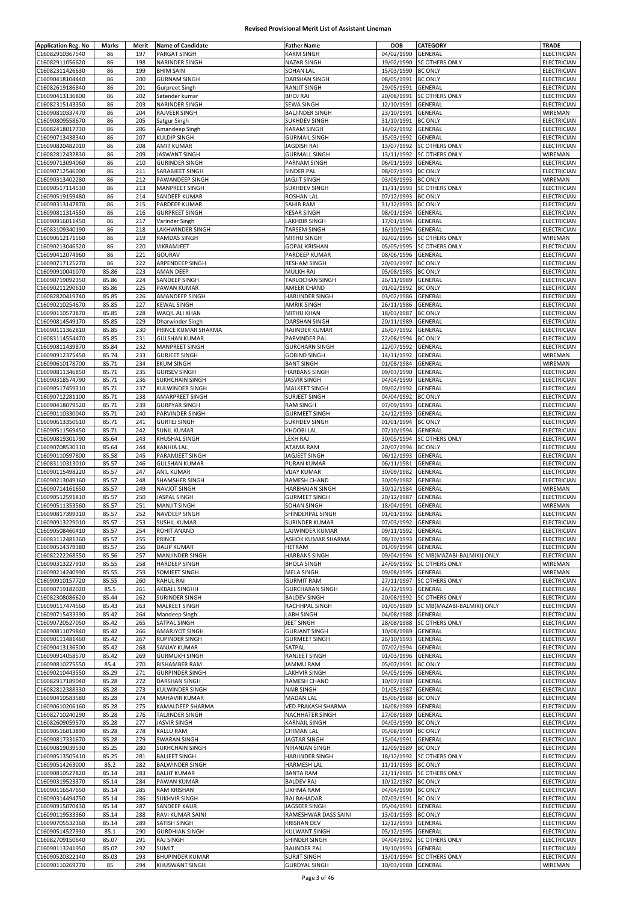|                                    | Marks          | Merit      | <b>Name of Candidate</b>                  | <b>Father Name</b>                            | DOB                              | <b>CATEGORY</b>                                    | TRADE                      |
|------------------------------------|----------------|------------|-------------------------------------------|-----------------------------------------------|----------------------------------|----------------------------------------------------|----------------------------|
| C16082910367540                    | 86             | 197        | PARGAT SINGH                              | KARM SINGH                                    | 04/02/1990                       | GENERAL                                            | ELECTRICIAN                |
| C16082911056620                    | 86             | 198        | NARINDER SINGH                            | NAZAR SINGH                                   | 19/02/1990                       | <b>SC OTHERS ONLY</b>                              | ELECTRICIAN                |
| C16082311426630                    | 86             | 199        | <b>BHIM SAIN</b>                          | <b>SOHAN LAL</b>                              | 15/03/1990 BC ONLY               |                                                    | ELECTRICIAN                |
| C16090418104440                    | 86             | 200        | <b>GURNAM SINGH</b>                       | DARSHAN SINGH                                 | 08/05/1991                       | <b>BC ONLY</b>                                     | ELECTRICIAN                |
| C16082619186840                    | 86             | 201        | <b>Gurpreet Singh</b>                     | RANJIT SINGH                                  | 29/05/1991                       | <b>GENERAL</b>                                     | ELECTRICIAN                |
| C16090413136800                    | 86             | 202        | Satender kumar                            | <b>BHOJ RAJ</b>                               | 20/08/1991                       | <b>SC OTHERS ONLY</b>                              | ELECTRICIAN                |
| C16082315143350                    | 86             | 203        | NARINDER SINGH                            | <b>SEWA SINGH</b>                             | 12/10/1991                       | <b>GENERAL</b>                                     | ELECTRICIAN                |
| C16090810337470                    | 86             | 204        | RAJVEER SINGH                             | <b>BALJINDER SINGH</b>                        | 23/10/1991                       | GENERAL                                            | WIREMAN                    |
| C16090809558670                    | 86             | 205        | Satgur Singh                              | <b>SUKHDEV SINGH</b>                          | 31/10/1991                       | <b>BC ONLY</b>                                     | ELECTRICIAN                |
| C16082418017730                    | 86             | 206        | Amandeep Singh                            | <b>KARAM SINGH</b>                            | 14/02/1992                       | GENERAL                                            | ELECTRICIAN                |
| C16090713438340                    | 86             | 207<br>208 | KULDIP SINGH<br><b>AMIT KUMAR</b>         | <b>GURMAIL SINGH</b><br>JAGDISH RAI           | 15/03/1992                       | GENERAL                                            | ELECTRICIAN                |
| C16090820482010<br>C16082812432830 | 86<br>86       | 209        | <b>JASWANT SINGH</b>                      | <b>GURMALL SINGH</b>                          | 13/07/1992                       | <b>SC OTHERS ONLY</b><br>13/11/1992 SC OTHERS ONLY | ELECTRICIAN<br>WIREMAN     |
| C16090713094060                    | 86             | 210        | <b>GURINDER SINGH</b>                     | PARNAM SINGH                                  | 06/01/1993                       | <b>GENERAL</b>                                     | ELECTRICIAN                |
| C16090712546000                    | 86             | 211        | SARABJEET SINGH                           | SINDER PAL                                    | 08/07/1993                       | <b>BC ONLY</b>                                     | ELECTRICIAN                |
| C16090313402280                    | 86             | 212        | PAWANDEEP SINGH                           | JAGJIT SINGH                                  | 03/09/1993                       | <b>BC ONLY</b>                                     | WIREMAN                    |
| C16090517114530                    | 86             | 213        | <b>MANPREET SINGH</b>                     | <b>SUKHDEV SINGH</b>                          | 11/11/1993                       | <b>SC OTHERS ONLY</b>                              | ELECTRICIAN                |
| C16090519159480                    | 86             | 214        | SANDEEP KUMAR                             | <b>ROSHAN LAL</b>                             | 07/12/1993 BC ONLY               |                                                    | ELECTRICIAN                |
| C16090313147870                    | 86             | 215        | PARDEEP KUMAR                             | SAHIB RAM                                     | 31/12/1993                       | <b>BC ONLY</b>                                     | ELECTRICIAN                |
| C16090811314550                    | 86             | 216        | <b>GURPREET SINGH</b>                     | KESAR SINGH                                   | 08/01/1994                       | GENERAL                                            | ELECTRICIAN                |
| C16090916011450                    | 86             | 217        | Varinder Singh                            | LAKHBIR SINGH                                 | 17/01/1994                       | GENERAL                                            | ELECTRICIAN                |
| C16083109340190                    | 86             | 218        | LAKHWINDER SINGH                          | <b>TARSEM SINGH</b>                           | 16/10/1994                       | GENERAL                                            | ELECTRICIAN                |
| C16090612171560                    | 86             | 219        | <b>RAMDAS SINGH</b>                       | MITHU SINGH                                   | 02/02/1995                       | <b>SC OTHERS ONLY</b>                              | WIREMAN                    |
| C16090213046520                    | 86             | 220        | VIKRAMJEET                                | <b>GOPAL KRISHAN</b>                          | 05/05/1995                       | <b>SC OTHERS ONLY</b>                              | ELECTRICIAN                |
| C16090412074960                    | 86             | 221        | GOURAV                                    | PARDEEP KUMAR                                 | 08/06/1996                       | <b>GENERAL</b>                                     | ELECTRICIAN                |
| C16090717125270                    | 86             | 222        | ARPENDEEP SINGH                           | <b>RESHAM SINGH</b>                           | 20/03/1997                       | <b>BC ONLY</b>                                     | ELECTRICIAN                |
| C16090910041070                    | 85.86          | 223        | <b>AMAN DEEP</b>                          | MULKH RAJ                                     | 05/08/1985                       | <b>BC ONLY</b>                                     | ELECTRICIAN                |
| C16090719092350                    | 85.86          | 224        | SANDEEP SINGH                             | TARLOCHAN SINGH                               | 26/11/1989                       | GENERAL                                            | ELECTRICIAN                |
| C16090211290610<br>C16082820419740 | 85.86          | 225        | PAWAN KUMAR                               | AMEER CHAND                                   | 01/02/1992                       | <b>BC ONLY</b>                                     | ELECTRICIAN                |
| C16090210254670                    | 85.85<br>85.85 | 226<br>227 | AMANDEEP SINGH<br><b>KEWAL SINGH</b>      | HARJINDER SINGH<br>AMRIK SINGH                | 03/02/1986<br>26/11/1986         | GENERAL<br>GENERAL                                 | ELECTRICIAN<br>ELECTRICIAN |
| C16090110573870                    | 85.85          | 228        | WAQIL ALI KHAN                            | MITHU KHAN                                    | 18/03/1987                       | <b>BC ONLY</b>                                     | ELECTRICIAN                |
| C16090814549170                    | 85.85          | 229        | Dharwinder Singh                          | <b>DARSHAN SINGH</b>                          | 20/11/1989                       | <b>GENERAL</b>                                     | ELECTRICIAN                |
| C16090111362810                    | 85.85          | 230        | PRINCE KUMAR SHARMA                       | RAJINDER KUMAR                                | 26/07/1992                       | GENERAL                                            | ELECTRICIAN                |
| C16083114554470                    | 85.85          | 231        | <b>GULSHAN KUMAR</b>                      | PARVINDER PAL                                 | 22/08/1994                       | <b>BC ONLY</b>                                     | ELECTRICIAN                |
| C16090811439870                    | 85.84          | 232        | <b>MANPREET SINGH</b>                     | <b>GURCHARN SINGH</b>                         | 22/07/1992                       | GENERAL                                            | ELECTRICIAN                |
| C16090912375450                    | 85.74          | 233        | <b>GURJEET SINGH</b>                      | <b>GOBIND SINGH</b>                           | 14/11/1992                       | GENERAL                                            | WIREMAN                    |
| C16090610178700                    | 85.71          | 234        | <b>EKUM SINGH</b>                         | <b>BANT SINGH</b>                             | 01/08/1984                       | GENERAL                                            | WIREMAN                    |
| C16090811346850                    | 85.71          | 235        | <b>GURSEV SINGH</b>                       | <b>HARBANS SINGH</b>                          | 09/03/1990                       | GENERAL                                            | ELECTRICIAN                |
| C16090318574790                    | 85.71          | 236        | <b>SUKHCHAIN SINGH</b>                    | JASVIR SINGH                                  | 04/04/1990                       | GENERAL                                            | ELECTRICIAN                |
| C16090517459310<br>C16090712281100 | 85.71<br>85.71 | 237<br>238 | KULWINDER SINGH<br>AMARPREET SINGH        | MALKEET SINGH<br>SURJEET SINGH                | 09/02/1992<br>04/04/1992         | GENERAL<br><b>BC ONLY</b>                          | ELECTRICIAN<br>ELECTRICIAN |
| C16090418079520                    | 85.71          | 239        | <b>GURPYAR SINGH</b>                      | <b>RAM SINGH</b>                              | 07/09/1993                       | GENERAL                                            | ELECTRICIAN                |
| C16090110330040                    | 85.71          | 240        | PARVINDER SINGH                           | <b>GURMEET SINGH</b>                          | 24/12/1993                       | GENERAL                                            | ELECTRICIAN                |
| C16090613350610                    | 85.71          | 241        | <b>GURTEJ SINGH</b>                       | SUKHDEV SINGH                                 | 01/01/1994                       | <b>BC ONLY</b>                                     | ELECTRICIAN                |
| C16090511569450                    | 85.71          | 242        | <b>SUNIL KUMAR</b>                        | KHOOBI LAL                                    | 07/10/1994                       | GENERAL                                            | ELECTRICIAN                |
| C16090819301790                    | 85.64          | 243        | KHUSHAL SINGH                             | LEKH RAJ                                      | 30/05/1994                       | <b>SC OTHERS ONLY</b>                              | ELECTRICIAN                |
| C16090708530310                    | 85.64          | 244        | KANHIA LAL                                | ATAMA RAM                                     | 20/07/1994                       | <b>BC ONLY</b>                                     | ELECTRICIAN                |
| C16090110597800                    | 85.58          | 245        | PARAMJEET SINGH                           | JAGJEET SINGH                                 | 06/12/1993                       | GENERAL                                            | ELECTRICIAN                |
| C16083110313010                    | 85.57<br>85.57 | 246<br>247 | <b>GULSHAN KUMAR</b><br>ANIL KUMAR        | PURAN KUMAR<br><b>VIJAY KUMAR</b>             | 06/11/1981<br>30/09/1982         | GENERAL                                            | ELECTRICIAN<br>ELECTRICIAN |
| C16090115498220<br>C16090213049160 | 85.57          | 248        | SHAMSHER SINGH                            | RAMESH CHAND                                  | 30/09/1982                       | GENERAL<br>GENERAL                                 | ELECTRICIAN                |
| C16090714161650                    | 85.57          | 249        | <b>NAVJOT SINGH</b>                       | HARBHAJAN SINGH                               | 30/12/1984                       | GENERAL                                            | WIREMAN                    |
| C16090512591810                    | 85.57          | 250        | <b>JASPAL SINGH</b>                       | <b>GURMEET SINGH</b>                          | 20/12/1987                       | GENERAL                                            | ELECTRICIAN                |
| C16090511353560                    | 85.57          | 251        | <b>MANJIT SINGH</b>                       | SOHAN SINGH                                   | 18/04/1991                       | <b>GENERAL</b>                                     | WIREMAN                    |
| C16090817399310                    | 85.57          | 252        | NAVDEEP SINGH                             | SHINDERPAL SINGH                              | 01/01/1992 GENERAL               |                                                    | ELECTRICIAN                |
| C16090913229010                    | 85.57          | 253        | <b>SUSHIL KUMAR</b>                       | SURINDER KUMAR                                | 07/03/1992 GENERAI               |                                                    | ELECTRICIAN                |
| C16090508460410                    | 85.57          | 254        | ROHIT ANAND                               | LAJWINDER KUMAR                               | 09/11/1992 GENERAL               |                                                    | ELECTRICIAN                |
| C16083112481360                    | 85.57          | 255        | PRINCE                                    | ASHOK KUMAR SHARMA                            | 08/10/1993                       | <b>GENERAL</b>                                     | ELECTRICIAN                |
| C16090514379380                    | 85.57          | 256        | <b>DALIP KUMAR</b>                        | HETRAM                                        | 01/09/1994                       | <b>GENERAL</b>                                     | ELECTRICIAN                |
| C16082222268550                    | 85.56          | 257        | MANJINDER SINGH                           | <b>HARBANS SINGH</b>                          | 09/04/1994                       | SC MB(MAZABI-BALMIKI) ONLY                         | ELECTRICIAN<br>WIREMAN     |
| C16090313227910<br>C16090214240990 | 85.55<br>85.55 | 258<br>259 | HARDEEP SINGH<br>SOMJEET SINGH            | <b>BHOLA SINGH</b><br><b>MELA SINGH</b>       | 24/09/1992<br>09/08/1995         | <b>SC OTHERS ONLY</b><br>GENERAL                   |                            |
| C16090910157720                    | 85.55          | 260        | <b>RAHUL RAI</b>                          | <b>GURMIT RAM</b>                             |                                  |                                                    |                            |
| C16090719182020                    | 85.5           | 261        | AKBALL SINGHH                             |                                               |                                  |                                                    | WIREMAN                    |
| C16082308086620                    | 85.44          |            |                                           |                                               | 27/11/1997                       | <b>SC OTHERS ONLY</b>                              | ELECTRICIAN                |
| C16090117474560                    |                | 262        | SURINDER SINGH                            | <b>GURCHARAN SINGH</b><br><b>BALDEV SINGH</b> | 24/12/1993                       | <b>GENERAL</b><br>20/08/1992 SC OTHERS ONLY        | ELECTRICIAN<br>ELECTRICIAN |
|                                    | 85.43          | 263        | MALKEET SINGH                             | RACHHPAL SINGH                                | 01/05/1989                       | SC MB(MAZABI-BALMIKI) ONLY                         | ELECTRICIAN                |
| C16090715433390                    | 85.42          | 264        | Mandeep Singh                             | <b>LABH SINGH</b>                             | 04/08/1988                       | GENERAL                                            | ELECTRICIAN                |
| C16090720527050                    | 85.42          | 265        | SATPAL SINGH                              | JEET SINGH                                    | 28/08/1988                       | <b>SC OTHERS ONLY</b>                              | ELECTRICIAN                |
| C16090811079840                    | 85.42          | 266        | AMARJYOT SINGH                            | <b>GURJANT SINGH</b>                          | 10/08/1989                       | GENERAL                                            | ELECTRICIAN                |
| C16090111481460                    | 85.42          | 267        | RUPINDER SINGH                            | <b>GURMEET SINGH</b>                          | 26/10/1993                       | GENERAL                                            | ELECTRICIAN                |
| C16090413136500                    | 85.42          | 268        | SANJAY KUMAR                              | SATPAL                                        | 07/02/1994                       | GENERAL                                            | ELECTRICIAN                |
| C16090914058570                    | 85.42          | 269        | <b>GURMUKH SINGH</b>                      | <b>RANJEET SINGH</b>                          | 01/03/1996                       | GENERAL                                            | ELECTRICIAN                |
| C16090810275550                    | 85.4           | 270        | <b>BISHAMBER RAM</b>                      | JAMMU RAM                                     | 05/07/1991                       | <b>BC ONLY</b>                                     | ELECTRICIAN                |
| C16090210443550                    | 85.29          | 271        | <b>GURPINDER SINGH</b>                    | LAKHVIR SINGH                                 | 04/05/1996                       | GENERAL                                            | ELECTRICIAN                |
| C16082917189040<br>C16082812388330 | 85.28<br>85.28 | 272<br>273 | DARSHAN SINGH<br>KULWINDER SINGH          | RAMESH CHAND<br><b>NAIB SINGH</b>             | 10/07/1980<br>01/05/1987         | <b>GENERAL</b><br>GENERAL                          | ELECTRICIAN<br>ELECTRICIAN |
| C16090410583580                    | 85.28          | 274        | <b>MAHAVIR KUMAR</b>                      | <b>MADAN LAL</b>                              | 15/06/1988                       | <b>BC ONLY</b>                                     | ELECTRICIAN                |
| C16090610206160                    | 85.28          | 275        | KAMALDEEP SHARMA                          | VED PRAKASH SHARMA                            | 16/08/1989                       | GENERAL                                            | ELECTRICIAN                |
| C16082710240290                    | 85.28          | 276        | TALJINDER SINGH                           | <b>NACHHATER SINGH</b>                        | 27/08/1989                       | GENERAL                                            | ELECTRICIAN                |
| C16082609059570                    | 85.28          | 277        | <b>JASVIR SINGH</b>                       | KARNAIL SINGH                                 | 04/03/1990 BC ONLY               |                                                    | ELECTRICIAN                |
| C16090516013890                    | 85.28          | 278        | <b>KALLU RAM</b>                          | <b>CHIMAN LAL</b>                             | 05/08/1990                       | <b>BC ONLY</b>                                     | ELECTRICIAN                |
| C16090817331670                    | 85.28          | 279        | <b>SWARAN SINGH</b>                       | JAGTAR SINGH                                  | 15/04/1991                       | <b>GENERAL</b>                                     | ELECTRICIAN                |
| C16090819039530<br>C16090513505410 | 85.25<br>85.25 | 280<br>281 | SUKHCHAIN SINGH<br><b>BALJEET SINGH</b>   | NIRANJAN SINGH<br><b>HARJINDER SINGH</b>      | 12/09/1989<br>18/12/1992         | <b>BC ONLY</b><br><b>SC OTHERS ONLY</b>            | ELECTRICIAN<br>ELECTRICIAN |
| C16090514263000                    | 85.2           | 282        | <b>BALWINDER SINGH</b>                    | <b>HARMESH LAL</b>                            | 11/11/1993 BC ONLY               |                                                    | ELECTRICIAN                |
| C16090810527820                    | 85.14          | 283        | <b>BALJIT KUMAR</b>                       | <b>BANTA RAM</b>                              |                                  | 21/11/1985 SC OTHERS ONLY                          | ELECTRICIAN                |
| C16090319523370                    | 85.14          | 284        | PAWAN KUMAR                               | <b>BALDEV RAJ</b>                             | 10/12/1987 BC ONLY               |                                                    | ELECTRICIAN                |
| C16090116547650                    | 85.14          | 285        | <b>RAM KRISHAN</b>                        | LIKHMA RAM                                    | 04/04/1990 BC ONLY               |                                                    | ELECTRICIAN                |
| C16090314494750                    | 85.14          | 286        | <b>SUKHVIR SINGH</b>                      | RAJ BAHADAR                                   | 07/03/1991                       | <b>BC ONLY</b>                                     | ELECTRICIAN                |
| C16090915070430                    | 85.14          | 287        | SANDEEP KAUR                              | JAGSEER SINGH                                 | 05/04/1991 GENERAL               |                                                    | ELECTRICIAN                |
| C16090119533360                    | 85.14          | 288        | RAVI KUMAR SAINI                          | RAMESHWAR DASS SAINI                          | 13/01/1993                       | <b>BC ONLY</b>                                     | ELECTRICIAN                |
| C16090705532360                    | 85.14          | 289        | SATISH SINGH                              | <b>KRISHAN DEV</b>                            | 12/12/1993                       | GENERAL                                            | ELECTRICIAN                |
| C16090514527930                    | 85.1           | 290        | <b>GURDHIAN SINGH</b><br><b>RAJ SINGH</b> | <b>KULWANT SINGH</b>                          | 05/12/1995                       | GENERAL                                            | ELECTRICIAN                |
| C16082709150640<br>C16090113241950 | 85.07<br>85.07 | 291<br>292 | <b>SUMIT</b>                              | SHINDER SINGH<br>RAJINDER PAL                 | 04/04/1992<br>19/10/1993 GENERAL | <b>SC OTHERS ONLY</b>                              | ELECTRICIAN<br>ELECTRICIAN |
| C16090520322140                    | 85.03          | 293        | <b>BHUPINDER KUMAR</b>                    | <b>SURJIT SINGH</b>                           |                                  | 13/01/1994 SC OTHERS ONLY                          | ELECTRICIAN                |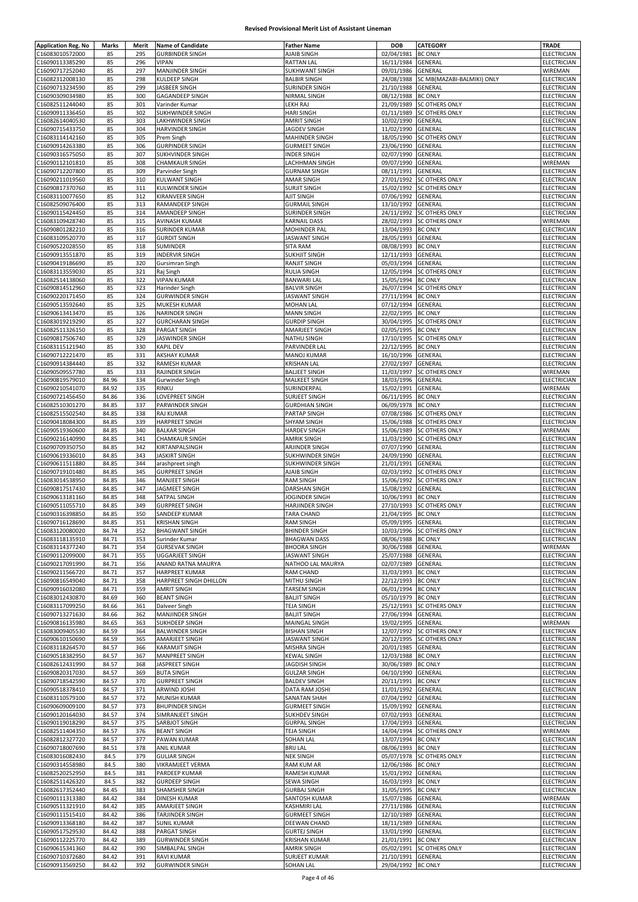| <b>Application Reg. No</b> | Marks | Merit | <b>Name of Candidate</b> | <b>Father Name</b>    | <b>DOB</b>         | CATEGORY                   | <b>TRADE</b>       |
|----------------------------|-------|-------|--------------------------|-----------------------|--------------------|----------------------------|--------------------|
| C16083010572000            | 85    | 295   | <b>GURBINDER SINGH</b>   | AJAIB SINGH           | 02/04/1981         | <b>BC ONLY</b>             | ELECTRICIAN        |
| C16090113385290            | 85    | 296   | <b>VIPAN</b>             | <b>RATTAN LAL</b>     | 16/11/1984         | GENERAL                    | ELECTRICIAN        |
| C16090717252040            | 85    | 297   | <b>MANJINDER SINGH</b>   | <b>SUKHWANT SINGH</b> | 09/01/1986         | GENERAL                    | WIREMAN            |
| C16082312008130            | 85    | 298   | KULDEEP SINGH            | <b>BALBIR SINGH</b>   | 24/08/1988         | SC MB(MAZABI-BALMIKI) ONLY | ELECTRICIAN        |
| C16090713234590            | 85    | 299   | JASBEER SINGH            | SURINDER SINGH        | 21/10/1988         | GENERAL                    | ELECTRICIAN        |
| C16090309034980            | 85    | 300   | <b>GAGANDEEP SINGH</b>   | NIRMAL SINGH          | 08/12/1988         | <b>BC ONLY</b>             | ELECTRICIAN        |
| C16082511244040            | 85    | 301   | Varinder Kumar           | LEKH RAJ              | 21/09/1989         | <b>SC OTHERS ONLY</b>      | ELECTRICIAN        |
| C16090911336450            | 85    | 302   | SUKHWINDER SINGH         | <b>HARI SINGH</b>     | 01/11/1989         | <b>SC OTHERS ONLY</b>      | <b>ELECTRICIAN</b> |
| C16082614040530            | 85    | 303   | LAKHWINDER SINGH         | <b>AMRIT SINGH</b>    | 10/02/1990         | GENERAL                    | ELECTRICIAN        |
| C16090715433750            | 85    | 304   | HARVINDER SINGH          | JAGDEV SINGH          | 11/02/1990         | GENERAL                    | ELECTRICIAN        |
| C16083114142160            | 85    | 305   | Prem Singh               | MAHINDER SINGH        | 18/05/1990         | <b>SC OTHERS ONLY</b>      | ELECTRICIAN        |
| C16090914263380            | 85    | 306   | <b>GURPINDER SINGH</b>   | <b>GURMEET SINGH</b>  | 23/06/1990         | GENERAL                    | ELECTRICIAN        |
| C16090316575050            | 85    | 307   | SUKHVINDER SINGH         | INDER SINGH           | 02/07/1990         | <b>GENERAL</b>             | ELECTRICIAN        |
| C16090112101810            | 85    | 308   | <b>CHAMKAUR SINGH</b>    | LACHHMAN SINGH        | 09/07/1990         | GENERAL                    | WIREMAN            |
| C16090712207800            | 85    | 309   | Parvinder Singh          | <b>GURNAM SINGH</b>   | 08/11/1991         | GENERAL                    | ELECTRICIAN        |
| C16090211019560            | 85    | 310   | <b>KULWANT SINGH</b>     | AMAR SINGH            | 27/01/1992         | <b>SC OTHERS ONLY</b>      | ELECTRICIAN        |
| C16090817370760            | 85    | 311   | <b>KULWINDER SINGH</b>   | <b>SURJIT SINGH</b>   | 15/02/1992         | <b>SC OTHERS ONLY</b>      | ELECTRICIAN        |
| C16083110077650            |       |       |                          |                       |                    |                            |                    |
|                            | 85    | 312   | KIRANVEER SINGH          | AJIT SINGH            | 07/06/1992         | GENERAL                    | ELECTRICIAN        |
| C16082509076400            | 85    | 313   | RAMANDEEP SINGH          | <b>GURMAIL SINGH</b>  | 13/10/1992         | GENERAL                    | ELECTRICIAN        |
| C16090115424450            | 85    | 314   | AMANDEEP SINGH           | SURINDER SINGH        | 24/11/1992         | <b>SC OTHERS ONLY</b>      | ELECTRICIAN        |
| C16083109428740            | 85    | 315   | AVINASH KUMAR            | <b>KARNAIL DASS</b>   | 28/02/1993         | <b>SC OTHERS ONLY</b>      | WIREMAN            |
| C16090801282210            | 85    | 316   | <b>SURINDER KUMAR</b>    | MOHINDER PAL          | 13/04/1993         | <b>BC ONLY</b>             | ELECTRICIAN        |
| C16083109520770            | 85    | 317   | <b>GURDIT SINGH</b>      | JASWANT SINGH         | 28/05/1993         | GENERAL                    | ELECTRICIAN        |
| C16090522028550            | 85    | 318   | SUMINDER                 | SITA RAM              | 08/08/1993         | <b>BC ONLY</b>             | ELECTRICIAN        |
| C16090913551870            | 85    | 319   | <b>INDERVIR SINGH</b>    | <b>SUKHJIT SINGH</b>  | 12/11/1993         | <b>GENERAL</b>             | ELECTRICIAN        |
| C16090419186690            | 85    | 320   | Gursimran Singh          | RANJIT SINGH          | 05/03/1994         | GENERAL                    | ELECTRICIAN        |
| C16083113559030            | 85    | 321   | Raj Singh                | <b>RULIA SINGH</b>    | 12/05/1994         | <b>SC OTHERS ONLY</b>      | ELECTRICIAN        |
| C16082514138060            | 85    | 322   | <b>VIPAN KUMAR</b>       | <b>BANWARI LAL</b>    | 15/05/1994         | <b>BC ONLY</b>             | ELECTRICIAN        |
| C16090814512960            | 85    | 323   | <b>Harinder Singh</b>    | <b>BALVIR SINGH</b>   | 26/07/1994         | <b>SC OTHERS ONLY</b>      | ELECTRICIAN        |
| C16090220171450            | 85    | 324   | <b>GURWINDER SINGH</b>   | JASWANT SINGH         | 27/11/1994         | <b>BC ONLY</b>             | <b>ELECTRICIAN</b> |
| C16090513592640            | 85    | 325   | MUKESH KUMAR             | <b>MOHAN LAL</b>      | 07/12/1994         | GENERAL                    | <b>ELECTRICIAN</b> |
| C16090613413470            | 85    | 326   | <b>NARINDER SINGH</b>    | <b>MANN SINGH</b>     | 22/02/1995         | <b>BC ONLY</b>             | ELECTRICIAN        |
| C16083019219290            | 85    | 327   | <b>GURCHARAN SINGH</b>   | <b>GURDIP SINGH</b>   | 30/04/1995         | <b>SC OTHERS ONLY</b>      | <b>ELECTRICIAN</b> |
| C16082511326150            | 85    | 328   | PARGAT SINGH             | AMARJEET SINGH        | 02/05/1995         | <b>BC ONLY</b>             | ELECTRICIAN        |
| C16090817506740            | 85    | 329   | JASWINDER SINGH          | <b>NATHU SINGH</b>    | 17/10/1995         | <b>SC OTHERS ONLY</b>      | ELECTRICIAN        |
| C16083115121940            | 85    | 330   | <b>KAPIL DEV</b>         | PARVINDER LAL         | 22/12/1995         | <b>BC ONLY</b>             | ELECTRICIAN        |
| C16090712221470            | 85    | 331   | <b>AKSHAY KUMAR</b>      | <b>MANOJ KUMAR</b>    | 16/10/1996         | GENERAL                    | ELECTRICIAN        |
| C16090914384440            | 85    | 332   | RAMESH KUMAR             | <b>KRISHAN LAL</b>    | 27/02/1997         | GENERAL                    | ELECTRICIAN        |
| C16090509557780            | 85    | 333   | RAJINDER SINGH           | <b>BALJEET SINGH</b>  | 11/03/1997         | <b>SC OTHERS ONLY</b>      | WIREMAN            |
| C16090819579010            | 84.96 | 334   | Gurwinder Singh          | MALKEET SINGH         | 18/03/1996         | GENERAL                    | ELECTRICIAN        |
| C16090210541070            | 84.92 | 335   | RINKU                    | SURINDERPAL           | 15/02/1991         | GENERAL                    | WIREMAN            |
| C16090721456450            | 84.86 | 336   | LOVEPREET SINGH          | SURJEET SINGH         | 06/11/1995         | <b>BC ONLY</b>             | ELECTRICIAN        |
| C16082510301270            | 84.85 | 337   | PARWINDER SINGH          | <b>GURDHIAN SINGH</b> | 06/09/1978         | <b>BC ONLY</b>             | ELECTRICIAN        |
| C16082515502540            | 84.85 | 338   | <b>RAJ KUMAR</b>         | PARTAP SINGH          | 07/08/1986         | SC OTHERS ONLY             | ELECTRICIAN        |
| C16090418084300            | 84.85 | 339   | HARPREET SINGH           | SHYAM SINGH           | 15/06/1988         | SC OTHERS ONLY             | ELECTRICIAN        |
| C16090519360600            | 84.85 | 340   | <b>BALKAR SINGH</b>      | <b>HARDEV SINGH</b>   | 15/06/1989         | SC OTHERS ONLY             | WIREMAN            |
| C16090216140990            | 84.85 | 341   | <b>CHAMKAUR SINGH</b>    | <b>AMRIK SINGH</b>    | 11/03/1990         | SC OTHERS ONLY             | ELECTRICIAN        |
| C16090709350750            | 84.85 | 342   | KIRTANPALSINGH           | ARJINDER SINGH        | 07/07/1990         | GENERAL                    | ELECTRICIAN        |
| C16090619336010            | 84.85 | 343   | <b>JASKIRT SINGH</b>     | SUKHWINDER SINGH      | 24/09/1990         | GENERAL                    | ELECTRICIAN        |
| C16090611511880            | 84.85 | 344   | arashpreet singh         | SUKHWINDER SINGH      | 21/01/1991         | GENERAL                    | ELECTRICIAN        |
| C16090719101480            | 84.85 | 345   | <b>GURPREET SINGH</b>    | AJAIB SINGH           | 02/03/1992         | <b>SC OTHERS ONLY</b>      | ELECTRICIAN        |
| C16083014538950            | 84.85 | 346   | <b>MANJEET SINGH</b>     | <b>RAM SINGH</b>      | 15/06/1992         | SC OTHERS ONLY             | ELECTRICIAN        |
|                            |       |       |                          |                       | 15/08/1992         |                            |                    |
| C16090817517430            | 84.85 | 347   | JAGMEET SINGH            | DARSHAN SINGH         |                    | GENERAL                    | ELECTRICIAN        |
| C16090613181160            | 84.85 | 348   | SATPAL SINGH             | JOGINDER SINGH        | 10/06/1993         | <b>BC ONLY</b>             | ELECTRICIAN        |
| C16090511055710            | 84.85 | 349   | <b>GURPREET SINGH</b>    | HARJINDER SINGH       | 27/10/1993         | <b>SC OTHERS ONLY</b>      | ELECTRICIAN        |
| C16090316398850            | 84.85 | 350   | SANDEEP KUMAR            | <b>TARA CHAND</b>     | 21/04/1995         | <b>BC ONLY</b>             | ELECTRICIAN        |
| C16090716128690            | 84.85 | 351   | KRISHAN SINGH            | RAM SINGH             | 05/09/1995 GENERAL |                            | ELECTRICIAN        |
| C16083120080020            | 84.74 | 352   | <b>BHAGWANT SINGH</b>    | <b>BHINDER SINGH</b>  |                    | 10/03/1996 SC OTHERS ONLY  | ELECTRICIAN        |
| C16083118135910            | 84.71 | 353   | Surinder Kumar           | <b>BHAGWAN DASS</b>   | 08/06/1988         | <b>BC ONLY</b>             | ELECTRICIAN        |
| C16083114377240            | 84.71 | 354   | <b>GURSEVAK SINGH</b>    | <b>BHOORA SINGH</b>   | 30/06/1988         | GENERAL                    | WIREMAN            |
| C16090112099000            | 84.71 | 355   | <b>UGGARJEET SINGH</b>   | JASWANT SINGH         | 25/07/1988         | <b>GENERAL</b>             | ELECTRICIAN        |
| C16090217091990            | 84.71 | 356   | ANAND RATNA MAURYA       | NATHOO LAL MAURYA     | 02/07/1989         | GENERAL                    | ELECTRICIAN        |
| C16090211566720            | 84.71 | 357   | <b>HARPREET KUMAR</b>    | RAM CHAND             | 31/03/1993         | <b>BC ONLY</b>             | ELECTRICIAN        |
| C16090816549040            | 84.71 | 358   | HARPREET SINGH DHILLON   | MITHU SINGH           | 22/12/1993         | <b>BC ONLY</b>             | ELECTRICIAN        |
| C16090916032080            | 84.71 | 359   | <b>AMRIT SINGH</b>       | <b>TARSEM SINGH</b>   | 06/01/1994         | <b>BC ONLY</b>             | ELECTRICIAN        |
| C16083012430870            | 84.69 | 360   | <b>BEANT SINGH</b>       | <b>BALJIT SINGH</b>   | 05/10/1979         | <b>BC ONLY</b>             | ELECTRICIAN        |
| C16083117099250            | 84.66 | 361   | Dalveer Singh            | <b>TEJA SINGH</b>     | 25/12/1993         | <b>SC OTHERS ONLY</b>      | ELECTRICIAN        |
| C16090713271630            | 84.66 | 362   | <b>MANJINDER SINGH</b>   | <b>BALJIT SINGH</b>   | 27/06/1994         | GENERAL                    | <b>ELECTRICIAN</b> |
| C16090816135980            | 84.65 | 363   | SUKHDEEP SINGH           | MAINGAL SINGH         | 19/02/1995         | <b>GENERAL</b>             | WIREMAN            |
| C16083009405530            | 84.59 | 364   | <b>BALWINDER SINGH</b>   | <b>BISHAN SINGH</b>   | 12/07/1992         | <b>SC OTHERS ONLY</b>      | ELECTRICIAN        |
| C16090610150690            | 84.59 | 365   | AMARJEET SINGH           | JASWANT SINGH         | 20/12/1995         | SC OTHERS ONLY             | ELECTRICIAN        |
| C16083118264570            | 84.57 | 366   | <b>KARAMJIT SINGH</b>    | MISHRA SINGH          | 20/01/1985         | GENERAL                    | ELECTRICIAN        |
| C16090518382950            | 84.57 | 367   | <b>MANPREET SINGH</b>    | <b>KEWAL SINGH</b>    | 12/03/1988         | <b>BC ONLY</b>             | ELECTRICIAN        |
| C16082612431990            | 84.57 | 368   | JASPREET SINGH           | JAGDISH SINGH         | 30/06/1989         | <b>BC ONLY</b>             | ELECTRICIAN        |
| C16090820317030            | 84.57 | 369   | <b>BUTA SINGH</b>        | <b>GULZAR SINGH</b>   | 04/10/1990 GENERAL |                            | ELECTRICIAN        |
| C16090718542590            | 84.57 | 370   | <b>GURPREET SINGH</b>    | <b>BALDEV SINGH</b>   | 20/11/1991         | <b>BC ONLY</b>             | ELECTRICIAN        |
| C16090518378410            | 84.57 | 371   | ARWIND JOSHI             | DATA RAM JOSHI        | 11/01/1992         | GENERAL                    | ELECTRICIAN        |
| C16083110579100            | 84.57 | 372   | <b>MUNISH KUMAR</b>      | SANATAN SHAH          | 07/04/1992         | GENERAL                    | ELECTRICIAN        |
| C16090609009100            | 84.57 | 373   | <b>BHUPINDER SINGH</b>   | <b>GURMEET SINGH</b>  | 15/09/1992         | GENERAL                    | ELECTRICIAN        |
| C16090120164030            | 84.57 | 374   | SIMRANJEET SINGH         | SUKHDEV SINGH         | 07/02/1993         | GENERAL                    | <b>ELECTRICIAN</b> |
| C16090119018290            | 84.57 | 375   | SARBJOT SINGH            | <b>GURPAL SINGH</b>   | 17/04/1993         | GENERAL                    | ELECTRICIAN        |
| C16082511404350            | 84.57 | 376   | <b>BEANT SINGH</b>       | TEJA SINGH            | 14/04/1994         | <b>SC OTHERS ONLY</b>      | WIREMAN            |
| C16082812327720            | 84.57 | 377   | PAWAN KUMAR              | <b>SOHAN LAL</b>      | 13/07/1994         | <b>BC ONLY</b>             | ELECTRICIAN        |
| C16090718007690            | 84.51 | 378   | <b>ANIL KUMAR</b>        | <b>BRIJ LAL</b>       | 08/06/1993         | <b>BC ONLY</b>             | ELECTRICIAN        |
| C16083016082430            | 84.5  | 379   | <b>GULJAR SINGH</b>      | <b>NEK SINGH</b>      | 05/07/1978         | <b>SC OTHERS ONLY</b>      | ELECTRICIAN        |
| C16090314558980            | 84.5  | 380   | <b>VIKRAMJEET VERMA</b>  | RAM KUM AR            | 12/06/1986 BC ONLY |                            | ELECTRICIAN        |
| C16082520252950            | 84.5  | 381   | PARDEEP KUMAR            | RAMESH KUMAR          | 15/01/1992         | GENERAL                    | ELECTRICIAN        |
| C16082511426320            | 84.5  | 382   | <b>GURDEEP SINGH</b>     | <b>SEWA SINGH</b>     | 16/03/1993         | <b>BC ONLY</b>             | <b>ELECTRICIAN</b> |
| C16082617352440            | 84.45 | 383   | SHAMSHER SINGH           | <b>GURBAJ SINGH</b>   | 31/05/1995         | <b>BC ONLY</b>             | ELECTRICIAN        |
| C16090111313380            | 84.42 | 384   | <b>DINESH KUMAR</b>      | SANTOSH KUMAR         | 15/07/1986         | GENERAL                    | WIREMAN            |
| C16090511321910            | 84.42 | 385   | AMARJEET SINGH           | KASHMIRI LAL          | 27/11/1986         | GENERAL                    | ELECTRICIAN        |
|                            |       | 386   |                          |                       | 12/10/1989         |                            | ELECTRICIAN        |
| C16090111515410            | 84.42 |       | <b>TARJINDER SINGH</b>   | <b>GURMEET SINGH</b>  |                    | GENERAL                    |                    |
| C16090913368180            | 84.42 | 387   | <b>SUNIL KUMAR</b>       | DEEWAN CHAND          | 18/11/1989         | GENERAL                    | ELECTRICIAN        |
| C16090517529530            | 84.42 | 388   | PARGAT SINGH             | <b>GURTEJ SINGH</b>   | 13/01/1990         | GENERAL                    | ELECTRICIAN        |
| C16090112225770            | 84.42 | 389   | <b>GURWINDER SINGH</b>   | <b>KRISHAN KUMAR</b>  | 21/01/1991         | <b>BC ONLY</b>             | ELECTRICIAN        |
| C16090615341360            | 84.42 | 390   | SIMBALPAL SINGH          | <b>AMRIK SINGH</b>    | 05/02/1991         | <b>SC OTHERS ONLY</b>      | ELECTRICIAN        |
| C16090710372680            | 84.42 | 391   | <b>RAVI KUMAR</b>        | <b>SURJEET KUMAR</b>  | 21/10/1991         | GENERAL                    | ELECTRICIAN        |
| C16090913569250            | 84.42 | 392   | <b>GURWINDER SINGH</b>   | <b>SOHAN LAL</b>      | 29/04/1992         | <b>BC ONLY</b>             | ELECTRICIAN        |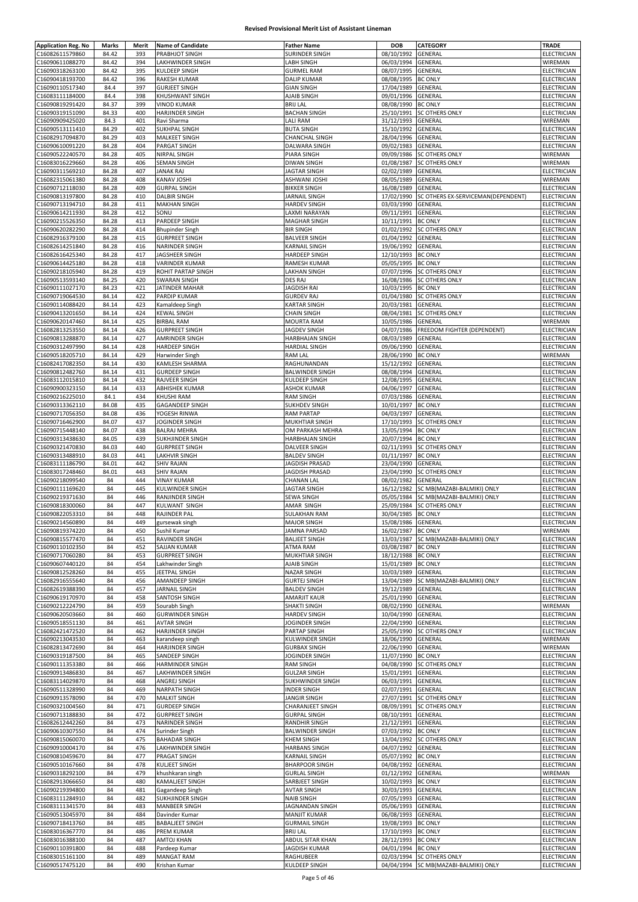| <b>Application Reg. No</b>         | Marks    | Merit      | <b>Name of Candidate</b>          | <b>Father Name</b>            | DOB                                      | <b>CATEGORY</b>                       | TRADE                             |
|------------------------------------|----------|------------|-----------------------------------|-------------------------------|------------------------------------------|---------------------------------------|-----------------------------------|
| C16082611579860                    | 84.42    | 393        | PRABHJOT SINGH                    | SURINDER SINGH                | 08/10/1992                               | GENERAL                               | ELECTRICIAN                       |
| C16090611088270                    | 84.42    | 394        | LAKHWINDER SINGH                  | LABH SINGH                    | 06/03/1994                               | GENERAL                               | WIREMAN                           |
| C16090318263100                    | 84.42    | 395        | <b>KULDEEP SINGH</b>              | <b>GURMEL RAM</b>             | 08/07/1995                               | GENERAL                               | ELECTRICIAN                       |
| C16090418193700                    | 84.42    | 396        | <b>RAKESH KUMAR</b>               | <b>DALIP KUMAR</b>            | 08/08/1995                               | <b>BC ONLY</b>                        | ELECTRICIAN                       |
| C16090110517340                    | 84.4     | 397        | <b>GURJEET SINGH</b>              | <b>GIAN SINGH</b>             | 17/04/1989                               | GENERAL                               | ELECTRICIAN                       |
| C16083111184000                    | 84.4     | 398        | KHUSHWANT SINGH                   | AJAIB SINGH                   | 09/01/1996                               | GENERAL                               | ELECTRICIAN                       |
| C16090819291420                    | 84.37    | 399        | <b>VINOD KUMAR</b>                | <b>BRIJ LAL</b>               | 08/08/1990                               | <b>BC ONLY</b>                        | ELECTRICIAN                       |
| C16090319151090                    | 84.33    | 400        | HARJINDER SINGH                   | <b>BACHAN SINGH</b>           | 25/10/1991                               | <b>SC OTHERS ONLY</b>                 | ELECTRICIAN                       |
| C16090909425020                    | 84.3     | 401        | Ravi Sharma                       | LALI RAM                      | 31/12/1993                               | GENERAL                               | WIREMAN                           |
| C16090513111410                    | 84.29    | 402        | SUKHPAL SINGH                     | <b>BUTA SINGH</b>             | 15/10/1992                               | GENERAL                               | ELECTRICIAN                       |
| C16082917094870                    | 84.29    | 403        | MALKEET SINGH                     | <b>CHANCHAL SINGH</b>         | 28/04/1996                               | GENERAL                               | ELECTRICIAN                       |
| C16090610091220                    | 84.28    | 404        | PARGAT SINGH                      | DALWARA SINGH                 | 09/02/1983                               | GENERAL                               | ELECTRICIAN                       |
| C16090522240570                    | 84.28    | 405        | NIRPAL SINGH                      | PIARA SINGH                   | 09/09/1986                               | SC OTHERS ONLY                        | WIREMAN                           |
| C16083016229660                    | 84.28    | 406        | <b>SEMAN SINGH</b>                | <b>DIWAN SINGH</b>            | 01/08/1987                               | <b>SC OTHERS ONLY</b>                 | WIREMAN                           |
| C16090311569210                    | 84.28    | 407        | <b>JANAK RAJ</b>                  | JAGTAR SINGH                  | 02/02/1989                               | GENERAL                               | ELECTRICIAN                       |
| C16082315061380                    | 84.28    | 408        | <b>KANAV JOSHI</b>                | ASHWANI JOSHI                 | 08/05/1989                               | GENERAL                               | WIREMAN                           |
| C16090712118030                    | 84.28    | 409        | <b>GURPAL SINGH</b>               | <b>BIKKER SINGH</b>           | 16/08/1989                               | GENERAL                               | ELECTRICIAN                       |
| C16090813197800                    | 84.28    | 410        | <b>DALBIR SINGH</b>               | JARNAIL SINGH                 | 17/02/1990                               | SC OTHERS EX-SERVICEMAN(DEPENDENT)    | ELECTRICIAN                       |
| C16090713194710                    | 84.28    | 411        | <b>MAKHAN SINGH</b>               | <b>HARDEV SINGH</b>           | 03/03/1990                               | GENERAL                               | ELECTRICIAN                       |
| C16090614211930                    | 84.28    | 412        | SONU                              | LAXMI NARAYAN                 | 09/11/1991                               | GENERAL                               | ELECTRICIAN                       |
| C16090215526350                    | 84.28    | 413        | PARDEEP SINGH                     | <b>MAGHAR SINGH</b>           | 10/11/1991                               | <b>BC ONLY</b>                        | ELECTRICIAN                       |
| C16090620282290                    | 84.28    | 414        | <b>Bhupinder Singh</b>            | <b>BIR SINGH</b>              | 01/02/1992                               | <b>SC OTHERS ONLY</b>                 | ELECTRICIAN                       |
| C16082916379100                    | 84.28    | 415        | <b>GURPREET SINGH</b>             | <b>BALVEER SINGH</b>          | 01/04/1992                               | <b>GENERAL</b>                        | ELECTRICIAN                       |
| C16082614251840                    | 84.28    | 416        | <b>NARINDER SINGH</b>             | KARNAIL SINGH                 | 19/06/1992                               | GENERAL                               | ELECTRICIAN                       |
| C16082616425340                    | 84.28    | 417        | JAGSHEER SINGH                    | HARDEEP SINGH                 | 12/10/1993 BC ONLY                       |                                       | ELECTRICIAN                       |
| C16090614425180                    | 84.28    | 418        | <b>VARINDER KUMAR</b>             | RAMESH KUMAR                  | 05/05/1995                               | <b>BC ONLY</b>                        | <b>ELECTRICIAN</b>                |
| C16090218105940                    | 84.28    | 419        | ROHIT PARTAP SINGH                | <b>LAKHAN SINGH</b>           | 07/07/1996                               | <b>SC OTHERS ONLY</b>                 | ELECTRICIAN                       |
| C16090513593140                    | 84.25    | 420        | <b>SWARAN SINGH</b>               | DES RAJ                       | 16/08/1986                               | <b>SC OTHERS ONLY</b>                 | ELECTRICIAN                       |
| C16090111027170                    | 84.23    | 421        | JATINDER MAHAR                    | JAGDISH RAI                   | 10/03/1995                               | <b>BC ONLY</b>                        | ELECTRICIAN                       |
| C16090719064530                    | 84.14    | 422        | PARDIP KUMAR                      | <b>GURDEV RAJ</b>             | 01/04/1980                               | <b>SC OTHERS ONLY</b>                 | ELECTRICIAN                       |
| C16090114088420                    | 84.14    | 423        | Kamaldeep Singh                   | <b>KARTAR SINGH</b>           | 20/03/1981                               | <b>GENERAL</b>                        | ELECTRICIAN                       |
| C16090413201650                    | 84.14    | 424        | <b>KEWAL SINGH</b>                | <b>CHAIN SINGH</b>            | 08/04/1981                               | <b>SC OTHERS ONLY</b>                 | ELECTRICIAN                       |
| C16090620147460                    | 84.14    | 425        | <b>BIRBAL RAM</b>                 | <b>MOURTA RAM</b>             | 10/05/1986                               | GENERAL                               | WIREMAN                           |
| C16082813253550                    | 84.14    | 426        | <b>GURPREET SINGH</b>             | JAGDEV SINGH                  | 04/07/1986                               | FREEDOM FIGHTER (DEPENDENT)           | ELECTRICIAN                       |
| C16090813288870                    | 84.14    | 427        | AMRINDER SINGH                    | HARBHAJAN SINGH               | 08/03/1989                               | GENERAL                               | ELECTRICIAN                       |
| C16090312497990                    | 84.14    | 428        | <b>HARDEEP SINGH</b>              | <b>HARDIAL SINGH</b>          | 09/06/1990                               | GENERAL                               | ELECTRICIAN                       |
| C16090518205710                    | 84.14    | 429        | Harwinder Singh                   | RAM LAL                       | 28/06/1990                               | <b>BC ONLY</b>                        | WIREMAN                           |
| C16082417082350                    | 84.14    | 430        | KAMLESH SHARMA                    | RAGHUNANDAN                   | 15/12/1992                               | GENERAL                               | ELECTRICIAN                       |
| C16090812482760                    | 84.14    | 431        | <b>GURDEEP SINGH</b>              | <b>BALWINDER SINGH</b>        | 08/08/1994                               | GENERAL                               | ELECTRICIAN                       |
| C16083112015810                    | 84.14    | 432        | RAJVEER SINGH                     | KULDEEP SINGH                 | 12/08/1995                               | GENERAL                               | ELECTRICIAN                       |
| C16090900323150                    | 84.14    | 433        | ABHISHEK KUMAR                    | ASHOK KUMAR                   | 04/06/1997                               | GENERAL                               | ELECTRICIAN                       |
| C16090216225010                    | 84.1     | 434        | <b>KHUSHI RAM</b>                 | <b>RAM SINGH</b>              | 07/03/1986                               | GENERAL                               | ELECTRICIAN                       |
| C16090313362110                    | 84.08    | 435        | <b>GAGANDEEP SINGH</b>            | <b>SUKHDEV SINGH</b>          | 10/01/1997                               | <b>BC ONLY</b>                        | ELECTRICIAN                       |
| C16090717056350                    | 84.08    | 436        | YOGESH RINWA                      | <b>RAM PARTAP</b>             | 04/03/1997                               | GENERAL                               | ELECTRICIAN                       |
| C16090716462900                    | 84.07    | 437        | JOGINDER SINGH                    | MUKHTIAR SINGH                | 17/10/1993                               | <b>SC OTHERS ONLY</b>                 | ELECTRICIAN                       |
| C16090715448140                    | 84.07    | 438        | <b>BALRAJ MEHRA</b>               | OM PARKASH MEHRA              | 13/05/1994                               | <b>BC ONLY</b>                        | ELECTRICIAN                       |
| C16090313438630                    | 84.05    | 439        | SUKHJINDER SINGH                  | HARBHAJAN SINGH               | 20/07/1994                               | <b>BC ONLY</b>                        | ELECTRICIAN                       |
| C16090321470830                    | 84.03    | 440        | <b>GURPREET SINGH</b>             | <b>DALVEER SINGH</b>          | 02/11/1993                               | <b>SC OTHERS ONLY</b>                 | ELECTRICIAN                       |
| C16090313488910                    | 84.03    | 441        | <b>LAKHVIR SINGH</b>              | <b>BALDEV SINGH</b>           | 01/11/1997                               | <b>BC ONLY</b>                        | ELECTRICIAN                       |
| C16083111186790                    | 84.01    | 442        | <b>SHIV RAJAN</b>                 | <b>JAGDISH PRASAD</b>         | 23/04/1990                               | GENERAL                               | ELECTRICIAN                       |
| C16083017248460                    | 84.01    | 443        | <b>SHIV RAJAN</b>                 | JAGDISH PRASAD                | 23/04/1990                               | <b>SC OTHERS ONLY</b>                 | ELECTRICIAN                       |
| C16090218099540                    | 84       | 444        | <b>VINAY KUMAR</b>                | <b>CHANAN LAL</b>             | 08/02/1982                               | GENERAL                               | ELECTRICIAN                       |
| C16090111169620                    | 84       | 445        | <b>KULWINDER SINGH</b>            | <b>JAGTAR SINGH</b>           | 16/12/1982                               | SC MB(MAZABI-BALMIKI) ONLY            | ELECTRICIAN                       |
| C16090219371630                    | 84       | 446        | RANJINDER SINGH                   | SEWA SINGH                    | 05/05/1984                               | SC MB(MAZABI-BALMIKI) ONLY            | ELECTRICIAN                       |
| C16090818300060                    | 84       | 447        | KULWANT SINGH                     | AMAR SINGH                    | 25/09/1984                               | <b>SC OTHERS ONLY</b>                 | <b>ELECTRICIAN</b>                |
| C16090822053310                    | 84       | 448        | RAJINDER PAL                      | <b>SULAKHAN RAM</b>           | 30/04/1985 BC ONLY                       |                                       | ELECTRICIAN                       |
| C16090214560890                    | 84       | 449        | gursewak singh                    | <b>MAJOR SINGH</b>            | 15/08/1986 GENERAL                       |                                       | ELECTRICIAN<br>WIREMAN            |
| C16090819374220                    | 84       | 450<br>451 | Sushil Kumar<br>RAVINDER SINGH    | JAMNA PARSAD                  | 16/02/1987 BC ONLY                       |                                       |                                   |
| C16090815577470<br>C16090110102350 | 84       |            | SAJJAN KUMAR                      | <b>BALJEET SINGH</b>          | 03/08/1987 BC ONLY                       | 13/03/1987 SC MB(MAZABI-BALMIKI) ONLY | ELECTRICIAN<br><b>ELECTRICIAN</b> |
|                                    | 84       | 452        |                                   | ATMA RAM                      |                                          |                                       |                                   |
| C16090717060280<br>C16090607440120 | 84<br>84 | 453<br>454 | <b>GURPREET SINGH</b>             | MUKHTIAR SINGH<br>AJAIB SINGH | 18/12/1988 BC ONLY<br>15/01/1989 BC ONLY |                                       | ELECTRICIAN<br>ELECTRICIAN        |
| C16090812528260                    | 84       | 455        | Lakhwinder Singh<br>JEETPAL SINGH | <b>NAZAR SINGH</b>            | 10/03/1989                               | <b>GENERAL</b>                        | ELECTRICIAN                       |
| C16082916555640                    | 84       | 456        | AMANDEEP SINGH                    | <b>GURTEJ SINGH</b>           | 13/04/1989                               | SC MB(MAZABI-BALMIKI) ONLY            | ELECTRICIAN                       |
| C16082619388390                    | 84       | 457        | <b>JARNAIL SINGH</b>              | <b>BALDEV SINGH</b>           | 19/12/1989                               | <b>GENERAL</b>                        | ELECTRICIAN                       |
| C16090619170970                    | 84       | 458        | SANTOSH SINGH                     | AMARJIT KAUR                  | 25/01/1990                               | GENERAL                               | ELECTRICIAN                       |
| C16090212224790                    | 84       | 459        | Sourabh Singh                     | SHAKTI SINGH                  | 08/02/1990                               | GENERAL                               | WIREMAN                           |
| C16090620503660                    | 84       | 460        | <b>GURWINDER SINGH</b>            | <b>HARDEV SINGH</b>           | 10/04/1990                               | GENERAL                               | ELECTRICIAN                       |
| C16090518551130                    | 84       | 461        | <b>AVTAR SINGH</b>                | JOGINDER SINGH                | 22/04/1990                               | GENERAL                               | ELECTRICIAN                       |
| C16082421472520                    | 84       | 462        | <b>HARJINDER SINGH</b>            | PARTAP SINGH                  | 25/05/1990                               | <b>SC OTHERS ONLY</b>                 | ELECTRICIAN                       |
| C16090213043530                    | 84       | 463        | karandeep singh                   | KULWINDER SINGH               | 18/06/1990                               | GENERAL                               | WIREMAN                           |
| C16082813472690                    | 84       | 464        | <b>HARJINDER SINGH</b>            | <b>GURBAX SINGH</b>           | 22/06/1990                               | <b>GENERAL</b>                        | WIREMAN                           |
| C16090319187500                    | 84       | 465        | SANDEEP SINGH                     | JOGINDER SINGH                | 11/07/1990                               | <b>BC ONLY</b>                        | ELECTRICIAN                       |
| C16090111353380                    | 84       | 466        | <b>HARMINDER SINGH</b>            | RAM SINGH                     | 04/08/1990                               | <b>SC OTHERS ONLY</b>                 | ELECTRICIAN                       |
| C16090913486830                    | 84       | 467        | LAKHWINDER SINGH                  | <b>GULZAR SINGH</b>           | 15/01/1991 GENERAL                       |                                       | ELECTRICIAN                       |
| C16083114029870                    | 84       | 468        | ANGREJ SINGH                      | SUKHWINDER SINGH              | 06/03/1991                               | GENERAL                               | ELECTRICIAN                       |
| C16090511328990                    | 84       | 469        | NARPATH SINGH                     | <b>INDER SINGH</b>            | 02/07/1991                               | GENERAL                               | ELECTRICIAN                       |
| C16090913578090                    | 84       | 470        | <b>MALKIT SINGH</b>               | <b>JANGIR SINGH</b>           | 27/07/1991                               | <b>SC OTHERS ONLY</b>                 | ELECTRICIAN                       |
| C16090321004560                    | 84       | 471        | <b>GURDEEP SINGH</b>              | CHARANJEET SINGH              | 08/09/1991                               | <b>SC OTHERS ONLY</b>                 | ELECTRICIAN                       |
| C16090713188830                    | 84       | 472        | <b>GURPREET SINGH</b>             | <b>GURPAL SINGH</b>           | 08/10/1991                               | <b>GENERAL</b>                        | ELECTRICIAN                       |
| C16082612442260                    | 84       | 473        | NARINDER SINGH                    | <b>RANDHIR SINGH</b>          | 21/12/1991 GENERAL                       |                                       | ELECTRICIAN                       |
| C16090610307550                    | 84       | 474        | Surinder Singh                    | <b>BALWINDER SINGH</b>        | 07/03/1992                               | <b>BC ONLY</b>                        | ELECTRICIAN                       |
| C16090815060070                    | 84       | 475        | <b>BAHADAR SINGH</b>              | <b>KHEM SINGH</b>             | 13/04/1992                               | <b>SC OTHERS ONLY</b>                 | ELECTRICIAN                       |
| C16090910004170                    | 84       | 476        | LAKHWINDER SINGH                  | <b>HARBANS SINGH</b>          | 04/07/1992                               | <b>GENERAL</b>                        | ELECTRICIAN                       |
| C16090810459670                    | 84       | 477        | PRAGAT SINGH                      | <b>KARNAIL SINGH</b>          | 05/07/1992 BC ONLY                       |                                       | ELECTRICIAN                       |
| C16090510167660                    | 84       | 478        | KULJEET SINGH                     | <b>BHARPOOR SINGH</b>         | 04/08/1992                               | <b>GENERAL</b>                        | ELECTRICIAN                       |
| C16090318292100                    | 84       | 479        | khushkaran singh                  | <b>GURLAL SINGH</b>           | 01/12/1992                               | GENERAL                               | WIREMAN                           |
| C16082913066650                    | 84       | 480        | <b>KAMALIEET SINGH</b>            | SARBJEET SINGH                | 10/02/1993                               | <b>BC ONLY</b>                        | ELECTRICIAN                       |
| C16090219394800                    | 84       | 481        | Gagandeep Singh                   | <b>AVTAR SINGH</b>            | 30/03/1993                               | GENERAL                               | ELECTRICIAN                       |
| C16083111284910                    | 84       | 482        | SUKHJINDER SINGH                  | <b>NAIB SINGH</b>             | 07/05/1993                               | GENERAL                               | ELECTRICIAN                       |
| C16083111341570                    | 84       | 483        | <b>MANBEER SINGH</b>              | JAGNANDAN SINGH               | 05/06/1993                               | GENERAL                               | ELECTRICIAN                       |
| C16090513045970                    | 84       | 484        | Davinder Kumar                    | <b>MANJIT KUMAR</b>           | 06/08/1993                               | <b>GENERAL</b>                        | ELECTRICIAN                       |
| C16090718413760                    | 84       | 485        | <b>BABALJEET SINGH</b>            | <b>GURMAIL SINGH</b>          | 19/08/1993                               | <b>BC ONLY</b>                        | ELECTRICIAN                       |
| C16083016367770                    | 84       | 486        | PREM KUMAR                        | <b>BRIJ LAL</b>               | 17/10/1993 BC ONLY                       |                                       | ELECTRICIAN                       |
| C16083016388100                    | 84       | 487        | AMTOJ KHAN                        | ABDUL SITAR KHAN              | 28/12/1993 BC ONLY                       |                                       | ELECTRICIAN                       |
| C16090110391800                    | 84       | 488        | Pardeep Kumar                     | <b>JAGDISH KUMAR</b>          | 04/01/1994 BC ONLY                       |                                       | ELECTRICIAN                       |
| C16083015161100                    | 84       | 489        | <b>MANGAT RAM</b>                 | RAGHUBEER                     |                                          | 02/03/1994 SC OTHERS ONLY             | ELECTRICIAN                       |
| C16090517475120                    | 84       | 490        | Krishan Kumar                     | <b>KULDEEP SINGH</b>          |                                          | 04/04/1994 SC MB(MAZABI-BALMIKI) ONLY | ELECTRICIAN                       |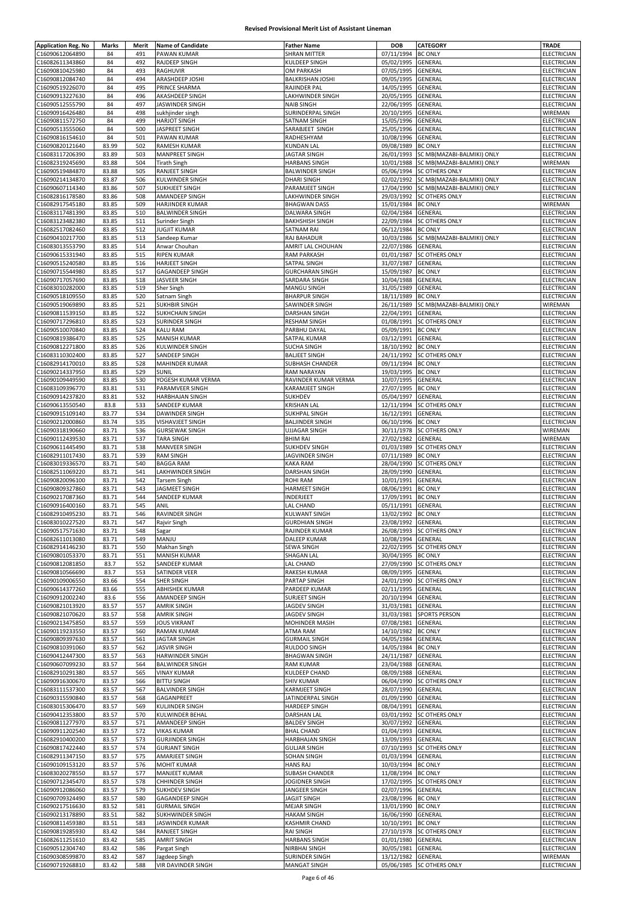| <b>Application Reg. No</b>         | Marks | Merit | <b>Name of Candidate</b>  | <b>Father Name</b>     | <b>DOB</b>         | CATEGORY                   | <b>TRADE</b>       |
|------------------------------------|-------|-------|---------------------------|------------------------|--------------------|----------------------------|--------------------|
| C16090612064890                    | 84    | 491   | PAWAN KUMAR               | <b>SHRAN MITTER</b>    | 07/11/1994         | <b>BC ONLY</b>             | ELECTRICIAN        |
| C16082611343860                    | 84    | 492   | RAJDEEP SINGH             | KULDEEP SINGH          | 05/02/1995         | GENERAL                    | ELECTRICIAN        |
| C16090810425980                    | 84    | 493   | RAGHUVIR                  | OM PARKASH             | 07/05/1995         | GENERAL                    | <b>ELECTRICIAN</b> |
| C16090812084740                    | 84    | 494   | ARASHDEEP JOSHI           | BALKRISHAN JOSHI       | 09/05/1995         | GENERAL                    | ELECTRICIAN        |
| C16090519226070                    | 84    | 495   | PRINCE SHARMA             | RAJINDER PAL           | 14/05/1995         | GENERAL                    | ELECTRICIAN        |
| C16090913227630                    | 84    | 496   | AKASHDEEP SINGH           | LAKHWINDER SINGH       | 20/05/1995         | GENERAL                    | ELECTRICIAN        |
| C16090512555790                    | 84    | 497   | JASWINDER SINGH           | <b>NAIB SINGH</b>      | 22/06/1995         | GENERAL                    | ELECTRICIAN        |
|                                    | 84    | 498   |                           | SURINDERPAL SINGH      | 20/10/1995         |                            |                    |
| C16090916426480                    |       |       | sukhjinder singh          |                        |                    | GENERAL                    | WIREMAN            |
| C16090811572750                    | 84    | 499   | <b>HARJOT SINGH</b>       | SATNAM SINGH           | 15/05/1996         | GENERAL                    | ELECTRICIAN        |
| C16090513555060                    | 84    | 500   | JASPREET SINGH            | SARABJEET SINGH        | 25/05/1996         | GENERAL                    | ELECTRICIAN        |
| C16090816154610                    | 84    | 501   | PAWAN KUMAR               | RADHESHYAM             | 10/08/1996         | GENERAL                    | ELECTRICIAN        |
| C16090820121640                    | 83.99 | 502   | RAMESH KUMAR              | <b>KUNDAN LAL</b>      | 09/08/1989         | <b>BC ONLY</b>             | ELECTRICIAN        |
| C16083117206390                    | 83.89 | 503   | <b>MANPREET SINGH</b>     | <b>JAGTAR SINGH</b>    | 26/01/1993         | SC MB(MAZABI-BALMIKI) ONLY | ELECTRICIAN        |
| C16082319245690                    | 83.88 | 504   | <b>Tirath Singh</b>       | <b>HARBANS SINGH</b>   | 10/01/1988         | SC MB(MAZABI-BALMIKI) ONLY | WIREMAN            |
| C16090519484870                    | 83.88 | 505   | RANJEET SINGH             | <b>BALWINDER SINGH</b> | 05/06/1994         | SC OTHERS ONLY             | ELECTRICIAN        |
| C16090214134870                    | 83.87 | 506   | KULWINDER SINGH           | <b>DHARI SINGH</b>     | 02/02/1992         | SC MB(MAZABI-BALMIKI) ONLY | ELECTRICIAN        |
| C16090607114340                    | 83.86 | 507   | SUKHJEET SINGH            | PARAMJEET SINGH        | 17/04/1990         | SC MB(MAZABI-BALMIKI) ONLY | ELECTRICIAN        |
| C16082816178580                    | 83.86 | 508   | AMANDEEP SINGH            | LAKHWINDER SINGH       | 29/03/1992         | <b>SC OTHERS ONLY</b>      | ELECTRICIAN        |
| C16082917545180                    | 83.85 | 509   | <b>HARJINDER KUMAR</b>    | <b>BHAGWAN DASS</b>    | 15/01/1984         | <b>BC ONLY</b>             | WIREMAN            |
| C16083117481390                    | 83.85 | 510   | <b>BALWINDER SINGH</b>    | DALWARA SINGH          | 02/04/1984         | GENERAL                    | <b>ELECTRICIAN</b> |
| C16083123482380                    | 83.85 | 511   | Surinder Singh            | <b>BAKHSHISH SINGH</b> | 22/09/1984         | <b>SC OTHERS ONLY</b>      | ELECTRICIAN        |
| C16082517082460                    | 83.85 | 512   | <b>JUGJIT KUMAR</b>       | SATNAM RAI             | 06/12/1984         | <b>BC ONLY</b>             | ELECTRICIAN        |
| C16090410217700                    | 83.85 | 513   | Sandeep Kumar             | RAJ BAHADUR            | 10/03/1986         |                            | ELECTRICIAN        |
|                                    |       |       |                           |                        |                    | SC MB(MAZABI-BALMIKI) ONLY |                    |
| C16083013553790                    | 83.85 | 514   | Anwar Chouhan             | AMRIT LAL CHOUHAN      | 22/07/1986         | GENERAL                    | ELECTRICIAN        |
| C16090615331940                    | 83.85 | 515   | <b>RIPEN KUMAR</b>        | <b>RAM PARKASH</b>     | 01/01/1987         | <b>SC OTHERS ONLY</b>      | ELECTRICIAN        |
| C16090515240580                    | 83.85 | 516   | <b>HARJEET SINGH</b>      | SATPAL SINGH           | 31/07/1987         | GENERAL                    | ELECTRICIAN        |
| C16090715544980                    | 83.85 | 517   | <b>GAGANDEEP SINGH</b>    | <b>GURCHARAN SINGH</b> | 15/09/1987         | <b>BC ONLY</b>             | ELECTRICIAN        |
| C16090717057690                    | 83.85 | 518   | JASVEER SINGH             | SARDARA SINGH          | 10/04/1988         | GENERAL                    | ELECTRICIAN        |
| C16083010282000                    | 83.85 | 519   | <b>Sher Singh</b>         | MANGU SINGH            | 31/05/1989         | GENERAL                    | ELECTRICIAN        |
| C16090518109550                    | 83.85 | 520   | Satnam Singh              | <b>BHARPUR SINGH</b>   | 18/11/1989         | <b>BC ONLY</b>             | ELECTRICIAN        |
| C16090519069890                    | 83.85 | 521   | <b>SUKHBIR SINGH</b>      | SAWINDER SINGH         | 26/11/1989         | SC MB(MAZABI-BALMIKI) ONLY | WIREMAN            |
| C16090811539150                    | 83.85 | 522   | <b>SUKHCHAIN SINGH</b>    | <b>DARSHAN SINGH</b>   | 22/04/1991         | GENERAL                    | ELECTRICIAN        |
| C16090717296810                    | 83.85 | 523   | <b>SURINDER SINGH</b>     | <b>RESHAM SINGH</b>    | 01/08/1991         | <b>SC OTHERS ONLY</b>      | ELECTRICIAN        |
| C16090510070840                    | 83.85 | 524   | <b>KALU RAM</b>           | PARBHU DAYAL           | 05/09/1991         | <b>BC ONLY</b>             | ELECTRICIAN        |
| C16090819386470                    | 83.85 | 525   | <b>MANISH KUMAR</b>       | SATPAL KUMAR           | 03/12/1991         | GENERAL                    | ELECTRICIAN        |
| C16090812271800                    | 83.85 | 526   | <b>KULWINDER SINGH</b>    | <b>SUCHA SINGH</b>     | 18/10/1992         | <b>BC ONLY</b>             | ELECTRICIAN        |
|                                    |       |       |                           |                        |                    |                            |                    |
| C16083110302400                    | 83.85 | 527   | SANDEEP SINGH             | <b>BALJEET SINGH</b>   | 24/11/1992         | SC OTHERS ONLY             | ELECTRICIAN        |
| C16082914170010                    | 83.85 | 528   | MAHINDER KUMAR            | SUBHASH CHANDER        | 09/11/1994         | <b>BC ONLY</b>             | ELECTRICIAN        |
| C16090214337950                    | 83.85 | 529   | SUNIL                     | RAM NARAYAN            | 19/03/1995         | <b>BC ONLY</b>             | ELECTRICIAN        |
| C16090109449590                    | 83.85 | 530   | YOGESH KUMAR VERMA        | RAVINDER KUMAR VERMA   | 10/07/1995         | GENERAL                    | ELECTRICIAN        |
| C16083109396770                    | 83.81 | 531   | PARAMVEER SINGH           | KARAMJEET SINGH        | 27/07/1995         | <b>BC ONLY</b>             | ELECTRICIAN        |
| C16090914237820                    | 83.81 | 532   | <b>HARBHAJAN SINGH</b>    | SUKHDEV                | 05/04/1997         | GENERAL                    | ELECTRICIAN        |
| C16090613550540                    | 83.8  | 533   | SANDEEP KUMAR             | <b>KRISHAN LAL</b>     | 12/11/1994         | <b>SC OTHERS ONLY</b>      | ELECTRICIAN        |
| C16090915109140                    | 83.77 | 534   | DAWINDER SINGH            | <b>SUKHPAL SINGH</b>   | 16/12/1991         | GENERAL                    | ELECTRICIAN        |
| C16090212000860                    | 83.74 | 535   | <b>VISHAVJEET SINGH</b>   | <b>BALJINDER SINGH</b> | 06/10/1996         | <b>BC ONLY</b>             | ELECTRICIAN        |
| C16090318190660                    | 83.71 | 536   | <b>GURSEWAK SINGH</b>     | <b>UJJAGAR SINGH</b>   | 30/11/1978         | <b>SC OTHERS ONLY</b>      | WIREMAN            |
| C16090112439530                    | 83.71 | 537   | <b>TARA SINGH</b>         | <b>BHIM RAI</b>        | 27/02/1982         | GENERAL                    | WIREMAN            |
| C16090611445490                    | 83.71 | 538   | <b>MANVEER SINGH</b>      | <b>SUKHDEV SINGH</b>   | 01/03/1989         | <b>SC OTHERS ONLY</b>      | ELECTRICIAN        |
|                                    |       |       |                           |                        |                    | <b>BC ONLY</b>             |                    |
| C16082911017430                    | 83.71 | 539   | <b>RAM SINGH</b>          | JAGVINDER SINGH        | 07/11/1989         |                            | ELECTRICIAN        |
| C16083019336570                    | 83.71 | 540   | <b>BAGGA RAM</b>          | KAKA RAM               | 28/04/1990         | <b>SC OTHERS ONLY</b>      | <b>ELECTRICIAN</b> |
| C16082511069220                    | 83.71 | 541   | LAKHWINDER SINGH          | DARSHAN SINGH          | 28/09/1990         | GENERAL                    | ELECTRICIAN        |
| C16090820096100                    | 83.71 | 542   | <b>Tarsem Singh</b>       | ROHI RAM               | 10/01/1991         | GENERAL                    | ELECTRICIAN        |
| C16090809327860                    | 83.71 | 543   | JAGMEET SINGH             | <b>HARMEET SINGH</b>   | 08/06/1991         | <b>BC ONLY</b>             | ELECTRICIAN        |
| C16090217087360                    | 83.71 | 544   | SANDEEP KUMAR             | INDERJEET              | 17/09/1991         | <b>BC ONLY</b>             | ELECTRICIAN        |
| C16090916400160                    | 83.71 | 545   | ANIL                      | LAL CHAND              | 05/11/1991         | GENERAL                    | ELECTRICIAN        |
| C16082910495230                    | 83.71 | 546   | RAVINDER SINGH            | <b>KULWANT SINGH</b>   | 13/02/1992         | <b>BC ONLY</b>             | ELECTRICIAN        |
| C16083010227520                    | 83.71 | 547   | Rajvir Singh              | GURDHIAN SINGH         | 23/08/1992 GENERAL |                            | ELECTRICIAN        |
| C16090517571630                    | 83.71 | 548   | Sagar                     | RAJINDER KUMAR         |                    | 26/08/1993 SC OTHERS ONLY  | ELECTRICIAN        |
| C16082611013080                    | 83.71 | 549   | MANJU                     | DALEEP KUMAR           | 10/08/1994         | <b>GENERAL</b>             | ELECTRICIAN        |
| C16082914146230                    | 83.71 | 550   | Makhan Singh              | SEWA SINGH             | 22/02/1995         | <b>SC OTHERS ONLY</b>      | <b>ELECTRICIAN</b> |
| C16090801053370                    | 83.71 | 551   | <b>MANISH KUMAR</b>       | SHAGAN LAL             | 30/04/1995         | <b>BC ONLY</b>             | ELECTRICIAN        |
|                                    |       |       |                           |                        |                    |                            |                    |
| C16090812081850<br>C16090810566690 | 83.7  | 552   | SANDEEP KUMAR             | LAL CHAND              | 27/09/1990         | <b>SC OTHERS ONLY</b>      | <b>ELECTRICIAN</b> |
|                                    | 83.7  | 553   | SATINDER VEER             | RAKESH KUMAR           | 08/09/1995         | GENERAL                    | ELECTRICIAN        |
| C16090109006550                    | 83.66 | 554   | <b>SHER SINGH</b>         | PARTAP SINGH           | 24/01/1990         | SC OTHERS ONLY             | ELECTRICIAN        |
| C16090614377260                    | 83.66 | 555   | <b>ABHISHEK KUMAR</b>     | PARDEEP KUMAR          | 02/11/1995         | GENERAL                    | ELECTRICIAN        |
| C16090912002240                    | 83.6  | 556   | AMANDEEP SINGH            | SURJEET SINGH          | 20/10/1994         | GENERAL                    | ELECTRICIAN        |
| C16090821013920                    | 83.57 | 557   | <b>AMRIK SINGH</b>        | JAGDEV SINGH           | 31/03/1981         | GENERAL                    | ELECTRICIAN        |
| C16090821070620                    | 83.57 | 558   | <b>AMRIK SINGH</b>        | JAGDEV SINGH           | 31/03/1981         | <b>SPORTS PERSON</b>       | <b>ELECTRICIAN</b> |
| C16090213475850                    | 83.57 | 559   | <b>JOUS VIKRANT</b>       | MOHINDER MASIH         | 07/08/1981         | GENERAL                    | ELECTRICIAN        |
| C16090119233550                    | 83.57 | 560   | <b>RAMAN KUMAR</b>        | ATMA RAM               | 14/10/1982         | <b>BC ONLY</b>             | ELECTRICIAN        |
| C16090809397630                    | 83.57 | 561   | <b>JAGTAR SINGH</b>       | <b>GURMAIL SINGH</b>   | 04/05/1984         | GENERAL                    | ELECTRICIAN        |
| C16090810391060                    | 83.57 | 562   | <b>JASVIR SINGH</b>       | RULDOO SINGH           | 14/05/1984         | <b>BC ONLY</b>             | ELECTRICIAN        |
| C16090412447300                    | 83.57 | 563   | <b>HARWINDER SINGH</b>    | <b>BHAGWAN SINGH</b>   | 24/11/1987         | GENERAL                    | ELECTRICIAN        |
| C16090607099230                    | 83.57 | 564   | <b>BALWINDER SINGH</b>    | <b>RAM KUMAR</b>       | 23/04/1988         | GENERAL                    | ELECTRICIAN        |
| C16082910291380                    | 83.57 | 565   | <b>VINAY KUMAR</b>        | KULDEEP CHAND          | 08/09/1988         | GENERAL                    | ELECTRICIAN        |
| C16090916300670                    | 83.57 | 566   | <b>BITTU SINGH</b>        | <b>SHIV KUMAR</b>      | 06/04/1990         | <b>SC OTHERS ONLY</b>      | ELECTRICIAN        |
| C16083111537300                    | 83.57 | 567   | <b>BALVINDER SINGH</b>    | KARMJEET SINGH         | 28/07/1990         | GENERAL                    | ELECTRICIAN        |
| C16090315590840                    | 83.57 | 568   | GAGANPREET                | JATINDERPAL SINGH      | 01/09/1990         | GENERAL                    | ELECTRICIAN        |
| C16083015306470                    | 83.57 | 569   | KULJINDER SINGH           | HARDEEP SINGH          | 08/04/1991         | GENERAL                    | ELECTRICIAN        |
| C16090412353800                    | 83.57 | 570   | KULWINDER BEHAL           | DARSHAN LAL            | 03/01/1992         | <b>SC OTHERS ONLY</b>      | <b>ELECTRICIAN</b> |
|                                    |       |       |                           |                        |                    |                            |                    |
| C16090811277970                    | 83.57 | 571   | AMANDEEP SINGH            | <b>BALDEV SINGH</b>    | 30/07/1992         | GENERAL                    | ELECTRICIAN        |
| C16090911202540                    | 83.57 | 572   | <b>VIKAS KUMAR</b>        | <b>BHAL CHAND</b>      | 01/04/1993         | GENERAL                    | ELECTRICIAN        |
| C16082910400200                    | 83.57 | 573   | <b>GURJINDER SINGH</b>    | <b>HARBHAJAN SINGH</b> | 13/09/1993         | GENERAL                    | ELECTRICIAN        |
| C16090817422440                    | 83.57 | 574   | <b>GURJANT SINGH</b>      | <b>GULJAR SINGH</b>    | 07/10/1993         | SC OTHERS ONLY             | ELECTRICIAN        |
| C16082911347150                    | 83.57 | 575   | AMARJEET SINGH            | SOHAN SINGH            | 01/03/1994         | GENERAL                    | ELECTRICIAN        |
| C16090109153120                    | 83.57 | 576   | <b>MOHIT KUMAR</b>        | <b>HANS RAJ</b>        | 10/03/1994         | <b>BC ONLY</b>             | ELECTRICIAN        |
| C16083020278550                    | 83.57 | 577   | <b>MANJEET KUMAR</b>      | <b>SUBASH CHANDER</b>  | 11/08/1994         | <b>BC ONLY</b>             | ELECTRICIAN        |
| C16090712345470                    | 83.57 | 578   | <b>CHHINDER SINGH</b>     | JOGIDNER SINGH         | 17/02/1995         | <b>SC OTHERS ONLY</b>      | <b>ELECTRICIAN</b> |
| C16090912086060                    | 83.57 | 579   | <b>SUKHDEV SINGH</b>      | JANGEER SINGH          | 02/07/1996         | GENERAL                    | ELECTRICIAN        |
| C16090709324490                    | 83.57 | 580   | GAGANDEEP SINGH           | JAGJIT SINGH           | 23/08/1996         | <b>BC ONLY</b>             | ELECTRICIAN        |
| C16090217516630                    | 83.52 | 581   | <b>GURMAIL SINGH</b>      | <b>MEJAR SINGH</b>     | 13/01/1990         | <b>BC ONLY</b>             | ELECTRICIAN        |
| C16090213178890                    | 83.51 | 582   | <b>SUKHWINDER SINGH</b>   | <b>HAKAM SINGH</b>     | 16/06/1990         | GENERAL                    | ELECTRICIAN        |
| C16090811459380                    | 83.51 | 583   | JASWINDER KUMAR           | KASHMIR CHAND          | 10/10/1991         | <b>BC ONLY</b>             | ELECTRICIAN        |
|                                    | 83.42 | 584   | RANJEET SINGH             | RAI SINGH              | 27/10/1978         | <b>SC OTHERS ONLY</b>      | ELECTRICIAN        |
| C16090819285930                    |       |       |                           |                        |                    |                            |                    |
| C16082611251610                    | 83.42 | 585   | <b>AMRIT SINGH</b>        | <b>HARBANS SINGH</b>   | 01/01/1980         | GENERAL                    | ELECTRICIAN        |
| C16090512304740                    | 83.42 | 586   | Pargat Singh              | NIRBHAI SINGH          | 30/05/1981         | GENERAL                    | ELECTRICIAN        |
| C16090308599870                    | 83.42 | 587   | Jagdeep Singh             | SURINDER SINGH         | 13/12/1982         | GENERAL                    | WIREMAN            |
| C16090719268810                    | 83.42 | 588   | <b>VIR DAVINDER SINGH</b> | <b>MANGAT SINGH</b>    |                    | 05/06/1985 SC OTHERS ONLY  | ELECTRICIAN        |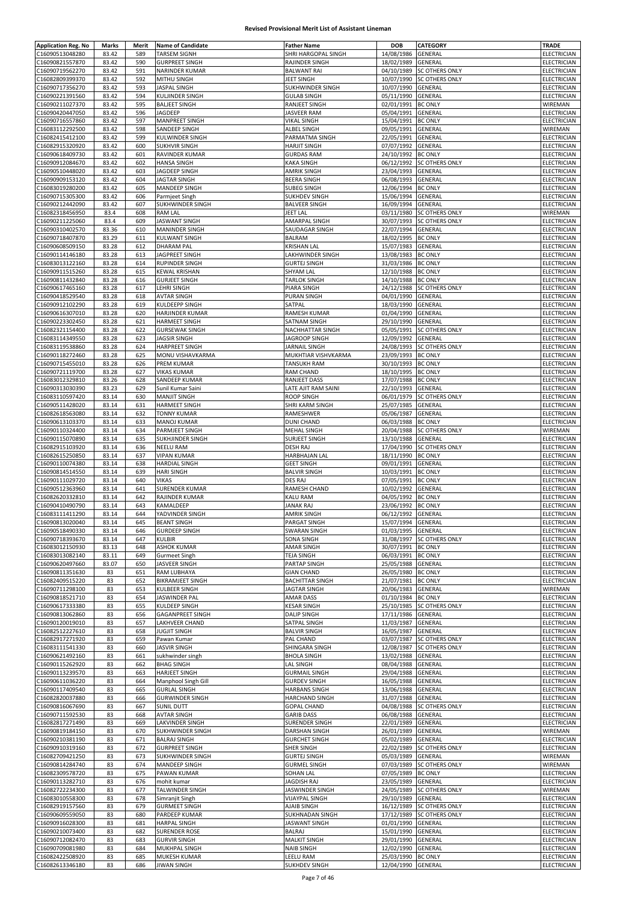| <b>Application Reg. No</b><br>C16090513048280 | <b>Marks</b> | Merit | <b>Name of Candidate</b>             | <b>Father Name</b>             | <b>DOB</b>               | <b>CATEGORY</b>           | <b>TRADE</b>               |
|-----------------------------------------------|--------------|-------|--------------------------------------|--------------------------------|--------------------------|---------------------------|----------------------------|
|                                               | 83.42        | 589   | <b>TARSEM SIGNH</b>                  | SHRI HARGOPAL SINGH            | 14/08/1986               | GENERAL                   | ELECTRICIAN                |
|                                               |              |       |                                      |                                |                          |                           |                            |
| C16090821557870                               | 83.42        | 590   | <b>GURPREET SINGH</b>                | RAJINDER SINGH                 | 18/02/1989               | GENERAL                   | ELECTRICIAN                |
| C16090719562270                               | 83.42        | 591   | NARINDER KUMAR                       | <b>BALWANT RAI</b>             | 04/10/1989               | <b>SC OTHERS ONLY</b>     | ELECTRICIAN                |
| C16082809399370                               | 83.42        | 592   | MITHU SINGH                          | JEET SINGH                     | 10/07/1990               | SC OTHERS ONLY            | ELECTRICIAN                |
| C16090717356270                               | 83.42        | 593   | JASPAL SINGH                         | SUKHWINDER SINGH               | 10/07/1990               | GENERAL                   | ELECTRICIAN                |
| C16090221391560                               | 83.42        | 594   | <b>KULJINDER SINGH</b>               | <b>GULAB SINGH</b>             | 05/11/1990               | GENERAL                   | ELECTRICIAN                |
| C16090211027370                               | 83.42        | 595   | <b>BALJEET SINGH</b>                 | RANJEET SINGH                  | 02/01/1991               | <b>BC ONLY</b>            | WIREMAN                    |
| C16090420447050                               | 83.42        | 596   | JAGDEEP                              | <b>JASVEER RAM</b>             | 05/04/1991               | GENERAL                   | ELECTRICIAN                |
|                                               |              | 597   |                                      |                                |                          |                           |                            |
| C16090716557860                               | 83.42        |       | <b>MANPREET SINGH</b>                | VIKAL SINGH                    | 15/04/1991               | <b>BC ONLY</b>            | ELECTRICIAN                |
| C16083112292500                               | 83.42        | 598   | SANDEEP SINGH                        | ALBEL SINGH                    | 09/05/1991               | GENERAL                   | WIREMAN                    |
| C16082415412100                               | 83.42        | 599   | <b>KULWINDER SINGH</b>               | PARMATMA SINGH                 | 22/05/1991               | GENERAL                   | ELECTRICIAN                |
| C16082915320920                               | 83.42        | 600   | <b>SUKHVIR SINGH</b>                 | <b>HARJIT SINGH</b>            | 07/07/1992               | GENERAL                   | ELECTRICIAN                |
| C16090618409730                               | 83.42        | 601   | RAVINDER KUMAR                       | <b>GURDAS RAM</b>              | 24/10/1992               | <b>BC ONLY</b>            | ELECTRICIAN                |
| C16090912084670                               | 83.42        | 602   | <b>HANSA SINGH</b>                   | KAKA SINGH                     | 06/12/1992               | SC OTHERS ONLY            | ELECTRICIAN                |
| C16090510448020                               | 83.42        | 603   | JAGDEEP SINGH                        | AMRIK SINGH                    | 23/04/1993               | GENERAL                   | ELECTRICIAN                |
|                                               |              |       |                                      | <b>BEERA SINGH</b>             |                          |                           |                            |
| C16090909153120                               | 83.42        | 604   | <b>JAGTAR SINGH</b>                  |                                | 06/08/1993               | GENERAL                   | ELECTRICIAN                |
| C16083019280200                               | 83.42        | 605   | <b>MANDEEP SINGH</b>                 | SUBEG SINGH                    | 12/06/1994               | <b>BC ONLY</b>            | ELECTRICIAN                |
| C16090715305300                               | 83.42        | 606   | Parmjeet Singh                       | <b>SUKHDEV SINGH</b>           | 15/06/1994               | GENERAL                   | ELECTRICIAN                |
| C16090212442090                               | 83.42        | 607   | SUKHWINDER SINGH                     | <b>BALVEER SINGH</b>           | 16/09/1994               | GENERAL                   | ELECTRICIAN                |
| C16082318456950                               | 83.4         | 608   | <b>RAM LAL</b>                       | JEET LAL                       | 03/11/1980               | SC OTHERS ONLY            | WIREMAN                    |
| C16090211225060                               | 83.4         | 609   | <b>JASWANT SINGH</b>                 | AMARPAL SINGH                  | 30/07/1993               | SC OTHERS ONLY            | ELECTRICIAN                |
| C16090310402570                               | 83.36        | 610   | <b>MANINDER SINGH</b>                | SAUDAGAR SINGH                 | 22/07/1994               | GENERAL                   | ELECTRICIAN                |
|                                               |              |       |                                      |                                |                          |                           |                            |
| C16090718407870                               | 83.29        | 611   | KULWANT SINGH                        | BALRAM                         | 18/02/1995               | <b>BC ONLY</b>            | ELECTRICIAN                |
| C16090608509150                               | 83.28        | 612   | <b>DHARAM PAL</b>                    | <b>KRISHAN LAL</b>             | 15/07/1983               | GENERAL                   | ELECTRICIAN                |
| C16090114146180                               | 83.28        | 613   | JAGPREET SINGH                       | LAKHWINDER SINGH               | 13/08/1983 BC ONLY       |                           | ELECTRICIAN                |
| C16083013122160                               | 83.28        | 614   | <b>RUPINDER SINGH</b>                | <b>GURTEJ SINGH</b>            | 31/03/1986               | <b>BC ONLY</b>            | ELECTRICIAN                |
| C16090911515260                               | 83.28        | 615   | <b>KEWAL KRISHAN</b>                 | SHYAM LAL                      | 12/10/1988 BC ONLY       |                           | ELECTRICIAN                |
| C16090811432840                               | 83.28        | 616   | <b>GURJEET SINGH</b>                 | <b>TARLOK SINGH</b>            | 14/10/1988               | <b>BC ONLY</b>            | ELECTRICIAN                |
| C16090617465160                               | 83.28        | 617   | LEHRI SINGH                          | PIARA SINGH                    | 24/12/1988               | <b>SC OTHERS ONLY</b>     | ELECTRICIAN                |
|                                               |              |       |                                      |                                |                          |                           |                            |
| C16090418529540                               | 83.28        | 618   | <b>AVTAR SINGH</b>                   | PURAN SINGH                    | 04/01/1990               | GENERAL                   | ELECTRICIAN                |
| C16090912102290                               | 83.28        | 619   | KULDEEPP SINGH                       | SATPAL                         | 18/03/1990               | GENERAL                   | ELECTRICIAN                |
| C16090616307010                               | 83.28        | 620   | HARJINDER KUMAR                      | RAMESH KUMAR                   | 01/04/1990               | GENERAL                   | ELECTRICIAN                |
| C16090223302450                               | 83.28        | 621   | HARMEET SINGH                        | SATNAM SINGH                   | 29/10/1990               | GENERAL                   | ELECTRICIAN                |
| C16082321154400                               | 83.28        | 622   | <b>GURSEWAK SINGH</b>                | NACHHATTAR SINGH               | 05/05/1991               | <b>SC OTHERS ONLY</b>     | ELECTRICIAN                |
| C16083114349550                               | 83.28        | 623   | <b>JAGSIR SINGH</b>                  | JAGROOP SINGH                  | 12/09/1992               | GENERAL                   | <b>ELECTRICIAN</b>         |
| C16083119538860                               | 83.28        | 624   | <b>HARPREET SINGH</b>                | JARNAIL SINGH                  | 24/08/1993               | <b>SC OTHERS ONLY</b>     | <b>ELECTRICIAN</b>         |
|                                               |              |       |                                      |                                |                          |                           |                            |
| C16090118272460                               | 83.28        | 625   | MONU VISHAVKARMA                     | MUKHTIAR VISHVKARMA            | 23/09/1993               | <b>BC ONLY</b>            | ELECTRICIAN                |
| C16090715455010                               | 83.28        | 626   | PREM KUMAR                           | TANSUKH RAM                    | 30/10/1993               | <b>BC ONLY</b>            | ELECTRICIAN                |
| C16090721119700                               | 83.28        | 627   | <b>VIKAS KUMAR</b>                   | RAM CHAND                      | 18/10/1995               | <b>BC ONLY</b>            | ELECTRICIAN                |
| C16083012329810                               | 83.26        | 628   | SANDEEP KUMAR                        | RANJEET DASS                   | 17/07/1988               | <b>BC ONLY</b>            | ELECTRICIAN                |
| C16090313030390                               | 83.23        | 629   | Sunil Kumar Saini                    | LATE AJIT RAM SAINI            | 22/10/1993               | GENERAL                   | ELECTRICIAN                |
| C16083110597420                               | 83.14        | 630   | <b>MANJIT SINGH</b>                  | ROOP SINGH                     | 06/01/1979               | SC OTHERS ONLY            | ELECTRICIAN                |
|                                               | 83.14        | 631   |                                      | SHRI KARM SINGH                | 25/07/1985               | GENERAL                   | <b>ELECTRICIAN</b>         |
| C16090511428020                               |              |       | HARMEET SINGH                        |                                |                          |                           |                            |
| C16082618563080                               | 83.14        | 632   | <b>TONNY KUMAR</b>                   | RAMESHWER                      | 05/06/1987               | GENERAL                   | ELECTRICIAN                |
| C16090613103370                               | 83.14        | 633   | <b>MANOJ KUMAR</b>                   | <b>DUNI CHAND</b>              | 06/03/1988               | <b>BC ONLY</b>            | ELECTRICIAN                |
| C16090110324400                               | 83.14        | 634   | PARMJEET SINGH                       | MEHAL SINGH                    | 20/04/1988               | SC OTHERS ONLY            | WIREMAN                    |
| C16090115070890                               | 83.14        | 635   | SUKHJINDER SINGH                     | SURJEET SINGH                  | 13/10/1988               | GENERAL                   | ELECTRICIAN                |
| C16082915103920                               | 83.14        | 636   | <b>NEELU RAM</b>                     | DESH RAJ                       | 17/04/1990               | SC OTHERS ONLY            | ELECTRICIAN                |
| C16082615250850                               | 83.14        | 637   | <b>VIPAN KUMAR</b>                   | HARBHAJAN LAL                  | 18/11/1990               | <b>BC ONLY</b>            | ELECTRICIAN                |
| C16090110074380                               |              | 638   | <b>HARDIAL SINGH</b>                 | <b>GEET SINGH</b>              | 09/01/1991               | GENERAL                   | ELECTRICIAN                |
|                                               | 83.14        |       |                                      |                                |                          |                           |                            |
|                                               |              |       |                                      |                                |                          |                           |                            |
| C16090814514550                               | 83.14        | 639   | <b>HARI SINGH</b>                    | <b>BALVIR SINGH</b>            | 10/03/1991               | <b>BC ONLY</b>            | ELECTRICIAN                |
| C16090111029720                               | 83.14        | 640   | <b>VIKAS</b>                         | DES RAJ                        | 07/05/1991               | <b>BC ONLY</b>            | ELECTRICIAN                |
| C16090512363960                               | 83.14        | 641   | SURENDER KUMAR                       | RAMESH CHAND                   | 10/02/1992               | GENERAL                   | ELECTRICIAN                |
|                                               |              |       |                                      |                                |                          |                           |                            |
| C16082620332810                               | 83.14        | 642   | RAJINDER KUMAR                       | <b>KALU RAM</b>                | 04/05/1992               | <b>BC ONLY</b>            | ELECTRICIAN                |
| C16090410490790                               | 83.14        | 643   | KAMALDEEP                            | <b>JANAK RAJ</b>               | 23/06/1992               | <b>BC ONLY</b>            | ELECTRICIAN                |
| C16083111411290                               | 83.14        | 644   | YADVINDER SINGH                      | <b>AMRIK SINGH</b>             | 06/12/1992               | <b>GENERAL</b>            | ELECTRICIAN                |
| C16090813020040                               | 83.14        | 645   | <b>BEANT SINGH</b>                   | PARGAT SINGH                   | 15/07/1994 GENERAL       |                           | ELECTRICIAN                |
| C16090518490330                               | 83.14        | 646   | <b>GURDEEP SINGH</b>                 | <b>SWARAN SINGH</b>            | 01/03/1995 GENERAL       |                           | <b>ELECTRICIAN</b>         |
| C16090718393670                               | 83.14        | 647   | KULBIR                               | SONA SINGH                     | 31/08/1997               | <b>SC OTHERS ONLY</b>     | ELECTRICIAN                |
| C16083012150930                               | 83.13        | 648   | <b>ASHOK KUMAR</b>                   | AMAR SINGH                     | 30/07/1991 BC ONLY       |                           | ELECTRICIAN                |
|                                               |              |       |                                      |                                |                          |                           |                            |
| C16083013082140                               | 83.11        | 649   | <b>Gurmeet Singh</b>                 | <b>TEJA SINGH</b>              | 06/03/1991 BC ONLY       |                           | ELECTRICIAN                |
| C16090620497660                               | 83.07        | 650   | JASVEER SINGH                        | PARTAP SINGH                   | 25/05/1988 GENERAL       |                           | ELECTRICIAN                |
| C16090811351630                               | 83           | 651   | RAM LUBHAYA                          | <b>GIAN CHAND</b>              | 26/05/1980               | <b>BC ONLY</b>            | ELECTRICIAN                |
| C16082409515220                               | 83           | 652   | <b>BIKRAMJEET SINGH</b>              | <b>BACHITTAR SINGH</b>         | 21/07/1981               | <b>BC ONLY</b>            | ELECTRICIAN                |
| C16090711298100                               | 83           | 653   | KULBEER SINGH                        | JAGTAR SINGH                   | 20/06/1983 GENERAL       |                           | WIREMAN                    |
| C16090818521710                               | 83           | 654   | JASWINDER PAL                        | <b>AMAR DASS</b>               | 01/10/1984               | <b>BC ONLY</b>            | ELECTRICIAN                |
| C16090617333380                               | 83           | 655   | <b>KULDEEP SINGH</b>                 | <b>KESAR SINGH</b>             |                          | 25/10/1985 SC OTHERS ONLY | ELECTRICIAN                |
| C16090813062860                               | 83           | 656   | <b>GAGANPREET SINGH</b>              | <b>DALIP SINGH</b>             | 17/11/1986               | GENERAL                   | ELECTRICIAN                |
| C16090120019010                               | 83           | 657   | LAKHVEER CHAND                       | SATPAL SINGH                   | 11/03/1987               | GENERAL                   | <b>ELECTRICIAN</b>         |
|                                               |              |       |                                      |                                |                          |                           |                            |
| C16082512227610                               | 83           | 658   | <b>JUGJIT SINGH</b>                  | <b>BALVIR SINGH</b>            | 16/05/1987               | GENERAL                   | ELECTRICIAN                |
| C16082917271920                               | 83           | 659   | Pawan Kumar                          | PAL CHAND                      | 03/07/1987               | SC OTHERS ONLY            | ELECTRICIAN                |
| C16083111541330                               | 83           | 660   | <b>JASVIR SINGH</b>                  | SHINGARA SINGH                 | 12/08/1987               | <b>SC OTHERS ONLY</b>     | <b>ELECTRICIAN</b>         |
| C16090621492160                               | 83           | 661   | sukhwinder singh                     | <b>BHOLA SINGH</b>             | 13/02/1988               | GENERAL                   | ELECTRICIAN                |
| C16090115262920                               | 83           | 662   | <b>BHAG SINGH</b>                    | LAL SINGH                      | 08/04/1988               | GENERAL                   | ELECTRICIAN                |
| C16090113239570                               | 83           | 663   | <b>HARJEET SINGH</b>                 | <b>GURMAIL SINGH</b>           | 29/04/1988               | GENERAL                   | ELECTRICIAN                |
|                                               |              |       |                                      |                                |                          |                           |                            |
| C16090611036220                               | 83           | 664   | Manphool Singh Gill                  | <b>GURDEV SINGH</b>            | 16/05/1988               | GENERAL                   | ELECTRICIAN                |
| C16090117409540                               | 83           | 665   | <b>GURLAL SINGH</b>                  | <b>HARBANS SINGH</b>           | 13/06/1988               | GENERAL                   | ELECTRICIAN                |
| C16082820037880                               | 83           | 666   | <b>GURWINDER SINGH</b>               | HARCHAND SINGH                 | 31/07/1988               | GENERAL                   | ELECTRICIAN                |
| C16090816067690                               | 83           | 667   | SUNIL DUTT                           | <b>GOPAL CHAND</b>             | 04/08/1988               | SC OTHERS ONLY            | ELECTRICIAN                |
| C16090711592530                               | 83           | 668   | <b>AVTAR SINGH</b>                   | <b>GARIB DASS</b>              | 06/08/1988               | GENERAL                   | ELECTRICIAN                |
| C16082817271490                               | 83           | 669   | LAKVINDER SINGH                      | SURENDER SINGH                 | 22/01/1989               | GENERAL                   | ELECTRICIAN                |
| C16090819184150                               | 83           | 670   | SUKHWINDER SINGH                     | DARSHAN SINGH                  | 26/01/1989               | GENERAL                   | WIREMAN                    |
|                                               |              |       |                                      |                                |                          |                           |                            |
| C16090210381190                               | 83           | 671   | <b>BALRAJ SINGH</b>                  | <b>GURCHET SINGH</b>           | 05/02/1989               | GENERAL                   | ELECTRICIAN                |
| C16090910319160                               | 83           | 672   | <b>GURPREET SINGH</b>                | SHER SINGH                     | 22/02/1989               | <b>SC OTHERS ONLY</b>     | ELECTRICIAN                |
| C16082709421250                               | 83           | 673   | SUKHWINDER SINGH                     | <b>GURTEJ SINGH</b>            | 05/03/1989               | GENERAL                   | WIREMAN                    |
| C16090814284740                               | 83           | 674   | MANDEEP SINGH                        | <b>GURMEL SINGH</b>            | 07/03/1989               | <b>SC OTHERS ONLY</b>     | WIREMAN                    |
| C16082309578720                               | 83           | 675   | PAWAN KUMAR                          | SOHAN LAL                      | 07/05/1989               | <b>BC ONLY</b>            | ELECTRICIAN                |
| C16090113282710                               | 83           | 676   | mohit kumar                          | JAGDISH RAJ                    | 23/05/1989               | GENERAL                   | ELECTRICIAN                |
| C16082722234300                               | 83           | 677   | TALWINDER SINGH                      | JASWINDER SINGH                | 24/05/1989               | <b>SC OTHERS ONLY</b>     | WIREMAN                    |
|                                               |              |       |                                      |                                |                          |                           |                            |
| C16083010558300                               | 83           | 678   | Simranjit Singh                      | <b>VIJAYPAL SINGH</b>          | 29/10/1989               | GENERAL                   | ELECTRICIAN                |
| C16082919157560                               | 83           | 679   | <b>GURMEET SINGH</b>                 | AJAIB SINGH                    | 16/12/1989               | <b>SC OTHERS ONLY</b>     | ELECTRICIAN                |
| C16090609559050                               | 83           | 680   | PARDEEP KUMAR                        | SUKHNADAN SINGH                | 17/12/1989               | <b>SC OTHERS ONLY</b>     | ELECTRICIAN                |
| C16090916028300                               | 83           | 681   | <b>HARPAL SINGH</b>                  | JASWANT SINGH                  | 01/01/1990               | GENERAL                   | ELECTRICIAN                |
| C16090210073400                               | 83           | 682   | <b>SURENDER ROSE</b>                 | BALRAJ                         | 15/01/1990               | GENERAL                   | ELECTRICIAN                |
| C16090712082470                               | 83           | 683   | <b>GURVIR SINGH</b>                  | <b>MALKIT SINGH</b>            | 29/01/1990               | GENERAL                   | ELECTRICIAN                |
|                                               |              | 684   |                                      |                                |                          |                           |                            |
| C16090709081980<br>C16082422508920            | 83<br>83     | 685   | MUKHPAL SINGH<br><b>MUKESH KUMAR</b> | <b>NAIB SINGH</b><br>LEELU RAM | 12/02/1990<br>25/03/1990 | GENERAL<br><b>BC ONLY</b> | ELECTRICIAN<br>ELECTRICIAN |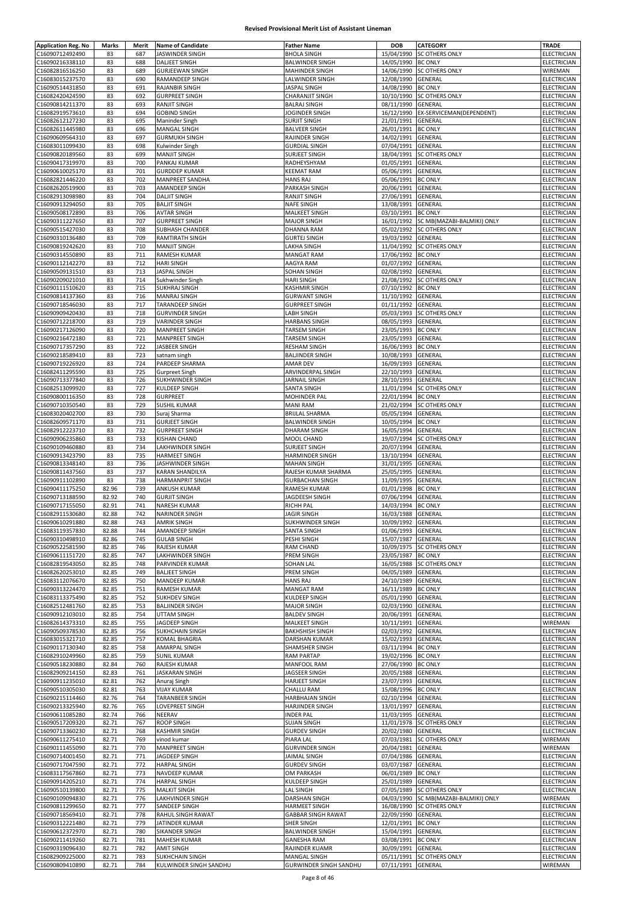| <b>Application Reg. No</b>         | Marks    | Merit      | <b>Name of Candidate</b> | <b>Father Name</b>            | <b>DOB</b>         | <b>CATEGORY</b>            | <b>TRADE</b>               |
|------------------------------------|----------|------------|--------------------------|-------------------------------|--------------------|----------------------------|----------------------------|
| C16090712492490                    | 83       | 687        | JASWINDER SINGH          | <b>BHOLA SINGH</b>            | 15/04/1990         | <b>SC OTHERS ONLY</b>      | ELECTRICIAN                |
| C16090216338110                    | 83       | 688        | <b>DALJEET SINGH</b>     | <b>BALWINDER SINGH</b>        | 14/05/1990         | <b>BC ONLY</b>             | ELECTRICIAN                |
| C16082816516250                    | 83       | 689        | <b>GURJEEWAN SINGH</b>   | MAHINDER SINGH                | 14/06/1990         | <b>SC OTHERS ONLY</b>      | WIREMAN                    |
|                                    |          |            |                          |                               |                    |                            |                            |
| C16083015237570                    | 83<br>83 | 690<br>691 | RAMANDEEP SINGH          | LALWINDER SINGH               | 12/08/1990         | GENERAL<br><b>BC ONLY</b>  | ELECTRICIAN<br>ELECTRICIAN |
| C16090514431850                    |          |            | RAJANBIR SINGH           | JASPAL SINGH                  | 14/08/1990         |                            |                            |
| C16082420424590                    | 83       | 692        | <b>GURPREET SINGH</b>    | <b>CHARANJIT SINGH</b>        | 10/10/1990         | SC OTHERS ONLY             | <b>ELECTRICIAN</b>         |
| C16090814211370                    | 83       | 693        | RANJIT SINGH             | <b>BALRAJ SINGH</b>           | 08/11/1990         | GENERAL                    | ELECTRICIAN                |
| C16082919573610                    | 83       | 694        | <b>GOBIND SINGH</b>      | JOGINDER SINGH                | 16/12/1990         | EX-SERVICEMAN(DEPENDENT)   | ELECTRICIAN                |
| C16082612127230                    | 83       | 695        | Maninder Singh           | <b>SURJIT SINGH</b>           | 21/01/1991         | GENERAL                    | ELECTRICIAN                |
| C16082611445980                    | 83       | 696        | <b>MANGAL SINGH</b>      | <b>BALVEER SINGH</b>          | 26/01/1991         | <b>BC ONLY</b>             | ELECTRICIAN                |
| C16090609564310                    | 83       | 697        | <b>GURMUKH SINGH</b>     | RAJINDER SINGH                | 14/02/1991         | GENERAL                    | ELECTRICIAN                |
| C16083011099430                    | 83       | 698        | Kulwinder Singh          | <b>GURDIAL SINGH</b>          | 07/04/1991         | GENERAL                    | ELECTRICIAN                |
| C16090820189560                    | 83       | 699        | <b>MANJIT SINGH</b>      | SURJEET SINGH                 | 18/04/1991         | <b>SC OTHERS ONLY</b>      | ELECTRICIAN                |
| C16090417319970                    | 83       | 700        | PANKAJ KUMAR             | RADHEYSHYAM                   | 01/05/1991         | GENERAL                    | ELECTRICIAN                |
| C16090610025170                    | 83       | 701        | <b>GURDDEP KUMAR</b>     | <b>KEEMAT RAM</b>             | 05/06/1991         | GENERAL                    | ELECTRICIAN                |
| C16082821446220                    | 83       | 702        | <b>MANPREET SANDHA</b>   | <b>HANS RAJ</b>               | 05/06/1991         | <b>BC ONLY</b>             | ELECTRICIAN                |
| C16082620519900                    | 83       | 703        | AMANDEEP SINGH           | PARKASH SINGH                 | 20/06/1991         | GENERAL                    | ELECTRICIAN                |
| C16082913098980                    | 83       | 704        | <b>DALJIT SINGH</b>      | RANJIT SINGH                  | 27/06/1991         | GENERAL                    | ELECTRICIAN                |
| C16090913294050                    | 83       | 705        | <b>BALJIT SINGH</b>      | NAFE SINGH                    | 13/08/1991         | GENERAL                    | ELECTRICIAN                |
| C16090508172890                    | 83       | 706        | <b>AVTAR SINGH</b>       | <b>MALKEET SINGH</b>          | 03/10/1991         | <b>BC ONLY</b>             | <b>ELECTRICIAN</b>         |
| C16090311227650                    | 83       | 707        | <b>GURPREET SINGH</b>    | <b>MAJOR SINGH</b>            | 16/01/1992         | SC MB(MAZABI-BALMIKI) ONLY | ELECTRICIAN                |
| C16090515427030                    | 83       | 708        | SUBHASH CHANDER          | DHANNA RAM                    | 05/02/1992         | <b>SC OTHERS ONLY</b>      | ELECTRICIAN                |
| C16090310136480                    | 83       | 709        | RAMTIRATH SINGH          | <b>GURTEJ SINGH</b>           | 19/03/1992         | GENERAL                    | ELECTRICIAN                |
|                                    |          | 710        | <b>MANJIT SINGH</b>      |                               |                    |                            |                            |
| C16090819242620                    | 83       |            |                          | LAKHA SINGH                   | 11/04/1992         | SC OTHERS ONLY             | ELECTRICIAN                |
| C16090314550890                    | 83       | 711        | RAMESH KUMAR             | <b>MANGAT RAM</b>             | 17/06/1992         | <b>BC ONLY</b>             | ELECTRICIAN                |
| C16090112142270                    | 83       | 712        | <b>HARI SINGH</b>        | AAGYA RAM                     | 01/07/1992         | GENERAL                    | <b>ELECTRICIAN</b>         |
| C16090509131510                    | 83       | 713        | JASPAL SINGH             | SOHAN SINGH                   | 02/08/1992         | GENERAL                    | ELECTRICIAN                |
| C16090209021010                    | 83       | 714        | Sukhwinder Singh         | <b>HARI SINGH</b>             | 21/08/1992         | <b>SC OTHERS ONLY</b>      | ELECTRICIAN                |
| C16090111510620                    | 83       | 715        | <b>SUKHRAJ SINGH</b>     | KASHMIR SINGH                 | 07/10/1992         | <b>BC ONLY</b>             | ELECTRICIAN                |
| C16090814137360                    | 83       | 716        | <b>MANRAJ SINGH</b>      | <b>GURWANT SINGH</b>          | 11/10/1992         | GENERAL                    | ELECTRICIAN                |
| C16090718546030                    | 83       | 717        | TARANDEEP SINGH          | <b>GURPREET SINGH</b>         | 01/11/1992         | GENERAL                    | ELECTRICIAN                |
| C16090909420430                    | 83       | 718        | <b>GURVINDER SINGH</b>   | LABH SINGH                    | 05/03/1993         | <b>SC OTHERS ONLY</b>      | ELECTRICIAN                |
| C16090712218700                    | 83       | 719        | <b>VARINDER SINGH</b>    | <b>HARBANS SINGH</b>          | 08/05/1993         | GENERAL                    | ELECTRICIAN                |
| C16090217126090                    | 83       | 720        | MANPREET SINGH           | TARSEM SINGH                  | 23/05/1993         | <b>BC ONLY</b>             | ELECTRICIAN                |
| C16090216472180                    | 83       | 721        | MANPREET SINGH           | TARSEM SINGH                  | 23/05/1993         | GENERAL                    | ELECTRICIAN                |
| C16090717357290                    | 83       | 722        | JASBEER SINGH            | <b>RESHAM SINGH</b>           | 16/06/1993         | <b>BC ONLY</b>             | ELECTRICIAN                |
| C16090218589410                    | 83       | 723        | satnam singh             | <b>BALJINDER SINGH</b>        | 10/08/1993         | GENERAL                    | ELECTRICIAN                |
|                                    | 83       | 724        |                          |                               |                    |                            |                            |
| C16090719226920                    |          |            | PARDEEP SHARMA           | AMAR DEV                      | 16/09/1993         | GENERAL                    | ELECTRICIAN                |
| C16082411295590                    | 83       | 725        | <b>Gurpreet Singh</b>    | ARVINDERPAL SINGH             | 22/10/1993         | GENERAL                    | ELECTRICIAN                |
| C16090713377840                    | 83       | 726        | SUKHWINDER SINGH         | JARNAIL SINGH                 | 28/10/1993         | GENERAL                    | ELECTRICIAN                |
| C16082513099920                    | 83       | 727        | KULDEEP SINGH            | SANTA SINGH                   | 11/01/1994         | SC OTHERS ONLY             | ELECTRICIAN                |
| C16090800116350                    | 83       | 728        | <b>GURPREET</b>          | MOHINDER PAL                  | 22/01/1994         | <b>BC ONLY</b>             | ELECTRICIAN                |
| C16090710350540                    | 83       | 729        | <b>SUSHIL KUMAR</b>      | <b>MANI RAM</b>               | 21/02/1994         | SC OTHERS ONLY             | ELECTRICIAN                |
| C16083020402700                    | 83       | 730        | Suraj Sharma             | <b>BRIJLAL SHARMA</b>         | 05/05/1994         | GENERAL                    | ELECTRICIAN                |
| C16082609571170                    | 83       | 731        | <b>GURJEET SINGH</b>     | <b>BALWINDER SINGH</b>        | 10/05/1994         | <b>BC ONLY</b>             | ELECTRICIAN                |
| C16082912223710                    | 83       | 732        | <b>GURPREET SINGH</b>    | DHARAM SINGH                  | 16/05/1994         | GENERAL                    | ELECTRICIAN                |
| C16090906235860                    | 83       | 733        | <b>KISHAN CHAND</b>      | MOOL CHAND                    | 19/07/1994         | SC OTHERS ONLY             | ELECTRICIAN                |
| C16090109460880                    | 83       | 734        | LAKHWINDER SINGH         | <b>SURJEET SINGH</b>          | 20/07/1994         | GENERAL                    | ELECTRICIAN                |
| C16090913423790                    | 83       | 735        | <b>HARMEET SINGH</b>     | HARMINDER SINGH               | 13/10/1994         | GENERAL                    | ELECTRICIAN                |
| C16090813348140                    | 83       | 736        | JASHWINDER SINGH         | <b>MAHAN SINGH</b>            | 31/01/1995         | GENERAL                    | ELECTRICIAN                |
|                                    |          |            |                          | RAJESH KUMAR SHARMA           | 25/05/1995         |                            |                            |
| C16090811437560<br>C16090911102890 | 83<br>83 | 737        | KARAN SHANDILYA          |                               | 11/09/1995         | GENERAL                    | ELECTRICIAN                |
|                                    |          | 738        | <b>HARMANPRIT SINGH</b>  | <b>GURBACHAN SINGH</b>        |                    | GENERAL                    | ELECTRICIAN                |
| C16090411175250                    | 82.96    | 739        | ANKUSH KUMAR             | RAMESH KUMAR                  | 01/01/1998         | <b>BC ONLY</b>             | ELECTRICIAN                |
| C16090713188590                    | 82.92    | 740        | <b>GURJIT SINGH</b>      | JAGDEESH SINGH                | 07/06/1994         | GENERAL                    | ELECTRICIAN                |
| C16090717155050                    | 82.91    | 741        | NARESH KUMAR             | <b>RICHH PAL</b>              | 14/03/1994         | <b>BC ONLY</b>             | ELECTRICIAN                |
| C16082911530680                    | 82.88    | 742        | NARINDER SINGH           | JAGIR SINGH                   | 16/03/1988         | <b>GENERAL</b>             | ELECTRICIAN                |
| C16090610291880                    | 82.88    | 743        | AMRIK SINGH              | SUKHWINDER SINGH              | 10/09/1992 GENERAL |                            | ELECTRICIAN                |
| C16083119357830                    | 82.88    | 744        | AMANDEEP SINGH           | SANTA SINGH                   | 01/06/1993         | GENERAL                    | ELECTRICIAN                |
| C16090310498910                    | 82.86    | 745        | <b>GULAB SINGH</b>       | PESHI SINGH                   | 15/07/1987         | GENERAL                    | ELECTRICIAN                |
| C16090522581590                    | 82.85    | 746        | RAJESH KUMAR             | RAM CHAND                     | 10/09/1975         | <b>SC OTHERS ONLY</b>      | ELECTRICIAN                |
| C16090611151720                    | 82.85    | 747        | LAKHWINDER SINGH         | PREM SINGH                    | 23/05/1987         | <b>BC ONLY</b>             | ELECTRICIAN                |
| C16082819543050                    | 82.85    | 748        | PARVINDER KUMAR          | SOHAN LAL                     | 16/05/1988         | <b>SC OTHERS ONLY</b>      | ELECTRICIAN                |
| C16082620253010                    | 82.85    | 749        | <b>BALJEET SINGH</b>     | PREM SINGH                    | 04/05/1989         | GENERAL                    | ELECTRICIAN                |
| C16083112076670                    | 82.85    | 750        | MANDEEP KUMAR            | <b>HANS RAJ</b>               | 24/10/1989         | GENERAL                    | ELECTRICIAN                |
| C16090313224470                    | 82.85    | 751        | RAMESH KUMAR             | <b>MANGAT RAM</b>             | 16/11/1989         | <b>BC ONLY</b>             | ELECTRICIAN                |
| C16083113375490                    | 82.85    | 752        | <b>SUKHDEV SINGH</b>     | KULDEEP SINGH                 | 05/01/1990         | GENERAL                    | ELECTRICIAN                |
| C16082512481760                    | 82.85    | 753        | <b>BALJINDER SINGH</b>   | <b>MAJOR SINGH</b>            | 02/03/1990         | GENERAL                    | ELECTRICIAN                |
| C16090912103010                    | 82.85    | 754        | UTTAM SINGH              | <b>BALDEV SINGH</b>           | 20/06/1991         | <b>GENERAL</b>             | ELECTRICIAN                |
| C16082614373310                    | 82.85    | 755        | JAGDEEP SINGH            | MALKEET SINGH                 | 10/11/1991         | GENERAL                    | WIREMAN                    |
|                                    |          |            |                          |                               | 02/03/1992         |                            | ELECTRICIAN                |
| C16090509378530                    | 82.85    | 756        | SUKHCHAIN SINGH          | <b>BAKHSHISH SINGH</b>        |                    | GENERAL                    |                            |
| C16083015321710                    | 82.85    | 757        | KOMAL BHAGRIA            | <b>DARSHAN KUMAR</b>          | 15/02/1993         | GENERAL                    | ELECTRICIAN                |
| C16090117130340                    | 82.85    | 758        | AMARPAL SINGH            | SHAMSHER SINGH                | 03/11/1994         | <b>BC ONLY</b>             | ELECTRICIAN                |
| C16082910249960                    | 82.85    | 759        | <b>SUNIL KUMAR</b>       | RAM PARTAP                    | 19/02/1996         | <b>BC ONLY</b>             | ELECTRICIAN                |
| C16090518230880                    | 82.84    | 760        | RAJESH KUMAR             | MANFOOL RAM                   | 27/06/1990         | <b>BC ONLY</b>             | ELECTRICIAN                |
| C16082909214150                    | 82.83    | 761        | JASKARAN SINGH           | JAGSEER SINGH                 | 20/05/1988         | GENERAL                    | ELECTRICIAN                |
| C16090911235010                    | 82.81    | 762        | Anuraj Singh             | <b>HARJEET SINGH</b>          | 23/07/1993         | GENERAL                    | ELECTRICIAN                |
| C16090510305030                    | 82.81    | 763        | <b>VIJAY KUMAR</b>       | <b>CHALLU RAM</b>             | 15/08/1996         | <b>BC ONLY</b>             | ELECTRICIAN                |
| C16090215114460                    | 82.76    | 764        | TARANBEER SINGH          | HARBHAJAN SINGH               | 02/10/1994         | GENERAL                    | ELECTRICIAN                |
| C16090213325940                    | 82.76    | 765        | LOVEPREET SINGH          | HARJINDER SINGH               | 13/01/1997         | GENERAL                    | ELECTRICIAN                |
| C16090611085280                    | 82.74    | 766        | NEERAV                   | <b>INDER PAL</b>              | 11/03/1995         | GENERAL                    | <b>ELECTRICIAN</b>         |
| C16090517209320                    | 82.71    | 767        | <b>ROOP SINGH</b>        | <b>SUJAN SINGH</b>            | 11/01/1978         | <b>SC OTHERS ONLY</b>      | ELECTRICIAN                |
| C16090713360230                    | 82.71    | 768        | <b>KASHMIR SINGH</b>     | <b>GURDEV SINGH</b>           | 20/02/1980         | GENERAL                    | ELECTRICIAN                |
| C16090611275410                    | 82.71    | 769        | vinod kumar              | PIARA LAL                     | 07/03/1981         | <b>SC OTHERS ONLY</b>      | WIREMAN                    |
| C16090111455090                    | 82.71    | 770        | MANPREET SINGH           | <b>GURVINDER SINGH</b>        | 20/04/1981         | GENERAL                    | WIREMAN                    |
| C16090714001450                    | 82.71    | 771        | JAGDEEP SINGH            | JAIMAL SINGH                  | 07/04/1986         | GENERAL                    | ELECTRICIAN                |
| C16090717047590                    | 82.71    | 772        | <b>HARPAL SINGH</b>      | <b>GURDEV SINGH</b>           | 03/07/1987         | <b>GENERAL</b>             | ELECTRICIAN                |
| C16083117567860                    | 82.71    | 773        | NAVDEEP KUMAR            | OM PARKASH                    | 06/01/1989         | <b>BC ONLY</b>             | ELECTRICIAN                |
| C16090914205210                    |          | 774        | <b>HARPAL SINGH</b>      | KULDEEP SINGH                 |                    | GENERAL                    | <b>ELECTRICIAN</b>         |
|                                    | 82.71    | 775        |                          |                               | 25/01/1989         |                            |                            |
| C16090510139800                    | 82.71    |            | <b>MALKIT SINGH</b>      | <b>LAL SINGH</b>              | 07/05/1989         | <b>SC OTHERS ONLY</b>      | ELECTRICIAN                |
| C16090109094830                    | 82.71    | 776        | LAKHVINDER SINGH         | DARSHAN SINGH                 | 04/03/1990         | SC MB(MAZABI-BALMIKI) ONLY | WIREMAN                    |
| C16090811299650                    | 82.71    | 777        | SANDEEP SINGH            | HARMEET SINGH                 | 16/08/1990         | SC OTHERS ONLY             | ELECTRICIAN                |
| C16090718569410                    | 82.71    | 778        | RAHUL SINGH RAWAT        | <b>GABBAR SINGH RAWAT</b>     | 22/09/1990         | GENERAL                    | ELECTRICIAN                |
| C16090312221480                    | 82.71    | 779        | JATINDER KUMAR           | SHER SINGH                    | 12/01/1991         | <b>BC ONLY</b>             | ELECTRICIAN                |
| C16090612372970                    | 82.71    | 780        | SIKANDER SINGH           | <b>BALWINDER SINGH</b>        | 15/04/1991         | GENERAL                    | ELECTRICIAN                |
| C16090211419260                    | 82.71    | 781        | MAHESH KUMAR             | <b>GANESHA RAM</b>            | 03/08/1991         | <b>BC ONLY</b>             | ELECTRICIAN                |
| C16090319096430                    | 82.71    | 782        | <b>AMIT SINGH</b>        | RAJINDER KUAMR                | 30/09/1991         | GENERAL                    | ELECTRICIAN                |
| C16082909225000                    | 82.71    | 783        | <b>SUKHCHAIN SINGH</b>   | MANGAL SINGH                  |                    | 05/11/1991 SC OTHERS ONLY  | ELECTRICIAN                |
| C16090809410890                    | 82.71    | 784        | KULWINDER SINGH SANDHU   | <b>GURWINDER SINGH SANDHU</b> | 07/11/1991         | <b>GENERAL</b>             | WIREMAN                    |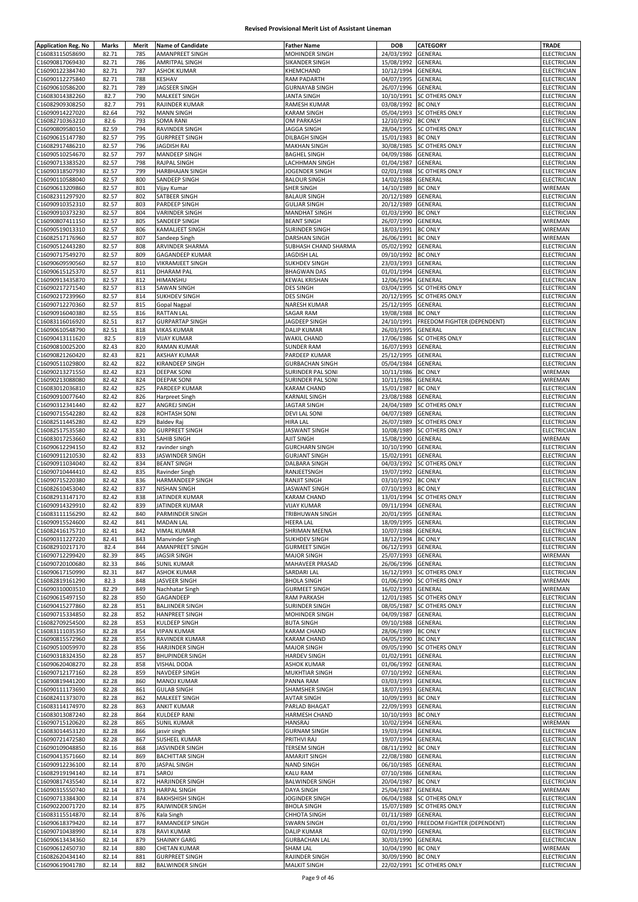| <b>Application Reg. No</b>         | Marks          | Merit      | <b>Name of Candidate</b>                        | <b>Father Name</b>                    | <b>DOB</b>         | CATEGORY                    | TRADE                                    |
|------------------------------------|----------------|------------|-------------------------------------------------|---------------------------------------|--------------------|-----------------------------|------------------------------------------|
| C16083115058690                    | 82.71          | 785        | AMANPREET SINGH                                 | MOHINDER SINGH                        | 24/03/1992         | GENERAL                     | ELECTRICIAN                              |
| C16090817069430                    | 82.71          | 786        | AMRITPAL SINGH                                  | SIKANDER SINGH                        | 15/08/1992         | GENERAL                     | ELECTRICIAN                              |
| C16090122384740                    | 82.71          | 787        | <b>ASHOK KUMAR</b>                              | KHEMCHAND                             | 10/12/1994         | GENERAL                     | <b>ELECTRICIAN</b>                       |
|                                    |                |            |                                                 |                                       |                    |                             |                                          |
| C16090112275840                    | 82.71          | 788        | KESHAV                                          | <b>RAM PADARTH</b>                    | 04/07/1995         | GENERAL                     | ELECTRICIAN                              |
| C16090610586200                    | 82.71          | 789        | JAGSEER SINGH                                   | <b>GURNAYAB SINGH</b>                 | 26/07/1996         | GENERAL                     | ELECTRICIAN                              |
| C16083014382260                    | 82.7           | 790        | MALKEET SINGH                                   | <b>JANTA SINGH</b>                    | 10/10/1991         | <b>SC OTHERS ONLY</b>       | ELECTRICIAN                              |
| C16082909308250                    | 82.7           | 791        | RAJINDER KUMAR                                  | RAMESH KUMAR                          | 03/08/1992         | <b>BC ONLY</b>              | ELECTRICIAN                              |
| C16090914227020                    | 82.64          | 792        | <b>MANN SINGH</b>                               | KARAM SINGH                           | 05/04/1993         | SC OTHERS ONLY              | ELECTRICIAN                              |
| C16082710363210                    | 82.6           | 793        | SOMA RANI                                       | OM PARKASH                            | 12/10/1992         | <b>BC ONLY</b>              | ELECTRICIAN                              |
| C16090809580150                    | 82.59          | 794        | RAVINDER SINGH                                  | <b>JAGGA SINGH</b>                    | 28/04/1995         | SC OTHERS ONLY              | ELECTRICIAN                              |
| C16090615147780                    | 82.57          | 795        | <b>GURPREET SINGH</b>                           | DILBAGH SINGH                         | 15/01/1983         | <b>BC ONLY</b>              | ELECTRICIAN                              |
| C16082917486210                    | 82.57          | 796        | <b>JAGDISH RAI</b>                              | <b>MAKHAN SINGH</b>                   | 30/08/1985         | SC OTHERS ONLY              | <b>ELECTRICIAN</b>                       |
| C16090510254670                    | 82.57          | 797        | MANDEEP SINGH                                   | <b>BAGHEL SINGH</b>                   | 04/09/1986         | GENERAL                     | <b>ELECTRICIAN</b>                       |
| C16090713383520                    | 82.57          | 798        | RAJPAL SINGH                                    | LACHHMAN SINGH                        | 01/04/1987         | GENERAL                     | ELECTRICIAN                              |
| C16090318507930                    | 82.57          | 799        | HARBHAJAN SINGH                                 | JOGENDER SINGH                        | 02/01/1988         | <b>SC OTHERS ONLY</b>       | ELECTRICIAN                              |
| C16090110588040                    | 82.57          | 800        | SANDEEP SINGH                                   | <b>BALOUR SINGH</b>                   | 14/02/1988         | GENERAL                     | ELECTRICIAN                              |
| C16090613209860                    | 82.57          | 801        | Vijay Kumar                                     | SHER SINGH                            | 14/10/1989         | <b>BC ONLY</b>              | WIREMAN                                  |
| C16082311297920                    | 82.57          | 802        | SATBEER SINGH                                   | <b>BALAUR SINGH</b>                   | 20/12/1989         | GENERAL                     | <b>ELECTRICIAN</b>                       |
| C16090910352310                    | 82.57          | 803        |                                                 | <b>GULJAR SINGH</b>                   | 20/12/1989         | GENERAL                     | ELECTRICIAN                              |
|                                    |                |            | PARDEEP SINGH                                   |                                       |                    |                             |                                          |
| C16090910373230                    | 82.57          | 804        | VARINDER SINGH                                  | <b>MANDHAT SINGH</b>                  | 01/03/1990         | <b>BC ONLY</b>              | ELECTRICIAN                              |
| C16090807411150                    | 82.57          | 805        | SANDEEP SINGH                                   | <b>BEANT SINGH</b>                    | 26/07/1990         | GENERAL                     | WIREMAN                                  |
| C16090519013310                    | 82.57          | 806        | <b>KAMALIEET SINGH</b>                          | SURINDER SINGH                        | 18/03/1991 BC ONLY |                             | WIREMAN                                  |
| C16082517176960                    | 82.57          | 807        | Sandeep Singh                                   | DARSHAN SINGH                         | 26/06/1991         | <b>BC ONLY</b>              | WIREMAN                                  |
| C16090512443280                    | 82.57          | 808        | ARVINDER SHARMA                                 | SUBHASH CHAND SHARMA                  | 05/02/1992         | GENERAL                     | ELECTRICIAN                              |
| C16090717549270                    | 82.57          | 809        | GAGANDEEP KUMAR                                 | <b>JAGDISH LAL</b>                    | 09/10/1992         | <b>BC ONLY</b>              | ELECTRICIAN                              |
| C16090609590560                    | 82.57          | 810        | <b>VIKRAMJEET SINGH</b>                         | SUKHDEV SINGH                         | 23/03/1993         | GENERAL                     | <b>ELECTRICIAN</b>                       |
| C16090615125370                    | 82.57          | 811        | <b>DHARAM PAL</b>                               | <b>BHAGWAN DAS</b>                    | 01/01/1994         | GENERAL                     | <b>ELECTRICIAN</b>                       |
| C16090913435870                    | 82.57          | 812        | HIMANSHU                                        | KEWAL KRISHAN                         | 12/06/1994         | GENERAL                     | ELECTRICIAN                              |
| C16090217271540                    | 82.57          | 813        | SAWAN SINGH                                     | <b>DES SINGH</b>                      | 03/04/1995         | <b>SC OTHERS ONLY</b>       | ELECTRICIAN                              |
| C16090217239960                    | 82.57          | 814        | SUKHDEV SINGH                                   | <b>DES SINGH</b>                      | 20/12/1995         | <b>SC OTHERS ONLY</b>       | ELECTRICIAN                              |
| C16090712270360                    | 82.57          | 815        | <b>Gopal Nagpal</b>                             | NARESH KUMAR                          | 25/12/1995         | GENERAL                     | ELECTRICIAN                              |
| C16090916040380                    | 82.55          | 816        | <b>RATTAN LAL</b>                               | <b>SAGAR RAM</b>                      | 19/08/1988         | <b>BC ONLY</b>              | ELECTRICIAN                              |
| C16083116016920                    | 82.51          | 817        | <b>GURPARTAP SINGH</b>                          | JAGDEEP SINGH                         | 24/10/1991         | FREEDOM FIGHTER (DEPENDENT) | ELECTRICIAN                              |
|                                    |                | 818        |                                                 | <b>DALIP KUMAR</b>                    |                    | GENERAL                     | <b>ELECTRICIAN</b>                       |
| C16090610548790<br>C16090413111620 | 82.51          |            | <b>VIKAS KUMAR</b>                              |                                       | 26/03/1995         | <b>SC OTHERS ONLY</b>       |                                          |
|                                    | 82.5           | 819        | <b>VIJAY KUMAR</b>                              | <b>WAKIL CHAND</b>                    | 17/06/1986         |                             | ELECTRICIAN                              |
| C16090810025200                    | 82.43          | 820        | <b>RAMAN KUMAR</b>                              | <b>SUNDER RAM</b>                     | 16/07/1993         | GENERAL                     | <b>ELECTRICIAN</b>                       |
| C16090821260420                    | 82.43          | 821        | <b>AKSHAY KUMAR</b>                             | PARDEEP KUMAR                         | 25/12/1995         | GENERAL                     | ELECTRICIAN                              |
| C16090511029800                    | 82.42          | 822        | KIRANDEEP SINGH                                 | <b>GURBACHAN SINGH</b>                | 05/04/1984         | GENERAL                     | ELECTRICIAN                              |
| C16090213271550                    | 82.42          | 823        | <b>DEEPAK SONI</b>                              | SURINDER PAL SONI                     | 10/11/1986         | <b>BC ONLY</b>              | WIREMAN                                  |
| C16090213088080                    | 82.42          | 824        | <b>DEEPAK SONI</b>                              | SURINDER PAL SONI                     | 10/11/1986         | GENERAL                     | WIREMAN                                  |
| C16083012036810                    | 82.42          | 825        | PARDEEP KUMAR                                   | KARAM CHAND                           | 15/01/1987         | <b>BC ONLY</b>              | ELECTRICIAN                              |
| C16090910077640                    | 82.42          | 826        | Harpreet Singh                                  | KARNAIL SINGH                         | 23/08/1988         | GENERAL                     | ELECTRICIAN                              |
| C16090312341440                    | 82.42          | 827        | ANGREJ SINGH                                    | <b>JAGTAR SINGH</b>                   | 24/04/1989         | <b>SC OTHERS ONLY</b>       | ELECTRICIAN                              |
| C16090715542280                    | 82.42          | 828        | <b>ROHTASH SONI</b>                             | <b>DEVI LAL SONI</b>                  | 04/07/1989         | GENERAL                     | ELECTRICIAN                              |
| C16082511445280                    | 82.42          | 829        | <b>Baldev Raj</b>                               | HIRA LAL                              | 26/07/1989         | <b>SC OTHERS ONLY</b>       | ELECTRICIAN                              |
|                                    |                |            |                                                 |                                       |                    |                             |                                          |
| C16082517535580                    | 82.42          | 830        | <b>GURPREET SINGH</b>                           | JASWANT SINGH                         | 10/08/1989         | <b>SC OTHERS ONLY</b>       | ELECTRICIAN                              |
| C16083017253660                    | 82.42          | 831        | SAHIB SINGH                                     | AJIT SINGH                            | 15/08/1990         | GENERAL                     | WIREMAN                                  |
| C16090612294150                    | 82.42          | 832        | ravinder singh                                  | <b>GURCHARN SINGH</b>                 | 10/10/1990         | GENERAL                     | ELECTRICIAN                              |
| C16090911210530                    | 82.42          | 833        | JASWINDER SINGH                                 | <b>GURJANT SINGH</b>                  | 15/02/1991         | GENERAL                     | ELECTRICIAN                              |
| C16090911034040                    | 82.42          | 834        | <b>BEANT SINGH</b>                              | DALBARA SINGH                         | 04/03/1992         | <b>SC OTHERS ONLY</b>       | ELECTRICIAN                              |
| C16090710444410                    | 82.42          | 835        | Ravinder Singh                                  | RANJEETSNGH                           | 19/07/1992         | GENERAL                     | ELECTRICIAN                              |
| C16090715220380                    | 82.42          | 836        | HARMANDEEP SINGH                                | RANJIT SINGH                          | 03/10/1992         | <b>BC ONLY</b>              | <b>ELECTRICIAN</b>                       |
| C16082610453040                    | 82.42          | 837        | <b>NISHAN SINGH</b>                             | <b>JASWANT SINGH</b>                  | 07/10/1993         | <b>BC ONLY</b>              | ELECTRICIAN                              |
| C16082913147170                    | 82.42          | 838        | JATINDER KUMAR                                  | <b>KARAM CHAND</b>                    | 13/01/1994         | <b>SC OTHERS ONLY</b>       | <b>ELECTRICIAN</b>                       |
| C16090914329910                    | 82.42          | 839        | JATINDER KUMAR                                  | <b>VIJAY KUMAR</b>                    | 09/11/1994         | GENERAL                     | ELECTRICIAN                              |
| C16083111156290                    | 82.42          | 840        | PARMINDER SINGH                                 | TRIBHUWAN SINGH                       | 20/01/1995         | GENERAL                     | ELECTRICIAN                              |
| C16090915524600                    | 82.42          | 841        | MADAN LAL                                       | HEERA LAL                             | 18/09/1995 GENERAL |                             | ELECTRICIAN                              |
| C16082416175710                    | 82.41          | 842        | <b>VIMAL KUMAR</b>                              | SHRIMAN MEENA                         | 10/07/1988 GENERAL |                             | ELECTRICIAN                              |
| C16090311227220                    | 82.41          | 843        | Manvinder Singh                                 | SUKHDEV SINGH                         | 18/12/1994 BC ONLY |                             | ELECTRICIAN                              |
| C16082910217170                    | 82.4           | 844        | AMANPREET SINGH                                 | <b>GURMEET SINGH</b>                  | 06/12/1993         | <b>GENERAL</b>              | ELECTRICIAN                              |
| C16090712299420                    | 82.39          | 845        | <b>JAGSIR SINGH</b>                             | <b>MAJOR SINGH</b>                    | 25/07/1993         | GENERAL                     | WIREMAN                                  |
|                                    |                |            | <b>SUNIL KUMAR</b>                              |                                       | 26/06/1996         |                             |                                          |
| C16090720100680                    | 82.33          | 846        |                                                 | MAHAVEER PRASAD                       |                    | GENERAL                     | ELECTRICIAN                              |
| C16090617150990                    | 82.31          | 847        | <b>ASHOK KUMAR</b>                              | SARDARI LAL                           | 16/12/1993         | <b>SC OTHERS ONLY</b>       | ELECTRICIAN                              |
| C16082819161290                    | 82.3           | 848        | JASVEER SINGH                                   | <b>BHOLA SINGH</b>                    | 01/06/1990         | <b>SC OTHERS ONLY</b>       | WIREMAN                                  |
| C16090310003510                    | 82.29          | 849        | Nachhatar Singh                                 | <b>GURMEET SINGH</b>                  | 16/02/1993         | GENERAL                     | WIREMAN                                  |
| C16090615497150                    | 82.28          | 850        | GAGANDEEP                                       | RAM PARKASH                           | 12/01/1985         | <b>SC OTHERS ONLY</b>       | ELECTRICIAN                              |
| C16090415277860                    | 82.28          | 851        | <b>BALJINDER SINGH</b>                          | <b>SURINDER SINGH</b>                 | 08/05/1987         | <b>SC OTHERS ONLY</b>       | ELECTRICIAN                              |
| C16090715334850                    | 82.28          | 852        | <b>HANPREET SINGH</b>                           | MOHINDER SINGH                        | 04/09/1987         | GENERAL                     | ELECTRICIAN                              |
| C16082709254500                    | 82.28          | 853        | KULDEEP SINGH                                   | <b>BUTA SINGH</b>                     | 09/10/1988         | GENERAL                     | ELECTRICIAN                              |
| C16083111035350                    | 82.28          | 854        | <b>VIPAN KUMAR</b>                              | KARAM CHAND                           | 28/06/1989 BC ONLY |                             | ELECTRICIAN                              |
| C16090815572960                    | 82.28          | 855        | RAVINDER KUMAR                                  | <b>KARAM CHAND</b>                    | 04/05/1990         | <b>BC ONLY</b>              | <b>ELECTRICIAN</b>                       |
| C16090510059970                    | 82.28          | 856        | <b>HARJINDER SINGH</b>                          | <b>MAJOR SINGH</b>                    |                    | 09/05/1990 SC OTHERS ONLY   | ELECTRICIAN                              |
| C16090318324350                    | 82.28          | 857        | <b>BHUPINDER SINGH</b>                          | <b>HARDEV SINGH</b>                   | 01/02/1991         | GENERAL                     | ELECTRICIAN                              |
| C16090620408270                    | 82.28          | 858        | <b>VISHAL DODA</b>                              | <b>ASHOK KUMAR</b>                    | 01/06/1992         | GENERAL                     | ELECTRICIAN                              |
| C16090712177160                    | 82.28          | 859        | NAVDEEP SINGH                                   | MUKHTIAR SINGH                        | 07/10/1992 GENERAL |                             | ELECTRICIAN                              |
| C16090819441200                    | 82.28          | 860        | <b>MANOJ KUMAR</b>                              | PANNA RAM                             | 03/03/1993         | GENERAL                     | ELECTRICIAN                              |
| C16090111173690                    | 82.28          | 861        | <b>GULAB SINGH</b>                              | SHAMSHER SINGH                        | 18/07/1993         | GENERAL                     | ELECTRICIAN                              |
| C16082411373070                    | 82.28          | 862        | MALKEET SINGH                                   | <b>AVTAR SINGH</b>                    | 10/09/1993 BC ONLY |                             | ELECTRICIAN                              |
| C16083114174970                    | 82.28          | 863        | <b>ANKIT KUMAR</b>                              | PARLAD BHAGAT                         | 22/09/1993         | GENERAL                     | ELECTRICIAN                              |
| C16083013087240                    | 82.28          | 864        | KULDEEP RANI                                    | HARMESH CHAND                         | 10/10/1993         | <b>BC ONLY</b>              | ELECTRICIAN                              |
|                                    |                |            |                                                 |                                       |                    |                             |                                          |
| C16090715120620                    | 82.28          | 865        | <b>SUNIL KUMAR</b>                              | <b>HANSRAJ</b>                        | 10/02/1994         | GENERAL                     | WIREMAN                                  |
| C16083014453120                    | 82.28          | 866        | jasvir singh                                    | <b>GURNAM SINGH</b>                   | 19/03/1994         | GENERAL                     | <b>ELECTRICIAN</b>                       |
| C16090721472580                    | 82.28          | 867        | <b>SUSHEEL KUMAR</b>                            | PRITHVI RAJ                           | 19/07/1994         | GENERAL                     | <b>ELECTRICIAN</b>                       |
| C16090109048850                    | 82.16          | 868        | JASVINDER SINGH                                 | <b>TERSEM SINGH</b>                   | 08/11/1992         | <b>BC ONLY</b>              | ELECTRICIAN                              |
| C16090413571660                    | 82.14          | 869        | <b>BACHITTAR SINGH</b>                          | AMARJIT SINGH                         | 22/08/1980         | GENERAL                     | ELECTRICIAN                              |
| C16090912236100                    | 82.14          | 870        | <b>JASPAL SINGH</b>                             | <b>NAND SINGH</b>                     | 06/10/1985         | GENERAL                     | <b>ELECTRICIAN</b>                       |
| C16082919194140                    | 82.14          | 871        | SAROJ                                           | KALU RAM                              | 07/10/1986         | GENERAL                     | ELECTRICIAN                              |
| C16090817435540                    | 82.14          | 872        | HARJINDER SINGH                                 | <b>BALWINDER SINGH</b>                | 20/04/1987         | <b>BC ONLY</b>              | ELECTRICIAN                              |
| C16090315550740                    | 82.14          | 873        | <b>HARPAL SINGH</b>                             | DAYA SINGH                            | 25/04/1987         | GENERAL                     | WIREMAN                                  |
| C16090713384300                    | 82.14          | 874        | <b>BAKHSHISH SINGH</b>                          | JOGINDER SINGH                        | 06/04/1988         | <b>SC OTHERS ONLY</b>       | <b>ELECTRICIAN</b>                       |
| C16090220071720                    | 82.14          | 875        | RAJWINDER SINGH                                 | <b>BHOLA SINGH</b>                    | 15/07/1989         | SC OTHERS ONLY              | ELECTRICIAN                              |
| C16083115514870                    | 82.14          | 876        | Kala Singh                                      | <b>CHHOTA SINGH</b>                   | 01/11/1989         | GENERAL                     | <b>ELECTRICIAN</b>                       |
| C16090618379420                    | 82.14          | 877        | RAMANDEEP SINGH                                 | <b>SWARN SINGH</b>                    | 01/01/1990         | FREEDOM FIGHTER (DEPENDENT) | <b>ELECTRICIAN</b>                       |
| C16090710438990                    | 82.14          | 878        | <b>RAVI KUMAR</b>                               | <b>DALIP KUMAR</b>                    | 02/01/1990         | GENERAL                     | ELECTRICIAN                              |
| C16090613434360                    | 82.14          | 879        | <b>SHAINKY GARG</b>                             | <b>GURBACHAN LAL</b>                  | 30/03/1990 GENERAL |                             | ELECTRICIAN                              |
|                                    |                |            |                                                 |                                       |                    |                             |                                          |
| C16090612450730                    | 82.14          | 880        | <b>CHETAN KUMAR</b>                             | SHAM LAL                              | 10/04/1990 BC ONLY |                             | WIREMAN                                  |
| C16082620434140                    | 82.14<br>82.14 | 881<br>882 | <b>GURPREET SINGH</b><br><b>BALWINDER SINGH</b> | RAJINDER SINGH<br><b>MALKIT SINGH</b> | 30/09/1990 BC ONLY | 22/02/1991 SC OTHERS ONLY   | <b>ELECTRICIAN</b><br><b>ELECTRICIAN</b> |
| C16090619041780                    |                |            |                                                 |                                       |                    |                             |                                          |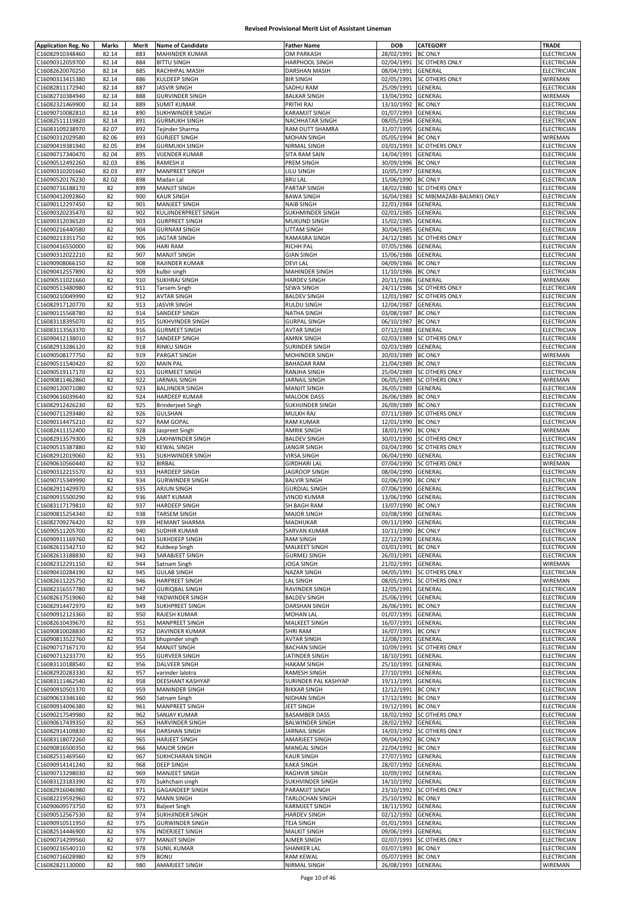| C16082910348460<br>82.14<br>883<br>MAHINDER KUMAR<br>C16090312059700<br>82.14<br>884<br><b>BITTU SINGH</b><br>C16082620070250<br>82.14<br>885<br>RACHHPAL MASIH | <b>Father Name</b>                       | <b>DOB</b>                       | <b>CATEGORY</b>            | <b>TRADE</b>               |
|-----------------------------------------------------------------------------------------------------------------------------------------------------------------|------------------------------------------|----------------------------------|----------------------------|----------------------------|
|                                                                                                                                                                 | OM PARKASH                               | 28/02/1991                       | <b>BC ONLY</b>             | ELECTRICIAN                |
|                                                                                                                                                                 | HARPHOOL SINGH                           |                                  | 02/04/1991 SC OTHERS ONLY  | <b>ELECTRICIAN</b>         |
|                                                                                                                                                                 | DARSHAN MASIH                            | 08/04/1991                       | <b>GENERAL</b>             | ELECTRICIAN                |
| KULDEEP SINGH<br>C16090313415380<br>82.14<br>886                                                                                                                | <b>BIR SINGH</b>                         | 02/05/1991                       | <b>SC OTHERS ONLY</b>      | WIREMAN                    |
| 887<br>C16082811172940<br>82.14<br><b>JASVIR SINGH</b>                                                                                                          | SADHU RAM                                | 25/09/1991                       | <b>GENERAL</b>             | ELECTRICIAN                |
| 888<br>C16082710384940<br>82.14<br><b>GURVINDER SINGH</b>                                                                                                       | <b>BALKAR SINGH</b>                      | 13/04/1992                       | GENERAL                    | WIREMAN                    |
| C16082321469900<br>82.14<br>889<br><b>SUMIT KUMAR</b>                                                                                                           | PRITHI RAJ                               | 13/10/1992                       | <b>BC ONLY</b>             | <b>ELECTRICIAN</b>         |
| C16090710082810<br>82.14<br><b>SUKHWINDER SINGH</b><br>890                                                                                                      | <b>KARAMJIT SINGH</b>                    | 01/07/1993                       | GENERAL                    | ELECTRICIAN                |
| 891<br><b>GURMUKH SINGH</b><br>C16082511119820<br>82.14                                                                                                         | NACHHATAR SINGH                          | 08/05/1994                       | <b>GENERAL</b>             | ELECTRICIAN                |
| 82.07<br>C16083109238970<br>892<br>Tejinder Sharma                                                                                                              | RAM DUTT SHAMRA                          | 31/07/1995                       | GENERAL                    | ELECTRICIAN                |
| 82.06<br>893<br>C16090312029580<br><b>GURJEET SINGH</b>                                                                                                         | <b>MOHAN SINGH</b>                       | 05/05/1994                       | <b>BC ONLY</b>             | WIREMAN                    |
| 82.05<br>894<br>C16090419381940<br><b>GURMUKH SINGH</b>                                                                                                         | NIRMAL SINGH                             | 03/01/1993                       | <b>SC OTHERS ONLY</b>      | ELECTRICIAN                |
| 82.04<br>895<br>C16090717340470<br><b>VIJENDER KUMAR</b>                                                                                                        | SITA RAM SAIN                            | 14/04/1991                       | <b>GENERAL</b>             | ELECTRICIAN                |
| 82.03<br><b>RAMESH JI</b><br>C16090512492260<br>896                                                                                                             | PREM SINGH                               | 30/09/1996                       | <b>BC ONLY</b>             | ELECTRICIAN                |
| 82.03<br>897<br>C16090310201660<br><b>MANPREET SINGH</b>                                                                                                        | LILU SINGH                               | 10/05/1997                       | <b>GENERAL</b>             | ELECTRICIAN                |
| C16090520176230<br>82.02<br>898<br>Madan Lal                                                                                                                    | <b>BRIJ LAL</b>                          | 15/06/1990                       | <b>BC ONLY</b>             | <b>ELECTRICIAN</b>         |
| 899<br><b>MANJIT SINGH</b><br>C16090716188170<br>82                                                                                                             | PARTAP SINGH                             | 18/02/1980                       | <b>SC OTHERS ONLY</b>      | ELECTRICIAN                |
| 82<br>900<br><b>KAUR SINGH</b><br>C16090412092860                                                                                                               | <b>BAWA SINGH</b>                        | 16/04/1983                       | SC MB(MAZABI-BALMIKI) ONLY | ELECTRICIAN                |
| 82<br>901<br>C16090112297450<br><b>MANJEET SINGH</b>                                                                                                            | <b>NAIB SINGH</b>                        | 22/01/1984                       | GENERAL                    | ELECTRICIAN                |
| 82<br>902                                                                                                                                                       | SUKHMINDER SINGH                         | 02/01/1985                       | GENERAL                    | <b>ELECTRICIAN</b>         |
| C16090320235470<br>KULJINDERPREET SINGH<br>82<br>903<br><b>GURPREET SINGH</b><br>C16090312036520                                                                | MUKUND SINGH                             | 15/02/1985                       | GENERAL                    | ELECTRICIAN                |
| 82<br>904<br>C16090216440580<br><b>GURNAM SINGH</b>                                                                                                             | UTTAM SINGH                              | 30/04/1985                       | GENERAL                    | ELECTRICIAN                |
|                                                                                                                                                                 |                                          |                                  |                            |                            |
| 82<br>C16090213351750<br>905<br><b>JAGTAR SINGH</b>                                                                                                             | RAMASRA SINGH                            | 24/12/1985                       | <b>SC OTHERS ONLY</b>      | ELECTRICIAN                |
| <b>HARI RAM</b><br>C16090416550000<br>82<br>906                                                                                                                 | <b>RICHH PAL</b>                         | 07/05/1986                       | GENERAL                    | ELECTRICIAN                |
| 82<br>907<br>C16090312022210<br><b>MANJIT SINGH</b><br>908                                                                                                      | <b>GIAN SINGH</b>                        | 15/06/1986                       | GENERAL                    | ELECTRICIAN                |
| 82<br>RAJINDER KUMAR<br>C16090908066150                                                                                                                         | <b>DEVILAL</b>                           | 04/09/1986                       | <b>BC ONLY</b>             | ELECTRICIAN                |
| 909<br>C16090412557890<br>82<br>kulbir singh                                                                                                                    | MAHINDER SINGH                           | 11/10/1986                       | <b>BC ONLY</b>             | ELECTRICIAN                |
| 82<br>910<br><b>SUKHRAJ SINGH</b><br>C16090511021660                                                                                                            | <b>HARDEV SINGH</b>                      | 20/11/1986                       | <b>GENERAL</b>             | WIREMAN                    |
| 82<br>911<br>C16090513480980<br><b>Tarsem Singh</b>                                                                                                             | SEWA SINGH                               | 24/11/1986                       | <b>SC OTHERS ONLY</b>      | <b>ELECTRICIAN</b>         |
| 912<br>C16090210049990<br>82<br><b>AVTAR SINGH</b>                                                                                                              | <b>BALDEV SINGH</b>                      | 12/01/1987                       | <b>SC OTHERS ONLY</b>      | <b>ELECTRICIAN</b>         |
| 82<br>913<br><b>JASVIR SINGH</b><br>C16082917120770                                                                                                             | RULDU SINGH                              | 12/04/1987                       | GENERAL                    | ELECTRICIAN                |
| 82<br>C16090115568780<br>914<br>SANDEEP SINGH                                                                                                                   | NATHA SINGH                              | 03/08/1987 BC ONLY               |                            | ELECTRICIAN                |
| 82<br>915<br>C16083118395070<br><b>SUKHVINDER SINGH</b>                                                                                                         | <b>GURPAL SINGH</b>                      | 06/10/1987                       | <b>BC ONLY</b>             | ELECTRICIAN                |
| 916<br>C16083113563370<br>82<br><b>GURMEET SINGH</b>                                                                                                            | <b>AVTAR SINGH</b>                       | 07/12/1988                       | GENERAL                    | <b>ELECTRICIAN</b>         |
| 82<br>917<br>C16090412138010<br>SANDEEP SINGH                                                                                                                   | <b>AMRIK SINGH</b>                       | 02/03/1989                       | <b>SC OTHERS ONLY</b>      | ELECTRICIAN                |
| 82<br>918<br><b>RINKU SINGH</b><br>C16082913286120                                                                                                              | SURINDER SINGH                           | 02/03/1989                       | GENERAL                    | ELECTRICIAN                |
| 82<br>919<br>C16090508177750<br>PARGAT SINGH                                                                                                                    | MOHINDER SINGH                           | 20/03/1989                       | <b>BC ONLY</b>             | WIREMAN                    |
| 82<br>920<br>C16090511540420<br><b>MAIN PAL</b>                                                                                                                 | <b>BAHADAR RAM</b>                       | 21/04/1989                       | <b>BC ONLY</b>             | ELECTRICIAN                |
| 82<br>921<br>C16090519117170<br><b>GURMEET SINGH</b>                                                                                                            | RANJHA SINGH                             | 25/04/1989                       | <b>SC OTHERS ONLY</b>      | ELECTRICIAN                |
| 82<br>922<br><b>JARNAIL SINGH</b><br>C16090811462860                                                                                                            | JARNAIL SINGH                            | 06/05/1989                       | <b>SC OTHERS ONLY</b>      | WIREMAN                    |
| 923<br><b>BALJINDER SINGH</b><br>C16090120071080<br>82                                                                                                          | <b>MANJIT SINGH</b>                      | 26/05/1989                       | GENERAL                    | ELECTRICIAN                |
| 82<br>C16090616039640<br>924<br><b>HARDEEP KUMAR</b>                                                                                                            | <b>MALOOK DASS</b>                       | 26/06/1989 BC ONLY               |                            | ELECTRICIAN                |
| 82<br>925<br>C16082912426230<br><b>Brinderjeet Singh</b>                                                                                                        | SUKHJINDER SINGH                         | 26/09/1989                       | <b>BC ONLY</b>             | ELECTRICIAN                |
| 926<br>GULSHAN<br>C16090711293480<br>82                                                                                                                         | MULKH RAJ                                | 07/11/1989                       | <b>SC OTHERS ONLY</b>      | ELECTRICIAN                |
| 82<br>927<br><b>RAM GOPAL</b><br>C16090114475210                                                                                                                | <b>RAM KUMAR</b>                         | 12/01/1990                       | <b>BC ONLY</b>             | ELECTRICIAN                |
| 82<br>C16082411152400<br>928<br>Jaspreet Singh                                                                                                                  | <b>AMRIK SINGH</b>                       | 18/01/1990                       | <b>BC ONLY</b>             | WIREMAN                    |
| 929<br>C16082913579300<br>82<br><b>LAKHWINDER SINGH</b>                                                                                                         | <b>BALDEV SINGH</b>                      | 30/01/1990                       | <b>SC OTHERS ONLY</b>      | <b>ELECTRICIAN</b>         |
| 82<br>930<br>C16090515387880<br><b>KEWAL SINGH</b>                                                                                                              | <b>JANGIR SINGH</b>                      | 03/04/1990                       | <b>SC OTHERS ONLY</b>      | ELECTRICIAN                |
| 82<br>931<br>C16082912019060<br><b>SUKHWINDER SINGH</b>                                                                                                         | <b>VIRSA SINGH</b>                       | 06/04/1990                       | GENERAL                    | ELECTRICIAN                |
| 932<br><b>BIRBAL</b><br>C16090610560440<br>82                                                                                                                   | <b>GIRDHARI LAL</b>                      | 07/04/1990                       | <b>SC OTHERS ONLY</b>      | WIREMAN                    |
| 933<br><b>HARDEEP SINGH</b><br>C16090312215570<br>82                                                                                                            | JAGROOP SINGH                            | 08/04/1990                       | GENERAL                    | ELECTRICIAN                |
| C16090715349990<br>82<br>934<br><b>GURWINDER SINGH</b>                                                                                                          | <b>BALVIR SINGH</b>                      | 02/06/1990                       | <b>BC ONLY</b>             | ELECTRICIAN                |
| 82<br>C16082911429970<br>935<br><b>ARJUN SINGH</b>                                                                                                              | <b>GURDIAL SINGH</b>                     | 07/06/1990                       | GENERAL                    | ELECTRICIAN                |
| 82<br>936<br><b>AMIT KUMAR</b><br>C16090915500290                                                                                                               | <b>VINOD KUMAR</b>                       | 13/06/1990                       | GENERAL                    | ELECTRICIAN                |
| 82<br>937<br>C16083117179810<br><b>HARDEEP SINGH</b>                                                                                                            | SH BAGH RAM                              | 13/07/1990                       | <b>BC ONLY</b>             | <b>ELECTRICIAN</b>         |
| 82<br>938<br>C16090815254340<br><b>TARSEM SINGH</b>                                                                                                             | <b>MAJOR SINGH</b>                       | 03/08/1990                       | <b>GENERAL</b>             | <b>ELECTRICIAN</b>         |
| 939<br><b>HEMANT SHARMA</b><br>C16082709276420                                                                                                                  | MADHUKAR                                 | 09/11/1990 GENERAL               |                            | ELECTRICIAN                |
| 82<br>C16090511205700<br>82<br>940<br><b>SUDHIR KUMAR</b>                                                                                                       | SARVAN KUMAR                             | 10/11/1990 BC ONLY               |                            | <b>ELECTRICIAN</b>         |
| C16090911169760<br>941<br>SUKHDEEP SINGH<br>82                                                                                                                  | <b>RAM SINGH</b>                         | 22/12/1990 GENERAL               |                            | ELECTRICIAN                |
| C16082611542710<br>942<br>82<br>Kuldeep Singh                                                                                                                   | MALKEET SINGH                            | 03/01/1991                       | <b>BC ONLY</b>             | <b>ELECTRICIAN</b>         |
| C16082613188830<br>943<br>SARABJEET SINGH                                                                                                                       |                                          |                                  |                            |                            |
| 82                                                                                                                                                              | <b>GURMEJ SINGH</b><br><b>JOGA SINGH</b> |                                  |                            |                            |
|                                                                                                                                                                 |                                          | 26/01/1991                       | <b>GENERAL</b>             | ELECTRICIAN                |
| C16082312291150<br>82<br>944<br>Satnam Singh                                                                                                                    |                                          | 21/02/1991 GENERAL               |                            | WIREMAN                    |
| C16090410284190<br>82<br>945<br><b>GULAB SINGH</b>                                                                                                              | NAZAR SINGH                              | 04/05/1991                       | <b>SC OTHERS ONLY</b>      | ELECTRICIAN                |
| C16082611225750<br>82<br>946<br><b>HARPREET SINGH</b>                                                                                                           | <b>LAL SINGH</b>                         | 08/05/1991                       | <b>SC OTHERS ONLY</b>      | WIREMAN                    |
| 82<br>947<br>C16082316557780<br><b>GURIOBAL SINGH</b>                                                                                                           | RAVINDER SINGH                           | 12/05/1991                       | <b>GENERAL</b>             | <b>ELECTRICIAN</b>         |
| C16082617519060<br>82<br>948<br>YADWINDER SINGH                                                                                                                 | <b>BALDEV SINGH</b>                      | 25/06/1991                       | GENERAL                    | ELECTRICIAN                |
| 949<br>C16082914472970<br>82<br><b>SUKHPREET SINGH</b>                                                                                                          | DARSHAN SINGH                            | 26/06/1991 BC ONLY               |                            | ELECTRICIAN                |
| C16090912123360<br>82<br>950<br>RAJESH KUMAR                                                                                                                    | MOHAN LAL                                | 01/07/1991                       | <b>GENERAL</b>             | <b>ELECTRICIAN</b>         |
| C16082610439670<br>82<br>951<br><b>MANPREET SINGH</b>                                                                                                           | MALKEET SINGH                            | 16/07/1991                       | GENERAL                    | ELECTRICIAN                |
| 952<br>C16090810028830<br>82<br>DAVINDER KUMAR                                                                                                                  | <b>SHRI RAM</b>                          | 16/07/1991                       | <b>BC ONLY</b>             | <b>ELECTRICIAN</b>         |
| C16090813522760<br>82<br>953<br>bhupinder singh                                                                                                                 | <b>AVTAR SINGH</b>                       | 12/08/1991                       | GENERAL                    | ELECTRICIAN                |
| C16090717167170<br>82<br>954<br><b>MANJIT SINGH</b>                                                                                                             | <b>BACHAN SINGH</b>                      |                                  | 10/09/1991 SC OTHERS ONLY  | ELECTRICIAN                |
| C16090713233770<br>82<br>955<br><b>GURVEER SINGH</b>                                                                                                            | JATINDER SINGH                           | 18/10/1991                       | <b>GENERAL</b>             | <b>ELECTRICIAN</b>         |
| C16083110188540<br>82<br>956<br>DALVEER SINGH                                                                                                                   | <b>HAKAM SINGH</b>                       | 25/10/1991                       | GENERAL                    | ELECTRICIAN                |
| 82<br>C16082920283330<br>957<br>varinder lalotra                                                                                                                | RAMESH SINGH                             | 27/10/1991                       | GENERAL                    | ELECTRICIAN                |
| C16083111462540<br>82<br>958<br>DEESHANT KASHYAP                                                                                                                | SURINDER PAL KASHYAP                     | 19/11/1991                       | <b>GENERAL</b>             | ELECTRICIAN                |
| C16090910501370<br>82<br>959<br><b>MANINDER SINGH</b>                                                                                                           | <b>BIKKAR SINGH</b>                      | 12/12/1991 BC ONLY               |                            | ELECTRICIAN                |
| C16090613346160<br>82<br>960<br>Satnam Singh                                                                                                                    | NIDHAN SINGH                             | 17/12/1991 BC ONLY               |                            | ELECTRICIAN                |
| 82<br>961<br>C16090914096380<br><b>MANPREET SINGH</b>                                                                                                           | JEET SINGH                               | 19/12/1991                       | <b>BC ONLY</b>             | ELECTRICIAN                |
| 962<br>C16090217549980<br>82<br><b>SANJAY KUMAR</b>                                                                                                             | <b>BASAMBER DASS</b>                     | 18/02/1992                       | <b>SC OTHERS ONLY</b>      | ELECTRICIAN                |
| C16090617439350<br>82<br>963<br><b>HARVINDER SINGH</b>                                                                                                          | <b>BALWINDER SINGH</b>                   | 28/02/1992                       | GENERAL                    | ELECTRICIAN                |
| C16082914109830<br>82<br>964<br><b>DARSHAN SINGH</b>                                                                                                            | JARNAIL SINGH                            |                                  | 14/03/1992 SC OTHERS ONLY  | ELECTRICIAN                |
| C16083118072260<br>82<br>965<br><b>HARJEET SINGH</b>                                                                                                            | AMARJEET SINGH                           | 09/04/1992                       | <b>BC ONLY</b>             | ELECTRICIAN                |
| C16090816500350<br>966<br><b>MAJOR SINGH</b><br>82                                                                                                              | MANGAL SINGH                             | 22/04/1992 BC ONLY               |                            | ELECTRICIAN                |
| 82<br>C16082511469560<br>967<br>SUKHCHARAN SINGH                                                                                                                | <b>KAUR SINGH</b>                        | 27/07/1992                       | GENERAL                    | ELECTRICIAN                |
| C16090914141240<br>82<br>968<br><b>DEEP SINGH</b>                                                                                                               | <b>KAKA SINGH</b>                        | 28/07/1992                       | GENERAL                    | ELECTRICIAN                |
| C16090713298030<br>82<br>969<br><b>MANJEET SINGH</b>                                                                                                            | RAGHVIR SINGH                            | 10/09/1992                       | GENERAL                    | ELECTRICIAN                |
| C16083123183390<br>82<br>970<br>Sukhchain singh                                                                                                                 | SUKHVINDER SINGH                         | 14/10/1992                       | GENERAL                    | ELECTRICIAN                |
| 82<br>971<br>C16082916046980<br><b>GAGANDEEP SINGH</b>                                                                                                          | PARAMJIT SINGH                           | 23/10/1992                       | <b>SC OTHERS ONLY</b>      | ELECTRICIAN                |
| 972<br>C16082219592960<br><b>MANN SINGH</b>                                                                                                                     | <b>TARLOCHAN SINGH</b>                   |                                  | <b>BC ONLY</b>             | <b>ELECTRICIAN</b>         |
| 82                                                                                                                                                              |                                          | 25/10/1992                       |                            |                            |
| C16090609573750<br>82<br>973<br><b>Baljeet Singh</b>                                                                                                            | KARMJEET SINGH                           | 18/11/1992                       | <b>GENERAL</b>             | ELECTRICIAN                |
| C16090512567530<br>82<br>974<br>SUKHJINDER SINGH                                                                                                                | <b>HARDEV SINGH</b>                      | 02/12/1992 GENERAL               |                            | ELECTRICIAN                |
| C16090910511950<br>82<br>975<br><b>GURWINDER SINGH</b>                                                                                                          | <b>TEJA SINGH</b>                        | 01/01/1993                       | GENERAL                    | ELECTRICIAN                |
| 976<br><b>INDERJEET SINGH</b><br>C16082514446900<br>82                                                                                                          | <b>MALKIT SINGH</b>                      | 09/06/1993                       | GENERAL                    | ELECTRICIAN                |
| 82<br>C16090714299560<br>977<br><b>MANJIT SINGH</b>                                                                                                             | AJMER SINGH                              | 02/07/1993                       | <b>SC OTHERS ONLY</b>      | ELECTRICIAN                |
| C16090216540110<br>82<br>978<br><b>SUNIL KUMAR</b><br>C16090716028980<br>82<br>979<br><b>BONU</b>                                                               | SHANKER LAL<br>RAM KEWAL                 | 03/07/1993<br>05/07/1993 BC ONLY | <b>BC ONLY</b>             | ELECTRICIAN<br>ELECTRICIAN |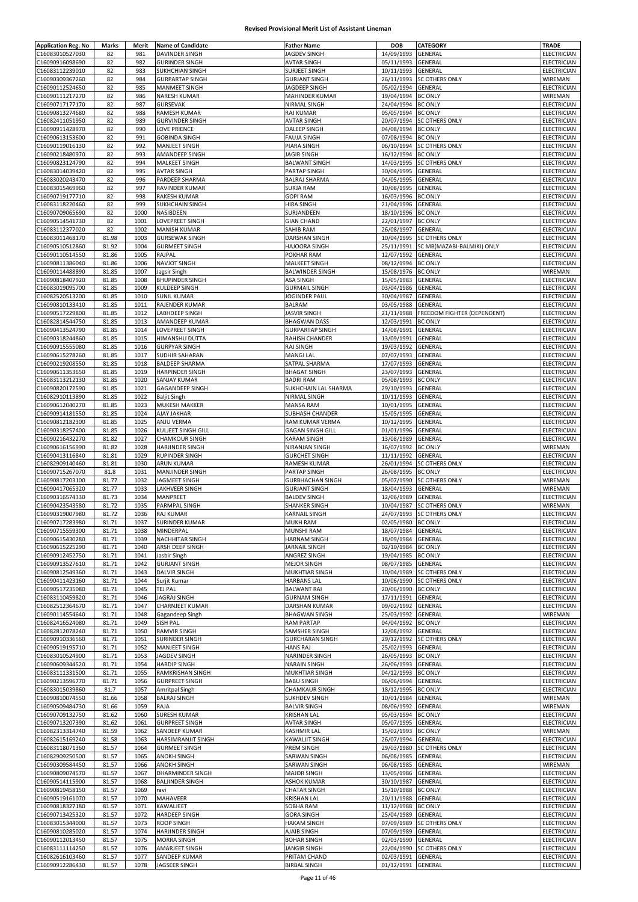| <b>Application Reg. No</b> | Marks | Merit | <b>Name of Candidate</b> | <b>Father Name</b>      | DOB                | <b>CATEGORY</b>                    | TRADE              |
|----------------------------|-------|-------|--------------------------|-------------------------|--------------------|------------------------------------|--------------------|
| C16083010527030            | 82    | 981   | <b>DAVINDER SINGH</b>    | JAGDEV SINGH            | 14/09/1993         | <b>GENERAL</b>                     | ELECTRICIAN        |
| C16090916098690            | 82    | 982   | <b>GURINDER SINGH</b>    | <b>AVTAR SINGH</b>      | 05/11/1993         | GENERAL                            | ELECTRICIAN        |
| C16083112239010            | 82    | 983   | SUKHCHIAN SINGH          | <b>SURJEET SINGH</b>    | 10/11/1993         | <b>GENERAL</b>                     | ELECTRICIAN        |
| C16090309367260            |       | 984   | <b>GURPARTAP SINGH</b>   | <b>GURJANT SINGH</b>    | 26/11/1993         | <b>SC OTHERS ONLY</b>              | WIREMAN            |
|                            | 82    | 985   |                          |                         |                    |                                    |                    |
| C16090112524650            | 82    |       | <b>MANMEET SINGH</b>     | JAGDEEP SINGH           | 05/02/1994         | GENERAL                            | ELECTRICIAN        |
| C16090111217270            | 82    | 986   | NARESH KUMAR             | MAHINDER KUMAR          | 19/04/1994         | <b>BC ONLY</b>                     | WIREMAN            |
| C16090717177170            | 82    | 987   | <b>GURSEVAK</b>          | NIRMAL SINGH            | 24/04/1994         | <b>BC ONLY</b>                     | ELECTRICIAN        |
| C16090813274680            | 82    | 988   | RAMESH KUMAR             | <b>RAJ KUMAR</b>        | 05/05/1994         | <b>BC ONLY</b>                     | ELECTRICIAN        |
| C16082411051950            | 82    | 989   | <b>GURVINDER SINGH</b>   | <b>AVTAR SINGH</b>      | 20/07/1994         | <b>SC OTHERS ONLY</b>              | ELECTRICIAN        |
| C16090911428970            | 82    | 990   | <b>LOVE PRIENCE</b>      | <b>DALEEP SINGH</b>     | 04/08/1994         | <b>BC ONLY</b>                     | ELECTRICIAN        |
| C16090613153600            | 82    | 991   | <b>GOBINDA SINGH</b>     | <b>FAUJA SINGH</b>      | 07/08/1994         | <b>BC ONLY</b>                     | ELECTRICIAN        |
| C16090119016130            | 82    | 992   | MANJEET SINGH            | PIARA SINGH             |                    | 06/10/1994 SC OTHERS ONLY          | ELECTRICIAN        |
| C16090218480970            | 82    | 993   | AMANDEEP SINGH           | <b>JAGIR SINGH</b>      | 16/12/1994         | <b>BC ONLY</b>                     | ELECTRICIAN        |
|                            |       | 994   |                          |                         |                    |                                    |                    |
| C16090823124790            | 82    |       | MALKEET SINGH            | <b>BALWANT SINGH</b>    | 14/03/1995         | <b>SC OTHERS ONLY</b>              | ELECTRICIAN        |
| C16083014039420            | 82    | 995   | <b>AVTAR SINGH</b>       | PARTAP SINGH            | 30/04/1995         | <b>GENERAL</b>                     | ELECTRICIAN        |
| C16083020243470            | 82    | 996   | PARDEEP SHARMA           | <b>BALRAJ SHARMA</b>    | 04/05/1995         | <b>GENERAL</b>                     | ELECTRICIAN        |
| C16083015469960            | 82    | 997   | RAVINDER KUMAR           | <b>SURJA RAM</b>        | 10/08/1995         | GENERAL                            | ELECTRICIAN        |
| C16090719177710            | 82    | 998   | <b>RAKESH KUMAR</b>      | <b>GOPI RAM</b>         | 16/03/1996         | <b>BC ONLY</b>                     | ELECTRICIAN        |
| C16083118220460            | 82    | 999   | SUKHCHAIN SINGH          | <b>HIRA SINGH</b>       | 21/04/1996         | GENERAL                            | ELECTRICIAN        |
| C16090709065690            | 82    | 1000  | NASIBDEEN                | SURJANDEEN              | 18/10/1996         | <b>BC ONLY</b>                     | ELECTRICIAN        |
| C16090514541730            | 82    | 1001  | LOVEPREET SINGH          | <b>GIAN CHAND</b>       | 22/01/1997         | <b>BC ONLY</b>                     | ELECTRICIAN        |
| C16083112377020            | 82    | 1002  | <b>MANISH KUMAR</b>      | SAHIB RAM               | 26/08/1997         | GENERAL                            | ELECTRICIAN        |
| C16083011468170            | 81.98 | 1003  | <b>GURSEWAK SINGH</b>    | DARSHAN SINGH           | 10/04/1995         | <b>SC OTHERS ONLY</b>              | ELECTRICIAN        |
|                            |       |       |                          |                         |                    |                                    |                    |
| C16090510512860            | 81.92 | 1004  | <b>GURMEET SINGH</b>     | <b>HAJOORA SINGH</b>    | 25/11/1991         | SC MB(MAZABI-BALMIKI) ONLY         | ELECTRICIAN        |
| C16090110514550            | 81.86 | 1005  | RAJPAL                   | POKHAR RAM              | 12/07/1992         | GENERAL                            | ELECTRICIAN        |
| C16090811386040            | 81.86 | 1006  | <b>NAVJOT SINGH</b>      | MALKEET SINGH           | 08/12/1994         | <b>BC ONLY</b>                     | ELECTRICIAN        |
| C16090114488890            | 81.85 | 1007  | Jagsir Singh             | <b>BALWINDER SINGH</b>  | 15/08/1976         | <b>BC ONLY</b>                     | WIREMAN            |
| C16090818407920            | 81.85 | 1008  | <b>BHUPINDER SINGH</b>   | <b>ASA SINGH</b>        | 15/05/1983         | GENERAL                            | ELECTRICIAN        |
| C16083019095700            | 81.85 | 1009  | KULDEEP SINGH            | <b>GURMAIL SINGH</b>    | 03/04/1986         | GENERAL                            | ELECTRICIAN        |
| C16082520513200            | 81.85 | 1010  | <b>SUNIL KUMAR</b>       | JOGINDER PAUL           | 30/04/1987         | GENERAL                            | ELECTRICIAN        |
| C16090810133410            | 81.85 | 1011  | RAJENDER KUMAR           | <b>BALRAM</b>           | 03/05/1988         | GENERAL                            | ELECTRICIAN        |
|                            |       |       |                          |                         |                    |                                    |                    |
| C16090517229800            | 81.85 | 1012  | LABHDEEP SINGH           | <b>JASVIR SINGH</b>     | 21/11/1988         | <b>FREEDOM FIGHTER (DEPENDENT)</b> | ELECTRICIAN        |
| C16082814544750            | 81.85 | 1013  | AMANDEEP KUMAR           | <b>BHAGWAN DASS</b>     | 12/03/1991         | <b>BC ONLY</b>                     | <b>ELECTRICIAN</b> |
| C16090413524790            | 81.85 | 1014  | LOVEPREET SINGH          | <b>GURPARTAP SINGH</b>  | 14/08/1991         | GENERAL                            | ELECTRICIAN        |
| C16090318244860            | 81.85 | 1015  | HIMANSHU DUTTA           | RAHISH CHANDER          | 13/09/1991         | GENERAL                            | ELECTRICIAN        |
| C16090915555080            | 81.85 | 1016  | <b>GURPYAR SINGH</b>     | <b>RAJ SINGH</b>        | 19/03/1992         | GENERAL                            | ELECTRICIAN        |
| C16090615278260            | 81.85 | 1017  | <b>SUDHIR SAHARAN</b>    | MANGI LAL               | 07/07/1993         | GENERAL                            | ELECTRICIAN        |
| C16090219208550            | 81.85 | 1018  | <b>BALDEEP SHARMA</b>    | SATPAL SHARMA           | 17/07/1993         | GENERAL                            | ELECTRICIAN        |
|                            |       | 1019  |                          |                         |                    |                                    |                    |
| C16090611353650            | 81.85 |       | <b>HARPINDER SINGH</b>   | <b>BHAGAT SINGH</b>     | 23/07/1993         | GENERAL                            | ELECTRICIAN        |
| C16083113212130            | 81.85 | 1020  | <b>SANJAY KUMAR</b>      | <b>BADRI RAM</b>        | 05/08/1993         | <b>BC ONLY</b>                     | ELECTRICIAN        |
| C16090820172590            | 81.85 | 1021  | <b>GAGANDEEP SINGH</b>   | SUKHCHAIN LAL SHARMA    | 29/10/1993         | GENERAL                            | ELECTRICIAN        |
| C16082910113890            | 81.85 | 1022  | <b>Baljit Singh</b>      | NIRMAL SINGH            | 10/11/1993         | GENERAL                            | ELECTRICIAN        |
| C16090612040270            | 81.85 | 1023  | MUKESH MAKKER            | <b>MANSA RAM</b>        | 10/01/1995         | GENERAL                            | ELECTRICIAN        |
| C16090914181550            | 81.85 | 1024  | AJAY JAKHAR              | SUBHASH CHANDER         | 15/05/1995         | GENERAL                            | ELECTRICIAN        |
| C16090812182300            | 81.85 | 1025  | ANJU VERMA               | RAM KUMAR VERMA         | 10/12/1995         | GENERAL                            | ELECTRICIAN        |
| C16090318257400            | 81.85 | 1026  | KULJEET SINGH GILL       | <b>GAGAN SINGH GILL</b> | 01/01/1996         | GENERAL                            | ELECTRICIAN        |
|                            |       |       |                          |                         |                    |                                    |                    |
| C16090216432270            | 81.82 | 1027  | <b>CHAMKOUR SINGH</b>    | <b>KARAM SINGH</b>      | 13/08/1989         | GENERAL                            | ELECTRICIAN        |
| C16090616156990            | 81.82 | 1028  | HARJINDER SINGH          | NIRANJAN SINGH          | 16/07/1992         | <b>BC ONLY</b>                     | WIREMAN            |
| C16090413116840            | 81.81 | 1029  | <b>RUPINDER SINGH</b>    | <b>GURCHET SINGH</b>    | 11/11/1992         | GENERAL                            | <b>ELECTRICIAN</b> |
| C16082909140460            | 81.81 | 1030  | <b>ARUN KUMAR</b>        | RAMESH KUMAR            | 26/01/1994         | <b>SC OTHERS ONLY</b>              | ELECTRICIAN        |
| C16090715267070            | 81.8  | 1031  | MANJINDER SINGH          | PARTAP SINGH            | 26/08/1995         | <b>BC ONLY</b>                     | ELECTRICIAN        |
| C16090817203100            | 81.77 | 1032  | JAGMEET SINGH            | <b>GURBHACHAN SINGH</b> |                    | 05/07/1990 SC OTHERS ONLY          | WIREMAN            |
| C16090417065320            | 81.77 | 1033  | LAKHVEER SINGH           | <b>GURJANT SINGH</b>    | 18/04/1993         | GENERAL                            | WIREMAN            |
| C16090316574330            | 81.73 | 1034  | MANPREET                 | <b>BALDEV SINGH</b>     | 12/06/1989         | GENERAL                            | ELECTRICIAN        |
| C16090423543580            | 81.72 | 1035  | PARMPAL SINGH            | SHANKER SINGH           | 10/04/1987         | <b>SC OTHERS ONLY</b>              | WIREMAN            |
|                            |       |       |                          |                         |                    | 24/07/1993 SC OTHERS ONLY          |                    |
| C16090319007980            | 81.72 | 1036  | <b>RAJ KUMAR</b>         | <b>KARNAIL SINGH</b>    |                    |                                    | ELECTRICIAN        |
| C16090717283980            | 81.71 | 1037  | SURINDER KUMAR           | <b>MUKH RAM</b>         | 02/05/1980 BC ONLY |                                    | <b>ELECTRICIAN</b> |
| C16090715559300            | 81.71 | 1038  | MINDERPAL                | <b>MUNSHI RAM</b>       | 18/07/1984 GENERAL |                                    | <b>ELECTRICIAN</b> |
| C16090615430280            | 81.71 | 1039  | <b>NACHHITAR SINGH</b>   | <b>HARNAM SINGH</b>     | 18/09/1984 GENERAL |                                    | ELECTRICIAN        |
| C16090615225290            | 81.71 | 1040  | ARSH DEEP SINGH          | JARNAIL SINGH           | 02/10/1984         | <b>BC ONLY</b>                     | <b>ELECTRICIAN</b> |
| C16090912452750            | 81.71 | 1041  | Jasbir Singh             | ANGREZ SINGH            | 19/04/1985         | <b>BC ONLY</b>                     | ELECTRICIAN        |
| C16090913527610            | 81.71 | 1042  | <b>GURJANT SINGH</b>     | <b>MEJOR SINGH</b>      | 08/07/1985         | <b>GENERAL</b>                     | ELECTRICIAN        |
| C16090812549360            | 81.71 | 1043  | <b>DALVIR SINGH</b>      | <b>MUKHTIAR SINGH</b>   | 10/04/1989         | <b>SC OTHERS ONLY</b>              | ELECTRICIAN        |
| C16090411423160            | 81.71 | 1044  | Surjit Kumar             | <b>HARBANS LAL</b>      |                    | 10/06/1990 SC OTHERS ONLY          | ELECTRICIAN        |
|                            |       |       |                          |                         |                    |                                    |                    |
| C16090517235080            | 81.71 | 1045  | <b>TEJ PAL</b>           | <b>BALWANT RAI</b>      | 20/06/1990         | <b>BC ONLY</b>                     | ELECTRICIAN        |
| C16083110459820            | 81.71 | 1046  | JAGRAJ SINGH             | <b>GURNAM SINGH</b>     | 17/11/1991         | GENERAL                            | ELECTRICIAN        |
| C16082512364670            | 81.71 | 1047  | CHARNJEET KUMAR          | DARSHAN KUMAR           | 09/02/1992         | <b>GENERAL</b>                     | ELECTRICIAN        |
| C16090114554640            | 81.71 | 1048  | Gagandeep Singh          | <b>BHAGWAN SINGH</b>    | 25/03/1992         | <b>GENERAL</b>                     | WIREMAN            |
| C16082416524080            | 81.71 | 1049  | <b>SISH PAL</b>          | <b>RAM PARTAP</b>       | 04/04/1992         | <b>BC ONLY</b>                     | ELECTRICIAN        |
| C16082812078240            | 81.71 | 1050  | <b>RAMVIR SINGH</b>      | SAMSHER SINGH           | 12/08/1992         | <b>GENERAL</b>                     | <b>ELECTRICIAN</b> |
| C16090910336560            | 81.71 | 1051  | <b>SURINDER SINGH</b>    | <b>GURCHARAN SINGH</b>  | 29/12/1992         | <b>SC OTHERS ONLY</b>              | ELECTRICIAN        |
| C16090519195710            | 81.71 | 1052  | MANJEET SINGH            | <b>HANS RAJ</b>         | 25/02/1993 GENERAL |                                    | ELECTRICIAN        |
| C16083010524900            | 81.71 | 1053  | JAGDEV SINGH             | NARINDER SINGH          | 26/05/1993         | <b>BC ONLY</b>                     | ELECTRICIAN        |
| C16090609344520            | 81.71 | 1054  | <b>HARDIP SINGH</b>      | <b>NARAIN SINGH</b>     | 26/06/1993         | <b>GENERAL</b>                     | ELECTRICIAN        |
|                            |       |       |                          |                         |                    |                                    | ELECTRICIAN        |
| C16083111331500            | 81.71 | 1055  | <b>RAMKRISHAN SINGH</b>  | MUKHTIAR SINGH          | 04/12/1993         | <b>BC ONLY</b>                     |                    |
| C16090213596770            | 81.71 | 1056  | <b>GURPREET SINGH</b>    | <b>BABU SINGH</b>       | 06/06/1994         | <b>GENERAL</b>                     | ELECTRICIAN        |
| C16083015039860            | 81.7  | 1057  | Amritpal Singh           | <b>CHAMKAUR SINGH</b>   | 18/12/1995         | <b>BC ONLY</b>                     | ELECTRICIAN        |
| C16090810074550            | 81.66 | 1058  | <b>BALRAJ SINGH</b>      | <b>SUKHDEV SINGH</b>    | 10/01/1984         | GENERAL                            | WIREMAN            |
| C16090509484730            | 81.66 | 1059  | RAJA                     | <b>BALVIR SINGH</b>     | 08/06/1992         | GENERAL                            | WIREMAN            |
| C16090709132750            | 81.62 | 1060  | <b>SURESH KUMAR</b>      | <b>KRISHAN LAL</b>      | 05/03/1994         | <b>BC ONLY</b>                     | ELECTRICIAN        |
| C16090713207390            | 81.62 | 1061  | <b>GURPREET SINGH</b>    | <b>AVTAR SINGH</b>      | 05/07/1995         | GENERAL                            | ELECTRICIAN        |
| C16082313314740            | 81.59 | 1062  | SANDEEP KUMAR            | <b>KASHMIR LAL</b>      | 15/02/1993 BC ONLY |                                    | WIREMAN            |
| C16082615169240            | 81.58 | 1063  | HARSIMRANJIT SINGH       | KAWALJIT SINGH          | 26/07/1994         | GENERAL                            | ELECTRICIAN        |
|                            |       |       |                          |                         |                    |                                    |                    |
| C16083118071360            | 81.57 | 1064  | <b>GURMEET SINGH</b>     | PREM SINGH              | 29/03/1980         | <b>SC OTHERS ONLY</b>              | ELECTRICIAN        |
| C16082909250500            | 81.57 | 1065  | <b>ANOKH SINGH</b>       | SARWAN SINGH            | 06/08/1985         | GENERAL                            | ELECTRICIAN        |
| C16090309584450            | 81.57 | 1066  | <b>ANOKH SINGH</b>       | SARWAN SINGH            | 06/08/1985         | GENERAL                            | WIREMAN            |
| C16090809074570            | 81.57 | 1067  | DHARMINDER SINGH         | <b>MAJOR SINGH</b>      | 13/05/1986         | <b>GENERAL</b>                     | ELECTRICIAN        |
| C16090514115900            | 81.57 | 1068  | <b>BALJINDER SINGH</b>   | <b>ASHOK KUMAR</b>      | 30/10/1987         | GENERAL                            | ELECTRICIAN        |
| C16090819458150            | 81.57 | 1069  | ravi                     | <b>CHATAR SINGH</b>     | 15/10/1988         | <b>BC ONLY</b>                     | ELECTRICIAN        |
| C16090519161070            | 81.57 | 1070  | MAHAVEER                 | KRISHAN LAL             | 20/11/1988         | GENERAL                            | ELECTRICIAN        |
| C16090818327180            | 81.57 | 1071  | KAWALJEET                | SOBHA RAM               | 11/12/1988         | <b>BC ONLY</b>                     | ELECTRICIAN        |
|                            |       |       |                          |                         |                    |                                    |                    |
| C16090713425320            | 81.57 | 1072  | HARDEEP SINGH            | <b>GORA SINGH</b>       | 25/04/1989         | GENERAL                            | ELECTRICIAN        |
| C16083015344000            | 81.57 | 1073  | <b>ROOP SINGH</b>        | <b>HAKAM SINGH</b>      | 07/09/1989         | <b>SC OTHERS ONLY</b>              | ELECTRICIAN        |
| C16090810285020            | 81.57 | 1074  | HARJINDER SINGH          | AJAIB SINGH             | 07/09/1989         | GENERAL                            | ELECTRICIAN        |
| C16090112013450            | 81.57 | 1075  | <b>MORRA SINGH</b>       | <b>BOHAR SINGH</b>      | 02/03/1990         | GENERAL                            | ELECTRICIAN        |
| C16083111114250            | 81.57 | 1076  | AMARJEET SINGH           | JANGIR SINGH            | 22/04/1990         | <b>SC OTHERS ONLY</b>              | ELECTRICIAN        |
| C16082616103460            | 81.57 | 1077  | SANDEEP KUMAR            | PRITAM CHAND            | 02/03/1991 GENERAL |                                    | ELECTRICIAN        |
| C16090912286430            | 81.57 | 1078  | JAGSEER SINGH            | <b>BIRBAL SINGH</b>     | 01/12/1991 GENERAL |                                    | ELECTRICIAN        |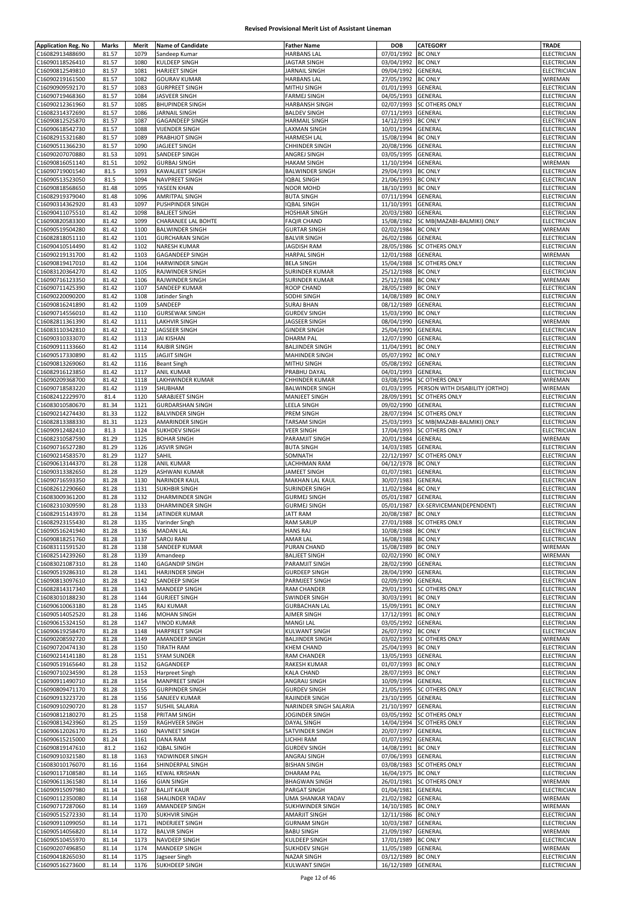| <b>Application Reg. No</b>         | Marks          | Merit        | <b>Name of Candidate</b>                        | <b>Father Name</b>                         | DOB                                      | <b>CATEGORY</b>                                     | <b>TRADE</b>                      |
|------------------------------------|----------------|--------------|-------------------------------------------------|--------------------------------------------|------------------------------------------|-----------------------------------------------------|-----------------------------------|
| C16082913488690                    | 81.57          | 1079         | Sandeep Kumar                                   | <b>HARBANS LAL</b>                         | 07/01/1992                               | <b>BC ONLY</b>                                      | ELECTRICIAN                       |
| C16090118526410<br>C16090812549810 | 81.57<br>81.57 | 1080<br>1081 | <b>KULDEEP SINGH</b><br><b>HARJEET SINGH</b>    | JAGTAR SINGH<br>JARNAIL SINGH              | 03/04/1992<br>09/04/1992 GENERAL         | <b>BC ONLY</b>                                      | ELECTRICIAN<br>ELECTRICIAN        |
| C16090219161500                    | 81.57          | 1082         | <b>GOURAV KUMAR</b>                             | <b>HARBANS LAL</b>                         | 27/05/1992                               | <b>BC ONLY</b>                                      | WIREMAN                           |
| C16090909592170                    | 81.57          | 1083         | <b>GURPREET SINGH</b>                           | MITHU SINGH                                | 01/01/1993                               | GENERAL                                             | ELECTRICIAN                       |
| C16090719468360                    | 81.57          | 1084         | <b>JASVEER SINGH</b>                            | <b>FARMEJ SINGH</b>                        | 04/05/1993                               | GENERAL                                             | ELECTRICIAN                       |
| C16090212361960                    | 81.57          | 1085         | <b>BHUPINDER SINGH</b>                          | <b>HARBANSH SINGH</b>                      | 02/07/1993                               | <b>SC OTHERS ONLY</b>                               | ELECTRICIAN                       |
| C16082314372690                    | 81.57          | 1086         | <b>JARNAIL SINGH</b>                            | <b>BALDEV SINGH</b>                        | 07/11/1993                               | GENERAL                                             | ELECTRICIAN                       |
| C16090812525870<br>C16090618542730 | 81.57<br>81.57 | 1087<br>1088 | <b>GAGANDEEP SINGH</b><br><b>VIJENDER SINGH</b> | <b>HARMAIL SINGH</b><br>LAXMAN SINGH       | 14/12/1993<br>10/01/1994                 | <b>BC ONLY</b><br>GENERAL                           | ELECTRICIAN<br>ELECTRICIAN        |
| C16082915321680                    | 81.57          | 1089         | PRABHJOT SINGH                                  | <b>HARMESH LAL</b>                         | 15/08/1994                               | <b>BC ONLY</b>                                      | ELECTRICIAN                       |
| C16090511366230                    | 81.57          | 1090         | JAGJEET SINGH                                   | CHHINDER SINGH                             | 20/08/1996                               | GENERAL                                             | ELECTRICIAN                       |
| C16090207070880                    | 81.53          | 1091         | SANDEEP SINGH                                   | ANGREJ SINGH                               | 03/05/1995 GENERAL                       |                                                     | ELECTRICIAN                       |
| C16090816051140                    | 81.51          | 1092         | <b>GURBAJ SINGH</b>                             | <b>HAKAM SINGH</b>                         | 11/10/1994                               | GENERAL                                             | WIREMAN                           |
| C16090719001540                    | 81.5           | 1093         | <b>KAWALJEET SINGH</b>                          | <b>BALWINDER SINGH</b>                     | 29/04/1993                               | <b>BC ONLY</b>                                      | ELECTRICIAN                       |
| C16090513523050                    | 81.5           | 1094<br>1095 | NAVPREET SINGH<br>YASEEN KHAN                   | <b>IQBAL SINGH</b>                         | 21/06/1993                               | <b>BC ONLY</b>                                      | ELECTRICIAN<br>ELECTRICIAN        |
| C16090818568650<br>C16082919379040 | 81.48<br>81.48 | 1096         | AMRITPAL SINGH                                  | <b>NOOR MOHD</b><br><b>BUTA SINGH</b>      | 18/10/1993<br>07/11/1994                 | <b>BC ONLY</b><br>GENERAL                           | ELECTRICIAN                       |
| C16090314362920                    | 81.43          | 1097         | PUSHPINDER SINGH                                | <b>IQBAL SINGH</b>                         | 11/10/1991                               | GENERAL                                             | ELECTRICIAN                       |
| C16090411075510                    | 81.42          | 1098         | <b>BALJEET SINGH</b>                            | HOSHIAR SINGH                              | 20/03/1980                               | <b>GENERAL</b>                                      | ELECTRICIAN                       |
| C16090820583300                    | 81.42          | 1099         | CHARANJEE LAL BOHTE                             | <b>FAQIR CHAND</b>                         | 15/08/1982                               | SC MB(MAZABI-BALMIKI) ONLY                          | ELECTRICIAN                       |
| C16090519504280                    | 81.42          | 1100         | <b>BALWINDER SINGH</b>                          | <b>GURTAR SINGH</b>                        | 02/02/1984                               | <b>BC ONLY</b>                                      | WIREMAN                           |
| C16082818051110                    | 81.42          | 1101<br>1102 | <b>GURCHARAN SINGH</b>                          | <b>BALVIR SINGH</b>                        | 26/02/1986                               | <b>GENERAL</b>                                      | ELECTRICIAN                       |
| C16090410514490<br>C16090219131700 | 81.42<br>81.42 | 1103         | <b>NARESH KUMAR</b><br><b>GAGANDEEP SINGH</b>   | <b>JAGDISH RAM</b><br><b>HARPAL SINGH</b>  | 28/05/1986<br>12/01/1988                 | <b>SC OTHERS ONLY</b><br>GENERAL                    | ELECTRICIAN<br>WIREMAN            |
| C16090819417010                    | 81.42          | 1104         | HARWINDER SINGH                                 | <b>BELA SINGH</b>                          | 15/04/1988                               | <b>SC OTHERS ONLY</b>                               | ELECTRICIAN                       |
| C16083120364270                    | 81.42          | 1105         | RAJWINDER SINGH                                 | SURINDER KUMAR                             | 25/12/1988 BC ONLY                       |                                                     | ELECTRICIAN                       |
| C16090716123350                    | 81.42          | 1106         | RAJWINDER SINGH                                 | SURINDER KUMAR                             | 25/12/1988 BC ONLY                       |                                                     | WIREMAN                           |
| C16090711425390                    | 81.42          | 1107         | SANDEEP KUMAR                                   | ROOP CHAND                                 | 28/05/1989                               | <b>BC ONLY</b>                                      | ELECTRICIAN                       |
| C16090220090200<br>C16090816241890 | 81.42<br>81.42 | 1108<br>1109 | Jatinder Singh<br>SANDEEP                       | SODHI SINGH<br><b>SURAJ BHAN</b>           | 14/08/1989 BC ONLY<br>08/12/1989         | GENERAL                                             | <b>ELECTRICIAN</b><br>ELECTRICIAN |
| C16090714556010                    | 81.42          | 1110         | <b>GURSEWAK SINGH</b>                           | <b>GURDEV SINGH</b>                        | 15/03/1990                               | <b>BC ONLY</b>                                      | ELECTRICIAN                       |
| C16082811361390                    | 81.42          | 1111         | <b>LAKHVIR SINGH</b>                            | JAGSEER SINGH                              | 08/04/1990                               | <b>GENERAL</b>                                      | WIREMAN                           |
| C16083110342810                    | 81.42          | 1112         | JAGSEER SINGH                                   | <b>GINDER SINGH</b>                        | 25/04/1990                               | GENERAL                                             | ELECTRICIAN                       |
| C16090310333070                    | 81.42          | 1113         | <b>JAI KISHAN</b>                               | <b>DHARM PAL</b>                           | 12/07/1990                               | GENERAL                                             | ELECTRICIAN                       |
| C16090911133660                    | 81.42          | 1114         | <b>RAJBIR SINGH</b>                             | <b>BALJINDER SINGH</b>                     | 11/04/1991                               | <b>BC ONLY</b>                                      | <b>ELECTRICIAN</b>                |
| C16090517330890                    | 81.42          | 1115         | JAGJIT SINGH                                    | <b>MAHINDER SINGH</b>                      | 05/07/1992                               | <b>BC ONLY</b>                                      | ELECTRICIAN                       |
| C16090813269060<br>C16082916123850 | 81.42<br>81.42 | 1116<br>1117 | <b>Beant Singh</b><br><b>ANIL KUMAR</b>         | MITHU SINGH<br>PRABHU DAYAL                | 05/08/1992<br>04/01/1993                 | <b>GENERAL</b><br>GENERAL                           | <b>ELECTRICIAN</b><br>ELECTRICIAN |
| C16090209368700                    | 81.42          | 1118         | LAKHWINDER KUMAR                                | CHHINDER KUMAR                             |                                          | 03/08/1994 SC OTHERS ONLY                           | WIREMAN                           |
| C16090718583220                    | 81.42          | 1119         | SHUBHAM                                         | <b>BALWINDER SINGH</b>                     | 01/03/1995                               | PERSON WITH DISABILITY (ORTHO)                      | WIREMAN                           |
| C16082412229970                    | 81.4           | 1120         | SARABJEET SINGH                                 | MANJEET SINGH                              | 28/09/1991                               | <b>SC OTHERS ONLY</b>                               | ELECTRICIAN                       |
| C16083010580670                    | 81.34          | 1121         | <b>GURDARSHAN SINGH</b>                         | LEELA SINGH                                | 09/02/1990 GENERAL                       |                                                     | ELECTRICIAN                       |
| C16090214274430                    | 81.33          | 1122         | <b>BALVINDER SINGH</b>                          | PREM SINGH                                 | 28/07/1994                               | <b>SC OTHERS ONLY</b>                               | ELECTRICIAN                       |
| C16082813388330<br>C16090912482410 | 81.31<br>81.3  | 1123<br>1124 | AMARINDER SINGH<br><b>SUKHDEV SINGH</b>         | TARSAM SINGH<br>VEER SINGH                 | 25/03/1993<br>17/04/1993                 | SC MB(MAZABI-BALMIKI) ONLY<br><b>SC OTHERS ONLY</b> | ELECTRICIAN<br>ELECTRICIAN        |
| C16082310587590                    | 81.29          | 1125         | <b>BOHAR SINGH</b>                              | PARAMJIT SINGH                             | 20/01/1984                               | GENERAL                                             | WIREMAN                           |
| C16090716527280                    | 81.29          | 1126         | <b>JASVIR SINGH</b>                             | <b>BUTA SINGH</b>                          | 14/03/1985                               | <b>GENERAL</b>                                      | ELECTRICIAN                       |
| C16090214583570                    | 81.29          | 1127         | SAHIL                                           | SOMNATH                                    | 22/12/1997                               | <b>SC OTHERS ONLY</b>                               | ELECTRICIAN                       |
| C16090613144370                    | 81.28          | 1128         | <b>ANIL KUMAR</b>                               | LACHHMAN RAM                               | 04/12/1978 BC ONLY                       |                                                     | ELECTRICIAN                       |
| C16090313382650                    | 81.28          | 1129         | ASHWANI KUMAR                                   | JAMEET SINGH                               | 01/07/1981                               | <b>GENERAL</b>                                      | <b>ELECTRICIAN</b>                |
| C16090716593350<br>C16082612290660 | 81.28          | 1130         | NARINDER KAUL                                   | MAKHAN LAL KAUL<br><b>SURINDER SINGH</b>   | 30/07/1983                               | GENERAL                                             | ELECTRICIAN                       |
| C16083009361200                    | 81.28<br>81.28 | 1131<br>1132 | <b>SUKHBIR SINGH</b><br><b>DHARMINDER SINGH</b> | <b>GURMEJ SINGH</b>                        | 11/02/1984 BC ONLY<br>05/01/1987         | GENERAL                                             | ELECTRICIAN<br>ELECTRICIAN        |
| C16082310309590                    | 81.28          | 1133         | <b>DHARMINDER SINGH</b>                         | <b>GURMEJ SINGH</b>                        | 05/01/1987                               | EX-SERVICEMAN(DEPENDENT)                            | ELECTRICIAN                       |
| C16082915143970                    | 81.28          | 1134         | JATINDER KUMAR                                  | <b>JATT RAM</b>                            | 20/08/1987 BC ONLY                       |                                                     | ELECTRICIAN                       |
| C16082923155430                    | 81.28          | 1135         | Varinder Singh                                  | <b>RAM SARUP</b>                           |                                          | 27/01/1988 SC OTHERS ONLY                           | <b>FLFCTRICIAN</b>                |
| C16090516241940                    | 81.28          | 1136         | <b>MADAN LAL</b>                                | <b>HANS RAJ</b>                            | 10/08/1988 BC ONLY                       |                                                     | <b>ELECTRICIAN</b>                |
| C16090818251760                    | 81.28          | 1137         | <b>SAROJ RANI</b>                               | AMAR LAL                                   | 16/08/1988 BC ONLY                       |                                                     | ELECTRICIAN                       |
| C16083111591520<br>C16082514239260 | 81.28<br>81.28 | 1138<br>1139 | SANDEEP KUMAR<br>Amandeep                       | PURAN CHAND<br><b>BALJEET SINGH</b>        | 15/08/1989 BC ONLY<br>02/02/1990         | <b>BC ONLY</b>                                      | WIREMAN<br>WIREMAN                |
| C16083021087310                    | 81.28          | 1140         | <b>GAGANDIP SINGH</b>                           | PARAMJIT SINGH                             | 28/02/1990 GENERAL                       |                                                     | ELECTRICIAN                       |
| C16090519286310                    | 81.28          | 1141         | <b>HARJINDER SINGH</b>                          | <b>GURDEEP SINGH</b>                       | 28/04/1990 GENERAL                       |                                                     | ELECTRICIAN                       |
| C16090813097610                    | 81.28          | 1142         | SANDEEP SINGH                                   | PARMJEET SINGH                             | 02/09/1990                               | <b>GENERAL</b>                                      | ELECTRICIAN                       |
| C16082814317340                    | 81.28          | 1143         | <b>MANDEEP SINGH</b>                            | RAM CHANDER                                | 29/01/1991                               | <b>SC OTHERS ONLY</b>                               | ELECTRICIAN                       |
| C16083010188230                    | 81.28          | 1144         | <b>GURJEET SINGH</b>                            | <b>SWINDER SINGH</b>                       | 30/03/1991 BC ONLY                       |                                                     | ELECTRICIAN                       |
| C16090610063180<br>C16090514052520 | 81.28<br>81.28 | 1145<br>1146 | <b>RAJ KUMAR</b><br><b>MOHAN SINGH</b>          | <b>GURBACHAN LAL</b><br>AJMER SINGH        | 15/09/1991 BC ONLY<br>17/12/1991 BC ONLY |                                                     | ELECTRICIAN<br>ELECTRICIAN        |
| C16090615324150                    | 81.28          | 1147         | <b>VINOD KUMAR</b>                              | <b>MANGI LAL</b>                           | 03/05/1992                               | <b>GENERAL</b>                                      | ELECTRICIAN                       |
| C16090619258470                    | 81.28          | 1148         | <b>HARPREET SINGH</b>                           | <b>KULWANT SINGH</b>                       | 26/07/1992                               | <b>BC ONLY</b>                                      | ELECTRICIAN                       |
| C16090208592720                    | 81.28          | 1149         | AMANDEEP SINGH                                  | <b>BALJINDER SINGH</b>                     | 03/02/1993                               | <b>SC OTHERS ONLY</b>                               | WIREMAN                           |
| C16090720474130                    | 81.28          | 1150         | <b>TIRATH RAM</b>                               | <b>KHEM CHAND</b>                          | 25/04/1993 BC ONLY                       |                                                     | ELECTRICIAN                       |
| C16090214141180                    | 81.28          | 1151         | <b>SYAM SUNDER</b>                              | RAM CHANDER                                | 13/05/1993 GENERAL                       |                                                     | ELECTRICIAN                       |
| C16090519165640<br>C16090710234590 | 81.28<br>81.28 | 1152<br>1153 | GAGANDEEP                                       | RAKESH KUMAR<br>KALA CHAND                 | 01/07/1993 BC ONLY<br>28/07/1993 BC ONLY |                                                     | ELECTRICIAN<br>ELECTRICIAN        |
| C16090911490710                    | 81.28          | 1154         | Harpreet Singh<br><b>MANPREET SINGH</b>         | ANGRAIJ SINGH                              | 10/09/1994                               | <b>GENERAL</b>                                      | ELECTRICIAN                       |
| C16090809471170                    | 81.28          | 1155         | <b>GURPINDER SINGH</b>                          | <b>GURDEV SINGH</b>                        |                                          | 21/05/1995 SC OTHERS ONLY                           | ELECTRICIAN                       |
| C16090913223720                    | 81.28          | 1156         | SANJEEV KUMAR                                   | RAJINDER SINGH                             | 23/10/1995                               | <b>GENERAL</b>                                      | ELECTRICIAN                       |
| C16090910290720                    | 81.28          | 1157         | SUSHIL SALARIA                                  | NARINDER SINGH SALARIA                     | 21/10/1997                               | GENERAL                                             | ELECTRICIAN                       |
| C16090812180270                    | 81.25          | 1158         | PRITAM SINGH                                    | JOGINDER SINGH                             |                                          | 03/05/1992 SC OTHERS ONLY                           | ELECTRICIAN                       |
| C16090813423960                    | 81.25          | 1159         | RAGHVEER SINGH                                  | <b>DAYAL SINGH</b>                         | 14/04/1994                               | <b>SC OTHERS ONLY</b>                               | <b>ELECTRICIAN</b>                |
| C16090612026170<br>C16090615215000 | 81.25<br>81.24 | 1160<br>1161 | NAVNEET SINGH<br><b>DANA RAM</b>                | SATVINDER SINGH<br>LICHHI RAM              | 20/07/1997 GENERAL<br>01/07/1992 GENERAL |                                                     | ELECTRICIAN<br>ELECTRICIAN        |
| C16090819147610                    | 81.2           | 1162         | <b>IQBAL SINGH</b>                              | <b>GURDEV SINGH</b>                        | 14/08/1991 BC ONLY                       |                                                     | ELECTRICIAN                       |
| C16090910321580                    | 81.18          | 1163         | YADWINDER SINGH                                 | ANGRAJ SINGH                               | 07/06/1993 GENERAL                       |                                                     | ELECTRICIAN                       |
| C16083010176070                    | 81.16          | 1164         | SHINDERPAL SINGH                                | <b>BISHAN SINGH</b>                        |                                          | 03/08/1983 SC OTHERS ONLY                           | ELECTRICIAN                       |
| C16090117108580                    | 81.14          | 1165         | <b>KEWAL KRISHAN</b>                            | <b>DHARAM PAL</b>                          | 16/04/1975 BC ONLY                       |                                                     | ELECTRICIAN                       |
| C16090611361580                    | 81.14          | 1166         | <b>GIAN SINGH</b>                               | <b>BHAGWAN SINGH</b>                       |                                          | 26/01/1981 SC OTHERS ONLY                           | WIREMAN                           |
| C16090915097980<br>C16090112350080 | 81.14<br>81.14 | 1167<br>1168 | <b>BALJIT KAUR</b><br>SHALINDER YADAV           | PARGAT SINGH<br>UMA SHANKAR YADAV          | 01/04/1981 GENERAL<br>21/02/1982 GENERAL |                                                     | ELECTRICIAN<br>WIREMAN            |
| C16090717287060                    | 81.14          | 1169         | AMANDEEP SINGH                                  | SUKHWINDER SINGH                           | 14/10/1985 BC ONLY                       |                                                     | WIREMAN                           |
| C16090515272330                    | 81.14          | 1170         | <b>SUKHVIR SINGH</b>                            | <b>AMARJIT SINGH</b>                       | 12/11/1986 BC ONLY                       |                                                     | ELECTRICIAN                       |
| C16090911099050                    | 81.14          | 1171         | <b>INDERJEET SINGH</b>                          | <b>GURNAM SINGH</b>                        | 10/03/1987 GENERAL                       |                                                     | ELECTRICIAN                       |
| C16090514056820                    | 81.14          | 1172         | <b>BALVIR SINGH</b>                             | <b>BABU SINGH</b>                          | 21/09/1987                               | GENERAL                                             | WIREMAN                           |
|                                    |                |              |                                                 |                                            |                                          |                                                     | ELECTRICIAN                       |
| C16090510455970                    | 81.14          | 1173         | NAVDEEP SINGH                                   | KULDEEP SINGH                              | 17/01/1989 BC ONLY                       |                                                     |                                   |
| C16090207496850<br>C16090418265030 | 81.14<br>81.14 | 1174<br>1175 | MANDEEP SINGH<br>Jagseer Singh                  | <b>SUKHDEV SINGH</b><br><b>NAZAR SINGH</b> | 11/05/1989 GENERAL<br>03/12/1989 BC ONLY |                                                     | WIREMAN<br>ELECTRICIAN            |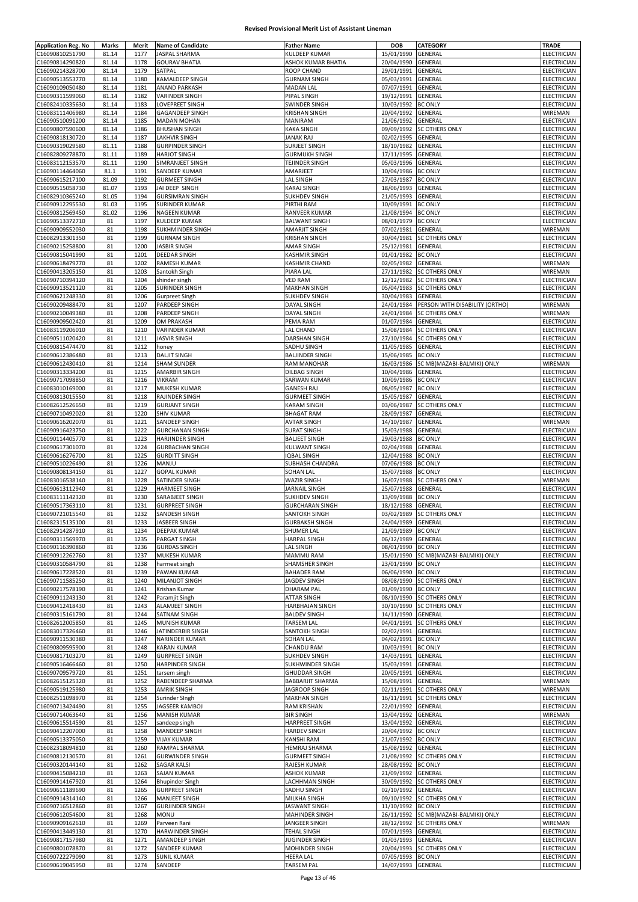| <b>Application Reg. No</b> | Marks | Merit | <b>Name of Candidate</b> | <b>Father Name</b>     | DOB                | <b>CATEGORY</b>                       | <b>TRADE</b>       |
|----------------------------|-------|-------|--------------------------|------------------------|--------------------|---------------------------------------|--------------------|
| C16090810251790            | 81.14 | 1177  | JASPAL SHARMA            | KULDEEP KUMAR          | 15/01/1990         | GENERAL                               | ELECTRICIAN        |
|                            |       |       |                          |                        |                    |                                       |                    |
| C16090814290820            | 81.14 | 1178  | <b>GOURAV BHATIA</b>     | ASHOK KUMAR BHATIA     | 20/04/1990         | GENERAL                               | ELECTRICIAN        |
| C16090214328700            | 81.14 | 1179  | SATPAL                   | <b>ROOP CHAND</b>      | 29/01/1991         | GENERAL                               | ELECTRICIAN        |
| C16090513553770            | 81.14 | 1180  | KAMALDEEP SINGH          | <b>GURNAM SINGH</b>    | 05/03/1991         | GENERAL                               | ELECTRICIAN        |
| C16090109050480            | 81.14 | 1181  | <b>ANAND PARKASH</b>     | <b>MADAN LAL</b>       | 07/07/1991         | GENERAL                               | ELECTRICIAN        |
| C16090311599060            | 81.14 | 1182  | <b>VARINDER SINGH</b>    | PIPAL SINGH            | 19/12/1991         | GENERAL                               | ELECTRICIAN        |
| C16082410335630            | 81.14 | 1183  | <b>LOVEPREET SINGH</b>   | SWINDER SINGH          | 10/03/1992         | <b>BC ONLY</b>                        | ELECTRICIAN        |
| C16083111406980            | 81.14 | 1184  | <b>GAGANDEEP SINGH</b>   | KRISHAN SINGH          | 20/04/1992         | <b>GENERAL</b>                        | WIREMAN            |
|                            |       |       |                          |                        |                    |                                       |                    |
| C16090510091200            | 81.14 | 1185  | <b>MADAN MOHAN</b>       | MANIRAM                | 21/06/1992         | GENERAL                               | ELECTRICIAN        |
| C16090807590600            | 81.14 | 1186  | <b>BHUSHAN SINGH</b>     | <b>KAKA SINGH</b>      | 09/09/1992         | <b>SC OTHERS ONLY</b>                 | ELECTRICIAN        |
| C16090818130720            | 81.14 | 1187  | LAKHVIR SINGH            | JANAK RAJ              | 02/02/1995         | <b>GENERAL</b>                        | ELECTRICIAN        |
| C16090319029580            | 81.11 | 1188  | <b>GURPINDER SINGH</b>   | SURJEET SINGH          | 18/10/1982         | GENERAL                               | <b>ELECTRICIAN</b> |
| C16082809278870            | 81.11 | 1189  | <b>HARJOT SINGH</b>      | <b>GURMUKH SINGH</b>   | 17/11/1995         | GENERAL                               | ELECTRICIAN        |
| C16083112153570            | 81.11 | 1190  | SIMRANJEET SINGH         | TEJINDER SINGH         | 05/03/1996         | GENERAL                               | ELECTRICIAN        |
| C16090114464060            | 81.1  | 1191  | SANDEEP KUMAR            | AMARJEET               | 10/04/1986         | <b>BC ONLY</b>                        | ELECTRICIAN        |
|                            |       |       |                          |                        |                    |                                       |                    |
| C16090615217100            | 81.09 | 1192  | <b>GURMEET SINGH</b>     | LAL SINGH              | 27/03/1987         | <b>BC ONLY</b>                        | <b>ELECTRICIAN</b> |
| C16090515058730            | 81.07 | 1193  | JAI DEEP SINGH           | KARAJ SINGH            | 18/06/1993         | GENERAL                               | ELECTRICIAN        |
| C16082910365240            | 81.05 | 1194  | <b>GURSIMRAN SINGH</b>   | SUKHDEV SINGH          | 21/05/1993         | <b>GENERAL</b>                        | ELECTRICIAN        |
| C16090912295530            | 81.03 | 1195  | <b>SURINDER KUMAR</b>    | PIRTHI RAM             | 10/09/1991         | <b>BC ONLY</b>                        | ELECTRICIAN        |
| C16090812569450            | 81.02 | 1196  | NAGEEN KUMAR             | RANVEER KUMAR          | 21/08/1994         | <b>BC ONLY</b>                        | ELECTRICIAN        |
| C16090513372710            | 81    | 1197  | <b>KULDEEP KUMAR</b>     | <b>BALWANT SINGH</b>   | 08/01/1979         | <b>BC ONLY</b>                        | ELECTRICIAN        |
| C16090909552030            | 81    | 1198  | SUKHMINDER SINGH         | AMARJIT SINGH          | 07/02/1981         | GENERAL                               | WIREMAN            |
|                            |       |       |                          |                        |                    |                                       |                    |
| C16082913301350            | 81    | 1199  | <b>GURNAM SINGH</b>      | <b>KRISHAN SINGH</b>   | 30/04/1981         | <b>SC OTHERS ONLY</b>                 | ELECTRICIAN        |
| C16090215258800            | 81    | 1200  | <b>JASBIR SINGH</b>      | AMAR SINGH             | 25/12/1981         | <b>GENERAL</b>                        | ELECTRICIAN        |
| C16090815041990            | 81    | 1201  | <b>DEEDAR SINGH</b>      | <b>KASHMIR SINGH</b>   | 01/01/1982         | <b>BC ONLY</b>                        | ELECTRICIAN        |
| C16090618479770            | 81    | 1202  | RAMESH KUMAR             | KASHMIR CHAND          | 02/05/1982         | <b>GENERAL</b>                        | WIREMAN            |
| C16090413205150            | 81    | 1203  | Santokh Singh            | PIARA LAL              | 27/11/1982         | <b>SC OTHERS ONLY</b>                 | WIREMAN            |
| C16090710394120            | 81    | 1204  | shinder singh            | <b>VED RAM</b>         | 12/12/1982         | <b>SC OTHERS ONLY</b>                 | ELECTRICIAN        |
| C16090913521120            | 81    | 1205  |                          | <b>MAKHAN SINGH</b>    | 05/04/1983         | <b>SC OTHERS ONLY</b>                 | <b>ELECTRICIAN</b> |
|                            |       |       | SURINDER SINGH           |                        |                    |                                       |                    |
| C16090621248330            | 81    | 1206  | <b>Gurpreet Singh</b>    | <b>SUKHDEV SINGH</b>   | 30/04/1983         | GENERAL                               | ELECTRICIAN        |
| C16090209488470            | 81    | 1207  | PARDEEP SINGH            | <b>DAYAL SINGH</b>     | 24/01/1984         | PERSON WITH DISABILITY (ORTHO)        | WIREMAN            |
| C16090210049380            | 81    | 1208  | PARDEEP SINGH            | <b>DAYAL SINGH</b>     | 24/01/1984         | <b>SC OTHERS ONLY</b>                 | WIREMAN            |
| C16090909502420            | 81    | 1209  | OM PRAKASH               | PEMA RAM               | 01/07/1984         | <b>GENERAL</b>                        | ELECTRICIAN        |
| C16083119206010            | 81    | 1210  | <b>VARINDER KUMAR</b>    | <b>LAL CHAND</b>       | 15/08/1984         | <b>SC OTHERS ONLY</b>                 | ELECTRICIAN        |
| C16090511020420            | 81    | 1211  | <b>JASVIR SINGH</b>      | DARSHAN SINGH          | 27/10/1984         | <b>SC OTHERS ONLY</b>                 | <b>ELECTRICIAN</b> |
| C16090815474470            |       | 1212  |                          |                        |                    |                                       |                    |
|                            | 81    |       | honey                    | SADHU SINGH            | 11/05/1985         | <b>GENERAL</b>                        | ELECTRICIAN        |
| C16090612386480            | 81    | 1213  | <b>DALJIT SINGH</b>      | <b>BALJINDER SINGH</b> | 15/06/1985         | <b>BC ONLY</b>                        | ELECTRICIAN        |
| C16090612430410            | 81    | 1214  | <b>SHAM SUNDER</b>       | RAM MANOHAR            | 16/03/1986         | SC MB(MAZABI-BALMIKI) ONLY            | WIREMAN            |
| C16090313334200            | 81    | 1215  | <b>AMARBIR SINGH</b>     | <b>DILBAG SINGH</b>    | 10/04/1986         | GENERAL                               | ELECTRICIAN        |
| C16090717098850            | 81    | 1216  | <b>VIKRAM</b>            | SARWAN KUMAR           | 10/09/1986         | <b>BC ONLY</b>                        | ELECTRICIAN        |
| C16083010169000            | 81    | 1217  | MUKESH KUMAR             | <b>GANESH RAJ</b>      | 08/05/1987         | <b>BC ONLY</b>                        | ELECTRICIAN        |
| C16090813015550            | 81    | 1218  | RAJINDER SINGH           | <b>GURMEET SINGH</b>   | 15/05/1987         | GENERAL                               | ELECTRICIAN        |
|                            |       |       |                          |                        |                    |                                       |                    |
| C16082612526650            | 81    | 1219  | <b>GURJANT SINGH</b>     | <b>KARAM SINGH</b>     | 03/06/1987         | <b>SC OTHERS ONLY</b>                 | ELECTRICIAN        |
| C16090710492020            | 81    | 1220  | <b>SHIV KUMAR</b>        | <b>BHAGAT RAM</b>      | 28/09/1987         | <b>GENERAL</b>                        | ELECTRICIAN        |
| C16090616202070            | 81    | 1221  | SANDEEP SINGH            | <b>AVTAR SINGH</b>     | 14/10/1987         | GENERAL                               | WIREMAN            |
| C16090916423750            | 81    | 1222  | <b>GURCHANAN SINGH</b>   | <b>SURAT SINGH</b>     | 15/03/1988         | GENERAL                               | ELECTRICIAN        |
| C16090114405770            | 81    | 1223  | HARJINDER SINGH          | <b>BALJEET SINGH</b>   | 29/03/1988         | <b>BC ONLY</b>                        | ELECTRICIAN        |
| C16090617301070            | 81    | 1224  | <b>GURBACHAN SINGH</b>   | KULWANT SINGH          | 02/04/1988         | GENERAL                               | ELECTRICIAN        |
| C16090616276700            | 81    | 1225  | <b>GURDITT SINGH</b>     | <b>IQBAL SINGH</b>     | 12/04/1988         | <b>BC ONLY</b>                        | ELECTRICIAN        |
|                            |       |       |                          |                        |                    |                                       |                    |
| C16090510226490            | 81    | 1226  | MANJU                    | SUBHASH CHANDRA        | 07/06/1988         | <b>BC ONLY</b>                        | ELECTRICIAN        |
| C16090808134150            | 81    | 1227  | <b>GOPAL KUMAR</b>       | SOHAN LAL              | 15/07/1988         | <b>BC ONLY</b>                        | ELECTRICIAN        |
| C16083016538140            | 81    | 1228  | SATINDER SINGH           | WAZIR SINGH            | 16/07/1988         | <b>SC OTHERS ONLY</b>                 | WIREMAN            |
| C16090613112940            | 81    | 1229  | HARMEET SINGH            | JARNAIL SINGH          | 25/07/1988         | <b>GENERAL</b>                        | ELECTRICIAN        |
| C16083111142320            | 81    | 1230  | SARABJEET SINGH          | <b>SUKHDEV SINGH</b>   | 13/09/1988         | <b>BC ONLY</b>                        | ELECTRICIAN        |
| C16090517363110            | 81    | 1231  | <b>GURPREET SINGH</b>    | <b>GURCHARAN SINGH</b> | 18/12/1988         | GENERAL                               | ELECTRICIAN        |
| C16090721015540            | 81    | 1232  | SANDESH SINGH            | <b>SANTOKH SINGH</b>   | 03/02/1989         | <b>SC OTHERS ONLY</b>                 | ELECTRICIAN        |
|                            |       |       |                          |                        |                    |                                       |                    |
| C16082315135100            | 81    | 1233  | JASBEER SINGH            | GURBAKSH SINGH         | 24/04/1989 GENERAL |                                       | ELECTRICIAN        |
| C16082914287910            | 81    | 1234  | DEEPAK KUMAR             | SHUMER LAL             | 21/09/1989 BC ONLY |                                       | ELECTRICIAN        |
| C16090311569970            | 81    | 1235  | PARGAT SINGH             | <b>HARPAL SINGH</b>    | 06/12/1989         | <b>GENERAL</b>                        | ELECTRICIAN        |
| C16090116390860            | 81    | 1236  | <b>GURDAS SINGH</b>      | <b>LAL SINGH</b>       | 08/01/1990 BC ONLY |                                       | ELECTRICIAN        |
| C16090912262760            | 81    | 1237  | MUKESH KUMAR             | MAMMU RAM              |                    | 15/01/1990 SC MB(MAZABI-BALMIKI) ONLY | <b>ELECTRICIAN</b> |
| C16090310584790            | 81    | 1238  | harmeet singh            | SHAMSHER SINGH         | 23/01/1990 BC ONLY |                                       | ELECTRICIAN        |
| C16090617228520            | 81    | 1239  | PAWAN KUMAR              | <b>BAHADER RAM</b>     | 06/06/1990 BC ONLY |                                       | ELECTRICIAN        |
|                            |       |       |                          |                        |                    |                                       |                    |
| C16090711585250            | 81    | 1240  | MILANJOT SINGH           | JAGDEV SINGH           |                    | 08/08/1990 SC OTHERS ONLY             | ELECTRICIAN        |
| C16090217578190            | 81    | 1241  | Krishan Kumar            | <b>DHARAM PAL</b>      | 01/09/1990 BC ONLY |                                       | ELECTRICIAN        |
| C16090911243130            | 81    | 1242  | Paramjit Singh           | ATTAR SINGH            | 08/10/1990         | <b>SC OTHERS ONLY</b>                 | ELECTRICIAN        |
| C16090412418430            | 81    | 1243  | <b>ALAMJEET SINGH</b>    | HARBHAJAN SINGH        | 30/10/1990         | <b>SC OTHERS ONLY</b>                 | ELECTRICIAN        |
| C16090315161790            | 81    | 1244  | SATNAM SINGH             | <b>BALDEV SINGH</b>    | 14/11/1990 GENERAL |                                       | ELECTRICIAN        |
| C16082612005850            | 81    | 1245  | MUNISH KUMAR             | <b>TARSEM LAL</b>      | 04/01/1991         | <b>SC OTHERS ONLY</b>                 | ELECTRICIAN        |
| C16083017326460            | 81    | 1246  | JATINDERBIR SINGH        | SANTOKH SINGH          | 02/02/1991         | GENERAL                               | ELECTRICIAN        |
| C16090911530380            | 81    | 1247  | NARINDER KUMAR           | <b>SOHAN LAL</b>       | 04/02/1991         | <b>BC ONLY</b>                        | <b>ELECTRICIAN</b> |
|                            |       |       |                          | <b>CHANDU RAM</b>      |                    |                                       |                    |
| C16090809595900            | 81    | 1248  | <b>KARAN KUMAR</b>       |                        | 10/03/1991         | <b>BC ONLY</b>                        | ELECTRICIAN        |
| C16090817103270            | 81    | 1249  | <b>GURPREET SINGH</b>    | <b>SUKHDEV SINGH</b>   | 14/03/1991         | GENERAL                               | ELECTRICIAN        |
| C16090516466460            | 81    | 1250  | <b>HARPINDER SINGH</b>   | SUKHWINDER SINGH       | 15/03/1991         | GENERAL                               | ELECTRICIAN        |
| C16090709579720            | 81    | 1251  | tarsem singh             | <b>GHUDDAR SINGH</b>   | 20/05/1991         | GENERAL                               | ELECTRICIAN        |
| C16082615125320            | 81    | 1252  | RABENDEEP SHARMA         | BABBARJIT SHARMA       | 15/08/1991         | GENERAL                               | WIREMAN            |
| C16090519125980            | 81    | 1253  | <b>AMRIK SINGH</b>       | JAGROOP SINGH          | 02/11/1991         | <b>SC OTHERS ONLY</b>                 | WIREMAN            |
| C16082511098970            | 81    | 1254  | Surinder Singh           | <b>MAKHAN SINGH</b>    |                    | 16/11/1991 SC OTHERS ONLY             | ELECTRICIAN        |
| C16090713424490            | 81    | 1255  | JAGSEER KAMBOJ           | <b>RAM KRISHAN</b>     | 22/01/1992         | <b>GENERAL</b>                        | ELECTRICIAN        |
|                            |       |       |                          |                        |                    |                                       |                    |
| C16090714063640            | 81    | 1256  | MANISH KUMAR             | <b>BIR SINGH</b>       | 13/04/1992         | GENERAL                               | WIREMAN            |
| C16090615514590            | 81    | 1257  | sandeep singh            | <b>HARPREET SINGH</b>  | 13/04/1992         | <b>GENERAL</b>                        | ELECTRICIAN        |
| C16090412207000            | 81    | 1258  | MANDEEP SINGH            | <b>HARDEV SINGH</b>    | 20/04/1992         | <b>BC ONLY</b>                        | ELECTRICIAN        |
| C16090513375050            | 81    | 1259  | <b>VIJAY KUMAR</b>       | KANSHI RAM             | 21/07/1992 BC ONLY |                                       | ELECTRICIAN        |
| C16082318094810            | 81    | 1260  | RAMPAL SHARMA            | <b>HEMRAJ SHARMA</b>   | 15/08/1992         | GENERAL                               | ELECTRICIAN        |
| C16090812130570            | 81    | 1261  | <b>GURWINDER SINGH</b>   | <b>GURMEET SINGH</b>   | 21/08/1992         | <b>SC OTHERS ONLY</b>                 | ELECTRICIAN        |
|                            | 81    | 1262  | <b>SAGAR KALSI</b>       | RAJESH KUMAR           |                    | <b>BC ONLY</b>                        | <b>ELECTRICIAN</b> |
| C16090320144140            |       |       |                          |                        | 28/08/1992         |                                       |                    |
| C16090415084210            | 81    | 1263  | <b>SAJAN KUMAR</b>       | <b>ASHOK KUMAR</b>     | 21/09/1992         | GENERAL                               | ELECTRICIAN        |
| C16090914167920            | 81    | 1264  | <b>Bhupinder Singh</b>   | LACHHMAN SINGH         |                    | 30/09/1992 SC OTHERS ONLY             | ELECTRICIAN        |
| C16090611189690            | 81    | 1265  | <b>GURPREET SINGH</b>    | SADHU SINGH            | 02/10/1992         | <b>GENERAL</b>                        | ELECTRICIAN        |
| C16090914314140            | 81    | 1266  | MANJEET SINGH            | MILKHA SINGH           | 09/10/1992         | <b>SC OTHERS ONLY</b>                 | ELECTRICIAN        |
| C16090716512860            | 81    | 1267  | <b>GURJINDER SINGH</b>   | <b>JASWANT SINGH</b>   | 11/10/1992         | <b>BC ONLY</b>                        | <b>ELECTRICIAN</b> |
| C16090612054600            | 81    | 1268  | <b>MONU</b>              | MAHINDER SINGH         | 26/11/1992         | SC MB(MAZABI-BALMIKI) ONLY            | ELECTRICIAN        |
|                            |       |       |                          |                        | 28/12/1992         |                                       |                    |
| C16090909162610            | 81    | 1269  | Parveen Rani             | JANGEER SINGH          |                    | <b>SC OTHERS ONLY</b>                 | WIREMAN            |
| C16090413449130            | 81    | 1270  | HARWINDER SINGH          | <b>TEHAL SINGH</b>     | 07/01/1993 GENERAL |                                       | ELECTRICIAN        |
| C16090817157980            | 81    | 1271  | AMANDEEP SINGH           | JUGINDER SINGH         | 01/03/1993         | GENERAL                               | ELECTRICIAN        |
| C16090801078870            | 81    | 1272  | SANDEEP KUMAR            | MOHINDER SINGH         | 20/04/1993         | <b>SC OTHERS ONLY</b>                 | <b>ELECTRICIAN</b> |
| C16090722279090            | 81    | 1273  | <b>SUNIL KUMAR</b>       | <b>HEERA LAL</b>       | 07/05/1993 BC ONLY |                                       | ELECTRICIAN        |
| C16090619045950            | 81    | 1274  | SANDEEP                  | <b>TARSEM PAL</b>      | 14/07/1993 GENERAL |                                       | <b>ELECTRICIAN</b> |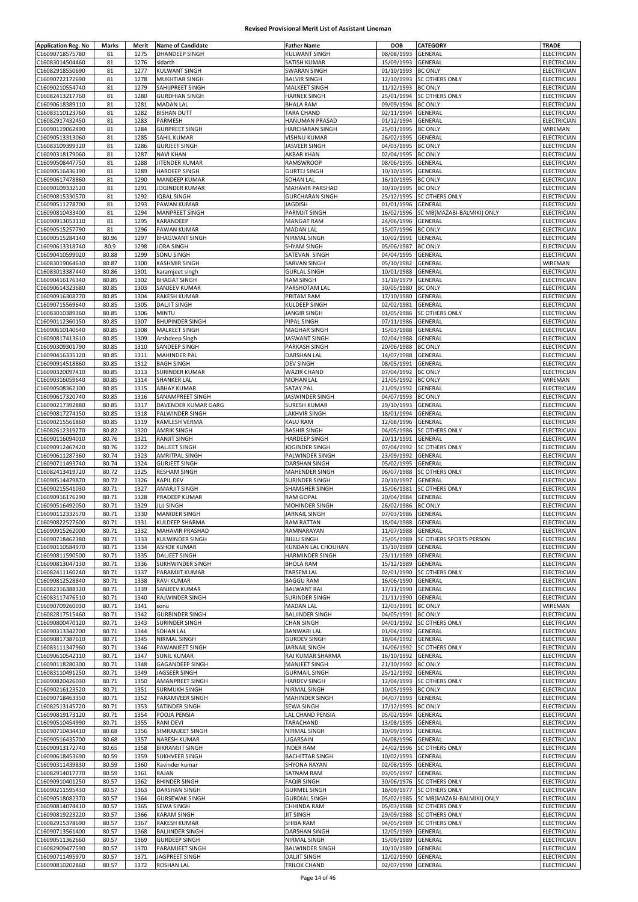| <b>Application Reg. No</b> | Marks | Merit | <b>Name of Candidate</b> | <b>Father Name</b>     | <b>DOB</b>         | CATEGORY                   | <b>TRADE</b>       |
|----------------------------|-------|-------|--------------------------|------------------------|--------------------|----------------------------|--------------------|
| C16090718575780            | 81    | 1275  | DHANDEEP SINGH           | <b>KULWANT SINGH</b>   | 08/08/1993         | GENERAL                    | ELECTRICIAN        |
| C16083014504460            | 81    | 1276  | sidarth                  | SATISH KUMAR           | 15/09/1993         | GENERAL                    | ELECTRICIAN        |
|                            |       |       |                          |                        |                    |                            |                    |
| C16082918550690            | 81    | 1277  | <b>KULWANT SINGH</b>     | <b>SWARAN SINGH</b>    | 01/10/1993         | <b>BC ONLY</b>             | ELECTRICIAN        |
| C16090722172690            | 81    | 1278  | <b>MUKHTIAR SINGH</b>    | <b>BALVIR SINGH</b>    | 12/10/1993         | SC OTHERS ONLY             | ELECTRICIAN        |
| C16090210554740            | 81    | 1279  | SAHIJPREET SINGH         | MALKEET SINGH          | 11/12/1993         | <b>BC ONLY</b>             | ELECTRICIAN        |
| C16082413217760            | 81    | 1280  | <b>GURDHIAN SINGH</b>    | <b>HARNEK SINGH</b>    | 25/01/1994         | <b>SC OTHERS ONLY</b>      | ELECTRICIAN        |
| C16090618389110            | 81    | 1281  | <b>MADAN LAL</b>         | <b>BHALA RAM</b>       | 09/09/1994         | <b>BC ONLY</b>             | ELECTRICIAN        |
| C16083110123760            | 81    | 1282  | <b>BISHAN DUTT</b>       | TARA CHAND             | 02/11/1994         | GENERAL                    | ELECTRICIAN        |
| C16082917432450            | 81    | 1283  | PARMESH                  | HANUMAN PRASAD         | 01/12/1994         | GENERAL                    | ELECTRICIAN        |
| C16090119062490            | 81    | 1284  | <b>GURPREET SINGH</b>    | HARCHARAN SINGH        | 25/01/1995         | <b>BC ONLY</b>             | WIREMAN            |
|                            |       |       |                          |                        |                    |                            |                    |
| C16090513313060            | 81    | 1285  | SAHIL KUMAR              | <b>VISHNU KUMAR</b>    | 26/02/1995         | GENERAL                    | ELECTRICIAN        |
| C16083109399320            | 81    | 1286  | <b>GURJEET SINGH</b>     | JASVEER SINGH          | 04/03/1995         | <b>BC ONLY</b>             | ELECTRICIAN        |
| C16090318179060            | 81    | 1287  | <b>NAVI KHAN</b>         | AKBAR KHAN             | 02/04/1995         | <b>BC ONLY</b>             | ELECTRICIAN        |
| C16090508447750            | 81    | 1288  | JITENDER KUMAR           | RAMSWROOP              | 08/06/1995         | GENERAL                    | <b>ELECTRICIAN</b> |
| C16090516436190            | 81    | 1289  | HARDEEP SINGH            | <b>GURTEJ SINGH</b>    | 10/10/1995         | GENERAL                    | ELECTRICIAN        |
| C16090617478860            | 81    | 1290  | MANDEEP KUMAR            | SOHAN LAL              | 16/10/1995         | <b>BC ONLY</b>             | <b>ELECTRICIAN</b> |
| C16090109332520            | 81    | 1291  | JOGINDER KUMAR           | MAHAVIR PARSHAD        | 30/10/1995         | <b>BC ONLY</b>             | ELECTRICIAN        |
|                            |       |       |                          |                        |                    |                            |                    |
| C16090815330570            | 81    | 1292  | <b>IQBAL SINGH</b>       | <b>GURCHARAN SINGH</b> | 25/12/1995         | <b>SC OTHERS ONLY</b>      | ELECTRICIAN        |
| C16090511278700            | 81    | 1293  | PAWAN KUMAR              | <b>JAGDISH</b>         | 01/01/1996         | GENERAL                    | ELECTRICIAN        |
| C16090810433400            | 81    | 1294  | MANPREET SINGH           | PARMJIT SINGH          | 16/02/1996         | SC MB(MAZABI-BALMIKI) ONLY | <b>ELECTRICIAN</b> |
| C16090913053110            | 81    | 1295  | KARANDEEP                | <b>MANGAT RAM</b>      | 24/06/1996         | GENERAL                    | ELECTRICIAN        |
| C16090515257790            | 81    | 1296  | PAWAN KUMAR              | <b>MADAN LAL</b>       | 15/07/1996         | <b>BC ONLY</b>             | ELECTRICIAN        |
| C16090515284140            | 80.96 | 1297  | <b>BHAGWANT SINGH</b>    | NIRMAL SINGH           | 10/02/1991         | GENERAL                    | ELECTRICIAN        |
| C16090613318740            | 80.9  | 1298  | <b>JORA SINGH</b>        | <b>SHYAM SINGH</b>     | 05/06/1987         | <b>BC ONLY</b>             | ELECTRICIAN        |
|                            |       |       |                          |                        |                    |                            |                    |
| C16090410599020            | 80.88 | 1299  | SONU SINGH               | SATEVAN SINGH          | 04/04/1995         | GENERAL                    | ELECTRICIAN        |
| C16083019064630            | 80.87 | 1300  | <b>KASHMIR SINGH</b>     | SARVAN SINGH           | 05/10/1982         | GENERAL                    | WIREMAN            |
| C16083013387440            | 80.86 | 1301  | karamjeet singh          | <b>GURLAL SINGH</b>    | 10/01/1988         | GENERAL                    | ELECTRICIAN        |
| C16090416176340            | 80.85 | 1302  | <b>BHAGAT SINGH</b>      | <b>RAM SINGH</b>       | 31/10/1979         | GENERAL                    | <b>ELECTRICIAN</b> |
| C16090614323680            | 80.85 | 1303  | SANJEEV KUMAR            | PARSHOTAM LAL          | 30/05/1980         | <b>BC ONLY</b>             | ELECTRICIAN        |
| C16090916308770            | 80.85 | 1304  | <b>RAKESH KUMAR</b>      | PRITAM RAM             | 17/10/1980         | GENERAL                    | <b>ELECTRICIAN</b> |
|                            | 80.85 | 1305  | <b>DALJIT SINGH</b>      |                        | 02/02/1981         | GENERAL                    | ELECTRICIAN        |
| C16090715569640            |       |       |                          | KULDEEP SINGH          |                    |                            |                    |
| C16083010389360            | 80.85 | 1306  | <b>MINTU</b>             | <b>JANGIR SINGH</b>    | 01/05/1986         | SC OTHERS ONLY             | ELECTRICIAN        |
| C16090112360150            | 80.85 | 1307  | <b>BHUPINDER SINGH</b>   | PIPAL SINGH            | 07/11/1986         | GENERAL                    | <b>ELECTRICIAN</b> |
| C16090610140640            | 80.85 | 1308  | MALKEET SINGH            | MAGHAR SINGH           | 15/03/1988         | GENERAL                    | ELECTRICIAN        |
| C16090817413610            | 80.85 | 1309  | Arshdeep Singh           | JASWANT SINGH          | 02/04/1988         | GENERAL                    | ELECTRICIAN        |
| C16090309301790            | 80.85 | 1310  | SANDEEP SINGH            | PARKASH SINGH          | 20/06/1988         | <b>BC ONLY</b>             | ELECTRICIAN        |
| C16090416335120            | 80.85 | 1311  | <b>MAHINDER PAL</b>      | DARSHAN LAL            | 14/07/1988         | GENERAL                    | ELECTRICIAN        |
|                            |       |       |                          |                        | 08/05/1991         |                            |                    |
| C16090914518860            | 80.85 | 1312  | <b>BAGH SINGH</b>        | <b>DEV SINGH</b>       |                    | GENERAL                    | ELECTRICIAN        |
| C16090320097410            | 80.85 | 1313  | SURINDER KUMAR           | <b>WAZIR CHAND</b>     | 07/04/1992         | <b>BC ONLY</b>             | ELECTRICIAN        |
| C16090316059640            | 80.85 | 1314  | SHANKER LAL              | <b>MOHAN LAL</b>       | 21/05/1992         | <b>BC ONLY</b>             | WIREMAN            |
| C16090508362100            | 80.85 | 1315  | <b>ABHAY KUMAR</b>       | <b>SATAY PAL</b>       | 21/09/1992         | GENERAL                    | ELECTRICIAN        |
| C16090617320740            | 80.85 | 1316  | SANAMPREET SINGH         | JASWINDER SINGH        | 04/07/1993         | <b>BC ONLY</b>             | ELECTRICIAN        |
| C16090217392880            | 80.85 | 1317  | DAVENDER KUMAR GARG      | <b>SURESH KUMAR</b>    | 29/10/1993         | GENERAL                    | ELECTRICIAN        |
| C16090817274150            | 80.85 | 1318  | <b>PALWINDER SINGH</b>   | <b>LAKHVIR SINGH</b>   | 18/01/1994         | GENERAL                    | ELECTRICIAN        |
|                            |       |       |                          |                        |                    |                            |                    |
| C16090215561860            | 80.85 | 1319  | KAMLESH VERMA            | KALU RAM               | 12/08/1996         | GENERAL                    | ELECTRICIAN        |
| C16082612319270            | 80.82 | 1320  | <b>AMRIK SINGH</b>       | <b>BASHIR SINGH</b>    | 04/05/1986         | <b>SC OTHERS ONLY</b>      | ELECTRICIAN        |
| C16090116094010            | 80.76 | 1321  | RANJIT SINGH             | <b>HARDEEP SINGH</b>   | 20/11/1991         | GENERAL                    | ELECTRICIAN        |
| C16090912467420            | 80.76 | 1322  | <b>DALJEET SINGH</b>     | JOGINDER SINGH         | 07/04/1992         | <b>SC OTHERS ONLY</b>      | ELECTRICIAN        |
| C16090611287360            | 80.74 | 1323  | <b>AMRITPAL SINGH</b>    | PALWINDER SINGH        | 23/09/1992         | GENERAL                    | ELECTRICIAN        |
| C16090711493740            | 80.74 | 1324  | <b>GURJEET SINGH</b>     | <b>DARSHAN SINGH</b>   | 05/02/1995         | GENERAL                    | ELECTRICIAN        |
| C16082413419720            | 80.72 | 1325  | <b>RESHAM SINGH</b>      | MAHENDER SINGH         | 06/07/1988         | <b>SC OTHERS ONLY</b>      | ELECTRICIAN        |
| C16090514479870            | 80.72 | 1326  | <b>KAPIL DEV</b>         | SURINDER SINGH         | 20/10/1997         | GENERAL                    | ELECTRICIAN        |
|                            |       |       |                          |                        |                    |                            |                    |
| C16090215541030            | 80.71 | 1327  | <b>AMARJIT SINGH</b>     | SHAMSHER SINGH         | 15/06/1981         | <b>SC OTHERS ONLY</b>      | ELECTRICIAN        |
| C16090916176290            | 80.71 | 1328  | PRADEEP KUMAR            | <b>RAM GOPAL</b>       | 20/04/1984         | GENERAL                    | ELECTRICIAN        |
| C16090516492050            | 80.71 | 1329  | <b>JUJ SINGH</b>         | MOHINDER SINGH         | 26/02/1986         | <b>BC ONLY</b>             | ELECTRICIAN        |
| C16090112332570            | 80.71 | 1330  | <b>MANIDER SINGH</b>     | JARNAIL SINGH          | 07/03/1986         | GENERAL                    | ELECTRICIAN        |
| C16090822527600            | 80.71 | 1331  | I KULDEEP SHARMA         | RAM RATTAN             | 18/04/1988 GENERAL |                            | ELECTRICIAN        |
| C16090915262000            | 80.71 | 1332  | <b>MAHAVIR PRASHAD</b>   | RAMNARAYAN             | 11/07/1988         | GENERAL                    | ELECTRICIAN        |
| C16090718462380            | 80.71 | 1333  | KULWINDER SINGH          | <b>BILLU SINGH</b>     | 25/05/1989         | SC OTHERS SPORTS PERSON    | ELECTRICIAN        |
| C16090110584970            |       |       |                          | KUNDAN LAL CHOUHAN     |                    |                            | ELECTRICIAN        |
|                            | 80.71 | 1334  | <b>ASHOK KUMAR</b>       |                        | 13/10/1989         | GENERAL                    |                    |
| C16090811590500            | 80.71 | 1335  | <b>DALIEET SINGH</b>     | HARMINDER SINGH        | 23/11/1989         | GENERAL                    | ELECTRICIAN        |
| C16090813047130            | 80.71 | 1336  | <b>SUKHWINDER SINGH</b>  | <b>BHOLA RAM</b>       | 15/12/1989         | GENERAL                    | ELECTRICIAN        |
| C16082411160240            | 80.71 | 1337  | PARAMJIT KUMAR           | <b>TARSEM LAL</b>      | 02/01/1990         | <b>SC OTHERS ONLY</b>      | ELECTRICIAN        |
| C16090812528840            | 80.71 | 1338  | <b>RAVI KUMAR</b>        | <b>BAGGU RAM</b>       | 16/06/1990         | GENERAL                    | ELECTRICIAN        |
| C16082316388320            | 80.71 | 1339  | SANJEEV KUMAR            | <b>BALWANT RAI</b>     | 17/11/1990         | GENERAL                    | ELECTRICIAN        |
| C16083117476510            | 80.71 | 1340  | RAJWINDER SINGH          | SURINDER SINGH         | 21/11/1990         | GENERAL                    | ELECTRICIAN        |
|                            |       |       |                          |                        |                    | <b>BC ONLY</b>             |                    |
| C16090709260030            | 80.71 | 1341  | sonu                     | <b>MADAN LAL</b>       | 12/03/1991         |                            | WIREMAN            |
| C16082817515460            | 80.71 | 1342  | <b>GURBINDER SINGH</b>   | <b>BALJINDER SINGH</b> | 04/05/1991         | <b>BC ONLY</b>             | ELECTRICIAN        |
| C16090800470120            | 80.71 | 1343  | SURINDER SINGH           | <b>CHAN SINGH</b>      | 04/01/1992         | <b>SC OTHERS ONLY</b>      | ELECTRICIAN        |
| C16090313342700            | 80.71 | 1344  | <b>SOHAN LAL</b>         | <b>BANWARI LAL</b>     | 01/04/1992         | GENERAL                    | ELECTRICIAN        |
| C16090817387610            | 80.71 | 1345  | NIRMAL SINGH             | <b>GURDEV SINGH</b>    | 18/04/1992         | GENERAL                    | ELECTRICIAN        |
| C16083111347960            | 80.71 | 1346  | PAWANJEET SINGH          | JARNAIL SINGH          | 14/06/1992         | <b>SC OTHERS ONLY</b>      | ELECTRICIAN        |
| C16090610542110            | 80.71 | 1347  | <b>SUNIL KUMAR</b>       | RAJ KUMAR SHARMA       | 16/10/1992         | GENERAL                    | ELECTRICIAN        |
| C16090118280300            | 80.71 | 1348  | <b>GAGANDEEP SINGH</b>   | MANJEET SINGH          | 21/10/1992         | <b>BC ONLY</b>             | ELECTRICIAN        |
|                            |       |       |                          |                        |                    |                            |                    |
| C16083110491250            | 80.71 | 1349  | JAGSEER SINGH            | <b>GURMAIL SINGH</b>   | 25/12/1992         | GENERAL                    | ELECTRICIAN        |
| C16090820426030            | 80.71 | 1350  | AMANPREET SINGH          | <b>HARDEV SINGH</b>    | 12/04/1993         | <b>SC OTHERS ONLY</b>      | ELECTRICIAN        |
| C16090216123520            | 80.71 | 1351  | SURMUKH SINGH            | NIRMAL SINGH           | 10/05/1993         | <b>BC ONLY</b>             | ELECTRICIAN        |
| C16090718463350            | 80.71 | 1352  | PARAMVEER SINGH          | MAHINDER SINGH         | 04/07/1993         | GENERAL                    | ELECTRICIAN        |
| C16082513145720            | 80.71 | 1353  | SATINDER SINGH           | <b>SEWA SINGH</b>      | 17/12/1993         | <b>BC ONLY</b>             | ELECTRICIAN        |
| C16090819173120            | 80.71 | 1354  | POOJA PENSIA             | LAL CHAND PENSIA       | 05/02/1994         | GENERAL                    | <b>ELECTRICIAN</b> |
| C16090510454990            | 80.71 | 1355  | <b>RANI DEVI</b>         | TARACHAND              | 13/08/1995         | GENERAL                    | ELECTRICIAN        |
|                            |       |       |                          |                        |                    |                            |                    |
| C16090710434410            | 80.68 | 1356  | SIMRANJEET SINGH         | NIRMAL SINGH           | 10/09/1993         | GENERAL                    | ELECTRICIAN        |
| C16090516435700            | 80.68 | 1357  | <b>NARESH KUMAR</b>      | <b>UGARSAIN</b>        | 04/08/1996         | GENERAL                    | ELECTRICIAN        |
| C16090913172740            | 80.65 | 1358  | <b>BIKRAMJIT SINGH</b>   | <b>INDER RAM</b>       | 24/02/1996         | <b>SC OTHERS ONLY</b>      | ELECTRICIAN        |
| C16090618453690            | 80.59 | 1359  | SUKHVEER SINGH           | <b>BACHITTAR SINGH</b> | 10/02/1993         | GENERAL                    | ELECTRICIAN        |
| C16090311439830            | 80.59 | 1360  | Ravinder kumar           | SHYONA RAYAN           | 02/08/1995         | GENERAL                    | ELECTRICIAN        |
| C16082914017770            | 80.59 | 1361  | RAJAN                    | SATNAM RAM             | 03/05/1997         | GENERAL                    | ELECTRICIAN        |
| C16090910401250            |       | 1362  |                          | <b>FAQIR SINGH</b>     |                    | <b>SC OTHERS ONLY</b>      | ELECTRICIAN        |
|                            | 80.57 |       | <b>BHINDER SINGH</b>     |                        | 30/06/1976         |                            |                    |
| C16090211595430            | 80.57 | 1363  | DARSHAN SINGH            | <b>GURMEL SINGH</b>    | 18/09/1977         | <b>SC OTHERS ONLY</b>      | ELECTRICIAN        |
| C16090518082370            | 80.57 | 1364  | <b>GURSEWAK SINGH</b>    | <b>GURDIAL SINGH</b>   | 05/02/1985         | SC MB(MAZABI-BALMIKI) ONLY | ELECTRICIAN        |
| C16090814074410            | 80.57 | 1365  | SEWA SINGH               | CHHINDA RAM            | 05/03/1988         | SC OTHERS ONLY             | ELECTRICIAN        |
| C16090819223220            | 80.57 | 1366  | <b>KARAM SINGH</b>       | <b>JIT SINGH</b>       | 29/09/1988         | <b>SC OTHERS ONLY</b>      | ELECTRICIAN        |
| C16082915378690            | 80.57 | 1367  | <b>RAKESH KUMAR</b>      | SHIBA RAM              | 04/05/1989         | <b>SC OTHERS ONLY</b>      | ELECTRICIAN        |
| C16090713561400            | 80.57 | 1368  | <b>BALJINDER SINGH</b>   | DARSHAN SINGH          | 12/05/1989         | GENERAL                    | ELECTRICIAN        |
| C16090511362660            | 80.57 | 1369  | <b>GURDEEP SINGH</b>     | NIRMAL SINGH           | 15/09/1989         | GENERAL                    | ELECTRICIAN        |
|                            |       |       |                          |                        |                    |                            |                    |
| C16082909477590            | 80.57 | 1370  | PARAMJEET SINGH          | <b>BALWINDER SINGH</b> | 10/10/1989         | GENERAL                    | ELECTRICIAN        |
| C16090711495970            | 80.57 | 1371  | JAGPREET SINGH           | <b>DALJIT SINGH</b>    | 12/02/1990         | GENERAL                    | ELECTRICIAN        |
| C16090810202860            | 80.57 | 1372  | <b>ROSHAN LAL</b>        | <b>TRILOK CHAND</b>    | 02/07/1990 GENERAL |                            | ELECTRICIAN        |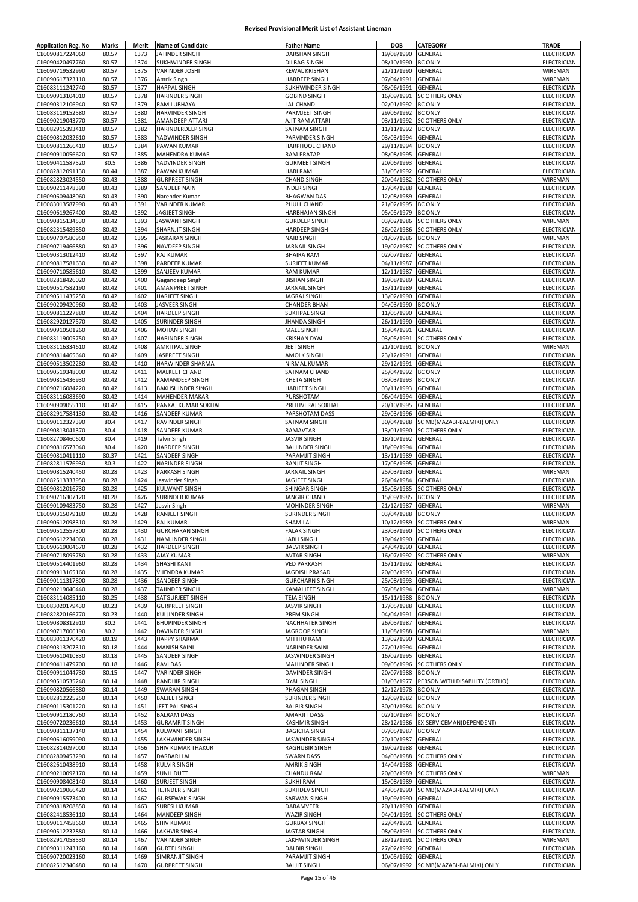| <b>Application Reg. No</b><br>C16090817224060 | <b>Marks</b>   | Merit        | <b>Name of Candidate</b>               | <b>Father Name</b>                    | <b>DOB</b>               | <b>CATEGORY</b>                     | <b>TRADE</b>               |
|-----------------------------------------------|----------------|--------------|----------------------------------------|---------------------------------------|--------------------------|-------------------------------------|----------------------------|
|                                               | 80.57          | 1373         | JATINDER SINGH                         | DARSHAN SINGH                         | 19/08/1990               | GENERAL                             | ELECTRICIAN                |
|                                               |                |              |                                        |                                       |                          |                                     |                            |
| C16090420497760                               | 80.57          | 1374         | <b>SUKHWINDER SINGH</b>                | DILBAG SINGH                          | 08/10/1990               | <b>BC ONLY</b>                      | ELECTRICIAN                |
| C16090719532990                               | 80.57          | 1375         | <b>VARINDER JOSHI</b>                  | KEWAL KRISHAN                         | 21/11/1990               | <b>GENERAL</b>                      | WIREMAN                    |
| C16090617323110                               | 80.57          | 1376         | Amrik Singh                            | <b>HARDEEP SINGH</b>                  | 07/04/1991               | <b>GENERAL</b>                      | WIREMAN                    |
| C16083111242740                               | 80.57          | 1377         | <b>HARPAL SINGH</b>                    | SUKHWINDER SINGH                      | 08/06/1991               | GENERAL                             | ELECTRICIAN                |
| C16090913104010                               | 80.57          | 1378         | <b>HARINDER SINGH</b>                  | <b>GOBIND SINGH</b>                   | 16/09/1991               | SC OTHERS ONLY                      | ELECTRICIAN                |
| C16090312106940                               | 80.57          | 1379         | RAM LUBHAYA                            | LAL CHAND                             | 02/01/1992               | <b>BC ONLY</b>                      | <b>ELECTRICIAN</b>         |
| C16083119152580                               | 80.57          | 1380         | HARVINDER SINGH                        | PARMJEET SINGH                        | 29/06/1992               | <b>BC ONLY</b>                      | ELECTRICIAN                |
|                                               |                | 1381         |                                        |                                       |                          |                                     |                            |
| C16090219043770                               | 80.57          |              | AMANDEEP ATTARI                        | AJIT RAM ATTARI                       | 03/11/1992               | <b>SC OTHERS ONLY</b>               | ELECTRICIAN                |
| C16082915393410                               | 80.57          | 1382         | HARINDERDEEP SINGH                     | SATNAM SINGH                          | 11/11/1992               | <b>BC ONLY</b>                      | ELECTRICIAN                |
| C16090812032610                               | 80.57          | 1383         | YADWINDER SINGH                        | PARVINDER SINGH                       | 03/03/1994               | GENERAL                             | ELECTRICIAN                |
| C16090811266410                               | 80.57          | 1384         | PAWAN KUMAR                            | HARPHOOL CHAND                        | 29/11/1994               | <b>BC ONLY</b>                      | ELECTRICIAN                |
| C16090910056620                               | 80.57          | 1385         | <b>MAHENDRA KUMAR</b>                  | <b>RAM PRATAP</b>                     | 08/08/1995               | GENERAL                             | <b>ELECTRICIAN</b>         |
| C16090411587520                               | 80.5           | 1386         | YADVINDER SINGH                        | <b>GURMEET SINGH</b>                  | 20/06/1993               | GENERAL                             | ELECTRICIAN                |
| C16082812091130                               | 80.44          | 1387         | PAWAN KUMAR                            | <b>HARI RAM</b>                       | 31/05/1992               | GENERAL                             | ELECTRICIAN                |
|                                               | 80.43          |              |                                        |                                       |                          |                                     |                            |
| C16082823024550                               |                | 1388         | <b>GURPREET SINGH</b>                  | <b>CHAND SINGH</b>                    | 20/04/1982               | <b>SC OTHERS ONLY</b>               | WIREMAN                    |
| C16090211478390                               | 80.43          | 1389         | <b>SANDEEP NAIN</b>                    | <b>INDER SINGH</b>                    | 17/04/1988               | GENERAL                             | ELECTRICIAN                |
| C16090609448060                               | 80.43          | 1390         | Narender Kumar                         | <b>BHAGWAN DAS</b>                    | 12/08/1989               | GENERAL                             | ELECTRICIAN                |
| C16083013587990                               | 80.43          | 1391         | VARINDER KUMAR                         | PHULL CHAND                           | 21/02/1995               | <b>BC ONLY</b>                      | ELECTRICIAN                |
| C16090619267400                               | 80.42          | 1392         | JAGJEET SINGH                          | HARBHAJAN SINGH                       | 05/05/1979               | <b>BC ONLY</b>                      | ELECTRICIAN                |
| C16090815134530                               | 80.42          | 1393         | <b>JASWANT SINGH</b>                   | <b>GURDEEP SINGH</b>                  | 03/02/1986               | SC OTHERS ONLY                      | WIREMAN                    |
| C16082315489850                               | 80.42          | 1394         | <b>SHARNJIT SINGH</b>                  | <b>HARDEEP SINGH</b>                  | 26/02/1986               | <b>SC OTHERS ONLY</b>               | ELECTRICIAN                |
|                                               |                |              |                                        |                                       |                          |                                     |                            |
| C16090707580950                               | 80.42          | 1395         | <b>JASKARAN SINGH</b>                  | <b>NAIB SINGH</b>                     | 01/07/1986               | <b>BC ONLY</b>                      | WIREMAN                    |
| C16090719466880                               | 80.42          | 1396         | NAVDEEP SINGH                          | JARNAIL SINGH                         | 19/02/1987               | <b>SC OTHERS ONLY</b>               | ELECTRICIAN                |
| C16090313012410                               | 80.42          | 1397         | RAJ KUMAR                              | <b>BHAIRA RAM</b>                     | 02/07/1987               | GENERAL                             | ELECTRICIAN                |
| C16090817581630                               | 80.42          | 1398         | PARDEEP KUMAR                          | SURJEET KUMAR                         | 04/11/1987               | GENERAL                             | ELECTRICIAN                |
| C16090710585610                               | 80.42          | 1399         | SANJEEV KUMAR                          | RAM KUMAR                             | 12/11/1987               | GENERAL                             | ELECTRICIAN                |
| C16082818426020                               | 80.42          | 1400         | Gagandeep Singh                        | <b>BISHAN SINGH</b>                   | 19/08/1989               | GENERAL                             | ELECTRICIAN                |
| C16090517582190                               | 80.42          | 1401         | AMANPREET SINGH                        | JARNAIL SINGH                         | 13/11/1989               | GENERAL                             | ELECTRICIAN                |
|                                               |                |              |                                        |                                       |                          |                                     |                            |
| C16090511435250                               | 80.42          | 1402         | HARJEET SINGH                          | JAGRAJ SINGH                          | 13/02/1990               | GENERAL                             | ELECTRICIAN                |
| C16090209420960                               | 80.42          | 1403         | JASVEER SINGH                          | <b>CHANDER BHAN</b>                   | 04/03/1990               | <b>BC ONLY</b>                      | ELECTRICIAN                |
| C16090811227880                               | 80.42          | 1404         | <b>HARDEEP SINGH</b>                   | SUKHPAL SINGH                         | 11/05/1990               | GENERAL                             | ELECTRICIAN                |
| C16082920127570                               | 80.42          | 1405         | SURINDER SINGH                         | JHANDA SINGH                          | 26/11/1990               | GENERAL                             | <b>ELECTRICIAN</b>         |
| C16090910501260                               | 80.42          | 1406         | <b>MOHAN SINGH</b>                     | <b>MALL SINGH</b>                     | 15/04/1991               | GENERAL                             | <b>ELECTRICIAN</b>         |
| C16083119005750                               | 80.42          | 1407         | <b>HARINDER SINGH</b>                  | <b>KRISHAN DYAL</b>                   | 03/05/1991               | <b>SC OTHERS ONLY</b>               | ELECTRICIAN                |
| C16083116334610                               | 80.42          | 1408         | <b>AMRITPAL SINGH</b>                  | JEET SINGH                            | 21/10/1991               | <b>BC ONLY</b>                      | WIREMAN                    |
|                                               |                |              |                                        |                                       |                          |                                     |                            |
| C16090814465640                               | 80.42          | 1409         | JASPREET SINGH                         | AMOLK SINGH                           | 23/12/1991               | GENERAL                             | ELECTRICIAN                |
| C16090513502280                               | 80.42          | 1410         | HARWINDER SHARMA                       | NIRMAL KUMAR                          | 29/12/1991               | GENERAL                             | ELECTRICIAN                |
| C16090519348000                               | 80.42          | 1411         | MALKEET CHAND                          | SATNAM CHAND                          | 25/04/1992               | <b>BC ONLY</b>                      | ELECTRICIAN                |
| C16090815436930                               | 80.42          | 1412         | RAMANDEEP SINGH                        | KHETA SINGH                           | 03/03/1993               | <b>BC ONLY</b>                      | ELECTRICIAN                |
| C16090716084220                               | 80.42          | 1413         | <b>BAKHSHINDER SINGH</b>               | <b>HARJEET SINGH</b>                  | 03/11/1993               | GENERAL                             | ELECTRICIAN                |
| C16083116083690                               | 80.42          | 1414         | <b>MAHENDER MAKAR</b>                  | PURSHOTAM                             | 06/04/1994               | GENERAL                             | ELECTRICIAN                |
| C16090909055110                               | 80.42          | 1415         | PANKAJ KUMAR SOKHAL                    | PRITHVI RAJ SOKHAL                    | 20/10/1995               | GENERAL                             | ELECTRICIAN                |
|                                               |                |              |                                        |                                       |                          |                                     |                            |
| C16082917584130                               | 80.42          | 1416         | SANDEEP KUMAR                          | PARSHOTAM DASS                        | 29/03/1996               | GENERAL                             | ELECTRICIAN                |
| C16090112327390                               | 80.4           | 1417         | RAVINDER SINGH                         | SATNAM SINGH                          | 30/04/1988               | SC MB(MAZABI-BALMIKI) ONLY          | ELECTRICIAN                |
| C16090813041370                               | 80.4           | 1418         | SANDEEP KUMAR                          | RAMAVTAR                              | 13/01/1990               | <b>SC OTHERS ONLY</b>               | ELECTRICIAN                |
| C16082708460600                               | 80.4           | 1419         | <b>Talvir Singh</b>                    | <b>JASVIR SINGH</b>                   | 18/10/1992               | GENERAL                             | ELECTRICIAN                |
| C16090816573040                               | 80.4           | 1420         | HARDEEP SINGH                          | <b>BALJINDER SINGH</b>                | 18/09/1994               | GENERAL                             | ELECTRICIAN                |
| C16090810411110                               | 80.37          | 1421         | SANDEEP SINGH                          | PARAMJIT SINGH                        | 13/11/1989               | GENERAL                             | <b>ELECTRICIAN</b>         |
|                                               |                |              | <b>NARINDER SINGH</b>                  |                                       |                          |                                     |                            |
| C16082811576930                               | 80.3           | 1422         |                                        | RANJIT SINGH                          | 17/05/1995               | GENERAL                             | ELECTRICIAN                |
| C16090815240450                               | 80.28          | 1423         | PARKASH SINGH                          | JARNAIL SINGH                         | 25/03/1980               | GENERAL                             | WIREMAN                    |
| C16082513333950                               | 80.28          |              | Jaswinder Singh                        | JAGJEET SINGH                         | 26/04/1984               | GENERAL                             | ELECTRICIAN                |
|                                               |                | 1424         |                                        |                                       |                          |                                     |                            |
| C16090812016730                               | 80.28          | 1425         | KULWANT SINGH                          | SHINGAR SINGH                         | 15/08/1985               | <b>SC OTHERS ONLY</b>               | ELECTRICIAN                |
|                                               |                |              |                                        |                                       |                          |                                     |                            |
| C16090716307120                               | 80.28          | 1426         | SURINDER KUMAR                         | <b>JANGIR CHAND</b>                   | 15/09/1985               | <b>BC ONLY</b>                      | ELECTRICIAN                |
| C16090109483750                               | 80.28          | 1427         | Jasvir Singh                           | MOHINDER SINGH                        | 21/12/1987               | GENERAL                             | WIREMAN                    |
| C16090315079180                               | 80.28          | 1428         | RANJEET SINGH                          | SURINDER SINGH                        | 03/04/1988               | <b>BC ONLY</b>                      | ELECTRICIAN                |
| C16090612098310                               | 80.28          | 1429         | RAJ KUMAR                              | SHAM LAL                              |                          | 10/12/1989 SC OTHERS ONLY           | WIREMAN                    |
| C16090512557300                               | 80.28          | 1430         | <b>GURCHARAN SINGH</b>                 | <b>FALAK SINGH</b>                    |                          | 23/03/1990 SC OTHERS ONLY           | <b>ELECTRICIAN</b>         |
| C16090612234060                               | 80.28          | 1431         | NAMJINDER SINGH                        | LABH SINGH                            | 19/04/1990               | <b>GENERAL</b>                      | ELECTRICIAN                |
| C16090619004670                               | 80.28          | 1432         | HARDEEP SINGH                          | <b>BALVIR SINGH</b>                   | 24/04/1990               | GENERAL                             | ELECTRICIAN                |
| C16090718095780                               | 80.28          | 1433         | AJAY KUMAR                             | <b>AVTAR SINGH</b>                    | 16/07/1992               | SC OTHERS ONLY                      | WIREMAN                    |
|                                               |                |              |                                        |                                       |                          |                                     |                            |
| C16090514401960                               | 80.28          | 1434         | <b>SHASHI KANT</b>                     | <b>VED PARKASH</b>                    | 15/11/1992               | GENERAL                             | ELECTRICIAN                |
| C16090913165160                               | 80.28          | 1435         | VIJENDRA KUMAR                         | JAGDISH PRASAD                        | 20/03/1993               | GENERAL                             | ELECTRICIAN                |
| C16090111317800                               | 80.28          | 1436         | SANDEEP SINGH                          | <b>GURCHARN SINGH</b>                 | 25/08/1993               | GENERAL                             | <b>ELECTRICIAN</b>         |
| C16090219040440                               | 80.28          | 1437         | TAJINDER SINGH                         | KAMALJEET SINGH                       | 07/08/1994               | GENERAL                             | WIREMAN                    |
| C16083114085110                               | 80.25          | 1438         | SATGURJEET SINGH                       | <b>TEJA SINGH</b>                     | 15/11/1988               | <b>BC ONLY</b>                      | ELECTRICIAN                |
| C16083020179430                               | 80.23          | 1439         | <b>GURPREET SINGH</b>                  | <b>JASVIR SINGH</b>                   | 17/05/1988               | GENERAL                             | ELECTRICIAN                |
| C16082820166770                               | 80.23          | 1440         | <b>KULJINDER SINGH</b>                 | PREM SINGH                            | 04/04/1991               | GENERAL                             | ELECTRICIAN                |
|                                               |                | 1441         |                                        | NACHHATER SINGH                       | 26/05/1987               |                                     |                            |
| C16090808312910                               | 80.2           |              | <b>BHUPINDER SINGH</b>                 |                                       |                          | GENERAL                             | ELECTRICIAN                |
| C16090717006190                               | 80.2           | 1442         | <b>DAVINDER SINGH</b>                  | JAGROOP SINGH                         | 11/08/1988               | GENERAL                             | WIREMAN                    |
| C16083011370420                               | 80.19          | 1443         | <b>HAPPY SHARMA</b>                    | MITTHU RAM                            | 13/02/1990               | GENERAL                             | ELECTRICIAN                |
| C16090313207310                               | 80.18          | 1444         | <b>MANISH SAINI</b>                    | NARINDER SAINI                        | 27/01/1994               | GENERAL                             | <b>ELECTRICIAN</b>         |
| C16090610410830                               | 80.18          | 1445         | SANDEEP SINGH                          | JASWINDER SINGH                       | 16/02/1995               | GENERAL                             | ELECTRICIAN                |
| C16090411479700                               | 80.18          | 1446         | <b>RAVI DAS</b>                        | MAHINDER SINGH                        | 09/05/1996               | <b>SC OTHERS ONLY</b>               | ELECTRICIAN                |
| C16090911044730                               | 80.15          | 1447         | <b>VARINDER SINGH</b>                  | DAVINDER SINGH                        | 20/07/1988 BC ONLY       |                                     | ELECTRICIAN                |
|                                               |                |              |                                        |                                       |                          |                                     |                            |
| C16090510535240                               | 80.14          | 1448         | <b>RANDHIR SINGH</b>                   | DYAL SINGH                            | 01/03/1977               | PERSON WITH DISABILITY (ORTHO)      | ELECTRICIAN                |
| C16090820566880                               | 80.14          | 1449         | <b>SWARAN SINGH</b>                    | PHAGAN SINGH                          | 12/12/1978               | <b>BC ONLY</b>                      | ELECTRICIAN                |
| C16082812225250                               | 80.14          | 1450         | <b>BALJEET SINGH</b>                   | SURINDER SINGH                        | 12/09/1982 BC ONLY       |                                     | ELECTRICIAN                |
| C16090115301220                               | 80.14          | 1451         | JEET PAL SINGH                         | <b>BALBIR SINGH</b>                   | 30/01/1984 BC ONLY       |                                     | ELECTRICIAN                |
| C16090912180760                               | 80.14          | 1452         | <b>BALRAM DASS</b>                     | AMARJIT DASS                          | 02/10/1984 BC ONLY       |                                     | ELECTRICIAN                |
| C16090720236610                               | 80.14          | 1453         | <b>GURAMRIT SINGH</b>                  | KASHMIR SINGH                         |                          | 28/12/1986 EX-SERVICEMAN(DEPENDENT) | ELECTRICIAN                |
| C16090811137140                               | 80.14          | 1454         | KULWANT SINGH                          | <b>BAGICHA SINGH</b>                  | 07/05/1987               | <b>BC ONLY</b>                      | ELECTRICIAN                |
|                                               |                |              |                                        |                                       |                          |                                     |                            |
| C16090616059090                               | 80.14          | 1455         | LAKHWINDER SINGH                       | JASWINDER SINGH                       | 20/10/1987               | GENERAL                             | ELECTRICIAN                |
| C16082814097000                               | 80.14          | 1456         | SHIV KUMAR THAKUR                      | RAGHUBIR SINGH                        | 19/02/1988               | GENERAL                             | ELECTRICIAN                |
| C16082809453290                               | 80.14          | 1457         | <b>DARBARI LAL</b>                     | <b>SWARN DASS</b>                     | 04/03/1988               | <b>SC OTHERS ONLY</b>               | ELECTRICIAN                |
| C16082610438910                               | 80.14          | 1458         | <b>KULVIR SINGH</b>                    | AMRIK SINGH                           | 14/04/1988               | GENERAL                             | ELECTRICIAN                |
| C16090210092170                               | 80.14          | 1459         | SUNIL DUTT                             | CHANDU RAM                            | 20/03/1989               | <b>SC OTHERS ONLY</b>               | WIREMAN                    |
| C16090908408140                               | 80.14          | 1460         | SURJEET SINGH                          | SUKHI RAM                             | 15/08/1989               | GENERAL                             | ELECTRICIAN                |
| C16090219066420                               | 80.14          | 1461         | TEJINDER SINGH                         | SUKHDEV SINGH                         | 24/05/1990               | SC MB(MAZABI-BALMIKI) ONLY          | ELECTRICIAN                |
|                                               |                |              |                                        |                                       |                          |                                     |                            |
| C16090915573400                               | 80.14          | 1462         | <b>GURSEWAK SINGH</b>                  | SARWAN SINGH                          | 19/09/1990               | GENERAL                             | ELECTRICIAN                |
| C16090818208850                               | 80.14          | 1463         | <b>SURESH KUMAR</b>                    | DARAMVEER                             | 20/11/1990               | GENERAL                             | ELECTRICIAN                |
| C16082418536110                               | 80.14          | 1464         | MANDEEP SINGH                          | WAZIR SINGH                           | 04/01/1991               | <b>SC OTHERS ONLY</b>               | ELECTRICIAN                |
| C16090117458660                               | 80.14          | 1465         | SHIV KUMAR                             | <b>GURBAX SINGH</b>                   | 22/04/1991               | GENERAL                             | ELECTRICIAN                |
| C16090512232880                               | 80.14          | 1466         | LAKHVIR SINGH                          | JAGTAR SINGH                          | 08/06/1991               | <b>SC OTHERS ONLY</b>               | ELECTRICIAN                |
| C16082917058530                               | 80.14          | 1467         | VARINDER SINGH                         | LAKHWINDER SINGH                      | 28/12/1991               | <b>SC OTHERS ONLY</b>               | WIREMAN                    |
|                                               |                |              |                                        |                                       |                          |                                     |                            |
| C16090311243160<br>C16090720023160            | 80.14<br>80.14 | 1468<br>1469 | <b>GURTEJ SINGH</b><br>SIMRANJIT SINGH | <b>DALBIR SINGH</b><br>PARAMJIT SINGH | 27/02/1992<br>10/05/1992 | GENERAL<br>GENERAL                  | ELECTRICIAN<br>ELECTRICIAN |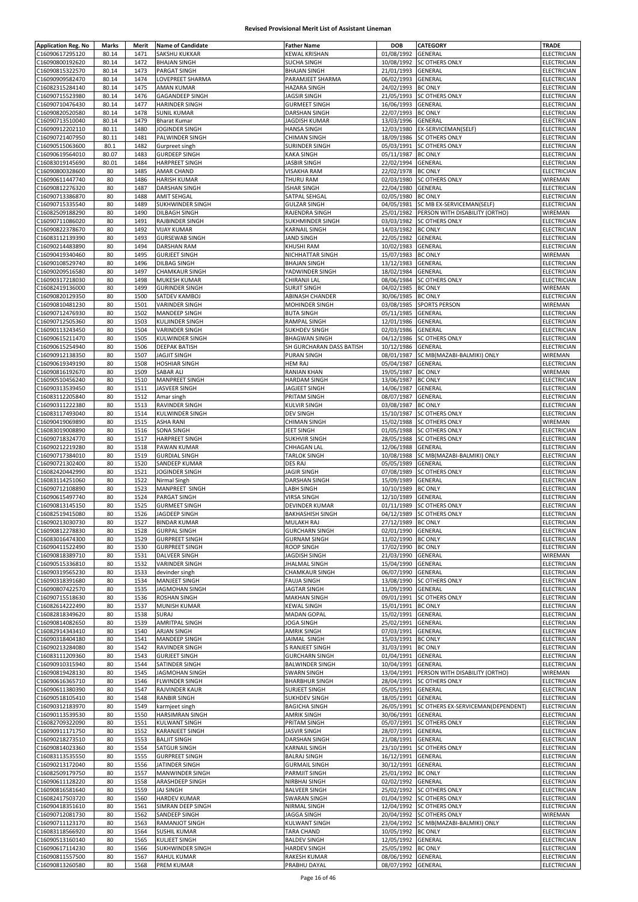| <b>Application Reg. No</b> | Marks          | Merit | <b>Name of Candidate</b> | <b>Father Name</b>                      | <b>DOB</b>         | <b>CATEGORY</b>                    | TRADE                      |
|----------------------------|----------------|-------|--------------------------|-----------------------------------------|--------------------|------------------------------------|----------------------------|
| C16090617295120            | 80.14          | 1471  | SAKSHU KUKKAR            | <b>KEWAL KRISHAN</b>                    | 01/08/1992         | GENERAL                            | ELECTRICIAN                |
| C16090800192620            | 80.14          | 1472  | <b>BHAJAN SINGH</b>      | <b>SUCHA SINGH</b>                      | 10/08/1992         | <b>SC OTHERS ONLY</b>              | ELECTRICIAN                |
| C16090815322570            | 80.14          | 1473  | <b>PARGAT SINGH</b>      | <b>BHAJAN SINGH</b>                     | 21/01/1993         | GENERAL                            | ELECTRICIAN                |
|                            |                | 1474  |                          |                                         |                    |                                    |                            |
| C16090909582470            | 80.14<br>80.14 | 1475  | LOVEPREET SHARMA         | PARAMJEET SHARMA<br><b>HAZARA SINGH</b> | 06/02/1993         | GENERAL                            | ELECTRICIAN<br>ELECTRICIAN |
| C16082315284140            |                |       | <b>AMAN KUMAR</b>        |                                         | 24/02/1993         | <b>BC ONLY</b>                     |                            |
| C16090715523980            | 80.14          | 1476  | GAGANDEEP SINGH          | <b>JAGSIR SINGH</b>                     | 21/05/1993         | <b>SC OTHERS ONLY</b>              | ELECTRICIAN                |
| C16090710476430            | 80.14          | 1477  | <b>HARINDER SINGH</b>    | <b>GURMEET SINGH</b>                    | 16/06/1993         | GENERAL                            | ELECTRICIAN                |
| C16090820520580            | 80.14          | 1478  | <b>SUNIL KUMAR</b>       | <b>DARSHAN SINGH</b>                    | 22/07/1993         | <b>BC ONLY</b>                     | ELECTRICIAN                |
| C16090713510040            | 80.14          | 1479  | <b>Bharat Kumar</b>      | JAGDISH KUMAR                           | 13/03/1996         | GENERAL                            | ELECTRICIAN                |
| C16090912202110            | 80.11          | 1480  | JOGINDER SINGH           | HANSA SINGH                             | 12/03/1980         | EX-SERVICEMAN(SELF)                | ELECTRICIAN                |
| C16090721407950            | 80.11          | 1481  | PALWINDER SINGH          | <b>CHIMAN SINGH</b>                     | 18/09/1986         | <b>SC OTHERS ONLY</b>              | ELECTRICIAN                |
| C16090515063600            | 80.1           | 1482  | Gurpreet singh           | SURINDER SINGH                          |                    | 05/03/1991 SC OTHERS ONLY          | ELECTRICIAN                |
| C16090619564010            | 80.07          | 1483  | <b>GURDEEP SINGH</b>     | <b>KAKA SINGH</b>                       | 05/11/1987         | <b>BC ONLY</b>                     | ELECTRICIAN                |
| C16083019145690            | 80.01          | 1484  | <b>HARPREET SINGH</b>    | <b>JASBIR SINGH</b>                     | 22/02/1994         | GENERAL                            | <b>ELECTRICIAN</b>         |
| C16090800328600            | 80             | 1485  | <b>AMAR CHAND</b>        | <b>VISAKHA RAM</b>                      | 22/02/1978         | <b>BC ONLY</b>                     | ELECTRICIAN                |
| C16090611447740            | 80             | 1486  | <b>HARISH KUMAR</b>      | THURU RAM                               | 02/03/1980         | SC OTHERS ONLY                     | WIREMAN                    |
| C16090812276320            | 80             | 1487  | <b>DARSHAN SINGH</b>     | <b>ISHAR SINGH</b>                      | 22/04/1980         | GENERAL                            | <b>ELECTRICIAN</b>         |
| C16090713386870            | 80             | 1488  | <b>AMIT SEHGAL</b>       | SATPAL SEHGAL                           | 02/05/1980         | <b>BC ONLY</b>                     | ELECTRICIAN                |
| C16090715335540            | 80             | 1489  | SUKHWINDER SINGH         | <b>GULZAR SINGH</b>                     | 04/05/1981         | SC MB EX-SERVICEMAN(SELF)          | ELECTRICIAN                |
| C16082509188290            | 80             | 1490  | DILBAGH SINGH            | RAJENDRA SINGH                          | 25/01/1982         | PERSON WITH DISABILITY (ORTHO)     | WIREMAN                    |
| C16090711086020            | 80             | 1491  | RAJBINDER SINGH          | SUKHMINDER SINGH                        | 03/03/1982         | <b>SC OTHERS ONLY</b>              | ELECTRICIAN                |
|                            |                |       |                          |                                         |                    |                                    |                            |
| C16090822378670            | 80             | 1492  | <b>VIJAY KUMAR</b>       | KARNAIL SINGH                           | 14/03/1982         | <b>BC ONLY</b>                     | ELECTRICIAN                |
| C16083112139390            | 80             | 1493  | <b>GURSEWAB SINGH</b>    | <b>JAND SINGH</b>                       | 22/05/1982         | GENERAL                            | ELECTRICIAN                |
| C16090214483890            | 80             | 1494  | <b>DARSHAN RAM</b>       | KHUSHI RAM                              | 10/02/1983         | GENERAL                            | ELECTRICIAN                |
| C16090419340460            | 80             | 1495  | <b>GURJEET SINGH</b>     | NICHHATTAR SINGH                        | 15/07/1983         | <b>BC ONLY</b>                     | WIREMAN                    |
| C16090108529740            | 80             | 1496  | <b>DILBAG SINGH</b>      | <b>BHAJAN SINGH</b>                     | 13/12/1983         | GENERAL                            | ELECTRICIAN                |
| C16090209516580            | 80             | 1497  | <b>CHAMKAUR SINGH</b>    | YADWINDER SINGH                         | 18/02/1984         | GENERAL                            | ELECTRICIAN                |
| C16090317218030            | 80             | 1498  | <b>MUKESH KUMAR</b>      | CHIRANJI LAL                            | 08/06/1984         | <b>SC OTHERS ONLY</b>              | ELECTRICIAN                |
| C16082419136000            | 80             | 1499  | <b>GURINDER SINGH</b>    | <b>SURJIT SINGH</b>                     | 04/02/1985         | <b>BC ONLY</b>                     | WIREMAN                    |
| C16090820129350            | 80             | 1500  | SATDEV KAMBOJ            | ABINASH CHANDER                         | 30/06/1985         | <b>BC ONLY</b>                     | ELECTRICIAN                |
| C16090810481230            | 80             | 1501  | <b>VARINDER SINGH</b>    | MOHINDER SINGH                          | 03/08/1985         | <b>SPORTS PERSON</b>               | WIREMAN                    |
| C16090712476930            | 80             | 1502  | MANDEEP SINGH            | <b>BUTA SINGH</b>                       | 05/11/1985         | GENERAL                            | ELECTRICIAN                |
|                            |                | 1503  |                          | RAMPAL SINGH                            | 12/01/1986         |                                    | ELECTRICIAN                |
| C16090712505360            | 80             |       | <b>KULJINDER SINGH</b>   |                                         |                    | GENERAL                            |                            |
| C16090113243450            | 80             | 1504  | <b>VARINDER SINGH</b>    | <b>SUKHDEV SINGH</b>                    | 02/03/1986         | GENERAL                            | ELECTRICIAN                |
| C16090615211470            | 80             | 1505  | <b>KULWINDER SINGH</b>   | <b>BHAGWAN SINGH</b>                    | 04/12/1986         | <b>SC OTHERS ONLY</b>              | ELECTRICIAN                |
| C16090615254940            | 80             | 1506  | <b>DEEPAK BATISH</b>     | SH GURCHARAN DASS BATISH                | 10/12/1986         | GENERAL                            | <b>ELECTRICIAN</b>         |
| C16090912138350            | 80             | 1507  | <b>JAGJIT SINGH</b>      | PURAN SINGH                             | 08/01/1987         | SC MB(MAZABI-BALMIKI) ONLY         | WIREMAN                    |
| C16090619349190            | 80             | 1508  | <b>HOSHIAR SINGH</b>     | <b>HEM RAJ</b>                          | 05/04/1987         | GENERAL                            | ELECTRICIAN                |
| C16090816192670            | 80             | 1509  | SABAR ALI                | RANIAN KHAN                             | 19/05/1987         | <b>BC ONLY</b>                     | WIREMAN                    |
| C16090510456240            | 80             | 1510  | <b>MANPREET SINGH</b>    | HARDAM SINGH                            | 13/06/1987         | <b>BC ONLY</b>                     | ELECTRICIAN                |
| C16090313539450            | 80             | 1511  | JASVEER SINGH            | JAGJEET SINGH                           | 14/06/1987         | GENERAL                            | ELECTRICIAN                |
| C16083112205840            | 80             | 1512  | Amar singh               | PRITAM SINGH                            | 08/07/1987         | GENERAL                            | ELECTRICIAN                |
| C16090311222380            | 80             | 1513  | RAVINDER SINGH           | <b>KULVIR SINGH</b>                     | 03/08/1987         | <b>BC ONLY</b>                     | ELECTRICIAN                |
|                            | 80             | 1514  |                          |                                         |                    |                                    |                            |
| C16083117493040            |                |       | KULWINDER SINGH          | <b>DEV SINGH</b>                        | 15/10/1987         | <b>SC OTHERS ONLY</b>              | ELECTRICIAN                |
| C16090419069890            | 80             | 1515  | <b>ASHA RANI</b>         | <b>CHIMAN SINGH</b>                     | 15/02/1988         | <b>SC OTHERS ONLY</b>              | WIREMAN                    |
| C16083019008890            | 80             | 1516  | <b>SONA SINGH</b>        | JEET SINGH                              | 01/05/1988         | <b>SC OTHERS ONLY</b>              | ELECTRICIAN                |
| C16090718324770            | 80             | 1517  | <b>HARPREET SINGH</b>    | <b>SUKHVIR SINGH</b>                    | 28/05/1988         | <b>SC OTHERS ONLY</b>              | ELECTRICIAN                |
| C16090212219280            | 80             | 1518  | PAWAN KUMAR              | CHHAGAN LAL                             | 12/06/1988         | GENERAL                            | ELECTRICIAN                |
| C16090717384010            | 80             | 1519  | <b>GURDIAL SINGH</b>     | <b>TARLOK SINGH</b>                     | 10/08/1988         | SC MB(MAZABI-BALMIKI) ONLY         | <b>ELECTRICIAN</b>         |
| C16090721302400            | 80             | 1520  | SANDEEP KUMAR            | DES RAJ                                 | 05/05/1989         | GENERAL                            | ELECTRICIAN                |
| C16082420442990            | 80             | 1521  | JOGINDER SINGH           | <b>JAGIR SINGH</b>                      | 07/08/1989         | <b>SC OTHERS ONLY</b>              | ELECTRICIAN                |
| C16083114251060            | 80             | 1522  | Nirmal Singh             | DARSHAN SINGH                           | 15/09/1989         | GENERAL                            | ELECTRICIAN                |
| C16090712108890            | 80             | 1523  | <b>MANPREET SINGH</b>    | LABH SINGH                              | 10/10/1989         | <b>BC ONLY</b>                     | ELECTRICIAN                |
| C16090615497740            | 80             | 1524  | PARGAT SINGH             | <b>VIRSA SINGH</b>                      | 12/10/1989         | GENERAL                            | ELECTRICIAN                |
| C16090813145150            | 80             | 1525  | <b>GURMEET SINGH</b>     | DEVINDER KUMAR                          |                    | 01/11/1989 SC OTHERS ONLY          | ELECTRICIAN                |
|                            |                |       |                          | <b>BAKHASHISH SINGH</b>                 |                    |                                    |                            |
| C16082519415080            | 80             | 1526  | JAGDEEP SINGH            |                                         |                    | 04/12/1989 SC OTHERS ONLY          | ELECTRICIAN                |
| C16090213030730            | 80             | 1527  | I BINDAR KUMAR           | MULAKH RAJ                              | 27/12/1989 BC ONLY |                                    | ELECTRICIAN                |
| C16090812278830            | 80             | 1528  | <b>GURPAL SINGH</b>      | <b>GURCHARN SINGH</b>                   | 02/01/1990 GENERAL |                                    | ELECTRICIAN                |
| C16083016474300            | 80             | 1529  | <b>GURPREET SINGH</b>    | <b>GURNAM SINGH</b>                     | 11/02/1990 BC ONLY |                                    | ELECTRICIAN                |
| C16090411522490            | 80             | 1530  | <b>GURPREET SINGH</b>    | <b>ROOP SINGH</b>                       | 17/02/1990 BC ONLY |                                    | ELECTRICIAN                |
| C16090818389710            | 80             | 1531  | <b>DALVEER SINGH</b>     | <b>JAGDISH SINGH</b>                    | 21/03/1990 GENERAL |                                    | WIREMAN                    |
| C16090515336810            | 80             | 1532  | <b>VARINDER SINGH</b>    | <b>JHALMAL SINGH</b>                    | 15/04/1990         | GENERAL                            | ELECTRICIAN                |
| C16090319565230            | 80             | 1533  | devinder singh           | <b>CHAMKAUR SINGH</b>                   | 06/07/1990         | GENERAL                            | ELECTRICIAN                |
| C16090318391680            | 80             | 1534  | <b>MANJEET SINGH</b>     | <b>FAUJA SINGH</b>                      | 13/08/1990         | <b>SC OTHERS ONLY</b>              | ELECTRICIAN                |
| C16090807422570            | 80             | 1535  | <b>JAGMOHAN SINGH</b>    | JAGTAR SINGH                            | 11/09/1990         | <b>GENERAL</b>                     | ELECTRICIAN                |
| C16090715518630            | 80             | 1536  | <b>ROSHAN SINGH</b>      | <b>MAKHAN SINGH</b>                     | 09/01/1991         | <b>SC OTHERS ONLY</b>              | ELECTRICIAN                |
| C16082614222490            | 80             | 1537  | <b>MUNISH KUMAR</b>      | KEWAL SINGH                             | 15/01/1991         | <b>BC ONLY</b>                     | ELECTRICIAN                |
| C16082818349620            | 80             | 1538  | SURAJ                    | <b>MADAN GOPAL</b>                      | 15/02/1991         | GENERAL                            | <b>ELECTRICIAN</b>         |
| C16090814082650            | 80             | 1539  | <b>AMRITPAL SINGH</b>    | <b>JOGA SINGH</b>                       | 25/02/1991         | GENERAL                            | ELECTRICIAN                |
| C16082914343410            | 80             | 1540  | <b>ARJAN SINGH</b>       | <b>AMRIK SINGH</b>                      | 07/03/1991         | GENERAL                            | ELECTRICIAN                |
| C16090318404180            | 80             | 1541  | <b>MANDEEP SINGH</b>     | JAIMAL SINGH                            | 15/03/1991         | <b>BC ONLY</b>                     | ELECTRICIAN                |
|                            |                |       |                          |                                         |                    |                                    |                            |
| C16090213284080            | 80             | 1542  | RAVINDER SINGH           | S RANJEET SINGH                         | 31/03/1991 BC ONLY |                                    | ELECTRICIAN                |
| C16083111209360            | 80             | 1543  | <b>GURJEET SINGH</b>     | <b>GURCHARN SINGH</b>                   | 01/04/1991         | GENERAL                            | ELECTRICIAN                |
| C16090910315940            | 80             | 1544  | SATINDER SINGH           | <b>BALWINDER SINGH</b>                  | 10/04/1991         | GENERAL                            | ELECTRICIAN                |
| C16090819428130            | 80             | 1545  | <b>JAGMOHAN SINGH</b>    | <b>SWARN SINGH</b>                      | 13/04/1991         | PERSON WITH DISABILITY (ORTHO)     | WIREMAN                    |
| C16090616365710            | 80             | 1546  | <b>FLWINDER SINGH</b>    | <b>BHARBHUR SINGH</b>                   | 28/04/1991         | <b>SC OTHERS ONLY</b>              | ELECTRICIAN                |
| C16090611380390            | 80             | 1547  | RAJVINDER KAUR           | <b>SURJEET SINGH</b>                    | 05/05/1991         | GENERAL                            | ELECTRICIAN                |
| C16090518105410            | 80             | 1548  | <b>RANBIR SINGH</b>      | <b>SUKHDEV SINGH</b>                    | 18/05/1991         | GENERAL                            | ELECTRICIAN                |
| C16090312183970            | 80             | 1549  | karmjeet singh           | <b>BAGICHA SINGH</b>                    | 26/05/1991         | SC OTHERS EX-SERVICEMAN(DEPENDENT) | ELECTRICIAN                |
| C16090113539530            | 80             | 1550  | <b>HARSIMRAN SINGH</b>   | <b>AMRIK SINGH</b>                      | 30/06/1991         | <b>GENERAL</b>                     | <b>ELECTRICIAN</b>         |
| C16082709322090            | 80             | 1551  | <b>KULWANT SINGH</b>     | PRITAM SINGH                            | 05/07/1991         | <b>SC OTHERS ONLY</b>              | ELECTRICIAN                |
| C16090911171750            | 80             | 1552  | <b>KARANJEET SINGH</b>   | <b>JASVIR SINGH</b>                     | 28/07/1991         | GENERAL                            | ELECTRICIAN                |
| C16090218273510            | 80             | 1553  | <b>BALJIT SINGH</b>      | DARSHAN SINGH                           | 21/08/1991         | GENERAL                            | ELECTRICIAN                |
| C16090814023360            | 80             | 1554  | <b>SATGUR SINGH</b>      | <b>KARNAIL SINGH</b>                    | 23/10/1991         | <b>SC OTHERS ONLY</b>              | ELECTRICIAN                |
|                            | 80             |       |                          |                                         |                    |                                    |                            |
| C16083113535550            |                | 1555  | <b>GURPREET SINGH</b>    | <b>BALRAJ SINGH</b>                     | 16/12/1991         | GENERAL                            | ELECTRICIAN                |
| C16090213172040            | 80             | 1556  | JATINDER SINGH           | <b>GURMAIL SINGH</b>                    | 30/12/1991         | <b>GENERAL</b>                     | ELECTRICIAN                |
| C16082509179750            | 80             | 1557  | <b>MANWINDER SINGH</b>   | PARMJIT SINGH                           | 25/01/1992         | <b>BC ONLY</b>                     | ELECTRICIAN                |
| C16090611128220            | 80             | 1558  | ARASHDEEP SINGH          | NIRBHAI SINGH                           | 02/02/1992         | GENERAL                            | <b>ELECTRICIAN</b>         |
| C16090816581640            | 80             | 1559  | <b>JAJ SINGH</b>         | <b>BALVEER SINGH</b>                    | 25/02/1992         | <b>SC OTHERS ONLY</b>              | ELECTRICIAN                |
| C16082417503720            | 80             | 1560  | <b>HARDEV KUMAR</b>      | <b>SWARAN SINGH</b>                     |                    | 01/04/1992 SC OTHERS ONLY          | ELECTRICIAN                |
| C16090418351610            | 80             | 1561  | SIMRAN DEEP SINGH        | NIRMAL SINGH                            |                    | 12/04/1992 SC OTHERS ONLY          | ELECTRICIAN                |
| C16090712081730            | 80             | 1562  | SANDEEP SINGH            | JAGGA SINGH                             |                    | 20/04/1992 SC OTHERS ONLY          | WIREMAN                    |
| C16090711123170            | 80             | 1563  | RAMANJOT SINGH           | KULWANT SINGH                           | 23/04/1992         | SC MB(MAZABI-BALMIKI) ONLY         | ELECTRICIAN                |
| C16083118566920            | 80             | 1564  | <b>SUSHIL KUMAR</b>      | TARA CHAND                              | 10/05/1992         | <b>BC ONLY</b>                     | ELECTRICIAN                |
| C16090513160140            | 80             | 1565  | <b>KULJEET SINGH</b>     | <b>BALDEV SINGH</b>                     | 12/05/1992 GENERAL |                                    | ELECTRICIAN                |
| C16090617114230            | 80             | 1566  | <b>SUKHWINDER SINGH</b>  | <b>HARDEV SINGH</b>                     | 25/05/1992 BC ONLY |                                    | <b>ELECTRICIAN</b>         |
| C16090811557500            | 80             | 1567  | RAHUL KUMAR              | RAKESH KUMAR                            | 08/06/1992 GENERAL |                                    | <b>ELECTRICIAN</b>         |
| C16090813260580            | 80             | 1568  | PREM KUMAR               | PRABHU DAYAL                            | 08/07/1992 GENERAL |                                    | <b>ELECTRICIAN</b>         |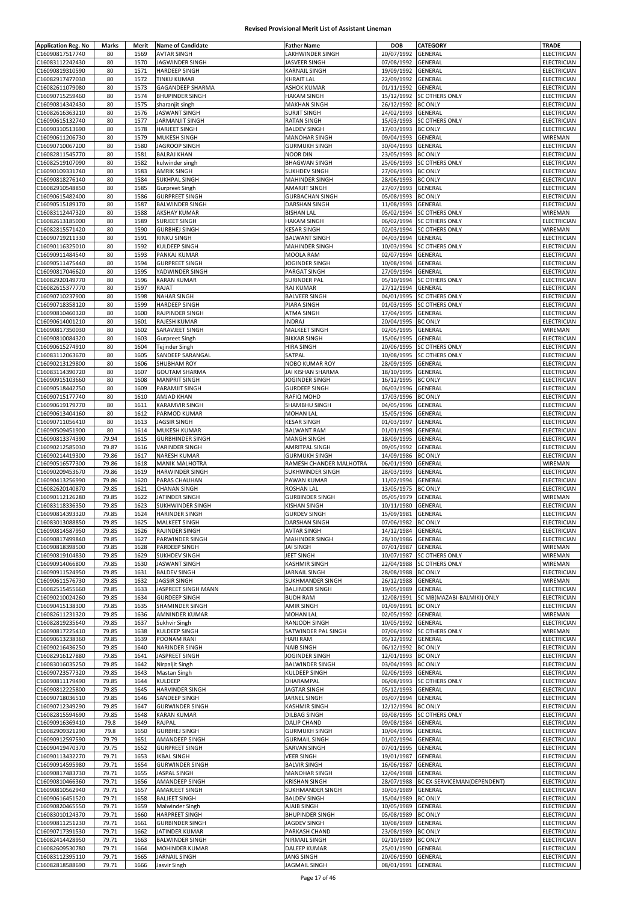| <b>Application Reg. No</b> | Marks | Merit | <b>Name of Candidate</b> | <b>Father Name</b>      | <b>DOB</b>         | CATEGORY                    | TRADE              |
|----------------------------|-------|-------|--------------------------|-------------------------|--------------------|-----------------------------|--------------------|
| C16090817517740            | 80    | 1569  | <b>AVTAR SINGH</b>       | LAKHWINDER SINGH        | 20/07/1992         | GENERAL                     | ELECTRICIAN        |
| C16083112242430            | 80    | 1570  | JAGWINDER SINGH          | JASVEER SINGH           | 07/08/1992         | GENERAL                     | ELECTRICIAN        |
|                            |       |       |                          | KARNAIL SINGH           | 19/09/1992         |                             |                    |
| C16090819310590            | 80    | 1571  | <b>HARDEEP SINGH</b>     |                         |                    | GENERAL                     | ELECTRICIAN        |
| C16082917477030            | 80    | 1572  | <b>TINKU KUMAR</b>       | <b>KHRAIT LAL</b>       | 22/09/1992         | GENERAL                     | ELECTRICIAN        |
| C16082611079080            | 80    | 1573  | GAGANDEEP SHARMA         | <b>ASHOK KUMAR</b>      | 01/11/1992         | GENERAL                     | ELECTRICIAN        |
| C16090715259460            | 80    | 1574  | <b>BHUPINDER SINGH</b>   | <b>HAKAM SINGH</b>      | 15/12/1992         | <b>SC OTHERS ONLY</b>       | <b>ELECTRICIAN</b> |
| C16090814342430            | 80    | 1575  | sharanjit singh          | <b>MAKHAN SINGH</b>     | 26/12/1992         | <b>BC ONLY</b>              | ELECTRICIAN        |
| C16082616363210            | 80    | 1576  | <b>JASWANT SINGH</b>     | <b>SURJIT SINGH</b>     | 24/02/1993         | GENERAL                     | ELECTRICIAN        |
| C16090615132740            | 80    | 1577  | <b>JARMANJIT SINGH</b>   | <b>RATAN SINGH</b>      | 15/03/1993         | <b>SC OTHERS ONLY</b>       | ELECTRICIAN        |
| C16090310513690            | 80    | 1578  | <b>HARJEET SINGH</b>     | <b>BALDEV SINGH</b>     | 17/03/1993         | <b>BC ONLY</b>              | ELECTRICIAN        |
| C16090611206730            | 80    | 1579  | MUKESH SINGH             | <b>MANOHAR SINGH</b>    | 09/04/1993         | GENERAL                     | WIREMAN            |
| C16090710067200            | 80    | 1580  | <b>JAGROOP SINGH</b>     | <b>GURMUKH SINGH</b>    | 30/04/1993         | GENERAL                     | ELECTRICIAN        |
| C16082811545770            | 80    | 1581  | <b>BALRAJ KHAN</b>       | <b>NOOR DIN</b>         | 23/05/1993         | <b>BC ONLY</b>              | ELECTRICIAN        |
| C16082519107090            | 80    | 1582  |                          | <b>BHAGWAN SINGH</b>    | 25/06/1993         | <b>SC OTHERS ONLY</b>       | ELECTRICIAN        |
|                            |       |       | kulwinder singh          |                         |                    |                             |                    |
| C16090109331740            | 80    | 1583  | <b>AMRIK SINGH</b>       | SUKHDEV SINGH           | 27/06/1993         | <b>BC ONLY</b>              | ELECTRICIAN        |
| C16090818276140            | 80    | 1584  | SUKHPAL SINGH            | MAHINDER SINGH          | 28/06/1993         | <b>BC ONLY</b>              | ELECTRICIAN        |
| C16082910548850            | 80    | 1585  | <b>Gurpreet Singh</b>    | AMARJIT SINGH           | 27/07/1993         | GENERAL                     | ELECTRICIAN        |
| C16090615482400            | 80    | 1586  | <b>GURPREET SINGH</b>    | <b>GURBACHAN SINGH</b>  | 05/08/1993         | <b>BC ONLY</b>              | ELECTRICIAN        |
| C16090515189170            | 80    | 1587  | <b>BALWINDER SINGH</b>   | DARSHAN SINGH           | 11/08/1993         | GENERAL                     | ELECTRICIAN        |
| C16083112447320            | 80    | 1588  | <b>AKSHAY KUMAR</b>      | <b>BISHAN LAL</b>       | 05/02/1994         | SC OTHERS ONLY              | WIREMAN            |
| C16082613185000            | 80    | 1589  | <b>SURJEET SINGH</b>     | <b>HAKAM SINGH</b>      | 06/02/1994         | <b>SC OTHERS ONLY</b>       | ELECTRICIAN        |
| C16082815571420            | 80    | 1590  | <b>GURBHEJ SINGH</b>     | <b>KESAR SINGH</b>      | 02/03/1994         | <b>SC OTHERS ONLY</b>       | WIREMAN            |
| C16090719211330            | 80    | 1591  | <b>RINKU SINGH</b>       | <b>BALWANT SINGH</b>    | 04/03/1994         | GENERAL                     | ELECTRICIAN        |
| C16090116325010            | 80    | 1592  |                          | MAHINDER SINGH          |                    | <b>SC OTHERS ONLY</b>       |                    |
|                            |       |       | KULDEEP SINGH            |                         | 10/03/1994         |                             | ELECTRICIAN        |
| C16090911484540            | 80    | 1593  | PANKAJ KUMAR             | MOOLA RAM               | 02/07/1994         | GENERAL                     | ELECTRICIAN        |
| C16090511475440            | 80    | 1594  | <b>GURPREET SINGH</b>    | JOGINDER SINGH          | 10/08/1994         | GENERAL                     | <b>ELECTRICIAN</b> |
| C16090817046620            | 80    | 1595  | YADWINDER SINGH          | PARGAT SINGH            | 27/09/1994         | GENERAL                     | ELECTRICIAN        |
| C16082920149770            | 80    | 1596  | <b>KARAN KUMAR</b>       | <b>SURINDER PAL</b>     | 05/10/1994         | <b>SC OTHERS ONLY</b>       | <b>ELECTRICIAN</b> |
| C16082615377770            | 80    | 1597  | RAJAT                    | <b>RAJ KUMAR</b>        | 27/12/1994         | <b>GENERAL</b>              | ELECTRICIAN        |
| C16090710237900            | 80    | 1598  | <b>NAHAR SINGH</b>       | <b>BALVEER SINGH</b>    | 04/01/1995         | <b>SC OTHERS ONLY</b>       | ELECTRICIAN        |
| C16090718358120            | 80    | 1599  | <b>HARDEEP SINGH</b>     | PIARA SINGH             | 01/03/1995         | <b>SC OTHERS ONLY</b>       | ELECTRICIAN        |
| C16090810460320            | 80    | 1600  | RAJPINDER SINGH          | ATMA SINGH              | 17/04/1995         | GENERAL                     | <b>ELECTRICIAN</b> |
|                            |       |       |                          |                         |                    |                             |                    |
| C16090614001210            | 80    | 1601  | RAJESH KUMAR             | <b>INDRAJ</b>           | 20/04/1995         | <b>BC ONLY</b>              | ELECTRICIAN        |
| C16090817350030            | 80    | 1602  | SARAVJEET SINGH          | MALKEET SINGH           | 02/05/1995         | GENERAL                     | WIREMAN            |
| C16090810084320            | 80    | 1603  | <b>Gurpreet Singh</b>    | <b>BIKKAR SINGH</b>     | 15/06/1995         | GENERAL                     | ELECTRICIAN        |
| C16090615274910            | 80    | 1604  | Tejinder Singh           | <b>HIRA SINGH</b>       | 20/06/1995         | <b>SC OTHERS ONLY</b>       | ELECTRICIAN        |
| C16083112063670            | 80    | 1605  | SANDEEP SARANGAL         | SATPAL                  | 10/08/1995         | <b>SC OTHERS ONLY</b>       | ELECTRICIAN        |
| C16090213129800            | 80    | 1606  | SHUBHAM ROY              | NOBO KUMAR ROY          | 28/09/1995         | GENERAL                     | ELECTRICIAN        |
| C16083114390720            | 80    | 1607  | <b>GOUTAM SHARMA</b>     | JAI KISHAN SHARMA       | 18/10/1995         | GENERAL                     | ELECTRICIAN        |
|                            |       |       |                          |                         |                    |                             |                    |
| C16090915103660            | 80    | 1608  | <b>MANPRIT SINGH</b>     | <b>JOGINDER SINGH</b>   | 16/12/1995         | <b>BC ONLY</b>              | ELECTRICIAN        |
| C16090518442750            | 80    | 1609  | PARAMJIT SINGH           | <b>GURDEEP SINGH</b>    | 06/03/1996         | GENERAL                     | ELECTRICIAN        |
| C16090715177740            | 80    | 1610  | <b>AMJAD KHAN</b>        | RAFIQ MOHD              | 17/03/1996         | <b>BC ONLY</b>              | ELECTRICIAN        |
| C16090619179770            | 80    | 1611  | <b>KARAMVIR SINGH</b>    | SHAMBHU SINGH           | 04/05/1996         | GENERAL                     | ELECTRICIAN        |
| C16090613404160            | 80    | 1612  | PARMOD KUMAR             | <b>MOHAN LAL</b>        | 15/05/1996         | GENERAL                     | ELECTRICIAN        |
| C16090711056410            | 80    | 1613  | <b>JAGSIR SINGH</b>      | KESAR SINGH             | 01/03/1997         | GENERAL                     | ELECTRICIAN        |
| C16090509451900            | 80    | 1614  | <b>MUKESH KUMAR</b>      | <b>BALWANT RAM</b>      | 01/01/1998         | GENERAL                     | ELECTRICIAN        |
| C16090813374390            | 79.94 | 1615  | <b>GURBHINDER SINGH</b>  | <b>MANGH SINGH</b>      | 18/09/1995         | GENERAL                     | ELECTRICIAN        |
| C16090212585030            | 79.87 | 1616  | <b>VARINDER SINGH</b>    | <b>AMRITPAL SINGH</b>   | 09/05/1992         | GENERAL                     | ELECTRICIAN        |
|                            |       |       |                          |                         |                    |                             | <b>ELECTRICIAN</b> |
| C16090214419300            | 79.86 | 1617  | <b>NARESH KUMAR</b>      | <b>GURMUKH SINGH</b>    | 14/09/1986         | <b>BC ONLY</b>              |                    |
| C16090516577300            | 79.86 | 1618  | <b>MANIK MALHOTRA</b>    | RAMESH CHANDER MALHOTRA | 06/01/1990         | GENERAL                     | WIREMAN            |
| C16090209453670            | 79.86 | 1619  | HARWINDER SINGH          | SUKHWINDER SINGH        | 28/03/1993         | GENERAL                     | <b>ELECTRICIAN</b> |
| C16090413256990            | 79.86 | 1620  | PARAS CHAUHAN            | PAWAN KUMAR             | 11/02/1994         | GENERAL                     | ELECTRICIAN        |
| C16082620140870            | 79.85 | 1621  | <b>CHANAN SINGH</b>      | ROSHAN LAL              | 13/05/1975         | <b>BC ONLY</b>              | ELECTRICIAN        |
| C16090112126280            | 79.85 | 1622  | JATINDER SINGH           | <b>GURBINDER SINGH</b>  | 05/05/1979         | GENERAL                     | WIREMAN            |
| C16083118336350            | 79.85 | 1623  | <b>SUKHWINDER SINGH</b>  | <b>KISHAN SINGH</b>     | 10/11/1980         | GENERAL                     | ELECTRICIAN        |
| C16090814393320            | 79.85 | 1624  | <b>HARINDER SINGH</b>    | <b>GURDEV SINGH</b>     | 15/09/1981         | <b>GENERAL</b>              | <b>ELECTRICIAN</b> |
| C16083013088850            | 79.85 | 1625  | <b>MALKEET SINGH</b>     | DARSHAN SINGH           | 07/06/1982 BC ONLY |                             | ELECTRICIAN        |
| C16090814587950            | 79.85 | 1626  | RAJINDER SINGH           | <b>AVTAR SINGH</b>      | 14/12/1984 GENERAL |                             | ELECTRICIAN        |
|                            |       |       |                          |                         |                    |                             |                    |
| C16090817499840            | 79.85 | 1627  | PARWINDER SINGH          | MAHINDER SINGH          | 28/10/1986 GENERAL |                             | ELECTRICIAN        |
| C16090818398500            | 79.85 | 1628  | PARDEEP SINGH            | <b>JAI SINGH</b>        | 07/01/1987 GENERAL |                             | WIREMAN            |
| C16090819104830            | 79.85 | 1629  | <b>SUKHDEV SINGH</b>     | <b>JEET SINGH</b>       | 10/07/1987         | <b>SC OTHERS ONLY</b>       | WIREMAN            |
| C16090914066800            | 79.85 | 1630  | <b>JASWANT SINGH</b>     | <b>KASHMIR SINGH</b>    | 22/04/1988         | <b>SC OTHERS ONLY</b>       | WIREMAN            |
| C16090911524950            | 79.85 | 1631  | <b>BALDEV SINGH</b>      | JARNAIL SINGH           | 28/08/1988         | <b>BC ONLY</b>              | ELECTRICIAN        |
| C16090611576730            | 79.85 | 1632  | <b>JAGSIR SINGH</b>      | <b>SUKHMANDER SINGH</b> | 26/12/1988         | GENERAL                     | WIREMAN            |
| C16082515455660            | 79.85 | 1633  | JASPREET SINGH MANN      | <b>BALJINDER SINGH</b>  | 19/05/1989         | GENERAL                     | ELECTRICIAN        |
| C16090210024260            | 79.85 | 1634  | <b>GURDEEP SINGH</b>     | <b>BUDH RAM</b>         | 12/08/1991         | SC MB(MAZABI-BALMIKI) ONLY  | ELECTRICIAN        |
| C16090415138300            | 79.85 | 1635  | SHAMINDER SINGH          | <b>AMIR SINGH</b>       | 01/09/1991         | <b>BC ONLY</b>              | ELECTRICIAN        |
| C16082611231320            | 79.85 | 1636  | AMNINDER KUMAR           | <b>MOHAN LAL</b>        | 02/05/1992         | <b>GENERAL</b>              | WIREMAN            |
|                            |       |       |                          |                         |                    |                             |                    |
| C16082819235640            | 79.85 | 1637  | Sukhvir Singh            | RANJODH SINGH           | 10/05/1992         | GENERAL                     | ELECTRICIAN        |
| C16090817225410            | 79.85 | 1638  | <b>KULDEEP SINGH</b>     | SATWINDER PAL SINGH     | 07/06/1992         | <b>SC OTHERS ONLY</b>       | <b>WIREMAN</b>     |
| C16090613238360            | 79.85 | 1639  | POONAM RANI              | <b>HARI RAM</b>         | 05/12/1992         | <b>GENERAL</b>              | ELECTRICIAN        |
| C16090216436250            | 79.85 | 1640  | NARINDER SINGH           | <b>NAIB SINGH</b>       | 06/12/1992         | <b>BC ONLY</b>              | ELECTRICIAN        |
| C16082916127880            | 79.85 | 1641  | <b>JASPREET SINGH</b>    | JOGINDER SINGH          | 12/01/1993         | <b>BC ONLY</b>              | ELECTRICIAN        |
| C16083016035250            | 79.85 | 1642  | Nirpaljit Singh          | <b>BALWINDER SINGH</b>  | 03/04/1993         | <b>BC ONLY</b>              | ELECTRICIAN        |
| C16090723577320            | 79.85 | 1643  | Mastan Singh             | KULDEEP SINGH           | 02/06/1993         | GENERAL                     | ELECTRICIAN        |
| C16090811179490            | 79.85 | 1644  | KULDEEP                  | DHARAMPAL               | 06/08/1993         | <b>SC OTHERS ONLY</b>       | ELECTRICIAN        |
| C16090812225800            | 79.85 | 1645  | <b>HARVINDER SINGH</b>   | JAGTAR SINGH            | 05/12/1993         | GENERAL                     | ELECTRICIAN        |
| C16090718036510            | 79.85 | 1646  | SANDEEP SINGH            | JARNEL SINGH            | 03/07/1994         | GENERAL                     | ELECTRICIAN        |
|                            |       |       |                          |                         |                    |                             |                    |
| C16090712349290            | 79.85 | 1647  | <b>GURWINDER SINGH</b>   | <b>KASHMIR SINGH</b>    | 12/12/1994         | <b>BC ONLY</b>              | ELECTRICIAN        |
| C16082815594690            | 79.85 | 1648  | <b>KARAN KUMAR</b>       | DILBAG SINGH            | 03/08/1995         | <b>SC OTHERS ONLY</b>       | <b>ELECTRICIAN</b> |
| C16090916369410            | 79.8  | 1649  | RAJPAL                   | DALIP CHAND             | 09/08/1984         | <b>GENERAL</b>              | ELECTRICIAN        |
| C16082909321290            | 79.8  | 1650  | <b>GURBHEJ SINGH</b>     | <b>GURMUKH SINGH</b>    | 10/04/1996         | GENERAL                     | ELECTRICIAN        |
| C16090912597590            | 79.79 | 1651  | AMANDEEP SINGH           | <b>GURMAIL SINGH</b>    | 01/02/1994         | GENERAL                     | ELECTRICIAN        |
| C16090419470370            | 79.75 | 1652  | <b>GURPREET SINGH</b>    | SARVAN SINGH            | 07/01/1995         | GENERAL                     | ELECTRICIAN        |
| C16090113432270            | 79.71 | 1653  | <b>IKBAL SINGH</b>       | <b>VEER SINGH</b>       | 19/01/1987         | GENERAL                     | ELECTRICIAN        |
| C16090914595980            | 79.71 | 1654  | <b>GURWINDER SINGH</b>   | <b>BALVIR SINGH</b>     | 16/06/1987         | GENERAL                     | <b>ELECTRICIAN</b> |
|                            |       |       |                          |                         |                    |                             |                    |
| C16090817483730            | 79.71 | 1655  | <b>JASPAL SINGH</b>      | <b>MANOHAR SINGH</b>    | 12/04/1988         | GENERAL                     | ELECTRICIAN        |
| C16090810466360            | 79.71 | 1656  | AMANDEEP SINGH           | KRISHAN SINGH           | 28/07/1988         | BC EX-SERVICEMAN(DEPENDENT) | ELECTRICIAN        |
| C16090810562940            | 79.71 | 1657  | <b>AMARJEET SINGH</b>    | SUKHMANDER SINGH        | 30/03/1989         | GENERAL                     | ELECTRICIAN        |
| C16090616451520            | 79.71 | 1658  | <b>BALJEET SINGH</b>     | <b>BALDEV SINGH</b>     | 15/04/1989         | <b>BC ONLY</b>              | ELECTRICIAN        |
| C16090820465550            | 79.71 | 1659  | Malwinder Singh          | AJAIB SINGH             | 10/05/1989         | GENERAL                     | ELECTRICIAN        |
| C16083010124370            | 79.71 | 1660  | <b>HARPREET SINGH</b>    | <b>BHUPINDER SINGH</b>  | 05/08/1989         | <b>BC ONLY</b>              | ELECTRICIAN        |
| C16090811251230            | 79.71 | 1661  | <b>GURBINDER SINGH</b>   | JAGDEV SINGH            | 10/08/1989         | GENERAL                     | ELECTRICIAN        |
| C16090717391530            | 79.71 | 1662  | JATINDER KUMAR           | PARKASH CHAND           | 23/08/1989         | <b>BC ONLY</b>              | ELECTRICIAN        |
| C16082414428950            | 79.71 | 1663  | <b>BALWINDER SINGH</b>   | NIRMAIL SINGH           | 02/10/1989         | <b>BC ONLY</b>              | ELECTRICIAN        |
| C16082609530780            | 79.71 | 1664  | MOHINDER KUMAR           | DALEEP KUMAR            | 25/01/1990         | GENERAL                     | <b>ELECTRICIAN</b> |
|                            |       |       |                          |                         |                    |                             |                    |
| C16083112395110            | 79.71 | 1665  | <b>JARNAIL SINGH</b>     | <b>JANG SINGH</b>       | 20/06/1990         | GENERAL                     | ELECTRICIAN        |
| C16082818588690            | 79.71 | 1666  | Jasvir Singh             | <b>JAGMAIL SINGH</b>    | 08/01/1991         | GENERAL                     | ELECTRICIAN        |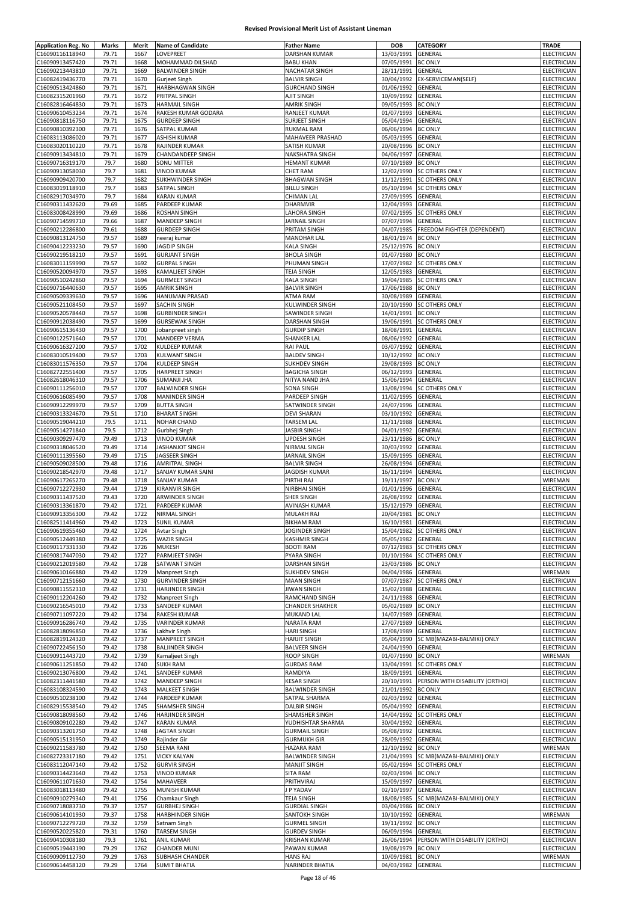| <b>Application Reg. No</b> | Marks | Merit | <b>Name of Candidate</b> | <b>Father Name</b>     | <b>DOB</b>         | <b>CATEGORY</b>                | <b>TRADE</b>       |
|----------------------------|-------|-------|--------------------------|------------------------|--------------------|--------------------------------|--------------------|
| C16090116118940            | 79.71 | 1667  | LOVEPREET                | <b>DARSHAN KUMAR</b>   | 13/03/1991         | GENERAL                        | ELECTRICIAN        |
| C16090913457420            | 79.71 | 1668  | MOHAMMAD DILSHAD         | <b>BABU KHAN</b>       | 07/05/1991         | <b>BC ONLY</b>                 | ELECTRICIAN        |
| C16090213443810            | 79.71 | 1669  | <b>BALWINDER SINGH</b>   | NACHATAR SINGH         | 28/11/1991         | GENERAL                        | ELECTRICIAN        |
|                            |       |       |                          |                        |                    |                                |                    |
| C16082419436770            | 79.71 | 1670  | Gurjeet Singh            | <b>BALVIR SINGH</b>    | 30/04/1992         | EX-SERVICEMAN(SELF)            | ELECTRICIAN        |
| C16090513424860            | 79.71 | 1671  | HARBHAGWAN SINGH         | <b>GURCHAND SINGH</b>  | 01/06/1992         | GENERAL                        | ELECTRICIAN        |
| C16082315201960            | 79.71 | 1672  | PRITPAL SINGH            | <b>AJIT SINGH</b>      | 10/09/1992         | GENERAL                        | ELECTRICIAN        |
| C16082816464830            | 79.71 | 1673  | <b>HARMAIL SINGH</b>     | <b>AMRIK SINGH</b>     | 09/05/1993         | <b>BC ONLY</b>                 | ELECTRICIAN        |
| C16090610453234            | 79.71 | 1674  | RAKESH KUMAR GODARA      | RANJEET KUMAR          | 01/07/1993         | GENERAL                        | ELECTRICIAN        |
| C16090818116750            | 79.71 | 1675  | <b>GURDEEP SINGH</b>     | <b>SURJEET SINGH</b>   | 05/04/1994         | GENERAL                        | ELECTRICIAN        |
| C16090810392300            | 79.71 | 1676  | SATPAL KUMAR             | RUKMAL RAM             | 06/06/1994         | <b>BC ONLY</b>                 | ELECTRICIAN        |
| C16083113086020            | 79.71 | 1677  | <b>ASHISH KUMAR</b>      | MAHAVEER PRASHAD       | 05/03/1995         | GENERAL                        | ELECTRICIAN        |
| C16083020110220            | 79.71 | 1678  | RAJINDER KUMAR           | SATISH KUMAR           | 20/08/1996         | <b>BC ONLY</b>                 | ELECTRICIAN        |
| C16090913434810            | 79.71 | 1679  | CHANDANDEEP SINGH        | <b>NAKSHATRA SINGH</b> | 04/06/1997         | GENERAL                        | ELECTRICIAN        |
| C16090716319170            | 79.7  | 1680  | SONU MITTER              | <b>HEMANT KUMAR</b>    | 07/10/1989         | <b>BC ONLY</b>                 | ELECTRICIAN        |
| C16090913058030            | 79.7  | 1681  | <b>VINOD KUMAR</b>       | <b>CHET RAM</b>        | 12/02/1990         | <b>SC OTHERS ONLY</b>          | ELECTRICIAN        |
| C16090909420700            | 79.7  | 1682  | SUKHWINDER SINGH         | <b>BHAGWAN SINGH</b>   | 11/12/1991         | <b>SC OTHERS ONLY</b>          | <b>ELECTRICIAN</b> |
| C16083019118910            | 79.7  | 1683  | SATPAL SINGH             | <b>BILLU SINGH</b>     | 05/10/1994         | SC OTHERS ONLY                 | ELECTRICIAN        |
| C16082917034970            | 79.7  | 1684  | <b>KARAN KUMAR</b>       | <b>CHIMAN LAL</b>      | 27/09/1995         | GENERAL                        | ELECTRICIAN        |
| C16090311432620            | 79.69 | 1685  | PARDEEP KUMAR            | DHARMVIR               | 12/04/1993         | GENERAL                        | ELECTRICIAN        |
|                            |       |       |                          | LAHORA SINGH           |                    |                                | ELECTRICIAN        |
| C16083008428990            | 79.69 | 1686  | ROSHAN SINGH             |                        | 07/02/1995         | <b>SC OTHERS ONLY</b>          |                    |
| C16090714599710            | 79.66 | 1687  | <b>MANDEEP SINGH</b>     | JARNAIL SINGH          | 07/07/1994         | GENERAL                        | ELECTRICIAN        |
| C16090212286800            | 79.61 | 1688  | <b>GURDEEP SINGH</b>     | PRITAM SINGH           | 04/07/1985         | FREEDOM FIGHTER (DEPENDENT)    | ELECTRICIAN        |
| C16090813124750            | 79.57 | 1689  | neeraj kumar             | <b>MANOHAR LAL</b>     | 18/01/1974         | <b>BC ONLY</b>                 | <b>ELECTRICIAN</b> |
| C16090412233230            | 79.57 | 1690  | <b>JAGDIP SINGH</b>      | KALA SINGH             | 25/12/1976         | <b>BC ONLY</b>                 | ELECTRICIAN        |
| C16090219518210            | 79.57 | 1691  | <b>GURJANT SINGH</b>     | <b>BHOLA SINGH</b>     | 01/07/1980         | <b>BC ONLY</b>                 | ELECTRICIAN        |
| C16083011159990            | 79.57 | 1692  | <b>GURPAL SINGH</b>      | PHUMAN SINGH           | 17/07/1982         | <b>SC OTHERS ONLY</b>          | ELECTRICIAN        |
| C16090520094970            | 79.57 | 1693  | <b>KAMALJEET SINGH</b>   | <b>TEJA SINGH</b>      | 12/05/1983         | GENERAL                        | ELECTRICIAN        |
| C16090510242860            | 79.57 | 1694  | <b>GURMEET SINGH</b>     | <b>KALA SINGH</b>      | 19/04/1985         | SC OTHERS ONLY                 | ELECTRICIAN        |
| C16090716440630            | 79.57 | 1695  | <b>AMRIK SINGH</b>       | <b>BALVIR SINGH</b>    | 17/06/1988         | <b>BC ONLY</b>                 | ELECTRICIAN        |
| C16090509339630            | 79.57 | 1696  | HANUMAN PRASAD           | ATMA RAM               | 30/08/1989         | <b>GENERAL</b>                 | ELECTRICIAN        |
| C16090521108450            | 79.57 | 1697  | SACHIN SINGH             | KULWINDER SINGH        | 20/10/1990         | SC OTHERS ONLY                 | ELECTRICIAN        |
| C16090520578440            | 79.57 | 1698  | <b>GURBINDER SINGH</b>   | SAWINDER SINGH         | 14/01/1991         | <b>BC ONLY</b>                 | ELECTRICIAN        |
| C16090912038490            | 79.57 | 1699  | <b>GURSEWAK SINGH</b>    | <b>DARSHAN SINGH</b>   | 19/06/1991         | SC OTHERS ONLY                 | ELECTRICIAN        |
| C16090615136430            |       | 1700  |                          | <b>GURDIP SINGH</b>    |                    |                                |                    |
|                            | 79.57 |       | Jobanpreet singh         |                        | 18/08/1991         | GENERAL                        | ELECTRICIAN        |
| C16090122571640            | 79.57 | 1701  | MANDEEP VERMA            | SHANKER LAL            | 08/06/1992         | GENERAL                        | ELECTRICIAN        |
| C16090616327200            | 79.57 | 1702  | <b>KULDEEP KUMAR</b>     | <b>RAI PAUL</b>        | 03/07/1992         | GENERAL                        | ELECTRICIAN        |
| C16083010519400            | 79.57 | 1703  | <b>KULWANT SINGH</b>     | <b>BALDEV SINGH</b>    | 10/12/1992         | <b>BC ONLY</b>                 | ELECTRICIAN        |
| C16083011576350            | 79.57 | 1704  | KULDEEP SINGH            | <b>SUKHDEV SINGH</b>   | 29/08/1993         | <b>BC ONLY</b>                 | ELECTRICIAN        |
| C16082722551400            | 79.57 | 1705  | <b>HARPREET SINGH</b>    | <b>BAGICHA SINGH</b>   | 06/12/1993         | GENERAL                        | ELECTRICIAN        |
| C16082618046310            | 79.57 | 1706  | SUMANJI JHA              | NITYA NAND JHA         | 15/06/1994         | <b>GENERAL</b>                 | ELECTRICIAN        |
| C16090111256010            | 79.57 | 1707  | <b>BALWINDER SINGH</b>   | <b>SONA SINGH</b>      | 13/08/1994         | SC OTHERS ONLY                 | ELECTRICIAN        |
| C16090616085490            | 79.57 | 1708  | <b>MANINDER SINGH</b>    | PARDEEP SINGH          | 11/02/1995         | GENERAL                        | ELECTRICIAN        |
| C16090912299970            | 79.57 | 1709  | <b>BUTTA SINGH</b>       | SATWINDER SINGH        | 24/07/1996         | GENERAL                        | ELECTRICIAN        |
| C16090313324670            | 79.51 | 1710  | <b>BHARAT SINGHI</b>     | <b>DEVI SHARAN</b>     | 03/10/1992         | GENERAL                        | ELECTRICIAN        |
|                            | 79.5  | 1711  |                          | <b>TARSEM LAL</b>      | 11/11/1988         |                                | ELECTRICIAN        |
| C16090519044210            |       |       | NOHAR CHAND              |                        |                    | GENERAL                        |                    |
| C16090514271840            | 79.5  | 1712  | Gurbhej Singh            | <b>JASBIR SINGH</b>    | 04/01/1992         | GENERAL                        | ELECTRICIAN        |
| C16090309297470            | 79.49 | 1713  | <b>VINOD KUMAR</b>       | UPDESH SINGH           | 23/11/1986         | <b>BC ONLY</b>                 | ELECTRICIAN        |
| C16090318046520            | 79.49 | 1714  | JASHANJOT SINGH          | NIRMAL SINGH           | 30/03/1992         | GENERAL                        | ELECTRICIAN        |
| C16090111395560            | 79.49 | 1715  | JAGSEER SINGH            | JARNAIL SINGH          | 15/09/1995         | GENERAL                        | ELECTRICIAN        |
| C16090509028500            | 79.48 | 1716  | AMRITPAL SINGH           | <b>BALVIR SINGH</b>    | 26/08/1994         | GENERAL                        | ELECTRICIAN        |
| C16090218542970            | 79.48 | 1717  | SANJAY KUMAR SAINI       | <b>JAGDISH KUMAR</b>   | 16/11/1994         | GENERAL                        | ELECTRICIAN        |
| C16090617265270            | 79.48 | 1718  | SANJAY KUMAR             | PIRTHI RAJ             | 19/11/1997         | <b>BC ONLY</b>                 | WIREMAN            |
| C16090712272930            | 79.44 | 1719  | <b>KIRANVIR SINGH</b>    | NIRBHAI SINGH          | 01/01/1996         | GENERAL                        | ELECTRICIAN        |
| C16090311437520            | 79.43 | 1720  | ARWINDER SINGH           | <b>SHER SINGH</b>      | 26/08/1992         | GENERAL                        | ELECTRICIAN        |
| C16090313361870            | 79.42 | 1721  | PARDEEP KUMAR            | AVINASH KUMAR          | 15/12/1979         | GENERAL                        | ELECTRICIAN        |
| C16090913356300            | 79.42 | 1722  | NIRMAL SINGH             | MULAKH RAJ             | 20/04/1981         | <b>BC ONLY</b>                 | <b>ELECTRICIAN</b> |
| C16082511414960            | 79.42 | 1723  | <b>SUNIL KUMAR</b>       | BIKHAM RAM             | 16/10/1981 GENERAL |                                | ELECTRICIAN        |
| C16090619355460            | 79.42 | 1724  | Avtar Singh              | JOGINDER SINGH         | 15/04/1982         | <b>SC OTHERS ONLY</b>          | ELECTRICIAN        |
| C16090512449380            | 79.42 | 1725  | WAZIR SINGH              | KASHMIR SINGH          | 05/05/1982 GENERAL |                                | ELECTRICIAN        |
| C16090117331330            |       |       |                          | <b>BOOTI RAM</b>       | 07/12/1983         |                                | ELECTRICIAN        |
|                            | 79.42 | 1726  | <b>MUKESH</b>            |                        |                    | <b>SC OTHERS ONLY</b>          |                    |
| C16090817447030            | 79.42 | 1727  | PARMJEET SINGH           | PYARA SINGH            | 01/10/1984         | <b>SC OTHERS ONLY</b>          | ELECTRICIAN        |
| C16090212019580            | 79.42 | 1728  | SATWANT SINGH            | <b>DARSHAN SINGH</b>   | 23/03/1986         | <b>BC ONLY</b>                 | ELECTRICIAN        |
| C16090610166880            | 79.42 | 1729  | Manpreet Singh           | <b>SUKHDEV SINGH</b>   | 04/04/1986         | GENERAL                        | WIREMAN            |
| C16090712151660            | 79.42 | 1730  | <b>GURVINDER SINGH</b>   | <b>MAAN SINGH</b>      | 07/07/1987         | SC OTHERS ONLY                 | ELECTRICIAN        |
| C16090811552310            | 79.42 | 1731  | <b>HARJINDER SINGH</b>   | <b>JIWAN SINGH</b>     | 15/02/1988         | <b>GENERAL</b>                 | ELECTRICIAN        |
| C16090112204260            | 79.42 | 1732  | Manpreet Singh           | RAMCHAND SINGH         | 24/11/1988         | GENERAL                        | ELECTRICIAN        |
| C16090216545010            | 79.42 | 1733  | SANDEEP KUMAR            | <b>CHANDER SHAKHER</b> | 05/02/1989         | <b>BC ONLY</b>                 | ELECTRICIAN        |
| C16090711097220            | 79.42 | 1734  | RAKESH KUMAR             | MUKAND LAL             | 14/07/1989         | GENERAL                        | ELECTRICIAN        |
| C16090916286740            | 79.42 | 1735  | <b>VARINDER KUMAR</b>    | NARATA RAM             | 27/07/1989         | GENERAL                        | ELECTRICIAN        |
| C16082818096850            | 79.42 | 1736  | Lakhvir Singh            | <b>HARI SINGH</b>      | 17/08/1989         | GENERAL                        | ELECTRICIAN        |
| C16082819124320            | 79.42 | 1737  | <b>MANPREET SINGH</b>    | <b>HARJIT SINGH</b>    | 05/04/1990         | SC MB(MAZABI-BALMIKI) ONLY     | ELECTRICIAN        |
| C16090722456150            | 79.42 | 1738  | <b>BALJINDER SINGH</b>   | <b>BALVEER SINGH</b>   | 24/04/1990         | GENERAL                        | ELECTRICIAN        |
| C16090911443720            | 79.42 | 1739  | Kamaljeet Singh          | <b>ROOP SINGH</b>      | 01/07/1990         | <b>BC ONLY</b>                 | WIREMAN            |
| C16090611251850            | 79.42 | 1740  | <b>SUKH RAM</b>          | <b>GURDAS RAM</b>      | 13/04/1991         | SC OTHERS ONLY                 | ELECTRICIAN        |
| C16090213076800            | 79.42 | 1741  | SANDEEP KUMAR            | RAMDIYA                | 18/09/1991         | GENERAL                        | ELECTRICIAN        |
| C16082311441580            | 79.42 | 1742  | MANDEEP SINGH            | <b>KESAR SINGH</b>     | 20/10/1991         | PERSON WITH DISABILITY (ORTHO) | ELECTRICIAN        |
| C16083108324590            | 79.42 | 1743  | <b>MALKEET SINGH</b>     | <b>BALWINDER SINGH</b> | 21/01/1992         | <b>BC ONLY</b>                 | ELECTRICIAN        |
| C16090510238100            | 79.42 | 1744  | PARDEEP KUMAR            | SATPAL SHARMA          | 02/03/1992         | GENERAL                        | ELECTRICIAN        |
|                            |       |       |                          |                        |                    |                                |                    |
| C16082915538540            | 79.42 | 1745  | SHAMSHER SINGH           | <b>DALBIR SINGH</b>    | 05/04/1992         | GENERAL                        | ELECTRICIAN        |
| C16090818098560            | 79.42 | 1746  | HARJINDER SINGH          | SHAMSHER SINGH         | 14/04/1992         | <b>SC OTHERS ONLY</b>          | <b>ELECTRICIAN</b> |
| C16090809102280            | 79.42 | 1747  | <b>KARAN KUMAR</b>       | YUDHISHTAR SHARMA      | 30/04/1992         | GENERAL                        | ELECTRICIAN        |
| C16090313201750            | 79.42 | 1748  | <b>JAGTAR SINGH</b>      | <b>GURMAIL SINGH</b>   | 05/08/1992         | GENERAL                        | ELECTRICIAN        |
| C16090515131950            | 79.42 | 1749  | Rajinder Gir             | <b>GURMUKH GIR</b>     | 28/09/1992         | GENERAL                        | ELECTRICIAN        |
| C16090211583780            | 79.42 | 1750  | <b>SEEMA RANI</b>        | HAZARA RAM             | 12/10/1992         | <b>BC ONLY</b>                 | WIREMAN            |
| C16082723317180            | 79.42 | 1751  | <b>VICKY KALYAN</b>      | <b>BALWINDER SINGH</b> | 21/04/1993         | SC MB(MAZABI-BALMIKI) ONLY     | ELECTRICIAN        |
| C16083112047140            | 79.42 | 1752  | <b>GURVIR SINGH</b>      | <b>MANJIT SINGH</b>    | 05/02/1994         | <b>SC OTHERS ONLY</b>          | ELECTRICIAN        |
| C16090314423640            | 79.42 | 1753  | <b>VINOD KUMAR</b>       | <b>SITA RAM</b>        | 02/03/1994         | <b>BC ONLY</b>                 | ELECTRICIAN        |
| C16090611071630            | 79.42 | 1754  | MAHAVEER                 | PRITHVIRAJ             | 15/09/1997         | GENERAL                        | <b>ELECTRICIAN</b> |
| C16083018113480            | 79.42 | 1755  | MUNISH KUMAR             | J P YADAV              | 02/10/1997         | <b>GENERAL</b>                 | ELECTRICIAN        |
| C16090910279340            | 79.41 | 1756  | Chamkaur Singh           | <b>TEJA SINGH</b>      | 18/08/1985         | SC MB(MAZABI-BALMIKI) ONLY     | <b>ELECTRICIAN</b> |
| C16090718083730            | 79.37 | 1757  | <b>GURBHEJ SINGH</b>     | <b>GURDIAL SINGH</b>   | 03/04/1986         | <b>BC ONLY</b>                 | ELECTRICIAN        |
| C16090614101930            | 79.37 | 1758  | <b>HARBHINDER SINGH</b>  | SANTOKH SINGH          | 10/10/1992         | GENERAL                        | WIREMAN            |
| C16090712279720            | 79.32 | 1759  | Satnam Singh             | <b>GURMEL SINGH</b>    | 19/11/1992         | <b>BC ONLY</b>                 | ELECTRICIAN        |
| C16090520225820            |       | 1760  | <b>TARSEM SINGH</b>      | <b>GURDEV SINGH</b>    |                    | GENERAL                        | ELECTRICIAN        |
|                            | 79.31 |       |                          |                        | 06/09/1994         |                                |                    |
| C16090410308180            | 79.3  | 1761  | <b>ANIL KUMAR</b>        | <b>KRISHAN KUMAR</b>   | 26/06/1994         | PERSON WITH DISABILITY (ORTHO) | ELECTRICIAN        |
| C16090519443190            | 79.29 | 1762  | <b>CHANDER MUNI</b>      | PAWAN KUMAR            | 19/08/1979         | <b>BC ONLY</b>                 | ELECTRICIAN        |
| C16090909112730            | 79.29 | 1763  | SUBHASH CHANDER          | <b>HANS RAJ</b>        | 10/09/1981 BC ONLY |                                | WIREMAN            |
| C16090614458120            | 79.29 | 1764  | <b>SUMIT BHATIA</b>      | NARINDER BHATIA        | 04/03/1982 GENERAL |                                | ELECTRICIAN        |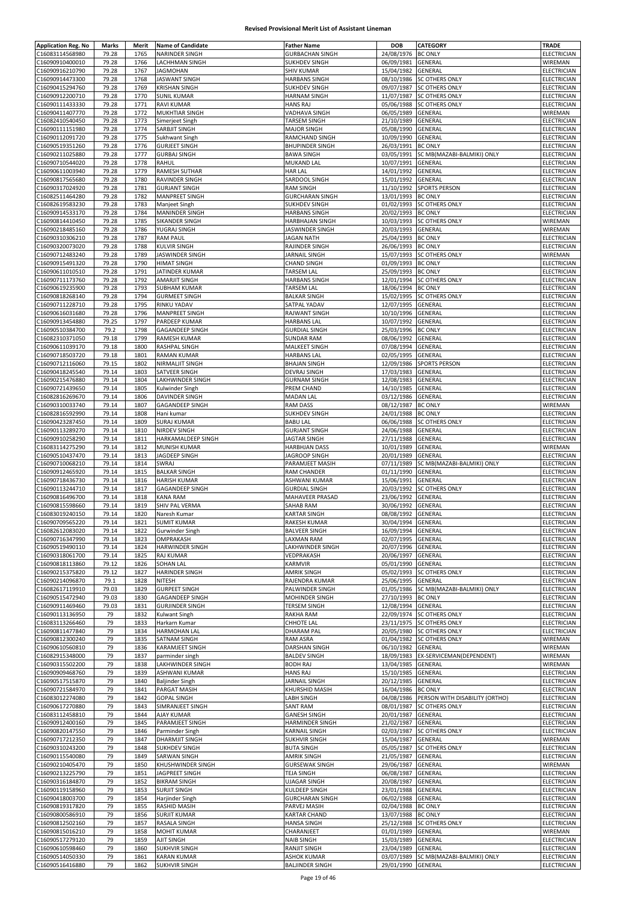| <b>Application Reg. No</b> | Marks          | Merit        | <b>Name of Candidate</b> | <b>Father Name</b>                           | DOB                | <b>CATEGORY</b>                                    | TRADE                      |
|----------------------------|----------------|--------------|--------------------------|----------------------------------------------|--------------------|----------------------------------------------------|----------------------------|
| C16083114568980            | 79.28          | 1765         | NARINDER SINGH           | <b>GURBACHAN SINGH</b>                       | 24/08/1976         | <b>BC ONLY</b>                                     | ELECTRICIAN                |
| C16090910400010            | 79.28          | 1766         | LACHHMAN SINGH           | <b>SUKHDEV SINGH</b>                         | 06/09/1981         | GENERAL                                            | WIREMAN                    |
| C16090916210790            | 79.28          | 1767         | <b>JAGMOHAN</b>          | <b>SHIV KUMAR</b>                            | 15/04/1982         | <b>GENERAL</b>                                     | ELECTRICIAN                |
|                            |                |              | <b>JASWANT SINGH</b>     |                                              |                    |                                                    |                            |
| C16090914473300            | 79.28<br>79.28 | 1768<br>1769 |                          | <b>HARBANS SINGH</b><br><b>SUKHDEV SINGH</b> | 08/10/1986         | <b>SC OTHERS ONLY</b><br>09/07/1987 SC OTHERS ONLY | ELECTRICIAN<br>ELECTRICIAN |
| C16090415294760            |                |              | <b>KRISHAN SINGH</b>     |                                              |                    |                                                    |                            |
| C16090912200710            | 79.28          | 1770         | <b>SUNIL KUMAR</b>       | <b>HARNAM SINGH</b>                          | 11/07/1987         | <b>SC OTHERS ONLY</b>                              | ELECTRICIAN                |
| C16090111433330            | 79.28          | 1771         | <b>RAVI KUMAR</b>        | <b>HANS RAJ</b>                              | 05/06/1988         | <b>SC OTHERS ONLY</b>                              | ELECTRICIAN                |
| C16090411407770            | 79.28          | 1772         | <b>MUKHTIAR SINGH</b>    | VADHAVA SINGH                                | 06/05/1989         | GENERAL                                            | WIREMAN                    |
| C16082410540450            | 79.28          | 1773         | Simerjeet Singh          | TARSEM SINGH                                 | 21/10/1989         | GENERAL                                            | ELECTRICIAN                |
| C16090111151980            | 79.28          | 1774         | SARBJIT SINGH            | <b>MAJOR SINGH</b>                           | 05/08/1990         | GENERAL                                            | ELECTRICIAN                |
| C16090112091720            | 79.28          | 1775         | Sukhwant Singh           | RAMCHAND SINGH                               | 10/09/1990         | GENERAL                                            | ELECTRICIAN                |
| C16090519351260            | 79.28          | 1776         | <b>GURJEET SINGH</b>     | <b>BHUPINDER SINGH</b>                       | 26/03/1991         | <b>BC ONLY</b>                                     | <b>ELECTRICIAN</b>         |
| C16090211025880            | 79.28          | 1777         | <b>GURBAJ SINGH</b>      | <b>BAWA SINGH</b>                            | 03/05/1991         | SC MB(MAZABI-BALMIKI) ONLY                         | ELECTRICIAN                |
| C16090710544020            | 79.28          | 1778         | RAHUL                    | MUKAND LAL                                   | 10/07/1991         | <b>GENERAL</b>                                     | ELECTRICIAN                |
| C16090611003940            | 79.28          | 1779         | RAMESH SUTHAR            | <b>HAR LAL</b>                               | 14/01/1992         | <b>GENERAL</b>                                     | ELECTRICIAN                |
| C16090817565680            | 79.28          | 1780         | RAVINDER SINGH           | SARDOOL SINGH                                | 15/01/1992         | <b>GENERAL</b>                                     | ELECTRICIAN                |
| C16090317024920            | 79.28          | 1781         | <b>GURJANT SINGH</b>     | <b>RAM SINGH</b>                             | 11/10/1992         | <b>SPORTS PERSON</b>                               | ELECTRICIAN                |
| C16082511464280            | 79.28          | 1782         | <b>MANPREET SINGH</b>    | <b>GURCHARAN SINGH</b>                       | 13/01/1993         | <b>BC ONLY</b>                                     | ELECTRICIAN                |
| C16082619583230            | 79.28          | 1783         | Manjeet Singh            | SUKHDEV SINGH                                | 01/02/1993         | <b>SC OTHERS ONLY</b>                              | ELECTRICIAN                |
| C16090914533170            | 79.28          | 1784         | <b>MANINDER SINGH</b>    | <b>HARBANS SINGH</b>                         | 20/02/1993         | <b>BC ONLY</b>                                     | ELECTRICIAN                |
| C16090814410450            | 79.28          | 1785         | SIKANDER SINGH           | <b>HARBHAJAN SINGH</b>                       | 10/03/1993         | <b>SC OTHERS ONLY</b>                              | WIREMAN                    |
| C16090218485160            | 79.28          | 1786         | YUGRAJ SINGH             | JASWINDER SINGH                              | 20/03/1993         | GENERAL                                            | WIREMAN                    |
|                            |                |              |                          |                                              |                    |                                                    |                            |
| C16090310306210            | 79.28          | 1787         | <b>RAM PAUL</b>          | <b>JAGAN NATH</b>                            | 25/04/1993         | <b>BC ONLY</b>                                     | ELECTRICIAN                |
| C16090320073020            | 79.28          | 1788         | <b>KULVIR SINGH</b>      | RAJINDER SINGH                               | 26/06/1993         | <b>BC ONLY</b>                                     | ELECTRICIAN                |
| C16090712483240            | 79.28          | 1789         | JASWINDER SINGH          | JARNAIL SINGH                                |                    | 15/07/1993 SC OTHERS ONLY                          | WIREMAN                    |
| C16090915491320            | 79.28          | 1790         | <b>HIMAT SINGH</b>       | <b>CHAND SINGH</b>                           | 01/09/1993         | <b>BC ONLY</b>                                     | ELECTRICIAN                |
| C16090611010510            | 79.28          | 1791         | JATINDER KUMAR           | TARSEM LAL                                   | 25/09/1993 BC ONLY |                                                    | ELECTRICIAN                |
| C16090711173760            | 79.28          | 1792         | <b>AMARJIT SINGH</b>     | <b>HARBANS SINGH</b>                         | 12/01/1994         | <b>SC OTHERS ONLY</b>                              | ELECTRICIAN                |
| C16090619235900            | 79.28          | 1793         | <b>SUBHAM KUMAR</b>      | <b>TARSEM LAL</b>                            | 18/06/1994         | <b>BC ONLY</b>                                     | ELECTRICIAN                |
| C16090818268140            | 79.28          | 1794         | <b>GURMEET SINGH</b>     | <b>BALKAR SINGH</b>                          | 15/02/1995         | <b>SC OTHERS ONLY</b>                              | <b>ELECTRICIAN</b>         |
| C16090711228710            | 79.28          | 1795         | RINKU YADAV              | SATPAL YADAV                                 | 12/07/1995         | GENERAL                                            | ELECTRICIAN                |
| C16090616031680            | 79.28          | 1796         | <b>MANPREET SINGH</b>    | RAJWANT SINGH                                | 10/10/1996         | <b>GENERAL</b>                                     | ELECTRICIAN                |
| C16090913454880            | 79.25          | 1797         | PARDEEP KUMAR            | <b>HARBANS LAL</b>                           | 10/07/1992         | GENERAL                                            | ELECTRICIAN                |
| C16090510384700            | 79.2           | 1798         | <b>GAGANDEEP SINGH</b>   | <b>GURDIAL SINGH</b>                         | 25/03/1996         | <b>BC ONLY</b>                                     | ELECTRICIAN                |
| C16082310371050            | 79.18          | 1799         | <b>RAMESH KUMAR</b>      | <b>SUNDAR RAM</b>                            | 08/06/1992         | GENERAL                                            | ELECTRICIAN                |
| C16090611039170            | 79.18          | 1800         | RASHPAL SINGH            | <b>MALKEET SINGH</b>                         | 07/08/1994         | <b>GENERAL</b>                                     | <b>ELECTRICIAN</b>         |
|                            |                |              |                          |                                              |                    |                                                    |                            |
| C16090718503720            | 79.18          | 1801         | <b>RAMAN KUMAR</b>       | <b>HARBANS LAL</b>                           | 02/05/1995         | GENERAL                                            | ELECTRICIAN                |
| C16090712116060            | 79.15          | 1802         | NIRMALJIT SINGH          | <b>BHAJAN SINGH</b>                          | 12/09/1986         | <b>SPORTS PERSON</b>                               | ELECTRICIAN                |
| C16090418245540            | 79.14          | 1803         | SATVEER SINGH            | DEVRAJ SINGH                                 | 17/03/1983         | GENERAL                                            | ELECTRICIAN                |
| C16090215476880            | 79.14          | 1804         | LAKHWINDER SINGH         | <b>GURNAM SINGH</b>                          | 12/08/1983         | GENERAL                                            | ELECTRICIAN                |
| C16090721439650            | 79.14          | 1805         | Kulwinder Singh          | PREM CHAND                                   | 14/10/1985         | GENERAL                                            | ELECTRICIAN                |
| C16082816269670            | 79.14          | 1806         | <b>DAVINDER SINGH</b>    | <b>MADAN LAL</b>                             | 03/12/1986         | GENERAL                                            | ELECTRICIAN                |
| C16090310033740            | 79.14          | 1807         | <b>GAGANDEEP SINGH</b>   | <b>RAM DASS</b>                              | 08/12/1987         | <b>BC ONLY</b>                                     | WIREMAN                    |
| C16082816592990            | 79.14          | 1808         | Hani kumar               | SUKHDEV SINGH                                | 24/01/1988         | <b>BC ONLY</b>                                     | ELECTRICIAN                |
| C16090423287450            | 79.14          | 1809         | <b>SURAJ KUMAR</b>       | <b>BABU LAL</b>                              | 06/06/1988         | <b>SC OTHERS ONLY</b>                              | ELECTRICIAN                |
| C16090113289270            | 79.14          | 1810         | NIRDEV SINGH             | <b>GURJANT SINGH</b>                         | 24/06/1988         | GENERAL                                            | ELECTRICIAN                |
| C16090910258290            | 79.14          | 1811         | HARKAMALDEEP SINGH       | <b>JAGTAR SINGH</b>                          | 27/11/1988         | GENERAL                                            | ELECTRICIAN                |
| C16083114275290            | 79.14          | 1812         | MUNISH KUMAR             | <b>HARBHJAN DASS</b>                         | 10/01/1989         | GENERAL                                            | WIREMAN                    |
| C16090510437470            | 79.14          | 1813         | JAGDEEP SINGH            | JAGROOP SINGH                                | 20/01/1989         | GENERAL                                            | ELECTRICIAN                |
|                            |                |              |                          |                                              |                    |                                                    |                            |
| C16090710068210            | 79.14          | 1814         | SWRAJ                    | PARAMJEET MASIH                              | 07/11/1989         | SC MB(MAZABI-BALMIKI) ONLY                         | ELECTRICIAN                |
| C16090912465920            | 79.14          | 1815         | <b>BALKAR SINGH</b>      | RAM CHANDER                                  | 01/11/1990         | GENERAL                                            | ELECTRICIAN                |
| C16090718436730            | 79.14          | 1816         | <b>HARISH KUMAR</b>      | ASHWANI KUMAR                                | 15/06/1991         | <b>GENERAL</b>                                     | <b>ELECTRICIAN</b>         |
| C16090113244710            | 79.14          | 1817         | <b>GAGANDEEP SINGH</b>   | <b>GURDIAL SINGH</b>                         | 20/03/1992         | <b>SC OTHERS ONLY</b>                              | ELECTRICIAN                |
| C16090816496700            | 79.14          | 1818         | <b>KANA RAM</b>          | MAHAVEER PRASAD                              | 23/06/1992         | GENERAL                                            | ELECTRICIAN                |
| C16090815598660            | 79.14          | 1819         | SHIV PAL VERMA           | SAHAB RAM                                    | 30/06/1992         | GENERAL                                            | <b>ELECTRICIAN</b>         |
| C16083019240150            | 79.14          | 1820         | Naresh Kumar             | <b>KARTAR SINGH</b>                          | 08/08/1992         | <b>GENERAL</b>                                     | ELECTRICIAN                |
| C16090709565220            | 79.14          | 1821         | <b>SUMIT KUMAR</b>       | RAKESH KUMAR                                 | 30/04/1994 GENERAL |                                                    | ELECTRICIAN                |
| C16082612083020            | 79.14          | 1822         | Gurwinder Singh          | <b>BALVEER SINGH</b>                         | 16/09/1994         | <b>GENERAL</b>                                     | ELECTRICIAN                |
| C16090716347990            | 79.14          | 1823         | OMPRAKASH                | LAXMAN RAM                                   | 02/07/1995         | GENERAL                                            | ELECTRICIAN                |
| C16090519490110            | 79.14          | 1824         | HARWINDER SINGH          | LAKHWINDER SINGH                             | 20/07/1996         | <b>GENERAL</b>                                     | <b>ELECTRICIAN</b>         |
| C16090318061700            | 79.14          | 1825         | <b>RAJ KUMAR</b>         | VEDPRAKASH                                   | 20/06/1997         | GENERAL                                            | ELECTRICIAN                |
| C16090818113860            | 79.12          | 1826         | SOHAN LAL                | KARMVIR                                      | 05/01/1990         | GENERAL                                            | ELECTRICIAN                |
| C16090215375820            | 79.12          | 1827         | <b>HARINDER SINGH</b>    | <b>AMRIK SINGH</b>                           | 05/02/1993         | <b>SC OTHERS ONLY</b>                              | ELECTRICIAN                |
|                            |                |              |                          |                                              | 25/06/1995         |                                                    | ELECTRICIAN                |
| C16090214096870            | 79.1           | 1828         | NITESH                   | RAJENDRA KUMAR                               |                    | GENERAL                                            |                            |
| C16082617119910            | 79.03          | 1829         | <b>GURPEET SINGH</b>     | PALWINDER SINGH                              | 01/05/1986         | SC MB(MAZABI-BALMIKI) ONLY                         | ELECTRICIAN                |
| C16090515472940            | 79.03          | 1830         | <b>GAGANDEEP SINGH</b>   | MOHINDER SINGH                               | 27/10/1993         | <b>BC ONLY</b>                                     | ELECTRICIAN                |
| C16090911469460            | 79.03          | 1831         | <b>GURJINDER SINGH</b>   | TERSEM SINGH                                 | 12/08/1994         | GENERAL                                            | ELECTRICIAN                |
| C16090113136950            | 79             | 1832         | Kulwant Singh            | RAKHA RAM                                    | 22/09/1974         | <b>SC OTHERS ONLY</b>                              | ELECTRICIAN                |
| C16083113266460            | 79             | 1833         | Harkarn Kumar            | CHHOTE LAL                                   | 23/11/1975         | <b>SC OTHERS ONLY</b>                              | ELECTRICIAN                |
| C16090811477840            | 79             | 1834         | HARMOHAN LAL             | <b>DHARAM PAL</b>                            |                    | 20/05/1980 SC OTHERS ONLY                          | ELECTRICIAN                |
| C16090812300240            | 79             | 1835         | SATNAM SINGH             | <b>RAM ASRA</b>                              | 01/04/1982         | <b>SC OTHERS ONLY</b>                              | WIREMAN                    |
| C16090610560810            | 79             | 1836         | KARAMJEET SINGH          | <b>DARSHAN SINGH</b>                         | 06/10/1982         | GENERAL                                            | WIREMAN                    |
| C16082915348000            | 79             | 1837         | parminder singh          | <b>BALDEV SINGH</b>                          | 18/09/1983         | EX-SERVICEMAN(DEPENDENT)                           | WIREMAN                    |
| C16090315502200            | 79             | 1838         | LAKHWINDER SINGH         | <b>BODH RAJ</b>                              | 13/04/1985         | GENERAL                                            | WIREMAN                    |
| C16090909468760            | 79             | 1839         | ASHWANI KUMAR            | <b>HANS RAJ</b>                              | 15/10/1985         | GENERAL                                            | ELECTRICIAN                |
| C16090517515870            | 79             | 1840         | <b>Baljinder Singh</b>   | JARNAIL SINGH                                | 20/12/1985         | GENERAL                                            | ELECTRICIAN                |
| C16090721584970            | 79             | 1841         | PARGAT MASIH             | KHURSHID MASIH                               | 16/04/1986         | <b>BC ONLY</b>                                     | ELECTRICIAN                |
| C16083012274080            | 79             | 1842         | <b>GOPAL SINGH</b>       | <b>LABH SINGH</b>                            | 04/08/1986         | PERSON WITH DISABILITY (ORTHO)                     | ELECTRICIAN                |
| C16090617270880            | 79             | 1843         | SIMRANJEET SINGH         | <b>SANT RAM</b>                              | 08/01/1987         | <b>SC OTHERS ONLY</b>                              | ELECTRICIAN                |
| C16083112458810            | 79             | 1844         | <b>AJAY KUMAR</b>        | <b>GANESH SINGH</b>                          | 20/01/1987         | <b>GENERAL</b>                                     | ELECTRICIAN                |
| C16090912400160            | 79             | 1845         | PARAMJEET SINGH          | HARMINDER SINGH                              | 21/02/1987         | GENERAL                                            | ELECTRICIAN                |
|                            |                |              |                          |                                              |                    |                                                    |                            |
| C16090820147550            | 79             | 1846         | Parminder Singh          | <b>KARNAIL SINGH</b>                         | 02/03/1987         | <b>SC OTHERS ONLY</b>                              | ELECTRICIAN                |
| C16090717212350            | 79             | 1847         | <b>DHARMJIT SINGH</b>    | <b>SUKHVIR SINGH</b>                         | 15/04/1987         | GENERAL                                            | WIREMAN                    |
| C16090310243200            | 79             | 1848         | SUKHDEV SINGH            | <b>BUTA SINGH</b>                            | 05/05/1987         | <b>SC OTHERS ONLY</b>                              | ELECTRICIAN                |
| C16090115540080            | 79             | 1849         | SARWAN SINGH             | <b>AMRIK SINGH</b>                           | 21/05/1987         | GENERAL                                            | ELECTRICIAN                |
| C16090210405470            | 79             | 1850         | KHUSHWINDER SINGH        | <b>GURSEWAK SINGH</b>                        | 29/06/1987         | GENERAL                                            | WIREMAN                    |
| C16090213225790            | 79             | 1851         | JAGPREET SINGH           | TEJA SINGH                                   | 06/08/1987         | GENERAL                                            | ELECTRICIAN                |
| C16090316184870            | 79             | 1852         | <b>BIKRAM SINGH</b>      | <b>UJAGAR SINGH</b>                          | 20/08/1987         | GENERAL                                            | <b>ELECTRICIAN</b>         |
| C16090119158960            | 79             | 1853         | <b>SURJIT SINGH</b>      | KULDEEP SINGH                                | 23/01/1988         | GENERAL                                            | ELECTRICIAN                |
| C16090418003700            | 79             | 1854         | Harjinder Singh          | <b>GURCHARAN SINGH</b>                       | 06/02/1988         | GENERAL                                            | ELECTRICIAN                |
| C16090819317820            | 79             | 1855         | RASHID MASIH             | PARVEJ MASIH                                 | 02/04/1988         | <b>BC ONLY</b>                                     | ELECTRICIAN                |
| C16090800586910            | 79             | 1856         | <b>SURJIT KUMAR</b>      | <b>KARTAR CHAND</b>                          | 13/07/1988 BC ONLY |                                                    | ELECTRICIAN                |
| C16090812502160            | 79             | 1857         | <b>RASALA SINGH</b>      | <b>HANSA SINGH</b>                           | 25/12/1988         | <b>SC OTHERS ONLY</b>                              | ELECTRICIAN                |
| C16090815016210            | 79             | 1858         | MOHIT KUMAR              | CHARANJEET                                   | 01/01/1989         | GENERAL                                            | WIREMAN                    |
| C16090517279120            | 79             | 1859         | AJIT SINGH               | <b>NAIB SINGH</b>                            | 15/03/1989 GENERAL |                                                    | ELECTRICIAN                |
|                            |                |              |                          |                                              |                    |                                                    |                            |
| C16090610598460            | 79             | 1860         | <b>SUKHVIR SINGH</b>     | <b>RANJIT SINGH</b>                          | 23/04/1989         | GENERAL                                            | ELECTRICIAN                |
| C16090514050330            | 79             | 1861         | <b>KARAN KUMAR</b>       | <b>ASHOK KUMAR</b>                           |                    | 03/07/1989 SC MB(MAZABI-BALMIKI) ONLY              | ELECTRICIAN                |
| C16090516416880            | 79             | 1862         | <b>SUKHVIR SINGH</b>     | <b>BALJINDER SINGH</b>                       | 29/01/1990 GENERAL |                                                    | ELECTRICIAN                |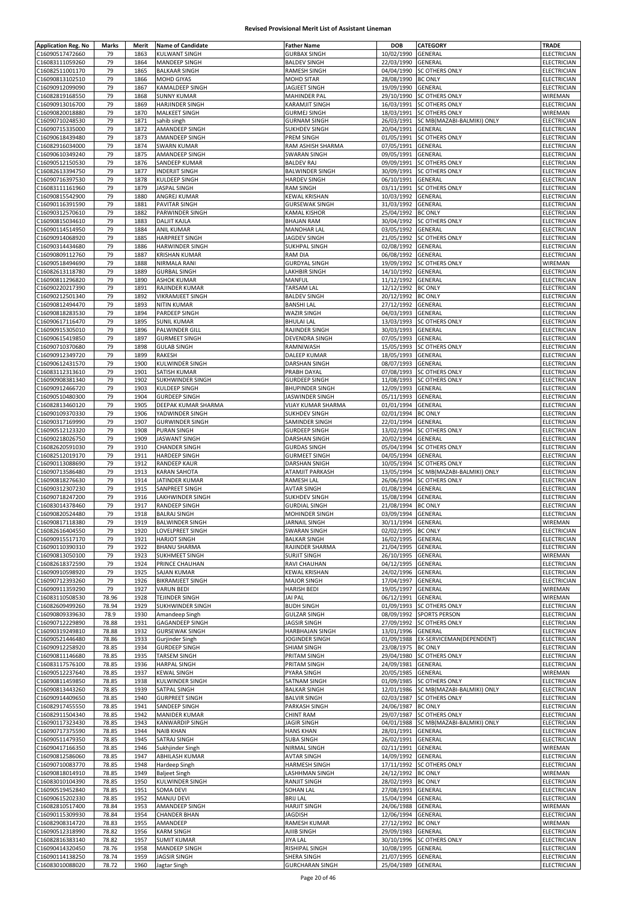| <b>Application Reg. No</b> | Marks | Merit | <b>Name of Candidate</b> | <b>Father Name</b>     | <b>DOB</b>                               | CATEGORY                   | <b>TRADE</b>               |
|----------------------------|-------|-------|--------------------------|------------------------|------------------------------------------|----------------------------|----------------------------|
| C16090517472660            | 79    | 1863  | <b>KULWANT SINGH</b>     | <b>GURBAX SINGH</b>    | 10/02/1990                               | GENERAL                    | ELECTRICIAN                |
| C16083111059260            | 79    | 1864  | <b>MANDEEP SINGH</b>     | <b>BALDEV SINGH</b>    | 22/03/1990                               | GENERAL                    | ELECTRICIAN                |
| C16082511001170            | 79    | 1865  | <b>BALKAAR SINGH</b>     | RAMESH SINGH           | 04/04/1990                               | <b>SC OTHERS ONLY</b>      | <b>ELECTRICIAN</b>         |
|                            | 79    | 1866  |                          |                        |                                          | <b>BC ONLY</b>             |                            |
| C16090813102510            | 79    | 1867  | MOHD GIYAS               | MOHD SITAR             | 28/08/1990                               | GENERAL                    | ELECTRICIAN<br>ELECTRICIAN |
| C16090912099090            |       |       | <b>KAMALDEEP SINGH</b>   | JAGJEET SINGH          | 19/09/1990                               |                            |                            |
| C16082819168550            | 79    | 1868  | <b>SUNNY KUMAR</b>       | <b>MAHINDER PAL</b>    | 29/10/1990                               | <b>SC OTHERS ONLY</b>      | WIREMAN                    |
| C16090913016700            | 79    | 1869  | <b>HARJINDER SINGH</b>   | KARAMJIT SINGH         | 16/03/1991                               | SC OTHERS ONLY             | ELECTRICIAN                |
| C16090820018880            | 79    | 1870  | MALKEET SINGH            | <b>GURMEJ SINGH</b>    | 18/03/1991                               | <b>SC OTHERS ONLY</b>      | WIREMAN                    |
| C16090710248530            | 79    | 1871  | sahib singh              | <b>GURNAM SINGH</b>    | 26/03/1991                               | SC MB(MAZABI-BALMIKI) ONLY | ELECTRICIAN                |
| C16090715335000            | 79    | 1872  | AMANDEEP SINGH           | <b>SUKHDEV SINGH</b>   | 20/04/1991                               | GENERAL                    | ELECTRICIAN                |
| C16090618439480            | 79    | 1873  | AMANDEEP SINGH           | PREM SINGH             | 01/05/1991                               | <b>SC OTHERS ONLY</b>      | ELECTRICIAN                |
| C16082916034000            | 79    | 1874  | <b>SWARN KUMAR</b>       | RAM ASHISH SHARMA      | 07/05/1991                               | <b>GENERAL</b>             | ELECTRICIAN                |
| C16090610349240            | 79    | 1875  | AMANDEEP SINGH           | <b>SWARAN SINGH</b>    | 09/05/1991                               | GENERAL                    | <b>ELECTRICIAN</b>         |
| C16090512150530            | 79    | 1876  | SANDEEP KUMAR            | <b>BALDEV RAJ</b>      | 09/09/1991                               | <b>SC OTHERS ONLY</b>      | ELECTRICIAN                |
| C16082613394750            | 79    | 1877  | <b>INDERJIT SINGH</b>    | <b>BALWINDER SINGH</b> | 30/09/1991                               | <b>SC OTHERS ONLY</b>      | ELECTRICIAN                |
| C16090716397530            | 79    | 1878  | KULDEEP SINGH            | <b>HARDEV SINGH</b>    | 06/10/1991                               | GENERAL                    | ELECTRICIAN                |
| C16083111161960            | 79    | 1879  | <b>JASPAL SINGH</b>      | <b>RAM SINGH</b>       | 03/11/1991                               | <b>SC OTHERS ONLY</b>      | ELECTRICIAN                |
| C16090815542900            | 79    | 1880  | ANGREJ KUMAR             | <b>KEWAL KRISHAN</b>   | 10/03/1992                               | GENERAL                    | ELECTRICIAN                |
|                            | 79    | 1881  |                          |                        | 31/03/1992                               | GENERAL                    | ELECTRICIAN                |
| C16090116391590            |       |       | <b>PAVITAR SINGH</b>     | <b>GURSEWAK SINGH</b>  |                                          |                            |                            |
| C16090312570610            | 79    | 1882  | PARWINDER SINGH          | KAMAL KISHOR           | 25/04/1992                               | <b>BC ONLY</b>             | <b>ELECTRICIAN</b>         |
| C16090815034610            | 79    | 1883  | <b>DALJIT KAJLA</b>      | <b>BHAJAN RAM</b>      | 30/04/1992                               | SC OTHERS ONLY             | ELECTRICIAN                |
| C16090114514950            | 79    | 1884  | <b>ANIL KUMAR</b>        | <b>MANOHAR LAL</b>     | 03/05/1992                               | GENERAL                    | ELECTRICIAN                |
| C16090914068920            | 79    | 1885  | <b>HARPREET SINGH</b>    | JAGDEV SINGH           | 21/05/1992                               | <b>SC OTHERS ONLY</b>      | ELECTRICIAN                |
| C16090314434680            | 79    | 1886  | HARWINDER SINGH          | <b>SUKHPAL SINGH</b>   | 02/08/1992                               | GENERAL                    | ELECTRICIAN                |
| C16090809112760            | 79    | 1887  | <b>KRISHAN KUMAR</b>     | <b>RAM DIA</b>         | 06/08/1992                               | GENERAL                    | ELECTRICIAN                |
| C16090518494690            | 79    | 1888  | NIRMALA RANI             | <b>GURDYAL SINGH</b>   | 19/09/1992                               | <b>SC OTHERS ONLY</b>      | WIREMAN                    |
| C16082613118780            | 79    | 1889  | <b>GURBAL SINGH</b>      | LAKHBIR SINGH          | 14/10/1992                               | GENERAL                    | ELECTRICIAN                |
| C16090811296820            | 79    | 1890  | <b>ASHOK KUMAR</b>       | MANFUL                 | 11/12/1992                               | <b>GENERAL</b>             | ELECTRICIAN                |
| C16090220217390            | 79    | 1891  | RAJINDER KUMAR           | TARSAM LAL             | 12/12/1992                               | <b>BC ONLY</b>             | ELECTRICIAN                |
| C16090212501340            | 79    | 1892  | VIKRAMJEET SINGH         | <b>BALDEV SINGH</b>    | 20/12/1992                               | <b>BC ONLY</b>             | <b>ELECTRICIAN</b>         |
| C16090812494470            | 79    | 1893  | <b>NITIN KUMAR</b>       | <b>BANSHI LAL</b>      | 27/12/1992                               | GENERAL                    | ELECTRICIAN                |
| C16090818283530            | 79    | 1894  | PARDEEP SINGH            | <b>WAZIR SINGH</b>     | 04/03/1993                               | GENERAL                    | ELECTRICIAN                |
|                            |       |       |                          |                        |                                          |                            |                            |
| C16090617116470            | 79    | 1895  | <b>SUNIL KUMAR</b>       | <b>BHULAI LAL</b>      | 13/03/1993                               | <b>SC OTHERS ONLY</b>      | ELECTRICIAN                |
| C16090915305010            | 79    | 1896  | PALWINDER GILL           | RAJINDER SINGH         | 30/03/1993                               | <b>GENERAL</b>             | ELECTRICIAN                |
| C16090615419850            | 79    | 1897  | <b>GURMEET SINGH</b>     | DEVENDRA SINGH         | 07/05/1993                               | GENERAL                    | ELECTRICIAN                |
| C16090710370680            | 79    | 1898  | <b>GULAB SINGH</b>       | RAMNIWASH              | 15/05/1993                               | <b>SC OTHERS ONLY</b>      | ELECTRICIAN                |
| C16090912349720            | 79    | 1899  | RAKESH                   | DALEEP KUMAR           | 18/05/1993                               | GENERAL                    | ELECTRICIAN                |
| C16090612431570            | 79    | 1900  | KULWINDER SINGH          | DARSHAN SINGH          | 08/07/1993                               | GENERAL                    | ELECTRICIAN                |
| C16083112313610            | 79    | 1901  | SATISH KUMAR             | PRABH DAYAL            | 07/08/1993                               | <b>SC OTHERS ONLY</b>      | ELECTRICIAN                |
| C16090908381340            | 79    | 1902  | SUKHWINDER SINGH         | <b>GURDEEP SINGH</b>   | 11/08/1993                               | <b>SC OTHERS ONLY</b>      | <b>ELECTRICIAN</b>         |
| C16090912466720            | 79    | 1903  | KULDEEP SINGH            | <b>BHUPINDER SINGH</b> | 12/09/1993                               | GENERAL                    | ELECTRICIAN                |
| C16090510480300            | 79    | 1904  | <b>GURDEEP SINGH</b>     | JASWINDER SINGH        | 05/11/1993                               | GENERAL                    | ELECTRICIAN                |
| C16082813460120            | 79    | 1905  | DEEPAK KUMAR SHARMA      | VIJAY KUMAR SHARMA     | 01/01/1994                               | GENERAL                    | ELECTRICIAN                |
|                            |       |       |                          |                        |                                          |                            |                            |
| C16090109370330            | 79    | 1906  | YADWINDER SINGH          | <b>SUKHDEV SINGH</b>   | 02/01/1994                               | <b>BC ONLY</b>             | ELECTRICIAN                |
| C16090317169990            | 79    | 1907  | <b>GURWINDER SINGH</b>   | SAMINDER SINGH         | 22/01/1994                               | GENERAL                    | ELECTRICIAN                |
| C16090512123320            | 79    | 1908  | <b>PURAN SINGH</b>       | <b>GURDEEP SINGH</b>   | 13/02/1994                               | <b>SC OTHERS ONLY</b>      | ELECTRICIAN                |
| C16090218026750            | 79    | 1909  | <b>JASWANT SINGH</b>     | DARSHAN SINGH          | 20/02/1994                               | GENERAL                    | ELECTRICIAN                |
| C16082620591030            | 79    | 1910  | <b>CHANDER SINGH</b>     | <b>GURDAS SINGH</b>    | 05/04/1994                               | SC OTHERS ONLY             | ELECTRICIAN                |
| C16082512019170            | 79    | 1911  | <b>HARDEEP SINGH</b>     | <b>GURMEET SINGH</b>   | 04/05/1994                               | GENERAL                    | ELECTRICIAN                |
| C16090113088690            | 79    | 1912  | RANDEEP KAUR             | DARSHAN SNIGH          | 10/05/1994                               | <b>SC OTHERS ONLY</b>      | ELECTRICIAN                |
| C16090713586480            | 79    | 1913  | <b>KARAN SAHOTA</b>      | <b>ATAMJIT PARKASH</b> | 13/05/1994                               | SC MB(MAZABI-BALMIKI) ONLY | ELECTRICIAN                |
| C16090818276630            | 79    | 1914  | JATINDER KUMAR           | RAMESH LAL             | 26/06/1994                               | <b>SC OTHERS ONLY</b>      | ELECTRICIAN                |
| C16090312307230            | 79    | 1915  | SANPREET SINGH           | <b>AVTAR SINGH</b>     | 01/08/1994                               | GENERAL                    | ELECTRICIAN                |
| C16090718247200            | 79    | 1916  | LAKHWINDER SINGH         | <b>SUKHDEV SINGH</b>   | 15/08/1994                               | GENERAL                    | ELECTRICIAN                |
| C16083014378460            | 79    | 1917  | <b>RANDEEP SINGH</b>     | <b>GURDIAL SINGH</b>   | 21/08/1994                               | <b>BC ONLY</b>             | ELECTRICIAN                |
| C16090820524480            | 79    | 1918  | <b>BALRAJ SINGH</b>      | MOHINDER SINGH         | 03/09/1994                               | GENERAL                    | ELECTRICIAN                |
|                            |       |       |                          |                        |                                          |                            |                            |
| C16090817118380            | 79    | 1919  | <b>BALWINDER SINGH</b>   | JARNAIL SINGH          | 30/11/1994 GENERAL<br>02/02/1995 BC ONLY |                            | WIREMAN                    |
| C16082616404550            | 79    | 1920  | <b>LOVELPREET SINGH</b>  | <b>SWARAN SINGH</b>    |                                          |                            | ELECTRICIAN                |
| C16090915517170            | 79    | 1921  | <b>HARJOT SINGH</b>      | <b>BALKAR SINGH</b>    | 16/02/1995                               | <b>GENERAL</b>             | ELECTRICIAN                |
| C16090110390310            | 79    | 1922  | <b>BHANU SHARMA</b>      | RAJINDER SHARMA        | 21/04/1995                               | GENERAL                    | ELECTRICIAN                |
| C16090813050100            | 79    | 1923  | <b>SUKHMEET SINGH</b>    | <b>SURJIT SINGH</b>    | 26/10/1995                               | GENERAL                    | WIREMAN                    |
| C16082618372590            | 79    | 1924  | PRINCE CHAUHAN           | RAVI CHAUHAN           | 04/12/1995                               | GENERAL                    | <b>ELECTRICIAN</b>         |
| C16090910598920            | 79    | 1925  | <b>SAJAN KUMAR</b>       | <b>KEWAL KRISHAN</b>   | 24/02/1996                               | GENERAL                    | ELECTRICIAN                |
| C16090712393260            | 79    | 1926  | <b>BIKRAMJEET SINGH</b>  | <b>MAJOR SINGH</b>     | 17/04/1997                               | GENERAL                    | ELECTRICIAN                |
| C16090911359290            | 79    | 1927  | <b>VARUN BEDI</b>        | <b>HARISH BEDI</b>     | 19/05/1997                               | GENERAL                    | WIREMAN                    |
| C16083110508530            | 78.96 | 1928  | TEJINDER SINGH           | <b>JAI PAL</b>         | 06/12/1991                               | GENERAL                    | WIREMAN                    |
| C16082609499260            | 78.94 | 1929  | SUKHWINDER SINGH         | <b>BUDH SINGH</b>      | 01/09/1993                               | <b>SC OTHERS ONLY</b>      | ELECTRICIAN                |
| C16090809339630            | 78.9  | 1930  | Amandeep Singh           | <b>GULZAR SINGH</b>    | 08/09/1992                               | <b>SPORTS PERSON</b>       | <b>ELECTRICIAN</b>         |
| C16090712229890            | 78.88 | 1931  | <b>GAGANDEEP SINGH</b>   | JAGSIR SINGH           | 27/09/1992                               | <b>SC OTHERS ONLY</b>      | ELECTRICIAN                |
| C16090319249810            | 78.88 | 1932  | <b>GURSEWAK SINGH</b>    | HARBHAJAN SINGH        | 13/01/1996                               | GENERAL                    | ELECTRICIAN                |
| C16090521446480            | 78.86 | 1933  | Gurjinder Singh          | JOGINDER SINGH         | 01/09/1988                               | EX-SERVICEMAN(DEPENDENT)   | ELECTRICIAN                |
| C16090912258920            | 78.85 | 1934  | <b>GURDEEP SINGH</b>     | SHIAM SINGH            | 23/08/1975                               | <b>BC ONLY</b>             | ELECTRICIAN                |
| C16090811146680            | 78.85 | 1935  | <b>TARSEM SINGH</b>      | PRITAM SINGH           | 29/04/1980                               | <b>SC OTHERS ONLY</b>      | ELECTRICIAN                |
| C16083117576100            | 78.85 | 1936  | <b>HARPAL SINGH</b>      | PRITAM SINGH           | 24/09/1981                               | GENERAL                    | ELECTRICIAN                |
|                            |       |       |                          |                        |                                          |                            |                            |
| C16090512237640            | 78.85 | 1937  | <b>KEWAL SINGH</b>       | PYARA SINGH            | 20/05/1985 GENERAL                       |                            | WIREMAN                    |
| C16090811459850            | 78.85 | 1938  | KULWINDER SINGH          | SATNAM SINGH           | 01/09/1985                               | <b>SC OTHERS ONLY</b>      | ELECTRICIAN                |
| C16090813443260            | 78.85 | 1939  | SATPAL SINGH             | <b>BALKAR SINGH</b>    | 12/01/1986                               | SC MB(MAZABI-BALMIKI) ONLY | ELECTRICIAN                |
| C16090914409650            | 78.85 | 1940  | <b>GURPREET SINGH</b>    | <b>BALVIR SINGH</b>    | 02/03/1987                               | <b>SC OTHERS ONLY</b>      | ELECTRICIAN                |
| C16082917455550            | 78.85 | 1941  | SANDEEP SINGH            | PARKASH SINGH          | 24/06/1987                               | <b>BC ONLY</b>             | ELECTRICIAN                |
| C16082911504340            | 78.85 | 1942  | <b>MANIDER KUMAR</b>     | <b>CHINT RAM</b>       | 29/07/1987                               | <b>SC OTHERS ONLY</b>      | <b>ELECTRICIAN</b>         |
| C16090117323430            | 78.85 | 1943  | <b>KANWARDIP SINGH</b>   | <b>JAGIR SINGH</b>     | 04/01/1988                               | SC MB(MAZABI-BALMIKI) ONLY | ELECTRICIAN                |
| C16090717375590            | 78.85 | 1944  | <b>NAIB KHAN</b>         | <b>HANS KHAN</b>       | 28/01/1991                               | GENERAL                    | ELECTRICIAN                |
| C16090511479350            | 78.85 | 1945  | SATRAJ SINGH             | <b>SUBA SINGH</b>      | 26/02/1991                               | GENERAL                    | ELECTRICIAN                |
| C16090417166350            | 78.85 | 1946  | Sukhjinder Singh         | NIRMAL SINGH           | 02/11/1991                               | GENERAL                    | WIREMAN                    |
| C16090812586060            | 78.85 | 1947  | <b>ABHILASH KUMAR</b>    | <b>AVTAR SINGH</b>     | 14/09/1992                               | GENERAL                    | ELECTRICIAN                |
| C16090710083770            | 78.85 | 1948  | Hardeep Singh            | HARMESH SINGH          | 17/11/1992                               | <b>SC OTHERS ONLY</b>      | ELECTRICIAN                |
| C16090818014910            | 78.85 | 1949  | <b>Baljeet Singh</b>     | LASHHMAN SINGH         | 24/12/1992                               | <b>BC ONLY</b>             | WIREMAN                    |
| C16083010104390            | 78.85 | 1950  | KULWINDER SINGH          | RANJIT SINGH           | 28/02/1993                               | <b>BC ONLY</b>             | ELECTRICIAN                |
| C16090519452840            | 78.85 | 1951  | SOMA DEVI                | <b>SOHAN LAL</b>       | 27/08/1993                               | GENERAL                    | ELECTRICIAN                |
|                            |       |       |                          |                        |                                          |                            |                            |
| C16090615202330            | 78.85 | 1952  | <b>MANJU DEVI</b>        | <b>BRIJ LAL</b>        | 15/04/1994                               | GENERAL                    | ELECTRICIAN                |
| C16082810517400            | 78.84 | 1953  | AMANDEEP SINGH           | <b>HARJIT SINGH</b>    | 24/06/1988                               | GENERAL                    | WIREMAN                    |
| C16090115309930            | 78.84 | 1954  | <b>CHANDER BHAN</b>      | JAGDISH                | 12/06/1994                               | GENERAL                    | ELECTRICIAN                |
| C16082908314720            | 78.83 | 1955  | AMANDEEP                 | RAMESH KUMAR           | 27/12/1992                               | <b>BC ONLY</b>             | WIREMAN                    |
| C16090512318990            | 78.82 | 1956  | <b>KARM SINGH</b>        | AJIIB SINGH            | 29/09/1983                               | GENERAL                    | ELECTRICIAN                |
| C16082816383140            | 78.82 | 1957  | <b>SUMIT KUMAR</b>       | <b>JIYA LAL</b>        | 30/10/1996                               | <b>SC OTHERS ONLY</b>      | ELECTRICIAN                |
| C16090414320450            | 78.76 | 1958  | MANDEEP SINGH            | RISHIPAL SINGH         | 10/08/1995                               | GENERAL                    | ELECTRICIAN                |
| C16090114138250            | 78.74 | 1959  | <b>JAGSIR SINGH</b>      | SHERA SINGH            | 21/07/1995                               | GENERAL                    | ELECTRICIAN                |
| C16083010088020            | 78.72 | 1960  | Jagtar Singh             | <b>GURCHARAN SINGH</b> | 25/04/1989 GENERAL                       |                            | ELECTRICIAN                |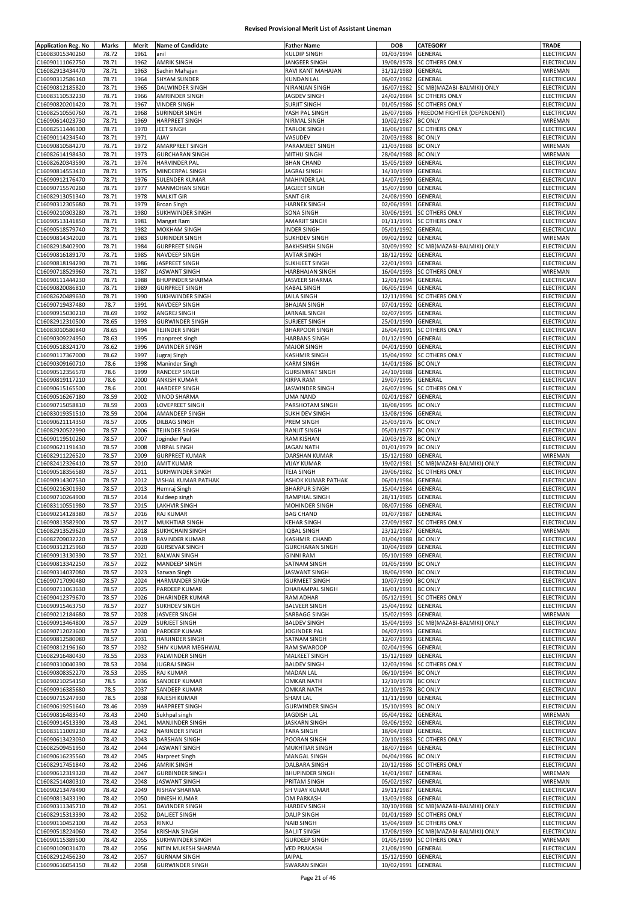| C16083015340260                    | Marks          | Merit        | <b>Name of Candidate</b>                        | <b>Father Name</b>                       | <b>DOB</b>                                      | CATEGORY                              | <b>TRADE</b>               |
|------------------------------------|----------------|--------------|-------------------------------------------------|------------------------------------------|-------------------------------------------------|---------------------------------------|----------------------------|
|                                    | 78.72          | 1961         | anil                                            | KULDIP SINGH                             | 01/03/1994                                      | GENERAL                               | ELECTRICIAN                |
| C16090111062750                    | 78.71          | 1962         | <b>AMRIK SINGH</b>                              | JANGEER SINGH                            | 19/08/1978                                      | SC OTHERS ONLY                        | <b>ELECTRICIAN</b>         |
| C16082913434470                    | 78.71          | 1963         | Sachin Mahajan                                  | RAVI KANT MAHAJAN                        | 31/12/1980                                      | GENERAL                               | WIREMAN                    |
| C16090312586140                    | 78.71          | 1964         | <b>SHYAM SUNDER</b>                             | <b>KUNDAN LAL</b>                        | 06/07/1982                                      | GENERAL                               | ELECTRICIAN                |
| C16090812185820                    | 78.71          | 1965         | DALWINDER SINGH                                 | NIRANJAN SINGH                           | 16/07/1982                                      | SC MB(MAZABI-BALMIKI) ONLY            | ELECTRICIAN                |
| C16083110532230                    | 78.71          | 1966         | AMRINDER SINGH                                  | JAGDEV SINGH                             | 24/02/1984                                      | SC OTHERS ONLY                        | <b>ELECTRICIAN</b>         |
| C16090820201420                    | 78.71          | 1967         | <b>VINDER SINGH</b>                             | <b>SURJIT SINGH</b>                      | 01/05/1986                                      | <b>SC OTHERS ONLY</b>                 | ELECTRICIAN                |
| C16082510550760                    | 78.71          | 1968         | <b>SURINDER SINGH</b>                           | YASH PAL SINGH                           | 26/07/1986                                      | <b>FREEDOM FIGHTER (DEPENDENT)</b>    | ELECTRICIAN                |
| C16090614023730                    | 78.71          | 1969         | <b>HARPREET SINGH</b>                           | NIRMAL SINGH                             | 10/02/1987                                      | <b>BC ONLY</b>                        | WIREMAN                    |
| C16082511446300                    | 78.71          | 1970         | JEET SINGH                                      | <b>TARLOK SINGH</b>                      | 16/06/1987                                      | SC OTHERS ONLY                        | ELECTRICIAN                |
| C16090114234540                    | 78.71          | 1971         | AJAY                                            | VASUDEV                                  | 20/03/1988                                      | <b>BC ONLY</b>                        | ELECTRICIAN                |
| C16090810584270                    | 78.71          | 1972         | <b>AMARPREET SINGH</b>                          | PARAMJEET SINGH                          | 21/03/1988                                      | <b>BC ONLY</b>                        | WIREMAN                    |
| C16082614198430                    | 78.71          | 1973         | <b>GURCHARAN SINGH</b>                          | MITHU SINGH                              | 28/04/1988                                      | <b>BC ONLY</b>                        | WIREMAN                    |
| C16082620343590                    | 78.71          | 1974         | <b>HARVINDER PAL</b>                            | <b>BHAN CHAND</b>                        | 15/05/1989                                      | GENERAL                               | ELECTRICIAN                |
| C16090814553410                    | 78.71          | 1975         | MINDERPAL SINGH                                 | JAGRAJ SINGH                             | 14/10/1989                                      | GENERAL                               | ELECTRICIAN                |
| C16090912176470                    | 78.71          | 1976<br>1977 | SULENDER KUMAR                                  | <b>MAHINDER LAL</b>                      | 14/07/1990                                      | GENERAL                               | <b>ELECTRICIAN</b>         |
| C16090715570260<br>C16082913051340 | 78.71<br>78.71 | 1978         | <b>MANMOHAN SINGH</b><br><b>MALKIT GIR</b>      | JAGJEET SINGH<br><b>SANT GIR</b>         | 15/07/1990<br>24/08/1990                        | GENERAL<br>GENERAL                    | ELECTRICIAN<br>ELECTRICIAN |
| C16090312305680                    | 78.71          | 1979         | <b>Broan Singh</b>                              | <b>HARNEK SINGH</b>                      | 02/06/1991                                      | GENERAL                               | ELECTRICIAN                |
| C16090210303280                    | 78.71          | 1980         | SUKHWINDER SINGH                                | SONA SINGH                               | 30/06/1991                                      | <b>SC OTHERS ONLY</b>                 | ELECTRICIAN                |
| C16090513141850                    | 78.71          | 1981         | Mangat Ram                                      | <b>AMARJIT SINGH</b>                     | 01/11/1991                                      | SC OTHERS ONLY                        | ELECTRICIAN                |
| C16090518579740                    | 78.71          | 1982         | <b>MOKHAM SINGH</b>                             | INDER SINGH                              | 05/01/1992                                      | GENERAL                               | ELECTRICIAN                |
| C16090814342020                    | 78.71          | 1983         | <b>SURINDER SINGH</b>                           | <b>SUKHDEV SINGH</b>                     | 09/02/1992                                      | GENERAL                               | WIREMAN                    |
| C16082918402900                    | 78.71          | 1984         | <b>GURPREET SINGH</b>                           | <b>BAKHSHISH SINGH</b>                   | 30/09/1992                                      | SC MB(MAZABI-BALMIKI) ONLY            | ELECTRICIAN                |
| C16090816189170                    | 78.71          | 1985         | NAVDEEP SINGH                                   | <b>AVTAR SINGH</b>                       | 18/12/1992                                      | GENERAL                               | ELECTRICIAN                |
| C16090818194290                    | 78.71          | 1986         | JASPREET SINGH                                  | SUKHJEET SINGH                           | 22/01/1993                                      | GENERAL                               | ELECTRICIAN                |
| C16090718529960                    | 78.71          | 1987         | <b>JASWANT SINGH</b>                            | HARBHAJAN SINGH                          | 16/04/1993                                      | SC OTHERS ONLY                        | WIREMAN                    |
| C16090111444230                    | 78.71          | 1988         | <b>BHUPINDER SHARMA</b>                         | JASVEER SHARMA                           | 12/01/1994                                      | GENERAL                               | ELECTRICIAN                |
| C16090820086810                    | 78.71          | 1989         | <b>GURPREET SINGH</b>                           | <b>KABAL SINGH</b>                       | 06/05/1994                                      | GENERAL                               | ELECTRICIAN                |
| C16082620489630                    | 78.71          | 1990         | SUKHWINDER SINGH                                | JAILA SINGH                              | 12/11/1994                                      | <b>SC OTHERS ONLY</b>                 | <b>ELECTRICIAN</b>         |
| C16090719437480                    | 78.7           | 1991         | NAVDEEP SINGH                                   | <b>BHAJAN SINGH</b>                      | 07/01/1992                                      | GENERAL                               | ELECTRICIAN                |
| C16090915030210                    | 78.69          | 1992         | ANGREJ SINGH                                    | JARNAIL SINGH                            | 02/07/1995                                      | <b>GENERAL</b>                        | ELECTRICIAN                |
| C16082912310500<br>C16083010580840 | 78.65          | 1993<br>1994 | <b>GURWINDER SINGH</b><br><b>TEJINDER SINGH</b> | SURJEET SINGH<br><b>BHARPOOR SINGH</b>   | 25/01/1990<br>26/04/1991                        | GENERAL<br><b>SC OTHERS ONLY</b>      | ELECTRICIAN<br>ELECTRICIAN |
| C16090309224950                    | 78.65<br>78.63 | 1995         | manpreet singh                                  | <b>HARBANS SINGH</b>                     | 01/12/1990                                      | <b>GENERAL</b>                        | ELECTRICIAN                |
| C16090518324170                    | 78.62          | 1996         | <b>DAVINDER SINGH</b>                           | <b>MAJOR SINGH</b>                       | 04/01/1990                                      | <b>GENERAL</b>                        | ELECTRICIAN                |
| C16090117367000                    | 78.62          | 1997         | Jugraj Singh                                    | KASHMIR SINGH                            | 15/04/1992                                      | SC OTHERS ONLY                        | ELECTRICIAN                |
| C16090309160710                    | 78.6           | 1998         | Maninder Singh                                  | <b>KARM SINGH</b>                        | 14/01/1986                                      | <b>BC ONLY</b>                        | ELECTRICIAN                |
| C16090512356570                    | 78.6           | 1999         | <b>RANDEEP SINGH</b>                            | <b>GURSIMRAT SINGH</b>                   | 24/10/1988                                      | GENERAL                               | ELECTRICIAN                |
| C16090819117210                    | 78.6           | 2000         | <b>ANKISH KUMAR</b>                             | <b>KIRPA RAM</b>                         | 29/07/1995                                      | GENERAL                               | <b>ELECTRICIAN</b>         |
| C16090615165500                    | 78.6           | 2001         | <b>HARDEEP SINGH</b>                            | JASWINDER SINGH                          | 26/07/1996                                      | <b>SC OTHERS ONLY</b>                 | ELECTRICIAN                |
| C16090516267180                    | 78.59          | 2002         | <b>VINOD SHARMA</b>                             | <b>UMA NAND</b>                          | 02/01/1987                                      | GENERAL                               | ELECTRICIAN                |
| C16090715058810                    | 78.59<br>78.59 | 2003<br>2004 | LOVEPREET SINGH<br>AMANDEEP SINGH               | PARSHOTAM SINGH<br><b>SUKH DEV SINGH</b> | 16/08/1995<br>13/08/1996                        | <b>BC ONLY</b>                        | ELECTRICIAN                |
| C16083019351510<br>C16090621114350 | 78.57          | 2005         | <b>DILBAG SINGH</b>                             | PREM SINGH                               | 25/03/1976                                      | GENERAL<br><b>BC ONLY</b>             | ELECTRICIAN<br>ELECTRICIAN |
| C16082920522990                    | 78.57          | 2006         | TEJINDER SINGH                                  | RANJIT SINGH                             | 05/01/1977                                      | <b>BC ONLY</b>                        | ELECTRICIAN                |
| C16090119510260                    | 78.57          | 2007         | Joginder Paul                                   | <b>RAM KISHAN</b>                        | 20/03/1978                                      | <b>BC ONLY</b>                        | ELECTRICIAN                |
| C16090621191430                    | 78.57          | 2008         | <b>VIRPAL SINGH</b>                             | <b>JAGAN NATH</b>                        | 01/01/1979                                      | <b>BC ONLY</b>                        | ELECTRICIAN                |
| C16082911226520                    | 78.57          | 2009         | <b>GURPREET KUMAR</b>                           | <b>DARSHAN KUMAR</b>                     | 15/12/1980                                      | GENERAL                               | WIREMAN                    |
| C16082412326410                    | 78.57          | 2010         | <b>AMIT KUMAR</b>                               | <b>VIJAY KUMAR</b>                       | 19/02/1981                                      | SC MB(MAZABI-BALMIKI) ONLY            | ELECTRICIAN                |
| C16090518356580                    | 78.57          | 2011         | SUKHWINDER SINGH                                | <b>TEJA SINGH</b>                        | 29/06/1982                                      | SC OTHERS ONLY                        | ELECTRICIAN                |
| C16090914307530                    | 78.57          | 2012         | VISHAL KUMAR PATHAK                             | ASHOK KUMAR PATHAK                       | 06/01/1984                                      | GENERAL                               | ELECTRICIAN                |
| C16090216301930                    | 78.57          | 2013         | Hemraj Singh                                    | <b>BHARPUR SINGH</b>                     | 15/04/1984                                      | GENERAL                               | <b>ELECTRICIAN</b>         |
| C16090710264900<br>C16083110551980 | 78.57<br>78.57 | 2014<br>2015 | Kuldeep singh<br>LAKHVIR SINGH                  | RAMPHAL SINGH<br>MOHINDER SINGH          | 28/11/1985<br>08/07/1986                        | GENERAL<br><b>GENERAL</b>             | ELECTRICIAN<br>ELECTRICIAN |
|                                    |                |              | <b>RAJ KUMAR</b>                                | <b>BAG CHAND</b>                         | 01/07/1987                                      | GENERAL                               | ELECTRICIAN                |
|                                    |                |              |                                                 |                                          |                                                 |                                       |                            |
| C16090214128380                    | 78.57          | 2016         |                                                 |                                          |                                                 |                                       |                            |
| C16090813582900<br>C16082913529620 | 78.57<br>78.57 | 2017<br>2018 | <b>MUKHTIAR SINGH</b><br><b>SUKHCHAIN SINGH</b> | KEHAR SINGH<br><b>IQBAL SINGH</b>        | 27/09/1987 SC OTHERS ONLY<br>23/12/1987 GENERAL |                                       | ELECTRICIAN                |
| C16082709032220                    | 78.57          | 2019         | RAVINDER KUMAR                                  | KASHMIR CHAND                            | 01/04/1988 BC ONLY                              |                                       | WIREMAN                    |
| C16090312125960                    | 78.57          | 2020         | <b>GURSEVAK SINGH</b>                           | <b>GURCHARAN SINGH</b>                   | 10/04/1989                                      | GENERAL                               | ELECTRICIAN<br>ELECTRICIAN |
| C16090913130390                    | 78.57          | 2021         | <b>BALWAN SINGH</b>                             | <b>GINNI RAM</b>                         | 05/10/1989                                      | GENERAL                               | ELECTRICIAN                |
| C16090813342250                    | 78.57          | 2022         | MANDEEP SINGH                                   | SATNAM SINGH                             | 01/05/1990                                      | <b>BC ONLY</b>                        | ELECTRICIAN                |
| C16090314037080                    | 78.57          | 2023         | Sarwan Singh                                    | JASWANT SINGH                            | 18/06/1990                                      | <b>BC ONLY</b>                        | <b>ELECTRICIAN</b>         |
| C16090717090480                    | 78.57          | 2024         | <b>HARMANDER SINGH</b>                          | <b>GURMEET SINGH</b>                     | 10/07/1990                                      | <b>BC ONLY</b>                        | ELECTRICIAN                |
| C16090711063630                    | 78.57          | 2025         | PARDEEP KUMAR                                   | DHARAMPAL SINGH                          | 16/01/1991                                      | <b>BC ONLY</b>                        | <b>ELECTRICIAN</b>         |
| C16090412379670                    | 78.57          | 2026         | <b>DHARINDER KUMAR</b>                          | RAM ADHAR                                | 05/12/1991                                      | <b>SC OTHERS ONLY</b>                 | ELECTRICIAN                |
| C16090915463750                    | 78.57          | 2027         | <b>SUKHDEV SINGH</b>                            | <b>BALVEER SINGH</b>                     | 25/04/1992                                      | GENERAL                               | ELECTRICIAN                |
| C16090212184680<br>C16090913464800 | 78.57<br>78.57 | 2028<br>2029 | JASVEER SINGH<br><b>SURJEET SINGH</b>           | SARBAGG SINGH<br><b>BALDEV SINGH</b>     | 15/02/1993<br>15/04/1993                        | GENERAL<br>SC MB(MAZABI-BALMIKI) ONLY | WIREMAN<br>ELECTRICIAN     |
| C16090712023600                    | 78.57          | 2030         | PARDEEP KUMAR                                   | JOGINDER PAL                             | 04/07/1993                                      | GENERAL                               | ELECTRICIAN                |
| C16090812580080                    | 78.57          | 2031         | <b>HARJINDER SINGH</b>                          | SATNAM SINGH                             | 12/07/1993                                      | GENERAL                               | ELECTRICIAN                |
| C16090812196160                    | 78.57          | 2032         | SHIV KUMAR MEGHWAL                              | RAM SWAROOP                              | 02/04/1996                                      | GENERAL                               | ELECTRICIAN                |
| C16082916480430                    | 78.55          | 2033         | PALWINDER SINGH                                 | <b>MALKEET SINGH</b>                     | 15/12/1989                                      | GENERAL                               | ELECTRICIAN                |
| C16090310040390                    | 78.53          | 2034         | <b>JUGRAJ SINGH</b>                             | <b>BALDEV SINGH</b>                      | 12/03/1994                                      | SC OTHERS ONLY                        | ELECTRICIAN                |
| C16090808352270                    | 78.53          | 2035         | RAJ KUMAR                                       | <b>MADAN LAL</b>                         | 06/10/1994                                      | <b>BC ONLY</b>                        | <b>ELECTRICIAN</b>         |
| C16090210254150                    | 78.5           | 2036         | SANDEEP KUMAR                                   | <b>OMKAR NATH</b>                        | 12/10/1978                                      | <b>BC ONLY</b>                        | ELECTRICIAN                |
| C16090916385680                    | 78.5           | 2037         | SANDEEP KUMAR                                   | <b>OMKAR NATH</b>                        | 12/10/1978                                      | <b>BC ONLY</b>                        | ELECTRICIAN                |
| C16090715247930                    | 78.5           | 2038<br>2039 | RAJESH KUMAR                                    | SHAM LAL                                 | 11/11/1990                                      | GENERAL                               | ELECTRICIAN                |
| C16090619251640<br>C16090816483540 | 78.46<br>78.43 | 2040         | <b>HARPREET SINGH</b><br>Sukhpal singh          | <b>GURWINDER SINGH</b><br>JAGDISH LAL    | 15/10/1993<br>05/04/1982                        | <b>BC ONLY</b><br>GENERAL             | ELECTRICIAN<br>WIREMAN     |
| C16090914513390                    | 78.43          | 2041         | MANJINDER SINGH                                 | JASKARN SINGH                            | 03/06/1992                                      | GENERAL                               | ELECTRICIAN                |
| C16083111009230                    | 78.42          | 2042         | NARINDER SINGH                                  | TARA SINGH                               | 18/04/1980                                      | GENERAL                               | ELECTRICIAN                |
| C16090613423030                    | 78.42          | 2043         | <b>DARSHAN SINGH</b>                            | POORAN SINGH                             | 20/10/1983                                      | <b>SC OTHERS ONLY</b>                 | ELECTRICIAN                |
| C16082509451950                    | 78.42          | 2044         | <b>JASWANT SINGH</b>                            | MUKHTIAR SINGH                           | 18/07/1984                                      | GENERAL                               | ELECTRICIAN                |
| C16090616235560                    | 78.42          | 2045         | Harpreet Singh                                  | MANGAL SINGH                             | 04/04/1986                                      | <b>BC ONLY</b>                        | ELECTRICIAN                |
| C16082917451840                    | 78.42          | 2046         | <b>AMRIK SINGH</b>                              | DALBARA SINGH                            | 20/12/1986                                      | <b>SC OTHERS ONLY</b>                 | ELECTRICIAN                |
| C16090612319320                    | 78.42          | 2047         | <b>GURBINDER SINGH</b>                          | <b>BHUPINDER SINGH</b>                   | 14/01/1987                                      | GENERAL                               | WIREMAN                    |
| C16082514080310<br>C16090213478490 | 78.42<br>78.42 | 2048<br>2049 | <b>JASWANT SINGH</b><br>RISHAV SHARMA           | PRITAM SINGH<br>SH VIJAY KUMAR           | 05/02/1987<br>29/11/1987                        | GENERAL<br>GENERAL                    | WIREMAN<br>ELECTRICIAN     |
| C16090813433190                    | 78.42          | 2050         | <b>DINESH KUMAR</b>                             | OM PARKASH                               | 13/03/1988                                      | GENERAL                               | ELECTRICIAN                |
| C16090311345710                    | 78.42          | 2051         | DAVINDER SINGH                                  | <b>HARDEV SINGH</b>                      | 30/10/1988                                      | SC MB(MAZABI-BALMIKI) ONLY            | ELECTRICIAN                |
| C16082915313390                    | 78.42          | 2052         | <b>DALIEET SINGH</b>                            | <b>DALIP SINGH</b>                       | 01/01/1989                                      | <b>SC OTHERS ONLY</b>                 | ELECTRICIAN                |
| C16090110452100                    | 78.42          | 2053         | RINKU                                           | <b>NAIB SINGH</b>                        | 15/04/1989                                      | <b>SC OTHERS ONLY</b>                 | ELECTRICIAN                |
| C16090518224060                    | 78.42          | 2054         | <b>KRISHAN SINGH</b>                            | <b>BALJIT SINGH</b>                      | 17/08/1989                                      | SC MB(MAZABI-BALMIKI) ONLY            | ELECTRICIAN                |
| C16090115389500                    | 78.42          | 2055         | SUKHWINDER SINGH                                | <b>GURDEEP SINGH</b>                     | 01/05/1990                                      | <b>SC OTHERS ONLY</b>                 | WIREMAN                    |
| C16090109031470                    | 78.42          | 2056         | NITIN MUKESH SHARMA                             | <b>VED PRAKASH</b>                       | 21/08/1990                                      | GENERAL                               | ELECTRICIAN                |
| C16082912456230<br>C16090616054150 | 78.42<br>78.42 | 2057<br>2058 | <b>GURNAM SINGH</b><br><b>GURWINDER SINGH</b>   | JAIPAL<br><b>SWARAN SINGH</b>            | 15/12/1990<br>10/02/1991                        | GENERAL<br>GENERAL                    | ELECTRICIAN<br>ELECTRICIAN |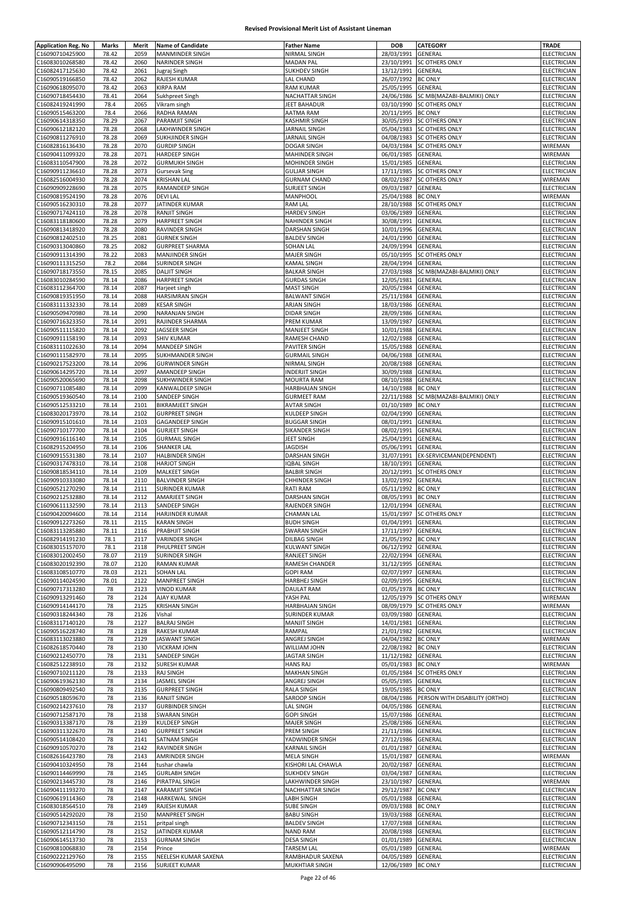| <b>Application Reg. No</b>         | Marks          | Merit | <b>Name of Candidate</b>         | <b>Father Name</b>            | <b>DOB</b>         | <b>CATEGORY</b>                | TRADE                      |
|------------------------------------|----------------|-------|----------------------------------|-------------------------------|--------------------|--------------------------------|----------------------------|
| C16090710425900                    | 78.42          | 2059  | <b>MANMINDER SINGH</b>           | <b>NIRMAL SINGH</b>           | 28/03/1991         | GENERAL                        | ELECTRICIAN                |
| C16083010268580                    | 78.42          | 2060  | NARINDER SINGH                   | <b>MADAN PAL</b>              | 23/10/1991         | <b>SC OTHERS ONLY</b>          | ELECTRICIAN                |
| C16082417125630                    | 78.42          | 2061  | Jugraj Singh                     | <b>SUKHDEV SINGH</b>          | 13/12/1991         | GENERAL                        | ELECTRICIAN                |
|                                    |                | 2062  |                                  |                               |                    |                                |                            |
| C16090519166850<br>C16090618095070 | 78.42<br>78.42 | 2063  | RAJESH KUMAR<br><b>KIRPA RAM</b> | LAL CHAND<br><b>RAM KUMAR</b> | 26/07/1992         | <b>BC ONLY</b><br>GENERAL      | ELECTRICIAN<br>ELECTRICIAN |
|                                    |                |       |                                  |                               | 25/05/1995         |                                |                            |
| C16090718454430                    | 78.41          | 2064  | Sukhpreet Singh                  | NACHATTAR SINGH               | 24/06/1986         | SC MB(MAZABI-BALMIKI) ONLY     | ELECTRICIAN                |
| C16082419241990                    | 78.4           | 2065  | Vikram singh                     | JEET BAHADUR                  | 03/10/1990         | <b>SC OTHERS ONLY</b>          | ELECTRICIAN                |
| C16090515463200                    | 78.4           | 2066  | RADHA RAMAN                      | <b>AATMA RAM</b>              | 20/11/1995         | <b>BC ONLY</b>                 | ELECTRICIAN                |
| C16090614318350                    | 78.29          | 2067  | PARAMJIT SINGH                   | <b>KASHMIR SINGH</b>          | 30/05/1993         | <b>SC OTHERS ONLY</b>          | ELECTRICIAN                |
| C16090612182120                    | 78.28          | 2068  | LAKHWINDER SINGH                 | JARNAIL SINGH                 | 05/04/1983         | <b>SC OTHERS ONLY</b>          | ELECTRICIAN                |
| C16090811276910                    | 78.28          | 2069  | SUKHJINDER SINGH                 | JARNAIL SINGH                 | 04/08/1983         | <b>SC OTHERS ONLY</b>          | ELECTRICIAN                |
| C16082816136430                    | 78.28          | 2070  | <b>GURDIP SINGH</b>              | DOGAR SINGH                   | 04/03/1984         | <b>SC OTHERS ONLY</b>          | WIREMAN                    |
| C16090411099320                    | 78.28          | 2071  | <b>HARDEEP SINGH</b>             | MAHINDER SINGH                | 06/01/1985         | GENERAL                        | WIREMAN                    |
| C16083110547900                    | 78.28          | 2072  | <b>GURMUKH SINGH</b>             | MOHINDER SINGH                | 15/01/1985         | GENERAL                        | ELECTRICIAN                |
| C16090911236610                    | 78.28          | 2073  | <b>Gursevak Sing</b>             | <b>GULJAR SINGH</b>           | 17/11/1985         | <b>SC OTHERS ONLY</b>          | ELECTRICIAN                |
| C16082516004930                    | 78.28          | 2074  | <b>KRISHAN LAL</b>               | <b>GURNAM CHAND</b>           | 08/02/1987         | <b>SC OTHERS ONLY</b>          | WIREMAN                    |
| C16090909228690                    | 78.28          | 2075  | RAMANDEEP SINGH                  | SURJEET SINGH                 | 09/03/1987         | GENERAL                        | ELECTRICIAN                |
| C16090819524190                    | 78.28          | 2076  | <b>DEVI LAL</b>                  | MANPHOOL                      | 25/04/1988         | <b>BC ONLY</b>                 | WIREMAN                    |
| C16090516230310                    | 78.28          | 2077  | JATINDER KUMAR                   | <b>RAM LAL</b>                | 28/10/1988         | <b>SC OTHERS ONLY</b>          | ELECTRICIAN                |
| C16090717424110                    | 78.28          | 2078  | <b>RANJIT SINGH</b>              | <b>HARDEV SINGH</b>           | 03/06/1989         | GENERAL                        | ELECTRICIAN                |
| C16083118180600                    | 78.28          | 2079  | <b>HARPREET SINGH</b>            | <b>NAHINDER SINGH</b>         | 30/08/1991         | GENERAL                        | ELECTRICIAN                |
| C16090813418920                    | 78.28          | 2080  | RAVINDER SINGH                   | <b>DARSHAN SINGH</b>          | 10/01/1996         | GENERAL                        | ELECTRICIAN                |
| C16090812402510                    | 78.25          | 2081  | <b>GURNEK SINGH</b>              | <b>BALDEV SINGH</b>           | 24/01/1990         | GENERAL                        | ELECTRICIAN                |
|                                    |                |       |                                  |                               |                    |                                |                            |
| C16090313040860                    | 78.25          | 2082  | <b>GURPREET SHARMA</b>           | <b>SOHAN LAL</b>              | 24/09/1994         | GENERAL                        | ELECTRICIAN                |
| C16090911314390                    | 78.22          | 2083  | <b>MANJINDER SINGH</b>           | MAJER SINGH                   | 05/10/1995         | SC OTHERS ONLY                 | ELECTRICIAN                |
| C16090111315250                    | 78.2           | 2084  | <b>SURINDER SINGH</b>            | <b>KAMAL SINGH</b>            | 28/04/1994         | GENERAL                        | ELECTRICIAN                |
| C16090718173550                    | 78.15          | 2085  | <b>DALJIT SINGH</b>              | <b>BALKAR SINGH</b>           | 27/03/1988         | SC MB(MAZABI-BALMIKI) ONLY     | <b>ELECTRICIAN</b>         |
| C16083010284590                    | 78.14          | 2086  | <b>HARPREET SINGH</b>            | <b>GURDAS SINGH</b>           | 12/05/1981         | GENERAL                        | ELECTRICIAN                |
| C16083112364700                    | 78.14          | 2087  | Harjeet singh                    | <b>MAST SINGH</b>             | 20/05/1984         | GENERAL                        | <b>ELECTRICIAN</b>         |
| C16090819351950                    | 78.14          | 2088  | <b>HARSIMRAN SINGH</b>           | BALWANT SINGH                 | 25/11/1984         | GENERAL                        | ELECTRICIAN                |
| C16083111332330                    | 78.14          | 2089  | <b>KESAR SINGH</b>               | ARJAN SINGH                   | 18/03/1986         | GENERAL                        | ELECTRICIAN                |
| C16090509470980                    | 78.14          | 2090  | <b>NARANJAN SINGH</b>            | <b>DIDAR SINGH</b>            | 28/09/1986         | GENERAL                        | ELECTRICIAN                |
| C16090716323350                    | 78.14          | 2091  | RAJINDER SHARMA                  | PREM KUMAR                    | 13/09/1987         | GENERAL                        | ELECTRICIAN                |
| C16090511115820                    | 78.14          | 2092  | JAGSEER SINGH                    | MANJEET SINGH                 | 10/01/1988         | GENERAL                        | ELECTRICIAN                |
| C16090911158190                    | 78.14          | 2093  | <b>SHIV KUMAR</b>                | RAMESH CHAND                  | 12/02/1988         | GENERAL                        | ELECTRICIAN                |
| C16083111022630                    | 78.14          | 2094  | MANDEEP SINGH                    | PAVITER SINGH                 | 15/05/1988         | GENERAL                        | ELECTRICIAN                |
|                                    |                |       |                                  |                               |                    |                                |                            |
| C16090111582970                    | 78.14          | 2095  | <b>SUKHMANDER SINGH</b>          | <b>GURMAIL SINGH</b>          | 04/06/1988         | GENERAL                        | ELECTRICIAN                |
| C16090217523200                    | 78.14          | 2096  | <b>GURWINDER SINGH</b>           | NIRMAL SINGH                  | 20/08/1988         | GENERAL                        | ELECTRICIAN                |
| C16090614295720                    | 78.14          | 2097  | AMANDEEP SINGH                   | INDERJIT SINGH                | 30/09/1988         | GENERAL                        | ELECTRICIAN                |
| C16090520065690                    | 78.14          | 2098  | <b>SUKHWINDER SINGH</b>          | <b>MOURTA RAM</b>             | 08/10/1988         | GENERAL                        | ELECTRICIAN                |
| C16090711085480                    | 78.14          | 2099  | KANWALDEEP SINGH                 | <b>HARBHAJAN SINGH</b>        | 14/10/1988         | <b>BC ONLY</b>                 | ELECTRICIAN                |
| C16090519360540                    | 78.14          | 2100  | SANDEEP SINGH                    | <b>GURMEET RAM</b>            | 22/11/1988         | SC MB(MAZABI-BALMIKI) ONLY     | ELECTRICIAN                |
| C16090512533210                    | 78.14          | 2101  | <b>BIKRAMJEET SINGH</b>          | <b>AVTAR SINGH</b>            | 01/10/1989         | <b>BC ONLY</b>                 | ELECTRICIAN                |
| C16083020173970                    | 78.14          | 2102  | <b>GURPREET SINGH</b>            | KULDEEP SINGH                 | 02/04/1990         | GENERAL                        | ELECTRICIAN                |
| C16090915101610                    | 78.14          | 2103  | <b>GAGANDEEP SINGH</b>           | <b>BUGGAR SINGH</b>           | 08/01/1991         | GENERAL                        | ELECTRICIAN                |
| C16090710177700                    | 78.14          | 2104  | <b>GURJEET SINGH</b>             | SIKANDER SINGH                | 08/02/1991         | GENERAL                        | ELECTRICIAN                |
| C16090916116140                    | 78.14          | 2105  | <b>GURMAIL SINGH</b>             | JEET SINGH                    | 25/04/1991         | GENERAL                        | ELECTRICIAN                |
| C16082915204950                    | 78.14          | 2106  | <b>SHANKER LAL</b>               | <b>JAGDISH</b>                | 05/06/1991         | GENERAL                        | ELECTRICIAN                |
| C16090915531380                    | 78.14          | 2107  | <b>HALBINDER SINGH</b>           | <b>DARSHAN SINGH</b>          | 31/07/1991         | EX-SERVICEMAN(DEPENDENT)       | ELECTRICIAN                |
|                                    | 78.14          |       |                                  | <b>QBAL SINGH</b>             | 18/10/1991         |                                | ELECTRICIAN                |
| C16090317478310                    |                | 2108  | <b>HARJOT SINGH</b>              |                               |                    | GENERAL                        |                            |
| C16090818534110                    | 78.14          | 2109  | <b>MALKEET SINGH</b>             | <b>BALBIR SINGH</b>           | 20/12/1991         | <b>SC OTHERS ONLY</b>          | ELECTRICIAN                |
| C16090910333080                    | 78.14          | 2110  | <b>BALVINDER SINGH</b>           | <b>CHHINDER SINGH</b>         | 13/02/1992         | GENERAL                        | ELECTRICIAN                |
| C16090521270290                    | 78.14          | 2111  | <b>SURINDER KUMAR</b>            | RATI RAM                      | 05/11/1992         | <b>BC ONLY</b>                 | ELECTRICIAN                |
| C16090212532880                    | 78.14          | 2112  | AMARJEET SINGH                   | DARSHAN SINGH                 | 08/05/1993         | <b>BC ONLY</b>                 | ELECTRICIAN                |
| C16090611132590                    | 78.14          | 2113  | SANDEEP SINGH                    | RAJENDER SINGH                | 12/01/1994         | GENERAL                        | ELECTRICIAN                |
| C16090420094600                    | 78.14          | 2114  | HARJINDER KUMAR                  | <b>CHAMAN LAL</b>             |                    | 15/01/1997 SC OTHERS ONLY      | ELECTRICIAN                |
| C16090912273260                    | 78.11          | 2115  | KARAN SINGH                      | BUDH SINGH                    | 01/04/1991 GENERAL |                                | ELECTRICIAN                |
| C16083113285880                    | 78.11          | 2116  | PRABHJIT SINGH                   | <b>SWARAN SINGH</b>           | 17/11/1997 GENERAL |                                | ELECTRICIAN                |
| C16082914191230                    | 78.1           | 2117  | <b>VARINDER SINGH</b>            | DILBAG SINGH                  | 21/05/1992         | <b>BC ONLY</b>                 | ELECTRICIAN                |
| C16083015157070                    | 78.1           | 2118  | PHULPREET SINGH                  | KULWANT SINGH                 | 06/12/1992         | GENERAL                        | <b>ELECTRICIAN</b>         |
| C16083012002450                    | 78.07          | 2119  | <b>SURINDER SINGH</b>            | RANJEET SINGH                 | 22/02/1994         | GENERAL                        | ELECTRICIAN                |
| C16083020192390                    | 78.07          | 2120  | <b>RAMAN KUMAR</b>               | RAMESH CHANDER                | 31/12/1995         | GENERAL                        | ELECTRICIAN                |
| C16083108510770                    | 78.03          | 2121  | <b>SOHAN LAL</b>                 | <b>GOPI RAM</b>               | 02/07/1997         | GENERAL                        | ELECTRICIAN                |
| C16090114024590                    | 78.01          | 2122  | <b>MANPREET SINGH</b>            | <b>HARBHEJ SINGH</b>          | 02/09/1995         | GENERAL                        | ELECTRICIAN                |
|                                    |                |       |                                  |                               |                    |                                |                            |
| C16090717313280                    | 78             | 2123  | <b>VINOD KUMAR</b>               | <b>DAULAT RAM</b>             | 01/05/1978 BC ONLY |                                | ELECTRICIAN                |
| C16090913291460                    | 78             | 2124  | <b>AJAY KUMAR</b>                | YASH PAL                      | 12/05/1979         | <b>SC OTHERS ONLY</b>          | WIREMAN                    |
| C16090914144170                    | 78             | 2125  | <b>KRISHAN SINGH</b>             | <b>HARBHAJAN SINGH</b>        | 08/09/1979         | <b>SC OTHERS ONLY</b>          | WIREMAN                    |
| C16090318244340                    | 78             | 2126  | Vishal                           | SURINDER KUMAR                | 03/09/1980         | GENERAL                        | ELECTRICIAN                |
| C16083117140120                    | 78             | 2127  | <b>BALRAJ SINGH</b>              | <b>MANJIT SINGH</b>           | 14/01/1981         | GENERAL                        | ELECTRICIAN                |
| C16090516228740                    | 78             | 2128  | RAKESH KUMAR                     | RAMPAL                        | 21/01/1982         | <b>GENERAL</b>                 | ELECTRICIAN                |
| C16083113023880                    | 78             | 2129  | <b>JASWANT SINGH</b>             | ANGREJ SINGH                  | 04/04/1982         | <b>BC ONLY</b>                 | WIREMAN                    |
| C16082618570440                    | 78             | 2130  | <b>VICKRAM JOHN</b>              | WILLIAM JOHN                  | 22/08/1982         | <b>BC ONLY</b>                 | ELECTRICIAN                |
| C16090212450770                    | 78             | 2131  | SANDEEP SINGH                    | JAGTAR SINGH                  | 11/12/1982         | <b>GENERAL</b>                 | ELECTRICIAN                |
| C16082512238910                    | 78             | 2132  | <b>SURESH KUMAR</b>              | <b>HANS RAJ</b>               | 05/01/1983         | <b>BC ONLY</b>                 | WIREMAN                    |
| C16090710211120                    | 78             | 2133  | <b>RAJ SINGH</b>                 | <b>MAKHAN SINGH</b>           |                    | 01/05/1984 SC OTHERS ONLY      | ELECTRICIAN                |
| C16090619362130                    | 78             | 2134  | JASMEL SINGH                     | ANGREJ SINGH                  | 05/05/1985         | GENERAL                        | ELECTRICIAN                |
| C16090809492540                    | 78             | 2135  | <b>GURPREET SINGH</b>            | RALA SINGH                    | 19/05/1985         | <b>BC ONLY</b>                 | ELECTRICIAN                |
| C16090518059670                    | 78             | 2136  | <b>RANJIT SINGH</b>              | SAROOP SINGH                  | 08/04/1986         | PERSON WITH DISABILITY (ORTHO) | ELECTRICIAN                |
| C16090214237610                    | 78             | 2137  | <b>GURBINDER SINGH</b>           | <b>LAL SINGH</b>              | 04/05/1986         | GENERAL                        | ELECTRICIAN                |
| C16090712587170                    | 78             | 2138  | <b>SWARAN SINGH</b>              | <b>GOPI SINGH</b>             | 15/07/1986         | GENERAL                        | <b>ELECTRICIAN</b>         |
| C16090313387170                    | 78             | 2139  | KULDEEP SINGH                    | <b>MAJER SINGH</b>            | 25/08/1986         | GENERAL                        | ELECTRICIAN                |
| C16090311322670                    | 78             | 2140  | <b>GURPREET SINGH</b>            | PREM SINGH                    | 21/11/1986         | GENERAL                        | ELECTRICIAN                |
| C16090514108420                    | 78             | 2141  | SATNAM SINGH                     | YADWINDER SINGH               | 27/12/1986         | GENERAL                        | <b>ELECTRICIAN</b>         |
| C16090910570270                    | 78             | 2142  | RAVINDER SINGH                   | KARNAIL SINGH                 | 01/01/1987         | GENERAL                        | ELECTRICIAN                |
|                                    |                |       |                                  |                               |                    |                                |                            |
| C16082616423780                    | 78             | 2143  | <b>AMRINDER SINGH</b>            | MELA SINGH                    | 15/01/1987         | GENERAL                        | WIREMAN                    |
| C16090410324950                    | 78             | 2144  | tushar chawla                    | KISHORI LAL CHAWLA            | 20/02/1987         | GENERAL                        | ELECTRICIAN                |
| C16090114469990                    | 78             | 2145  | <b>GURLABH SINGH</b>             | <b>SUKHDEV SINGH</b>          | 03/04/1987         | GENERAL                        | ELECTRICIAN                |
| C16090213445730                    | 78             | 2146  | PIRATPAL SINGH                   | LAKHWINDER SINGH              | 23/10/1987         | <b>GENERAL</b>                 | WIREMAN                    |
| C16090411193270                    | 78             | 2147  | <b>KARAMJIT SINGH</b>            | NACHHATTAR SINGH              | 29/12/1987         | <b>BC ONLY</b>                 | ELECTRICIAN                |
| C16090619114360                    | 78             | 2148  | HARKEWAL SINGH                   | LABH SINGH                    | 05/01/1988         | GENERAL                        | ELECTRICIAN                |
| C16083018564510                    | 78             | 2149  | RAJESH KUMAR                     | <b>SUBE SINGH</b>             | 09/03/1988         | <b>BC ONLY</b>                 | ELECTRICIAN                |
| C16090514292020                    | 78             | 2150  | <b>MANPREET SINGH</b>            | <b>BABU SINGH</b>             | 19/03/1988         | GENERAL                        | ELECTRICIAN                |
| C16090712343150                    | 78             | 2151  | pritpal singh                    | <b>BALDEV SINGH</b>           | 17/07/1988         | GENERAL                        | <b>ELECTRICIAN</b>         |
| C16090512114790                    | 78             | 2152  | JATINDER KUMAR                   | <b>NAND RAM</b>               | 20/08/1988         | GENERAL                        | ELECTRICIAN                |
| C16090614513730                    | 78             | 2153  | <b>GURNAM SINGH</b>              | <b>DESA SINGH</b>             | 01/01/1989         | GENERAL                        | ELECTRICIAN                |
| C16090810068830                    | 78             | 2154  | Prince                           | <b>TARSEM LAL</b>             | 05/01/1989         | GENERAL                        | WIREMAN                    |
| C16090222129760                    | 78             | 2155  | NEELESH KUMAR SAXENA             | RAMBHADUR SAXENA              | 04/05/1989         | GENERAL                        | ELECTRICIAN                |
| C16090906495090                    | 78             | 2156  |                                  |                               | 12/06/1989         |                                | ELECTRICIAN                |
|                                    |                |       | <b>SURJEET KUMAR</b>             | MUKHTIAR SINGH                |                    | <b>BC ONLY</b>                 |                            |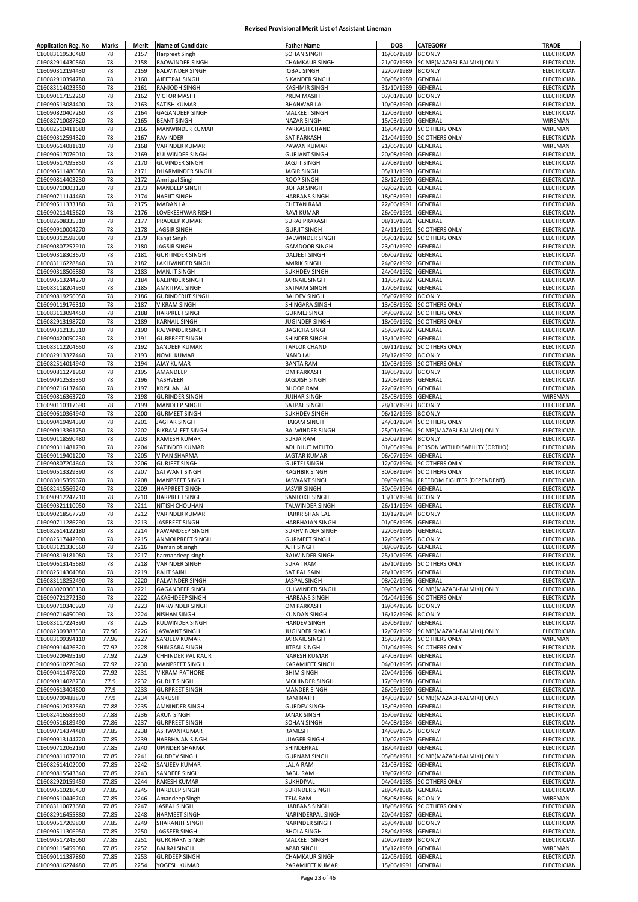| <b>Application Reg. No</b> | Marks    | Merit | <b>Name of Candidate</b> | <b>Father Name</b>     | <b>DOB</b>         | CATEGORY                       | <b>TRADE</b>       |
|----------------------------|----------|-------|--------------------------|------------------------|--------------------|--------------------------------|--------------------|
| C16083119530480            | 78       | 2157  | Harpreet Singh           | SOHAN SINGH            | 16/06/1989         | <b>BC ONLY</b>                 | ELECTRICIAN        |
| C16082914430560            | 78       | 2158  | RAOWINDER SINGH          | CHAMKAUR SINGH         | 21/07/1989         | SC MB(MAZABI-BALMIKI) ONLY     | ELECTRICIAN        |
| C16090312194430            | 78       | 2159  | <b>BALWINDER SINGH</b>   | <b>IQBAL SINGH</b>     | 22/07/1989         | <b>BC ONLY</b>                 | ELECTRICIAN        |
| C16082910394780            |          | 2160  | AJEETPAL SINGH           | SIKANDER SINGH         | 06/08/1989         | GENERAL                        |                    |
|                            | 78<br>78 | 2161  |                          |                        |                    |                                | ELECTRICIAN        |
| C16083114023550            |          |       | RANJODH SINGH            | KASHMIR SINGH          | 31/10/1989         | GENERAL                        | ELECTRICIAN        |
| C16090117152260            | 78       | 2162  | <b>VICTOR MASIH</b>      | PREM MASIH             | 07/01/1990         | <b>BC ONLY</b>                 | ELECTRICIAN        |
| C16090513084400            | 78       | 2163  | SATISH KUMAR             | <b>BHANWAR LAL</b>     | 10/03/1990         | GENERAL                        | ELECTRICIAN        |
| C16090820407260            | 78       | 2164  | GAGANDEEP SINGH          | MALKEET SINGH          | 12/03/1990         | GENERAL                        | ELECTRICIAN        |
| C16082710087820            | 78       | 2165  | <b>BEANT SINGH</b>       | NAZAR SINGH            | 15/03/1990         | GENERAL                        | WIREMAN            |
| C16082510411680            | 78       | 2166  | MANWINDER KUMAR          | PARKASH CHAND          | 16/04/1990         | <b>SC OTHERS ONLY</b>          | WIREMAN            |
| C16090312594320            | 78       | 2167  | RAVINDER                 | SAT PARKASH            | 21/04/1990         | <b>SC OTHERS ONLY</b>          | ELECTRICIAN        |
| C16090614081810            | 78       | 2168  | <b>VARINDER KUMAR</b>    | PAWAN KUMAR            | 21/06/1990         | GENERAL                        | WIREMAN            |
| C16090617076010            | 78       | 2169  | KULWINDER SINGH          | <b>GURJANT SINGH</b>   | 20/08/1990         | GENERAL                        | <b>ELECTRICIAN</b> |
| C16090517095850            | 78       | 2170  | <b>GUVINDER SINGH</b>    | JAGJIT SINGH           | 27/08/1990         | GENERAL                        | ELECTRICIAN        |
| C16090611480080            | 78       | 2171  | <b>DHARMINDER SINGH</b>  | JAGIR SINGH            | 05/11/1990         | GENERAL                        | ELECTRICIAN        |
| C16090814403230            | 78       | 2172  | Amritpal Singh           | ROOP SINGH             | 28/12/1990         | GENERAL                        | ELECTRICIAN        |
| C16090710003120            | 78       | 2173  | MANDEEP SINGH            | <b>BOHAR SINGH</b>     | 02/02/1991         | GENERAL                        | ELECTRICIAN        |
| C16090711144460            | 78       | 2174  | <b>HARJIT SINGH</b>      | <b>HARBANS SINGH</b>   | 18/03/1991         | GENERAL                        | ELECTRICIAN        |
| C16090511333180            | 78       | 2175  | <b>MADAN LAL</b>         | <b>CHETAN RAM</b>      | 22/06/1991         | GENERAL                        | ELECTRICIAN        |
| C16090211415620            | 78       | 2176  | LOVEKESHWAR RISHI        | <b>RAVI KUMAR</b>      | 26/09/1991         | GENERAL                        | <b>ELECTRICIAN</b> |
| C16082608335310            | 78       | 2177  | PRADEEP KUMAR            | SURAJ PRAKASH          | 08/10/1991         | GENERAL                        | ELECTRICIAN        |
| C16090910004270            | 78       | 2178  | <b>JAGSIR SINGH</b>      | <b>GURJIT SINGH</b>    | 24/11/1991         | SC OTHERS ONLY                 | ELECTRICIAN        |
| C16090312598090            | 78       | 2179  | Ranjit Singh             | <b>BALWINDER SINGH</b> | 05/01/1992         | SC OTHERS ONLY                 | ELECTRICIAN        |
|                            |          | 2180  |                          |                        |                    |                                |                    |
| C16090807252910            | 78       |       | <b>JAGSIR SINGH</b>      | <b>GAMDOOR SINGH</b>   | 23/01/1992         | GENERAL                        | ELECTRICIAN        |
| C16090318303670            | 78       | 2181  | <b>GURTINDER SINGH</b>   | DALJEET SINGH          | 06/02/1992         | GENERAL                        | ELECTRICIAN        |
| C16083116228840            | 78       | 2182  | LAKHWINDER SINGH         | AMRIK SINGH            | 24/02/1992         | GENERAL                        | ELECTRICIAN        |
| C16090318506880            | 78       | 2183  | <b>MANJIT SINGH</b>      | SUKHDEV SINGH          | 24/04/1992         | GENERAL                        | ELECTRICIAN        |
| C16090513244270            | 78       | 2184  | <b>BALJINDER SINGH</b>   | <b>JARNAIL SINGH</b>   | 11/05/1992         | GENERAL                        | ELECTRICIAN        |
| C16083118204930            | 78       | 2185  | AMRITPAL SINGH           | SATNAM SINGH           | 17/06/1992         | GENERAL                        | ELECTRICIAN        |
| C16090819256050            | 78       | 2186  | <b>GURINDERJIT SINGH</b> | <b>BALDEV SINGH</b>    | 05/07/1992         | <b>BC ONLY</b>                 | ELECTRICIAN        |
| C16090119176310            | 78       | 2187  | <b>VIKRAM SINGH</b>      | SHINGARA SINGH         | 13/08/1992         | SC OTHERS ONLY                 | ELECTRICIAN        |
| C16083113094450            | 78       | 2188  | <b>HARPREET SINGH</b>    | <b>GURMEJ SINGH</b>    | 04/09/1992         | <b>SC OTHERS ONLY</b>          | ELECTRICIAN        |
| C16082913198720            | 78       | 2189  | KARNAIL SINGH            | JUGINDER SINGH         | 18/09/1992         | SC OTHERS ONLY                 | ELECTRICIAN        |
| C16090312135310            | 78       | 2190  | RAJWINDER SINGH          | BAGICHA SINGH          | 25/09/1992         | GENERAL                        | ELECTRICIAN        |
| C16090420050230            | 78       | 2191  | <b>GURPREET SINGH</b>    | SHINDER SINGH          | 13/10/1992         | GENERAL                        | ELECTRICIAN        |
| C16083112204650            | 78       | 2192  | SANDEEP KUMAR            | <b>TARLOK CHAND</b>    | 09/11/1992         | SC OTHERS ONLY                 | ELECTRICIAN        |
| C16082913327440            | 78       | 2193  | <b>NOVIL KUMAR</b>       | <b>NAND LAL</b>        | 28/12/1992         | <b>BC ONLY</b>                 | ELECTRICIAN        |
|                            |          |       |                          |                        |                    |                                |                    |
| C16082514014940            | 78       | 2194  | AJAY KUMAR               | <b>BANTA RAM</b>       | 10/03/1993         | SC OTHERS ONLY                 | ELECTRICIAN        |
| C16090811271960            | 78       | 2195  | AMANDEEP                 | OM PARKASH             | 19/05/1993         | <b>BC ONLY</b>                 | ELECTRICIAN        |
| C16090912535350            | 78       | 2196  | YASHVEER                 | JAGDISH SINGH          | 12/06/1993         | GENERAL                        | ELECTRICIAN        |
| C16090716137460            | 78       | 2197  | <b>KRISHAN LAL</b>       | <b>BHOOP RAM</b>       | 22/07/1993         | GENERAL                        | ELECTRICIAN        |
| C16090816363720            | 78       | 2198  | <b>GURINDER SINGH</b>    | <b>JUJHAR SINGH</b>    | 25/08/1993         | GENERAL                        | WIREMAN            |
| C16090110317690            | 78       | 2199  | MANDEEP SINGH            | SATPAL SINGH           | 28/10/1993         | <b>BC ONLY</b>                 | ELECTRICIAN        |
| C16090610364940            | 78       | 2200  | <b>GURMEET SINGH</b>     | SUKHDEV SINGH          | 06/12/1993         | <b>BC ONLY</b>                 | ELECTRICIAN        |
| C16090419494390            | 78       | 2201  | <b>JAGTAR SINGH</b>      | <b>HAKAM SINGH</b>     | 24/01/1994         | <b>SC OTHERS ONLY</b>          | ELECTRICIAN        |
| C16090913361750            | 78       | 2202  | <b>BIKRAMJEET SINGH</b>  | <b>BALWINDER SINGH</b> | 25/01/1994         | SC MB(MAZABI-BALMIKI) ONLY     | ELECTRICIAN        |
| C16090118590480            | 78       | 2203  | RAMESH KUMAR             | SURJA RAM              | 25/02/1994         | <b>BC ONLY</b>                 | ELECTRICIAN        |
| C16090311481790            | 78       | 2204  | SATINDER KUMAR           | <b>ADHBHUT MEHTO</b>   | 01/05/1994         | PERSON WITH DISABILITY (ORTHO) | ELECTRICIAN        |
| C16090119401200            | 78       | 2205  | <b>VIPAN SHARMA</b>      | <b>JAGTAR KUMAR</b>    | 06/07/1994         | GENERAL                        | ELECTRICIAN        |
| C16090807204640            | 78       | 2206  | <b>GURJEET SINGH</b>     | <b>GURTEJ SINGH</b>    | 12/07/1994         | <b>SC OTHERS ONLY</b>          | ELECTRICIAN        |
| C16090513329390            |          |       |                          |                        |                    | <b>SC OTHERS ONLY</b>          |                    |
|                            | 78       | 2207  | SATWANT SINGH            | RAGHBIR SINGH          | 30/08/1994         |                                | ELECTRICIAN        |
| C16083015359670            | 78       | 2208  | <b>MANPREET SINGH</b>    | JASWANT SINGH          | 09/09/1994         | FREEDOM FIGHTER (DEPENDENT)    | <b>ELECTRICIAN</b> |
| C16082415569240            | 78       | 2209  | <b>HARPREET SINGH</b>    | <b>JASVIR SINGH</b>    | 30/09/1994         | GENERAL                        | ELECTRICIAN        |
| C16090912242210            | 78       | 2210  | <b>HARPREET SINGH</b>    | SANTOKH SINGH          | 13/10/1994         | <b>BC ONLY</b>                 | ELECTRICIAN        |
| C16090321110050            | 78       | 2211  | NITISH CHOUHAN           | TALWINDER SINGH        | 26/11/1994         | GENERAL                        | ELECTRICIAN        |
| C16090218567720            | 78       | 2212  | VARINDER KUMAR           | HARKRISHAN LAL         | 10/12/1994         | <b>BC ONLY</b>                 | <b>ELECTRICIAN</b> |
| C16090711286290            | 78       | 2213  | JASPREET SINGH           | HARBHAJAN SINGH        | 01/05/1995 GENERAL |                                | ELECTRICIAN        |
| C16082614122180            | 78       | 2214  | PAWANDEEP SINGH          | SUKHVINDER SINGH       | 22/05/1995 GENERAL |                                | ELECTRICIAN        |
| C16082517442900            | 78       | 2215  | ANMOLPREET SINGH         | <b>GURMEET SINGH</b>   | 12/06/1995         | <b>BC ONLY</b>                 | ELECTRICIAN        |
| C16083121330560            | 78       | 2216  | Damanjot singh           | AJIT SINGH             | 08/09/1995         | GENERAL                        | ELECTRICIAN        |
| C16090819181080            | 78       | 2217  | harmandeep singh         | RAJWINDER SINGH        | 25/10/1995         | GENERAL                        | ELECTRICIAN        |
| C16090613145680            | 78       | 2218  | VARINDER SINGH           | <b>SURAT RAM</b>       | 26/10/1995         | <b>SC OTHERS ONLY</b>          | ELECTRICIAN        |
| C16082514304080            | 78       | 2219  | <b>RAJIT SAINI</b>       | SAT PAL SAINI          | 28/10/1995         | GENERAL                        | ELECTRICIAN        |
| C16083118252490            | 78       | 2220  | PALWINDER SINGH          | JASPAL SINGH           | 08/02/1996         | GENERAL                        | ELECTRICIAN        |
| C16083020306130            | 78       | 2221  | <b>GAGANDEEP SINGH</b>   | KULWINDER SINGH        | 09/03/1996         | SC MB(MAZABI-BALMIKI) ONLY     | ELECTRICIAN        |
| C16090721272130            | 78       | 2222  | AKASHDEEP SINGH          | <b>HARBANS SINGH</b>   | 01/04/1996         | <b>SC OTHERS ONLY</b>          | ELECTRICIAN        |
| C16090710340920            | 78       | 2223  | HARWINDER SINGH          | OM PARKASH             | 19/04/1996         | <b>BC ONLY</b>                 | ELECTRICIAN        |
| C16090716450090            | 78       | 2224  | <b>NISHAN SINGH</b>      | KUNDAN SINGH           | 16/12/1996 BC ONLY |                                | ELECTRICIAN        |
|                            | 78       | 2225  | <b>KULWINDER SINGH</b>   |                        |                    |                                |                    |
| C16083117224390            |          |       |                          | <b>HARDEV SINGH</b>    | 25/06/1997         | GENERAL                        | ELECTRICIAN        |
| C16082309383530            | 77.96    | 2226  | JASWANT SINGH            | JUGINDER SINGH         | 12/07/1992         | SC MB(MAZABI-BALMIKI) ONLY     | ELECTRICIAN        |
| C16083109394110            | 77.96    | 2227  | SANJEEV KUMAR            | <b>JARNAIL SINGH</b>   | 15/03/1995         | <b>SC OTHERS ONLY</b>          | WIREMAN            |
| C16090914426320            | 77.92    | 2228  | SHINGARA SINGH           | JITPAL SINGH           |                    | 01/04/1993 SC OTHERS ONLY      | ELECTRICIAN        |
| C16090209495190            | 77.92    | 2229  | CHHINDER PAL KAUR        | NARESH KUMAR           | 24/03/1994         | GENERAL                        | ELECTRICIAN        |
| C16090610270940            | 77.92    | 2230  | <b>MANPREET SINGH</b>    | KARAMJEET SINGH        | 04/01/1995         | GENERAL                        | ELECTRICIAN        |
| C16090411478020            | 77.92    | 2231  | <b>VIKRAM RATHORE</b>    | <b>BHIM SINGH</b>      | 20/04/1996         | GENERAL                        | ELECTRICIAN        |
| C16090914028730            | 77.9     | 2232  | <b>GURJIT SINGH</b>      | MOHINDER SINGH         | 17/09/1988         | GENERAL                        | ELECTRICIAN        |
| C16090613404600            | 77.9     | 2233  | <b>GURPREET SINGH</b>    | <b>MANDER SINGH</b>    | 26/09/1990         | GENERAL                        | ELECTRICIAN        |
| C16090709488870            | 77.9     | 2234  | ANKUSH                   | RAM NATH               | 14/03/1997         | SC MB(MAZABI-BALMIKI) ONLY     | ELECTRICIAN        |
| C16090612032560            | 77.88    | 2235  | AMNINDER SINGH           | <b>GURDEV SINGH</b>    | 13/03/1990         | GENERAL                        | ELECTRICIAN        |
| C16082416583650            | 77.88    | 2236  | ARUN SINGH               | JANAK SINGH            | 15/09/1992         | GENERAL                        | ELECTRICIAN        |
| C16090516189490            | 77.86    | 2237  | <b>GURPREET SINGH</b>    | SOHAN SINGH            | 04/08/1984         | GENERAL                        | ELECTRICIAN        |
| C16090714374480            | 77.85    | 2238  | ASHWANIKUMAR             | RAMESH                 | 14/09/1975         | <b>BC ONLY</b>                 | ELECTRICIAN        |
| C16090913144720            | 77.85    | 2239  | HARBHAJAN SINGH          | <b>UJAGER SINGH</b>    | 10/02/1979         | GENERAL                        | ELECTRICIAN        |
| C16090712062190            | 77.85    | 2240  | UPINDER SHARMA           | SHINDERPAL             | 18/04/1980         | GENERAL                        | ELECTRICIAN        |
| C16090811037010            | 77.85    | 2241  | <b>GURDEV SINGH</b>      | <b>GURNAM SINGH</b>    | 05/08/1981         | SC MB(MAZABI-BALMIKI) ONLY     | ELECTRICIAN        |
| C16082614102000            | 77.85    | 2242  | SANJEEV KUMAR            | LAJJA RAM              | 21/03/1982         | GENERAL                        | ELECTRICIAN        |
| C16090815543340            | 77.85    | 2243  | SANDEEP SINGH            | <b>BABU RAM</b>        | 19/07/1982         | GENERAL                        | ELECTRICIAN        |
|                            |          |       |                          |                        |                    |                                |                    |
| C16082920159450            | 77.85    | 2244  | <b>RAKESH KUMAR</b>      | SUKHDIYAL              | 04/04/1985         | <b>SC OTHERS ONLY</b>          | ELECTRICIAN        |
| C16090510216430            | 77.85    | 2245  | <b>HARDEEP SINGH</b>     | SURINDER SINGH         | 28/04/1986         | GENERAL                        | ELECTRICIAN        |
| C16090510446740            | 77.85    | 2246  | Amandeep Singh           | <b>TEJA RAM</b>        | 08/08/1986 BC ONLY |                                | WIREMAN            |
| C16083110073680            | 77.85    | 2247  | JASPAL SINGH             | <b>HARBANS SINGH</b>   | 18/08/1986         | <b>SC OTHERS ONLY</b>          | ELECTRICIAN        |
| C16082916455880            | 77.85    | 2248  | <b>HARMEET SINGH</b>     | NARINDERPAL SINGH      | 20/04/1987         | GENERAL                        | ELECTRICIAN        |
| C16090517209800            | 77.85    | 2249  | SHARANJIT SINGH          | NARINDER SINGH         | 25/04/1988         | <b>BC ONLY</b>                 | ELECTRICIAN        |
| C16090511306950            | 77.85    | 2250  | JAGSEER SINGH            | <b>BHOLA SINGH</b>     | 28/04/1988         | GENERAL                        | ELECTRICIAN        |
| C16090517245060            | 77.85    | 2251  | <b>GURCHARN SINGH</b>    | MALKEET SINGH          | 20/07/1989 BC ONLY |                                | ELECTRICIAN        |
| C16090115459080            | 77.85    | 2252  | <b>BALRAJ SINGH</b>      | APAR SINGH             | 15/12/1989         | GENERAL                        | WIREMAN            |
| C16090111387860            | 77.85    | 2253  | <b>GURDEEP SINGH</b>     | CHAMKAUR SINGH         | 22/05/1991         | GENERAL                        | ELECTRICIAN        |
| C16090816274480            | 77.85    | 2254  | YOGESH KUMAR             | PARAMJEET KUMAR        | 15/06/1991         | <b>GENERAL</b>                 | ELECTRICIAN        |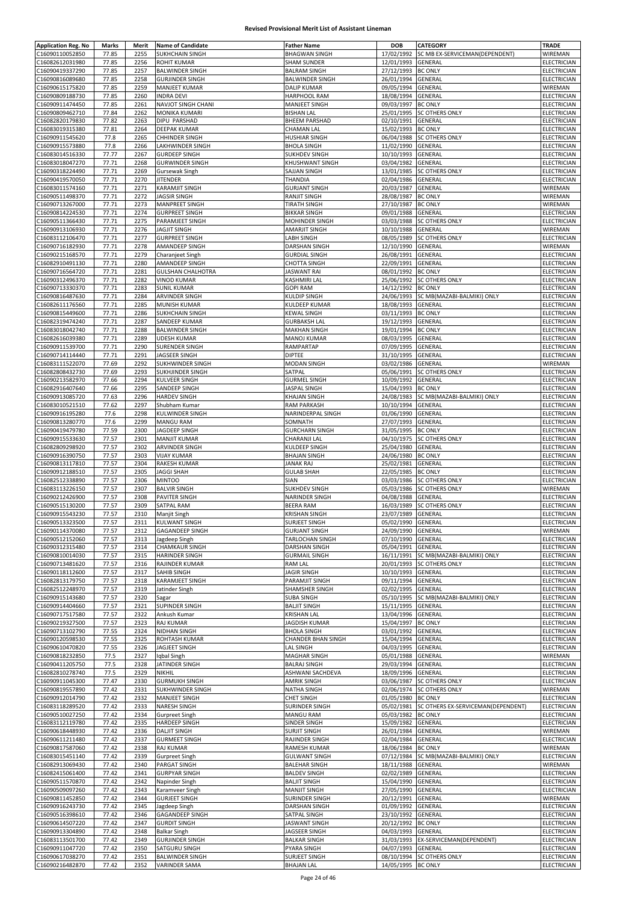| <b>Application Reg. No</b>         | Marks          | Merit        | <b>Name of Candidate</b>                       | <b>Father Name</b>                   | <b>DOB</b>               | <b>CATEGORY</b>                    | <b>TRADE</b>               |
|------------------------------------|----------------|--------------|------------------------------------------------|--------------------------------------|--------------------------|------------------------------------|----------------------------|
| C16090110052850                    | 77.85          | 2255         | SUKHCHAIN SINGH                                | <b>BHAGWAN SINGH</b>                 | 17/02/1992               | SC MB EX-SERVICEMAN(DEPENDENT)     | WIREMAN                    |
| C16082612031980                    | 77.85          | 2256         | <b>ROHIT KUMAR</b>                             | <b>SHAM SUNDER</b>                   | 12/01/1993               | GENERAL                            | ELECTRICIAN                |
| C16090419337290                    | 77.85          | 2257         | <b>BALWINDER SINGH</b>                         | <b>BALRAM SINGH</b>                  | 27/12/1993               | <b>BC ONLY</b>                     | ELECTRICIAN                |
| C16090816089680                    | 77.85          | 2258         | <b>GURJINDER SINGH</b>                         | <b>BALWINDER SINGH</b>               | 26/01/1994               | GENERAL                            | ELECTRICIAN                |
| C16090615175820                    | 77.85          | 2259         | MANJEET KUMAR                                  | <b>DALIP KUMAR</b>                   | 09/05/1994               | GENERAL                            | WIREMAN                    |
| C16090809188730                    | 77.85          | 2260         | <b>INDRA DEVI</b>                              | HARPHOOL RAM                         | 18/08/1994               | GENERAL                            | ELECTRICIAN                |
| C16090911474450                    | 77.85          | 2261         | NAVJOT SINGH CHANI                             | MANJEET SINGH                        | 09/03/1997               | <b>BC ONLY</b>                     | ELECTRICIAN                |
| C16090809462710                    | 77.84          | 2262         | MONIKA KUMARI                                  | <b>BISHAN LAL</b>                    | 25/01/1995               | <b>SC OTHERS ONLY</b>              | ELECTRICIAN                |
| C16082820179830                    | 77.82          | 2263         | DIPU PARSHAD                                   | <b>BHEEM PARSHAD</b>                 | 02/10/1991               | GENERAL                            | ELECTRICIAN                |
| C16083019315380                    | 77.81          | 2264         | DEEPAK KUMAR                                   | CHAMAN LAL                           | 15/02/1993               | <b>BC ONLY</b>                     | ELECTRICIAN                |
| C16090911545620                    | 77.8           | 2265         | <b>CHHINDER SINGH</b>                          | <b>HUSHIAR SINGH</b>                 | 06/04/1988               | <b>SC OTHERS ONLY</b>              | ELECTRICIAN                |
| C16090915573880                    | 77.8           | 2266         | LAKHWINDER SINGH                               | <b>BHOLA SINGH</b>                   | 11/02/1990               | GENERAL                            | ELECTRICIAN                |
| C16083014516330                    | 77.77          | 2267         | <b>GURDEEP SINGH</b>                           | <b>SUKHDEV SINGH</b>                 | 10/10/1993               | GENERAL                            | ELECTRICIAN                |
| C16083018047270                    | 77.71          | 2268         | <b>GURWINDER SINGH</b>                         | KHUSHWANT SINGH                      | 03/04/1982               | GENERAL                            | ELECTRICIAN                |
| C16090318224490                    | 77.71          | 2269         | Gursewak Singh                                 | SAJJAN SINGH                         | 13/01/1985               | <b>SC OTHERS ONLY</b>              | ELECTRICIAN                |
| C16090419570050                    | 77.71          | 2270         | <b>JITENDER</b>                                | THANDIA                              | 02/04/1986               | GENERAL                            | ELECTRICIAN                |
| C16083011574160                    | 77.71          | 2271         | <b>KARAMJIT SINGH</b>                          | <b>GURJANT SINGH</b>                 | 20/03/1987               | GENERAL                            | WIREMAN                    |
| C16090511498370                    | 77.71          | 2272         | <b>JAGSIR SINGH</b>                            | RANJIT SINGH                         | 28/08/1987               | <b>BC ONLY</b>                     | WIREMAN                    |
| C16090713267000                    | 77.71          | 2273         | <b>MANPREET SINGH</b>                          | <b>TIRATH SINGH</b>                  | 27/10/1987               | <b>BC ONLY</b>                     | WIREMAN                    |
| C16090814224530                    | 77.71          | 2274         | <b>GURPREET SINGH</b>                          | <b>BIKKAR SINGH</b>                  | 09/01/1988               | GENERAL                            | ELECTRICIAN                |
| C16090511366430                    | 77.71          | 2275         | PARAMJEET SINGH                                | MOHINDER SINGH                       | 03/03/1988               | <b>SC OTHERS ONLY</b>              | ELECTRICIAN                |
| C16090913106930                    | 77.71          | 2276         | <b>JAGJIT SINGH</b>                            | <b>AMARJIT SINGH</b>                 | 10/10/1988               | GENERAL                            | WIREMAN                    |
| C16083112106470                    | 77.71          | 2277         | <b>GURPREET SINGH</b>                          | LABH SINGH                           | 08/05/1989               | <b>SC OTHERS ONLY</b>              | ELECTRICIAN                |
| C16090716182930                    | 77.71          | 2278         | AMANDEEP SINGH                                 | DARSHAN SINGH                        | 12/10/1990               | GENERAL                            | WIREMAN                    |
| C16090215168570                    | 77.71          | 2279         | Charanjeet Singh                               | <b>GURDIAL SINGH</b>                 | 26/08/1991               | GENERAL                            | ELECTRICIAN                |
| C16082910491130                    | 77.71          | 2280         | AMANDEEP SINGH                                 | <b>CHOTTA SINGH</b>                  | 22/09/1991               | GENERAL                            | ELECTRICIAN                |
| C16090716564720                    | 77.71          | 2281         | <b>GULSHAN CHALHOTRA</b>                       | JASWANT RAI                          | 08/01/1992               | <b>BC ONLY</b>                     | ELECTRICIAN                |
| C16090312496370                    | 77.71          | 2282         | <b>VINOD KUMAR</b>                             | KASHMIRI LAL                         | 25/06/1992               | SC OTHERS ONLY                     | ELECTRICIAN                |
| C16090713330370                    | 77.71          | 2283         | <b>SUNIL KUMAR</b>                             | <b>GOPI RAM</b>                      | 14/12/1992               | <b>BC ONLY</b>                     | ELECTRICIAN                |
| C16090816487630                    | 77.71          | 2284         | <b>ARVINDER SINGH</b>                          | KULDIP SINGH                         | 24/06/1993               | SC MB(MAZABI-BALMIKI) ONLY         | ELECTRICIAN                |
| C16082611176560                    | 77.71          | 2285         | MUNISH KUMAR                                   | KULDEEP KUMAR                        | 18/08/1993               | GENERAL                            | ELECTRICIAN                |
| C16090815449600                    | 77.71          | 2286         | <b>SUKHCHAIN SINGH</b>                         | <b>KEWAL SINGH</b>                   | 03/11/1993               | <b>BC ONLY</b>                     | ELECTRICIAN                |
| C16082319474240                    | 77.71          | 2287         | SANDEEP KUMAR                                  | <b>GURBAKSH LAL</b>                  | 19/12/1993               | GENERAL                            | <b>ELECTRICIAN</b>         |
| C16083018042740                    | 77.71          | 2288         | <b>BALWINDER SINGH</b>                         | <b>MAKHAN SINGH</b>                  | 19/01/1994               | <b>BC ONLY</b>                     | ELECTRICIAN                |
| C16082616039380                    | 77.71          | 2289         | <b>UDESH KUMAR</b>                             | <b>MANOJ KUMAR</b>                   | 08/03/1995               | GENERAL                            | ELECTRICIAN                |
| C16090911539700                    | 77.71          | 2290         | SURENDER SINGH                                 | RAMPARTAP                            | 07/09/1995               | GENERAL                            | ELECTRICIAN                |
| C16090714114440                    | 77.71          | 2291         | JAGSEER SINGH                                  | <b>DIPTEE</b>                        | 31/10/1995               | GENERAL                            | ELECTRICIAN                |
| C16083111522070                    | 77.69          | 2292         | SUKHWINDER SINGH                               | MODAN SINGH                          | 03/02/1986               | GENERAL                            | WIREMAN                    |
| C16082808432730                    | 77.69          | 2293         | SUKHJINDER SINGH                               | SATPAL                               | 05/06/1991               | <b>SC OTHERS ONLY</b>              | ELECTRICIAN                |
| C16090213582970                    | 77.66          | 2294         | KULVEER SINGH                                  | <b>GURMEL SINGH</b>                  | 10/09/1992               | GENERAL                            | ELECTRICIAN                |
| C16082916407640                    | 77.66          | 2295         | SANDEEP SINGH                                  | JASPAL SINGH                         | 15/04/1993               | <b>BC ONLY</b>                     | ELECTRICIAN                |
| C16090913085720                    | 77.63          | 2296         | <b>HARDEV SINGH</b>                            | <b>KHAJAN SINGH</b>                  | 24/08/1983               | SC MB(MAZABI-BALMIKI) ONLY         | ELECTRICIAN                |
| C16083010521510                    | 77.62          | 2297         | Shubham Kumar                                  | <b>RAM PARKASH</b>                   | 10/10/1994               | GENERAL                            | ELECTRICIAN                |
| C16090916195280                    | 77.6           | 2298         | KULWINDER SINGH                                | NARINDERPAL SINGH                    | 01/06/1990               | GENERAL                            | ELECTRICIAN                |
| C16090813280770                    | 77.6           | 2299         | MANGU RAM                                      | SOMNATH                              | 27/07/1993               | GENERAL                            | ELECTRICIAN                |
| C16090419479780                    | 77.59          | 2300         | JAGDEEP SINGH                                  | <b>GURCHARN SINGH</b>                | 31/05/1995               | <b>BC ONLY</b>                     | ELECTRICIAN                |
| C16090915533630                    | 77.57          | 2301         | <b>MANJIT KUMAR</b>                            | CHARANJI LAL                         | 04/10/1975               | <b>SC OTHERS ONLY</b>              | ELECTRICIAN                |
| C16082809298920<br>C16090916390750 | 77.57          | 2302<br>2303 | ARVINDER SINGH<br><b>VIJAY KUMAR</b>           | KULDEEP SINGH<br><b>BHAJAN SINGH</b> | 25/04/1980               | GENERAL                            | ELECTRICIAN                |
| C16090813117810                    | 77.57<br>77.57 | 2304         | RAKESH KUMAR                                   | JANAK RAJ                            | 24/06/1980<br>25/02/1981 | <b>BC ONLY</b><br>GENERAL          | ELECTRICIAN<br>ELECTRICIAN |
| C16090912188510                    | 77.57          | 2305         | <b>JAGGI SHAH</b>                              | <b>GULAB SHAH</b>                    | 22/05/1985               | <b>BC ONLY</b>                     | ELECTRICIAN                |
| C16082512338890                    | 77.57          | 2306         | <b>MINTOO</b>                                  | SIAN                                 | 03/03/1986               | SC OTHERS ONLY                     | ELECTRICIAN                |
| C16083113226150                    | 77.57          | 2307         | <b>BALVIR SINGH</b>                            | <b>SUKHDEV SINGH</b>                 | 05/03/1986               | SC OTHERS ONLY                     | WIREMAN                    |
| C16090212426900                    | 77.57          | 2308         | PAVITER SINGH                                  | <b>NARINDER SINGH</b>                | 04/08/1988               | GENERAL                            | ELECTRICIAN                |
| C16090515130200                    | 77.57          | 2309         | <b>SATPAL RAM</b>                              | BEERA RAM                            | 16/03/1989               | <b>SC OTHERS ONLY</b>              | ELECTRICIAN                |
| C16090915543230                    | 77.57          | 2310         | Manjit Singh                                   | <b>KRISHAN SINGH</b>                 | 23/07/1989               | <b>GENERAL</b>                     | ELECTRICIAN                |
| C16090513323500                    | 77.57          | 2311         | KULWANT SINGH                                  | SURJEET SINGH                        | 05/02/1990 GENERAL       |                                    | ELECTRICIAN                |
| C16090114370080                    | 77.57          | 2312         | <b>GAGANDEEP SINGH</b>                         | <b>GURJANT SINGH</b>                 | 24/09/1990 GENERAL       |                                    | WIREMAN                    |
| C16090512152060                    | 77.57          | 2313         | Jagdeep Singh                                  | TARLOCHAN SINGH                      | 07/10/1990               | GENERAL                            | <b>ELECTRICIAN</b>         |
| C16090312315480                    | 77.57          | 2314         | <b>CHAMKAUR SINGH</b>                          | DARSHAN SINGH                        | 05/04/1991               | GENERAL                            | ELECTRICIAN                |
| C16090810014030                    | 77.57          | 2315         | <b>HARINDER SINGH</b>                          | <b>GURMAIL SINGH</b>                 | 16/11/1991               | SC MB(MAZABI-BALMIKI) ONLY         | ELECTRICIAN                |
| C16090713481620                    | 77.57          | 2316         | RAJINDER KUMAR                                 | <b>RAM LAL</b>                       | 20/01/1993               | <b>SC OTHERS ONLY</b>              | ELECTRICIAN                |
| C16090118112600                    | 77.57          | 2317         | <b>SAHIB SINGH</b>                             | <b>JAGIR SINGH</b>                   | 10/10/1993               | GENERAL                            | ELECTRICIAN                |
| C16082813179750                    | 77.57          | 2318         | <b>KARAMJEET SINGH</b>                         | PARAMJIT SINGH                       | 09/11/1994               | GENERAL                            | <b>ELECTRICIAN</b>         |
| C16082512248970                    | 77.57          | 2319         | Jatinder Singh                                 | SHAMSHER SINGH                       | 02/02/1995               | <b>GENERAL</b>                     | ELECTRICIAN                |
| C16090915143680                    | 77.57          | 2320         | Sagar                                          | <b>SUBA SINGH</b>                    | 05/10/1995               | SC MB(MAZABI-BALMIKI) ONLY         | ELECTRICIAN                |
| C16090914404660                    | 77.57          | 2321         | <b>SUPINDER SINGH</b>                          | <b>BALJIT SINGH</b>                  | 15/11/1995               | GENERAL                            | ELECTRICIAN                |
| C16090717517580                    | 77.57          | 2322         | Ankush Kumar                                   | <b>KRISHAN LAL</b>                   | 13/04/1996               | GENERAL                            | <b>ELECTRICIAN</b>         |
| C16090219327500                    | 77.57          | 2323         | <b>RAJ KUMAR</b>                               | JAGDISH KUMAR                        | 15/04/1997               | <b>BC ONLY</b>                     | ELECTRICIAN                |
| C16090713102790                    | 77.55          | 2324         | <b>NIDHAN SINGH</b>                            | <b>BHOLA SINGH</b>                   | 03/01/1992               | GENERAL                            | ELECTRICIAN                |
| C16090120598530                    | 77.55          | 2325         | ROHTASH KUMAR                                  | <b>CHANDER BHAN SINGH</b>            | 15/04/1994               | GENERAL                            | ELECTRICIAN                |
| C16090610470820                    | 77.55          | 2326         | JAGJEET SINGH                                  | <b>LAL SINGH</b>                     | 04/03/1995               | GENERAL                            | ELECTRICIAN                |
| C16090818232850                    | 77.5           | 2327         | Iqbal Singh                                    | <b>MAGHAR SINGH</b>                  | 05/01/1988               | GENERAL                            | WIREMAN                    |
| C16090411205750                    | 77.5           | 2328         | JATINDER SINGH                                 | <b>BALRAJ SINGH</b>                  | 29/03/1994               | GENERAL                            | ELECTRICIAN                |
| C16082810278740                    | 77.5           | 2329         | <b>NIKHIL</b>                                  | ASHWANI SACHDEVA                     | 18/09/1996               | GENERAL                            | ELECTRICIAN                |
| C16090911045300                    | 77.47          | 2330         | <b>GURMUKH SINGH</b>                           | <b>AMRIK SINGH</b>                   | 03/06/1987               | <b>SC OTHERS ONLY</b>              | ELECTRICIAN                |
| C16090819557890                    | 77.42          | 2331         | <b>SUKHWINDER SINGH</b>                        | NATHA SINGH                          | 02/06/1974               | <b>SC OTHERS ONLY</b>              | WIREMAN                    |
| C16090912014790                    | 77.42          | 2332         | <b>MANJEET SINGH</b>                           | <b>CHET SINGH</b>                    | 01/05/1980               | <b>BC ONLY</b>                     | ELECTRICIAN                |
| C16083118289520                    | 77.42          | 2333         | NARESH SINGH                                   | SURINDER SINGH                       | 05/02/1981               | SC OTHERS EX-SERVICEMAN(DEPENDENT) | ELECTRICIAN                |
| C16090510027250                    | 77.42          | 2334         | <b>Gurpreet Singh</b>                          | <b>MANGU RAM</b>                     | 05/03/1982               | <b>BC ONLY</b>                     | <b>ELECTRICIAN</b>         |
| C16083112119780                    | 77.42          | 2335         | <b>HARDEEP SINGH</b>                           | SINDER SINGH                         | 15/09/1982               | GENERAL                            | ELECTRICIAN                |
| C16090618448930                    | 77.42          | 2336         | <b>DALJIT SINGH</b>                            | <b>SURJIT SINGH</b>                  | 26/01/1984               | GENERAL                            | WIREMAN                    |
| C16090611211480                    | 77.42          | 2337         | <b>GURMEET SINGH</b>                           | RAJINDER SINGH                       | 02/04/1984               | GENERAL                            | ELECTRICIAN                |
| C16090817587060                    | 77.42          | 2338         | RAJ KUMAR                                      | RAMESH KUMAR                         | 18/06/1984               | <b>BC ONLY</b>                     | WIREMAN                    |
| C16083015451140                    | 77.42          | 2339         | <b>Gurpreet Singh</b>                          | <b>GULWANT SINGH</b>                 | 07/12/1984               | SC MB(MAZABI-BALMIKI) ONLY         | ELECTRICIAN                |
| C16082913069430                    | 77.42          | 2340         | PARGAT SINGH                                   | <b>BALEHAR SINGH</b>                 | 18/11/1988               | GENERAL                            | WIREMAN                    |
| C16082415061400                    | 77.42          | 2341         | <b>GURPYAR SINGH</b>                           | <b>BALDEV SINGH</b>                  | 02/02/1989               | GENERAL                            | ELECTRICIAN                |
| C16090511570870                    | 77.42          | 2342         | Napinder Singh                                 | <b>BALJIT SINGH</b>                  | 15/04/1990               | GENERAL                            | ELECTRICIAN                |
| C16090509097260                    | 77.42          | 2343         | Karamveer Singh                                | <b>MANJIT SINGH</b>                  | 27/05/1990               | GENERAL                            | ELECTRICIAN                |
| C16090811452850                    | 77.42          | 2344         | <b>GURJEET SINGH</b>                           | SURINDER SINGH                       | 20/12/1991               | GENERAL                            | WIREMAN                    |
| C16090916243730                    | 77.42          | 2345         | Jagdeep Singh                                  | DARSHAN SINGH                        | 01/09/1992               | GENERAL                            | ELECTRICIAN                |
| C16090516398610                    | 77.42          | 2346         | <b>GAGANDEEP SINGH</b>                         | SATPAL SINGH                         | 23/10/1992               | GENERAL                            | ELECTRICIAN                |
| C16090614507220                    | 77.42          | 2347         | <b>GURDIT SINGH</b>                            | JASWANT SINGH                        | 20/12/1992               | <b>BC ONLY</b>                     | ELECTRICIAN                |
| C16090913304890                    | 77.42          | 2348         | <b>Balkar Singh</b>                            | JAGSEER SINGH                        | 04/03/1993               | GENERAL                            | ELECTRICIAN                |
| C16083113501700                    | 77.42          | 2349         | <b>GURJINDER SINGH</b>                         | <b>BALKAR SINGH</b>                  | 31/03/1993               | EX-SERVICEMAN(DEPENDENT)           | ELECTRICIAN                |
| C16090911047720                    | 77.42          | 2350         | SATGURU SINGH                                  | PYARA SINGH                          | 04/07/1993               | GENERAL                            | ELECTRICIAN                |
| C16090617038270<br>C16090216482870 | 77.42          | 2351<br>2352 | <b>BALWINDER SINGH</b><br><b>VARINDER SAMA</b> | SURJEET SINGH<br><b>BHAJAN LAL</b>   | 14/05/1995 BC ONLY       | 08/10/1994 SC OTHERS ONLY          | ELECTRICIAN                |
|                                    | 77.42          |              |                                                |                                      |                          |                                    | ELECTRICIAN                |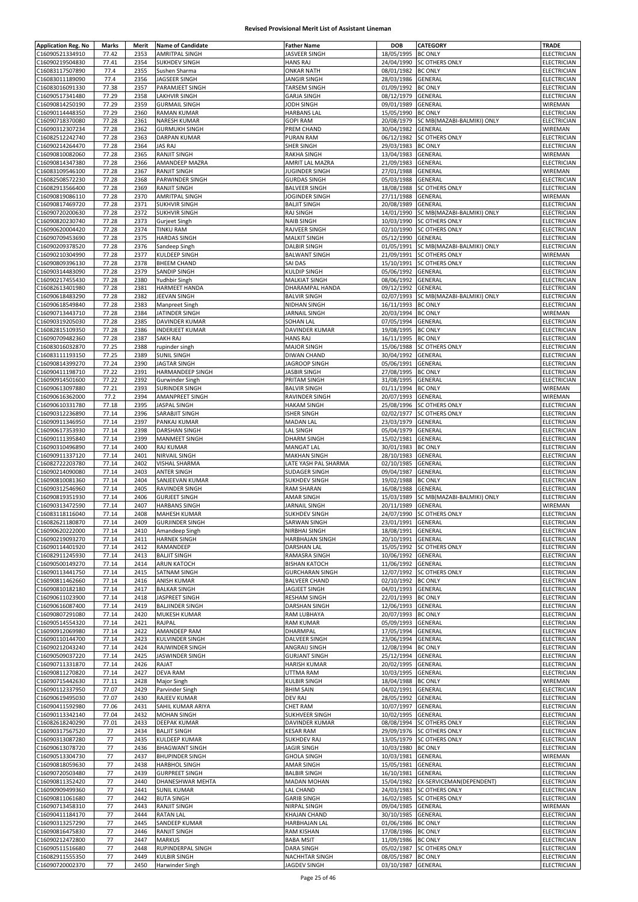| <b>Application Reg. No</b>         | Marks          | Merit        | <b>Name of Candidate</b>                 | <b>Father Name</b>                          | DOB                      | <b>CATEGORY</b>                                     | TRADE                             |
|------------------------------------|----------------|--------------|------------------------------------------|---------------------------------------------|--------------------------|-----------------------------------------------------|-----------------------------------|
| C16090521334910                    | 77.42          | 2353         | AMRITPAL SINGH                           | JASVEER SINGH                               | 18/05/1995               | <b>BC ONLY</b>                                      | ELECTRICIAN                       |
| C16090219504830                    | 77.41          | 2354         | <b>SUKHDEV SINGH</b>                     | <b>HANS RAJ</b>                             | 24/04/1990               | <b>SC OTHERS ONLY</b>                               | ELECTRICIAN                       |
| C16083117507890                    | 77.4           | 2355         | Sushen Sharma                            | <b>ONKAR NATH</b>                           | 08/01/1982               | <b>BC ONLY</b>                                      | ELECTRICIAN                       |
| C16083011189090                    | 77.4           | 2356         | JAGSEER SINGH                            | JANGIR SINGH                                | 28/03/1986               | GENERAL                                             | <b>ELECTRICIAN</b>                |
| C16083016091330                    | 77.38          | 2357         | PARAMJEET SINGH                          | <b>TARSEM SINGH</b>                         | 01/09/1992               | <b>BC ONLY</b>                                      | ELECTRICIAN                       |
| C16090517341480<br>C16090814250190 | 77.29<br>77.29 | 2358<br>2359 | LAKHVIR SINGH<br><b>GURMAIL SINGH</b>    | <b>GARJA SINGH</b><br>JODH SINGH            | 08/12/1979<br>09/01/1989 | GENERAL<br>GENERAL                                  | ELECTRICIAN<br>WIREMAN            |
| C16090114448350                    | 77.29          | 2360         | <b>RAMAN KUMAR</b>                       | <b>HARBANS LAL</b>                          | 15/05/1990               | <b>BC ONLY</b>                                      | ELECTRICIAN                       |
| C16090718370080                    | 77.28          | 2361         | NARESH KUMAR                             | <b>GOPI RAM</b>                             | 20/08/1979               | SC MB(MAZABI-BALMIKI) ONLY                          | ELECTRICIAN                       |
| C16090312307234                    | 77.28          | 2362         | <b>GURMUKH SINGH</b>                     | PREM CHAND                                  | 30/04/1982               | GENERAL                                             | WIREMAN                           |
| C16082512242740                    | 77.28          | 2363         | <b>DARPAN KUMAR</b>                      | PURAN RAM                                   | 06/12/1982               | <b>SC OTHERS ONLY</b>                               | ELECTRICIAN                       |
| C16090214264470                    | 77.28          | 2364         | <b>JAS RAJ</b>                           | SHER SINGH                                  | 29/03/1983               | <b>BC ONLY</b>                                      | ELECTRICIAN                       |
| C16090810082060                    | 77.28          | 2365         | <b>RANJIT SINGH</b>                      | <b>RAKHA SINGH</b>                          | 13/04/1983               | GENERAL                                             | WIREMAN                           |
| C16090814347380                    | 77.28          | 2366         | AMANDEEP MAZRA                           | AMRIT LAL MAZRA                             | 21/09/1983               | GENERAL                                             | <b>ELECTRICIAN</b>                |
| C16083109546100                    | 77.28          | 2367         | <b>RANJIT SINGH</b>                      | <b>JUGINDER SINGH</b>                       | 27/01/1988               | GENERAL                                             | WIREMAN                           |
| C16082508572230                    | 77.28          | 2368         | PARWINDER SINGH                          | <b>GURDAS SINGH</b>                         | 05/03/1988               | GENERAL                                             | ELECTRICIAN                       |
| C16082913566400                    | 77.28          | 2369         | <b>RANJIT SINGH</b>                      | <b>BALVEER SINGH</b>                        | 18/08/1988               | <b>SC OTHERS ONLY</b>                               | ELECTRICIAN                       |
| C16090819086110                    | 77.28          | 2370         | <b>AMRITPAL SINGH</b>                    | JOGINDER SINGH                              | 27/11/1988               | GENERAL                                             | WIREMAN                           |
| C16090817469720                    | 77.28          | 2371         | <b>SUKHVIR SINGH</b>                     | <b>BALJIT SINGH</b>                         | 20/08/1989               | GENERAL                                             | ELECTRICIAN                       |
| C16090720200630                    | 77.28          | 2372         | <b>SUKHVIR SINGH</b>                     | <b>RAJ SINGH</b>                            | 14/01/1990               | SC MB(MAZABI-BALMIKI) ONLY                          | ELECTRICIAN                       |
| C16090820230740                    | 77.28          | 2373         | Gurjeet Singh                            | <b>NAIB SINGH</b>                           | 10/03/1990               | <b>SC OTHERS ONLY</b>                               | ELECTRICIAN                       |
| C16090620004420                    | 77.28          | 2374         | <b>TINKU RAM</b>                         | RAJVEER SINGH                               | 02/10/1990               | <b>SC OTHERS ONLY</b>                               | ELECTRICIAN                       |
| C16090709453690                    | 77.28          | 2375         | <b>HARDAS SINGH</b>                      | <b>MALKIT SINGH</b>                         | 05/12/1990               | GENERAL                                             | ELECTRICIAN                       |
| C16090209378520<br>C16090210304990 | 77.28<br>77.28 | 2376<br>2377 | Sandeep Singh<br>KULDEEP SINGH           | <b>DALBIR SINGH</b><br><b>BALWANT SINGH</b> | 01/05/1991<br>21/09/1991 | SC MB(MAZABI-BALMIKI) ONLY<br><b>SC OTHERS ONLY</b> | ELECTRICIAN<br>WIREMAN            |
| C16090809396130                    | 77.28          | 2378         | <b>BHEEM CHAND</b>                       | SAI DAS                                     |                          | 15/10/1991 SC OTHERS ONLY                           | ELECTRICIAN                       |
| C16090314483090                    | 77.28          | 2379         | <b>SANDIP SINGH</b>                      | <b>KULDIP SINGH</b>                         | 05/06/1992               | GENERAL                                             | <b>ELECTRICIAN</b>                |
| C16090217455430                    | 77.28          | 2380         | Yudhbir Singh                            | <b>MALKIAT SINGH</b>                        | 08/06/1992               | GENERAL                                             | ELECTRICIAN                       |
| C16082613401980                    | 77.28          | 2381         | HARMEET HANDA                            | DHARAMPAL HANDA                             | 09/12/1992               | GENERAL                                             | ELECTRICIAN                       |
| C16090618483290                    | 77.28          | 2382         | JEEVAN SINGH                             | <b>BALVIR SINGH</b>                         | 02/07/1993               | SC MB(MAZABI-BALMIKI) ONLY                          | ELECTRICIAN                       |
| C16090618549840                    | 77.28          | 2383         | Manpreet Singh                           | NIDHAN SINGH                                | 16/11/1993               | <b>BC ONLY</b>                                      | ELECTRICIAN                       |
| C16090713443710                    | 77.28          | 2384         | JATINDER SINGH                           | JARNAIL SINGH                               | 20/03/1994               | <b>BC ONLY</b>                                      | WIREMAN                           |
| C16090319205030                    | 77.28          | 2385         | DAVINDER KUMAR                           | SOHAN LAL                                   | 07/05/1994               | GENERAL                                             | <b>ELECTRICIAN</b>                |
| C16082815109350                    | 77.28          | 2386         | <b>INDERJEET KUMAR</b>                   | DAVINDER KUMAR                              | 19/08/1995               | <b>BC ONLY</b>                                      | ELECTRICIAN                       |
| C16090709482360                    | 77.28          | 2387         | SAKH RAJ                                 | <b>HANS RAJ</b>                             | 16/11/1995               | <b>BC ONLY</b>                                      | ELECTRICIAN                       |
| C16083016032870                    | 77.25          | 2388         | rupinder singh                           | <b>MAJOR SINGH</b>                          |                          | 15/06/1988 SC OTHERS ONLY                           | ELECTRICIAN                       |
| C16083111193150                    | 77.25          | 2389         | <b>SUNIL SINGH</b>                       | <b>DIWAN CHAND</b>                          | 30/04/1992               | GENERAL                                             | ELECTRICIAN                       |
| C16090814399270                    | 77.24          | 2390         | <b>JAGTAR SINGH</b>                      | <b>JAGROOP SINGH</b>                        | 05/06/1991               | GENERAL                                             | ELECTRICIAN                       |
| C16090411198710                    | 77.22          | 2391         | HARMANDEEP SINGH                         | <b>JASBIR SINGH</b>                         | 27/08/1995               | <b>BC ONLY</b>                                      | ELECTRICIAN                       |
| C16090914501600                    | 77.22          | 2392         | Gurwinder Singh                          | PRITAM SINGH                                | 31/08/1995               | GENERAL                                             | ELECTRICIAN                       |
| C16090613097880<br>C16090616362000 | 77.21<br>77.2  | 2393<br>2394 | <b>SURINDER SINGH</b><br>AMANPREET SINGH | <b>BALVIR SINGH</b><br>RAVINDER SINGH       | 01/11/1994<br>20/07/1993 | <b>BC ONLY</b><br>GENERAL                           | WIREMAN<br>WIREMAN                |
| C16090610331780                    | 77.18          | 2395         | <b>JASPAL SINGH</b>                      | <b>HAKAM SINGH</b>                          | 25/08/1996               | <b>SC OTHERS ONLY</b>                               | ELECTRICIAN                       |
| C16090312236890                    | 77.14          | 2396         | SARABJIT SINGH                           | <b>ISHER SINGH</b>                          | 02/02/1977               | <b>SC OTHERS ONLY</b>                               | ELECTRICIAN                       |
| C16090911346950                    | 77.14          | 2397         | PANKAJ KUMAR                             | <b>MADAN LAL</b>                            | 23/03/1979               | GENERAL                                             | ELECTRICIAN                       |
| C16090617353930                    | 77.14          | 2398         | DARSHAN SINGH                            | <b>LAL SINGH</b>                            | 05/04/1979               | GENERAL                                             | ELECTRICIAN                       |
| C16090111395840                    | 77.14          | 2399         | <b>MANMEET SINGH</b>                     | <b>DHARM SINGH</b>                          | 15/02/1981               | GENERAL                                             | ELECTRICIAN                       |
| C16090310496890                    | 77.14          | 2400         | RAJ KUMAR                                | <b>MANGAT LAL</b>                           | 30/01/1983               | <b>BC ONLY</b>                                      | ELECTRICIAN                       |
| C16090911337120                    | 77.14          | 2401         | <b>NIRVAIL SINGH</b>                     | <b>MAKHAN SINGH</b>                         | 28/10/1983               | <b>GENERAL</b>                                      | ELECTRICIAN                       |
| C16082722203780                    | 77.14          | 2402         | VISHAL SHARMA                            | LATE YASH PAL SHARMA                        | 02/10/1985               | GENERAL                                             | ELECTRICIAN                       |
| C16090214090080                    | 77.14          | 2403         | ANTER SINGH                              | SUDAGER SINGH                               | 09/04/1987               | GENERAL                                             | ELECTRICIAN                       |
|                                    |                |              |                                          |                                             |                          |                                                     |                                   |
| C16090810081360                    | 77.14          | 2404         | SANJEEVAN KUMAR                          | <b>SUKHDEV SINGH</b>                        | 19/02/1988               | <b>BC ONLY</b>                                      | ELECTRICIAN                       |
| C16090312546960                    | 77.14          | 2405         | RAVINDER SINGH                           | <b>RAM SHARAN</b>                           | 16/08/1988               | GENERAL                                             | ELECTRICIAN                       |
| C16090819351930                    | 77.14          | 2406         | <b>GURJEET SINGH</b>                     | AMAR SINGH                                  | 15/03/1989               | SC MB(MAZABI-BALMIKI) ONLY                          | <b>ELECTRICIAN</b>                |
| C16090313472590                    | 77.14          | 2407         | <b>HARBANS SINGH</b>                     | <b>JARNAIL SINGH</b>                        | 20/11/1989               | <b>GENERAL</b>                                      | WIREMAN                           |
| C16083118116040                    | 77.14          | 2408         | <b>MAHESH KUMAR</b>                      | <b>SUKHDEV SINGH</b>                        |                          | 24/07/1990 SC OTHERS ONLY                           | ELECTRICIAN                       |
| C16082621180870                    | 77.14          | 2409         | <b>GURJINDER SINGH</b>                   | SARWAN SINGH                                | 23/01/1991 GENERAL       |                                                     | ELECTRICIAN                       |
| C16090620222000                    | 77.14          | 2410         | Amandeep Singh                           | NIRBHAI SINGH                               | 18/08/1991 GENERAL       |                                                     | <b>ELECTRICIAN</b>                |
| C16090219093270                    | 77.14          | 2411         | <b>HARNEK SINGH</b>                      | <b>HARBHAJAN SINGH</b>                      | 20/10/1991               | <b>GENERAL</b>                                      | ELECTRICIAN                       |
| C16090114401920                    | 77.14          | 2412         | RAMANDEEP                                | <b>DARSHAN LAL</b>                          | 15/05/1992               | <b>SC OTHERS ONLY</b>                               | ELECTRICIAN                       |
| C16082911245930<br>C16090500149270 | 77.14<br>77.14 | 2413<br>2414 | <b>BALJIT SINGH</b><br>ARUN KATOCH       | RAMASRA SINGH<br><b>BISHAN KATOCH</b>       | 10/06/1992<br>11/06/1992 | GENERAL<br>GENERAL                                  | ELECTRICIAN<br>ELECTRICIAN        |
| C16090113441750                    | 77.14          | 2415         | SATNAM SINGH                             | <b>GURCHARAN SINGH</b>                      | 12/07/1992               | <b>SC OTHERS ONLY</b>                               | ELECTRICIAN                       |
| C16090811462660                    | 77.14          | 2416         | <b>ANISH KUMAR</b>                       | <b>BALVEER CHAND</b>                        | 02/10/1992               | <b>BC ONLY</b>                                      | ELECTRICIAN                       |
| C16090810182180                    | 77.14          | 2417         | <b>BALKAR SINGH</b>                      | JAGJEET SINGH                               | 04/01/1993               | <b>GENERAL</b>                                      | ELECTRICIAN                       |
| C16090611023900                    | 77.14          | 2418         | JASPREET SINGH                           | <b>RESHAM SINGH</b>                         | 22/01/1993 BC ONLY       |                                                     | <b>ELECTRICIAN</b>                |
| C16090616087400                    | 77.14          | 2419         | <b>BALJINDER SINGH</b>                   | <b>DARSHAN SINGH</b>                        | 12/06/1993               | <b>GENERAL</b>                                      | ELECTRICIAN                       |
| C16090807291080                    | 77.14          | 2420         | <b>MUKESH KUMAR</b>                      | RAM LUBHAYA                                 | 20/07/1993               | <b>BC ONLY</b>                                      | ELECTRICIAN                       |
| C16090514554320                    | 77.14          | 2421         | RAJPAL                                   | <b>RAM KUMAR</b>                            | 05/09/1993               | GENERAL                                             | ELECTRICIAN                       |
| C16090912069980                    | 77.14          | 2422         | AMANDEEP RAM                             | DHARMPAL                                    | 17/05/1994               | GENERAL                                             | ELECTRICIAN                       |
| C16090110144700                    | 77.14          | 2423         | KULVINDER SINGH                          | <b>DALVEER SINGH</b>                        | 23/06/1994               | <b>GENERAL</b>                                      | ELECTRICIAN                       |
| C16090212043240                    | 77.14          | 2424         | RAJWINDER SINGH                          | ANGRAIJ SINGH                               | 12/08/1994               | <b>BC ONLY</b>                                      | ELECTRICIAN                       |
| C16090509037220                    | 77.14          | 2425         | JASWINDER SINGH                          | <b>GURJANT SINGH</b>                        | 25/12/1994               | GENERAL                                             | ELECTRICIAN                       |
| C16090711331870                    | 77.14          | 2426         | RAJAT                                    | <b>HARISH KUMAR</b>                         | 20/02/1995               | GENERAL                                             | ELECTRICIAN                       |
| C16090811270820<br>C16090715442630 | 77.14<br>77.11 | 2427<br>2428 | <b>DEVA RAM</b><br>Major Singh           | UTTMA RAM<br><b>KULBIR SINGH</b>            | 10/03/1995<br>18/04/1988 | GENERAL<br><b>BC ONLY</b>                           | ELECTRICIAN<br>WIREMAN            |
| C16090112337950                    | 77.07          | 2429         | Parvinder Singh                          | <b>BHIM SAIN</b>                            | 04/02/1991               | GENERAL                                             | ELECTRICIAN                       |
| C16090619495030                    | 77.07          | 2430         | RAJEEV KUMAR                             | DEV RAJ                                     | 28/05/1992               | GENERAL                                             | ELECTRICIAN                       |
| C16090411592980                    | 77.06          | 2431         | SAHIL KUMAR ARIYA                        | <b>CHET RAM</b>                             | 10/07/1997               | GENERAL                                             | ELECTRICIAN                       |
| C16090113342140                    | 77.04          | 2432         | <b>MOHAN SINGH</b>                       | SUKHVEER SINGH                              | 10/02/1995               | GENERAL                                             | ELECTRICIAN                       |
| C16082618240290                    | 77.01          | 2433         | DEEPAK KUMAR                             | DAVINDER KUMAR                              |                          | 08/08/1994 SC OTHERS ONLY                           | ELECTRICIAN                       |
| C16090317567520                    | 77             | 2434         | <b>BALJIT SINGH</b>                      | <b>KESAR RAM</b>                            | 29/09/1976               | <b>SC OTHERS ONLY</b>                               | ELECTRICIAN                       |
| C16090313087280                    | 77             | 2435         | <b>KULDEEP KUMAR</b>                     | <b>SUKHDEV RAJ</b>                          |                          | 13/05/1979 SC OTHERS ONLY                           | ELECTRICIAN                       |
| C16090613078720                    | 77             | 2436         | <b>BHAGWANT SINGH</b>                    | JAGIR SINGH                                 | 10/03/1980               | <b>BC ONLY</b>                                      | ELECTRICIAN                       |
| C16090513304730                    | 77             | 2437         | <b>BHUPINDER SINGH</b>                   | <b>GHOLA SINGH</b>                          | 10/03/1981               | GENERAL                                             | WIREMAN                           |
| C16090818059630                    | 77             | 2438         | <b>HARBHOL SINGH</b>                     | AMAR SINGH                                  | 15/05/1981 GENERAL       |                                                     | ELECTRICIAN                       |
| C16090720503480                    | 77             | 2439         | <b>GURPREET SINGH</b>                    | <b>BALBIR SINGH</b>                         | 16/10/1981               | GENERAL                                             | ELECTRICIAN                       |
| C16090811352420                    | 77             | 2440         | DHANESHWAR MEHTA                         | MADAN MOHAN                                 | 15/04/1982               | EX-SERVICEMAN(DEPENDENT)                            | ELECTRICIAN                       |
| C16090909499360                    | 77             | 2441         | <b>SUNIL KUMAR</b>                       | LAL CHAND                                   | 24/03/1983               | <b>SC OTHERS ONLY</b>                               | ELECTRICIAN                       |
| C16090811061680                    | 77             | 2442         | <b>BUTA SINGH</b>                        | <b>GARIB SINGH</b>                          | 16/02/1985               | <b>SC OTHERS ONLY</b>                               | ELECTRICIAN                       |
| C16090713458310                    | 77             | 2443         | <b>RANJIT SINGH</b>                      | NIRPAL SINGH                                | 09/04/1985               | GENERAL                                             | WIREMAN                           |
| C16090411184170                    | 77             | 2444<br>2445 | <b>RATAN LAL</b>                         | <b>KHAJAN CHAND</b>                         | 30/10/1985               | GENERAL<br><b>BC ONLY</b>                           | ELECTRICIAN                       |
| C16090313257290<br>C16090816475830 | 77<br>77       | 2446         | SANDEEP KUMAR<br><b>RANJIT SINGH</b>     | HARBHAJAN LAL<br>RAM KISHAN                 | 01/06/1986<br>17/08/1986 | <b>BC ONLY</b>                                      | ELECTRICIAN<br><b>ELECTRICIAN</b> |
| C16090212472800                    | 77             | 2447         | <b>MARKUS</b>                            | <b>BABA MSIT</b>                            | 11/09/1986               | <b>BC ONLY</b>                                      | ELECTRICIAN                       |
| C16090511516680                    | 77             | 2448         | RUPINDERPAL SINGH                        | <b>DARA SINGH</b>                           |                          | 05/02/1987 SC OTHERS ONLY                           | ELECTRICIAN                       |
| C16082911555350                    | 77             | 2449         | <b>KULBIR SINGH</b>                      | NACHHTAR SINGH                              | 08/05/1987 BC ONLY       |                                                     | ELECTRICIAN                       |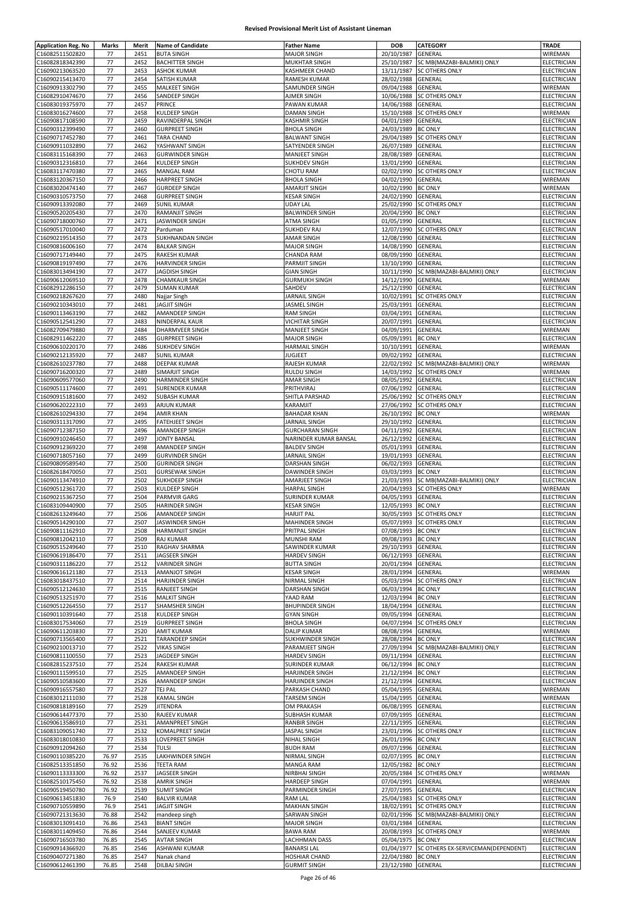| <b>Application Reg. No</b> | Marks | Merit | <b>Name of Candidate</b> | <b>Father Name</b>     | <b>DOB</b>         | CATEGORY                                      | TRADE              |
|----------------------------|-------|-------|--------------------------|------------------------|--------------------|-----------------------------------------------|--------------------|
| C16082511502820            | 77    | 2451  | <b>BUTA SINGH</b>        | <b>MAJOR SINGH</b>     | 20/10/1987         | GENERAL                                       | WIREMAN            |
| C16082818342390            | 77    | 2452  | <b>BACHITTER SINGH</b>   | MUKHTAR SINGH          | 25/10/1987         | SC MB(MAZABI-BALMIKI) ONLY                    | ELECTRICIAN        |
|                            |       |       |                          |                        |                    |                                               |                    |
| C16090213063520            | 77    | 2453  | <b>ASHOK KUMAR</b>       | KASHMEER CHAND         | 13/11/1987         | <b>SC OTHERS ONLY</b>                         | ELECTRICIAN        |
| C16090215413470            | 77    | 2454  | SATISH KUMAR             | RAMESH KUMAR           | 28/02/1988         | <b>GENERAL</b>                                | ELECTRICIAN        |
| C16090913302790            | 77    | 2455  | MALKEET SINGH            | SAMUNDER SINGH         | 09/04/1988         | GENERAL                                       | WIREMAN            |
| C16082910474670            | 77    | 2456  | SANDEEP SINGH            | AJMER SINGH            | 10/06/1988         | SC OTHERS ONLY                                | <b>ELECTRICIAN</b> |
| C16083019375970            | 77    | 2457  | PRINCE                   | PAWAN KUMAR            | 14/06/1988         | GENERAL                                       | ELECTRICIAN        |
| C16083016274600            | 77    | 2458  | KULDEEP SINGH            | <b>DAMAN SINGH</b>     | 15/10/1988         | <b>SC OTHERS ONLY</b>                         | WIREMAN            |
| C16090817108590            | 77    | 2459  | RAVINDERPAL SINGH        | KASHMIR SINGH          | 04/01/1989         | GENERAL                                       | ELECTRICIAN        |
| C16090312399490            | 77    | 2460  | <b>GURPREET SINGH</b>    | <b>BHOLA SINGH</b>     | 24/03/1989         | <b>BC ONLY</b>                                | ELECTRICIAN        |
| C16090717452780            | 77    | 2461  | TARA CHAND               | <b>BALWANT SINGH</b>   | 29/04/1989         | <b>SC OTHERS ONLY</b>                         | ELECTRICIAN        |
|                            |       |       |                          |                        |                    |                                               |                    |
| C16090911032890            | 77    | 2462  | YASHWANT SINGH           | SATYENDER SINGH        | 26/07/1989         | GENERAL                                       | <b>ELECTRICIAN</b> |
| C16083115168390            | 77    | 2463  | <b>GURWINDER SINGH</b>   | <b>MANJEET SINGH</b>   | 28/08/1989         | GENERAL                                       | <b>ELECTRICIAN</b> |
| C16090312316810            | 77    | 2464  | KULDEEP SINGH            | <b>SUKHDEV SINGH</b>   | 13/01/1990         | GENERAL                                       | <b>ELECTRICIAN</b> |
| C16083117470380            | 77    | 2465  | <b>MANGAL RAM</b>        | CHOTU RAM              | 02/02/1990         | <b>SC OTHERS ONLY</b>                         | ELECTRICIAN        |
| C16083120367150            | 77    | 2466  | <b>HARPREET SINGH</b>    | <b>BHOLA SINGH</b>     | 04/02/1990         | GENERAL                                       | WIREMAN            |
| C16083020474140            | 77    | 2467  | <b>GURDEEP SINGH</b>     | <b>AMARJIT SINGH</b>   | 10/02/1990         | <b>BC ONLY</b>                                | WIREMAN            |
| C16090310573750            | 77    | 2468  | <b>GURPREET SINGH</b>    | <b>KESAR SINGH</b>     | 24/02/1990         | GENERAL                                       | ELECTRICIAN        |
| C16090913392080            | 77    | 2469  | <b>SUNIL KUMAR</b>       | UDAY LAL               | 25/02/1990         | <b>SC OTHERS ONLY</b>                         | ELECTRICIAN        |
|                            |       |       |                          |                        |                    |                                               |                    |
| C16090520205430            | 77    | 2470  | RAMANJIT SINGH           | <b>BALWINDER SINGH</b> | 20/04/1990         | <b>BC ONLY</b>                                | ELECTRICIAN        |
| C16090718000760            | 77    | 2471  | JASWINDER SINGH          | <b>ATMA SINGH</b>      | 01/05/1990         | GENERAL                                       | ELECTRICIAN        |
| C16090517010040            | 77    | 2472  | Parduman                 | <b>SUKHDEV RAJ</b>     | 12/07/1990         | <b>SC OTHERS ONLY</b>                         | <b>ELECTRICIAN</b> |
| C16090219514350            | 77    | 2473  | SUKHNANDAN SINGH         | AMAR SINGH             | 12/08/1990         | GENERAL                                       | ELECTRICIAN        |
| C16090816006160            | 77    | 2474  | <b>BALKAR SINGH</b>      | <b>MAJOR SINGH</b>     | 14/08/1990         | GENERAL                                       | ELECTRICIAN        |
| C16090717149440            | 77    | 2475  | <b>RAKESH KUMAR</b>      | CHANDA RAM             | 08/09/1990         | GENERAL                                       | ELECTRICIAN        |
| C16090819197490            | 77    | 2476  | HARVINDER SINGH          | PARMJIT SINGH          | 13/10/1990         | GENERAL                                       | ELECTRICIAN        |
| C16083013494190            | 77    | 2477  | JAGDISH SINGH            | <b>GIAN SINGH</b>      | 10/11/1990         | SC MB(MAZABI-BALMIKI) ONLY                    | ELECTRICIAN        |
|                            |       |       |                          |                        |                    |                                               |                    |
| C16090612069510            | 77    | 2478  | <b>CHAMKAUR SINGH</b>    | <b>GURMUKH SINGH</b>   | 14/12/1990         | GENERAL                                       | WIREMAN            |
| C16082912286150            | 77    | 2479  | <b>SUMAN KUMAR</b>       | SAHDEV                 | 25/12/1990         | GENERAL                                       | ELECTRICIAN        |
| C16090218267620            | 77    | 2480  | Najjar Singh             | JARNAIL SINGH          | 10/02/1991         | <b>SC OTHERS ONLY</b>                         | ELECTRICIAN        |
| C16090210343010            | 77    | 2481  | JAGJIT SINGH             | JASMEL SINGH           | 25/03/1991         | GENERAL                                       | ELECTRICIAN        |
| C16090113463190            | 77    | 2482  | AMANDEEP SINGH           | <b>RAM SINGH</b>       | 03/04/1991         | GENERAL                                       | ELECTRICIAN        |
| C16090512541290            | 77    | 2483  | NINDERPAL KAUR           | <b>VICHITAR SINGH</b>  | 20/07/1991         | GENERAL                                       | ELECTRICIAN        |
| C16082709479880            | 77    | 2484  | DHARMVEER SINGH          | <b>MANJEET SINGH</b>   | 04/09/1991         | GENERAL                                       | WIREMAN            |
|                            |       |       |                          |                        |                    |                                               |                    |
| C16082911462220            | 77    | 2485  | <b>GURPREET SINGH</b>    | <b>MAJOR SINGH</b>     | 05/09/1991         | <b>BC ONLY</b>                                | ELECTRICIAN        |
| C16090610220170            | 77    | 2486  | SUKHDEV SINGH            | <b>HARMAIL SINGH</b>   | 10/10/1991         | GENERAL                                       | WIREMAN            |
| C16090212135920            | 77    | 2487  | <b>SUNIL KUMAR</b>       | JUGJEET                | 09/02/1992         | GENERAL                                       | ELECTRICIAN        |
| C16082610237780            | 77    | 2488  | DEEPAK KUMAR             | RAJESH KUMAR           | 22/02/1992         | SC MB(MAZABI-BALMIKI) ONLY                    | WIREMAN            |
| C16090716200320            | 77    | 2489  | SIMARJIT SINGH           | <b>RULDU SINGH</b>     | 14/03/1992         | <b>SC OTHERS ONLY</b>                         | WIREMAN            |
| C16090609577060            | 77    | 2490  | HARMINDER SINGH          | AMAR SINGH             | 08/05/1992         | GENERAL                                       | ELECTRICIAN        |
| C16090511174600            | 77    | 2491  | <b>SURENDER KUMAR</b>    | PRITHVIRAJ             | 07/06/1992         | GENERAL                                       | ELECTRICIAN        |
|                            |       |       |                          |                        |                    |                                               |                    |
| C16090915181600            | 77    | 2492  | SUBASH KUMAR             | SHITLA PARSHAD         | 25/06/1992         | <b>SC OTHERS ONLY</b>                         | ELECTRICIAN        |
| C16090620222310            | 77    | 2493  | ARJUN KUMAR              | KARAMJIT               | 27/06/1992         | SC OTHERS ONLY                                | ELECTRICIAN        |
| C16082610294330            | 77    | 2494  | <b>AMIR KHAN</b>         | <b>BAHADAR KHAN</b>    | 26/10/1992         | <b>BC ONLY</b>                                | WIREMAN            |
| C16090311317090            | 77    | 2495  | <b>FATEHJEET SINGH</b>   | JARNAIL SINGH          | 29/10/1992         | GENERAL                                       | ELECTRICIAN        |
| C16090712387150            | 77    | 2496  | AMANDEEP SINGH           | <b>GURCHARAN SINGH</b> | 04/11/1992         | GENERAL                                       | ELECTRICIAN        |
| C16090910246450            | 77    | 2497  | JONTY BANSAL             | NARINDER KUMAR BANSAL  | 26/12/1992         | GENERAL                                       | ELECTRICIAN        |
| C16090912369220            | 77    | 2498  | AMANDEEP SINGH           | <b>BALDEV SINGH</b>    | 05/01/1993         | GENERAL                                       | ELECTRICIAN        |
|                            | 77    | 2499  | <b>GURVINDER SINGH</b>   | JARNAIL SINGH          |                    |                                               |                    |
| C16090718057160            |       |       |                          |                        | 19/01/1993         | GENERAL                                       | ELECTRICIAN        |
| C16090809589540            | 77    | 2500  | <b>GURINDER SINGH</b>    | DARSHAN SINGH          | 06/02/1993         | GENERAL                                       | ELECTRICIAN        |
| C16082618470050            | 77    | 2501  | <b>GURSEWAK SINGH</b>    | <b>DAWINDER SINGH</b>  | 03/03/1993         | <b>BC ONLY</b>                                | ELECTRICIAN        |
| C16090113474910            | 77    | 2502  | SUKHDEEP SINGH           | AMARJEET SINGH         | 21/03/1993         | SC MB(MAZABI-BALMIKI) ONLY                    | ELECTRICIAN        |
| C16090512361720            | 77    | 2503  | KULDEEP SINGH            | <b>HARPAL SINGH</b>    | 20/04/1993         | SC OTHERS ONLY                                | WIREMAN            |
| C16090215367250            | 77    | 2504  | PARMVIR GARG             | SURINDER KUMAR         | 04/05/1993         | GENERAL                                       | <b>ELECTRICIAN</b> |
| C16083109440900            | 77    | 2505  | HARINDER SINGH           | <b>KESAR SINGH</b>     | 12/05/1993 BC ONLY |                                               | ELECTRICIAN        |
| C16082613249640            | 77    | 2506  | AMANDEEP SINGH           | <b>HARJIT PAL</b>      |                    | 30/05/1993 SC OTHERS ONLY                     | ELECTRICIAN        |
|                            |       |       |                          |                        |                    |                                               |                    |
| C16090514290100            | 77    | 2507  | LJASWINDER SINGH         | MAHINDER SINGH         |                    | 05/07/1993 ISC OTHERS ONLY                    | ELECTRICIAN        |
| C16090811162910            | 77    | 2508  | <b>HARMANJIT SINGH</b>   | PRITPAL SINGH          | 07/08/1993 BC ONLY |                                               | ELECTRICIAN        |
| C16090812042110            | 77    | 2509  | RAJ KUMAR                | MUNSHI RAM             | 09/08/1993 BC ONLY |                                               | ELECTRICIAN        |
| C16090515249640            | 77    | 2510  | RAGHAV SHARMA            | SAWINDER KUMAR         | 29/10/1993 GENERAL |                                               | <b>ELECTRICIAN</b> |
| C16090619186470            | 77    | 2511  | JAGSEER SINGH            | <b>HARDEV SINGH</b>    | 06/12/1993         | GENERAL                                       | ELECTRICIAN        |
| C16090311186220            | 77    | 2512  | <b>VARINDER SINGH</b>    | <b>BUTTA SINGH</b>     | 20/01/1994 GENERAL |                                               | ELECTRICIAN        |
| C16090616121180            | 77    | 2513  | <b>AMANJOT SINGH</b>     | <b>KESAR SINGH</b>     | 28/01/1994         | GENERAL                                       | WIREMAN            |
| C16083018437510            | 77    | 2514  | HARJINDER SINGH          | NIRMAL SINGH           | 05/03/1994         | <b>SC OTHERS ONLY</b>                         | ELECTRICIAN        |
|                            |       |       |                          |                        | 06/03/1994 BC ONLY |                                               |                    |
| C16090512124630            | 77    | 2515  | RANJEET SINGH            | DARSHAN SINGH          |                    |                                               | ELECTRICIAN        |
| C16090513251970            | 77    | 2516  | <b>MALKIT SINGH</b>      | YAAD RAM               | 12/03/1994         | <b>BC ONLY</b>                                | ELECTRICIAN        |
| C16090512264550            | 77    | 2517  | SHAMSHER SINGH           | <b>BHUPINDER SINGH</b> | 18/04/1994 GENERAL |                                               | ELECTRICIAN        |
| C16090110391640            | 77    | 2518  | KULDEEP SINGH            | <b>GYAN SINGH</b>      | 09/05/1994         | GENERAL                                       | ELECTRICIAN        |
| C16083017534060            | 77    | 2519  | <b>GURPREET SINGH</b>    | <b>BHOLA SINGH</b>     | 04/07/1994         | <b>SC OTHERS ONLY</b>                         | ELECTRICIAN        |
| C16090611203830            | 77    | 2520  | <b>AMIT KUMAR</b>        | <b>DALIP KUMAR</b>     | 08/08/1994         | GENERAL                                       | WIREMAN            |
| C16090713565400            | 77    | 2521  | TARANDEEP SINGH          | SUKHWINDER SINGH       | 28/08/1994         | <b>BC ONLY</b>                                | ELECTRICIAN        |
| C16090210013710            | 77    | 2522  | <b>VIKAS SINGH</b>       | PARAMJEET SINGH        |                    | 27/09/1994 SC MB(MAZABI-BALMIKI) ONLY         | ELECTRICIAN        |
| C16090811100550            | 77    | 2523  | JAGDEEP SINGH            | <b>HARDEV SINGH</b>    | 09/11/1994         | GENERAL                                       | ELECTRICIAN        |
| C16082815237510            | 77    | 2524  | <b>RAKESH KUMAR</b>      | SURINDER KUMAR         | 06/12/1994 BC ONLY |                                               | ELECTRICIAN        |
|                            |       |       |                          |                        |                    |                                               |                    |
| C16090111599510            | 77    | 2525  | AMANDEEP SINGH           | HARJINDER SINGH        | 21/12/1994 BC ONLY |                                               | ELECTRICIAN        |
| C16090510583600            | 77    | 2526  | AMANDEEP SINGH           | HARJINDER SINGH        | 21/12/1994         | GENERAL                                       | ELECTRICIAN        |
| C16090916557580            | 77    | 2527  | <b>TEJ PAL</b>           | PARKASH CHAND          | 05/04/1995         | GENERAL                                       | WIREMAN            |
| C16083012111030            | 77    | 2528  | <b>KAMAL SINGH</b>       | <b>TARSEM SINGH</b>    | 15/04/1995         | GENERAL                                       | WIREMAN            |
| C16090818189160            | 77    | 2529  | <b>JITENDRA</b>          | OM PRAKASH             | 06/08/1995         | GENERAL                                       | ELECTRICIAN        |
| C16090614477370            | 77    | 2530  | RAJEEV KUMAR             | <b>SUBHASH KUMAR</b>   | 07/09/1995         | GENERAL                                       | <b>ELECTRICIAN</b> |
| C16090613586910            | 77    | 2531  | AMANPREET SINGH          | <b>RANBIR SINGH</b>    | 22/11/1995         | GENERAL                                       | <b>ELECTRICIAN</b> |
| C16083109051740            | 77    | 2532  | <b>KOMALPREET SINGH</b>  | JASPAL SINGH           | 23/01/1996         | <b>SC OTHERS ONLY</b>                         | <b>ELECTRICIAN</b> |
|                            |       |       |                          |                        |                    |                                               |                    |
| C16083018010830            | 77    | 2533  | LOVEPREET SINGH          | NIHAL SINGH            | 26/01/1996         | <b>BC ONLY</b>                                | <b>ELECTRICIAN</b> |
| C16090912094260            | 77    | 2534  | <b>TULSI</b>             | <b>BUDH RAM</b>        | 09/07/1996         | GENERAL                                       | ELECTRICIAN        |
| C16090110385220            | 76.97 | 2535  | LAKHWINDER SINGH         | NIRMAL SINGH           | 02/07/1995 BC ONLY |                                               | ELECTRICIAN        |
| C16082513351850            | 76.92 | 2536  | <b>TEETA RAM</b>         | <b>MANGA RAM</b>       | 12/05/1982 BC ONLY |                                               | <b>ELECTRICIAN</b> |
| C16090113333300            | 76.92 | 2537  | JAGSEER SINGH            | NIRBHAI SINGH          |                    | 20/05/1984 SC OTHERS ONLY                     | WIREMAN            |
| C16082510175450            | 76.92 | 2538  | <b>AMRIK SINGH</b>       | <b>HARDEEP SINGH</b>   | 07/04/1991         | <b>GENERAL</b>                                | WIREMAN            |
| C16090519450780            | 76.92 | 2539  | <b>SUMIT SINGH</b>       | PARMINDER SINGH        | 27/07/1995         | GENERAL                                       | ELECTRICIAN        |
|                            |       |       |                          |                        |                    |                                               |                    |
| C16090613451830            | 76.9  | 2540  | <b>BALVIR KUMAR</b>      | RAM LAL                | 25/04/1983         | <b>SC OTHERS ONLY</b>                         | <b>ELECTRICIAN</b> |
| C16090710559890            | 76.9  | 2541  | <b>JAGJIT SINGH</b>      | <b>MAKHAN SINGH</b>    | 18/02/1991         | <b>SC OTHERS ONLY</b>                         | <b>ELECTRICIAN</b> |
| C16090721313630            | 76.88 | 2542  | mandeep singh            | SARWAN SINGH           |                    | 02/01/1996 SC MB(MAZABI-BALMIKI) ONLY         | <b>ELECTRICIAN</b> |
| C16083013091410            | 76.86 | 2543  | <b>BIANT SINGH</b>       | <b>MAJOR SINGH</b>     | 03/01/1984         | GENERAL                                       | <b>ELECTRICIAN</b> |
| C16083011409450            | 76.86 | 2544  | SANJEEV KUMAR            | <b>BAWA RAM</b>        | 20/08/1993         | <b>SC OTHERS ONLY</b>                         | WIREMAN            |
| C16090716503780            | 76.85 | 2545  | <b>AVTAR SINGH</b>       | <b>LACHHMAN DASS</b>   | 05/04/1975 BC ONLY |                                               | ELECTRICIAN        |
| C16090914366920            | 76.85 | 2546  | ASHWANI KUMAR            | <b>BANARSI LAL</b>     |                    | 01/04/1977 SC OTHERS EX-SERVICEMAN(DEPENDENT) | ELECTRICIAN        |
|                            |       |       |                          |                        |                    |                                               |                    |
| C16090407271380            | 76.85 | 2547  | Nanak chand              | HOSHIAR CHAND          | 22/04/1980 BC ONLY |                                               | <b>ELECTRICIAN</b> |
| C16090612461390            | 76.85 | 2548  | <b>DILBAJ SINGH</b>      | <b>GURMIT SINGH</b>    | 23/12/1980 GENERAL |                                               | <b>ELECTRICIAN</b> |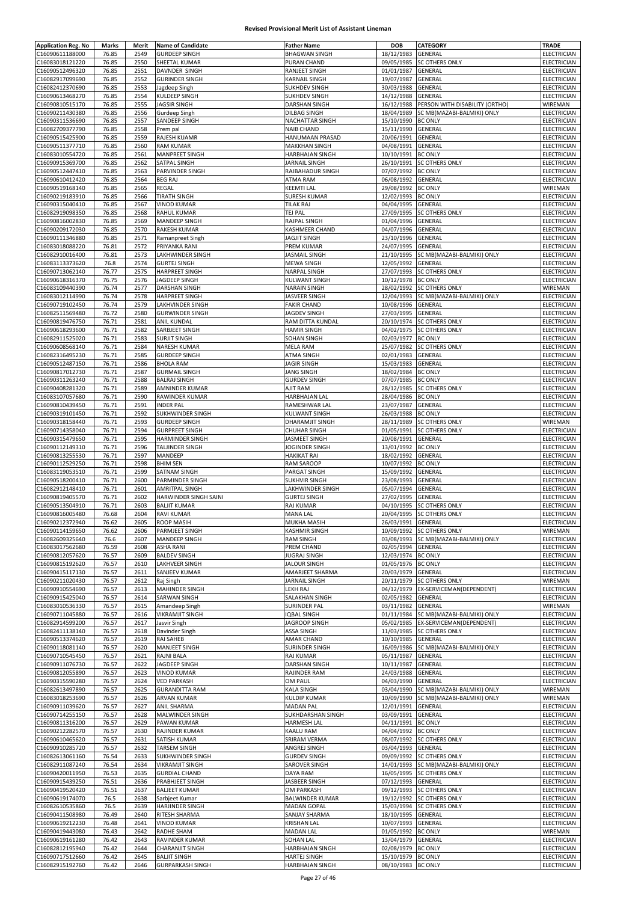| <b>Application Reg. No</b> | Marks | Merit | <b>Name of Candidate</b>                       | <b>Father Name</b>                     | DOB                                      | <b>CATEGORY</b>                     | <b>TRADE</b>               |
|----------------------------|-------|-------|------------------------------------------------|----------------------------------------|------------------------------------------|-------------------------------------|----------------------------|
| C16090611188000            | 76.85 | 2549  | <b>GURDEEP SINGH</b>                           | <b>BHAGWAN SINGH</b>                   | 18/12/1983                               | GENERAL                             | ELECTRICIAN                |
|                            |       |       |                                                |                                        | 09/05/1985                               |                                     |                            |
| C16083018121220            | 76.85 | 2550  | SHEETAL KUMAR                                  | PURAN CHAND                            |                                          | <b>SC OTHERS ONLY</b>               | ELECTRICIAN                |
| C16090512496320            | 76.85 | 2551  | DAVNDER SINGH                                  | RANJEET SINGH                          | 01/01/1987                               | GENERAL                             | ELECTRICIAN                |
| C16082917099690            | 76.85 | 2552  | <b>GURINDER SINGH</b>                          | KARNAIL SINGH                          | 19/07/1987                               | GENERAL                             | <b>ELECTRICIAN</b>         |
| C16082412370690            | 76.85 | 2553  | Jagdeep Singh                                  | <b>SUKHDEV SINGH</b>                   | 30/03/1988                               | GENERAL                             | ELECTRICIAN                |
| C16090613468270            | 76.85 | 2554  | <b>KULDEEP SINGH</b>                           | <b>SUKHDEV SINGH</b>                   | 14/12/1988                               | GENERAL                             | ELECTRICIAN                |
| C16090810515170            | 76.85 | 2555  | <b>JAGSIR SINGH</b>                            | DARSHAN SINGH                          | 16/12/1988                               | PERSON WITH DISABILITY (ORTHO)      | WIREMAN                    |
| C16090211430380            | 76.85 | 2556  | Gurdeep Singh                                  | <b>DILBAG SINGH</b>                    | 18/04/1989                               | SC MB(MAZABI-BALMIKI) ONLY          | ELECTRICIAN                |
| C16090311536690            | 76.85 | 2557  | SANDEEP SINGH                                  | NACHATTAR SINGH                        | 15/10/1990                               | <b>BC ONLY</b>                      | ELECTRICIAN                |
|                            |       |       |                                                |                                        |                                          |                                     |                            |
| C16082709377790            | 76.85 | 2558  | Prem pal                                       | <b>NAIB CHAND</b>                      | 15/11/1990                               | GENERAL                             | ELECTRICIAN                |
| C16090515425900            | 76.85 | 2559  | RAJESH KUAMR                                   | HANUMAAN PRASAD                        | 20/06/1991                               | GENERAL                             | ELECTRICIAN                |
| C16090511377710            | 76.85 | 2560  | <b>RAM KUMAR</b>                               | <b>MAKKHAN SINGH</b>                   | 04/08/1991                               | GENERAL                             | ELECTRICIAN                |
| C16083010554720            | 76.85 | 2561  | <b>MANPREET SINGH</b>                          | HARBHAJAN SINGH                        | 10/10/1991                               | <b>BC ONLY</b>                      | ELECTRICIAN                |
| C16090915369700            | 76.85 | 2562  | SATPAL SINGH                                   | JARNAIL SINGH                          | 26/10/1991                               | <b>SC OTHERS ONLY</b>               | ELECTRICIAN                |
| C16090512447410            | 76.85 | 2563  | PARVINDER SINGH                                | RAJBAHADUR SINGH                       | 07/07/1992                               | <b>BC ONLY</b>                      | ELECTRICIAN                |
| C16090610412420            | 76.85 | 2564  | <b>BEG RAJ</b>                                 | ATMA RAM                               | 06/08/1992                               | <b>GENERAL</b>                      | ELECTRICIAN                |
|                            |       |       |                                                |                                        |                                          |                                     |                            |
| C16090519168140            | 76.85 | 2565  | REGAL                                          | <b>KEEMTI LAL</b>                      | 29/08/1992                               | <b>BC ONLY</b>                      | WIREMAN                    |
| C16090219183910            | 76.85 | 2566  | <b>TIRATH SINGH</b>                            | <b>SURESH KUMAR</b>                    | 12/02/1993                               | <b>BC ONLY</b>                      | ELECTRICIAN                |
| C16090315040410            | 76.85 | 2567  | <b>VINOD KUMAR</b>                             | <b>TILAK RAJ</b>                       | 04/04/1995                               | GENERAL                             | ELECTRICIAN                |
| C16082919098350            | 76.85 | 2568  | <b>RAHUL KUMAR</b>                             | TEJ PAL                                | 27/09/1995                               | <b>SC OTHERS ONLY</b>               | ELECTRICIAN                |
| C16090816002830            | 76.85 | 2569  | <b>MANDEEP SINGH</b>                           | RAJPAL SINGH                           | 01/04/1996                               | GENERAL                             | ELECTRICIAN                |
| C16090209172030            | 76.85 | 2570  | <b>RAKESH KUMAR</b>                            | KASHMEER CHAND                         | 04/07/1996                               | GENERAL                             | ELECTRICIAN                |
| C16090111346880            | 76.85 | 2571  |                                                | JAGJIT SINGH                           | 23/10/1996                               | GENERAL                             | ELECTRICIAN                |
|                            |       |       | Ramanpreet Singh                               |                                        |                                          |                                     |                            |
| C16083018088220            | 76.81 | 2572  | PRIYANKA RANI                                  | PREM KUMAR                             | 24/07/1995                               | GENERAL                             | ELECTRICIAN                |
| C16082910016400            | 76.81 | 2573  | <b>LAKHWINDER SINGH</b>                        | <b>JASMAIL SINGH</b>                   | 21/10/1995                               | SC MB(MAZABI-BALMIKI) ONLY          | ELECTRICIAN                |
| C16083113373620            | 76.8  | 2574  | <b>GURTEJ SINGH</b>                            | <b>MEWA SINGH</b>                      | 12/05/1992                               | GENERAL                             | ELECTRICIAN                |
| C16090713062140            | 76.77 | 2575  | <b>HARPREET SINGH</b>                          | <b>NARPAL SINGH</b>                    | 27/07/1993                               | <b>SC OTHERS ONLY</b>               | ELECTRICIAN                |
| C16090618316370            | 76.75 | 2576  | JAGDEEP SINGH                                  | KULWANT SINGH                          | 10/12/1978                               | <b>BC ONLY</b>                      | ELECTRICIAN                |
| C16083109440390            | 76.74 | 2577  | <b>DARSHAN SINGH</b>                           | <b>NARAIN SINGH</b>                    | 28/02/1992                               | <b>SC OTHERS ONLY</b>               | WIREMAN                    |
|                            |       |       |                                                | JASVEER SINGH                          |                                          | SC MB(MAZABI-BALMIKI) ONLY          |                            |
| C16083012114990            | 76.74 | 2578  | <b>HARPREET SINGH</b>                          |                                        | 12/04/1993                               |                                     | ELECTRICIAN                |
| C16090719102450            | 76.74 | 2579  | LAKHVINDER SINGH                               | <b>FAKIR CHAND</b>                     | 10/08/1996                               | GENERAL                             | ELECTRICIAN                |
| C16082511569480            | 76.72 | 2580  | <b>GURWINDER SINGH</b>                         | JAGDEV SINGH                           | 27/03/1995                               | GENERAL                             | ELECTRICIAN                |
| C16090819476750            | 76.71 | 2581  | <b>ANIL KUNDAL</b>                             | RAM DITTA KUNDAL                       | 20/10/1974                               | <b>SC OTHERS ONLY</b>               | ELECTRICIAN                |
| C16090618293600            | 76.71 | 2582  | SARBJEET SINGH                                 | <b>HAMIR SINGH</b>                     | 04/02/1975                               | <b>SC OTHERS ONLY</b>               | ELECTRICIAN                |
| C16082911525020            | 76.71 | 2583  | <b>SURJIT SINGH</b>                            | <b>SOHAN SINGH</b>                     | 02/03/1977 BC ONLY                       |                                     | <b>ELECTRICIAN</b>         |
| C16090608568140            | 76.71 | 2584  | NARESH KUMAR                                   | MELA RAM                               | 25/07/1982                               | SC OTHERS ONLY                      | ELECTRICIAN                |
| C16082316495230            | 76.71 | 2585  | <b>GURDEEP SINGH</b>                           | <b>ATMA SINGH</b>                      | 02/01/1983                               | GENERAL                             | ELECTRICIAN                |
|                            |       |       |                                                |                                        |                                          |                                     |                            |
| C16090512487150            | 76.71 | 2586  | <b>BHOLA RAM</b>                               | JAGIR SINGH                            | 15/03/1983                               | GENERAL                             | ELECTRICIAN                |
| C16090817012730            | 76.71 | 2587  | <b>GURMAIL SINGH</b>                           | JANG SINGH                             | 18/02/1984                               | <b>BC ONLY</b>                      | ELECTRICIAN                |
| C16090311263240            | 76.71 | 2588  | <b>BALRAJ SINGH</b>                            | <b>GURDEV SINGH</b>                    | 07/07/1985                               | <b>BC ONLY</b>                      | ELECTRICIAN                |
| C16090408281320            | 76.71 | 2589  | AMNINDER KUMAR                                 | AJIT RAM                               | 28/12/1985                               | <b>SC OTHERS ONLY</b>               | ELECTRICIAN                |
| C16083107057680            | 76.71 | 2590  | RAWINDER KUMAR                                 | HARBHAJAN LAL                          | 28/04/1986                               | <b>BC ONLY</b>                      | ELECTRICIAN                |
| C16090810439450            | 76.71 | 2591  | <b>INDER PAL</b>                               | RAMESHWAR LAL                          | 23/07/1987                               | GENERAL                             | ELECTRICIAN                |
|                            |       |       |                                                |                                        |                                          |                                     |                            |
| C16090319101450            | 76.71 | 2592  | SUKHWINDER SINGH                               | KULWANT SINGH                          | 26/03/1988                               | <b>BC ONLY</b>                      | ELECTRICIAN                |
| C16090318158440            | 76.71 | 2593  | <b>GURDEEP SINGH</b>                           | DHARAMJIT SINGH                        | 28/11/1989                               | <b>SC OTHERS ONLY</b>               | WIREMAN                    |
| C16090714358040            | 76.71 | 2594  | <b>GURPREET SINGH</b>                          | <b>CHUHAR SINGH</b>                    | 01/05/1991                               | <b>SC OTHERS ONLY</b>               | ELECTRICIAN                |
| C16090315479650            | 76.71 | 2595  | <b>HARMINDER SINGH</b>                         | <b>JASMEET SINGH</b>                   | 20/08/1991                               | GENERAL                             | ELECTRICIAN                |
| C16090112149310            | 76.71 | 2596  | TALJINDER SINGH                                | JOGINDER SINGH                         | 13/01/1992                               | <b>BC ONLY</b>                      | ELECTRICIAN                |
| C16090813255530            | 76.71 | 2597  | MANDEEP                                        | <b>HAKIKAT RAI</b>                     | 18/02/1992                               | <b>GENERAL</b>                      | ELECTRICIAN                |
| C16090112529250            | 76.71 | 2598  | <b>BHIM SEN</b>                                | RAM SAROOP                             | 10/07/1992                               | <b>BC ONLY</b>                      | ELECTRICIAN                |
| C16083119053510            | 76.71 | 2599  | SATNAM SINGH                                   | PARGAT SINGH                           | 15/09/1992                               | GENERAL                             | ELECTRICIAN                |
|                            |       |       |                                                |                                        |                                          |                                     |                            |
| C16090518200410            | 76.71 | 2600  | <b>PARMINDER SINGH</b>                         | <b>SUKHVIR SINGH</b>                   | 23/08/1993                               | GENERAL                             | ELECTRICIAN                |
| C16082912148410            | 76.71 | 2601  | <b>AMRITPAL SINGH</b>                          | LAKHWINDER SINGH                       | 05/07/1994                               | GENERAL                             | <b>ELECTRICIAN</b>         |
| C16090819405570            | 76.71 | 2602  | HARWINDER SINGH SAINI                          | <b>GURTEJ SINGH</b>                    | 27/02/1995                               | GENERAL                             | ELECTRICIAN                |
| C16090513504910            | 76.71 | 2603  | <b>BALJIT KUMAR</b>                            | RAJ KUMAR                              | 04/10/1995                               | <b>SC OTHERS ONLY</b>               | ELECTRICIAN                |
| C16090816005480            | 76.68 | 2604  | <b>RAVI KUMAR</b>                              | MANA LAL                               | 20/04/1995                               | <b>SC OTHERS ONLY</b>               | <b>ELECTRICIAN</b>         |
| C16090212372940            | 76.62 | 2605  | ROOP MASIH                                     | MUKHA MASIH                            | 26/03/1991 GENERAL                       |                                     | ELECTRICIAN                |
| C16090114159650            | 76.62 | 2606  | PARMJEET SINGH                                 | <b>KASHMIR SINGH</b>                   |                                          | 10/09/1992 SC OTHERS ONLY           | WIREMAN                    |
|                            |       |       |                                                |                                        |                                          |                                     |                            |
| C16082609325640            | 76.6  | 2607  | MANDEEP SINGH                                  | RAM SINGH                              | 03/08/1993                               | SC MB(MAZABI-BALMIKI) ONLY          | ELECTRICIAN                |
| C16083017562680            | 76.59 | 2608  | <b>ASHA RANI</b>                               | PREM CHAND                             | 02/05/1994 GENERAL                       |                                     | ELECTRICIAN                |
| C16090812057620            | 76.57 | 2609  | <b>BALDEV SINGH</b>                            | <b>JUGRAJ SINGH</b>                    | 12/03/1974                               | <b>BC ONLY</b>                      | ELECTRICIAN                |
| C16090815192620            | 76.57 | 2610  | LAKHVEER SINGH                                 | <b>JALOUR SINGH</b>                    | 01/05/1976                               | <b>BC ONLY</b>                      | ELECTRICIAN                |
| C16090415117130            | 76.57 | 2611  | SANJEEV KUMAR                                  | AMARJEET SHARMA                        | 20/03/1979                               | GENERAL                             | ELECTRICIAN                |
| C16090211020430            | 76.57 | 2612  | Raj Singh                                      | JARNAIL SINGH                          |                                          | <b>SC OTHERS ONLY</b>               |                            |
| C16090910554690            | 76.57 | 2613  | <b>MAHINDER SINGH</b>                          | LEKH RAJ                               |                                          |                                     |                            |
|                            |       |       |                                                |                                        | 20/11/1979                               |                                     | WIREMAN                    |
| C16090915425040            | 76.57 |       |                                                |                                        |                                          | 04/12/1979 EX-SERVICEMAN(DEPENDENT) | ELECTRICIAN                |
| C16083010536330            |       | 2614  | <b>SARWAN SINGH</b>                            | SALAKHAN SINGH                         | 02/05/1982                               | GENERAL                             | ELECTRICIAN                |
|                            | 76.57 | 2615  | Amandeep Singh                                 | <b>SURINDER PAL</b>                    | 03/11/1982                               | GENERAL                             | WIREMAN                    |
| C16090711045880            | 76.57 | 2616  | <b>VIKRAMJIT SINGH</b>                         | <b>IQBAL SINGH</b>                     | 01/11/1984                               | SC MB(MAZABI-BALMIKI) ONLY          | ELECTRICIAN                |
| C16082914599200            | 76.57 | 2617  | Jasvir Singh                                   | JAGROOP SINGH                          | 05/02/1985                               | EX-SERVICEMAN(DEPENDENT)            | ELECTRICIAN                |
| C16082411138140            | 76.57 | 2618  | Davinder Singh                                 | <b>ASSA SINGH</b>                      | 11/03/1985                               | <b>SC OTHERS ONLY</b>               | ELECTRICIAN                |
| C16090513374620            | 76.57 | 2619  | RAI SAHEB                                      | AMAR CHAND                             | 10/10/1985                               | GENERAL                             | ELECTRICIAN                |
|                            |       | 2620  |                                                |                                        |                                          |                                     |                            |
| C16090118081140            | 76.57 |       | <b>MANJEET SINGH</b>                           | SURINDER SINGH                         | 16/09/1986                               | SC MB(MAZABI-BALMIKI) ONLY          | ELECTRICIAN                |
| C16090710545450            | 76.57 | 2621  | <b>RAJNI BALA</b>                              | RAJ KUMAR                              | 05/11/1987                               | GENERAL                             | <b>ELECTRICIAN</b>         |
| C16090911076730            | 76.57 | 2622  | JAGDEEP SINGH                                  | DARSHAN SINGH                          | 10/11/1987                               | GENERAL                             | ELECTRICIAN                |
| C16090812055890            | 76.57 | 2623  | <b>VINOD KUMAR</b>                             | RAJINDER RAM                           | 24/03/1988                               | GENERAL                             | ELECTRICIAN                |
| C16090315590280            | 76.57 | 2624  | <b>VED PARKASH</b>                             | OM PAUL                                | 04/03/1990                               | GENERAL                             | ELECTRICIAN                |
| C16082613497890            | 76.57 | 2625  | <b>GURANDITTA RAM</b>                          | <b>KALA SINGH</b>                      | 03/04/1990                               | SC MB(MAZABI-BALMIKI) ONLY          | WIREMAN                    |
| C16083018253690            | 76.57 | 2626  | ARVAN KUMAR                                    | <b>KULDIP KUMAR</b>                    | 10/09/1990                               | SC MB(MAZABI-BALMIKI) ONLY          | WIREMAN                    |
|                            |       | 2627  |                                                |                                        |                                          |                                     |                            |
| C16090911039620            | 76.57 |       | <b>ANIL SHARMA</b>                             | <b>MADAN PAL</b>                       | 12/01/1991                               | GENERAL                             | ELECTRICIAN                |
| C16090714255150            | 76.57 | 2628  | MALWINDER SINGH                                | SUKHDARSHAN SINGH                      | 03/09/1991                               | GENERAL                             | ELECTRICIAN                |
| C16090811316200            | 76.57 | 2629  | PAWAN KUMAR                                    | <b>HARMESH LAL</b>                     | 04/11/1991                               | <b>BC ONLY</b>                      | ELECTRICIAN                |
| C16090212282570            | 76.57 | 2630  | RAJINDER KUMAR                                 | KAALU RAM                              | 04/04/1992                               | <b>BC ONLY</b>                      | ELECTRICIAN                |
| C16090610465620            | 76.57 | 2631  | SATISH KUMAR                                   | SRIRAM VERMA                           | 08/07/1992                               | <b>SC OTHERS ONLY</b>               | <b>ELECTRICIAN</b>         |
| C16090910285720            | 76.57 | 2632  | <b>TARSEM SINGH</b>                            | ANGREJ SINGH                           | 03/04/1993                               | GENERAL                             | ELECTRICIAN                |
| C16082613061160            | 76.54 | 2633  | <b>SUKHWINDER SINGH</b>                        | <b>GURDEV SINGH</b>                    | 09/09/1992                               | <b>SC OTHERS ONLY</b>               | ELECTRICIAN                |
|                            |       |       |                                                |                                        |                                          |                                     |                            |
| C16082911087240            | 76.54 | 2634  | <b>VIKRAMJIT SINGH</b>                         | SAROVER SINGH                          | 14/01/1993                               | SC MB(MAZABI-BALMIKI) ONLY          | ELECTRICIAN                |
| C16090420011950            | 76.53 | 2635  | <b>GURDIAL CHAND</b>                           | DAYA RAM                               | 16/05/1995                               | <b>SC OTHERS ONLY</b>               | ELECTRICIAN                |
| C16090915439250            | 76.51 | 2636  | PRABHJEET SINGH                                | JASBEER SINGH                          | 07/12/1993                               | GENERAL                             | ELECTRICIAN                |
| C16090419520420            | 76.51 | 2637  | <b>BALJEET KUMAR</b>                           | OM PARKASH                             | 09/12/1993                               | <b>SC OTHERS ONLY</b>               | ELECTRICIAN                |
| C16090619174070            | 76.5  | 2638  | Sarbjeet Kumar                                 | <b>BALWINDER KUMAR</b>                 | 19/12/1992                               | <b>SC OTHERS ONLY</b>               | ELECTRICIAN                |
| C16082610535860            | 76.5  | 2639  | <b>HARJINDER SINGH</b>                         | <b>MADAN GOPAL</b>                     | 15/03/1994                               | <b>SC OTHERS ONLY</b>               | ELECTRICIAN                |
| C16090411508980            | 76.49 | 2640  | RITESH SHARMA                                  | SANJAY SHARMA                          | 18/10/1995                               | GENERAL                             | ELECTRICIAN                |
|                            |       |       |                                                |                                        |                                          |                                     |                            |
| C16090619212230            | 76.48 | 2641  | <b>VINOD KUMAR</b>                             | <b>KRISHAN LAL</b>                     | 10/07/1993                               | GENERAL                             | <b>ELECTRICIAN</b>         |
| C16090419443080            | 76.43 | 2642  | RADHE SHAM                                     | <b>MADAN LAL</b>                       | 01/05/1992                               | <b>BC ONLY</b>                      | WIREMAN                    |
| C16090619161280            | 76.42 | 2643  | RAVINDER KUMAR                                 | <b>SOHAN LAL</b>                       | 13/04/1979                               | GENERAL                             | ELECTRICIAN                |
| C16082812195940            | 76.42 | 2644  | <b>CHARANJIT SINGH</b>                         | HARBHAJAN SINGH                        | 02/08/1979                               | <b>BC ONLY</b>                      | ELECTRICIAN                |
| C16090717512660            | 76.42 | 2645  | <b>BALJIT SINGH</b><br><b>GURPARKASH SINGH</b> | HARTEJ SINGH<br><b>HARBHAJAN SINGH</b> | 15/10/1979 BC ONLY<br>08/10/1983 BC ONLY |                                     | ELECTRICIAN<br>ELECTRICIAN |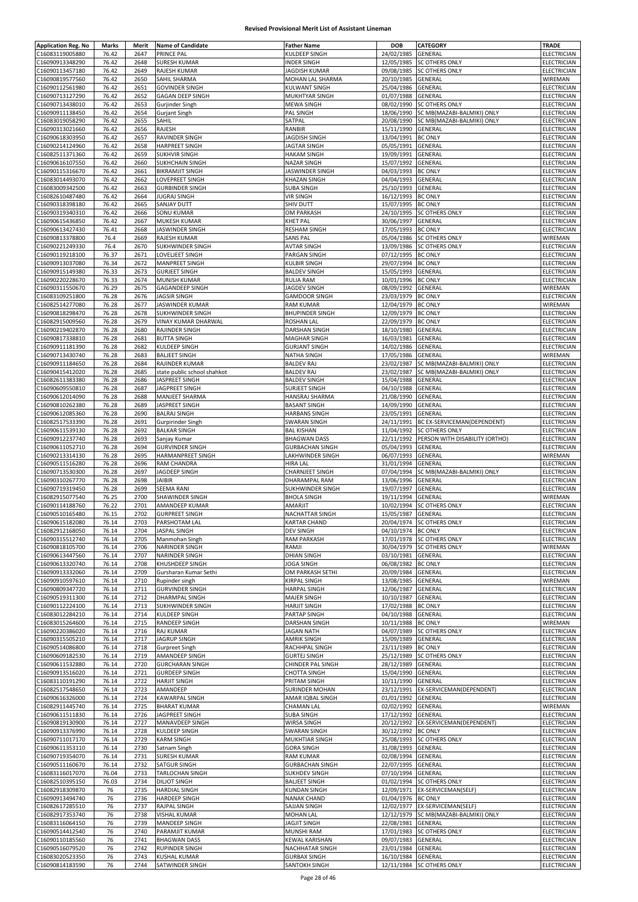| <b>Application Reg. No</b>         | Marks          | Merit        | <b>Name of Candidate</b>                 | <b>Father Name</b>                             | <b>DOB</b>               | CATEGORY                                           | <b>TRADE</b>               |
|------------------------------------|----------------|--------------|------------------------------------------|------------------------------------------------|--------------------------|----------------------------------------------------|----------------------------|
| C16083119005880                    | 76.42          | 2647         | <b>PRINCE PAL</b>                        | KULDEEP SINGH                                  | 24/02/1985               | GENERAL                                            | ELECTRICIAN                |
| C16090913348290                    | 76.42          | 2648         | SURESH KUMAR                             | <b>INDER SINGH</b>                             | 12/05/1985               | <b>SC OTHERS ONLY</b>                              | ELECTRICIAN                |
| C16090113457180                    | 76.42          | 2649         | RAJESH KUMAR                             | <b>JAGDISH KUMAR</b>                           | 09/08/1985               | <b>SC OTHERS ONLY</b>                              | ELECTRICIAN                |
| C16090819577560                    | 76.42          | 2650         | SAHIL SHARMA                             | MOHAN LAL SHARMA                               | 20/10/1985               | GENERAL                                            | WIREMAN                    |
| C16090112561980                    | 76.42          | 2651         | <b>GOVINDER SINGH</b>                    | <b>KULWANT SINGH</b>                           | 25/04/1986               | GENERAL                                            | ELECTRICIAN                |
| C16090713127290                    | 76.42          | 2652         | <b>GAGAN DEEP SINGH</b>                  | MUKHTYAR SINGH                                 | 01/07/1988               | GENERAL                                            | ELECTRICIAN                |
| C16090713438010                    | 76.42          | 2653         | Gurjinder Singh                          | <b>MEWA SINGH</b>                              | 08/02/1990               | <b>SC OTHERS ONLY</b>                              | ELECTRICIAN                |
| C16090911138450                    | 76.42          | 2654         | <b>Gurjant Singh</b>                     | PAL SINGH                                      | 18/06/1990               | SC MB(MAZABI-BALMIKI) ONLY                         | ELECTRICIAN                |
| C16083019058290                    | 76.42          | 2655         | SAHIL                                    | SATPAL                                         | 20/08/1990               | SC MB(MAZABI-BALMIKI) ONLY                         | ELECTRICIAN                |
| C16090313021660                    | 76.42          | 2656         | RAJESH                                   | RANBIR                                         | 15/11/1990               | GENERAL                                            | ELECTRICIAN                |
| C16090618303950                    | 76.42          | 2657         | RAVINDER SINGH                           | JAGDISH SINGH                                  | 13/04/1991               | <b>BC ONLY</b>                                     | ELECTRICIAN                |
| C16090214124960                    | 76.42          | 2658         | <b>HARPREET SINGH</b>                    | JAGTAR SINGH                                   | 05/05/1991               | GENERAL                                            | ELECTRICIAN                |
| C16082511371360                    | 76.42          | 2659         | <b>SUKHVIR SINGH</b>                     | <b>HAKAM SINGH</b>                             | 19/09/1991               | GENERAL                                            | ELECTRICIAN                |
| C16090616107550                    | 76.42          | 2660         | SUKHCHAIN SINGH                          | NAZAR SINGH                                    | 15/07/1992               | GENERAL                                            | <b>ELECTRICIAN</b>         |
| C16090115316670                    | 76.42          | 2661         | <b>BIKRAMJIT SINGH</b>                   | JASWINDER SINGH                                | 04/03/1993               | <b>BC ONLY</b>                                     | ELECTRICIAN                |
| C16083014493070                    | 76.42          | 2662         | LOVEPREET SINGH                          | KHAZAN SINGH                                   | 04/04/1993               | GENERAL                                            | <b>ELECTRICIAN</b>         |
| C16083009342500                    | 76.42          | 2663         | <b>GURBINDER SINGH</b>                   | <b>SUBA SINGH</b>                              | 25/10/1993               | GENERAL                                            | ELECTRICIAN                |
| C16082610487480                    | 76.42          | 2664         | <b>JUGRAJ SINGH</b>                      | <b>VIR SINGH</b>                               | 16/12/1993               | <b>BC ONLY</b>                                     | ELECTRICIAN                |
| C16090318398180                    | 76.42          | 2665         | SANJAY DUTT                              | SHIV DUTT                                      | 15/07/1995               | <b>BC ONLY</b>                                     | ELECTRICIAN                |
| C16090319340310                    | 76.42          | 2666         | <b>SONU KUMAR</b>                        | OM PARKASH                                     | 24/10/1995               | <b>SC OTHERS ONLY</b>                              | <b>ELECTRICIAN</b>         |
| C16090615436850<br>C16090613427430 | 76.42<br>76.41 | 2667<br>2668 | MUKESH KUMAR<br>JASWINDER SINGH          | KHET PAL<br><b>RESHAM SINGH</b>                | 30/06/1997<br>17/05/1993 | GENERAL<br><b>BC ONLY</b>                          | ELECTRICIAN<br>ELECTRICIAN |
| C16090813378800                    | 76.4           | 2669         | RAJESH KUMAR                             | <b>SANS PAL</b>                                | 05/04/1986               | SC OTHERS ONLY                                     | WIREMAN                    |
| C16090221249330                    | 76.4           | 2670         | SUKHWINDER SINGH                         | <b>AVTAR SINGH</b>                             | 13/09/1986               | SC OTHERS ONLY                                     | ELECTRICIAN                |
| C16090119218100                    | 76.37          | 2671         | LOVELJEET SINGH                          | <b>PARGAN SINGH</b>                            | 07/12/1995               | <b>BC ONLY</b>                                     | ELECTRICIAN                |
| C16090913037080                    | 76.34          | 2672         | <b>MANPREET SINGH</b>                    | <b>KULBIR SINGH</b>                            | 29/07/1994               | <b>BC ONLY</b>                                     | ELECTRICIAN                |
| C16090915149380                    | 76.33          | 2673         | <b>GURJEET SINGH</b>                     | <b>BALDEV SINGH</b>                            | 15/05/1993               | GENERAL                                            | ELECTRICIAN                |
| C16090220228670                    | 76.33          | 2674         | <b>MUNISH KUMAR</b>                      | <b>RULIA RAM</b>                               | 10/01/1996               | <b>BC ONLY</b>                                     | ELECTRICIAN                |
| C16090311550670                    | 76.29          | 2675         | <b>GAGANDEEP SINGH</b>                   | JAGDEV SINGH                                   | 08/09/1992               | GENERAL                                            | WIREMAN                    |
| C16083109251800                    | 76.28          | 2676         | <b>JAGSIR SINGH</b>                      | <b>GAMDOOR SINGH</b>                           | 23/03/1979               | <b>BC ONLY</b>                                     | ELECTRICIAN                |
| C16082514277080                    | 76.28          | 2677         | JASWINDER KUMAR                          | <b>RAM KUMAR</b>                               | 12/04/1979               | <b>BC ONLY</b>                                     | WIREMAN                    |
| C16090818298470                    | 76.28          | 2678         | SUKHWINDER SINGH                         | <b>BHUPINDER SINGH</b>                         | 12/09/1979               | <b>BC ONLY</b>                                     | <b>ELECTRICIAN</b>         |
| C16082915009560                    | 76.28          | 2679         | VINAY KUMAR DHARWAL                      | <b>ROSHAN LAL</b>                              | 22/09/1979               | <b>BC ONLY</b>                                     | ELECTRICIAN                |
| C16090219402870                    | 76.28          | 2680         | RAJINDER SINGH                           | DARSHAN SINGH                                  | 18/10/1980               | GENERAL                                            | ELECTRICIAN                |
| C16090817338810                    | 76.28          | 2681         | <b>BUTTA SINGH</b>                       | <b>MAGHAR SINGH</b>                            | 16/03/1981               | GENERAL                                            | ELECTRICIAN                |
| C16090911181390                    | 76.28          | 2682         | KULDEEP SINGH                            | <b>GURJANT SINGH</b>                           | 14/02/1986               | GENERAL                                            | ELECTRICIAN                |
| C16090713430740                    | 76.28          | 2683         | <b>BALJEET SINGH</b>                     | NATHA SINGH                                    | 17/05/1986               | GENERAL                                            | WIREMAN                    |
| C16090911184650                    | 76.28          | 2684         | RAJINDER KUMAR                           | <b>BALDEV RAJ</b>                              | 23/02/1987               | SC MB(MAZABI-BALMIKI) ONLY                         | ELECTRICIAN                |
| C16090415412020                    | 76.28          | 2685         | state public school shahkot              | <b>BALDEV RAJ</b>                              | 23/02/1987               | SC MB(MAZABI-BALMIKI) ONLY                         | ELECTRICIAN                |
| C16082611383380                    | 76.28          | 2686         | JASPREET SINGH                           | <b>BALDEV SINGH</b>                            | 15/04/1988               | GENERAL                                            | ELECTRICIAN                |
| C16090609550810                    | 76.28          | 2687         | JAGPREET SINGH                           | <b>SURJEET SINGH</b>                           | 04/10/1988               | GENERAL                                            | ELECTRICIAN                |
| C16090612014090                    | 76.28          | 2688         | MANJEET SHARMA                           | HANSRAJ SHARMA                                 | 21/08/1990               | GENERAL                                            | ELECTRICIAN                |
| C16090810262380                    | 76.28          | 2689         | JASPREET SINGH                           | <b>BASANT SINGH</b>                            | 14/09/1990               | GENERAL                                            | ELECTRICIAN                |
| C16090612085360                    | 76.28          | 2690         | <b>BALRAJ SINGH</b>                      | <b>HARBANS SINGH</b>                           | 23/05/1991               | GENERAL                                            | ELECTRICIAN                |
| C16082517533390                    | 76.28          | 2691         | Gurpirinder Singh                        | <b>SWARAN SINGH</b>                            | 24/11/1991               | BC EX-SERVICEMAN(DEPENDENT)                        | ELECTRICIAN                |
| C16090611539130                    | 76.28          | 2692         | <b>BALKAR SINGH</b>                      | <b>BAL KISHAN</b>                              | 11/04/1992               | <b>SC OTHERS ONLY</b>                              | ELECTRICIAN                |
| C16090912237740                    | 76.28          | 2693         | Sanjay Kumar                             | <b>BHAGWAN DASS</b>                            | 22/11/1992               | PERSON WITH DISABILITY (ORTHO)                     | ELECTRICIAN                |
| C16090611052710                    | 76.28          | 2694         | <b>GURVINDER SINGH</b>                   | <b>GURBACHAN SINGH</b>                         | 05/04/1993               | GENERAL                                            | ELECTRICIAN                |
| C16090213314130                    | 76.28          | 2695         | HARMANPREET SINGH                        | LAKHWINDER SINGH                               | 06/07/1993               | GENERAL                                            | WIREMAN                    |
| C16090511516280                    | 76.28          | 2696         | RAM CHANDRA                              | <b>HIRA LAL</b>                                | 31/01/1994               | GENERAL                                            | ELECTRICIAN                |
| C16090713530300                    | 76.28          | 2697         | JAGDEEP SINGH                            | <b>CHARNJEET SINGH</b>                         | 07/04/1994               | SC MB(MAZABI-BALMIKI) ONLY                         | ELECTRICIAN                |
| C16090310267770                    | 76.28          | 2698         | JAIBIR                                   | DHARAMPAL RAM                                  | 13/06/1996               | GENERAL                                            | ELECTRICIAN                |
| C16090719319450                    | 76.28          | 2699         | <b>SEEMA RANI</b>                        | SUKHWINDER SINGH                               | 19/07/1997               | GENERAL                                            | ELECTRICIAN                |
| C16082915077540                    | 76.25          | 2700         | SHAWINDER SINGH                          | <b>BHOLA SINGH</b>                             | 19/11/1994               | GENERAL                                            | WIREMAN                    |
| C16090114188760                    | 76.22          | 2701         | AMANDEEP KUMAR                           | AMARJIT                                        | 10/02/1994               | <b>SC OTHERS ONLY</b>                              | ELECTRICIAN                |
| C16090510165480                    | 76.15          | 2702         | <b>GURPREET SINGH</b>                    | <b>NACHATTAR SINGH</b>                         | 15/05/1987               | GENERAL                                            | ELECTRICIAN                |
| C10090015182080                    | 76.14          | 2703         | PARSHOTAM LAL                            | KARTAR CHAND                                   |                          | 20/04/1974 SC OTHERS ONLY                          | ELECTRICIAN                |
| C16082912168050                    | 76.14          | 2704         | <b>JASPAL SINGH</b>                      | <b>DEV SINGH</b>                               | 04/10/1974 BC ONLY       |                                                    | ELECTRICIAN                |
| C16090315512740<br>C16090818105700 | 76.14<br>76.14 | 2705<br>2706 | Manmohan Singh                           | RAM PARKASH                                    |                          | 17/01/1978 SC OTHERS ONLY<br><b>SC OTHERS ONLY</b> | ELECTRICIAN<br>WIREMAN     |
|                                    |                |              | NARINDER SINGH<br><b>NARINDER SINGH</b>  | RAMJI                                          | 30/04/1979               |                                                    |                            |
| C16090613447560                    | 76.14          | 2707         |                                          | <b>DHIAN SINGH</b>                             | 03/10/1981               | GENERAL                                            | ELECTRICIAN                |
| C16090613320740<br>C16090913332060 | 76.14<br>76.14 | 2708<br>2709 | KHUSHDEEP SINGH<br>Gursharan Kumar Sethi | JOGA SINGH<br>OM PARKASH SETHI                 | 06/08/1982<br>20/09/1984 | <b>BC ONLY</b><br>GENERAL                          | ELECTRICIAN<br>ELECTRICIAN |
| C16090910597610                    | 76.14          | 2710         | Rupinder singh                           | KIRPAL SINGH                                   | 13/08/1985               | GENERAL                                            | WIREMAN                    |
| C16090809347720                    | 76.14          | 2711         | <b>GURVINDER SINGH</b>                   | <b>HARPAL SINGH</b>                            | 12/06/1987               | GENERAL                                            | <b>ELECTRICIAN</b>         |
| C16090519311300                    | 76.14          | 2712         | DHARMPAL SINGH                           | <b>MAJER SINGH</b>                             | 10/10/1987               | GENERAL                                            | ELECTRICIAN                |
| C16090112224100                    | 76.14          | 2713         | SUKHWINDER SINGH                         | <b>HARJIT SINGH</b>                            | 17/02/1988               | <b>BC ONLY</b>                                     | ELECTRICIAN                |
| C16083012284210                    | 76.14          | 2714         | KULDEEP SINGH                            | PARTAP SINGH                                   | 04/10/1988               | GENERAL                                            | ELECTRICIAN                |
| C16083015264600                    | 76.14          | 2715         | RANDEEP SINGH                            | DARSHAN SINGH                                  | 10/11/1988               | <b>BC ONLY</b>                                     | WIREMAN                    |
| C16090220386020                    | 76.14          | 2716         | <b>RAJ KUMAR</b>                         | <b>JAGAN NATH</b>                              | 04/07/1989               | <b>SC OTHERS ONLY</b>                              | ELECTRICIAN                |
| C16090315505210                    | 76.14          | 2717         | <b>JAGRUP SINGH</b>                      | <b>AMRIK SINGH</b>                             | 15/09/1989               | GENERAL                                            | ELECTRICIAN                |
| C16090514086800                    | 76.14          | 2718         | <b>Gurpreet Singh</b>                    | RACHHPAL SINGH                                 | 23/11/1989               | <b>BC ONLY</b>                                     | ELECTRICIAN                |
| C16090609182530                    | 76.14          | 2719         | AMANDEEP SINGH                           | <b>GURTEJ SINGH</b>                            | 25/12/1989               | SC OTHERS ONLY                                     | ELECTRICIAN                |
| C16090611532880                    | 76.14          | 2720         | <b>GURCHARAN SINGH</b>                   | <b>CHINDER PAL SINGH</b>                       | 28/12/1989               | GENERAL                                            | ELECTRICIAN                |
| C16090913516020                    | 76.14          | 2721         | <b>GURDEEP SINGH</b>                     | <b>CHOTTA SINGH</b>                            | 15/04/1990               | GENERAL                                            | <b>ELECTRICIAN</b>         |
| C16083110191290                    | 76.14          | 2722         | <b>HARJIT SINGH</b>                      | PRITAM SINGH                                   | 10/11/1990               | GENERAL                                            | ELECTRICIAN                |
| C16082517548650                    | 76.14          | 2723         | AMANDEEP                                 | <b>SURINDER MOHAN</b>                          | 23/12/1991               | EX-SERVICEMAN(DEPENDENT)                           | ELECTRICIAN                |
| C16090616326000                    | 76.14          | 2724         | <b>KAWARPAL SINGH</b>                    | AMAR IQBAL SINGH                               | 01/01/1992               | GENERAL                                            | ELECTRICIAN                |
| C16082911445740                    | 76.14          | 2725         | <b>BHARAT KUMAR</b>                      | <b>CHAMAN LAL</b>                              | 02/02/1992               | GENERAL                                            | WIREMAN                    |
| C16090611511830                    | 76.14          | 2726         | JAGPREET SINGH                           | <b>SUBA SINGH</b>                              | 17/12/1992               | GENERAL                                            | ELECTRICIAN                |
| C16090819130900                    | 76.14          | 2727         | MANAVDEEP SINGH                          | WIRSA SINGH                                    | 20/12/1992               | EX-SERVICEMAN(DEPENDENT                            | ELECTRICIAN                |
| C16090913376990                    | 76.14          | 2728         | KULDEEP SINGH                            | <b>SWARAN SINGH</b>                            | 30/12/1992               | <b>BC ONLY</b>                                     | ELECTRICIAN                |
| C16090711017170                    | 76.14          | 2729         | <b>KARM SINGH</b>                        | MUKHTIAR SINGH                                 | 25/08/1993               | <b>SC OTHERS ONLY</b>                              | ELECTRICIAN                |
| C16090611353110                    | 76.14          | 2730         | Satnam Singh                             | <b>GORA SINGH</b>                              | 31/08/1993               | GENERAL                                            | ELECTRICIAN                |
| C16090719354070                    | 76.14          | 2731<br>2732 | SURESH KUMAR                             | <b>RAM KUMAR</b>                               | 02/08/1994               | GENERAL                                            | ELECTRICIAN                |
| C16090511160670<br>C16083116017070 | 76.14<br>76.04 | 2733         | SATGUR SINGH<br>TARLOCHAN SINGH          | <b>GURBACHAN SINGH</b><br><b>SUKHDEV SINGH</b> | 22/07/1995<br>07/10/1994 | GENERAL<br>GENERAL                                 | ELECTRICIAN<br>ELECTRICIAN |
| C16082510395150                    | 76.03          | 2734         | <b>DILJOT SINGH</b>                      | <b>BALJEET SINGH</b>                           | 01/02/1994               | <b>SC OTHERS ONLY</b>                              | ELECTRICIAN                |
| C16082918309870                    | 76             | 2735         | <b>HARDIAL SINGH</b>                     | <b>KUNDAN SINGH</b>                            | 12/09/1971               | EX-SERVICEMAN(SELF)                                | ELECTRICIAN                |
| C16090913494740                    | 76             | 2736         | <b>HARDEEP SINGH</b>                     | <b>NANAK CHAND</b>                             | 01/04/1976               | <b>BC ONLY</b>                                     | ELECTRICIAN                |
| C16082617285510                    | 76             | 2737         | RAJPAL SINGH                             | SAJJAN SINGH                                   | 12/02/1977               | EX-SERVICEMAN(SELF)                                | ELECTRICIAN                |
| C16082917353740                    | 76             | 2738         | <b>VISHAL KUMAR</b>                      | MOHAN LAL                                      | 12/12/1979               | SC MB(MAZABI-BALMIKI) ONLY                         | ELECTRICIAN                |
| C16083116064150                    | 76             | 2739         | MANDEEP SINGH                            | JAGJIT SINGH                                   | 22/08/1981               | GENERAL                                            | ELECTRICIAN                |
| C16090514412540                    | 76             | 2740         | PARAMJIT KUMAR                           | MUNSHI RAM                                     | 17/01/1983               | SC OTHERS ONLY                                     | ELECTRICIAN                |
| C16090110185560                    | 76             | 2741         | <b>BHAGWAN DASS</b>                      | KEWAL KARISHAN                                 | 09/07/1983               | GENERAL                                            | ELECTRICIAN                |
| C16090516079520                    | 76             | 2742         | RUPINDER SINGH                           | NACHHATAR SINGH                                | 23/01/1984               | GENERAL                                            | ELECTRICIAN                |
| C16083020523350                    | 76             | 2743         | <b>KUSHAL KUMAR</b>                      | <b>GURBAX SINGH</b>                            | 16/10/1984 GENERAL       |                                                    | ELECTRICIAN                |
| C16090814183590                    | 76             | 2744         | SATWINDER SINGH                          | SANTOKH SINGH                                  |                          | 12/11/1984 SC OTHERS ONLY                          | ELECTRICIAN                |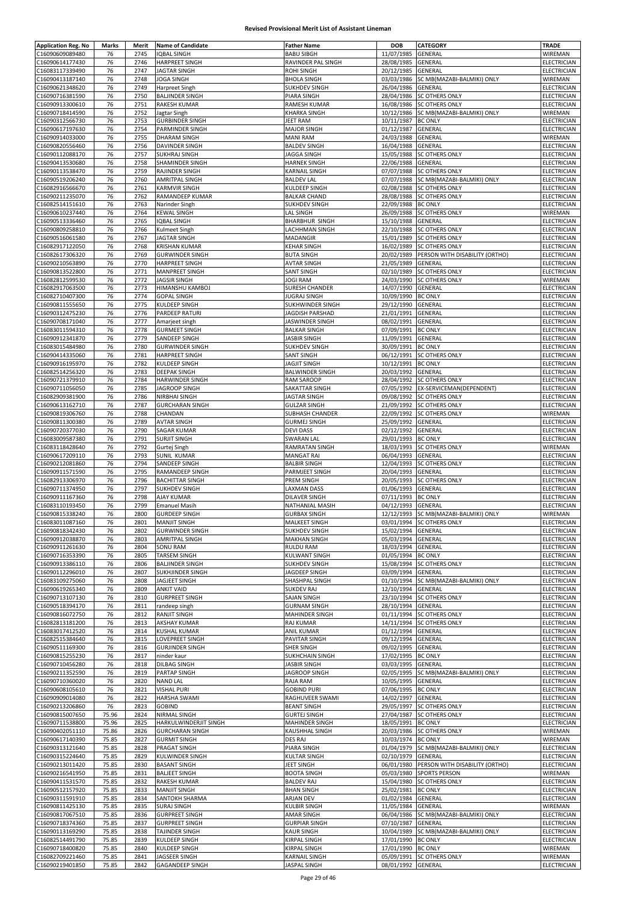| <b>Application Reg. No</b>         | Marks          | Merit        | <b>Name of Candidate</b>                  | <b>Father Name</b>                    | <b>DOB</b>                       | CATEGORY                       | TRADE                             |
|------------------------------------|----------------|--------------|-------------------------------------------|---------------------------------------|----------------------------------|--------------------------------|-----------------------------------|
| C16090609089480                    | 76             | 2745         | <b>IQBAL SINGH</b>                        | <b>BABU SIBGH</b>                     | 11/07/1985                       | GENERAL                        | WIREMAN                           |
| C16090614177430                    | 76             | 2746         | HARPREET SINGH                            | RAVINDER PAL SINGH                    | 28/08/1985                       | GENERAL                        | ELECTRICIAN                       |
| C16083117339490                    | 76             | 2747         | <b>JAGTAR SINGH</b>                       | ROHI SINGH                            | 20/12/1985                       | GENERAL                        | ELECTRICIAN                       |
| C16090413187140                    | 76             | 2748         | JOGA SINGH                                | <b>BHOLA SINGH</b>                    | 03/03/1986                       | SC MB(MAZABI-BALMIKI) ONLY     | WIREMAN                           |
| C16090621348620                    | 76             | 2749         | Harpreet Singh                            | <b>SUKHDEV SINGH</b>                  | 26/04/1986                       | GENERAL                        | ELECTRICIAN                       |
| C16090716381590                    | 76             | 2750         | <b>BALJINDER SINGH</b>                    | PIARA SINGH                           | 28/04/1986                       | SC OTHERS ONLY                 | ELECTRICIAN                       |
| C16090913300610                    | 76             | 2751         | <b>RAKESH KUMAR</b>                       | RAMESH KUMAR                          | 16/08/1986                       | SC OTHERS ONLY                 | <b>ELECTRICIAN</b>                |
| C16090718414590                    | 76             | 2752         | Jagtar Singh                              | KHARKA SINGH                          | 10/12/1986                       | SC MB(MAZABI-BALMIKI) ONLY     | WIREMAN                           |
| C16090312566730                    | 76             | 2753         | <b>GURBINDER SINGH</b>                    | JEET RAM                              | 10/11/1987                       | <b>BC ONLY</b>                 | ELECTRICIAN                       |
| C16090617197630                    | 76             | 2754         | PARMINDER SINGH                           | MAJOR SINGH                           | 01/12/1987                       | GENERAL                        | ELECTRICIAN                       |
| C16090914033000                    | 76             | 2755         | <b>DHARAM SINGH</b>                       | <b>MANI RAM</b>                       | 24/03/1988                       | GENERAL                        | WIREMAN                           |
| C16090820556460                    | 76             | 2756         | <b>DAVINDER SINGH</b>                     | <b>BALDEV SINGH</b>                   | 16/04/1988                       | GENERAL                        | <b>ELECTRICIAN</b>                |
| C16090112088170                    | 76             | 2757         | <b>SUKHRAJ SINGH</b>                      | <b>JAGGA SINGH</b>                    | 15/05/1988                       | <b>SC OTHERS ONLY</b>          | <b>ELECTRICIAN</b>                |
| C16090413530680                    | 76             | 2758         | SHAMINDER SINGH                           | HARNEK SINGH                          | 22/06/1988                       | GENERAL                        | <b>ELECTRICIAN</b>                |
| C16090113538470                    | 76             | 2759         | RAJINDER SINGH                            | KARNAIL SINGH                         | 07/07/1988                       | <b>SC OTHERS ONLY</b>          | ELECTRICIAN                       |
| C16090519206240                    | 76             | 2760         | <b>AMRITPAL SINGH</b>                     | <b>BALDEV LAL</b>                     | 07/07/1988                       | SC MB(MAZABI-BALMIKI) ONLY     | <b>ELECTRICIAN</b>                |
| C16082916566670                    | 76             | 2761         | <b>KARMVIR SINGH</b>                      | KULDEEP SINGH                         | 02/08/1988                       | <b>SC OTHERS ONLY</b>          | ELECTRICIAN                       |
| C16090211235070                    | 76             | 2762         | RAMANDEEP KUMAR                           | <b>BALKAR CHAND</b>                   | 28/08/1988                       | <b>SC OTHERS ONLY</b>          | ELECTRICIAN                       |
| C16082514151610                    | 76             | 2763         | Narinder Singh                            | <b>SUKHDEV SINGH</b>                  | 22/09/1988                       | <b>BC ONLY</b>                 | ELECTRICIAN                       |
| C16090610237440                    | 76             | 2764         | KEWAL SINGH                               | LAL SINGH                             | 26/09/1988                       | <b>SC OTHERS ONLY</b>          | WIREMAN                           |
| C16090513336460                    | 76             | 2765         | <b>IQBAL SINGH</b>                        | <b>BHARBHUR SINGH</b>                 | 15/10/1988                       | GENERAL                        | ELECTRICIAN                       |
| C16090809258810                    | 76             | 2766         | Kulmeet Singh                             | LACHHMAN SINGH                        | 22/10/1988                       | <b>SC OTHERS ONLY</b>          | ELECTRICIAN                       |
| C16090516061580                    | 76             | 2767         | <b>JAGTAR SINGH</b>                       | MADANGIR                              | 15/01/1989                       | <b>SC OTHERS ONLY</b>          | ELECTRICIAN                       |
| C16082917122050                    | 76             | 2768         | <b>KRISHAN KUMAR</b>                      | <b>KEHAR SINGH</b>                    | 16/02/1989                       | <b>SC OTHERS ONLY</b>          | ELECTRICIAN                       |
| C16082617306320                    | 76             | 2769         | <b>GURWINDER SINGH</b>                    | <b>BUTA SINGH</b>                     | 20/02/1989                       | PERSON WITH DISABILITY (ORTHO) | ELECTRICIAN                       |
| C16090210563890                    | 76             | 2770         | <b>HARPREET SINGH</b>                     | <b>AVTAR SINGH</b>                    | 21/05/1989                       | GENERAL                        | ELECTRICIAN                       |
| C16090813522800                    | 76             | 2771         | <b>MANPREET SINGH</b>                     | <b>SANT SINGH</b>                     | 02/10/1989                       | <b>SC OTHERS ONLY</b>          | ELECTRICIAN                       |
| C16082812599530                    | 76             | 2772         | <b>JAGSIR SINGH</b>                       | <b>JOGI RAM</b>                       | 24/03/1990                       | SC OTHERS ONLY                 | WIREMAN                           |
| C16082917063500                    | 76             | 2773         | HIMANSHU KAMBOJ                           | <b>SURESH CHANDER</b>                 | 14/07/1990                       | GENERAL                        | ELECTRICIAN                       |
| C16082710407300                    | 76             | 2774         | <b>GOPAL SINGH</b>                        | <b>JUGRAJ SINGH</b>                   | 10/09/1990                       | <b>BC ONLY</b>                 | ELECTRICIAN                       |
| C16090811555650                    | 76             | 2775         | KULDEEP SINGH                             | SUKHWINDER SINGH                      | 29/12/1990                       | GENERAL                        | ELECTRICIAN                       |
| C16090312475230                    | 76             | 2776         | PARDEEP RATURI                            | JAGDISH PARSHAD                       | 21/01/1991                       | GENERAL                        | ELECTRICIAN                       |
| C16090708171040<br>C16083011594310 | 76<br>76       | 2777<br>2778 | Amarjeet singh                            | JASWINDER SINGH                       | 08/02/1991                       | GENERAL<br><b>BC ONLY</b>      | ELECTRICIAN                       |
|                                    |                |              | <b>GURMEET SINGH</b>                      | <b>BALKAR SINGH</b>                   | 07/09/1991                       |                                | ELECTRICIAN                       |
| C16090912341870                    | 76             | 2779         | SANDEEP SINGH                             | <b>JASBIR SINGH</b>                   | 11/09/1991<br>30/09/1991         | GENERAL<br><b>BC ONLY</b>      | ELECTRICIAN<br><b>ELECTRICIAN</b> |
| C16083015484980                    | 76             | 2780         | <b>GURWINDER SINGH</b>                    | SUKHDEV SINGH                         |                                  |                                |                                   |
| C16090414335060                    | 76             | 2781         | <b>HARPREET SINGH</b>                     | <b>SANT SINGH</b>                     | 06/12/1991                       | SC OTHERS ONLY                 | ELECTRICIAN                       |
| C16090916195970                    | 76             | 2782         | KULDEEP SINGH                             | <b>JAGJIT SINGH</b>                   | 10/12/1991                       | <b>BC ONLY</b>                 | ELECTRICIAN                       |
| C16082514256320                    | 76             | 2783         | <b>DEEPAK SINGH</b>                       | <b>BALWINDER SINGH</b>                | 20/03/1992                       | GENERAL                        | ELECTRICIAN                       |
| C16090721379910                    | 76             | 2784         | HARWINDER SINGH                           | RAM SAROOP                            | 28/04/1992                       | <b>SC OTHERS ONLY</b>          | ELECTRICIAN                       |
| C16090711056050                    | 76             | 2785         | JAGROOP SINGH                             | SAKATTAR SINGH                        | 07/05/1992                       | EX-SERVICEMAN(DEPENDENT)       | ELECTRICIAN                       |
| C16082909381900                    | 76             | 2786         | NIRBHAI SINGH                             | <b>JAGTAR SINGH</b>                   |                                  | 09/08/1992 SC OTHERS ONLY      | ELECTRICIAN                       |
| C16090613162710                    | 76             | 2787<br>2788 | <b>GURCHARAN SINGH</b>                    | <b>GULZAR SINGH</b>                   | 21/09/1992                       | <b>SC OTHERS ONLY</b>          | ELECTRICIAN                       |
| C16090819306760                    | 76             |              | CHANDAN                                   | SUBHASH CHANDER                       | 22/09/1992                       | <b>SC OTHERS ONLY</b>          | WIREMAN                           |
| C16090811300380                    | 76             | 2789<br>2790 | <b>AVTAR SINGH</b>                        | <b>GURMEJ SINGH</b>                   | 25/09/1992<br>02/12/1992         | GENERAL                        | ELECTRICIAN                       |
| C16090720377030<br>C16083009587380 | 76<br>76       | 2791         | <b>SAGAR KUMAR</b><br><b>SURJIT SINGH</b> | <b>DEVI DASS</b><br><b>SWARAN LAL</b> | 29/01/1993                       | GENERAL<br><b>BC ONLY</b>      | ELECTRICIAN<br>ELECTRICIAN        |
| C16083118428640                    | 76             | 2792         | Gurtej Singh                              | RAMRATAN SINGH                        | 18/03/1993                       | <b>SC OTHERS ONLY</b>          | WIREMAN                           |
| C16090617209110                    | 76             | 2793         | SUNIL KUMAR                               | <b>MANGAT RAI</b>                     | 06/04/1993                       | GENERAL                        | ELECTRICIAN                       |
| C16090212081860                    | 76             | 2794         | SANDEEP SINGH                             | <b>BALBIR SINGH</b>                   | 12/04/1993                       | <b>SC OTHERS ONLY</b>          | ELECTRICIAN                       |
| C16090911571590                    | 76             | 2795         | RAMANDEEP SINGH                           | PARMJEET SINGH                        | 20/04/1993                       | GENERAL                        | ELECTRICIAN                       |
| C16082913306970                    | 76             | 2796         | <b>BACHITTAR SINGH</b>                    | PREM SINGH                            | 20/05/1993                       | <b>SC OTHERS ONLY</b>          | ELECTRICIAN                       |
| C16090711374950                    | 76             | 2797         | <b>SUKHDEV SINGH</b>                      | <b>LAXMAN DASS</b>                    | 01/06/1993                       | GENERAL                        | ELECTRICIAN                       |
| C16090911167360                    | 76             | 2798         | AJAY KUMAR                                | DILAVER SINGH                         | 07/11/1993                       | <b>BC ONLY</b>                 | ELECTRICIAN                       |
| C16083110193450                    | 76             | 2799         | <b>Emanuel Masih</b>                      | NATHANIAL MASIH                       | 04/12/1993                       | GENERAL                        | ELECTRICIAN                       |
| C16090815338240                    | 76             | 2800         | <b>GURDEEP SINGH</b>                      | <b>GURBAX SINGH</b>                   | 12/12/1993                       | SC MB(MAZABI-BALMIKI) ONLY     | WIREMAN                           |
| C16083011087160                    | 76             | 2801         | <b>MANJIT SINGH</b>                       | MALKEET SINGH                         |                                  | 03/01/1994 ISC OTHERS ONLY     | ELECTRICIAN                       |
| C16090818342430                    | 76             | 2802         | <b>GURWINDER SINGH</b>                    | <b>SUKHDEV SINGH</b>                  | 15/02/1994 GENERAL               |                                | ELECTRICIAN                       |
| C16090912038870                    | 76             | 2803         | AMRITPAL SINGH                            | <b>MAKHAN SINGH</b>                   | 05/03/1994 GENERAL               |                                | ELECTRICIAN                       |
| C16090911261630                    | 76             | 2804         | <b>SONU RAM</b>                           | RULDU RAM                             | 18/03/1994 GENERAL               |                                | ELECTRICIAN                       |
| C16090716353390                    | 76             | 2805         | <b>TARSEM SINGH</b>                       | <b>KULWANT SINGH</b>                  | 01/05/1994                       | <b>BC ONLY</b>                 | ELECTRICIAN                       |
| C16090913386110                    | 76             | 2806         | <b>BALJINDER SINGH</b>                    | <b>SUKHDEV SINGH</b>                  |                                  | 15/08/1994 SC OTHERS ONLY      | ELECTRICIAN                       |
| C16090112296010                    | 76             | 2807         | SUKHJINDER SINGH                          | JAGDEEP SINGH                         | 03/09/1994                       | GENERAL                        | ELECTRICIAN                       |
| C16083109275060                    | 76             | 2808         | JAGJEET SINGH                             | SHASHPAL SINGH                        | 01/10/1994                       | SC MB(MAZABI-BALMIKI) ONLY     | ELECTRICIAN                       |
| C16090619265340                    | 76             | 2809         | <b>ANKIT VAID</b>                         | <b>SUKDEV RAJ</b>                     | 12/10/1994                       | GENERAL                        | ELECTRICIAN                       |
| C16090713107130                    | 76             | 2810         | <b>GURPREET SINGH</b>                     | SAJAN SINGH                           | 23/10/1994                       | <b>SC OTHERS ONLY</b>          | <b>ELECTRICIAN</b>                |
| C16090518394170                    | 76             | 2811         | randeep singh                             | <b>GURNAM SINGH</b>                   | 28/10/1994                       | GENERAL                        | ELECTRICIAN                       |
| C16090816072750                    | 76             | 2812         | <b>RANJIT SINGH</b>                       | MAHINDER SINGH                        | 01/11/1994                       | <b>SC OTHERS ONLY</b>          | ELECTRICIAN                       |
| C16082813181200                    | 76             | 2813         | AKSHAY KUMAR                              | RAJ KUMAR                             | 14/11/1994                       | <b>SC OTHERS ONLY</b>          | ELECTRICIAN                       |
| C16083017412520                    | 76             | 2814         | <b>KUSHAL KUMAR</b>                       | ANIL KUMAR                            | 01/12/1994                       | GENERAL                        | ELECTRICIAN                       |
| C16082515384640                    | 76             | 2815         | LOVEPREET SINGH                           | PAVITAR SINGH                         | 09/12/1994                       | GENERAL                        | <b>ELECTRICIAN</b>                |
| C16090511169300                    | 76             | 2816         | <b>GURJINDER SINGH</b>                    | SHER SINGH                            | 09/02/1995                       | GENERAL                        | ELECTRICIAN                       |
| C16090815255230                    | 76             | 2817         | ninder kaur                               | <b>SUKHCHAIN SINGH</b>                | 17/02/1995                       | <b>BC ONLY</b>                 | ELECTRICIAN                       |
| C16090710456280                    | 76             | 2818         | DILBAG SINGH                              | JASBIR SINGH                          | 03/03/1995                       | GENERAL                        | ELECTRICIAN                       |
| C16090211352590                    | 76             | 2819         | PARTAP SINGH                              | JAGROOP SINGH                         | 02/05/1995                       | SC MB(MAZABI-BALMIKI) ONLY     | ELECTRICIAN                       |
| C16090710360020                    | 76             | 2820         | <b>NAND LAL</b>                           | RAJA RAM                              | 10/05/1995                       | GENERAL                        | ELECTRICIAN                       |
| C16090608105610                    | 76             | 2821         | <b>VISHAL PURI</b>                        | <b>GOBIND PURI</b>                    | 07/06/1995 BC ONLY               |                                | ELECTRICIAN                       |
| C16090909014080                    | 76             | 2822         | <b>HARSHA SWAMI</b>                       | RAGHUVEER SWAMI                       | 14/02/1997 GENERAL               |                                | ELECTRICIAN                       |
| C16090213206860                    | 76             | 2823         | GOBIND                                    | <b>BEANT SINGH</b>                    | 29/05/1997                       | <b>SC OTHERS ONLY</b>          | ELECTRICIAN                       |
| C16090815007650                    | 75.96          | 2824         | NIRMAL SINGH                              | <b>GURTEJ SINGH</b>                   |                                  | 27/04/1987 SC OTHERS ONLY      | ELECTRICIAN                       |
| C16090711538800                    | 75.96          | 2825         | HARKULWINDERJIT SINGH                     | MAHINDER SINGH                        | 18/05/1991 BC ONLY               |                                | ELECTRICIAN                       |
| C16090402051110                    | 75.86          | 2826         | <b>GURCHARAN SINGH</b>                    | KAUSHHAL SINGH                        |                                  | 20/03/1986 SC OTHERS ONLY      | WIREMAN                           |
| C16090617140390                    | 75.85          | 2827         | <b>GURMIT SINGH</b>                       | DES RAJ                               | 10/03/1974                       | <b>BC ONLY</b>                 | WIREMAN                           |
| C16090313121640                    | 75.85          | 2828         | PRAGAT SINGH                              | PIARA SINGH                           | 01/04/1979                       | SC MB(MAZABI-BALMIKI) ONLY     | ELECTRICIAN                       |
| C16090315224640                    | 75.85          | 2829         | KULWINDER SINGH                           | KULTAR SINGH                          | 02/10/1979                       | GENERAL                        | ELECTRICIAN                       |
| C16090213011420                    | 75.85          | 2830         | <b>BASANT SINGH</b>                       | JEET SINGH                            | 06/01/1980                       | PERSON WITH DISABILITY (ORTHO) | <b>ELECTRICIAN</b>                |
| C16090216541950                    | 75.85          | 2831         | <b>BALJEET SINGH</b>                      | <b>BOOTA SINGH</b>                    | 05/03/1980                       | <b>SPORTS PERSON</b>           | WIREMAN                           |
| C16090411531570                    | 75.85          | 2832         | <b>RAKESH KUMAR</b>                       | <b>BALDEV RAJ</b>                     | 15/04/1980                       | <b>SC OTHERS ONLY</b>          | ELECTRICIAN                       |
| C16090512157920                    | 75.85          | 2833         | <b>MANJIT SINGH</b>                       | <b>BHAN SINGH</b>                     | 25/02/1981                       | <b>BC ONLY</b>                 | ELECTRICIAN                       |
| C16090311591910                    | 75.85          | 2834         | SANTOKH SHARMA                            | ARJAN DEV                             | 01/02/1984                       | GENERAL                        | ELECTRICIAN                       |
| C16090811425130                    | 75.85          | 2835         | <b>SURAJ SINGH</b>                        | <b>KULBIR SINGH</b>                   | 11/05/1984                       | GENERAL                        | WIREMAN                           |
| C16090817067510                    | 75.85          | 2836         | <b>GURPREET SINGH</b>                     | AMAR SINGH                            | 06/04/1986                       | SC MB(MAZABI-BALMIKI) ONLY     | <b>ELECTRICIAN</b>                |
| C16090718374360                    | 75.85          | 2837         | <b>GURPREET SINGH</b>                     | <b>GURPIAR SINGH</b>                  | 07/10/1987                       | GENERAL                        | <b>ELECTRICIAN</b>                |
| C16090113169290                    | 75.85          | 2838         | TAJINDER SINGH                            | <b>KAUR SINGH</b><br>KIRPAL SINGH     | 10/04/1989<br>17/01/1990 BC ONLY | SC MB(MAZABI-BALMIKI) ONLY     | ELECTRICIAN                       |
| C16082514491790                    | 75.85          | 2839<br>2840 | KULDEEP SINGH                             |                                       | 17/01/1990 BC ONLY               |                                | ELECTRICIAN                       |
| C16090718400820<br>C16082709221460 | 75.85<br>75.85 | 2841         | KULDEEP SINGH<br>JAGSEER SINGH            | KIRPAL SINGH<br><b>KARNAIL SINGH</b>  |                                  | 05/09/1991 SC OTHERS ONLY      | WIREMAN<br>WIREMAN                |
| C16090219401850                    | 75.85          | 2842         | <b>GAGANDEEP SINGH</b>                    | JASPAL SINGH                          | 08/01/1992 GENERAL               |                                | ELECTRICIAN                       |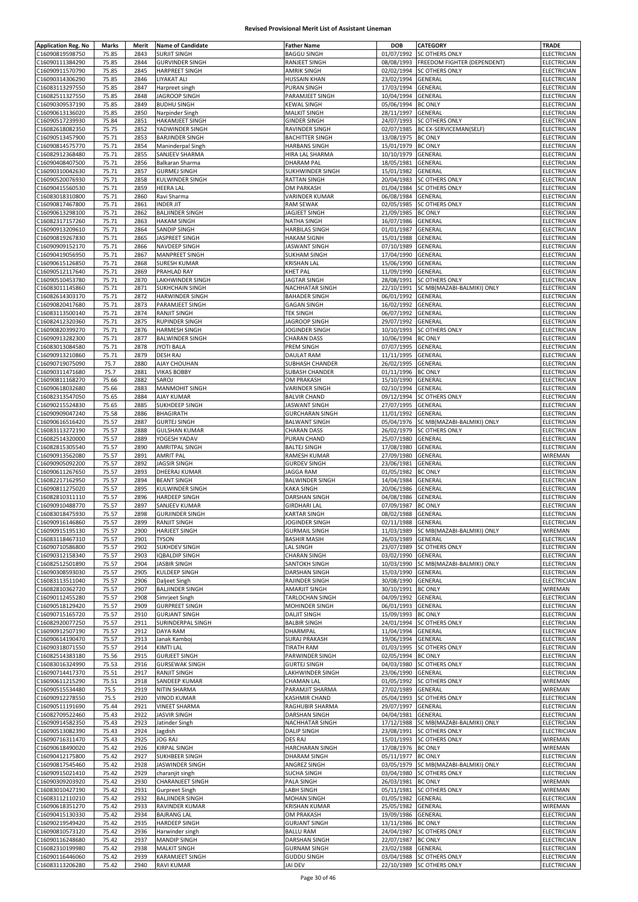| <b>Application Reg. No</b> | Marks | Merit        | <b>Name of Candidate</b>      | <b>Father Name</b>     | <b>DOB</b>               | CATEGORY                              | <b>TRADE</b>       |
|----------------------------|-------|--------------|-------------------------------|------------------------|--------------------------|---------------------------------------|--------------------|
| C16090819598750            | 75.85 | 2843         | <b>SURJIT SINGH</b>           | <b>BAGGU SINGH</b>     | 01/07/1992               | <b>SC OTHERS ONLY</b>                 | ELECTRICIAN        |
| C16090111384290            | 75.85 | 2844         | <b>GURVINDER SINGH</b>        | RANJEET SINGH          | 08/08/1993               | FREEDOM FIGHTER (DEPENDENT)           | <b>ELECTRICIAN</b> |
| C16090911570790            | 75.85 | 2845         | <b>HARPREET SINGH</b>         | <b>AMRIK SINGH</b>     | 02/02/1994               | <b>SC OTHERS ONLY</b>                 | ELECTRICIAN        |
| C16090314306290            | 75.85 | 2846         | LIYAKAT ALI                   | <b>HUSSAIN KHAN</b>    | 23/02/1994               | GENERAL                               | ELECTRICIAN        |
| C16083113297550            | 75.85 | 2847         |                               | PURAN SINGH            | 17/03/1994               | GENERAL                               | ELECTRICIAN        |
|                            |       |              | Harpreet singh                |                        |                          |                                       |                    |
| C16082511327550            | 75.85 | 2848         | JAGROOP SINGH                 | PARAMJEET SINGH        | 10/04/1994               | GENERAL                               | <b>ELECTRICIAN</b> |
| C16090309537190            | 75.85 | 2849         | <b>BUDHU SINGH</b>            | <b>KEWAL SINGH</b>     | 05/06/1994               | <b>BC ONLY</b>                        | <b>ELECTRICIAN</b> |
| C16090613136020            | 75.85 | 2850         | Narpinder Singh               | <b>MALKIT SINGH</b>    | 28/11/1997               | GENERAL                               | ELECTRICIAN        |
| C16090517239930            | 75.84 | 2851         | <b>HAKAMJEET SINGH</b>        | <b>GINDER SINGH</b>    | 24/07/1993               | <b>SC OTHERS ONLY</b>                 | ELECTRICIAN        |
| C16082618082350            | 75.75 | 2852         | YADWINDER SINGH               | RAVINDER SINGH         | 02/07/1985               | BC EX-SERVICEMAN(SELF)                | ELECTRICIAN        |
| C16090513457900            | 75.71 | 2853         | <b>BARJINDER SINGH</b>        | <b>BACHITTER SINGH</b> | 13/08/1975               | <b>BC ONLY</b>                        | ELECTRICIAN        |
| C16090814575770            | 75.71 | 2854         | Maninderpal Singh             | <b>HARBANS SINGH</b>   | 15/01/1979               | <b>BC ONLY</b>                        | ELECTRICIAN        |
| C16082912368480            | 75.71 | 2855         | SANJEEV SHARMA                | HIRA LAL SHARMA        | 10/10/1979               | GENERAL                               | ELECTRICIAN        |
| C16090408407500            | 75.71 | 2856         | Balkaran Sharma               | <b>DHARAM PAL</b>      | 18/05/1981               | GENERAL                               | ELECTRICIAN        |
| C16090310042630            | 75.71 | 2857         | <b>GURMEJ SINGH</b>           | SUKHWINDER SINGH       | 15/01/1982               | GENERAL                               | ELECTRICIAN        |
| C16090520076930            | 75.71 | 2858         | KULWINDER SINGH               | RATTAN SINGH           | 20/04/1983               | <b>SC OTHERS ONLY</b>                 | ELECTRICIAN        |
| C16090415560530            | 75.71 | 2859         | <b>HEERA LAL</b>              | OM PARKASH             | 01/04/1984               | <b>SC OTHERS ONLY</b>                 | <b>ELECTRICIAN</b> |
| C16083018310800            | 75.71 | 2860         | Ravi Sharma                   | <b>VARINDER KUMAR</b>  | 06/08/1984               | GENERAL                               | ELECTRICIAN        |
| C16090817467800            | 75.71 | 2861         | <b>INDER JIT</b>              | <b>RAM SEWAK</b>       | 02/05/1985               | <b>SC OTHERS ONLY</b>                 | ELECTRICIAN        |
|                            | 75.71 |              |                               |                        | 21/09/1985               | <b>BC ONLY</b>                        | ELECTRICIAN        |
| C16090613298100            | 75.71 | 2862<br>2863 | <b>BALJINDER SINGH</b>        | JAGJEET SINGH          | 16/07/1986               | GENERAL                               | ELECTRICIAN        |
| C16082317157260            |       |              | <b>HAKAM SINGH</b>            | NATHA SINGH            |                          |                                       |                    |
| C16090913209610            | 75.71 | 2864         | SANDIP SINGH                  | <b>HARBILAS SINGH</b>  | 01/01/1987               | GENERAL                               | ELECTRICIAN        |
| C16090819267830            | 75.71 | 2865         | JASPREET SINGH                | <b>HAKAM SIGNH</b>     | 15/01/1988               | GENERAL                               | ELECTRICIAN        |
| C16090909152170            | 75.71 | 2866         | NAVDEEP SINGH                 | <b>JASWANT SINGH</b>   | 07/10/1989               | GENERAL                               | ELECTRICIAN        |
| C16090419056950            | 75.71 | 2867         | MANPREET SINGH                | <b>SUKHAM SINGH</b>    | 17/04/1990               | GENERAL                               | ELECTRICIAN        |
| C16090615126850            | 75.71 | 2868         | <b>SURESH KUMAR</b>           | <b>KRISHAN LAL</b>     | 15/06/1990               | GENERAL                               | ELECTRICIAN        |
| C16090512117640            | 75.71 | 2869         | PRAHLAD RAY                   | KHET PAL               | 11/09/1990               | GENERAL                               | <b>ELECTRICIAN</b> |
| C16090510453780            | 75.71 | 2870         | LAKHWINDER SINGH              | <b>JAGTAR SINGH</b>    | 28/08/1991               | <b>SC OTHERS ONLY</b>                 | ELECTRICIAN        |
| C16083011145860            | 75.71 | 2871         | <b>SUKHCHAIN SINGH</b>        | NACHHATAR SINGH        | 22/10/1991               | SC MB(MAZABI-BALMIKI) ONLY            | ELECTRICIAN        |
| C16082614303170            | 75.71 | 2872         | <b>HARWINDER SINGH</b>        | <b>BAHADER SINGH</b>   | 06/01/1992               | GENERAL                               | <b>ELECTRICIAN</b> |
| C16090820417680            | 75.71 | 2873         | PARAMJEET SINGH               | <b>GAGAN SINGH</b>     | 16/02/1992               | GENERAL                               | ELECTRICIAN        |
| C16083113500140            | 75.71 | 2874         | <b>RANJIT SINGH</b>           | <b>TEK SINGH</b>       | 06/07/1992               | GENERAL                               | ELECTRICIAN        |
| C16082412320360            | 75.71 | 2875         | RUPINDER SINGH                | JAGROOP SINGH          | 29/07/1992               | GENERAL                               | ELECTRICIAN        |
| C16090820399270            | 75.71 | 2876         | <b>HARMESH SINGH</b>          | JOGINDER SINGH         | 10/10/1993               | SC OTHERS ONLY                        | ELECTRICIAN        |
| C16090913282300            | 75.71 | 2877         |                               | <b>CHARAN DASS</b>     | 10/06/1994               | <b>BC ONLY</b>                        |                    |
|                            |       |              | <b>BALWINDER SINGH</b>        |                        |                          |                                       | ELECTRICIAN        |
| C16083013084580            | 75.71 | 2878         | <b>JYOTI BALA</b>             | PREM SINGH             | 07/07/1995               | GENERAL                               | ELECTRICIAN        |
| C16090913210860            | 75.71 | 2879         | <b>DESH RAJ</b>               | <b>DAULAT RAM</b>      | 11/11/1995               | GENERAL                               | ELECTRICIAN        |
| C16090719075090            | 75.7  | 2880         | AJAY CHOUHAN                  | SUBHASH CHANDER        | 26/02/1995               | GENERAL                               | ELECTRICIAN        |
| C16090311471680            | 75.7  | 2881         | <b>VIKAS BOBBY</b>            | SUBASH CHANDER         | 01/11/1996               | <b>BC ONLY</b>                        | ELECTRICIAN        |
| C16090811168270            | 75.66 | 2882         | SAROJ                         | OM PRAKASH             | 15/10/1990               | GENERAL                               | ELECTRICIAN        |
| C16090618032680            | 75.66 | 2883         | MANMOHIT SINGH                | VARINDER SINGH         | 02/10/1994               | GENERAL                               | ELECTRICIAN        |
| C16082313547050            | 75.65 | 2884         | AJAY KUMAR                    | <b>BALVIR CHAND</b>    | 09/12/1994               | <b>SC OTHERS ONLY</b>                 | ELECTRICIAN        |
| C16090215524830            | 75.65 | 2885         | SUKHDEEP SINGH                | JASWANT SINGH          | 27/07/1995               | GENERAL                               | ELECTRICIAN        |
| C16090909047240            | 75.58 | 2886         | BHAGIRATH                     | <b>GURCHARAN SINGH</b> | 11/01/1992               | GENERAL                               | ELECTRICIAN        |
| C16090616516420            | 75.57 | 2887         | <b>GURTEJ SINGH</b>           | <b>BALWANT SINGH</b>   | 05/04/1976               | SC MB(MAZABI-BALMIKI) ONLY            | ELECTRICIAN        |
| C16083113272190            | 75.57 | 2888         | <b>GULSHAN KUMAR</b>          | <b>CHARAN DASS</b>     | 26/02/1979               | <b>SC OTHERS ONLY</b>                 | ELECTRICIAN        |
|                            |       | 2889         |                               | PURAN CHAND            |                          | GENERAL                               | ELECTRICIAN        |
| C16082514320000            | 75.57 |              | YOGESH YADAV                  |                        | 25/07/1980               |                                       |                    |
| C16082815305540            | 75.57 | 2890         | <b>AMRITPAL SINGH</b>         | <b>BALTEJ SINGH</b>    | 17/08/1980               | GENERAL                               | ELECTRICIAN        |
| C16090913562080            | 75.57 | 2891         | <b>AMRIT PAL</b>              | RAMESH KUMAR           | 27/09/1980               | GENERAL                               | WIREMAN            |
| C16090905092200            | 75.57 | 2892         | <b>JAGSIR SINGH</b>           | <b>GURDEV SINGH</b>    | 23/06/1981               | <b>GENERAL</b>                        | ELECTRICIAN        |
| C16090611267650            | 75.57 | 2893         | DHEERAJ KUMAR                 | <b>JAGGA RAM</b>       | 01/05/1982               | <b>BC ONLY</b>                        | ELECTRICIAN        |
| C16082217162950            | 75.57 | 2894         | <b>BEANT SINGH</b>            | <b>BALWINDER SINGH</b> | 14/04/1984               | GENERAL                               | <b>ELECTRICIAN</b> |
| C16090811275020            | 75.57 | 2895         | KULWINDER SINGH               | <b>KAKA SINGH</b>      | 20/06/1986               | GENERAL                               | ELECTRICIAN        |
| C16082810311110            | 75.57 | 2896         | <b>HARDEEP SINGH</b>          | DARSHAN SINGH          | 04/08/1986               | GENERAL                               | ELECTRICIAN        |
| C16090910488770            | 75.57 | 2897         | SANJEEV KUMAR                 | <b>GIRDHARI LAL</b>    | 07/09/1987               | <b>BC ONLY</b>                        | ELECTRICIAN        |
| C16083018475930            | 75.57 | 2898         | <b>GURJINDER SINGH</b>        | <b>KARTAR SINGH</b>    | 08/02/1988               | <b>GENERAL</b>                        | ELECTRICIAN        |
| C10090910140800            | 75.57 | 2899         | <b>RANJIT SINGH</b>           | JOGINDER SINGH         | 02/11/1988 GENERAL       |                                       | ELECTRICIAN        |
| C16090915195130            | 75.57 | 2900         | <b>HARJEET SINGH</b>          | <b>GURMAIL SINGH</b>   |                          | 11/03/1989 SC MB(MAZABI-BALMIKI) ONLY | WIREMAN            |
| C16083118467310            | 75.57 | 2901         | <b>TYSON</b>                  | <b>BASHIR MASIH</b>    | 26/03/1989               | <b>GENERAL</b>                        | ELECTRICIAN        |
| C16090710586800            | 75.57 | 2902         | <b>SUKHDEV SINGH</b>          | LAL SINGH              | 23/07/1989               | <b>SC OTHERS ONLY</b>                 | <b>ELECTRICIAN</b> |
| C16090312158340            | 75.57 | 2903         | <b>IQBALDIP SINGH</b>         | <b>CHARAN SINGH</b>    | 03/02/1990               | GENERAL                               | <b>ELECTRICIAN</b> |
|                            |       |              |                               |                        |                          |                                       |                    |
| C16082512501890            | 75.57 | 2904         | JASBIR SINGH<br>KULDEEP SINGH | SANTOKH SINGH          | 10/03/1990<br>15/03/1990 | SC MB(MAZABI-BALMIKI) ONLY            | ELECTRICIAN        |
| C16090308593030            | 75.57 | 2905         |                               | DARSHAN SINGH          |                          | GENERAL                               | ELECTRICIAN        |
| C16083113511040            | 75.57 | 2906         | Daljeet Singh                 | RAJINDER SINGH         | 30/08/1990               | GENERAL                               | ELECTRICIAN        |
| C16082810362720            | 75.57 | 2907         | <b>BALJINDER SINGH</b>        | AMARJIT SINGH          | 30/10/1991               | <b>BC ONLY</b>                        | WIREMAN            |
| C16090112455280            | 75.57 | 2908         | Simrjeet Singh                | TARLOCHAN SINGH        | 04/09/1992               | GENERAL                               | <b>ELECTRICIAN</b> |
| C16090518129420            | 75.57 | 2909         | <b>GURPREET SINGH</b>         | MOHINDER SINGH         | 06/01/1993               | GENERAL                               | ELECTRICIAN        |
| C16090715165720            | 75.57 | 2910         | <b>GURJANT SINGH</b>          | <b>DALJIT SINGH</b>    | 15/09/1993               | <b>BC ONLY</b>                        | ELECTRICIAN        |
| C16082920077250            | 75.57 | 2911         | SURINDERPAL SINGH             | <b>BALBIR SINGH</b>    | 24/01/1994               | <b>SC OTHERS ONLY</b>                 | ELECTRICIAN        |
| C16090912507190            | 75.57 | 2912         | <b>DAYA RAM</b>               | DHARMPAL               | 11/04/1994               | GENERAL                               | <b>ELECTRICIAN</b> |
| C16090614190470            | 75.57 | 2913         | Janak Kamboj                  | <b>SURAJ PRAKASH</b>   | 19/06/1994               | GENERAL                               | ELECTRICIAN        |
| C16090318071550            | 75.57 | 2914         | KIMTI LAL                     | <b>TIRATH RAM</b>      |                          | 01/03/1995 SC OTHERS ONLY             | ELECTRICIAN        |
| C16082514383180            | 75.56 | 2915         | <b>GURJEET SINGH</b>          | PARWINDER SINGH        | 02/05/1994 BC ONLY       |                                       | ELECTRICIAN        |
| C16083016324990            | 75.53 | 2916         | <b>GURSEWAK SINGH</b>         | <b>GURTEJ SINGH</b>    | 04/03/1980               | <b>SC OTHERS ONLY</b>                 | ELECTRICIAN        |
| C16090714417370            | 75.51 | 2917         | RANJIT SINGH                  | LAKHWINDER SINGH       | 23/06/1990               | GENERAL                               | ELECTRICIAN        |
| C16090611215290            | 75.51 | 2918         | SANDEEP KUMAR                 | <b>CHAMAN LAL</b>      | 01/05/1992               | SC OTHERS ONLY                        | WIREMAN            |
| C16090515534480            | 75.5  | 2919         | NITIN SHARMA                  | PARAMJIT SHARMA        | 27/02/1989               | GENERAL                               | WIREMAN            |
| C16090912278550            | 75.5  | 2920         | <b>VINOD KUMAR</b>            | KASHMIR CHAND          | 05/04/1993               | SC OTHERS ONLY                        | ELECTRICIAN        |
| C16090511191690            | 75.44 | 2921         | <b>VINEET SHARMA</b>          | RAGHUBIR SHARMA        | 29/07/1997               | GENERAL                               | ELECTRICIAN        |
| C16082709522460            | 75.43 | 2922         | <b>JASVIR SINGH</b>           | DARSHAN SINGH          | 04/04/1981               | GENERAL                               | <b>ELECTRICIAN</b> |
| C16090914582350            | 75.43 | 2923         | Jatinder Singh                | NACHHATAR SINGH        | 17/12/1988               | SC MB(MAZABI-BALMIKI) ONLY            | ELECTRICIAN        |
| C16090513082390            | 75.43 | 2924         | Jagdish                       | <b>DALIP SINGH</b>     | 23/08/1991               | <b>SC OTHERS ONLY</b>                 | ELECTRICIAN        |
| C16090716311470            | 75.43 | 2925         | <b>JOG RAJ</b>                | DES RAJ                | 15/01/1993               | <b>SC OTHERS ONLY</b>                 | WIREMAN            |
|                            |       |              |                               |                        |                          |                                       |                    |
| C16090618490020            | 75.42 | 2926         | <b>KIRPAL SINGH</b>           | HARCHARAN SINGH        | 17/08/1976               | <b>BC ONLY</b>                        | WIREMAN            |
| C16090412175800            | 75.42 | 2927         | SUKHBEER SINGH                | <b>DHARAM SINGH</b>    | 05/11/1977               | <b>BC ONLY</b>                        | ELECTRICIAN        |
| C16090817545460            | 75.42 | 2928         | JASWINDER SINGH               | ANGREZ SINGH           | 03/05/1979               | SC MB(MAZABI-BALMIKI) ONLY            | ELECTRICIAN        |
| C16090915021410            | 75.42 | 2929         | charanjit singh               | <b>SUCHA SINGH</b>     |                          | 03/04/1980 SC OTHERS ONLY             | ELECTRICIAN        |
| C16090309203920            | 75.42 | 2930         | <b>CHARANJEET SINGH</b>       | PALA SINGH             | 26/03/1981               | <b>BC ONLY</b>                        | WIREMAN            |
| C16083010427190            | 75.42 | 2931         | Gurpreet Singh                | LABH SINGH             | 05/11/1981               | <b>SC OTHERS ONLY</b>                 | WIREMAN            |
| C16083112110210            | 75.42 | 2932         | <b>BALJINDER SINGH</b>        | MOHAN SINGH            | 01/05/1982               | GENERAL                               | ELECTRICIAN        |
| C16090618351270            | 75.42 | 2933         | RAVINDER KUMAR                | <b>KRISHAN KUMAR</b>   | 25/05/1982               | GENERAL                               | WIREMAN            |
| C16090415130330            | 75.42 | 2934         | <b>BAJRANG LAL</b>            | OM PRAKASH             | 19/09/1986               | <b>GENERAL</b>                        | ELECTRICIAN        |
| C16090219549420            | 75.42 | 2935         | <b>HARDEEP SINGH</b>          | <b>GURJANT SINGH</b>   | 13/11/1986               | <b>BC ONLY</b>                        | ELECTRICIAN        |
| C16090810573120            | 75.42 | 2936         | Harwinder singh               | <b>BALLU RAM</b>       | 24/04/1987               | <b>SC OTHERS ONLY</b>                 | ELECTRICIAN        |
| C16090116248680            | 75.42 | 2937         | MANDIP SINGH                  | DARSHAN SINGH          | 22/07/1987               | <b>BC ONLY</b>                        | ELECTRICIAN        |
| C16082310199980            | 75.42 | 2938         | <b>MALKIT SINGH</b>           | <b>GURNAM SINGH</b>    | 23/02/1988               | GENERAL                               | ELECTRICIAN        |
| C16090116446060            | 75.42 | 2939         | KARAMJEET SINGH               | <b>GUDDU SINGH</b>     |                          | 03/04/1988 SC OTHERS ONLY             | ELECTRICIAN        |
| C16083113206280            | 75.42 | 2940         | RAVI KUMAR                    | <b>JAI DEV</b>         |                          | 22/10/1989 SC OTHERS ONLY             | ELECTRICIAN        |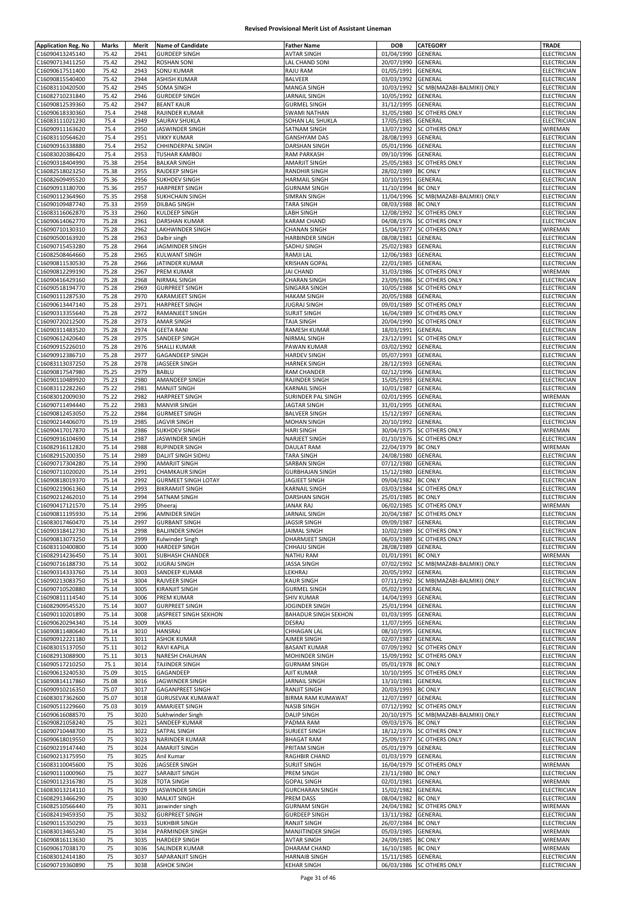| <b>Application Reg. No</b> | Marks | Merit | <b>Name of Candidate</b>   | <b>Father Name</b>          | <b>DOB</b>         | <b>CATEGORY</b>                       | TRADE              |
|----------------------------|-------|-------|----------------------------|-----------------------------|--------------------|---------------------------------------|--------------------|
| C16090413245140            | 75.42 | 2941  | <b>GURDEEP SINGH</b>       | <b>AVTAR SINGH</b>          | 01/04/1990         | GENERAL                               | ELECTRICIAN        |
| C16090713411250            | 75.42 | 2942  | <b>ROSHAN SONI</b>         | LAL CHAND SONI              | 20/07/1990         | GENERAL                               | ELECTRICIAN        |
|                            |       | 2943  |                            |                             |                    |                                       |                    |
| C16090617511400            | 75.42 |       | <b>SONU KUMAR</b>          | RAJU RAM                    | 01/05/1991         | GENERAL                               | ELECTRICIAN        |
| C16090815540400            | 75.42 | 2944  | <b>ASHISH KUMAR</b>        | <b>BALVEER</b>              | 03/03/1992         | GENERAL                               | ELECTRICIAN        |
| C16083110420500            | 75.42 | 2945  | <b>SOMA SINGH</b>          | MANGA SINGH                 | 10/03/1992         | SC MB(MAZABI-BALMIKI) ONLY            | ELECTRICIAN        |
| C16082710231840            | 75.42 | 2946  | <b>GURDEEP SINGH</b>       | JARNAIL SINGH               | 10/05/1992         | GENERAL                               | ELECTRICIAN        |
| C16090812539360            | 75.42 | 2947  | <b>BEANT KAUR</b>          | <b>GURMEL SINGH</b>         | 31/12/1995         | GENERAL                               | ELECTRICIAN        |
| C16090618330360            | 75.4  | 2948  | RAJINDER KUMAR             | <b>SWAMI NATHAN</b>         | 31/05/1980         | <b>SC OTHERS ONLY</b>                 | <b>ELECTRICIAN</b> |
| C16083111021230            | 75.4  | 2949  | SAURAV SHUKLA              | SOHAN LAL SHUKLA            | 17/05/1985         | GENERAL                               | ELECTRICIAN        |
| C16090911163620            | 75.4  | 2950  | JASWINDER SINGH            | SATNAM SINGH                | 13/07/1992         | <b>SC OTHERS ONLY</b>                 | WIREMAN            |
|                            |       |       |                            |                             |                    |                                       |                    |
| C16083110564620            | 75.4  | 2951  | <b>VIKKY KUMAR</b>         | <b>GANSHYAM DAS</b>         | 28/08/1993         | GENERAL                               | ELECTRICIAN        |
| C16090916338880            | 75.4  | 2952  | CHHINDERPAL SINGH          | <b>DARSHAN SINGH</b>        | 05/01/1996         | GENERAL                               | ELECTRICIAN        |
| C16083020386420            | 75.4  | 2953  | <b>TUSHAR KAMBOJ</b>       | RAM PARKASH                 | 09/10/1996         | GENERAL                               | ELECTRICIAN        |
| C16090318404990            | 75.38 | 2954  | <b>BALKAR SINGH</b>        | <b>AMARJIT SINGH</b>        | 25/05/1983         | <b>SC OTHERS ONLY</b>                 | ELECTRICIAN        |
| C16082518023250            | 75.38 | 2955  | RAJDEEP SINGH              | RANDHIR SINGH               | 28/02/1989         | <b>BC ONLY</b>                        | ELECTRICIAN        |
| C16082609495520            | 75.36 | 2956  | <b>SUKHDEV SINGH</b>       | <b>HARMAIL SINGH</b>        | 10/10/1991         | GENERAL                               | ELECTRICIAN        |
| C16090913180700            | 75.36 | 2957  | <b>HARPRERT SINGH</b>      | <b>GURNAM SINGH</b>         | 11/10/1994         | <b>BC ONLY</b>                        | ELECTRICIAN        |
| C16090112364960            | 75.35 | 2958  | SUKHCHAIN SINGH            | <b>SIMRAN SINGH</b>         | 11/04/1996         | SC MB(MAZABI-BALMIKI) ONLY            | ELECTRICIAN        |
|                            |       |       |                            |                             |                    |                                       |                    |
| C16090109487740            | 75.33 | 2959  | <b>DILBAG SINGH</b>        | <b>TARA SINGH</b>           | 08/03/1988         | <b>BC ONLY</b>                        | ELECTRICIAN        |
| C16083116062870            | 75.33 | 2960  | <b>KULDEEP SINGH</b>       | LABH SINGH                  | 12/08/1992         | <b>SC OTHERS ONLY</b>                 | ELECTRICIAN        |
| C16090614062770            | 75.28 | 2961  | <b>DARSHAN KUMAR</b>       | <b>KARAM CHAND</b>          | 04/08/1976         | <b>SC OTHERS ONLY</b>                 | ELECTRICIAN        |
| C16090710130310            | 75.28 | 2962  | <b>LAKHWINDER SINGH</b>    | <b>CHANAN SINGH</b>         | 15/04/1977         | <b>SC OTHERS ONLY</b>                 | WIREMAN            |
| C16090500163920            | 75.28 | 2963  | Dalbir singh               | <b>HARBINDER SINGH</b>      | 08/08/1981         | <b>GENERAL</b>                        | ELECTRICIAN        |
| C16090715453280            | 75.28 | 2964  | JAGMINDER SINGH            | SADHU SINGH                 | 25/02/1983         | GENERAL                               | ELECTRICIAN        |
|                            | 75.28 | 2965  | <b>KULWANT SINGH</b>       | RAMJI LAL                   |                    |                                       |                    |
| C16082508464660            |       |       |                            |                             | 12/06/1983         | GENERAL                               | ELECTRICIAN        |
| C16090811530530            | 75.28 | 2966  | JATINDER KUMAR             | <b>KRISHAN GOPAL</b>        | 22/01/1985         | <b>GENERAL</b>                        | ELECTRICIAN        |
| C16090812299190            | 75.28 | 2967  | PREM KUMAR                 | <b>JAI CHAND</b>            | 31/03/1986         | <b>SC OTHERS ONLY</b>                 | WIREMAN            |
| C16090416429160            | 75.28 | 2968  | <b>NIRMAL SINGH</b>        | <b>CHARAN SINGH</b>         | 23/09/1986         | <b>SC OTHERS ONLY</b>                 | ELECTRICIAN        |
| C16090518194770            | 75.28 | 2969  | <b>GURPREET SINGH</b>      | SINGARA SINGH               | 10/05/1988         | <b>SC OTHERS ONLY</b>                 | ELECTRICIAN        |
| C16090111287530            | 75.28 | 2970  | KARAMJEET SINGH            | <b>HAKAM SINGH</b>          | 20/05/1988         | GENERAL                               | ELECTRICIAN        |
| C16090613447140            | 75.28 | 2971  | <b>HARPREET SINGH</b>      | <b>JUGRAJ SINGH</b>         | 09/01/1989         | SC OTHERS ONLY                        | ELECTRICIAN        |
|                            | 75.28 | 2972  |                            | <b>SURJIT SINGH</b>         | 16/04/1989         | <b>SC OTHERS ONLY</b>                 | ELECTRICIAN        |
| C16090313355640            |       |       | RAMANJEET SINGH            |                             |                    |                                       |                    |
| C16090720212500            | 75.28 | 2973  | <b>AMAR SINGH</b>          | <b>TAJA SINGH</b>           | 20/04/1990         | <b>SC OTHERS ONLY</b>                 | <b>ELECTRICIAN</b> |
| C16090311483520            | 75.28 | 2974  | <b>GEETA RANI</b>          | RAMESH KUMAR                | 18/03/1991         | GENERAL                               | ELECTRICIAN        |
| C16090612420640            | 75.28 | 2975  | SANDEEP SINGH              | NIRMAL SINGH                | 23/12/1991         | <b>SC OTHERS ONLY</b>                 | ELECTRICIAN        |
| C16090915226010            | 75.28 | 2976  | <b>SHALLI KUMAR</b>        | PAWAN KUMAR                 | 03/02/1992         | GENERAL                               | <b>ELECTRICIAN</b> |
| C16090912386710            | 75.28 | 2977  | <b>GAGANDEEP SINGH</b>     | <b>HARDEV SINGH</b>         | 05/07/1993         | GENERAL                               | ELECTRICIAN        |
| C16083113037250            | 75.28 | 2978  | JAGSEER SINGH              | <b>HARNEK SINGH</b>         | 28/12/1993         | GENERAL                               | ELECTRICIAN        |
|                            |       |       |                            |                             |                    |                                       |                    |
| C16090817547980            | 75.25 | 2979  | <b>BABLU</b>               | RAM CHANDER                 | 02/12/1996         | GENERAL                               | ELECTRICIAN        |
| C16090110489920            | 75.23 | 2980  | AMANDEEP SINGH             | RAJINDER SINGH              | 15/05/1993         | GENERAL                               | ELECTRICIAN        |
| C16083112282260            | 75.22 | 2981  | <b>MANJIT SINGH</b>        | KARNAIL SINGH               | 10/01/1987         | GENERAL                               | ELECTRICIAN        |
| C16083012009030            | 75.22 | 2982  | <b>HARPREET SINGH</b>      | SURINDER PAL SINGH          | 02/01/1995         | GENERAL                               | WIREMAN            |
| C16090711494440            | 75.22 | 2983  | <b>MANVIR SINGH</b>        | <b>JAGTAR SINGH</b>         | 31/01/1995         | GENERAL                               | ELECTRICIAN        |
| C16090812453050            | 75.22 | 2984  | <b>GURMEET SINGH</b>       | <b>BALVEER SINGH</b>        | 15/12/1997         | GENERAL                               | ELECTRICIAN        |
| C16090214406070            | 75.19 | 2985  | <b>JAGVIR SINGH</b>        | MOHAN SINGH                 | 20/10/1992         | GENERAL                               | ELECTRICIAN        |
|                            |       |       |                            |                             |                    |                                       |                    |
| C16090417017870            | 75.14 | 2986  | <b>SUKHDEV SINGH</b>       | <b>HARI SINGH</b>           | 30/04/1975         | <b>SC OTHERS ONLY</b>                 | WIREMAN            |
| C16090916104690            | 75.14 | 2987  | JASWINDER SINGH            | NARJEET SINGH               | 01/10/1976         | <b>SC OTHERS ONLY</b>                 | ELECTRICIAN        |
| C16082916112820            | 75.14 | 2988  | <b>RUPINDER SINGH</b>      | DAULAT RAM                  | 22/04/1979         | <b>BC ONLY</b>                        | WIREMAN            |
| C16082915200350            | 75.14 | 2989  | <b>DALJIT SINGH SIDHU</b>  | <b>TARA SINGH</b>           | 24/08/1980         | GENERAL                               | ELECTRICIAN        |
| C16090717304280            | 75.14 | 2990  | <b>AMARJIT SINGH</b>       | SARBAN SINGH                | 07/12/1980         | GENERAL                               | ELECTRICIAN        |
| C16090711020020            | 75.14 | 2991  | <b>CHAMKAUR SINGH</b>      | <b>GURBHAJAN SINGH</b>      | 15/12/1980         | GENERAL                               | ELECTRICIAN        |
| C16090818019370            | 75.14 | 2992  | <b>GURMEET SINGH LOTAY</b> | JAGJEET SINGH               | 09/04/1982         | <b>BC ONLY</b>                        | ELECTRICIAN        |
| C16090219061360            | 75.14 | 2993  | <b>BIKRAMJIT SINGH</b>     | KARNAIL SINGH               | 03/03/1984         | <b>SC OTHERS ONLY</b>                 | ELECTRICIAN        |
|                            |       |       |                            |                             |                    |                                       |                    |
| C16090212462010            | 75.14 | 2994  | SATNAM SINGH               | DARSHAN SINGH               | 25/01/1985         | <b>BC ONLY</b>                        | ELECTRICIAN        |
| C16090417121570            | 75.14 | 2995  | Dheeraj                    | <b>JANAK RAJ</b>            |                    | 06/02/1985 SC OTHERS ONLY             | WIREMAN            |
| C16090811195930            | 75.14 | 2996  | <b>AMNIDER SINGH</b>       | <b>JARNAIL SINGH</b>        |                    | 20/04/1987 SC OTHERS ONLY             | ELECTRICIAN        |
| C16083017460470            | 75.14 | 2997  | <b>GURBANT SINGH</b>       | JAGSIR SINGH                | 09/09/1987 GENERAL |                                       | ELECTRICIAN        |
| C16090318412730            | 75.14 | 2998  | <b>BALJINDER SINGH</b>     | <b>JAIMAL SINGH</b>         | 10/02/1989         | <b>SC OTHERS ONLY</b>                 | ELECTRICIAN        |
| C16090813073250            | 75.14 | 2999  | Kulwinder Singh            | DHARMJEET SINGH             | 06/03/1989         | <b>SC OTHERS ONLY</b>                 | ELECTRICIAN        |
| C16083110400800            | 75.14 | 3000  | <b>HARDEEP SINGH</b>       | CHHAJU SINGH                | 28/08/1989         | GENERAL                               | ELECTRICIAN        |
|                            |       |       |                            |                             |                    |                                       |                    |
| C16082914236450            | 75.14 | 3001  | <b>SUBHASH CHANDER</b>     | <b>NATHU RAM</b>            | 01/01/1991         | <b>BC ONLY</b>                        | WIREMAN            |
| C16090716188730            | 75.14 | 3002  | <b>JUGRAJ SINGH</b>        | <b>JASSA SINGH</b>          | 07/02/1992         | SC MB(MAZABI-BALMIKI) ONLY            | ELECTRICIAN        |
| C16090314333760            | 75.14 | 3003  | SANDEEP KUMAR              | LEKHRAJ                     | 20/05/1992         | GENERAL                               | ELECTRICIAN        |
| C16090213083750            | 75.14 | 3004  | RAJVEER SINGH              | <b>KAUR SINGH</b>           | 07/11/1992         | SC MB(MAZABI-BALMIKI) ONLY            | ELECTRICIAN        |
| C16090710520880            | 75.14 | 3005  | <b>KIRANJIT SINGH</b>      | <b>GURMEL SINGH</b>         | 05/02/1993         | GENERAL                               | ELECTRICIAN        |
| C16090811114540            | 75.14 | 3006  | PREM KUMAR                 | <b>SHIV KUMAR</b>           | 14/04/1993         | GENERAL                               | ELECTRICIAN        |
| C16082909545520            | 75.14 | 3007  | <b>GURPREET SINGH</b>      | JOGINDER SINGH              | 25/01/1994         | GENERAL                               | ELECTRICIAN        |
| C16090110201890            | 75.14 | 3008  | JASPREET SINGH SEKHON      | <b>BAHADUR SINGH SEKHON</b> | 01/03/1995         | GENERAL                               | <b>ELECTRICIAN</b> |
|                            |       |       |                            |                             |                    |                                       |                    |
| C16090620294340            | 75.14 | 3009  | <b>VIKAS</b>               | DESRAJ                      | 11/07/1995         | GENERAL                               | ELECTRICIAN        |
| C16090811480640            | 75.14 | 3010  | <b>HANSRAJ</b>             | CHHAGAN LAL                 | 08/10/1995         | GENERAL                               | ELECTRICIAN        |
| C16090912221180            | 75.11 | 3011  | <b>ASHOK KUMAR</b>         | AJMER SINGH                 | 02/07/1987         | GENERAL                               | ELECTRICIAN        |
| C16083015137050            | 75.11 | 3012  | <b>RAVI KAPILA</b>         | <b>BASANT KUMAR</b>         | 07/09/1992         | <b>SC OTHERS ONLY</b>                 | ELECTRICIAN        |
| C16082913088900            | 75.11 | 3013  | NARESH CHAUHAN             | MOHINDER SINGH              | 15/09/1992         | <b>SC OTHERS ONLY</b>                 | ELECTRICIAN        |
| C16090517210250            | 75.1  | 3014  | TAJINDER SINGH             | <b>GURNAM SINGH</b>         | 05/01/1978         | <b>BC ONLY</b>                        | ELECTRICIAN        |
| C16090613240530            | 75.09 | 3015  | GAGANDEEP                  | AJIT KUMAR                  |                    | 10/10/1995 SC OTHERS ONLY             | ELECTRICIAN        |
|                            |       |       |                            |                             |                    |                                       |                    |
| C16090814117860            | 75.08 | 3016  | JAGWINDER SINGH            | JARNAIL SINGH               | 13/10/1981         | GENERAL                               | ELECTRICIAN        |
| C16090910216350            | 75.07 | 3017  | <b>GAGANPREET SINGH</b>    | RANJIT SINGH                | 20/03/1993         | <b>BC ONLY</b>                        | ELECTRICIAN        |
| C16083017362600            | 75.07 | 3018  | <b>GURUSEVAK KUMAWAT</b>   | <b>BIRMA RAM KUMAWAT</b>    | 12/07/1997         | GENERAL                               | ELECTRICIAN        |
| C16090511229660            | 75.03 | 3019  | AMARJEET SINGH             | <b>NASIB SINGH</b>          | 07/12/1992         | <b>SC OTHERS ONLY</b>                 | ELECTRICIAN        |
| C16090616088570            | 75    | 3020  | Sukhwinder Singh           | <b>DALIP SINGH</b>          |                    | 20/10/1975 SC MB(MAZABI-BALMIKI) ONLY | <b>ELECTRICIAN</b> |
| C16090821058240            | 75    | 3021  | SANDEEP KUMAR              | PADMA RAM                   | 09/03/1976 BC ONLY |                                       | ELECTRICIAN        |
| C16090710448700            | 75    | 3022  | SATPAL SINGH               | SURJEET SINGH               | 18/12/1976         | <b>SC OTHERS ONLY</b>                 | ELECTRICIAN        |
|                            |       |       |                            |                             |                    |                                       |                    |
| C16090618019550            | 75    | 3023  | <b>NARINDER KUMAR</b>      | <b>BHAGAT RAM</b>           | 25/09/1977         | <b>SC OTHERS ONLY</b>                 | ELECTRICIAN        |
| C16090219147440            | 75    | 3024  | <b>AMARJIT SINGH</b>       | PRITAM SINGH                | 05/01/1979         | GENERAL                               | ELECTRICIAN        |
| C16090213175950            | 75    | 3025  | Anil Kumar                 | RAGHBIR CHAND               | 01/03/1979         | GENERAL                               | ELECTRICIAN        |
| C16083110045600            | 75    | 3026  | JAGSEER SINGH              | <b>SURJIT SINGH</b>         | 16/04/1979         | <b>SC OTHERS ONLY</b>                 | WIREMAN            |
| C16090111000960            | 75    | 3027  | SARABJIT SINGH             | PREM SINGH                  | 23/11/1980 BC ONLY |                                       | ELECTRICIAN        |
| C16090112316780            | 75    | 3028  | <b>TOTA SINGH</b>          | <b>GOPAL SINGH</b>          | 02/01/1981         | GENERAL                               | WIREMAN            |
| C16083013214110            | 75    | 3029  | JASWINDER SINGH            | <b>GURCHARAN SINGH</b>      | 15/02/1982         | GENERAL                               | ELECTRICIAN        |
|                            |       |       |                            |                             |                    |                                       |                    |
| C16082913466290            | 75    | 3030  | <b>MALKIT SINGH</b>        | PREM DASS                   | 08/04/1982         | <b>BC ONLY</b>                        | ELECTRICIAN        |
| C16082510566440            | 75    | 3031  | jaswinder singh            | <b>GURNAM SINGH</b>         | 24/04/1982         | <b>SC OTHERS ONLY</b>                 | WIREMAN            |
| C16082419459350            | 75    | 3032  | <b>GURPREET SINGH</b>      | <b>GURDEEP SINGH</b>        | 13/11/1982         | GENERAL                               | ELECTRICIAN        |
| C16090115350290            | 75    | 3033  | <b>SUKHBIR SINGH</b>       | RANJIT SINGH                | 26/07/1984         | <b>BC ONLY</b>                        | <b>ELECTRICIAN</b> |
| C16083013465240            | 75    | 3034  | PARMINDER SINGH            | MANJITINDER SINGH           | 05/03/1985         | GENERAL                               | WIREMAN            |
| C16090816113630            | 75    | 3035  | <b>HARDEEP SINGH</b>       | <b>AVTAR SINGH</b>          | 24/09/1985 BC ONLY |                                       | WIREMAN            |
| C16090617038170            | 75    | 3036  | SALINDER KUMAR             | DHARAM CHAND                | 16/10/1985 BC ONLY |                                       | WIREMAN            |
|                            |       |       |                            |                             |                    |                                       |                    |
| C16083012414180            | 75    | 3037  | SAPARANJIT SINGH           | <b>HARNAIB SINGH</b>        | 15/11/1985 GENERAL |                                       | ELECTRICIAN        |
| C16090719360890            | 75    | 3038  | <b>ASHOK SINGH</b>         | <b>KEHAR SINGH</b>          |                    | 06/03/1986 SC OTHERS ONLY             | ELECTRICIAN        |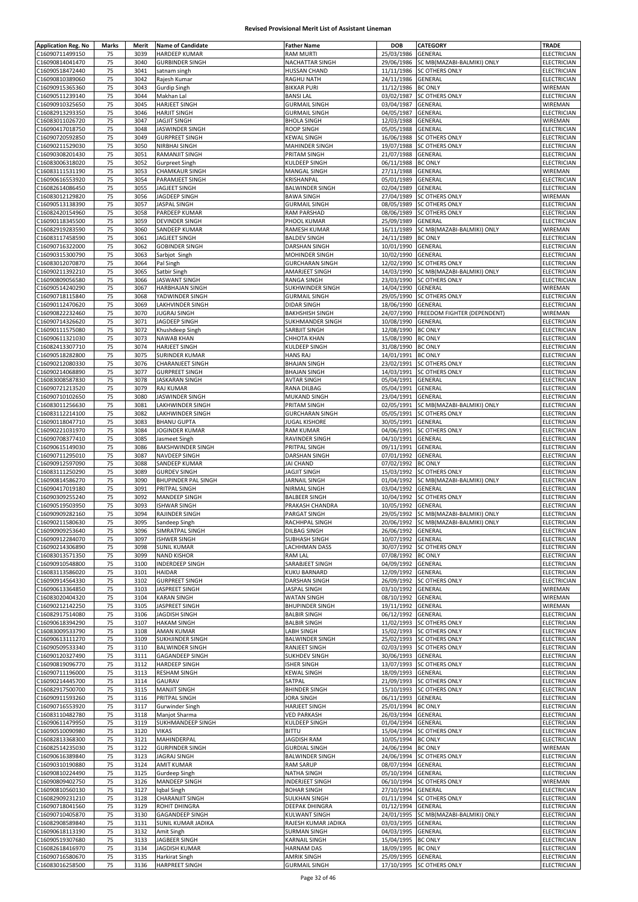| <b>Application Reg. No</b>         | <b>Marks</b> | Merit | <b>Name of Candidate</b>   | <b>Father Name</b>     | <b>DOB</b>         | CATEGORY                              | <b>TRADE</b>                      |
|------------------------------------|--------------|-------|----------------------------|------------------------|--------------------|---------------------------------------|-----------------------------------|
| C16090711499150                    | 75           | 3039  | <b>HARDEEP KUMAR</b>       | <b>RAM MURTI</b>       | 25/03/1986         | GENERAL                               | ELECTRICIAN                       |
| C16090814041470                    | 75           | 3040  | <b>GURBINDER SINGH</b>     | NACHATTAR SINGH        |                    | 29/06/1986 SC MB(MAZABI-BALMIKI) ONLY | ELECTRICIAN                       |
| C16090518472440                    | 75           | 3041  | satnam singh               | <b>HUSSAN CHAND</b>    | 11/11/1986         | <b>SC OTHERS ONLY</b>                 | ELECTRICIAN                       |
| C16090810389060                    | 75           | 3042  | Rajesh Kumar               | RAGHU NATH             | 24/11/1986         | <b>GENERAL</b>                        | ELECTRICIAN                       |
|                                    | 75           |       |                            |                        |                    |                                       |                                   |
| C16090915365360                    |              | 3043  | Gurdip Singh               | <b>BIKKAR PURI</b>     | 11/12/1986         | <b>BC ONLY</b>                        | WIREMAN                           |
| C16090511239140                    | 75           | 3044  | Makhan Lal                 | <b>BANSI LAL</b>       | 03/02/1987         | <b>SC OTHERS ONLY</b>                 | ELECTRICIAN                       |
| C16090910325650                    | 75           | 3045  | HARJEET SINGH              | <b>GURMAIL SINGH</b>   | 03/04/1987         | GENERAL                               | WIREMAN                           |
| C16082913293350                    | 75           | 3046  | <b>HARJIT SINGH</b>        | <b>GURMAIL SINGH</b>   | 04/05/1987         | GENERAL                               | ELECTRICIAN                       |
| C16083011026720                    | 75           | 3047  | JAGJIT SINGH               | <b>BHOLA SINGH</b>     | 12/03/1988         | GENERAL                               | WIREMAN                           |
| C16090417018750                    | 75           | 3048  | JASWINDER SINGH            | ROOP SINGH             | 05/05/1988         | GENERAL                               | ELECTRICIAN                       |
| C16090720592850                    | 75           | 3049  | <b>GURPREET SINGH</b>      | <b>KEWAL SINGH</b>     | 16/06/1988         | SC OTHERS ONLY                        | ELECTRICIAN                       |
| C16090211529030                    | 75           | 3050  | NIRBHAI SINGH              | MAHINDER SINGH         | 19/07/1988         | <b>SC OTHERS ONLY</b>                 | ELECTRICIAN                       |
| C16090308201430                    | 75           | 3051  | RAMANJIT SINGH             | PRITAM SINGH           | 21/07/1988         | GENERAL                               | ELECTRICIAN                       |
| C16083006318020                    | 75           | 3052  | <b>Gurpreet Singh</b>      | KULDEEP SINGH          | 06/11/1988         | <b>BC ONLY</b>                        | ELECTRICIAN                       |
|                                    | 75           | 3053  |                            | <b>MANGAL SINGH</b>    |                    | GENERAL                               | WIREMAN                           |
| C16083111531190                    |              |       | <b>CHAMKAUR SINGH</b>      |                        | 27/11/1988         |                                       |                                   |
| C16090616553920                    | 75           | 3054  | PARAMJEET SINGH            | KRISHANPAL             | 05/01/1989         | GENERAL                               | ELECTRICIAN                       |
| C16082614086450                    | 75           | 3055  | JAGJEET SINGH              | <b>BALWINDER SINGH</b> | 02/04/1989         | GENERAL                               | ELECTRICIAN                       |
| C16083012129820                    | 75           | 3056  | JAGDEEP SINGH              | <b>BAWA SINGH</b>      | 27/04/1989         | <b>SC OTHERS ONLY</b>                 | WIREMAN                           |
| C16090513138390                    | 75           | 3057  | JASPAL SINGH               | <b>GURMAIL SINGH</b>   | 08/05/1989         | <b>SC OTHERS ONLY</b>                 | ELECTRICIAN                       |
| C16082420154960                    | 75           | 3058  | PARDEEP KUMAR              | RAM PARSHAD            | 08/06/1989         | <b>SC OTHERS ONLY</b>                 | ELECTRICIAN                       |
| C16090118345500                    | 75           | 3059  | DEVINDER SINGH             | PHOOL KUMAR            | 25/09/1989         | GENERAL                               | ELECTRICIAN                       |
| C16082919283590                    | 75           | 3060  | SANDEEP KUMAR              | RAMESH KUMAR           | 16/11/1989         | SC MB(MAZABI-BALMIKI) ONLY            | WIREMAN                           |
| C16083117458590                    | 75           | 3061  | JAGJEET SINGH              | <b>BALDEV SINGH</b>    | 24/11/1989         | <b>BC ONLY</b>                        | ELECTRICIAN                       |
| C16090716322000                    | 75           | 3062  | <b>GOBINDER SINGH</b>      | DARSHAN SINGH          | 10/01/1990         | GENERAL                               | ELECTRICIAN                       |
| C16090315300790                    | 75           | 3063  |                            | MOHINDER SINGH         |                    | GENERAL                               | ELECTRICIAN                       |
|                                    |              |       | Sarbjot Singh              |                        | 10/02/1990         |                                       |                                   |
| C16083012070870                    | 75           | 3064  | Pal Singh                  | <b>GURCHARAN SINGH</b> | 12/02/1990         | <b>SC OTHERS ONLY</b>                 | ELECTRICIAN                       |
| C16090211392210                    | 75           | 3065  | Satbir Singh               | AMARJEET SINGH         | 14/03/1990         | SC MB(MAZABI-BALMIKI) ONLY            | <b>ELECTRICIAN</b>                |
| C16090809056580                    | 75           | 3066  | <b>JASWANT SINGH</b>       | RANGA SINGH            | 23/03/1990         | SC OTHERS ONLY                        | ELECTRICIAN                       |
| C16090514240290                    | 75           | 3067  | <b>HARBHAJAN SINGH</b>     | SUKHWINDER SINGH       | 14/04/1990         | GENERAL                               | WIREMAN                           |
| C16090718115840                    | 75           | 3068  | YADWINDER SINGH            | <b>GURMAIL SINGH</b>   | 29/05/1990         | <b>SC OTHERS ONLY</b>                 | ELECTRICIAN                       |
| C16090112470620                    | 75           | 3069  | LAKHVINDER SINGH           | DIDAR SINGH            | 18/06/1990         | GENERAL                               | ELECTRICIAN                       |
| C16090822232460                    | 75           | 3070  | <b>JUGRAJ SINGH</b>        | <b>BAKHSHISH SINGH</b> | 24/07/1990         | FREEDOM FIGHTER (DEPENDENT)           | WIREMAN                           |
| C16090714326620                    | 75           | 3071  | JAGDEEP SINGH              | SUKHMANDER SINGH       | 10/08/1990         | GENERAL                               | ELECTRICIAN                       |
| C16090111575080                    | 75           | 3072  | Khushdeep Singh            | SARBJIT SINGH          | 12/08/1990         | <b>BC ONLY</b>                        | <b>ELECTRICIAN</b>                |
|                                    |              |       |                            |                        |                    |                                       |                                   |
| C16090611321030                    | 75           | 3073  | <b>NAWAB KHAN</b>          | CHHOTA KHAN            | 15/08/1990         | <b>BC ONLY</b>                        | <b>ELECTRICIAN</b>                |
| C16082413307710                    | 75           | 3074  | <b>HARJEET SINGH</b>       | KULDEEP SINGH          | 31/08/1990         | <b>BC ONLY</b>                        | ELECTRICIAN                       |
| C16090518282800                    | 75           | 3075  | SURINDER KUMAR             | <b>HANS RAJ</b>        | 14/01/1991 BC ONLY |                                       | ELECTRICIAN                       |
| C16090212080330                    | 75           | 3076  | <b>CHARANJEET SINGH</b>    | <b>BHAJAN SINGH</b>    | 23/02/1991         | SC OTHERS ONLY                        | ELECTRICIAN                       |
| C16090214068890                    | 75           | 3077  | <b>GURPREET SINGH</b>      | <b>BHAJAN SINGH</b>    | 14/03/1991         | SC OTHERS ONLY                        | ELECTRICIAN                       |
| C16083008587830                    | 75           | 3078  | <b>JASKARAN SINGH</b>      | <b>AVTAR SINGH</b>     | 05/04/1991         | GENERAL                               | <b>ELECTRICIAN</b>                |
| C16090721213520                    | 75           | 3079  | <b>RAJ KUMAR</b>           | RANA DILBAG            | 05/04/1991         | GENERAL                               | ELECTRICIAN                       |
| C16090710102650                    | 75           | 3080  | JASWINDER SINGH            | MUKAND SINGH           | 23/04/1991         | GENERAL                               | ELECTRICIAN                       |
| C16083011256630                    | 75           | 3081  | LAKHWINDER SINGH           | PRITAM SINGH           | 02/05/1991         | SC MB(MAZABI-BALMIKI) ONLY            | ELECTRICIAN                       |
|                                    |              |       |                            |                        |                    |                                       |                                   |
| C16083112214100                    | 75           | 3082  | LAKHWINDER SINGH           | <b>GURCHARAN SINGH</b> | 05/05/1991         | SC OTHERS ONLY                        | ELECTRICIAN                       |
| C16090118047710                    | 75           | 3083  | <b>BHANU GUPTA</b>         | <b>JUGAL KISHORE</b>   | 30/05/1991         | GENERAL                               | ELECTRICIAN                       |
| C16090221031970                    | 75           | 3084  | JOGINDER KUMAR             | RAM KUMAR              | 04/06/1991         | <b>SC OTHERS ONLY</b>                 | ELECTRICIAN                       |
| C16090708377410                    | 75           | 3085  | Jasmeet Singh              | RAVINDER SINGH         | 04/10/1991         | GENERAL                               | ELECTRICIAN                       |
| C16090615149030                    | 75           | 3086  | <b>BAKSHWINDER SINGH</b>   | PRITPAL SINGH          | 09/11/1991         | GENERAL                               | ELECTRICIAN                       |
| C16090711295010                    | 75           | 3087  | NAVDEEP SINGH              | <b>DARSHAN SINGH</b>   | 07/01/1992         | GENERAL                               | <b>ELECTRICIAN</b>                |
| C16090912597090                    | 75           | 3088  | SANDEEP KUMAR              | <b>JAI CHAND</b>       | 07/02/1992         | <b>BC ONLY</b>                        | ELECTRICIAN                       |
| C16083111250290                    | 75           | 3089  | <b>GURDEV SINGH</b>        | <b>JAGJIT SINGH</b>    | 15/03/1992         | <b>SC OTHERS ONLY</b>                 | ELECTRICIAN                       |
| C16090814586270                    | 75           | 3090  | <b>BHUPINDER PAL SINGH</b> | JARNAIL SINGH          | 01/04/1992         | SC MB(MAZABI-BALMIKI) ONLY            | ELECTRICIAN                       |
|                                    |              |       |                            |                        |                    |                                       |                                   |
| C16090417019180                    | 75           | 3091  | PRITPAL SINGH              | NIRMAL SINGH           | 03/04/1992         | <b>GENERAL</b>                        | ELECTRICIAN                       |
| C16090309255240                    | 75           | 3092  | MANDEEP SINGH              | <b>BALBEER SINGH</b>   | 10/04/1992         | SC OTHERS ONLY                        | ELECTRICIAN                       |
| C16090519503950                    | 75           | 3093  | <b>ISHWAR SINGH</b>        | PRAKASH CHANDRA        | 10/05/1992         | GENERAL                               | ELECTRICIAN                       |
| C16090909282160                    | 75           | 3094  | RAJINDER SINGH             | PARGAT SINGH           | 29/05/1992         | SC MB(MAZABI-BALMIKI) ONLY            | ELECTRICIAN                       |
| C16090211580630                    | 15           | 3095  | Sandeep Singh              | RACHHPAL SINGH         |                    | 20/06/1992 SC MB(MAZABI-BALMIKI) ONLY | ELECTRICIAN                       |
| C16090909253640                    | 75           | 3096  | SIMRATPAL SINGH            | DILBAG SINGH           | 26/06/1992 GENERAL |                                       | <b>ELECTRICIAN</b>                |
| C16090912284070                    | 75           | 3097  | <b>ISHWER SINGH</b>        | SUBHASH SINGH          | 10/07/1992 GENERAL |                                       | ELECTRICIAN                       |
| C16090214306890                    | 75           | 3098  | <b>SUNIL KUMAR</b>         | LACHHMAN DASS          | 30/07/1992         | SC OTHERS ONLY                        | ELECTRICIAN                       |
| C16083013571350                    | 75           | 3099  | <b>NAND KISHOR</b>         | RAM LAL                | 07/08/1992         | <b>BC ONLY</b>                        | <b>ELECTRICIAN</b>                |
|                                    |              |       |                            | SARABJEET SINGH        |                    |                                       |                                   |
| C16090910548800<br>C16083113586020 | 75           | 3100  | <b>INDERDEEP SINGH</b>     | <b>KUKU BARNARD</b>    | 04/09/1992 GENERAL | <b>GENERAL</b>                        | ELECTRICIAN<br><b>ELECTRICIAN</b> |
|                                    | 75           | 3101  | <b>HAIDAR</b>              |                        | 12/09/1992         |                                       |                                   |
| C16090914564330                    | 75           | 3102  | <b>GURPREET SINGH</b>      | DARSHAN SINGH          | 26/09/1992         | SC OTHERS ONLY                        | <b>ELECTRICIAN</b>                |
| C16090613364850                    | 75           | 3103  | <b>JASPREET SINGH</b>      | JASPAL SINGH           | 03/10/1992         | <b>GENERAL</b>                        | WIREMAN                           |
| C16083020404320                    | 75           | 3104  | <b>KARAN SINGH</b>         | WATAN SINGH            | 08/10/1992         | GENERAL                               | WIREMAN                           |
| C16090212142250                    | 75           | 3105  | JASPREET SINGH             | <b>BHUPINDER SINGH</b> | 19/11/1992         | <b>GENERAL</b>                        | WIREMAN                           |
| C16082917514080                    | 75           | 3106  | <b>JAGDISH SINGH</b>       | <b>BALBIR SINGH</b>    | 06/12/1992         | GENERAL                               | <b>ELECTRICIAN</b>                |
| C16090618394290                    | 75           | 3107  | <b>HAKAM SINGH</b>         | <b>BALBIR SINGH</b>    | 11/02/1993         | <b>SC OTHERS ONLY</b>                 | ELECTRICIAN                       |
| C16083009533790                    | 75           | 3108  | <b>AMAN KUMAR</b>          | LABH SINGH             | 15/02/1993         | <b>SC OTHERS ONLY</b>                 | ELECTRICIAN                       |
| C16090613111270                    | 75           | 3109  | SUKHJINDER SINGH           | BALWINDER SINGH        | 25/02/1993         | <b>SC OTHERS ONLY</b>                 | ELECTRICIAN                       |
| C16090509533340                    | 75           | 3110  | <b>BALWINDER SINGH</b>     | RANJEET SINGH          |                    | 02/03/1993 SC OTHERS ONLY             | ELECTRICIAN                       |
| C16090120327490                    | 75           | 3111  | <b>GAGANDEEP SINGH</b>     | SUKHDEV SINGH          | 30/06/1993 GENERAL |                                       | ELECTRICIAN                       |
|                                    |              |       |                            |                        |                    |                                       |                                   |
| C16090819096770                    | 75           | 3112  | <b>HARDEEP SINGH</b>       | ISHER SINGH            | 13/07/1993         | <b>SC OTHERS ONLY</b>                 | ELECTRICIAN                       |
| C16090711196000                    | 75           | 3113  | <b>RESHAM SINGH</b>        | KEWAL SINGH            | 18/09/1993         | GENERAL                               | ELECTRICIAN                       |
| C16090214445700                    | 75           | 3114  | <b>GAURAV</b>              | SATPAL                 | 21/09/1993         | SC OTHERS ONLY                        | ELECTRICIAN                       |
| C16082917500700                    | 75           | 3115  | <b>MANJIT SINGH</b>        | <b>BHINDER SINGH</b>   | 15/10/1993         | SC OTHERS ONLY                        | ELECTRICIAN                       |
| C16090911593260                    | 75           | 3116  | PRITPAL SINGH              | JORA SINGH             | 06/11/1993 GENERAL |                                       | ELECTRICIAN                       |
| C16090716553920                    | 75           | 3117  | <b>Gurwinder Singh</b>     | <b>HARJEET SINGH</b>   | 25/01/1994 BC ONLY |                                       | ELECTRICIAN                       |
| C16083110482780                    | 75           | 3118  | Manjot Sharma              | <b>VED PARKASH</b>     | 26/03/1994         | GENERAL                               | ELECTRICIAN                       |
| C16090611479950                    | 75           | 3119  | SUKHMANDEEP SINGH          | KULDEEP SINGH          | 01/04/1994         | GENERAL                               | ELECTRICIAN                       |
| C16090510090980                    | 75           | 3120  | <b>VIKAS</b>               | BITTU                  |                    | 15/04/1994 SC OTHERS ONLY             | ELECTRICIAN                       |
| C16082813368300                    | 75           | 3121  | MAHINDERPAL                | JAGDISH RAM            | 10/05/1994 BC ONLY |                                       | ELECTRICIAN                       |
| C16082514235030                    | 75           | 3122  | <b>GURPINDER SINGH</b>     | <b>GURDIAL SINGH</b>   | 24/06/1994 BC ONLY |                                       | WIREMAN                           |
|                                    |              | 3123  |                            |                        |                    |                                       | ELECTRICIAN                       |
| C16090616389840                    | 75           |       | <b>JAGRAJ SINGH</b>        | <b>BALWINDER SINGH</b> | 24/06/1994         | SC OTHERS ONLY                        |                                   |
| C16090310190880                    | 75           | 3124  | <b>AMIT KUMAR</b>          | RAM SARUP              | 08/07/1994         | GENERAL                               | ELECTRICIAN                       |
| C16090810224490                    | 75           | 3125  | Gurdeep Singh              | NATHA SINGH            | 05/10/1994         | GENERAL                               | ELECTRICIAN                       |
| C16090809402750                    | 75           | 3126  | MANDEEP SINGH              | INDERJEET SINGH        | 06/10/1994         | <b>SC OTHERS ONLY</b>                 | WIREMAN                           |
| C16090810560130                    | 75           | 3127  | Iqbal Singh                | <b>BOHAR SINGH</b>     | 27/10/1994         | GENERAL                               | ELECTRICIAN                       |
| C16082909231210                    | 75           | 3128  | <b>CHARANJIT SINGH</b>     | SULKHAN SINGH          | 01/11/1994         | <b>SC OTHERS ONLY</b>                 | ELECTRICIAN                       |
| C16090718041560                    | 75           | 3129  | ROHIT DHINGRA              | DEEPAK DHINGRA         | 01/12/1994         | GENERAL                               | ELECTRICIAN                       |
| C16090710405870                    | 75           | 3130  | <b>GAGANDEEP SINGH</b>     | KULWANT SINGH          | 24/01/1995         | SC MB(MAZABI-BALMIKI) ONLY            | ELECTRICIAN                       |
| C16082908589840                    | 75           | 3131  | SUNIL KUMAR JADIKA         | RAJESH KUMAR JADIKA    | 03/03/1995         | GENERAL                               | ELECTRICIAN                       |
| C16090618113190                    | 75           | 3132  | Amit Singh                 | SURMAN SINGH           | 04/03/1995         | GENERAL                               | ELECTRICIAN                       |
|                                    | 75           | 3133  |                            |                        |                    |                                       | ELECTRICIAN                       |
| C16090519307680                    |              |       | JAGBEER SINGH              | KARNAIL SINGH          | 15/04/1995         | <b>BC ONLY</b>                        |                                   |
| C16082618416970                    | 75           | 3134  | JAGDISH KUMAR              | <b>HARNAM DAS</b>      | 18/09/1995         | <b>BC ONLY</b>                        | ELECTRICIAN                       |
| C16090716580670                    | 75           | 3135  | Harkirat Singh             | AMRIK SINGH            | 25/09/1995 GENERAL |                                       | ELECTRICIAN                       |
| C16083016258500                    | 75           | 3136  | <b>HARPREET SINGH</b>      | <b>GURMAIL SINGH</b>   |                    | 17/10/1995 SC OTHERS ONLY             | ELECTRICIAN                       |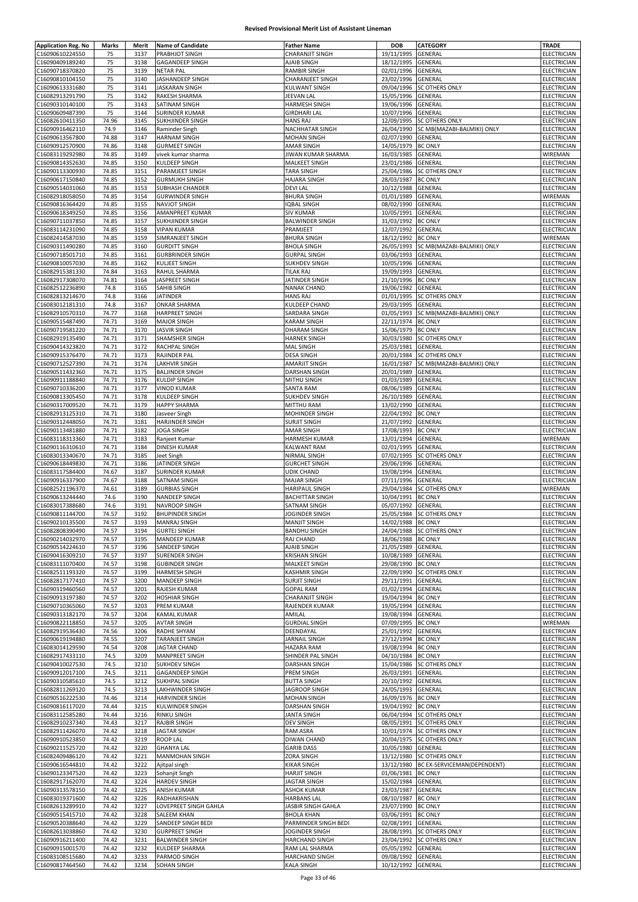| <b>Application Reg. No</b> | Marks | Merit | <b>Name of Candidate</b> | <b>Father Name</b>     | <b>DOB</b>         | CATEGORY                    | <b>TRADE</b>       |
|----------------------------|-------|-------|--------------------------|------------------------|--------------------|-----------------------------|--------------------|
| C16090610224550            | 75    | 3137  | PRABHJOT SINGH           | <b>CHARANJIT SINGH</b> | 19/11/1995         | GENERAL                     | ELECTRICIAN        |
| C16090409189240            | 75    | 3138  | <b>GAGANDEEP SINGH</b>   | AJAIB SINGH            | 18/12/1995         | GENERAL                     | ELECTRICIAN        |
|                            |       |       |                          |                        |                    |                             |                    |
| C16090718370820            | 75    | 3139  | <b>NETAR PAL</b>         | RAMBIR SINGH           | 02/01/1996         | GENERAL                     | ELECTRICIAN        |
| C16090810104150            | 75    | 3140  | JASHANDEEP SINGH         | CHARANJEET SINGH       | 23/02/1996         | GENERAL                     | ELECTRICIAN        |
| C16090613331680            | 75    | 3141  | <b>JASKARAN SINGH</b>    | <b>KULWANT SINGH</b>   | 09/04/1996         | <b>SC OTHERS ONLY</b>       | ELECTRICIAN        |
| C16082913291790            | 75    | 3142  | RAKESH SHARMA            | <b>JEEVAN LAL</b>      | 15/05/1996         | GENERAL                     | ELECTRICIAN        |
| C16090310140100            | 75    | 3143  | SATINAM SINGH            | <b>HARMESH SINGH</b>   | 19/06/1996         | GENERAL                     | ELECTRICIAN        |
| C16090609487390            | 75    | 3144  | <b>SURINDER KUMAR</b>    | GIRDHARI LAL           | 10/07/1996         | GENERAL                     | ELECTRICIAN        |
| C16082610411350            | 74.96 | 3145  | <b>SUKHJINDER SINGH</b>  | <b>HANS RAJ</b>        | 12/09/1995         | <b>SC OTHERS ONLY</b>       | ELECTRICIAN        |
| C16090916462110            | 74.9  | 3146  | Raminder Singh           | NACHHATAR SINGH        | 26/04/1990         | SC MB(MAZABI-BALMIKI) ONLY  | ELECTRICIAN        |
|                            |       |       |                          |                        |                    |                             |                    |
| C16090613567800            | 74.88 | 3147  | <b>HARNAM SINGH</b>      | <b>MOHAN SINGH</b>     | 02/07/1990         | GENERAL                     | ELECTRICIAN        |
| C16090912570900            | 74.86 | 3148  | <b>GURMEET SINGH</b>     | <b>AMAR SINGH</b>      | 14/05/1979         | <b>BC ONLY</b>              | ELECTRICIAN        |
| C16083119292980            | 74.85 | 3149  | vivek kumar sharma       | JIWAN KUMAR SHARMA     | 16/03/1985         | GENERAL                     | WIREMAN            |
| C16090814352630            | 74.85 | 3150  | KULDEEP SINGH            | MALKEET SINGH          | 23/01/1986         | GENERAL                     | ELECTRICIAN        |
| C16090113300930            | 74.85 | 3151  | PARAMJEET SINGH          | TARA SINGH             | 25/04/1986         | <b>SC OTHERS ONLY</b>       | ELECTRICIAN        |
| C16090617150840            | 74.85 | 3152  | <b>GURMUKH SINGH</b>     | <b>HAJARA SINGH</b>    | 28/03/1987         | <b>BC ONLY</b>              | <b>ELECTRICIAN</b> |
| C16090514031060            | 74.85 | 3153  | SUBHASH CHANDER          | <b>DEVILAL</b>         | 10/12/1988         | GENERAL                     | ELECTRICIAN        |
|                            |       |       |                          |                        |                    | GENERAL                     |                    |
| C16082918058050            | 74.85 | 3154  | <b>GURWINDER SINGH</b>   | <b>BHURA SINGH</b>     | 01/01/1989         |                             | WIREMAN            |
| C16090816364420            | 74.85 | 3155  | <b>NAVJOT SINGH</b>      | IQBAL SINGH            | 08/02/1990         | GENERAL                     | ELECTRICIAN        |
| C16090618349250            | 74.85 | 3156  | AMANPREET KUMAR          | <b>SIV KUMAR</b>       | 10/05/1991         | GENERAL                     | <b>ELECTRICIAN</b> |
| C16090711037850            | 74.85 | 3157  | SUKHJINDER SINGH         | <b>BALWINDER SINGH</b> | 31/03/1992         | <b>BC ONLY</b>              | ELECTRICIAN        |
| C16083114231090            | 74.85 | 3158  | <b>VIPAN KUMAR</b>       | PRAMJEET               | 12/07/1992         | GENERAL                     | ELECTRICIAN        |
| C16082414587030            | 74.85 | 3159  | SIMRANJEET SINGH         | <b>BHURA SINGH</b>     | 18/12/1992         | <b>BC ONLY</b>              | WIREMAN            |
| C16090311490280            | 74.85 | 3160  | <b>GURDITT SINGH</b>     | <b>BHOLA SINGH</b>     | 26/05/1993         | SC MB(MAZABI-BALMIKI) ONLY  | ELECTRICIAN        |
|                            |       |       |                          |                        |                    |                             |                    |
| C16090718501710            | 74.85 | 3161  | <b>GURBRINDER SINGH</b>  | <b>GURPAL SINGH</b>    | 03/06/1993         | GENERAL                     | ELECTRICIAN        |
| C16090810057030            | 74.85 | 3162  | <b>KULJEET SINGH</b>     | <b>SUKHDEV SINGH</b>   | 10/05/1996         | GENERAL                     | ELECTRICIAN        |
| C16082915381330            | 74.84 | 3163  | RAHUL SHARMA             | <b>TILAK RAJ</b>       | 19/09/1993         | GENERAL                     | ELECTRICIAN        |
| C16082917308070            | 74.81 | 3164  | JASPREET SINGH           | JATINDER SINGH         | 21/10/1996         | <b>BC ONLY</b>              | ELECTRICIAN        |
| C16082512236890            | 74.8  | 3165  | SAHIB SINGH              | <b>NANAK CHAND</b>     | 19/06/1982         | GENERAL                     | ELECTRICIAN        |
| C16082813214670            | 74.8  | 3166  | <b>JATINDER</b>          | <b>HANS RAJ</b>        | 01/01/1995         | <b>SC OTHERS ONLY</b>       | <b>ELECTRICIAN</b> |
| C16083012181310            | 74.8  | 3167  | <b>ONKAR SHARMA</b>      | KULDEEP CHAND          | 29/03/1995         | GENERAL                     | ELECTRICIAN        |
|                            |       |       |                          |                        |                    |                             |                    |
| C16082910570310            | 74.77 | 3168  | <b>HARPREET SINGH</b>    | SARDARA SINGH          | 01/05/1993         | SC MB(MAZABI-BALMIKI) ONLY  | ELECTRICIAN        |
| C16090515487490            | 74.71 | 3169  | <b>MAJOR SINGH</b>       | <b>KARAM SINGH</b>     | 22/11/1974         | <b>BC ONLY</b>              | ELECTRICIAN        |
| C16090719581220            | 74.71 | 3170  | <b>JASVIR SINGH</b>      | <b>DHARAM SINGH</b>    | 15/06/1979         | <b>BC ONLY</b>              | ELECTRICIAN        |
| C16082919135490            | 74.71 | 3171  | SHAMSHER SINGH           | <b>HARNEK SINGH</b>    | 30/03/1980         | <b>SC OTHERS ONLY</b>       | ELECTRICIAN        |
| C16090414323820            | 74.71 | 3172  | RACHPAL SINGH            | <b>MAL SINGH</b>       | 25/03/1981         | GENERAL                     | <b>ELECTRICIAN</b> |
| C16090915376470            | 74.71 | 3173  | RAJINDER PAL             | <b>DESA SINGH</b>      | 20/01/1984         | <b>SC OTHERS ONLY</b>       | ELECTRICIAN        |
|                            |       |       |                          |                        | 16/01/1987         |                             |                    |
| C16090712527390            | 74.71 | 3174  | <b>LAKHVIR SINGH</b>     | AMARJIT SINGH          |                    | SC MB(MAZABI-BALMIKI) ONLY  | ELECTRICIAN        |
| C16090511432360            | 74.71 | 3175  | <b>BALJINDER SINGH</b>   | DARSHAN SINGH          | 20/01/1989         | GENERAL                     | ELECTRICIAN        |
| C16090911188840            | 74.71 | 3176  | <b>KULDIP SINGH</b>      | MITHU SINGH            | 01/03/1989         | GENERAL                     | ELECTRICIAN        |
| C16090710336200            | 74.71 | 3177  | <b>VINOD KUMAR</b>       | <b>SANTA RAM</b>       | 08/06/1989         | GENERAL                     | ELECTRICIAN        |
| C16090813305450            | 74.71 | 3178  | KULDEEP SINGH            | <b>SUKHDEV SINGH</b>   | 26/10/1989         | GENERAL                     | ELECTRICIAN        |
| C16090317009520            | 74.71 | 3179  | <b>HAPPY SHARMA</b>      | MITTHU RAM             | 13/02/1990         | GENERAL                     | ELECTRICIAN        |
| C16082913125310            | 74.71 | 3180  | Jasveer Singh            | MOHINDER SINGH         | 22/04/1992         | <b>BC ONLY</b>              | ELECTRICIAN        |
|                            |       |       |                          |                        |                    |                             |                    |
| C16090312448050            | 74.71 | 3181  | HARJINDER SINGH          | <b>SURJIT SINGH</b>    | 21/07/1992         | GENERAL                     | ELECTRICIAN        |
| C16090113481880            | 74.71 | 3182  | <b>JOGA SINGH</b>        | <b>AMAR SINGH</b>      | 17/08/1993         | <b>BC ONLY</b>              | ELECTRICIAN        |
| C16083118313360            | 74.71 | 3183  | Ranjeet Kumar            | <b>HARMESH KUMAR</b>   | 13/01/1994         | GENERAL                     | WIREMAN            |
| C16090116310610            | 74.71 | 3184  | DINESH KUMAR             | KALWANT RAM            | 02/01/1995         | GENERAL                     | ELECTRICIAN        |
| C16083013340670            | 74.71 | 3185  | Jeet Singh               | NIRMAL SINGH           | 07/02/1995         | <b>SC OTHERS ONLY</b>       | ELECTRICIAN        |
| C16090618449830            | 74.71 | 3186  | JATINDER SINGH           | <b>GURCHET SINGH</b>   | 29/06/1996         | GENERAL                     | ELECTRICIAN        |
| C16083117584400            | 74.67 | 3187  | <b>SURINDER KUMAR</b>    | <b>UDIK CHAND</b>      | 19/08/1994         | GENERAL                     | ELECTRICIAN        |
| C16090916337900            | 74.67 | 3188  | SATNAM SINGH             | <b>MAJAR SINGH</b>     | 07/11/1996         | GENERAL                     | ELECTRICIAN        |
|                            |       |       |                          |                        |                    |                             |                    |
| C16082521196370            | 74.61 | 3189  | <b>GURBIAS SINGH</b>     | <b>HARIPAUL SINGH</b>  | 29/04/1984         | <b>SC OTHERS ONLY</b>       | WIREMAN            |
| C16090613244440            | 74.6  | 3190  | <b>NANDEEP SINGH</b>     | <b>BACHITTAR SINGH</b> | 10/04/1991         | <b>BC ONLY</b>              | ELECTRICIAN        |
| C16083017388680            | 74.6  | 3191  | NAVROOP SINGH            | SATNAM SINGH           | 05/07/1992         | GENERAL                     | ELECTRICIAN        |
| C16090811144700            | 74.57 | 3192  | <b>BHUPINDER SINGH</b>   | JOGINDER SINGH         | 25/05/1984         | <b>SC OTHERS ONLY</b>       | <b>ELECTRICIAN</b> |
| C16090210135500            | 74.57 | 3193  | MANRAJ SINGH             | <b>MANJIT SINGH</b>    | 14/02/1988 BC ONLY |                             | ELECTRICIAN        |
| C16082808390490            | 74.57 | 3194  | <b>GURTEJ SINGH</b>      | <b>BANDHU SINGH</b>    |                    | 24/04/1988 SC OTHERS ONLY   | ELECTRICIAN        |
| C16090214032970            | 74.57 | 3195  | MANDEEP KUMAR            | RAJ CHAND              | 18/06/1988         | <b>BC ONLY</b>              | ELECTRICIAN        |
|                            |       |       |                          |                        |                    |                             |                    |
| C16090514224610            | 74.57 | 3196  | SANDEEP SINGH            | AJAIB SINGH            | 21/05/1989         | GENERAL                     | ELECTRICIAN        |
| C16090416309210            | 74.57 | 3197  | <b>SURENDER SINGH</b>    | <b>KRISHAN SINGH</b>   | 10/08/1989         | GENERAL                     | ELECTRICIAN        |
| C16083111070400            | 74.57 | 3198  | <b>GUBINDER SINGH</b>    | <b>MALKEET SINGH</b>   | 29/08/1990         | <b>BC ONLY</b>              | ELECTRICIAN        |
| C16082511193320            | 74.57 | 3199  | <b>HARMESH SINGH</b>     | <b>KASHMIR SINGH</b>   | 22/09/1990         | <b>SC OTHERS ONLY</b>       | <b>ELECTRICIAN</b> |
| C16082817177410            | 74.57 | 3200  | MANDEEP SINGH            | <b>SURJIT SINGH</b>    | 29/11/1991         | <b>GENERAL</b>              | ELECTRICIAN        |
| C16090319460560            | 74.57 | 3201  | RAJESH KUMAR             | <b>GOPAL RAM</b>       | 01/02/1994         | GENERAL                     | ELECTRICIAN        |
| C16090913197380            | 74.57 | 3202  | <b>HOSHIAR SINGH</b>     | <b>CHARANJIT SINGH</b> | 19/04/1994         | <b>BC ONLY</b>              | ELECTRICIAN        |
|                            |       | 3203  |                          |                        | 19/05/1994         | GENERAL                     | ELECTRICIAN        |
| C16090710365060            | 74.57 |       | PREM KUMAR               | RAJENDER KUMAR         |                    |                             |                    |
| C16090313182170            | 74.57 | 3204  | <b>KAMAL KUMAR</b>       | AMILAL                 | 19/08/1994         | GENERAL                     | ELECTRICIAN        |
| C16090822118850            | 74.57 | 3205  | <b>AVTAR SINGH</b>       | <b>GURDIAL SINGH</b>   | 07/09/1995         | <b>BC ONLY</b>              | WIREMAN            |
| C16082919536430            | 74.56 | 3206  | RADHE SHYAM              | DEENDAYAL              | 25/01/1992         | GENERAL                     | ELECTRICIAN        |
| C16090619194880            | 74.55 | 3207  | <b>TARANJEET SINGH</b>   | JARNAIL SINGH          | 27/12/1994         | <b>BC ONLY</b>              | ELECTRICIAN        |
| C16083014129590            | 74.54 | 3208  | <b>JAGTAR CHAND</b>      | <b>HAZARA RAM</b>      | 19/08/1994         | <b>BC ONLY</b>              | ELECTRICIAN        |
| C16082917433110            | 74.5  | 3209  | <b>MANPREET SINGH</b>    | SHINDER PAL SINGH      | 04/10/1984         | <b>BC ONLY</b>              | ELECTRICIAN        |
| C16090410027530            | 74.5  | 3210  | <b>SUKHDEV SINGH</b>     | DARSHAN SINGH          | 15/04/1986         | <b>SC OTHERS ONLY</b>       | ELECTRICIAN        |
|                            |       |       |                          |                        |                    |                             |                    |
| C16090912017100            | 74.5  | 3211  | GAGANDEEP SINGH          | PREM SINGH             | 26/03/1991         | GENERAL                     | ELECTRICIAN        |
| C16090310585610            | 74.5  | 3212  | SUKHPAL SINGH            | <b>BUTTA SINGH</b>     | 20/10/1992         | GENERAL                     | ELECTRICIAN        |
| C16082811269120            | 74.5  | 3213  | LAKHWINDER SINGH         | JAGROOP SINGH          | 24/05/1993         | GENERAL                     | ELECTRICIAN        |
| C16090516222530            | 74.46 | 3214  | HARVINDER SINGH          | <b>MOHAN SINGH</b>     | 16/09/1976         | <b>BC ONLY</b>              | ELECTRICIAN        |
| C16090816117020            | 74.44 | 3215  | KULWINDER SINGH          | DARSHAN SINGH          | 19/04/1992         | <b>BC ONLY</b>              | ELECTRICIAN        |
| C16083112585280            | 74.44 | 3216  | RINKU SINGH              | JANTA SINGH            | 06/04/1994         | <b>SC OTHERS ONLY</b>       | ELECTRICIAN        |
| C16082910237340            | 74.43 | 3217  | <b>RAJBIR SINGH</b>      | <b>DEV SINGH</b>       | 08/05/1991         | <b>SC OTHERS ONLY</b>       | ELECTRICIAN        |
|                            |       |       |                          |                        |                    |                             |                    |
| C16082911426070            | 74.42 | 3218  | <b>JAGTAR SINGH</b>      | <b>RAM ASRA</b>        | 10/01/1974         | <b>SC OTHERS ONLY</b>       | ELECTRICIAN        |
| C16090910523850            | 74.42 | 3219  | <b>ROOP LAL</b>          | <b>DIWAN CHAND</b>     | 20/04/1975         | <b>SC OTHERS ONLY</b>       | ELECTRICIAN        |
| C16090211525720            | 74.42 | 3220  | <b>GHANYA LAL</b>        | <b>GARIB DASS</b>      | 10/05/1980         | GENERAL                     | ELECTRICIAN        |
| C16082409486120            | 74.42 | 3221  | MANMOHAN SINGH           | ZORA SINGH             | 13/12/1980         | SC OTHERS ONLY              | ELECTRICIAN        |
| C16090616544810            | 74.42 | 3222  | Ajitpal singh            | <b>KIKAR SINGH</b>     | 13/12/1980         | BC EX-SERVICEMAN(DEPENDENT) | ELECTRICIAN        |
| C16090123347520            | 74.42 | 3223  | Sohanjit Singh           | <b>HARJIT SINGH</b>    | 01/06/1981         | <b>BC ONLY</b>              | ELECTRICIAN        |
| C16082917162070            |       | 3224  |                          | JAGTAR SINGH           | 15/02/1984         |                             | <b>ELECTRICIAN</b> |
|                            | 74.42 |       | <b>HARDEV SINGH</b>      |                        |                    | GENERAL                     |                    |
| C16090313578150            | 74.42 | 3225  | ANISH KUMAR              | <b>ASHOK KUMAR</b>     | 23/03/1987         | GENERAL                     | ELECTRICIAN        |
| C16083019371600            | 74.42 | 3226  | RADHAKRISHAN             | <b>HARBANS LAL</b>     | 08/10/1987         | <b>BC ONLY</b>              | ELECTRICIAN        |
| C16082613289910            | 74.42 | 3227  | LOVEPREET SINGH GAHLA    | JASBIR SINGH GAHLA     | 23/07/1990         | <b>BC ONLY</b>              | ELECTRICIAN        |
| C16090515415710            | 74.42 | 3228  | SALEEM KHAN              | <b>BHOLA KHAN</b>      | 03/06/1991         | <b>BC ONLY</b>              | ELECTRICIAN        |
| C16090520388640            | 74.42 | 3229  | SANDEEP SINGH BEDI       | PARMINDER SINGH BEDI   | 02/08/1991         | GENERAL                     | ELECTRICIAN        |
| C16082613038860            | 74.42 | 3230  | <b>GURPREET SINGH</b>    | JOGINDER SINGH         | 28/08/1991         | <b>SC OTHERS ONLY</b>       | ELECTRICIAN        |
| C16090916211400            | 74.42 | 3231  | <b>BALWINDER SINGH</b>   | HARCHAND SINGH         | 23/04/1992         | SC OTHERS ONLY              | ELECTRICIAN        |
|                            |       |       |                          |                        |                    |                             |                    |
| C16090915001570            | 74.42 | 3232  | KULDEEP SHARMA           | RAM LAL SHARMA         | 05/05/1992         | GENERAL                     | ELECTRICIAN        |
| C16083108515680            | 74.42 | 3233  | PARMOD SINGH             | HARCHAND SINGH         | 09/08/1992 GENERAL |                             | ELECTRICIAN        |
| C16090817464560            | 74.42 | 3234  | SOHAN SINGH              | <b>KALA SINGH</b>      | 10/12/1992 GENERAL |                             | ELECTRICIAN        |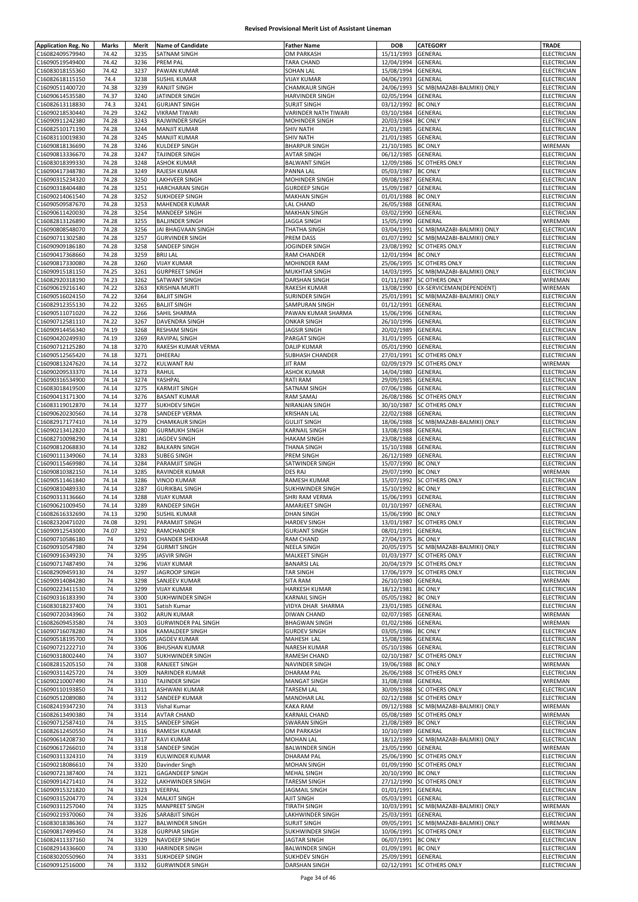| <b>Application Reg. No</b> | Marks | Merit | <b>Name of Candidate</b>   | <b>Father Name</b>     | <b>DOB</b>         | <b>CATEGORY</b>                       | TRADE              |
|----------------------------|-------|-------|----------------------------|------------------------|--------------------|---------------------------------------|--------------------|
| C16082409579940            | 74.42 | 3235  | SATNAM SINGH               | OM PARKASH             | 15/11/1993         | GENERAL                               | ELECTRICIAN        |
| C16090519549400            | 74.42 | 3236  | <b>PREM PAL</b>            | <b>TARA CHAND</b>      | 12/04/1994         | GENERAL                               | ELECTRICIAN        |
| C16083018155360            | 74.42 | 3237  | PAWAN KUMAR                | <b>SOHAN LAL</b>       | 15/08/1994         | GENERAL                               | ELECTRICIAN        |
| C16082618115150            |       |       |                            |                        |                    |                                       |                    |
|                            | 74.4  | 3238  | <b>SUSHIL KUMAR</b>        | <b>VIJAY KUMAR</b>     | 04/06/1993         | GENERAL                               | ELECTRICIAN        |
| C16090511400720            | 74.38 | 3239  | <b>RANJIT SINGH</b>        | CHAMKAUR SINGH         | 24/06/1993         | SC MB(MAZABI-BALMIKI) ONLY            | ELECTRICIAN        |
| C16090614535580            | 74.37 | 3240  | JATINDER SINGH             | <b>HARVINDER SINGH</b> | 02/05/1994         | GENERAL                               | ELECTRICIAN        |
| C16082613118830            | 74.3  | 3241  | <b>GURJANT SINGH</b>       | <b>SURJIT SINGH</b>    | 03/12/1992         | <b>BC ONLY</b>                        | ELECTRICIAN        |
| C16090218530440            | 74.29 | 3242  | <b>VIKRAM TIWARI</b>       | VARINDER NATH TIWARI   | 03/10/1984         | GENERAL                               | ELECTRICIAN        |
| C16090911242380            | 74.28 | 3243  | RAJWINDER SINGH            | MOHINDER SINGH         | 20/03/1984         | <b>BC ONLY</b>                        | ELECTRICIAN        |
| C16082510171190            | 74.28 | 3244  | <b>MANJIT KUMAR</b>        | <b>SHIV NATH</b>       | 21/01/1985         | GENERAL                               | ELECTRICIAN        |
| C16083110019830            | 74.28 | 3245  | <b>MANJIT KUMAR</b>        | <b>SHIV NATH</b>       | 21/01/1985         | GENERAL                               | ELECTRICIAN        |
| C16090818136690            | 74.28 | 3246  | <b>KULDEEP SINGH</b>       | <b>BHARPUR SINGH</b>   | 21/10/1985         | <b>BC ONLY</b>                        | WIREMAN            |
| C16090813336670            | 74.28 | 3247  | <b>TAJINDER SINGH</b>      | <b>AVTAR SINGH</b>     | 06/12/1985         | GENERAL                               | <b>ELECTRICIAN</b> |
| C16083018399330            | 74.28 | 3248  | <b>ASHOK KUMAR</b>         | <b>BALWANT SINGH</b>   | 12/09/1986         | <b>SC OTHERS ONLY</b>                 | ELECTRICIAN        |
| C16090417348780            | 74.28 | 3249  | RAJESH KUMAR               | PANNA LAL              | 05/03/1987         | <b>BC ONLY</b>                        | ELECTRICIAN        |
| C16090315234320            | 74.28 | 3250  | LAKHVEER SINGH             | MOHINDER SINGH         | 09/08/1987         | GENERAL                               | ELECTRICIAN        |
| C16090318404480            | 74.28 | 3251  | <b>HARCHARAN SINGH</b>     | <b>GURDEEP SINGH</b>   | 15/09/1987         | GENERAL                               | ELECTRICIAN        |
| C16090214061540            | 74.28 | 3252  | SUKHDEEP SINGH             | <b>MAKHAN SINGH</b>    | 01/01/1988         | <b>BC ONLY</b>                        | ELECTRICIAN        |
| C16090509587670            | 74.28 | 3253  | <b>MAHENDER KUMAR</b>      | LAL CHAND              | 26/05/1988         | GENERAL                               | ELECTRICIAN        |
|                            |       |       |                            |                        |                    | GENERAL                               |                    |
| C16090611420030            | 74.28 | 3254  | MANDEEP SINGH              | MAKHAN SINGH           | 03/02/1990         |                                       | ELECTRICIAN        |
| C16082813126890            | 74.28 | 3255  | <b>BALJINDER SINGH</b>     | JAGGA SINGH            | 15/05/1990         | GENERAL                               | WIREMAN            |
| C16090808548070            | 74.28 | 3256  | JAI BHAGVAAN SINGH         | THATHA SINGH           | 03/04/1991         | SC MB(MAZABI-BALMIKI) ONLY            | ELECTRICIAN        |
| C16090711302580            | 74.28 | 3257  | <b>GURVINDER SINGH</b>     | PREM DASS              | 01/07/1992         | SC MB(MAZABI-BALMIKI) ONLY            | ELECTRICIAN        |
| C16090909186180            | 74.28 | 3258  | SANDEEP SINGH              | JOGINDER SINGH         | 23/08/1992         | <b>SC OTHERS ONLY</b>                 | ELECTRICIAN        |
| C16090417368660            | 74.28 | 3259  | <b>BRIJ LAL</b>            | RAM CHANDER            | 12/01/1994         | <b>BC ONLY</b>                        | ELECTRICIAN        |
| C16090817330080            | 74.28 | 3260  | <b>VIJAY KUMAR</b>         | MOHINDER RAM           | 25/06/1995         | SC OTHERS ONLY                        | ELECTRICIAN        |
| C16090915181150            | 74.25 | 3261  | <b>GURPREET SINGH</b>      | <b>MUKHTAR SINGH</b>   | 14/03/1995         | SC MB(MAZABI-BALMIKI) ONLY            | ELECTRICIAN        |
| C16082920318190            | 74.23 | 3262  | SATWANT SINGH              | DARSHAN SINGH          | 01/11/1987         | <b>SC OTHERS ONLY</b>                 | WIREMAN            |
| C16090619216140            | 74.22 | 3263  | <b>KRISHNA MURTI</b>       | RAKESH KUMAR           | 13/08/1990         | EX-SERVICEMAN(DEPENDENT)              | WIREMAN            |
| C16090516024150            | 74.22 | 3264  | <b>BALJIT SINGH</b>        | SURINDER SINGH         | 25/01/1991         | SC MB(MAZABI-BALMIKI) ONLY            | ELECTRICIAN        |
| C16082912355130            | 74.22 | 3265  | <b>BALJIT SINGH</b>        | SAMPURAN SINGH         | 01/12/1991         | GENERAL                               | ELECTRICIAN        |
| C16090511071020            | 74.22 | 3266  | SAHIL SHARMA               | PAWAN KUMAR SHARMA     | 15/06/1996         | GENERAL                               | ELECTRICIAN        |
|                            | 74.22 |       |                            |                        | 26/10/1996         | GENERAL                               |                    |
| C16090712581110            |       | 3267  | DAVENDRA SINGH             | <b>ONKAR SINGH</b>     |                    |                                       | ELECTRICIAN        |
| C16090914456340            | 74.19 | 3268  | <b>RESHAM SINGH</b>        | <b>JAGSIR SINGH</b>    | 20/02/1989         | GENERAL                               | <b>ELECTRICIAN</b> |
| C16090420249930            | 74.19 | 3269  | RAVIPAL SINGH              | PARGAT SINGH           | 31/01/1995         | GENERAL                               | ELECTRICIAN        |
| C16090712125280            | 74.18 | 3270  | RAKESH KUMAR VERMA         | <b>DALIP KUMAR</b>     | 05/01/1990         | GENERAL                               | ELECTRICIAN        |
| C16090512565420            | 74.18 | 3271  | DHEERAJ                    | SUBHASH CHANDER        | 27/01/1991         | <b>SC OTHERS ONLY</b>                 | ELECTRICIAN        |
| C16090813247620            | 74.14 | 3272  | <b>KULWANT RAI</b>         | <b>JIT RAM</b>         | 02/09/1979         | <b>SC OTHERS ONLY</b>                 | WIREMAN            |
| C16090209533370            | 74.14 | 3273  | RAHUL                      | <b>ASHOK KUMAR</b>     | 14/04/1980         | GENERAL                               | ELECTRICIAN        |
| C16090316534900            | 74.14 | 3274  | YASHPAL                    | RATI RAM               | 29/09/1985         | GENERAL                               | ELECTRICIAN        |
| C16083018419500            | 74.14 | 3275  | <b>KARMJIT SINGH</b>       | SATNAM SINGH           | 07/06/1986         | GENERAL                               | ELECTRICIAN        |
| C16090413171300            | 74.14 | 3276  | <b>BASANT KUMAR</b>        | RAM SAMAJ              | 26/08/1986         | <b>SC OTHERS ONLY</b>                 | ELECTRICIAN        |
| C16083119012870            | 74.14 | 3277  | <b>SUKHDEV SINGH</b>       | NIRANJAN SINGH         | 30/10/1987         | <b>SC OTHERS ONLY</b>                 | ELECTRICIAN        |
|                            | 74.14 | 3278  | SANDEEP VERMA              | <b>KRISHAN LAL</b>     | 22/02/1988         | GENERAL                               | ELECTRICIAN        |
| C16090620230560            |       |       |                            |                        |                    |                                       |                    |
| C16082917177410            | 74.14 | 3279  | <b>CHAMKAUR SINGH</b>      | <b>GULJIT SINGH</b>    | 18/06/1988         | SC MB(MAZABI-BALMIKI) ONLY            | ELECTRICIAN        |
| C16090213412820            | 74.14 | 3280  | <b>GURMUKH SINGH</b>       | <b>KARNAIL SINGH</b>   | 13/08/1988         | GENERAL                               | ELECTRICIAN        |
| C16082710098290            | 74.14 | 3281  | JAGDEV SINGH               | <b>HAKAM SINGH</b>     | 23/08/1988         | GENERAL                               | ELECTRICIAN        |
| C16090812068830            | 74.14 | 3282  | <b>BALKARN SINGH</b>       | THANA SINGH            | 15/10/1988         | GENERAL                               | ELECTRICIAN        |
| C16090111349060            | 74.14 | 3283  | <b>SUBEG SINGH</b>         | PREM SINGH             | 26/12/1989         | GENERAL                               | ELECTRICIAN        |
| C16090115469980            | 74.14 | 3284  | PARAMJIT SINGH             | SATWINDER SINGH        | 15/07/1990         | <b>BC ONLY</b>                        | ELECTRICIAN        |
| C16090810382150            | 74.14 | 3285  | <b>RAVINDER KUMAR</b>      | DES RAJ                | 29/07/1990         | <b>BC ONLY</b>                        | WIREMAN            |
| C16090511461840            | 74.14 | 3286  | <b>VINOD KUMAR</b>         | RAMESH KUMAR           | 15/07/1992         | <b>SC OTHERS ONLY</b>                 | ELECTRICIAN        |
| C16090810489330            | 74.14 | 3287  | <b>GURIKBAL SINGH</b>      | SUKHWINDER SINGH       | 15/10/1992         | <b>BC ONLY</b>                        | <b>ELECTRICIAN</b> |
| C16090313136660            | 74.14 | 3288  | <b>VIJAY KUMAR</b>         | SHRI RAM VERMA         | 15/06/1993         | GENERAL                               | ELECTRICIAN        |
| C16090621009450            | 74.14 | 3289  | <b>RANDEEP SINGH</b>       | AMARJEET SINGH         | 01/10/1997         | GENERAL                               | ELECTRICIAN        |
| C16082616332690            | 74.13 | 3290  | <b>SUSHIL KUMAR</b>        | <b>DHAN SINGH</b>      | 15/06/1990         | <b>BC ONLY</b>                        | ELECTRICIAN        |
| C16082320471020            | 74.08 | 3291  | <b>PARAMJIT SINGH</b>      | HARDEV SINGH           |                    | 13/01/1987 SC OTHERS ONLY             | ELECTRICIAN        |
| C16090912543000            | 74.07 | 3292  | RAMCHANDER                 | <b>GURJANT SINGH</b>   | 08/01/1991 GENERAL |                                       | ELECTRICIAN        |
| C16090710586180            | 74    | 3293  | <b>CHANDER SHEKHAR</b>     | RAM CHAND              | 27/04/1975 BC ONLY |                                       | ELECTRICIAN        |
| C16090910547980            |       | 3294  |                            |                        |                    |                                       | <b>ELECTRICIAN</b> |
|                            | 74    |       | <b>GURMIT SINGH</b>        | NEELA SINGH            |                    | 20/05/1975 SC MB(MAZABI-BALMIKI) ONLY |                    |
| C16090916349230            | 74    | 3295  | <b>JASVIR SINGH</b>        | MALKEET SINGH          |                    | 01/03/1977 SC OTHERS ONLY             | ELECTRICIAN        |
| C16090717487490            | 74    | 3296  | <b>VIJAY KUMAR</b>         | <b>BANARSI LAL</b>     |                    | 20/04/1979 SC OTHERS ONLY             | ELECTRICIAN        |
| C16082909459130            | 74    | 3297  | <b>JAGROOP SINGH</b>       | <b>TAR SINGH</b>       | 17/06/1979         | <b>SC OTHERS ONLY</b>                 | ELECTRICIAN        |
| C16090914084280            | 74    | 3298  | SANJEEV KUMAR              | SITA RAM               | 26/10/1980         | GENERAL                               | WIREMAN            |
| C16090223411530            | 74    | 3299  | <b>VIJAY KUMAR</b>         | <b>HARKESH KUMAR</b>   | 18/12/1981 BC ONLY |                                       | ELECTRICIAN        |
| C16090316183390            | 74    | 3300  | <b>SUKHWINDER SINGH</b>    | KARNAIL SINGH          | 05/05/1982         | <b>BC ONLY</b>                        | <b>ELECTRICIAN</b> |
| C16083018237400            | 74    | 3301  | Satish Kumar               | VIDYA DHAR SHARMA      | 23/01/1985         | GENERAL                               | ELECTRICIAN        |
| C16090720343960            | 74    | 3302  | <b>ARUN KUMAR</b>          | DIWAN CHAND            | 02/07/1985         | GENERAL                               | WIREMAN            |
| C16082609453580            | 74    | 3303  | <b>GURWINDER PAL SINGH</b> | <b>BHAGWAN SINGH</b>   | 01/02/1986         | GENERAL                               | WIREMAN            |
| C16090716078280            | 74    | 3304  | <b>KAMALDEEP SINGH</b>     | <b>GURDEV SINGH</b>    | 03/05/1986         | <b>BC ONLY</b>                        | ELECTRICIAN        |
| C16090518195700            | 74    | 3305  | <b>JAGDEV KUMAR</b>        | MAHESH LAL             | 15/08/1986         | GENERAL                               | ELECTRICIAN        |
| C16090721222710            | 74    | 3306  | <b>BHUSHAN KUMAR</b>       | NARESH KUMAR           | 05/10/1986         | GENERAL                               | ELECTRICIAN        |
| C16090318002440            | 74    | 3307  | <b>SUKHWINDER SINGH</b>    | RAMESH CHAND           | 02/10/1987         | <b>SC OTHERS ONLY</b>                 | ELECTRICIAN        |
| C16082815205150            | 74    | 3308  | RANJEET SINGH              | NAVINDER SINGH         | 19/06/1988         | <b>BC ONLY</b>                        | WIREMAN            |
| C16090311425720            | 74    | 3309  | NARINDER KUMAR             | <b>DHARAM PAL</b>      |                    | 26/06/1988 SC OTHERS ONLY             | ELECTRICIAN        |
| C16090210007490            | 74    | 3310  | <b>TAJINDER SINGH</b>      | <b>MANGAT SINGH</b>    | 31/08/1988         | GENERAL                               | WIREMAN            |
| C16090110193850            | 74    | 3311  | <b>ASHWANI KUMAR</b>       | <b>TARSEM LAL</b>      | 30/09/1988         | <b>SC OTHERS ONLY</b>                 | ELECTRICIAN        |
| C16090512089080            | 74    | 3312  | SANDEEP KUMAR              | <b>MANOHAR LAL</b>     | 02/12/1988         | <b>SC OTHERS ONLY</b>                 | ELECTRICIAN        |
| C16082419347230            | 74    | 3313  |                            | <b>KAKA RAM</b>        | 09/12/1988         |                                       | WIREMAN            |
|                            |       |       | Vishal Kumar               |                        |                    | SC MB(MAZABI-BALMIKI) ONLY            |                    |
| C16082613490380            | 74    | 3314  | <b>AVTAR CHAND</b>         | <b>KARNAIL CHAND</b>   |                    | 05/08/1989 SC OTHERS ONLY             | WIREMAN            |
| C16090712587410            | 74    | 3315  | SANDEEP SINGH              | <b>SWARAN SINGH</b>    | 21/08/1989         | <b>BC ONLY</b>                        | ELECTRICIAN        |
| C16082612450550            | 74    | 3316  | <b>RAMESH KUMAR</b>        | OM PARKASH             | 10/10/1989         | GENERAL                               | ELECTRICIAN        |
| C16090614208730            | 74    | 3317  | <b>RAVI KUMAR</b>          | MOHAN LAL              | 18/12/1989         | SC MB(MAZABI-BALMIKI) ONLY            | <b>ELECTRICIAN</b> |
| C16090617266010            | 74    | 3318  | SANDEEP SINGH              | <b>BALWINDER SINGH</b> | 23/05/1990         | GENERAL                               | WIREMAN            |
| C16090311324310            | 74    | 3319  | <b>KULWINDER KUMAR</b>     | <b>DHARAM PAL</b>      |                    | 25/06/1990 SC OTHERS ONLY             | ELECTRICIAN        |
| C16090218086610            | 74    | 3320  | Davinder Singh             | <b>MOHAN SINGH</b>     |                    | 01/09/1990 SC OTHERS ONLY             | ELECTRICIAN        |
| C16090721387400            | 74    | 3321  | <b>GAGANDEEP SINGH</b>     | MEHAL SINGH            | 20/10/1990 BC ONLY |                                       | ELECTRICIAN        |
| C16090914271410            | 74    | 3322  | LAKHWINDER SINGH           | <b>TARESM SINGH</b>    | 27/12/1990         | <b>SC OTHERS ONLY</b>                 | <b>ELECTRICIAN</b> |
| C16090915321820            | 74    | 3323  | VEERPAL                    | <b>JAGMAIL SINGH</b>   | 01/01/1991         | GENERAL                               | ELECTRICIAN        |
| C16090315204770            | 74    | 3324  | <b>MALKIT SINGH</b>        | AJIT SINGH             | 05/03/1991         | <b>GENERAL</b>                        | ELECTRICIAN        |
| C16090311257040            | 74    | 3325  | <b>MANPREET SINGH</b>      | <b>TIRATH SINGH</b>    | 10/03/1991         | SC MB(MAZABI-BALMIKI) ONLY            | WIREMAN            |
| C16090219370060            | 74    | 3326  | SARABJIT SINGH             | LAKHWINDER SINGH       | 25/03/1991         | <b>GENERAL</b>                        | ELECTRICIAN        |
| C16083018386360            | 74    | 3327  | <b>BALWINDER SINGH</b>     | <b>SURJIT SINGH</b>    | 09/05/1991         | SC MB(MAZABI-BALMIKI) ONLY            | WIREMAN            |
| C16090817499450            | 74    | 3328  | <b>GURPIAR SINGH</b>       | SUKHWINDER SINGH       | 10/06/1991         | <b>SC OTHERS ONLY</b>                 | ELECTRICIAN        |
| C16082411337160            | 74    | 3329  | NAVDEEP SINGH              | JAGTAR SINGH           | 06/07/1991 BC ONLY |                                       | ELECTRICIAN        |
|                            |       |       |                            |                        | 01/09/1991 BC ONLY |                                       | <b>ELECTRICIAN</b> |
| C16082914336600            | 74    | 3330  | <b>HARINDER SINGH</b>      | <b>BALWINDER SINGH</b> |                    |                                       |                    |
| C16083020550960            | 74    | 3331  | SUKHDEEP SINGH             | <b>SUKHDEV SINGH</b>   | 25/09/1991 GENERAL |                                       | <b>ELECTRICIAN</b> |
| C16090912516000            | 74    | 3332  | <b>GURWINDER SINGH</b>     | <b>DARSHAN SINGH</b>   |                    | 02/12/1991 SC OTHERS ONLY             | <b>ELECTRICIAN</b> |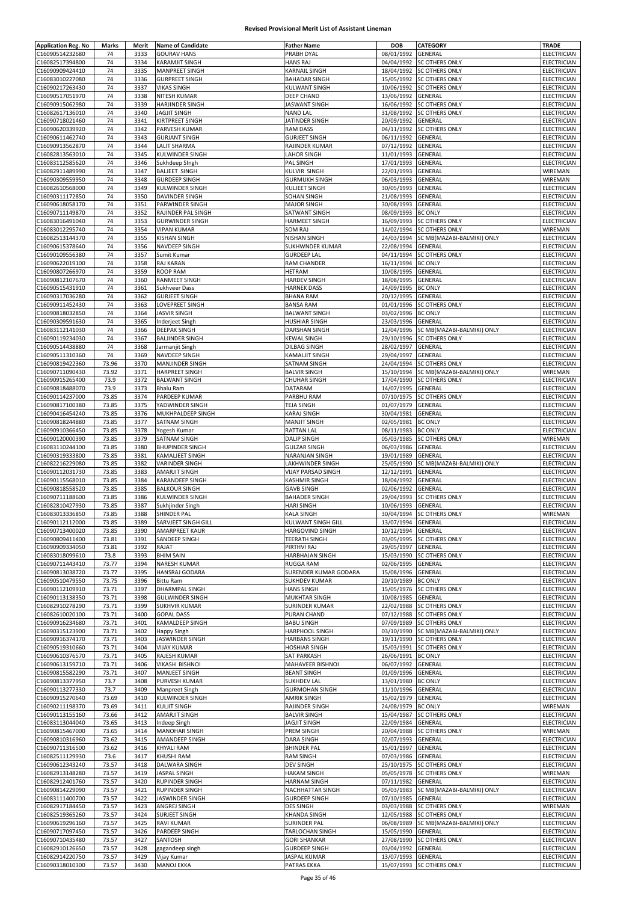| C16090514232680                    | <b>Marks</b>   | Merit        | <b>Name of Candidate</b>                      | <b>Father Name</b>                             | DOB                              | <b>CATEGORY</b>                       | TRADE                      |
|------------------------------------|----------------|--------------|-----------------------------------------------|------------------------------------------------|----------------------------------|---------------------------------------|----------------------------|
|                                    | 74             | 3333         | <b>GOURAV HANS</b>                            | PRABH DYAL                                     | 08/01/1992                       | GENERAL                               | ELECTRICIAN                |
| C16082517394800                    | 74             | 3334         | <b>KARAMJIT SINGH</b>                         | <b>HANS RAJ</b>                                | 04/04/1992                       | <b>SC OTHERS ONLY</b>                 | ELECTRICIAN                |
| C16090909424410                    | 74             | 3335         | <b>MANPREET SINGH</b>                         | <b>KARNAIL SINGH</b>                           |                                  | 18/04/1992 SC OTHERS ONLY             | ELECTRICIAN                |
| C16083010227080                    | 74             | 3336         | <b>GURPREET SINGH</b>                         | <b>BAHADAR SINGH</b>                           | 15/05/1992                       | <b>SC OTHERS ONLY</b>                 | ELECTRICIAN                |
| C16090217263430                    | 74             | 3337         | <b>VIKAS SINGH</b>                            | <b>KULWANT SINGH</b>                           | 10/06/1992                       | <b>SC OTHERS ONLY</b>                 | ELECTRICIAN                |
| C16090517051970                    | 74             | 3338         | NITESH KUMAR                                  | DEEP CHAND                                     | 13/06/1992                       | <b>GENERAL</b>                        | ELECTRICIAN                |
| C16090915062980                    | 74             | 3339         | <b>HARJINDER SINGH</b>                        | JASWANT SINGH                                  | 16/06/1992                       | <b>SC OTHERS ONLY</b>                 | ELECTRICIAN                |
| C16082617136010                    | 74             | 3340         | JAGJIT SINGH                                  | <b>NAND LAL</b>                                | 31/08/1992                       | <b>SC OTHERS ONLY</b>                 | ELECTRICIAN                |
| C16090718021460                    | 74             | 3341         | KIRTPREET SINGH                               | JATINDER SINGH                                 | 20/09/1992                       | GENERAL                               | <b>ELECTRICIAN</b>         |
| C16090620339920                    | 74             | 3342         | PARVESH KUMAR                                 | <b>RAM DASS</b>                                | 04/11/1992                       | <b>SC OTHERS ONLY</b>                 | ELECTRICIAN                |
| C16090611462740                    | 74             | 3343         | <b>GURJANT SINGH</b>                          | <b>GURJEET SINGH</b>                           | 06/11/1992                       | GENERAL                               | ELECTRICIAN                |
| C16090913562870<br>C16082813563010 | 74<br>74       | 3344         | <b>LALIT SHARMA</b>                           | RAJINDER KUMAR                                 | 07/12/1992<br>11/01/1993         | GENERAL                               | ELECTRICIAN                |
| C16083112585620                    | 74             | 3345<br>3346 | KULWINDER SINGH<br>Sukhdeep SIngh             | <b>LAHOR SINGH</b><br>PAL SINGH                | 17/01/1993                       | <b>GENERAL</b><br>GENERAL             | ELECTRICIAN<br>ELECTRICIAN |
| C16082911489990                    | 74             | 3347         | <b>BALJEET SINGH</b>                          | KULVIR SINGH                                   | 22/01/1993                       | GENERAL                               | WIREMAN                    |
| C16090309559950                    | 74             | 3348         | <b>GURDEEP SINGH</b>                          | <b>GURMUKH SINGH</b>                           | 06/03/1993                       | GENERAL                               | WIREMAN                    |
| C16082610568000                    | 74             | 3349         | KULWINDER SINGH                               | <b>KULJEET SINGH</b>                           | 30/05/1993                       | GENERAL                               | ELECTRICIAN                |
| C16090311172850                    | 74             | 3350         | DAVINDER SINGH                                | SOHAN SINGH                                    | 21/08/1993                       | <b>GENERAL</b>                        | ELECTRICIAN                |
| C16090618058170                    | 74             | 3351         | PARWINDER SINGH                               | <b>MAJOR SINGH</b>                             | 30/08/1993                       | GENERAL                               | ELECTRICIAN                |
| C16090711149870                    | 74             | 3352         | RAJINDER PAL SINGH                            | SATWANT SINGH                                  | 08/09/1993                       | <b>BC ONLY</b>                        | ELECTRICIAN                |
| C16083016491040                    | 74             | 3353         | <b>GURWINDER SINGH</b>                        | <b>HARMEET SINGH</b>                           | 16/09/1993                       | <b>SC OTHERS ONLY</b>                 | ELECTRICIAN                |
| C16083012295740                    | 74             | 3354         | <b>VIPAN KUMAR</b>                            | SOM RAJ                                        | 14/02/1994                       | <b>SC OTHERS ONLY</b>                 | WIREMAN                    |
| C16082513144370                    | 74             | 3355         | <b>KISHAN SINGH</b>                           | NISHAN SINGH                                   | 24/03/1994                       | SC MB(MAZABI-BALMIKI) ONLY            | ELECTRICIAN                |
| C16090615378640                    | 74             | 3356         | NAVDEEP SINGH                                 | SUKHWNDER KUMAR                                | 22/08/1994                       | GENERAL                               | ELECTRICIAN                |
| C16090109556380                    | 74             | 3357         | Sumit Kumar                                   | <b>GURDEEP LAL</b>                             | 04/11/1994                       | SC OTHERS ONLY                        | ELECTRICIAN                |
| C16090622019100                    | 74             | 3358         | RAJ KARAN                                     | RAM CHANDER                                    | 16/11/1994                       | <b>BC ONLY</b>                        | ELECTRICIAN                |
| C16090807266970                    | 74             | 3359         | <b>ROOP RAM</b>                               | <b>HETRAM</b>                                  | 10/08/1995                       | <b>GENERAL</b>                        | ELECTRICIAN                |
| C16090812107670                    | 74             | 3360         | RANMEET SINGH                                 | <b>HARDEV SINGH</b>                            | 18/08/1995                       | <b>GENERAL</b>                        | ELECTRICIAN                |
| C16090515431910                    | 74             | 3361         | <b>Sukhveer Dass</b>                          | <b>HARNEK DASS</b>                             | 24/09/1995                       | <b>BC ONLY</b><br><b>GENERAL</b>      | ELECTRICIAN                |
| C16090317036280<br>C16090911452430 | 74<br>74       | 3362<br>3363 | <b>GURJEET SINGH</b><br>LOVEPREET SINGH       | <b>BHANA RAM</b><br><b>BANSA RAM</b>           | 20/12/1995<br>01/01/1996         | <b>SC OTHERS ONLY</b>                 | ELECTRICIAN<br>ELECTRICIAN |
| C16090818032850                    | 74             | 3364         | <b>JASVIR SINGH</b>                           | <b>BALWANT SINGH</b>                           | 03/02/1996                       | <b>BC ONLY</b>                        | ELECTRICIAN                |
| C16090309591630                    | 74             | 3365         | Inderjeet Singh                               | HUSHIAR SINGH                                  | 23/03/1996                       | GENERAL                               | ELECTRICIAN                |
| C16083112141030                    | 74             | 3366         | <b>DEEPAK SINGH</b>                           | <b>DARSHAN SINGH</b>                           | 12/04/1996                       | SC MB(MAZABI-BALMIKI) ONLY            | ELECTRICIAN                |
| C16090119234030                    | 74             | 3367         | <b>BALJINDER SINGH</b>                        | KEWAL SINGH                                    | 29/10/1996                       | <b>SC OTHERS ONLY</b>                 | ELECTRICIAN                |
| C16090514438880                    | 74             | 3368         | Jarmanjit Singh                               | DILBAG SINGH                                   | 28/02/1997                       | GENERAL                               | ELECTRICIAN                |
| C16090511310360                    | 74             | 3369         | NAVDEEP SINGH                                 | KAMALJIT SINGH                                 | 29/04/1997                       | <b>GENERAL</b>                        | ELECTRICIAN                |
| C16090819422360                    | 73.96          | 3370         | MANJINDER SINGH                               | SATNAM SINGH                                   | 24/04/1994                       | <b>SC OTHERS ONLY</b>                 | ELECTRICIAN                |
| C16090711090430                    | 73.92          | 3371         | <b>HARPREET SINGH</b>                         | <b>BALVIR SINGH</b>                            | 15/10/1994                       | SC MB(MAZABI-BALMIKI) ONLY            | WIREMAN                    |
| C16090915265400                    | 73.9           | 3372         | <b>BALWANT SINGH</b>                          | <b>CHUHAR SINGH</b>                            | 17/04/1990                       | <b>SC OTHERS ONLY</b>                 | ELECTRICIAN                |
| C16090818488070                    | 73.9           | 3373         | <b>Bhalu Ram</b>                              | DATARAM                                        | 14/07/1995                       | GENERAL                               | ELECTRICIAN                |
| C16090114237000                    | 73.85          | 3374         | PARDEEP KUMAR                                 | PARBHU RAM                                     | 07/10/1975                       | <b>SC OTHERS ONLY</b>                 | ELECTRICIAN                |
| C16090817100380                    | 73.85          | 3375         | YADWINDER SINGH                               | TEJA SINGH                                     | 01/07/1979                       | <b>GENERAL</b>                        | ELECTRICIAN                |
| C16090416454240                    | 73.85          | 3376<br>3377 | MUKHPALDEEP SINGH                             | KARAJ SINGH<br><b>MANJIT SINGH</b>             | 30/04/1981                       | GENERAL                               | ELECTRICIAN                |
| C16090818244880<br>C16090910366450 | 73.85<br>73.85 | 3378         | SATNAM SINGH<br>Yogesh Kumar                  | <b>RATTAN LAL</b>                              | 02/05/1981<br>08/11/1983         | <b>BC ONLY</b><br><b>BC ONLY</b>      | ELECTRICIAN<br>ELECTRICIAN |
| C16090120000390                    | 73.85          | 3379         | SATNAM SINGH                                  | <b>DALIP SINGH</b>                             | 05/03/1985                       | <b>SC OTHERS ONLY</b>                 | WIREMAN                    |
| C16083110244100                    | 73.85          | 3380         | <b>BHUPINDER SINGH</b>                        | <b>GULZAR SINGH</b>                            | 06/03/1986                       | <b>GENERAL</b>                        | ELECTRICIAN                |
| C16090319333800                    | 73.85          | 3381         | KAMALJEET SINGH                               | NARANJAN SINGH                                 | 19/01/1989                       | GENERAL                               | ELECTRICIAN                |
| C16082216229080                    | 73.85          | 3382         | <b>VARINDER SINGH</b>                         | LAKHWINDER SINGH                               | 25/05/1990                       | SC MB(MAZABI-BALMIKI) ONLY            | ELECTRICIAN                |
| C16090112031730                    | 73.85          | 3383         | AMARJIT SINGH                                 | VIJAY PARSAD SINGH                             | 12/12/1991                       | GENERAL                               | ELECTRICIAN                |
| C16090115568010                    | 73.85          | 3384         | KARANDEEP SINGH                               | KASHMIR SINGH                                  | 18/04/1992                       | GENERAL                               | ELECTRICIAN                |
| C16090818558520                    | 73.85          | 3385         | <b>BALKOUR SINGH</b>                          | <b>GAVB SINGH</b>                              | 02/06/1992                       | <b>GENERAL</b>                        | ELECTRICIAN                |
| C16090711188600                    | 73.85          | 3386         | <b>KULWINDER SINGH</b>                        | <b>BAHADER SINGH</b>                           | 29/04/1993                       | <b>SC OTHERS ONLY</b>                 | ELECTRICIAN                |
| C16082810427930                    | 73.85          | 3387         | Sukhjinder Singh                              | <b>HARI SINGH</b>                              | 10/06/1993                       | <b>GENERAL</b>                        | ELECTRICIAN                |
| C16083013336850<br>C16090112112000 | 73.85<br>73.85 | 3388<br>3389 | SHINDER PAL<br>SARVJEET SINGH GILL            | <b>KALA SINGH</b><br><b>KULWANT SINGH GILL</b> | 13/07/1994 GENERAL               | 30/04/1994 SC OTHERS ONLY             | WIREMAN<br>ELECTRICIAN     |
| C16090713400020                    | 73.85          | 3390         | <b>AMARPREET KAUR</b>                         | <b>HARGOVIND SINGH</b>                         | 10/12/1994 GENERAL               |                                       | ELECTRICIAN                |
|                                    |                |              |                                               | <b>TEERATH SINGH</b>                           | 03/05/1995                       | <b>SC OTHERS ONLY</b>                 |                            |
|                                    |                |              |                                               |                                                |                                  |                                       |                            |
| C16090809411400                    | 73.81          | 3391         | SANDEEP SINGH                                 |                                                |                                  |                                       | ELECTRICIAN                |
| C16090909334050                    | 73.81          | 3392         | RAJAT                                         | PIRTHVI RAJ                                    | 29/05/1997                       | <b>GENERAL</b>                        | ELECTRICIAN                |
| C16083018099610                    | 73.8           | 3393         | <b>BHIM SAIN</b>                              | HARBHAJAN SINGH                                |                                  | 15/03/1990 SC OTHERS ONLY             | ELECTRICIAN                |
| C16090711443410<br>C16090813038720 | 73.77<br>73.77 | 3394<br>3395 | NARESH KUMAR<br>HANSRAJ GODARA                | <b>RUGGA RAM</b><br>SURENDER KUMAR GODARA      | 02/06/1995<br>15/08/1996         | GENERAL<br>GENERAL                    | ELECTRICIAN<br>ELECTRICIAN |
| C16090510479550                    | 73.75          | 3396         | <b>Bittu Ram</b>                              | <b>SUKHDEV KUMAR</b>                           | 20/10/1989                       | <b>BC ONLY</b>                        | ELECTRICIAN                |
| C16090112109910                    | 73.71          | 3397         | DHARMPAL SINGH                                | <b>HANS SINGH</b>                              |                                  | 15/05/1976 SC OTHERS ONLY             | ELECTRICIAN                |
| C16090113138350                    | 73.71          | 3398         | <b>GULWINDER SINGH</b>                        | MUKHTAR SINGH                                  | 10/08/1985 GENERAL               |                                       | ELECTRICIAN                |
| C16082910278290                    | 73.71          | 3399         | <b>SUKHVIR KUMAR</b>                          | SURINDER KUMAR                                 | 22/02/1988                       | <b>SC OTHERS ONLY</b>                 | ELECTRICIAN                |
| C16082610020100                    | 73.71          | 3400         | <b>GOPAL DASS</b>                             | PURAN CHAND                                    |                                  | 07/12/1988 SC OTHERS ONLY             | ELECTRICIAN                |
| C16090916234680                    | 73.71          | 3401         | <b>KAMALDEEP SINGH</b>                        | <b>BABU SINGH</b>                              |                                  | 07/09/1989 SC OTHERS ONLY             | ELECTRICIAN                |
| C16090315123900                    | 73.71          | 3402         | <b>Happy Singh</b>                            | HARPHOOL SINGH                                 |                                  | 03/10/1990 SC MB(MAZABI-BALMIKI) ONLY | ELECTRICIAN                |
| C16090916374170                    | 73.71          | 3403         | JASWINDER SINGH                               | <b>HARBANS SINGH</b>                           |                                  | 19/11/1990 SC OTHERS ONLY             | ELECTRICIAN                |
| C16090519310660                    | 73.71          | 3404         | <b>VIJAY KUMAR</b>                            | <b>HOSHIAR SINGH</b>                           |                                  | 15/03/1991 SC OTHERS ONLY             | ELECTRICIAN                |
| C16090610376570                    | 73.71          | 3405         | RAJESH KUMAR                                  | <b>SAT PARKASH</b>                             | 26/06/1991 BC ONLY               |                                       | ELECTRICIAN                |
| C16090613159710<br>C16090815582290 | 73.71<br>73.71 | 3406<br>3407 | <b>VIKASH BISHNOI</b><br><b>MANJEET SINGH</b> | MAHAVEER BISHNOI<br><b>BEANT SINGH</b>         | 06/07/1992<br>01/09/1996         | GENERAL<br><b>GENERAL</b>             | ELECTRICIAN<br>ELECTRICIAN |
| C16090813377950                    | 73.7           | 3408         | PURVESH KUMAR                                 | <b>SUKHDEV LAL</b>                             | 13/01/1980 BC ONLY               |                                       | ELECTRICIAN                |
| C16090113277330                    | 73.7           | 3409         | Manpreet Singh                                | <b>GURMOHAN SINGH</b>                          | 11/10/1996                       | GENERAL                               | ELECTRICIAN                |
| C16090915270640                    | 73.69          | 3410         | KULWINDER SINGH                               | <b>AMRIK SINGH</b>                             | 15/02/1979                       | GENERAL                               | ELECTRICIAN                |
| C16090211198370                    | 73.69          | 3411         | <b>KULJIT SINGH</b>                           | RAJINDER SINGH                                 | 24/08/1979                       | <b>BC ONLY</b>                        | WIREMAN                    |
| C16090113155160                    | 73.66          | 3412         | AMARJIT SINGH                                 | <b>BALVIR SINGH</b>                            | 15/04/1987                       | <b>SC OTHERS ONLY</b>                 | ELECTRICIAN                |
| C16083113044040                    | 73.65          | 3413         | Indeep Singh                                  | JAGJIT SINGH                                   | 22/09/1984                       | GENERAL                               | ELECTRICIAN                |
| C16090815467000                    | 73.65          | 3414         | <b>MANOHAR SINGH</b>                          | PREM SINGH                                     | 20/04/1988                       | <b>SC OTHERS ONLY</b>                 | WIREMAN                    |
| C16090810316960                    | 73.62          | 3415         | AMANDEEP SINGH                                | <b>DARA SINGH</b>                              | 02/07/1993                       | <b>GENERAL</b>                        | ELECTRICIAN                |
| C16090711316500<br>C16082511129930 | 73.62<br>73.6  | 3416<br>3417 | <b>KHYALI RAM</b><br><b>KHUSHI RAM</b>        | <b>BHINDER PAL</b><br><b>RAM SINGH</b>         | 15/01/1997<br>07/03/1986         | GENERAL<br>GENERAL                    | ELECTRICIAN<br>ELECTRICIAN |
| C16090612343240                    | 73.57          | 3418         | DALWARA SINGH                                 | <b>DEV SINGH</b>                               |                                  | 25/10/1975 SC OTHERS ONLY             | ELECTRICIAN                |
| C16082913148280                    | 73.57          | 3419         | <b>JASPAL SINGH</b>                           | <b>HAKAM SINGH</b>                             | 05/05/1978                       | <b>SC OTHERS ONLY</b>                 | WIREMAN                    |
| C16082912401760                    | 73.57          | 3420         | RUPINDER SINGH                                | <b>HARNAM SINGH</b>                            | 07/11/1982                       | GENERAL                               | ELECTRICIAN                |
| C16090814229090                    | 73.57          | 3421         | <b>RUPINDER SINGH</b>                         | NACHHATTAR SINGH                               | 05/03/1983                       | SC MB(MAZABI-BALMIKI) ONLY            | ELECTRICIAN                |
| C16083111400700                    | 73.57          | 3422         | <b>JASWINDER SINGH</b>                        | <b>GURDEEP SINGH</b>                           | 07/10/1985                       | <b>GENERAL</b>                        | ELECTRICIAN                |
| C16082917184450                    | 73.57          | 3423         | ANGREJ SINGH                                  | <b>DES SINGH</b>                               | 03/03/1988                       | <b>SC OTHERS ONLY</b>                 | WIREMAN                    |
| C16082519365260                    | 73.57          | 3424         | <b>SURJEET SINGH</b>                          | <b>KHANDA SINGH</b>                            | 12/05/1988                       | <b>SC OTHERS ONLY</b>                 | ELECTRICIAN                |
| C16090619296160                    | 73.57          | 3425         | <b>RAVI KUMAR</b>                             | <b>SURINDER PAL</b>                            | 06/08/1989                       | SC MB(MAZABI-BALMIKI) ONLY            | ELECTRICIAN                |
| C16090717097450                    | 73.57          | 3426         | PARDEEP SINGH                                 | TARLOCHAN SINGH                                | 15/05/1990                       | <b>GENERAL</b>                        | ELECTRICIAN                |
| C16090710435480                    | 73.57          | 3427         | SANTOSH                                       | <b>GORI SHANKAR</b>                            | 27/08/1990                       | <b>SC OTHERS ONLY</b>                 | ELECTRICIAN                |
| C16082910126650<br>C16082914220750 | 73.57<br>73.57 | 3428<br>3429 | gagandeep singh<br>Vijay Kumar                | <b>GURDEEP SINGH</b><br>JASPAL KUMAR           | 03/04/1992 GENERAL<br>13/07/1993 | GENERAL                               | ELECTRICIAN<br>ELECTRICIAN |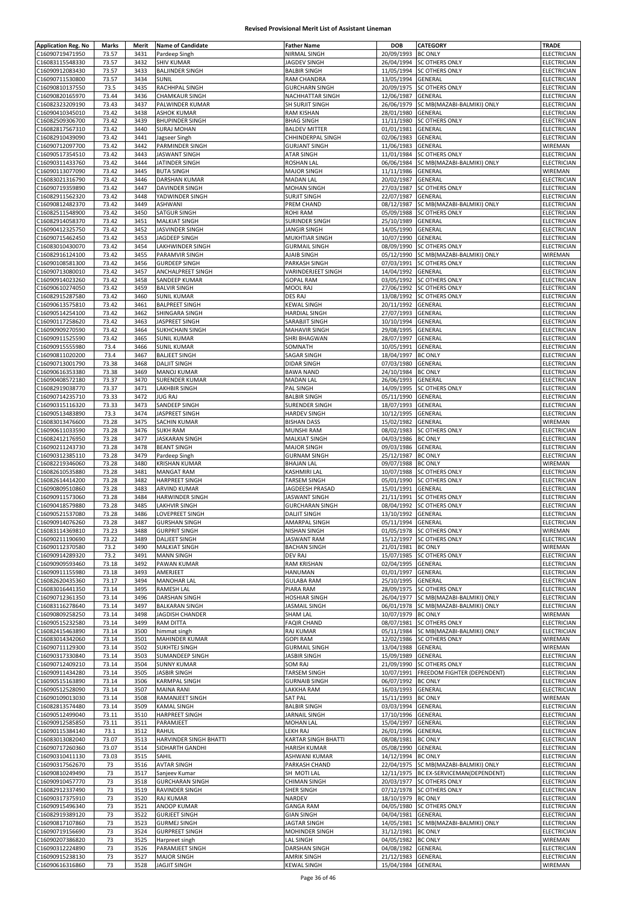| <b>Application Reg. No</b>         | Marks          | Merit        | <b>Name of Candidate</b>                        | <b>Father Name</b>                     | DOB                      | <b>CATEGORY</b>                                         | TRADE                      |
|------------------------------------|----------------|--------------|-------------------------------------------------|----------------------------------------|--------------------------|---------------------------------------------------------|----------------------------|
| C16090719471950                    | 73.57          | 3431         | Pardeep Singh                                   | NIRMAL SINGH                           | 20/09/1993               | <b>BC ONLY</b>                                          | ELECTRICIAN                |
| C16083115548330                    | 73.57          | 3432         | <b>SHIV KUMAR</b>                               | JAGDEV SINGH                           | 26/04/1994               | <b>SC OTHERS ONLY</b>                                   | ELECTRICIAN                |
| C16090912083430                    | 73.57          | 3433         | <b>BALJINDER SINGH</b>                          | <b>BALBIR SINGH</b>                    | 11/05/1994               | <b>SC OTHERS ONLY</b>                                   | ELECTRICIAN                |
| C16090711530800                    | 73.57          | 3434         | <b>SUNIL</b>                                    | RAM CHANDRA                            | 13/05/1994               | GENERAL                                                 | ELECTRICIAN                |
| C16090810137550                    | 73.5           | 3435         | RACHHPAL SINGH                                  | <b>GURCHARN SINGH</b>                  | 20/09/1975               | <b>SC OTHERS ONLY</b>                                   | ELECTRICIAN                |
| C16090820165970                    | 73.44          | 3436         | <b>CHAMKAUR SINGH</b>                           | <b>NACHHATTAR SINGH</b>                | 12/06/1987               | <b>GENERAL</b>                                          | ELECTRICIAN                |
| C16082323209190                    | 73.43          | 3437         | PALWINDER KUMAR                                 | SH SURJIT SINGH                        | 26/06/1979               | SC MB(MAZABI-BALMIKI) ONLY                              | ELECTRICIAN                |
| C16090410345010                    | 73.42          | 3438         | <b>ASHOK KUMAR</b>                              | <b>RAM KISHAN</b>                      | 28/01/1980               | GENERAL                                                 | ELECTRICIAN                |
| C16082509306700                    | 73.42          | 3439         | <b>BHUPINDER SINGH</b>                          | <b>BHAG SINGH</b>                      | 11/11/1980               | <b>SC OTHERS ONLY</b>                                   | ELECTRICIAN                |
| C16082817567310                    | 73.42          | 3440         | <b>SURAJ MOHAN</b>                              | <b>BALDEV MITTER</b>                   | 01/01/1981               | GENERAL                                                 | ELECTRICIAN                |
| C16082910439090                    | 73.42          | 3441         | Jagseer Singh                                   | CHHINDERPAL SINGH                      | 02/06/1983               | GENERAL                                                 | ELECTRICIAN                |
| C16090712097700                    | 73.42          | 3442         | PARMINDER SINGH                                 | <b>GURJANT SINGH</b>                   | 11/06/1983               | <b>GENERAL</b>                                          | WIREMAN                    |
| C16090517354510                    | 73.42          | 3443         | <b>JASWANT SINGH</b>                            | ATAR SINGH                             | 11/01/1984               | <b>SC OTHERS ONLY</b>                                   | ELECTRICIAN                |
| C16090311433760                    | 73.42          | 3444         | JATINDER SINGH                                  | ROSHAN LAL                             | 06/06/1984               | SC MB(MAZABI-BALMIKI) ONLY                              | ELECTRICIAN                |
| C16090113077090                    | 73.42          | 3445         | <b>BUTA SINGH</b>                               | <b>MAJOR SINGH</b>                     | 11/11/1986               | <b>GENERAL</b>                                          | WIREMAN                    |
| C16083021316790                    | 73.42          | 3446         | <b>DARSHAN KUMAR</b>                            | <b>MADAN LAL</b>                       | 20/02/1987               | GENERAL                                                 | ELECTRICIAN                |
| C16090719359890                    | 73.42          | 3447         | <b>DAVINDER SINGH</b>                           | <b>MOHAN SINGH</b>                     | 27/03/1987               | <b>SC OTHERS ONLY</b>                                   | ELECTRICIAN                |
| C16082911562320                    | 73.42          | 3448         | YADWINDER SINGH                                 | <b>SURJIT SINGH</b>                    | 22/07/1987               | GENERAL                                                 | ELECTRICIAN                |
| C16090812482370                    | 73.42          | 3449         | ASHWANI                                         | PREM CHAND                             | 08/12/1987               | SC MB(MAZABI-BALMIKI) ONLY                              | ELECTRICIAN                |
| C16082511548900                    | 73.42          | 3450         | SATGUR SINGH                                    | ROHI RAM                               | 05/09/1988               | SC OTHERS ONLY                                          | ELECTRICIAN                |
| C16082914058370                    | 73.42<br>73.42 | 3451<br>3452 | <b>MALKIAT SINGH</b>                            | SURINDER SINGH                         | 25/10/1989<br>14/05/1990 | GENERAL<br><b>GENERAL</b>                               | ELECTRICIAN<br>ELECTRICIAN |
| C16090412325750                    | 73.42          | 3453         | JASVINDER SINGH                                 | <b>JANGIR SINGH</b>                    | 10/07/1990               |                                                         | ELECTRICIAN                |
| C16090715462450<br>C16083010430070 | 73.42          | 3454         | JAGDEEP SINGH<br>LAKHWINDER SINGH               | MUKHTIAR SINGH<br><b>GURMAIL SINGH</b> | 08/09/1990               | GENERAL<br><b>SC OTHERS ONLY</b>                        | ELECTRICIAN                |
| C16082916124100                    | 73.42          | 3455         | PARAMVIR SINGH                                  | AJAIB SINGH                            | 05/12/1990               | SC MB(MAZABI-BALMIKI) ONLY                              | WIREMAN                    |
| C16090108581300                    | 73.42          | 3456         | <b>GURDEEP SINGH</b>                            | PARKASH SINGH                          | 07/03/1991               | <b>SC OTHERS ONLY</b>                                   | ELECTRICIAN                |
| C16090713080010                    | 73.42          | 3457         | ANCHALPREET SINGH                               | VARINDERJEET SINGH                     | 14/04/1992               | <b>GENERAL</b>                                          | ELECTRICIAN                |
| C16090914023260                    | 73.42          | 3458         | SANDEEP KUMAR                                   | <b>GOPAL RAM</b>                       | 03/05/1992               | <b>SC OTHERS ONLY</b>                                   | ELECTRICIAN                |
| C16090610274050                    | 73.42          | 3459         | <b>BALVIR SINGH</b>                             | MOOL RAJ                               | 27/06/1992               | <b>SC OTHERS ONLY</b>                                   | ELECTRICIAN                |
| C16082915287580                    | 73.42          | 3460         | <b>SUNIL KUMAR</b>                              | DES RAJ                                | 13/08/1992               | <b>SC OTHERS ONLY</b>                                   | ELECTRICIAN                |
| C16090613575810                    | 73.42          | 3461         | <b>BALPREET SINGH</b>                           | KEWAL SINGH                            | 20/11/1992               | GENERAL                                                 | ELECTRICIAN                |
| C16090514254100                    | 73.42          | 3462         | SHINGARA SINGH                                  | <b>HARDIAL SINGH</b>                   | 27/07/1993               | GENERAL                                                 | ELECTRICIAN                |
| C16090117258620                    | 73.42          | 3463         | JASPREET SINGH                                  | SARABJIT SINGH                         | 10/10/1994               | GENERAL                                                 | <b>ELECTRICIAN</b>         |
| C16090909270590                    | 73.42          | 3464         | SUKHCHAIN SINGH                                 | <b>MAHAVIR SINGH</b>                   | 29/08/1995               | GENERAL                                                 | ELECTRICIAN                |
| C16090911525590                    | 73.42          | 3465         | <b>SUNIL KUMAR</b>                              | SHRI BHAGWAN                           | 28/07/1997               | <b>GENERAL</b>                                          | ELECTRICIAN                |
| C16090915555980                    | 73.4           | 3466         | <b>SUNIL KUMAR</b>                              | SOMNATH                                | 10/05/1991               | GENERAL                                                 | ELECTRICIAN                |
| C16090811020200                    | 73.4           | 3467         | <b>BALJEET SINGH</b>                            | SAGAR SINGH                            | 18/04/1997               | <b>BC ONLY</b>                                          | ELECTRICIAN                |
| C16090713001790                    | 73.38          | 3468         | <b>DALJIT SINGH</b>                             | <b>DIDAR SINGH</b>                     | 07/03/1980               | GENERAL                                                 | ELECTRICIAN                |
| C16090616353380                    | 73.38          | 3469         | <b>MANOJ KUMAR</b>                              | <b>BAWA NAND</b>                       | 24/10/1984               | <b>BC ONLY</b>                                          | ELECTRICIAN                |
| C16090408572180                    | 73.37          | 3470         | SURENDER KUMAR                                  | <b>MADAN LAL</b>                       | 26/06/1993               | GENERAL                                                 | ELECTRICIAN                |
| C16082919038770                    | 73.37          | 3471         | LAKHBIR SINGH                                   | PAL SINGH                              | 14/09/1995               | SC OTHERS ONLY                                          | ELECTRICIAN                |
| C16090714235710                    | 73.33          | 3472         | <b>JUG RAJ</b>                                  | <b>BALBIR SINGH</b>                    | 05/11/1990               | GENERAL                                                 | ELECTRICIAN                |
| C16090315116320                    | 73.33          | 3473         | SANDEEP SINGH                                   | <b>SURENDER SINGH</b>                  | 18/07/1993               | GENERAL                                                 | ELECTRICIAN                |
| C16090513483890                    | 73.3           | 3474         | JASPREET SINGH                                  | <b>HARDEV SINGH</b>                    | 10/12/1995               | GENERAL                                                 | ELECTRICIAN                |
| C16083013476600                    | 73.28          | 3475         | SACHIN KUMAR                                    | <b>BISHAN DASS</b>                     | 15/02/1982               | GENERAL                                                 | WIREMAN                    |
| C16090611033590                    | 73.28          | 3476         | <b>SUKH RAM</b>                                 | MUNSHI RAM                             | 08/02/1983               | <b>SC OTHERS ONLY</b>                                   | ELECTRICIAN                |
| C16082412176950                    | 73.28          | 3477         | <b>JASKARAN SINGH</b>                           | <b>MALKIAT SINGH</b>                   | 04/03/1986               | <b>BC ONLY</b>                                          | ELECTRICIAN                |
| C16090211243730                    | 73.28          | 3478         | <b>BEANT SINGH</b>                              | <b>MAJOR SINGH</b>                     | 09/03/1986               | GENERAL                                                 | ELECTRICIAN                |
| C16090312385110                    | 73.28          | 3479         | Pardeep Singh                                   | <b>GURNAM SINGH</b>                    | 25/12/1987               | <b>BC ONLY</b>                                          | ELECTRICIAN                |
| C16082219346060                    | 73.28          | 3480         | KRISHAN KUMAR                                   | <b>BHAJAN LAL</b>                      | 09/07/1988               | <b>BC ONLY</b>                                          | WIREMAN                    |
| C16082610535880                    | 73.28          | 3481         | <b>MANGAT RAM</b>                               | KASHMIRI LAL                           | 10/07/1988               | <b>SC OTHERS ONLY</b>                                   | ELECTRICIAN                |
| C16082614414200                    | 73.28          | 3482         | <b>HARPREET SINGH</b>                           | TARSEM SINGH                           |                          | 05/01/1990 SC OTHERS ONLY                               | ELECTRICIAN                |
| C16090809510860                    | 73.28          | 3483         | ARVIND KUMAR                                    | JAGDEESH PRASAD                        | 15/01/1991               | <b>GENERAL</b>                                          | <b>ELECTRICIAN</b>         |
| C16090911573060                    | 73.28          | 3484         | HARWINDER SINGH                                 | JASWANT SINGH                          | 21/11/1991               | SC OTHERS ONLY                                          | ELECTRICIAN                |
| C16090418579880                    | 73.28          | 3485         | LAKHVIR SINGH                                   | <b>GURCHARAN SINGH</b>                 | 08/04/1992               | <b>SC OTHERS ONLY</b>                                   | ELECTRICIAN                |
| C16090521537080                    | 73.28          | 3486         | LOVEPREET SINGH                                 | <b>DALIIT SINGH</b>                    | 13/10/1992               | <b>GENERAL</b>                                          | ELECTRICIAN                |
| C16090914076260                    | 73.28          | 3487         | <b>GURSHAN SINGH</b>                            | AMARPAL SINGH                          | 05/11/1994 GENERAL       |                                                         | ELECTRICIAN                |
| C16083114369810                    | 73.23          | 3488         | <b>GURPRIT SINGH</b>                            | <b>NISHAN SINGH</b>                    |                          | 01/05/1978 SC OTHERS ONLY                               | WIREMAN                    |
| C16090211190690                    | 73.22          | 3489         | DALJEET SINGH                                   | <b>JASWANT RAM</b>                     |                          | 15/12/1997 SC OTHERS ONLY                               | <b>ELECTRICIAN</b>         |
| C16090112370580                    | 73.2           | 3490         | <b>MALKIAT SINGH</b>                            | <b>BACHAN SINGH</b>                    | 21/01/1981 BC ONLY       |                                                         | WIREMAN                    |
| C16090914289320                    | 73.2           | 3491         | <b>MANN SINGH</b>                               | DEV RAJ                                |                          | 15/07/1985 SC OTHERS ONLY                               | ELECTRICIAN                |
| C16090909593460                    | 73.18          | 3492         | PAWAN KUMAR                                     | <b>RAM KRISHAN</b>                     | 02/04/1995               | GENERAL                                                 | ELECTRICIAN                |
| C16090911155980                    | 73.18          | 3493         | AMERJEET                                        | <b>HANUMAN</b>                         | 01/01/1997               | <b>GENERAL</b>                                          | ELECTRICIAN                |
| C16082620435360                    | 73.17          | 3494         | <b>MANOHAR LAL</b>                              | <b>GULABA RAM</b>                      | 25/10/1995               | GENERAL                                                 | ELECTRICIAN                |
| C16083016441350                    | 73.14          | 3495         | RAMESH LAL                                      | PIARA RAM                              |                          | 28/09/1975 SC OTHERS ONLY                               | ELECTRICIAN                |
| C16090712361350                    | 73.14          | 3496         | DARSHAN SINGH                                   | <b>HOSHIAR SINGH</b>                   | 26/04/1977               | SC MB(MAZABI-BALMIKI) ONLY                              | ELECTRICIAN                |
| C16083116278640<br>C16090809258250 | 73.14<br>73.14 | 3497<br>3498 | <b>BALKARAN SINGH</b><br><b>JAGDISH CHANDER</b> | JASMAIL SINGH<br><b>SHAM LAL</b>       | 10/07/1979               | 06/01/1978 SC MB(MAZABI-BALMIKI) ONLY<br><b>BC ONLY</b> | ELECTRICIAN<br>WIREMAN     |
| C16090515232580                    | 73.14          | 3499         | RAM DITTA                                       | <b>FAQIR CHAND</b>                     | 08/07/1981               | <b>SC OTHERS ONLY</b>                                   | <b>ELECTRICIAN</b>         |
| C16082415463890                    | 73.14          | 3500         | himmat singh                                    | <b>RAJ KUMAR</b>                       | 05/11/1984               | SC MB(MAZABI-BALMIKI) ONLY                              | ELECTRICIAN                |
| C16083014342060                    | 73.14          | 3501         | MAHINDER KUMAR                                  | <b>GOPI RAM</b>                        | 12/02/1986               | <b>SC OTHERS ONLY</b>                                   | WIREMAN                    |
| C16090711129300                    | 73.14          | 3502         | SUKHTEJ SINGH                                   | <b>GURMAIL SINGH</b>                   | 13/04/1988 GENERAL       |                                                         | WIREMAN                    |
| C16090317330840                    | 73.14          | 3503         | SUMANDEEP SINGH                                 | <b>JASBIR SINGH</b>                    | 15/09/1989               | GENERAL                                                 | ELECTRICIAN                |
| C16090712409210                    | 73.14          | 3504         | <b>SUNNY KUMAR</b>                              | SOM RAJ                                | 21/09/1990               | <b>SC OTHERS ONLY</b>                                   | ELECTRICIAN                |
| C16090911434280                    | 73.14          | 3505         | <b>JASBIR SINGH</b>                             | TARSEM SINGH                           |                          | 10/07/1991 FREEDOM FIGHTER (DEPENDENT)                  | ELECTRICIAN                |
| C16090515163890                    | 73.14          | 3506         | KARMPAL SINGH                                   | <b>GURNAIB SINGH</b>                   | 06/07/1992               | <b>BC ONLY</b>                                          | ELECTRICIAN                |
| C16090512528090                    | 73.14          | 3507         | <b>MAINA RANI</b>                               | LAKKHA RAM                             | 16/03/1993               | <b>GENERAL</b>                                          | ELECTRICIAN                |
| C16090109013030                    | 73.14          | 3508         | RAMANJEET SINGH                                 | <b>SAT PAL</b>                         | 15/11/1993               | <b>BC ONLY</b>                                          | WIREMAN                    |
| C16082813574480                    | 73.14          | 3509         | <b>KAMAL SINGH</b>                              | <b>BALBIR SINGH</b>                    | 03/03/1994               | GENERAL                                                 | ELECTRICIAN                |
| C16090512499040                    | 73.11          | 3510         | HARPREET SINGH                                  | JARNAIL SINGH                          | 17/10/1996               | GENERAL                                                 | ELECTRICIAN                |
| C16090912585850                    | 73.11          | 3511         | PARAMJEET                                       | <b>MOHAN LAL</b>                       | 15/04/1997               | <b>GENERAL</b>                                          | ELECTRICIAN                |
| C16090115384140                    | 73.1           | 3512         | RAHUL                                           | LEKH RAJ                               | 26/01/1996               | GENERAL                                                 | ELECTRICIAN                |
| C16083013082040                    | 73.07          | 3513         | HARVINDER SINGH BHATTI                          | KARTAR SINGH BHATTI                    | 08/08/1981               | <b>BC ONLY</b>                                          | ELECTRICIAN                |
| C16090717260360                    | 73.07          | 3514         | SIDHARTH GANDHI                                 | HARISH KUMAR                           | 05/08/1990 GENERAL       |                                                         | ELECTRICIAN                |
| C16090310411130                    | 73.03          | 3515         | SAHIL                                           | ASHWANI KUMAR                          | 14/12/1994 BC ONLY       |                                                         | ELECTRICIAN                |
| C16090317562670                    | 73             | 3516         | <b>AVTAR SINGH</b>                              | PARKASH CHAND                          |                          | 22/04/1975 SC MB(MAZABI-BALMIKI) ONLY                   | ELECTRICIAN                |
| C16090810249490                    | 73             | 3517         | Sanjeev Kumar                                   | SH MOTI LAL                            |                          | 12/11/1975 BC EX-SERVICEMAN(DEPENDENT)                  | ELECTRICIAN                |
| C16090910457770                    | 73             | 3518         | <b>GURCHARAN SINGH</b>                          | <b>CHIMAN SINGH</b>                    |                          | 20/03/1977 SC OTHERS ONLY                               | <b>ELECTRICIAN</b>         |
| C16082912337490                    | 73             | 3519         | RAVINDER SINGH                                  | SHER SINGH                             |                          | 07/12/1978 SC OTHERS ONLY                               | ELECTRICIAN                |
| C16090317375910                    | 73             | 3520         | RAJ KUMAR                                       | NARDEV                                 | 18/10/1979 BC ONLY       |                                                         | ELECTRICIAN                |
| C16090915496340                    | 73             | 3521         | ANOOP KUMAR                                     | <b>GANGA RAM</b>                       |                          | 04/05/1980 SC OTHERS ONLY                               | ELECTRICIAN                |
| C16082919389120                    | 73             | 3522         | <b>GURJEET SINGH</b>                            | <b>GIAN SINGH</b>                      | 04/04/1981 GENERAL       |                                                         | ELECTRICIAN                |
| C16090817107860                    | 73             | 3523         | <b>GURMEJ SINGH</b>                             | <b>JAGTAR SINGH</b>                    | 14/05/1981               | SC MB(MAZABI-BALMIKI) ONLY                              | ELECTRICIAN                |
| C16090719156690                    | 73             | 3524         | <b>GURPREET SINGH</b>                           | MOHINDER SINGH                         | 31/12/1981               | <b>BC ONLY</b>                                          | ELECTRICIAN                |
| C16090207386820                    | 73             | 3525         | Harpreet singh                                  | <b>LAL SINGH</b>                       | 04/05/1982 BC ONLY       |                                                         | WIREMAN                    |
| C16090312224890                    | 73             | 3526         | PARAMJEET SINGH                                 | <b>DARSHAN SINGH</b>                   | 04/08/1982 GENERAL       |                                                         | ELECTRICIAN                |
| C16090915238130                    | 73             | 3527         | <b>MAJOR SINGH</b>                              | <b>AMRIK SINGH</b>                     | 21/12/1983 GENERAL       |                                                         | ELECTRICIAN                |
| C16090616316860                    | 73             | 3528         | <b>JAGJIT SINGH</b>                             | <b>KEWAL SINGH</b>                     | 15/04/1984 GENERAL       |                                                         | WIREMAN                    |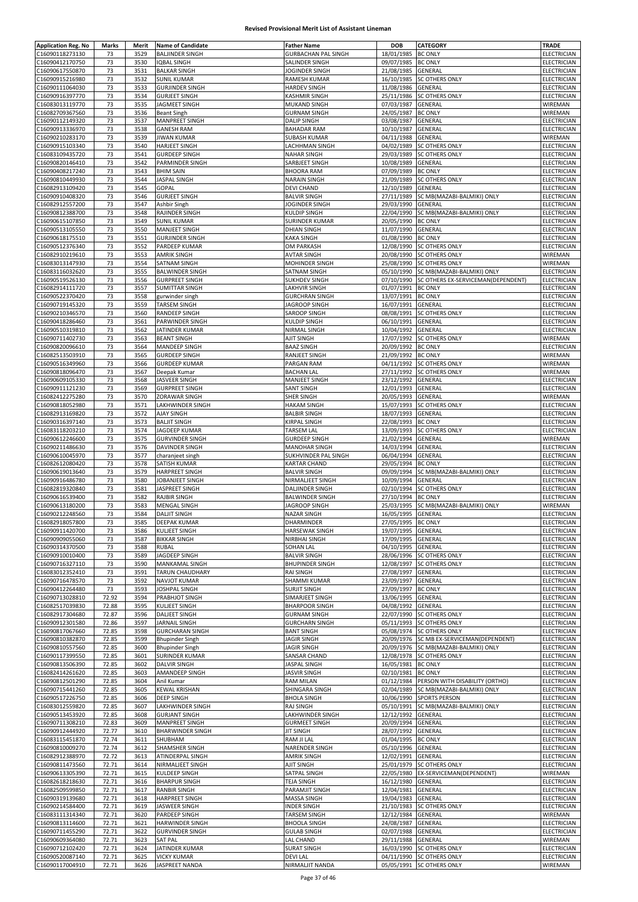| <b>Application Reg. No</b> | Marks | Merit | <b>Name of Candidate</b> | <b>Father Name</b>         | <b>DOB</b>         | CATEGORY                              | TRADE              |
|----------------------------|-------|-------|--------------------------|----------------------------|--------------------|---------------------------------------|--------------------|
| C16090118273130            | 73    | 3529  | <b>BALJINDER SINGH</b>   | <b>GURBACHAN PAL SINGH</b> | 18/01/1985         | <b>BC ONLY</b>                        | ELECTRICIAN        |
| C16090412170750            | 73    | 3530  | <b>IQBAL SINGH</b>       | SALINDER SINGH             | 09/07/1985         | <b>BC ONLY</b>                        | ELECTRICIAN        |
|                            |       |       |                          |                            | 21/08/1985         |                                       |                    |
| C16090617550870            | 73    | 3531  | <b>BALKAR SINGH</b>      | JOGINDER SINGH             |                    | GENERAL                               | ELECTRICIAN        |
| C16090915216980            | 73    | 3532  | <b>SUNIL KUMAR</b>       | RAMESH KUMAR               | 16/10/1985         | <b>SC OTHERS ONLY</b>                 | ELECTRICIAN        |
| C16090111064030            | 73    | 3533  | <b>GURJINDER SINGH</b>   | <b>HARDEV SINGH</b>        | 11/08/1986         | GENERAL                               | ELECTRICIAN        |
| C16090916397770            | 73    | 3534  | <b>GURJEET SINGH</b>     | <b>KASHMIR SINGH</b>       | 25/11/1986         | <b>SC OTHERS ONLY</b>                 | ELECTRICIAN        |
| C16083013119770            | 73    | 3535  | JAGMEET SINGH            | <b>MUKAND SINGH</b>        | 07/03/1987         | <b>GENERAL</b>                        | WIREMAN            |
| C16082709367560            | 73    | 3536  | <b>Beant Singh</b>       | <b>GURNAM SINGH</b>        | 24/05/1987         | <b>BC ONLY</b>                        | WIREMAN            |
| C16090112149320            | 73    | 3537  | MANPREET SINGH           | <b>DALIP SINGH</b>         | 03/08/1987         | GENERAL                               | ELECTRICIAN        |
| C16090913336970            | 73    | 3538  | <b>GANESH RAM</b>        | <b>BAHADAR RAM</b>         | 10/10/1987         | GENERAL                               | ELECTRICIAN        |
|                            | 73    | 3539  |                          |                            |                    |                                       |                    |
| C16090210283170            |       |       | <b>JIWAN KUMAR</b>       | <b>SUBASH KUMAR</b>        | 04/11/1988         | GENERAL                               | WIREMAN            |
| C16090915103340            | 73    | 3540  | <b>HARJEET SINGH</b>     | LACHHMAN SINGH             | 04/02/1989         | <b>SC OTHERS ONLY</b>                 | ELECTRICIAN        |
| C16083109435720            | 73    | 3541  | <b>GURDEEP SINGH</b>     | <b>NAHAR SINGH</b>         | 29/03/1989         | <b>SC OTHERS ONLY</b>                 | ELECTRICIAN        |
| C16090820146410            | 73    | 3542  | PARMINDER SINGH          | SARBJEET SINGH             | 10/08/1989         | GENERAL                               | <b>ELECTRICIAN</b> |
| C16090408217240            | 73    | 3543  | <b>BHIM SAIN</b>         | <b>BHOORA RAM</b>          | 07/09/1989         | <b>BC ONLY</b>                        | ELECTRICIAN        |
| C16090810449930            | 73    | 3544  | <b>JASPAL SINGH</b>      | <b>NARAIN SINGH</b>        | 21/09/1989         | <b>SC OTHERS ONLY</b>                 | ELECTRICIAN        |
| C16082913109420            | 73    | 3545  | GOPAL                    | <b>DEVI CHAND</b>          | 12/10/1989         | GENERAL                               | ELECTRICIAN        |
| C16090910408320            | 73    | 3546  | <b>GURJEET SINGH</b>     | <b>BALVIR SINGH</b>        | 27/11/1989         | SC MB(MAZABI-BALMIKI) ONLY            | <b>ELECTRICIAN</b> |
|                            |       |       |                          |                            |                    |                                       |                    |
| C16082912557200            | 73    | 3547  | Ashbir Singh             | JOGINDER SINGH             | 29/03/1990         | GENERAL                               | ELECTRICIAN        |
| C16090812388700            | 73    | 3548  | RAJINDER SINGH           | KULDIP SINGH               | 22/04/1990         | SC MB(MAZABI-BALMIKI) ONLY            | ELECTRICIAN        |
| C16090615107850            | 73    | 3549  | <b>SUNIL KUMAR</b>       | SURINDER KUMAR             | 20/05/1990         | <b>BC ONLY</b>                        | ELECTRICIAN        |
| C16090513105550            | 73    | 3550  | <b>MANJEET SINGH</b>     | <b>DHIAN SINGH</b>         | 11/07/1990         | GENERAL                               | ELECTRICIAN        |
| C16090618175510            | 73    | 3551  | <b>GURJINDER SINGH</b>   | <b>KAKA SINGH</b>          | 01/08/1990         | <b>BC ONLY</b>                        | ELECTRICIAN        |
| C16090512376340            | 73    | 3552  | PARDEEP KUMAR            | OM PARKASH                 | 12/08/1990         | <b>SC OTHERS ONLY</b>                 | ELECTRICIAN        |
| C16082910219610            | 73    | 3553  | <b>AMRIK SINGH</b>       | <b>AVTAR SINGH</b>         |                    | 20/08/1990 SC OTHERS ONLY             | WIREMAN            |
|                            |       |       |                          |                            |                    |                                       |                    |
| C16083013147930            | 73    | 3554  | <b>SATNAM SINGH</b>      | MOHINDER SINGH             |                    | 25/08/1990 SC OTHERS ONLY             | WIREMAN            |
| C16083116032620            | 73    | 3555  | <b>BALWINDER SINGH</b>   | SATNAM SINGH               |                    | 05/10/1990 SC MB(MAZABI-BALMIKI) ONLY | ELECTRICIAN        |
| C16090519526130            | 73    | 3556  | <b>GURPREET SINGH</b>    | <b>SUKHDEV SINGH</b>       | 07/10/1990         | SC OTHERS EX-SERVICEMAN(DEPENDENT)    | <b>ELECTRICIAN</b> |
| C16082914111720            | 73    | 3557  | <b>SUMITTAR SINGH</b>    | LAKHVIR SINGH              | 01/07/1991         | <b>BC ONLY</b>                        | ELECTRICIAN        |
| C16090522370420            | 73    | 3558  | gurwinder singh          | <b>GURCHRAN SINGH</b>      | 13/07/1991         | <b>BC ONLY</b>                        | ELECTRICIAN        |
| C16090719145320            | 73    | 3559  | TARSEM SINGH             | <b>JAGROOP SINGH</b>       | 16/07/1991         | GENERAL                               | ELECTRICIAN        |
|                            | 73    | 3560  |                          |                            |                    |                                       | ELECTRICIAN        |
| C16090210346570            |       |       | <b>RANDEEP SINGH</b>     | SAROOP SINGH               |                    | 08/08/1991 SC OTHERS ONLY             |                    |
| C16090418286460            | 73    | 3561  | <b>PARWINDER SINGH</b>   | <b>KULDIP SINGH</b>        | 06/10/1991         | <b>GENERAL</b>                        | ELECTRICIAN        |
| C16090510319810            | 73    | 3562  | JATINDER KUMAR           | NIRMAL SINGH               | 10/04/1992         | GENERAL                               | ELECTRICIAN        |
| C16090711402730            | 73    | 3563  | <b>BEANT SINGH</b>       | AJIT SINGH                 | 17/07/1992         | <b>SC OTHERS ONLY</b>                 | WIREMAN            |
| C16090820096610            | 73    | 3564  | MANDEEP SINGH            | <b>BAAZ SINGH</b>          | 20/09/1992         | <b>BC ONLY</b>                        | ELECTRICIAN        |
| C16082513503910            | 73    | 3565  | <b>GURDEEP SINGH</b>     | RANJEET SINGH              | 21/09/1992 BC ONLY |                                       | WIREMAN            |
| C16090516349960            | 73    | 3566  | <b>GURDEEP KUMAR</b>     | PARGAN RAM                 | 04/11/1992         | <b>SC OTHERS ONLY</b>                 | WIREMAN            |
|                            |       |       |                          |                            |                    |                                       |                    |
| C16090818096470            | 73    | 3567  | Deepak Kumar             | <b>BACHAN LAL</b>          | 27/11/1992         | <b>SC OTHERS ONLY</b>                 | WIREMAN            |
| C16090609105330            | 73    | 3568  | JASVEER SINGH            | MANJEET SINGH              | 23/12/1992         | <b>GENERAL</b>                        | ELECTRICIAN        |
| C16090911121230            | 73    | 3569  | <b>GURPREET SINGH</b>    | <b>SANT SINGH</b>          | 12/01/1993         | GENERAL                               | ELECTRICIAN        |
| C16082412275280            | 73    | 3570  | ZORAWAR SINGH            | SHER SINGH                 | 20/05/1993         | GENERAL                               | WIREMAN            |
| C16090818052980            | 73    | 3571  | LAKHWINDER SINGH         | <b>HAKAM SINGH</b>         | 15/07/1993         | <b>SC OTHERS ONLY</b>                 | ELECTRICIAN        |
| C16082913169820            | 73    | 3572  | <b>AJAY SINGH</b>        | <b>BALBIR SINGH</b>        | 18/07/1993         | GENERAL                               | ELECTRICIAN        |
| C16090316397140            | 73    | 3573  | <b>BALJIT SINGH</b>      | KIRPAL SINGH               | 22/08/1993         | <b>BC ONLY</b>                        | ELECTRICIAN        |
|                            |       |       |                          |                            |                    |                                       |                    |
| C16083118203210            | 73    | 3574  | JAGDEEP KUMAR            | TARSEM LAL                 | 13/09/1993         | <b>SC OTHERS ONLY</b>                 | ELECTRICIAN        |
| C16090612246600            | 73    | 3575  | <b>GURVINDER SINGH</b>   | <b>GURDEEP SINGH</b>       | 21/02/1994         | GENERAL                               | WIREMAN            |
| C16090211486630            | 73    | 3576  | <b>DAVINDER SINGH</b>    | <b>MANOHAR SINGH</b>       | 14/03/1994         | GENERAL                               | ELECTRICIAN        |
| C16090610045970            | 73    | 3577  | charanjeet singh         | SUKHVINDER PAL SINGH       | 06/04/1994         | GENERAL                               | ELECTRICIAN        |
| C16082612080420            | 73    | 3578  | SATISH KUMAR             | KARTAR CHAND               | 29/05/1994         | <b>BC ONLY</b>                        | ELECTRICIAN        |
| C16090619013640            | 73    | 3579  | <b>HARPREET SINGH</b>    | <b>BALVIR SINGH</b>        | 09/09/1994         | SC MB(MAZABI-BALMIKI) ONLY            | ELECTRICIAN        |
| C16090916486780            | 73    | 3580  | JOBANJEET SINGH          | NIRMALJEET SINGH           | 10/09/1994         | GENERAL                               | ELECTRICIAN        |
| C16082819320840            | 73    | 3581  | JASPREET SINGH           | DALJINDER SINGH            | 02/10/1994         | <b>SC OTHERS ONLY</b>                 | ELECTRICIAN        |
|                            |       |       |                          |                            |                    |                                       |                    |
| C16090616539400            | 73    | 3582  | RAJBIR SINGH             | <b>BALWINDER SINGH</b>     | 27/10/1994         | <b>BC ONLY</b>                        | ELECTRICIAN        |
| C16090613180200            | 73    | 3583  | <b>MENGAL SINGH</b>      | JAGROOP SINGH              | 25/03/1995         | SC MB(MAZABI-BALMIKI) ONLY            | WIREMAN            |
| C16090212248560            | 73    | 3584  | <b>DALJIT SINGH</b>      | NAZAR SINGH                | 16/05/1995         | GENERAL                               | ELECTRICIAN        |
| C16082918057800            | 73    | 3585  | DEEPAK KUMAR             | DHARMINDER                 | 27/05/1995 BC ONLY |                                       | ELECTRICIAN        |
| C16090911420700            | 73    | 3586  | <b>KULJEET SINGH</b>     | <b>HARSEWAK SINGH</b>      | 19/07/1995 GENERAL |                                       | ELECTRICIAN        |
| C16090909055060            | 73    | 3587  | <b>BIKKAR SINGH</b>      | NIRBHAI SINGH              | 17/09/1995         | <b>GENERAL</b>                        | ELECTRICIAN        |
| C16090314370500            | 73    | 3588  | <b>RUBAL</b>             | <b>SOHAN LAL</b>           | 04/10/1995         | <b>GENERAL</b>                        | <b>ELECTRICIAN</b> |
|                            |       |       |                          |                            |                    |                                       |                    |
| C16090910010400            | 73    | 3589  | JAGDEEP SINGH            | <b>BALVIR SINGH</b>        | 28/06/1996         | <b>SC OTHERS ONLY</b>                 | ELECTRICIAN        |
| C16090716327110            | 73    | 3590  | <b>MANKAMAL SINGH</b>    | <b>BHUPINDER SINGH</b>     | 12/08/1997         | <b>SC OTHERS ONLY</b>                 | ELECTRICIAN        |
| C16083012352410            | 73    | 3591  | <b>TARUN CHAUDHARY</b>   | <b>RAI SINGH</b>           | 27/08/1997         | GENERAL                               | ELECTRICIAN        |
| C16090716478570            | 73    | 3592  | NAVJOT KUMAR             | SHAMMI KUMAR               | 23/09/1997         | GENERAL                               | ELECTRICIAN        |
| C16090412264480            | 73    | 3593  | JOSHPAL SINGH            | <b>SURJIT SINGH</b>        | 27/09/1997 BC ONLY |                                       | ELECTRICIAN        |
| C16090713028810            | 72.92 | 3594  | PRABHJOT SINGH           | SIMARJEET SINGH            | 13/06/1995         | GENERAL                               | ELECTRICIAN        |
| C16082517039830            | 72.88 | 3595  | <b>KULJEET SINGH</b>     | <b>BHARPOOR SINGH</b>      | 04/08/1992         | GENERAL                               | ELECTRICIAN        |
| C16082917304680            | 72.87 | 3596  | <b>DALJEET SINGH</b>     | <b>GURNAM SINGH</b>        | 22/07/1990         | <b>SC OTHERS ONLY</b>                 | <b>ELECTRICIAN</b> |
|                            |       |       |                          |                            |                    |                                       |                    |
| C16090912301580            | 72.86 | 3597  | <b>JARNAIL SINGH</b>     | <b>GURCHARN SINGH</b>      | 05/11/1993         | <b>SC OTHERS ONLY</b>                 | <b>ELECTRICIAN</b> |
| C16090817067660            | 72.85 | 3598  | <b>GURCHARAN SINGH</b>   | <b>BANT SINGH</b>          | 05/08/1974         | <b>SC OTHERS ONLY</b>                 | ELECTRICIAN        |
| C16090810382870            | 72.85 | 3599  | <b>Bhupinder Singh</b>   | <b>JAGIR SINGH</b>         | 20/09/1976         | SC MB EX-SERVICEMAN(DEPENDENT)        | ELECTRICIAN        |
| C16090810557560            | 72.85 | 3600  | <b>Bhupinder Singh</b>   | <b>JAGIR SINGH</b>         | 20/09/1976         | SC MB(MAZABI-BALMIKI) ONLY            | ELECTRICIAN        |
| C16090117399550            | 72.85 | 3601  | <b>SURINDER KUMAR</b>    | SANSAR CHAND               | 12/08/1978         | <b>SC OTHERS ONLY</b>                 | ELECTRICIAN        |
| C16090813506390            | 72.85 | 3602  | <b>DALVIR SINGH</b>      | JASPAL SINGH               | 16/05/1981         | <b>BC ONLY</b>                        | ELECTRICIAN        |
| C16082414261620            | 72.85 | 3603  | AMANDEEP SINGH           | <b>JASVIR SINGH</b>        | 02/10/1981 BC ONLY |                                       | ELECTRICIAN        |
|                            |       |       |                          |                            |                    |                                       |                    |
| C16090812501290            | 72.85 | 3604  | Anil Kumar               | <b>RAM MILAN</b>           | 01/12/1984         | PERSON WITH DISABILITY (ORTHO)        | ELECTRICIAN        |
| C16090715441260            | 72.85 | 3605  | <b>KEWAL KRISHAN</b>     | SHINGARA SINGH             | 02/04/1989         | SC MB(MAZABI-BALMIKI) ONLY            | ELECTRICIAN        |
| C16090517226750            | 72.85 | 3606  | <b>DEEP SINGH</b>        | <b>BHOLA SINGH</b>         | 10/06/1990         | <b>SPORTS PERSON</b>                  | ELECTRICIAN        |
| C16083012559820            | 72.85 | 3607  | LAKHWINDER SINGH         | <b>RAJ SINGH</b>           | 05/10/1991         | SC MB(MAZABI-BALMIKI) ONLY            | ELECTRICIAN        |
| C16090513453920            | 72.85 | 3608  | <b>GURJANT SINGH</b>     | LAKHWINDER SINGH           | 12/12/1992         | GENERAL                               | ELECTRICIAN        |
| C16090711308210            | 72.83 | 3609  | <b>MANPREET SINGH</b>    | <b>GURMEET SINGH</b>       | 20/09/1994         | GENERAL                               | ELECTRICIAN        |
| C16090912444920            | 72.77 | 3610  | <b>BHARWINDER SINGH</b>  | <b>JIT SINGH</b>           | 28/07/1992         | GENERAL                               | ELECTRICIAN        |
|                            |       |       |                          |                            |                    |                                       |                    |
| C16083115451870            | 72.74 | 3611  | SHUBHAM                  | RAM JI LAL                 | 01/04/1995         | <b>BC ONLY</b>                        | <b>ELECTRICIAN</b> |
| C16090810009270            | 72.74 | 3612  | SHAMSHER SINGH           | NARENDER SINGH             | 05/10/1996         | GENERAL                               | ELECTRICIAN        |
| C16082912388970            | 72.72 | 3613  | ATINDERPAL SINGH         | <b>AMRIK SINGH</b>         | 12/02/1991 GENERAL |                                       | ELECTRICIAN        |
| C16090811473560            | 72.71 | 3614  | NIRMALJEET SINGH         | AJIT SINGH                 | 25/01/1979         | <b>SC OTHERS ONLY</b>                 | ELECTRICIAN        |
| C16090613305390            | 72.71 | 3615  | KULDEEP SINGH            | SATPAL SINGH               |                    | 22/05/1980 EX-SERVICEMAN(DEPENDENT)   | WIREMAN            |
| C16082618218630            | 72.71 | 3616  | <b>BHARPUR SINGH</b>     | <b>TEJA SINGH</b>          | 16/12/1980         | <b>GENERAL</b>                        | ELECTRICIAN        |
| C16082509599850            | 72.71 | 3617  | <b>RANBIR SINGH</b>      | PARAMJIT SINGH             | 12/04/1981         | GENERAL                               | ELECTRICIAN        |
|                            |       |       |                          |                            |                    |                                       |                    |
| C16090319139680            | 72.71 | 3618  | <b>HARPREET SINGH</b>    | MASSA SINGH                | 19/04/1983         | GENERAL                               | ELECTRICIAN        |
| C16090214584400            | 72.71 | 3619  | JASWEER SINGH            | <b>INDER SINGH</b>         | 21/10/1983         | <b>SC OTHERS ONLY</b>                 | ELECTRICIAN        |
| C16083111314340            | 72.71 | 3620  | PARDEEP SINGH            | <b>TARSEM SINGH</b>        | 12/12/1984         | GENERAL                               | WIREMAN            |
| C16090813114600            | 72.71 | 3621  | <b>HARWINDER SINGH</b>   | <b>BHOOLA SINGH</b>        | 24/08/1987         | GENERAL                               | <b>ELECTRICIAN</b> |
| C16090711455290            | 72.71 | 3622  | <b>GURVINDER SINGH</b>   | <b>GULAB SINGH</b>         | 02/07/1988         | GENERAL                               | ELECTRICIAN        |
| C16090609364080            | 72.71 | 3623  | <b>SAT PAL</b>           | <b>LAL CHAND</b>           | 29/11/1988         | GENERAL                               | WIREMAN            |
| C16090712102420            | 72.71 | 3624  | JATINDER KUMAR           | <b>SURAT SINGH</b>         |                    | 16/03/1990 SC OTHERS ONLY             | ELECTRICIAN        |
|                            |       |       |                          |                            |                    |                                       |                    |
| C16090520087140            | 72.71 | 3625  | <b>VICKY KUMAR</b>       | <b>DEVILAL</b>             |                    | 04/11/1990 SC OTHERS ONLY             | ELECTRICIAN        |
| C16090117004910            | 72.71 | 3626  | JASPREET NANDA           | NIRMALJIT NANDA            |                    | 05/05/1991 SC OTHERS ONLY             | WIREMAN            |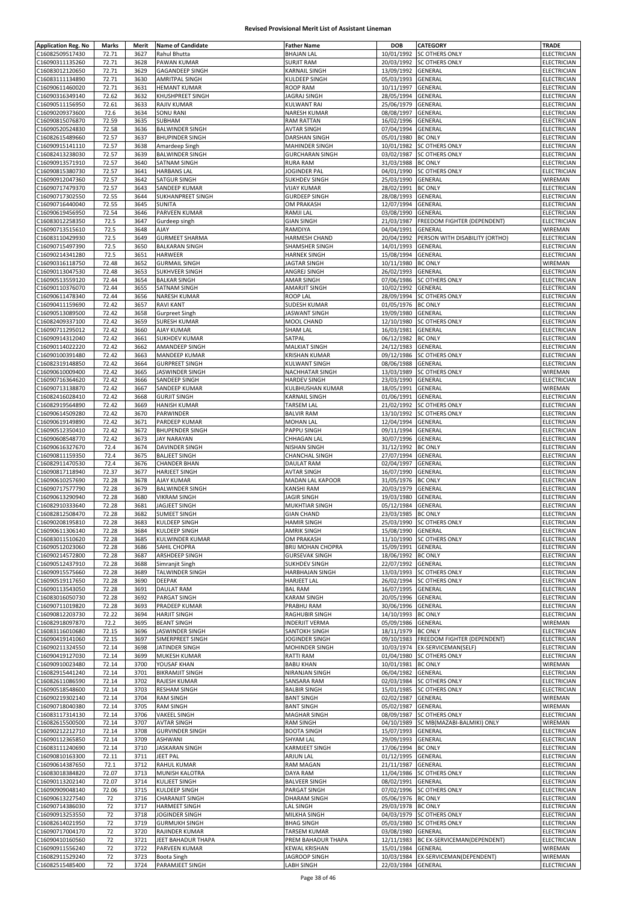| <b>Application Reg. No</b> | Marks | Merit | <b>Name of Candidate</b> | <b>Father Name</b>       | <b>DOB</b>         | CATEGORY                               | TRADE              |
|----------------------------|-------|-------|--------------------------|--------------------------|--------------------|----------------------------------------|--------------------|
| C16082509517430            | 72.71 | 3627  | Rahul Bhutta             | <b>BHAJAN LAL</b>        | 10/01/1992         | <b>SC OTHERS ONLY</b>                  | ELECTRICIAN        |
| C16090311135260            | 72.71 | 3628  | PAWAN KUMAR              | <b>SURJIT RAM</b>        | 20/03/1992         | <b>SC OTHERS ONLY</b>                  | ELECTRICIAN        |
| C16083012120650            | 72.71 | 3629  | GAGANDEEP SINGH          | KARNAIL SINGH            | 13/09/1992         | GENERAL                                | <b>ELECTRICIAN</b> |
| C16083111134890            | 72.71 | 3630  | <b>AMRITPAL SINGH</b>    | KULDEEP SINGH            | 05/03/1993         | GENERAL                                | ELECTRICIAN        |
| C16090611460020            | 72.71 | 3631  | <b>HEMANT KUMAR</b>      | ROOP RAM                 | 10/11/1997         | GENERAL                                | ELECTRICIAN        |
| C16090316349140            | 72.62 | 3632  | KHUSHPREET SINGH         | JAGRAJ SINGH             | 28/05/1994         | GENERAL                                | ELECTRICIAN        |
| C16090511156950            | 72.61 | 3633  | RAJIV KUMAR              | KULWANT RAI              | 25/06/1979         | GENERAL                                | ELECTRICIAN        |
| C16090209373600            | 72.6  | 3634  | <b>SONU RANI</b>         | NARESH KUMAR             | 08/08/1997         | GENERAL                                | ELECTRICIAN        |
| C16090815076870            | 72.59 | 3635  | SUBHAM                   | <b>RAM RATTAN</b>        | 16/02/1996         | GENERAL                                | ELECTRICIAN        |
| C16090520524830            | 72.58 | 3636  | <b>BALWINDER SINGH</b>   | <b>AVTAR SINGH</b>       | 07/04/1994         | GENERAL                                | ELECTRICIAN        |
| C16082615489660            | 72.57 | 3637  | <b>BHUPINDER SINGH</b>   | DARSHAN SINGH            | 05/01/1980         | <b>BC ONLY</b>                         | ELECTRICIAN        |
| C16090915141110            | 72.57 | 3638  | Amardeep Singh           | MAHINDER SINGH           | 10/01/1982         | SC OTHERS ONLY                         | <b>ELECTRICIAN</b> |
| C16082413238030            | 72.57 | 3639  | <b>BALWINDER SINGH</b>   | <b>GURCHARAN SINGH</b>   | 03/02/1987         | <b>SC OTHERS ONLY</b>                  | <b>ELECTRICIAN</b> |
| C16090913571910            | 72.57 | 3640  | SATNAM SINGH             | RURA RAM                 | 31/03/1988         | <b>BC ONLY</b>                         | <b>ELECTRICIAN</b> |
| C16090815380730            | 72.57 | 3641  | <b>HARBANS LAL</b>       | JOGINDER PAL             | 04/01/1990         | <b>SC OTHERS ONLY</b>                  | ELECTRICIAN        |
| C16090912047360            | 72.57 | 3642  | SATGUR SINGH             | <b>SUKHDEV SINGH</b>     | 25/03/1990         | GENERAL                                | WIREMAN            |
| C16090717479370            | 72.57 | 3643  | SANDEEP KUMAR            | <b>VIJAY KUMAR</b>       | 28/02/1991         | <b>BC ONLY</b>                         | <b>ELECTRICIAN</b> |
|                            | 72.55 | 3644  |                          |                          | 28/08/1993         |                                        |                    |
| C16090717302550            |       |       | SUKHANPREET SINGH        | <b>GURDEEP SINGH</b>     |                    | GENERAL                                | ELECTRICIAN        |
| C16090716440040            | 72.55 | 3645  | SUNITA                   | OM PRAKASH               | 12/07/1994         | GENERAL                                | ELECTRICIAN        |
| C16090619456950            | 72.54 | 3646  | PARVEEN KUMAR            | RAMJI LAL                | 03/08/1990         | GENERAL                                | ELECTRICIAN        |
| C16083012258350            | 72.5  | 3647  | Gurdeep singh            | <b>GIAN SINGH</b>        | 21/03/1987         | <b>FREEDOM FIGHTER (DEPENDENT)</b>     | ELECTRICIAN        |
| C16090713515610            | 72.5  | 3648  | <b>AJAY</b>              | RAMDIYA                  | 04/04/1991         | GENERAL                                | WIREMAN            |
| C16083110429930            | 72.5  | 3649  | <b>GURMEET SHARMA</b>    | HARMESH CHAND            | 20/04/1992         | PERSON WITH DISABILITY (ORTHO)         | ELECTRICIAN        |
| C16090715497390            | 72.5  | 3650  | <b>BALKARAN SINGH</b>    | SHAMSHER SINGH           | 14/01/1993         | GENERAL                                | ELECTRICIAN        |
| C16090214341280            | 72.5  | 3651  | <b>HARWEER</b>           | <b>HARNEK SINGH</b>      | 15/08/1994         | GENERAL                                | ELECTRICIAN        |
| C16090316118750            | 72.48 | 3652  | <b>GURMAIL SINGH</b>     | JAGTAR SINGH             | 10/11/1980         | <b>BC ONLY</b>                         | WIREMAN            |
| C16090113047530            | 72.48 | 3653  | SUKHVEER SINGH           | ANGREJ SINGH             | 26/02/1993         | GENERAL                                | <b>ELECTRICIAN</b> |
| C16090513559120            | 72.44 | 3654  | <b>BALKAR SINGH</b>      | AMAR SINGH               | 07/06/1986         | <b>SC OTHERS ONLY</b>                  | ELECTRICIAN        |
| C16090110376070            | 72.44 | 3655  | SATNAM SINGH             | AMARJIT SINGH            | 10/02/1992         | <b>GENERAL</b>                         | ELECTRICIAN        |
| C16090611478340            | 72.44 | 3656  | NARESH KUMAR             | ROOP LAL                 | 28/09/1994         | <b>SC OTHERS ONLY</b>                  | ELECTRICIAN        |
| C16090411159690            | 72.42 | 3657  | <b>RAVI KANT</b>         | <b>SUDESH KUMAR</b>      | 01/05/1976         | <b>BC ONLY</b>                         | <b>ELECTRICIAN</b> |
| C16090513089500            | 72.42 | 3658  | <b>Gurpreet Singh</b>    | JASWANT SINGH            | 19/09/1980         | GENERAL                                | ELECTRICIAN        |
| C16082409337100            | 72.42 | 3659  | <b>SURESH KUMAR</b>      | MOOL CHAND               | 12/10/1980         | <b>SC OTHERS ONLY</b>                  | ELECTRICIAN        |
| C16090711295012            | 72.42 | 3660  | <b>AJAY KUMAR</b>        | <b>SHAM LAL</b>          | 16/03/1981         | GENERAL                                | ELECTRICIAN        |
| C16090914312040            | 72.42 | 3661  | <b>SUKHDEV KUMAR</b>     | SATPAL                   | 06/12/1982         | <b>BC ONLY</b>                         | ELECTRICIAN        |
| C16090114022220            | 72.42 | 3662  | <b>AMANDEEP SINGH</b>    | <b>MALKIAT SINGH</b>     | 24/12/1983         | GENERAL                                | ELECTRICIAN        |
| C16090100391480            | 72.42 | 3663  | MANDEEP KUMAR            | <b>KRISHAN KUMAR</b>     | 09/12/1986         | <b>SC OTHERS ONLY</b>                  | ELECTRICIAN        |
| C16082319148850            | 72.42 | 3664  | <b>GURPREET SINGH</b>    | KULWANT SINGH            | 08/06/1988         | GENERAL                                | ELECTRICIAN        |
| C16090610009400            | 72.42 | 3665  | JASWINDER SINGH          | NACHHATAR SINGH          | 13/03/1989         | SC OTHERS ONLY                         | WIREMAN            |
| C16090716364620            | 72.42 | 3666  | SANDEEP SINGH            | <b>HARDEV SINGH</b>      | 23/03/1990         | GENERAL                                | ELECTRICIAN        |
| C16090713138870            | 72.42 | 3667  | SANDEEP KUMAR            | KULBHUSHAN KUMAR         | 18/05/1991         | GENERAL                                | WIREMAN            |
| C16082416028410            | 72.42 | 3668  | <b>GURJIT SINGH</b>      | <b>KARNAIL SINGH</b>     | 01/06/1991         | GENERAL                                | ELECTRICIAN        |
| C16082919564890            | 72.42 | 3669  | <b>HANISH KUMAR</b>      | TARSEM LAL               | 21/02/1992         | <b>SC OTHERS ONLY</b>                  | ELECTRICIAN        |
| C16090614509280            | 72.42 | 3670  | PARWINDER                | <b>BALVIR RAM</b>        | 13/10/1992         | <b>SC OTHERS ONLY</b>                  | ELECTRICIAN        |
| C16090619149890            | 72.42 | 3671  | PARDEEP KUMAR            | <b>MOHAN LAL</b>         | 12/04/1994         | GENERAL                                | ELECTRICIAN        |
| C16090512350410            | 72.42 | 3672  | <b>BHUPENDER SINGH</b>   | PAPPU SINGH              | 09/11/1994         | GENERAL                                | ELECTRICIAN        |
| C16090608548770            | 72.42 | 3673  | <b>JAY NARAYAN</b>       | CHHAGAN LAL              | 30/07/1996         | GENERAL                                | ELECTRICIAN        |
| C16090616327670            | 72.4  | 3674  | <b>DAVINDER SINGH</b>    | <b>NISHAN SINGH</b>      | 31/12/1992         | <b>BC ONLY</b>                         | ELECTRICIAN        |
| C16090811159350            | 72.4  | 3675  | <b>BALJEET SINGH</b>     | CHANCHAL SINGH           | 27/07/1994         | GENERAL                                | ELECTRICIAN        |
| C16082911470530            | 72.4  | 3676  | <b>CHANDER BHAN</b>      | <b>DAULAT RAM</b>        | 02/04/1997         | GENERAL                                | ELECTRICIAN        |
| C16090817118940            | 72.37 | 3677  | HARJEET SINGH            | <b>AVTAR SINGH</b>       | 16/07/1990         | GENERAL                                | <b>ELECTRICIAN</b> |
| C16090610257690            | 72.28 | 3678  | AJAY KUMAR               | MADAN LAL KAPOOR         | 31/05/1976         | <b>BC ONLY</b>                         | <b>ELECTRICIAN</b> |
|                            |       |       |                          |                          |                    |                                        |                    |
| C16090717577790            | 72.28 | 3679  | <b>BALWINDER SINGH</b>   | KANSHI RAM               | 20/03/1979         | GENERAL                                | <b>ELECTRICIAN</b> |
| C16090613290940            | 72.28 | 3680  | <b>VIKRAM SINGH</b>      | JAGIR SINGH              | 19/03/1980         | GENERAL                                | <b>ELECTRICIAN</b> |
| C16082910333640            | 72.28 | 3681  | JAGJEET SINGH            | MUKHTIAR SINGH           | 05/12/1984         | GENERAL                                | ELECTRICIAN        |
| C16082812508470            | 72.28 | 3682  | <b>SUMEET SINGH</b>      | <b>GIAN CHAND</b>        | 23/03/1985         | <b>BC ONLY</b>                         | ELECTRICIAN        |
| C16090208195810            | 72.28 | 3683  | KULDEEP SINGH            | HAMIR SINGH              |                    | 25/03/1990 SC OTHERS ONLY              | ELECTRICIAN        |
| C16090611306140            | 72.28 | 3684  | <b>KULDEEP SINGH</b>     | <b>AMRIK SINGH</b>       | 15/08/1990 GENERAL |                                        | ELECTRICIAN        |
| C16083011510620            | 72.28 | 3685  | KULWINDER KUMAR          | OM PRAKASH               | 11/10/1990         | <b>SC OTHERS ONLY</b>                  | ELECTRICIAN        |
| C16090512023060            | 72.28 | 3686  | SAHIL CHOPRA             | <b>BRIJ MOHAN CHOPRA</b> | 15/09/1991 GENERAL |                                        | <b>ELECTRICIAN</b> |
| C16090214572800            | 72.28 | 3687  | ARSHDEEP SINGH           | <b>GURSEVAK SINGH</b>    | 18/06/1992         | <b>BC ONLY</b>                         | ELECTRICIAN        |
| C16090512437910            | 72.28 | 3688  | Simranjit Singh          | <b>SUKHDEV SINGH</b>     | 22/07/1992         | <b>GENERAL</b>                         | ELECTRICIAN        |
| C16090915575660            | 72.28 | 3689  | TALWINDER SINGH          | <b>HARBHAJAN SINGH</b>   | 13/03/1993         | <b>SC OTHERS ONLY</b>                  | ELECTRICIAN        |
| C16090519117650            | 72.28 | 3690  | <b>DEEPAK</b>            | <b>HARJEET LAL</b>       | 26/02/1994         | SC OTHERS ONLY                         | ELECTRICIAN        |
| C16090113543050            | 72.28 | 3691  | <b>DAULAT RAM</b>        | <b>BAL RAM</b>           | 16/07/1995         | <b>GENERAL</b>                         | ELECTRICIAN        |
| C16083016050730            | 72.28 | 3692  | PARGAT SINGH             | <b>KARAM SINGH</b>       | 20/05/1996         | GENERAL                                | ELECTRICIAN        |
| C16090711019820            | 72.28 | 3693  | PRADEEP KUMAR            | PRABHU RAM               | 30/06/1996         | GENERAL                                | ELECTRICIAN        |
| C16090812203730            | 72.22 | 3694  | <b>HARJIT SINGH</b>      | RAGHUBIR SINGH           | 14/10/1993         | <b>BC ONLY</b>                         | <b>ELECTRICIAN</b> |
| C16082918097870            | 72.2  | 3695  | <b>BEANT SINGH</b>       | <b>INDERJIT VERMA</b>    | 05/09/1986         | GENERAL                                | WIREMAN            |
| C16083116010680            | 72.15 | 3696  | JASWINDER SINGH          | SANTOKH SINGH            | 18/11/1979 BC ONLY |                                        | ELECTRICIAN        |
| C16090419141060            | 72.15 | 3697  | SIMERPREET SINGH         | JOGINDER SINGH           | 09/10/1983         | FREEDOM FIGHTER (DEPENDENT)            | <b>ELECTRICIAN</b> |
| C16090211324550            | 72.14 | 3698  | JATINDER SINGH           | MOHINDER SINGH           |                    | 10/03/1974 EX-SERVICEMAN(SELF)         | ELECTRICIAN        |
| C16090419127030            | 72.14 | 3699  | MUKESH KUMAR             | RATTI RAM                | 01/04/1980         | SC OTHERS ONLY                         | ELECTRICIAN        |
| C16090910023480            | 72.14 | 3700  | YOUSAF KHAN              | <b>BABU KHAN</b>         | 10/01/1981         | <b>BC ONLY</b>                         | WIREMAN            |
| C16082915441240            | 72.14 | 3701  | <b>BIKRAMJIT SINGH</b>   | NIRANJAN SINGH           | 06/04/1982 GENERAL |                                        | ELECTRICIAN        |
| C16082611086590            | 72.14 | 3702  | RAJESH KUMAR             | SANSARA RAM              | 02/03/1984         | <b>SC OTHERS ONLY</b>                  | ELECTRICIAN        |
| C16090518548600            | 72.14 | 3703  | <b>RESHAM SINGH</b>      | <b>BALBIR SINGH</b>      | 15/01/1985         | <b>SC OTHERS ONLY</b>                  | ELECTRICIAN        |
| C16090219302140            | 72.14 | 3704  | <b>RAM SINGH</b>         | <b>BANT SINGH</b>        | 02/02/1987 GENERAL |                                        | WIREMAN            |
| C16090718040380            | 72.14 | 3705  | <b>RAM SINGH</b>         | <b>BANT SINGH</b>        | 05/02/1987         | GENERAL                                | WIREMAN            |
| C16083117314130            | 72.14 | 3706  | VAKEEL SINGH             | <b>MAGHAR SINGH</b>      | 08/09/1987         | SC OTHERS ONLY                         | ELECTRICIAN        |
| C16082615500500            | 72.14 | 3707  | <b>AVTAR SINGH</b>       | <b>RAM SINGH</b>         | 04/10/1989         | SC MB(MAZABI-BALMIKI) ONLY             | WIREMAN            |
| C16090212212710            | 72.14 | 3708  | <b>GURVINDER SINGH</b>   | <b>BOOTA SINGH</b>       | 15/07/1993         | GENERAL                                | ELECTRICIAN        |
| C16090112365850            | 72.14 | 3709  | <b>ASHWANI</b>           | SHYAM LAL                | 29/09/1993         | GENERAL                                | <b>ELECTRICIAN</b> |
| C16083111240690            | 72.14 | 3710  | JASKARAN SINGH           | KARMJEET SINGH           | 17/06/1994         | <b>BC ONLY</b>                         | ELECTRICIAN        |
| C16090810163300            | 72.11 | 3711  | JEET PAL                 | <b>ARJUN LAL</b>         | 01/12/1995         | GENERAL                                | ELECTRICIAN        |
| C16090614387650            | 72.1  | 3712  | RAHUL KUMAR              | RAM MAGAN                | 21/11/1987         | GENERAL                                | <b>ELECTRICIAN</b> |
| C16083018384820            | 72.07 | 3713  | MUNISH KALOTRA           | DAYA RAM                 | 11/04/1986         | <b>SC OTHERS ONLY</b>                  | ELECTRICIAN        |
| C16090113202140            | 72.07 | 3714  | KULJEET SINGH            | <b>BALVEER SINGH</b>     | 08/02/1991         | GENERAL                                | <b>ELECTRICIAN</b> |
| C16090909048140            | 72.06 | 3715  | KULDEEP SINGH            | PARGAT SINGH             | 07/02/1996         | <b>SC OTHERS ONLY</b>                  | ELECTRICIAN        |
| C16090613227540            | 72    | 3716  | CHARANJIT SINGH          | <b>DHARAM SINGH</b>      | 05/06/1976 BC ONLY |                                        | <b>ELECTRICIAN</b> |
| C16090714386030            | 72    | 3717  | <b>HARMEET SINGH</b>     | <b>LAL SINGH</b>         | 29/03/1978         | <b>BC ONLY</b>                         | <b>ELECTRICIAN</b> |
| C16090913253550            | 72    |       |                          |                          |                    | 04/03/1979 SC OTHERS ONLY              | <b>ELECTRICIAN</b> |
|                            |       | 3718  | JOGINDER SINGH           | MILKHA SINGH             |                    |                                        | <b>ELECTRICIAN</b> |
| C16082614021950            | 72    | 3719  | <b>GURMUKH SINGH</b>     | <b>BHAG SINGH</b>        | 05/03/1980         | <b>SC OTHERS ONLY</b>                  |                    |
| C16090717004170            | 72    | 3720  | RAJINDER KUMAR           | TARSEM KUMAR             | 03/08/1980         | GENERAL                                | ELECTRICIAN        |
| C16090410160560            | 72    | 3721  | JEET BAHADUR THAPA       | PREM BAHADUR THAPA       |                    | 12/11/1983 BC EX-SERVICEMAN(DEPENDENT) | ELECTRICIAN        |
| C16090911556240            | 72    | 3722  | PARVEEN KUMAR            | <b>KEWAL KRISHAN</b>     | 15/01/1984         | GENERAL                                | WIREMAN            |
| C16082911529240            | 72    | 3723  | <b>Boota Singh</b>       | JAGROOP SINGH            | 10/03/1984         | EX-SERVICEMAN(DEPENDENT)               | WIREMAN            |
| C16082515485400            | 72    | 3724  | PARAMJEET SINGH          | LABH SINGH               | 22/03/1984 GENERAL |                                        | ELECTRICIAN        |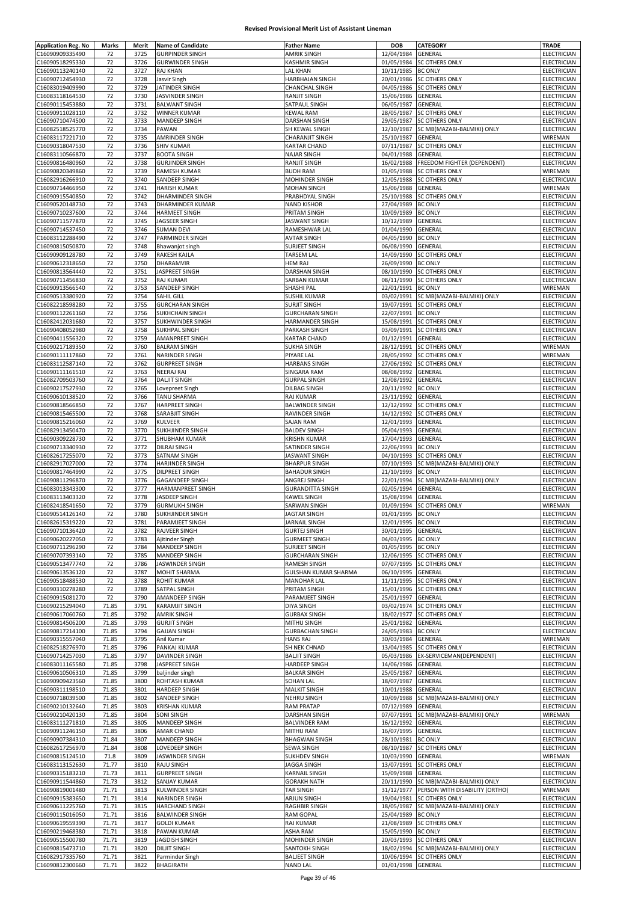| <b>Application Reg. No</b>         | Marks          | Merit        | <b>Name of Candidate</b>         | <b>Father Name</b>                        | DOB                                      | <b>CATEGORY</b>                       | TRADE                      |
|------------------------------------|----------------|--------------|----------------------------------|-------------------------------------------|------------------------------------------|---------------------------------------|----------------------------|
| C16090909335490                    | 72             | 3725         | <b>GURPINDER SINGH</b>           | AMRIK SINGH                               | 12/04/1984                               | <b>GENERAL</b>                        | ELECTRICIAN                |
| C16090518295330                    | 72             | 3726         | <b>GURWINDER SINGH</b>           | KASHMIR SINGH                             | 01/05/1984                               | <b>SC OTHERS ONLY</b>                 | ELECTRICIAN                |
| C16090113240140                    | 72             | 3727         | RAJ KHAN                         | LAL KHAN                                  | 10/11/1985                               | <b>BC ONLY</b>                        | <b>ELECTRICIAN</b>         |
| C16090712454930                    | 72             | 3728         | Jasvir Singh                     | HARBHAJAN SINGH                           | 20/01/1986                               | <b>SC OTHERS ONLY</b>                 | ELECTRICIAN                |
| C16083019409990                    | 72             | 3729         | JATINDER SINGH                   | CHANCHAL SINGH                            | 04/05/1986                               | <b>SC OTHERS ONLY</b>                 | ELECTRICIAN                |
| C16083118164530                    | 72             | 3730         | JASVINDER SINGH                  | RANJIT SINGH                              | 15/06/1986                               | GENERAL                               | ELECTRICIAN                |
| C16090115453880                    | 72             | 3731         | <b>BALWANT SINGH</b>             | SATPAUL SINGH                             | 06/05/1987                               | GENERAL                               | ELECTRICIAN                |
| C16090911028110                    | 72             | 3732         | WINNER KUMAR                     | <b>KEWAL RAM</b>                          | 28/05/1987                               | <b>SC OTHERS ONLY</b>                 | ELECTRICIAN                |
| C16090710474500                    | 72             | 3733         | MANDEEP SINGH                    | DARSHAN SINGH                             | 29/05/1987                               | <b>SC OTHERS ONLY</b>                 | ELECTRICIAN                |
| C16082518525770                    | 72             | 3734         | PAWAN                            | SH KEWAL SINGH                            | 12/10/1987                               | SC MB(MAZABI-BALMIKI) ONLY            | ELECTRICIAN                |
| C16083117221710                    | 72             | 3735         | AMRINDER SINGH                   | CHARANJIT SINGH                           | 25/10/1987                               | GENERAL                               | WIREMAN                    |
| C16090318047530                    | 72             | 3736         | <b>SHIV KUMAR</b>                | <b>KARTAR CHAND</b>                       | 07/11/1987                               | <b>SC OTHERS ONLY</b>                 | ELECTRICIAN                |
| C16083110566870                    | 72             | 3737         | <b>BOOTA SINGH</b>               | <b>NAJAR SINGH</b>                        | 04/01/1988                               | GENERAL                               | ELECTRICIAN                |
| C16090816480960                    | 72             | 3738         | <b>GURJINDER SINGH</b>           | RANJIT SINGH                              | 16/02/1988                               | FREEDOM FIGHTER (DEPENDENT)           | <b>ELECTRICIAN</b>         |
| C16090820349860                    | 72             | 3739         | RAMESH KUMAR                     | <b>BUDH RAM</b>                           | 01/05/1988                               | <b>SC OTHERS ONLY</b>                 | WIREMAN                    |
| C16082916266910                    | 72             | 3740         | SANDEEP SINGH                    | MOHINDER SINGH                            | 12/05/1988                               | <b>SC OTHERS ONLY</b>                 | ELECTRICIAN                |
| C16090714466950                    | 72             | 3741         | <b>HARISH KUMAR</b>              | <b>MOHAN SINGH</b>                        | 15/06/1988                               | GENERAL                               | WIREMAN                    |
| C16090915540850                    | 72             | 3742         | DHARMINDER SINGH                 | PRABHDYAL SINGH                           | 25/10/1988                               | SC OTHERS ONLY                        | ELECTRICIAN                |
| C16090520148730                    | 72<br>72       | 3743<br>3744 | DHARMINDER KUMAR                 | <b>NAND KISHOR</b><br>PRITAM SINGH        | 27/04/1989                               | <b>BC ONLY</b>                        | ELECTRICIAN                |
| C16090710237600<br>C16090711577870 | 72             | 3745         | HARMEET SINGH<br>JAGSEER SINGH   | <b>JASWANT SINGH</b>                      | 10/09/1989<br>10/12/1989                 | <b>BC ONLY</b><br>GENERAL             | ELECTRICIAN<br>ELECTRICIAN |
| C16090714537450                    | 72             | 3746         | <b>SUMAN DEVI</b>                | RAMESHWAR LAL                             | 01/04/1990                               | GENERAL                               | ELECTRICIAN                |
| C16083112288490                    | 72             | 3747         | PARMINDER SINGH                  | <b>AVTAR SINGH</b>                        | 04/05/1990                               | <b>BC ONLY</b>                        | ELECTRICIAN                |
| C16090815050870                    | 72             | 3748         | Bhawanjot singh                  | <b>SURJEET SINGH</b>                      | 06/08/1990                               | GENERAL                               | ELECTRICIAN                |
| C16090909128780                    | 72             | 3749         | <b>RAKESH KAJLA</b>              | TARSEM LAL                                |                                          | 14/09/1990 SC OTHERS ONLY             | ELECTRICIAN                |
| C16090612318650                    | 72             | 3750         | DHARAMVIR                        | <b>HEM RAJ</b>                            | 26/09/1990                               | <b>BC ONLY</b>                        | <b>ELECTRICIAN</b>         |
| C16090813564440                    | 72             | 3751         | JASPREET SINGH                   | DARSHAN SINGH                             |                                          | 08/10/1990 SC OTHERS ONLY             | ELECTRICIAN                |
| C16090711456830                    | 72             | 3752         | RAJ KUMAR                        | <b>SARBAN KUMAR</b>                       | 08/11/1990                               | <b>SC OTHERS ONLY</b>                 | ELECTRICIAN                |
| C16090913566540                    | 72             | 3753         | SANDEEP SINGH                    | SHASHI PAL                                | 22/01/1991                               | <b>BC ONLY</b>                        | WIREMAN                    |
| C16090513380920                    | 72             | 3754         | SAHIL GILL                       | SUSHIL KUMAR                              | 03/02/1991                               | SC MB(MAZABI-BALMIKI) ONLY            | ELECTRICIAN                |
| C16082218598280                    | 72             | 3755         | <b>GURCHARAN SINGH</b>           | <b>SURJIT SINGH</b>                       | 19/07/1991                               | <b>SC OTHERS ONLY</b>                 | ELECTRICIAN                |
| C16090112261160                    | 72             | 3756         | <b>SUKHCHAIN SINGH</b>           | <b>GURCHARAN SINGH</b>                    | 22/07/1991 BC ONLY                       |                                       | ELECTRICIAN                |
| C16082412031680                    | 72             | 3757         | SUKHWINDER SINGH                 | HARMANDER SINGH                           | 15/08/1991                               | <b>SC OTHERS ONLY</b>                 | <b>ELECTRICIAN</b>         |
| C16090408052980                    | 72             | 3758         | <b>SUKHPAL SINGH</b>             | PARKASH SINGH                             | 03/09/1991                               | <b>SC OTHERS ONLY</b>                 | ELECTRICIAN                |
| C16090411556320                    | 72             | 3759         | AMANPREET SINGH                  | <b>KARTAR CHAND</b>                       | 01/12/1991                               | <b>GENERAL</b>                        | ELECTRICIAN                |
| C16090217189350                    | 72             | 3760         | <b>BALRAM SINGH</b>              | <b>SUKHA SINGH</b>                        | 28/12/1991                               | <b>SC OTHERS ONLY</b>                 | WIREMAN                    |
| C16090111117860                    | 72             | 3761         | <b>NARINDER SINGH</b>            | PIYARE LAL                                | 28/05/1992                               | <b>SC OTHERS ONLY</b>                 | WIREMAN                    |
| C16083112587140                    | 72             | 3762         | <b>GURPREET SINGH</b>            | <b>HARBANS SINGH</b>                      | 27/06/1992                               | <b>SC OTHERS ONLY</b>                 | ELECTRICIAN                |
| C16090111161510                    | 72             | 3763         | <b>NEERAJ RAI</b>                | <b>SINGARA RAM</b>                        | 08/08/1992                               | GENERAL                               | ELECTRICIAN                |
| C16082709503760                    | 72             | 3764         | <b>DALJIT SINGH</b>              | <b>GURPAL SINGH</b>                       | 12/08/1992                               | GENERAL                               | ELECTRICIAN                |
| C16090217527930                    | 72             | 3765         | Lovepreet Singh                  | DILBAG SINGH                              | 20/11/1992                               | <b>BC ONLY</b>                        | ELECTRICIAN                |
| C16090610138520                    | 72             | 3766         | TANU SHARMA                      | <b>RAJ KUMAR</b>                          | 23/11/1992                               | <b>GENERAL</b>                        | ELECTRICIAN                |
| C16090818566850                    | 72             | 3767         | <b>HARPREET SINGH</b>            | <b>BALWINDER SINGH</b>                    | 12/12/1992                               | <b>SC OTHERS ONLY</b>                 | ELECTRICIAN                |
| C16090815465500                    | 72             | 3768         | SARABJIT SINGH                   | RAVINDER SINGH                            | 14/12/1992                               | <b>SC OTHERS ONLY</b>                 | ELECTRICIAN                |
| C16090815216060                    | 72             | 3769         | KULVEER                          | SAJAN RAM                                 | 12/01/1993                               | <b>GENERAL</b>                        | ELECTRICIAN                |
| C16082913450470                    | 72             | 3770         | SUKHJINDER SINGH                 | <b>BALDEV SINGH</b>                       | 05/04/1993                               | GENERAL                               | ELECTRICIAN                |
| C16090309228730                    | 72             | 3771         | SHUBHAM KUMAR                    | <b>KRISHN KUMAR</b>                       | 17/04/1993                               | GENERAL                               | ELECTRICIAN                |
| C16090713340930                    | 72             | 3772         | <b>DILRAJ SINGH</b>              | SATINDER SINGH                            | 22/06/1993                               | <b>BC ONLY</b>                        | ELECTRICIAN                |
| C16082617255070                    | 72             | 3773         | SATNAM SINGH                     | JASWANT SINGH                             | 04/10/1993                               | <b>SC OTHERS ONLY</b>                 | ELECTRICIAN                |
| C16082917027000                    | 72             | 3774         | HARJINDER SINGH                  | <b>BHARPUR SINGH</b>                      | 07/10/1993                               | SC MB(MAZABI-BALMIKI) ONLY            | ELECTRICIAN                |
| C16090817464990                    | 72             | 3775         | DILPREET SINGH                   | <b>BAHADUR SINGH</b>                      | 21/10/1993                               | <b>BC ONLY</b>                        | ELECTRICIAN                |
| C16090811296870                    | 72             | 3776         | <b>GAGANDEEP SINGH</b>           | ANGREJ SINGH                              | 22/01/1994                               | SC MB(MAZABI-BALMIKI) ONLY            | ELECTRICIAN                |
| C16083013343300                    | 72             | 3777         | HARMANPREET SINGH                | <b>GURANDITTA SINGH</b>                   | 02/05/1994                               | GENERAL                               | ELECTRICIAN                |
| C16083113403320                    | 72             | 3778         | JASDEEP SINGH                    | KAWEL SINGH                               | 15/08/1994                               | GENERAL                               | ELECTRICIAN                |
| C16082418541650                    | 72             | 3779         | <b>GURMUKH SINGH</b>             | SARWAN SINGH                              |                                          | 01/09/1994 SC OTHERS ONLY             | WIREMAN                    |
| C16090514126140                    | 72             | 3780         | SUKHJINDER SINGH                 | <b>JAGTAR SINGH</b>                       | 01/01/1995 BC ONLY                       |                                       | <b>ELECTRICIAN</b>         |
| C16082615319220<br>C16090710136420 | 72<br>72       | 3781<br>3782 | PARAMJEET SINGH<br>RAJVEER SINGH | JARNAIL SINGH<br><b>GURTEJ SINGH</b>      | 12/01/1995 BC ONLY<br>30/01/1995 GENERAL |                                       | ELECTRICIAN<br>ELECTRICIAN |
| C16090620227050                    | 72             | 3783         | Ajitinder Singh                  | <b>GURMEET SINGH</b>                      | 04/03/1995 BC ONLY                       |                                       | ELECTRICIAN                |
| C16090711296290                    | 72             | 3784         | MANDEEP SINGH                    | SURJEET SINGH                             | 01/05/1995 BC ONLY                       |                                       | <b>ELECTRICIAN</b>         |
| C16090707393140                    | 72             | 3785         | <b>MANDEEP SINGH</b>             | <b>GURCHARAN SINGH</b>                    |                                          | 12/06/1995 SC OTHERS ONLY             | ELECTRICIAN                |
| C16090513477740                    | 72             | 3786         | JASWINDER SINGH                  | <b>RAMESH SINGH</b>                       |                                          | 07/07/1995 SC OTHERS ONLY             | ELECTRICIAN                |
| C16090613536120                    | 72             | 3787         | MOHIT SHARMA                     | <b>GULSHAN KUMAR SHARMA</b>               | 06/10/1995                               | <b>GENERAL</b>                        | ELECTRICIAN                |
| C16090518488530                    | 72             | 3788         | <b>ROHIT KUMAR</b>               | <b>MANOHAR LAL</b>                        | 11/11/1995                               | <b>SC OTHERS ONLY</b>                 | ELECTRICIAN                |
| C16090310278280                    | 72             | 3789         | SATPAL SINGH                     | PRITAM SINGH                              |                                          | 15/01/1996 SC OTHERS ONLY             | ELECTRICIAN                |
| C16090915081270                    | 72             | 3790         | AMANDEEP SINGH                   | PARAMJEET SINGH                           | 25/01/1997                               | GENERAL                               | ELECTRICIAN                |
| C16090215294040                    | 71.85          | 3791         | <b>KARAMJIT SINGH</b>            | <b>DIYA SINGH</b>                         | 03/02/1974                               | <b>SC OTHERS ONLY</b>                 | ELECTRICIAN                |
| C16090617060760                    | 71.85          | 3792         | <b>AMRIK SINGH</b>               | <b>GURBAX SINGH</b>                       | 18/02/1977                               | <b>SC OTHERS ONLY</b>                 | <b>ELECTRICIAN</b>         |
| C16090814506200                    | 71.85          | 3793         | <b>GURJIT SINGH</b>              | MITHU SINGH                               | 25/01/1982                               | GENERAL                               | ELECTRICIAN                |
| C16090817214100                    | 71.85          | 3794         | <b>GAJJAN SINGH</b>              | <b>GURBACHAN SINGH</b>                    | 24/05/1983 BC ONLY                       |                                       | ELECTRICIAN                |
| C16090315557040                    | 71.85          | 3795         | Anil Kumar                       | <b>HANS RAJ</b>                           | 30/03/1984                               | <b>GENERAL</b>                        | WIREMAN                    |
| C16082518276970                    | 71.85          | 3796         | PANKAJ KUMAR                     | SH NEK CHNAD                              | 13/04/1985                               | <b>SC OTHERS ONLY</b>                 | ELECTRICIAN                |
| C16090714257030                    | 71.85          | 3797         | <b>DAVINDER SINGH</b>            | <b>BALJIT SINGH</b>                       | 05/03/1986                               | EX-SERVICEMAN(DEPENDENT)              | ELECTRICIAN                |
| C16083011165580                    | 71.85          | 3798         | JASPREET SINGH                   | <b>HARDEEP SINGH</b>                      | 14/06/1986                               | GENERAL                               | ELECTRICIAN                |
| C16090610506310                    | 71.85          | 3799         | baljinder singh                  | <b>BALKAR SINGH</b>                       | 25/05/1987 GENERAL                       |                                       | ELECTRICIAN                |
| C16090909423560                    | 71.85          | 3800         | ROHTASH KUMAR                    | <b>SOHAN LAL</b>                          | 18/07/1987                               | GENERAL                               | ELECTRICIAN                |
| C16090311198510<br>C16090718039500 | 71.85<br>71.85 | 3801<br>3802 | HARDEEP SINGH<br>SANDEEP SINGH   | <b>MALKIT SINGH</b><br><b>NEHRU SINGH</b> | 10/01/1988<br>10/09/1988                 | GENERAL<br>SC MB(MAZABI-BALMIKI) ONLY | ELECTRICIAN<br>ELECTRICIAN |
| C16090210132640                    | 71.85          | 3803         | <b>KRISHAN KUMAR</b>             | <b>RAM PRATAP</b>                         | 07/12/1989                               | GENERAL                               | ELECTRICIAN                |
| C16090210420130                    | 71.85          | 3804         | SONI SINGH                       | <b>DARSHAN SINGH</b>                      | 07/07/1991                               | SC MB(MAZABI-BALMIKI) ONLY            | WIREMAN                    |
| C16083111271810                    | 71.85          | 3805         | MANDEEP SINGH                    | <b>BALVINDER RAM</b>                      | 16/12/1992                               | GENERAL                               | ELECTRICIAN                |
| C16090911246150                    | 71.85          | 3806         | AMAR CHAND                       | <b>MITHU RAM</b>                          | 16/07/1995                               | GENERAL                               | ELECTRICIAN                |
| C16090907384310                    | 71.84          | 3807         | MANDEEP SINGH                    | <b>BHAGWAN SINGH</b>                      | 28/10/1981                               | <b>BC ONLY</b>                        | ELECTRICIAN                |
| C16082617256970                    | 71.84          | 3808         | LOVEDEEP SINGH                   | SEWA SINGH                                | 08/10/1987                               | <b>SC OTHERS ONLY</b>                 | ELECTRICIAN                |
| C16090815124510                    | 71.8           | 3809         | JASWINDER SINGH                  | <b>SUKHDEV SINGH</b>                      | 10/03/1990                               | GENERAL                               | WIREMAN                    |
| C16083113152630                    | 71.77          | 3810         | RAJU SINGH                       | <b>JAGGA SINGH</b>                        | 13/07/1991                               | <b>SC OTHERS ONLY</b>                 | ELECTRICIAN                |
| C16090315183210                    | 71.73          | 3811         | <b>GURPREET SINGH</b>            | <b>KARNAIL SINGH</b>                      | 15/09/1988                               | GENERAL                               | ELECTRICIAN                |
| C16090911544860                    | 71.73          | 3812         | <b>SANJAY KUMAR</b>              | <b>GORAKH NATH</b>                        | 20/11/1990                               | SC MB(MAZABI-BALMIKI) ONLY            | <b>ELECTRICIAN</b>         |
| C16090819001480                    | 71.71          | 3813         | KULWINDER SINGH                  | TAR SINGH                                 | 31/12/1977                               | PERSON WITH DISABILITY (ORTHO)        | WIREMAN                    |
| C16090915383650                    | 71.71          | 3814         | NARINDER SINGH                   | ARJUN SINGH                               | 19/04/1981                               | <b>SC OTHERS ONLY</b>                 | ELECTRICIAN                |
| C16090611225760                    | 71.71          | 3815         | <b>HARCHAND SINGH</b>            | <b>RAGHBIR SINGH</b>                      |                                          | 18/05/1987 SC MB(MAZABI-BALMIKI) ONLY | ELECTRICIAN                |
| C16090115016050                    | 71.71          | 3816         | <b>BALWINDER SINGH</b>           | <b>RAM GOPAL</b>                          | 25/04/1989 BC ONLY                       |                                       | ELECTRICIAN                |
| C16090619559390                    | 71.71          | 3817         | <b>GOLDI KUMAR</b>               | RAJ KUMAR                                 | 21/08/1989                               | <b>SC OTHERS ONLY</b>                 | ELECTRICIAN                |
| C16090219468380                    | 71.71          | 3818         | PAWAN KUMAR                      | ASHA RAM                                  | 15/05/1990 BC ONLY                       |                                       | ELECTRICIAN                |
| C16090515500780                    | 71.71          | 3819         | JAGDISH SINGH                    | MOHINDER SINGH                            |                                          | 20/03/1993 SC OTHERS ONLY             | ELECTRICIAN                |
| C16090815473710                    | 71.71          | 3820         | <b>DILJIT SINGH</b>              | <b>SANTOKH SINGH</b>                      |                                          | 18/02/1994 SC MB(MAZABI-BALMIKI) ONLY | ELECTRICIAN                |
| C16082917335760                    | 71.71          | 3821         | Parminder Singh                  | <b>BALJEET SINGH</b>                      |                                          | 10/06/1994 SC OTHERS ONLY             | ELECTRICIAN                |
| C16090812300660                    | 71.71          | 3822         | <b>BHAGIRATH</b>                 | <b>NAND LAL</b>                           | 01/01/1998 GENERAL                       |                                       | ELECTRICIAN                |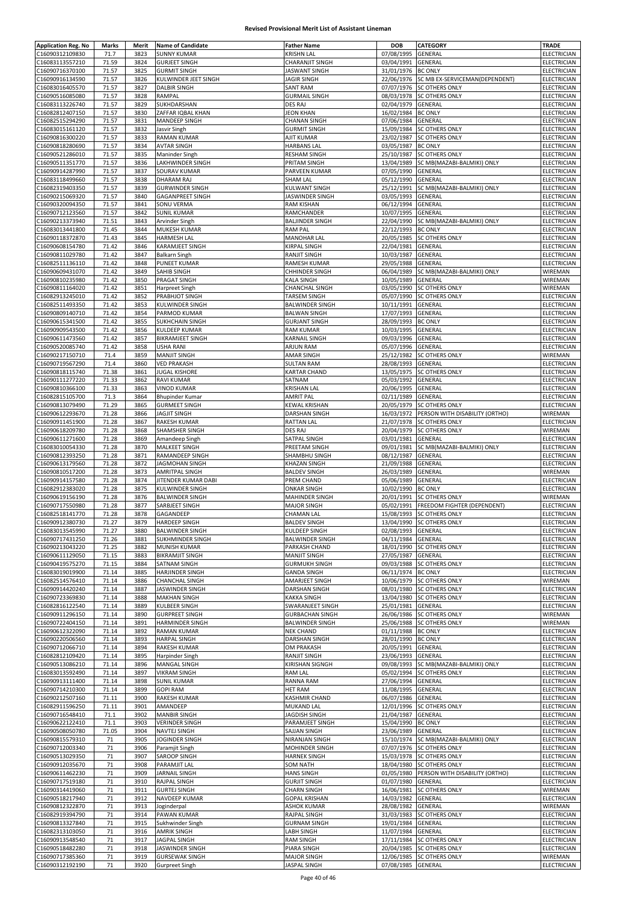| <b>Application Reg. No</b>         | Marks         | Merit        | <b>Name of Candidate</b>                       | <b>Father Name</b>                 | <b>DOB</b>         | CATEGORY                                  | <b>TRADE</b>                  |
|------------------------------------|---------------|--------------|------------------------------------------------|------------------------------------|--------------------|-------------------------------------------|-------------------------------|
| C16090312109830                    | 71.7          | 3823         | <b>SUNNY KUMAR</b>                             | KRISHN LAL                         | 07/08/1995         | <b>GENERAL</b>                            | ELECTRICIAN                   |
| C16083113557210                    | 71.59         | 3824         | <b>GURJEET SINGH</b>                           | CHARANJIT SINGH                    | 03/04/1991         | GENERAL                                   | ELECTRICIAN                   |
| C16090716370100                    | 71.57         | 3825         | <b>GURMIT SINGH</b>                            | JASWANT SINGH                      | 31/01/1976         | <b>BC ONLY</b>                            | <b>ELECTRICIAN</b>            |
| C16090916134590                    |               |              |                                                |                                    |                    |                                           |                               |
|                                    | 71.57         | 3826         | KULWINDER JEET SINGH                           | JAGIR SINGH                        | 22/06/1976         | SC MB EX-SERVICEMAN(DEPENDENT)            | ELECTRICIAN                   |
| C16083016405570                    | 71.57         | 3827         | <b>DALBIR SINGH</b>                            | <b>SANT RAM</b>                    | 07/07/1976         | <b>SC OTHERS ONLY</b>                     | ELECTRICIAN                   |
| C16090516085080                    | 71.57         | 3828         | RAMPAL                                         | <b>GURMAIL SINGH</b>               | 08/03/1978         | <b>SC OTHERS ONLY</b>                     | ELECTRICIAN                   |
| C16083113226740                    | 71.57         | 3829         | SUKHDARSHAN                                    | DES RAJ                            | 02/04/1979         | <b>GENERAL</b>                            | <b>ELECTRICIAN</b>            |
| C16082812407150                    | 71.57         | 3830         | ZAFFAR IQBAL KHAN                              | <b>JEON KHAN</b>                   | 16/02/1984         | <b>BC ONLY</b>                            | ELECTRICIAN                   |
| C16082515294290                    | 71.57         | 3831         | MANDEEP SINGH                                  | <b>CHANAN SINGH</b>                | 07/06/1984         | GENERAL                                   | ELECTRICIAN                   |
| C16083015161120                    | 71.57         | 3832         | Jasvir Singh                                   | <b>GURMIT SINGH</b>                | 15/09/1984         | <b>SC OTHERS ONLY</b>                     | ELECTRICIAN                   |
| C16090816300220                    | 71.57         | 3833         | <b>RAMAN KUMAR</b>                             | AJIT KUMAR                         | 23/02/1987         | <b>SC OTHERS ONLY</b>                     | ELECTRICIAN                   |
| C16090818280690                    | 71.57         | 3834         | <b>AVTAR SINGH</b>                             | <b>HARBANS LAL</b>                 | 03/05/1987         | <b>BC ONLY</b>                            | <b>ELECTRICIAN</b>            |
| C16090521286010                    | 71.57         | 3835         | <b>Maninder Singh</b>                          | <b>RESHAM SINGH</b>                | 25/10/1987         | <b>SC OTHERS ONLY</b>                     | ELECTRICIAN                   |
| C16090511351770                    | 71.57         | 3836         | LAKHWINDER SINGH                               | PRITAM SINGH                       | 13/04/1989         | SC MB(MAZABI-BALMIKI) ONLY                | <b>ELECTRICIAN</b>            |
| C16090914287990                    | 71.57         | 3837         | SOURAV KUMAR                                   | PARVEEN KUMAR                      | 07/05/1990         | GENERAL                                   | ELECTRICIAN                   |
| C16083118499660                    | 71.57         | 3838         | <b>DHARAM RAJ</b>                              | SHAM LAL                           | 05/12/1990         | GENERAL                                   | ELECTRICIAN                   |
| C16082319403350                    | 71.57         | 3839         | <b>GURWINDER SINGH</b>                         | KULWANT SINGH                      | 25/12/1991         | SC MB(MAZABI-BALMIKI) ONLY                | <b>ELECTRICIAN</b>            |
| C16090215069320                    | 71.57         | 3840         | <b>GAGANPREET SINGH</b>                        | JASWINDER SINGH                    | 03/05/1993         | GENERAL                                   | ELECTRICIAN                   |
| C16090320094350                    | 71.57         | 3841         | <b>SONU VERMA</b>                              | RAM KISHAN                         | 06/12/1994         | GENERAL                                   | ELECTRICIAN                   |
| C16090712123560                    | 71.57         | 3842         | <b>SUNIL KUMAR</b>                             | RAMCHANDER                         | 10/07/1995         | GENERAL                                   | ELECTRICIAN                   |
| C16090213373940                    | 71.51         | 3843         | Arvinder Singh                                 | <b>BALJINDER SINGH</b>             | 22/04/1990         | SC MB(MAZABI-BALMIKI) ONLY                | ELECTRICIAN                   |
| C16083013441800                    | 71.45         | 3844         | MUKESH KUMAR                                   | <b>RAM PAL</b>                     | 22/12/1993         | <b>BC ONLY</b>                            | ELECTRICIAN                   |
| C16090118372870                    | 71.43         | 3845         | <b>HARMESH LAL</b>                             | <b>MANOHAR LAL</b>                 | 20/05/1985         | <b>SC OTHERS ONLY</b>                     | ELECTRICIAN                   |
| C16090608154780                    | 71.42         | 3846         | <b>KARAMJEET SINGH</b>                         | KIRPAL SINGH                       | 22/04/1981         | GENERAL                                   | ELECTRICIAN                   |
| C16090811029780                    | 71.42         | 3847         | <b>Balkarn Singh</b>                           | RANJIT SINGH                       | 10/03/1987         | GENERAL                                   | <b>ELECTRICIAN</b>            |
| C16082511136110                    | 71.42         | 3848         | <b>PUNEET KUMAR</b>                            | RAMESH KUMAR                       | 29/05/1988         | GENERAL                                   | ELECTRICIAN                   |
| C16090609431070                    | 71.42         | 3849         | SAHIB SINGH                                    | CHHINDER SINGH                     | 06/04/1989         | SC MB(MAZABI-BALMIKI) ONLY                | WIREMAN                       |
| C16090810235980                    | 71.42         | 3850         | PRAGAT SINGH                                   | <b>KALA SINGH</b>                  | 10/05/1989         | GENERAL                                   | WIREMAN                       |
| C16090811164020                    | 71.42         | 3851         | Harpreet Singh                                 | <b>CHANCHAL SINGH</b>              | 03/05/1990         | <b>SC OTHERS ONLY</b>                     | WIREMAN                       |
| C16082913245010                    | 71.42         | 3852         | <b>PRABHJOT SINGH</b>                          | <b>TARSEM SINGH</b>                | 05/07/1990         | <b>SC OTHERS ONLY</b>                     | <b>ELECTRICIAN</b>            |
| C16082511493350                    | 71.42         | 3853         | <b>KULWINDER SINGH</b>                         | <b>BALWINDER SINGH</b>             | 10/11/1991         | GENERAL                                   | ELECTRICIAN                   |
| C16090809140710                    | 71.42         | 3854         | PARMOD KUMAR                                   | <b>BALWAN SINGH</b>                | 17/07/1993         | GENERAL                                   | ELECTRICIAN                   |
| C16090615341500                    | 71.42         | 3855         | <b>SUKHCHAIN SINGH</b>                         | <b>GURJANT SINGH</b>               | 28/09/1993         | <b>BC ONLY</b>                            | ELECTRICIAN                   |
| C16090909543500                    | 71.42         | 3856         | <b>KULDEEP KUMAR</b>                           | <b>RAM KUMAR</b>                   | 10/03/1995         | GENERAL                                   | ELECTRICIAN                   |
| C16090611473560                    | 71.42         | 3857         | <b>BIKRAMJEET SINGH</b>                        | KARNAIL SINGH                      | 09/03/1996         | GENERAL                                   | ELECTRICIAN                   |
| C16090520085740                    | 71.42         | 3858         | <b>USHA RANI</b>                               | <b>ARJUN RAM</b>                   | 05/07/1996         | GENERAL                                   | ELECTRICIAN                   |
| C16090217150710                    | 71.4          | 3859         | <b>MANJIT SINGH</b>                            | AMAR SINGH                         | 25/12/1982         | <b>SC OTHERS ONLY</b>                     | WIREMAN                       |
| C16090719567290                    | 71.4          | 3860         | <b>VED PRAKASH</b>                             | <b>SULTAN RAM</b>                  | 28/08/1993         | GENERAL                                   | ELECTRICIAN                   |
| C16090818115740                    | 71.38         | 3861         | <b>JUGAL KISHORE</b>                           | <b>KARTAR CHAND</b>                | 13/05/1975         | <b>SC OTHERS ONLY</b>                     | ELECTRICIAN                   |
| C16090111277220                    | 71.33         | 3862         | <b>RAVI KUMAR</b>                              | SATNAM                             | 05/03/1992         | GENERAL                                   | ELECTRICIAN                   |
|                                    |               |              |                                                |                                    |                    |                                           |                               |
| C16090810366100                    | 71.33<br>71.3 | 3863<br>3864 | <b>VINOD KUMAR</b>                             | KRISHAN LAL                        | 20/06/1995         | GENERAL                                   | ELECTRICIAN                   |
| C16082815105700                    |               |              | <b>Bhupinder Kumar</b>                         | <b>AMRIT PAL</b>                   | 02/11/1989         | GENERAL                                   | ELECTRICIAN                   |
| C16090813079490                    | 71.29         | 3865         | <b>GURMEET SINGH</b>                           | <b>KEWAL KRISHAN</b>               | 20/05/1979         | <b>SC OTHERS ONLY</b>                     | ELECTRICIAN                   |
| C16090612293670                    | 71.28         | 3866         | <b>JAGJIT SINGH</b>                            | DARSHAN SINGH                      |                    | 16/03/1972 PERSON WITH DISABILITY (ORTHO) | WIREMAN                       |
| C16090911451900                    | 71.28         | 3867         | <b>RAKESH KUMAR</b>                            | RATTAN LAL                         | 21/07/1978         | <b>SC OTHERS ONLY</b>                     | ELECTRICIAN                   |
| C16090618209780                    | 71.28         | 3868         | SHAMSHER SINGH                                 | DES RAJ                            | 20/04/1979         | SC OTHERS ONLY                            | WIREMAN                       |
| C16090611271600                    | 71.28         | 3869         | Amandeep Singh                                 | SATPAL SINGH                       | 03/01/1981         | GENERAL                                   | ELECTRICIAN                   |
| C16083010054330                    | 71.28         | 3870         | <b>MALKEET SINGH</b>                           | PREETAM SINGH                      | 09/01/1981         | SC MB(MAZABI-BALMIKI) ONLY                | ELECTRICIAN                   |
| C16090812393250                    | 71.28         | 3871         | RAMANDEEP SINGH                                | SHAMBHU SINGH                      | 08/12/1987         | GENERAL                                   | <b>ELECTRICIAN</b>            |
| C16090613179560                    | 71.28         | 3872         | <b>JAGMOHAN SINGH</b>                          | KHAZAN SINGH                       | 21/09/1988         | GENERAL                                   | ELECTRICIAN                   |
| C16090810517200                    | 71.28         | 3873         | <b>AMRITPAL SINGH</b>                          | <b>BALDEV SINGH</b>                | 26/03/1989         | GENERAL                                   | WIREMAN                       |
| C16090914157580                    | 71.28         | 3874         | JITENDER KUMAR DABI                            | PREM CHAND                         | 05/06/1989         | GENERAL                                   | ELECTRICIAN                   |
|                                    |               |              |                                                |                                    |                    |                                           |                               |
| C16082912383020                    | 71.28         | 3875         | KULWINDER SINGH                                | <b>ONKAR SINGH</b>                 | 10/02/1990         | <b>BC ONLY</b>                            | <b>ELECTRICIAN</b>            |
| C16090619156190                    | 71.28         | 3876         | <b>BALWINDER SINGH</b>                         | MAHINDER SINGH                     | 20/01/1991         | <b>SC OTHERS ONLY</b>                     | WIREMAN                       |
| C16090717550980                    | 71.28         | 3877         | SARBJEET SINGH                                 | <b>MAJOR SINGH</b>                 | 05/02/1991         | <b>FREEDOM FIGHTER (DEPENDENT)</b>        | ELECTRICIAN                   |
| C16082518141770                    | 71.28         | 3878         | GAGANDEEP                                      | <b>CHAMAN LAL</b>                  |                    | 15/08/1993 SC OTHERS ONLY                 | <b>ELECTRICIAN</b>            |
| C16090912380730                    | 71.27         | 3879         |                                                | <b>BALDEV SINGH</b>                |                    | 13/04/1990 SC OTHERS ONLY                 | ELECTRICIAN                   |
| C16083013545990                    | 71.27         | 3880         | HARDEEP SINGH<br><b>BALWINDER SINGH</b>        | KULDEEP SINGH                      | 02/08/1993 GENERAL |                                           | <b>ELECTRICIAN</b>            |
| C16090717431250                    | 71.26         | 3881         | <b>SUKHMINDER SINGH</b>                        | <b>BALWINDER SINGH</b>             | 04/11/1984 GENERAL |                                           | ELECTRICIAN                   |
| C16090213043220                    | 71.25         | 3882         | <b>MUNISH KUMAR</b>                            | PARKASH CHAND                      | 18/01/1990         | <b>SC OTHERS ONLY</b>                     | ELECTRICIAN                   |
| C16090611129050                    | 71.15         | 3883         | <b>BIKRAMJIT SINGH</b>                         | <b>MANJIT SINGH</b>                | 27/05/1987         | GENERAL                                   | ELECTRICIAN                   |
| C16090419575270                    | 71.15         | 3884         | SATNAM SINGH                                   | <b>GURMUKH SINGH</b>               |                    | 09/03/1988 SC OTHERS ONLY                 | ELECTRICIAN                   |
| C16083019019900                    | 71.14         | 3885         | <b>HARJINDER SINGH</b>                         | <b>GANDA SINGH</b>                 | 06/11/1974         | <b>BC ONLY</b>                            | ELECTRICIAN                   |
| C16082514576410                    | 71.14         | 3886         | <b>CHANCHAL SINGH</b>                          | AMARJEET SINGH                     |                    | 10/06/1979 SC OTHERS ONLY                 | WIREMAN                       |
| C16090914420240                    | 71.14         | 3887         | JASWINDER SINGH                                | DARSHAN SINGH                      | 08/01/1980         | <b>SC OTHERS ONLY</b>                     | <b>ELECTRICIAN</b>            |
| C16090723369830                    | 71.14         | 3888         | <b>MAKHAN SINGH</b>                            | <b>KAKKA SINGH</b>                 | 13/04/1980         | <b>SC OTHERS ONLY</b>                     | ELECTRICIAN                   |
| C16082816122540                    | 71.14         | 3889         | KULBEER SINGH                                  | <b>SWARANJEET SINGH</b>            | 25/01/1981         | <b>GENERAL</b>                            | <b>ELECTRICIAN</b>            |
| C16090911296150                    | 71.14         | 3890         | <b>GURPREET SINGH</b>                          | <b>GURBACHAN SINGH</b>             | 26/06/1986         | <b>SC OTHERS ONLY</b>                     | WIREMAN                       |
| C16090722404150                    | 71.14         | 3891         | <b>HARMINDER SINGH</b>                         | <b>BALWINDER SINGH</b>             | 25/06/1988         | <b>SC OTHERS ONLY</b>                     | WIREMAN                       |
| C16090612322090                    | 71.14         | 3892         | <b>RAMAN KUMAR</b>                             | <b>NEK CHAND</b>                   | 01/11/1988         | <b>BC ONLY</b>                            | ELECTRICIAN                   |
| C16090220506560                    | 71.14         | 3893         | <b>HARPAL SINGH</b>                            | DARSHAN SINGH                      | 28/01/1990         | <b>BC ONLY</b>                            | ELECTRICIAN                   |
| C16090712066710                    | 71.14         | 3894         | <b>RAKESH KUMAR</b>                            | <b>OM PRAKASH</b>                  | 20/05/1991         | <b>GENERAL</b>                            | ELECTRICIAN                   |
| C16082812109420                    | 71.14         | 3895         | Harpinder Singh                                | <b>RANJIT SINGH</b>                | 23/06/1993         | GENERAL                                   | ELECTRICIAN                   |
| C16090513086210                    | 71.14         | 3896         | <b>MANGAL SINGH</b>                            | KIRISHAN SIGNGH                    | 09/08/1993         | SC MB(MAZABI-BALMIKI) ONLY                | ELECTRICIAN                   |
|                                    |               |              |                                                |                                    |                    |                                           |                               |
| C16083013592490                    | 71.14         | 3897         | <b>VIKRAM SINGH</b>                            | <b>RAM LAL</b>                     | 05/02/1994         | <b>SC OTHERS ONLY</b>                     | ELECTRICIAN                   |
| C16090913111400                    | 71.14         | 3898         | <b>SUNIL KUMAR</b>                             | RANNA RAM                          | 27/06/1994         | GENERAL                                   | ELECTRICIAN                   |
| C16090714210300                    | 71.14         | 3899         | <b>GOPI RAM</b>                                | HET RAM                            | 11/08/1995         | GENERAL                                   | <b>ELECTRICIAN</b>            |
| C16090212507160                    | 71.11         | 3900         | <b>RAKESH KUMAR</b>                            | KASHMIR CHAND                      | 06/07/1986         | GENERAL                                   | ELECTRICIAN                   |
| C16082911596250                    | 71.11         | 3901         | AMANDEEP                                       | MUKAND LAL                         | 12/01/1996         | <b>SC OTHERS ONLY</b>                     | ELECTRICIAN                   |
| C16090716548410                    | 71.1          | 3902         | <b>MANBIR SINGH</b>                            | JAGDISH SINGH                      | 21/04/1987         | GENERAL                                   | ELECTRICIAN                   |
| C16090622122410                    | 71.1          | 3903         | <b>VERINDER SINGH</b>                          | PARAMJEET SINGH                    | 15/04/1990         | <b>BC ONLY</b>                            | ELECTRICIAN                   |
| C16090508050780                    | 71.05         | 3904         | NAVTEJ SINGH                                   | SAJJAN SINGH                       | 23/06/1989         | GENERAL                                   | ELECTRICIAN                   |
| C16090815579310                    | 71            | 3905         | JOGINDER SINGH                                 | NIRANJAN SINGH                     | 15/10/1974         | SC MB(MAZABI-BALMIKI) ONLY                | ELECTRICIAN                   |
| C16090712003340                    | 71            | 3906         | Paramjit Singh                                 | MOHINDER SINGH                     |                    | 07/07/1976 SC OTHERS ONLY                 | ELECTRICIAN                   |
| C16090513029350                    | 71            | 3907         | <b>SAROOP SINGH</b>                            | <b>HARNEK SINGH</b>                | 15/03/1978         | <b>SC OTHERS ONLY</b>                     | ELECTRICIAN                   |
| C16090912035670                    | 71            | 3908         | PARAMJIT LAL                                   | SOM NATH                           | 18/04/1980         | <b>SC OTHERS ONLY</b>                     | ELECTRICIAN                   |
| C16090611462230                    | 71            | 3909         | <b>JARNAIL SINGH</b>                           | <b>HANS SINGH</b>                  | 01/05/1980         | PERSON WITH DISABILITY (ORTHO)            | ELECTRICIAN                   |
| C16090717519180                    | 71            | 3910         | RAJPAL SINGH                                   | <b>GURJIT SINGH</b>                | 01/07/1980         | GENERAL                                   | ELECTRICIAN                   |
| C16090314419060                    | 71            | 3911         | <b>GURTEJ SINGH</b>                            | <b>CHARN SINGH</b>                 |                    | 16/06/1981 SC OTHERS ONLY                 | WIREMAN                       |
| C16090518217940                    | 71            | 3912         | NAVDEEP KUMAR                                  | <b>GOPAL KRISHAN</b>               | 14/03/1982         | GENERAL                                   | ELECTRICIAN                   |
| C16090812322870                    | 71            | 3913         | Joginderpal                                    | <b>ASHOK KUMAR</b>                 | 28/08/1982         | GENERAL                                   | WIREMAN                       |
| C16082919394790                    | 71            | 3914         | PAWAN KUMAR                                    | RAJPAL SINGH                       |                    | 31/03/1983 SC OTHERS ONLY                 | ELECTRICIAN                   |
| C16090813327840                    | 71            | 3915         | Sukhwinder Singh                               | <b>GURNAM SINGH</b>                | 19/01/1984         | GENERAL                                   | ELECTRICIAN                   |
| C16082313103050                    | 71            | 3916         | <b>AMRIK SINGH</b>                             | LABH SINGH                         | 11/07/1984         | GENERAL                                   | ELECTRICIAN                   |
| C16090913548540                    | 71            | 3917         | <b>JAGPAL SINGH</b>                            | RAM SINGH                          | 17/11/1984         | <b>SC OTHERS ONLY</b>                     | ELECTRICIAN                   |
| C16090518482280                    | 71            | 3918         | JASWINDER SINGH                                | PIARA SINGH                        |                    | 20/04/1985 SC OTHERS ONLY                 | ELECTRICIAN                   |
| C16090717385360<br>C16090312192190 | 71<br>71      | 3919<br>3920 | <b>GURSEWAK SINGH</b><br><b>Gurpreet Singh</b> | <b>MAJOR SINGH</b><br>JASPAL SINGH | 07/08/1985 GENERAL | 12/06/1985 SC OTHERS ONLY                 | WIREMAN<br><b>ELECTRICIAN</b> |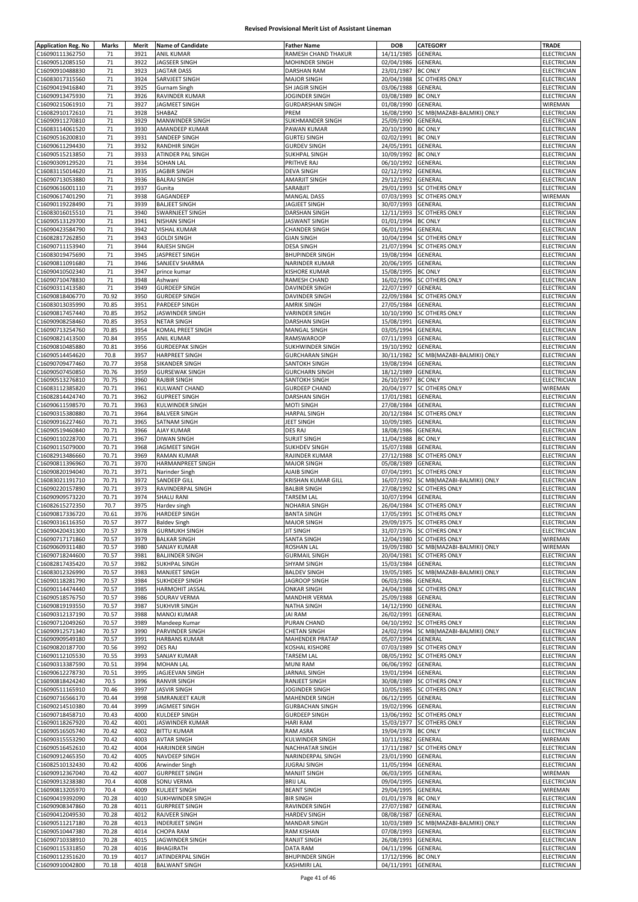| <b>Application Reg. No</b>         | Marks          | Merit        | <b>Name of Candidate</b>                        | <b>Father Name</b>                           | <b>DOB</b>                       | <b>CATEGORY</b>                                        | <b>TRADE</b>                      |
|------------------------------------|----------------|--------------|-------------------------------------------------|----------------------------------------------|----------------------------------|--------------------------------------------------------|-----------------------------------|
| C16090111362750<br>C16090512085150 | 71<br>71       | 3921<br>3922 | <b>ANIL KUMAR</b><br>JAGSEER SINGH              | RAMESH CHAND THAKUR<br>MOHINDER SINGH        | 14/11/1985<br>02/04/1986         | GENERAL<br>GENERAL                                     | ELECTRICIAN<br>ELECTRICIAN        |
| C16090910488830                    | 71             | 3923         | <b>JAGTAR DASS</b>                              | <b>DARSHAN RAM</b>                           | 23/01/1987                       | <b>BC ONLY</b>                                         | ELECTRICIAN                       |
| C16083017315560                    | 71             | 3924         | SARVJEET SINGH                                  | <b>MAJOR SINGH</b>                           | 20/04/1988                       | <b>SC OTHERS ONLY</b>                                  | ELECTRICIAN                       |
| C16090419416840                    | 71             | 3925         | <b>Gurnam Singh</b>                             | SH JAGIR SINGH                               | 03/06/1988                       | GENERAL                                                | ELECTRICIAN                       |
| C16090913475930<br>C16090215061910 | 71<br>71       | 3926<br>3927 | <b>RAVINDER KUMAR</b><br>JAGMEET SINGH          | JOGINDER SINGH<br><b>GURDARSHAN SINGH</b>    | 03/08/1989<br>01/08/1990         | <b>BC ONLY</b><br>GENERAL                              | ELECTRICIAN<br>WIREMAN            |
| C16082910172610                    | 71             | 3928         | SHABAZ                                          | PREM                                         | 16/08/1990                       | SC MB(MAZABI-BALMIKI) ONLY                             | ELECTRICIAN                       |
| C16090911270810                    | 71             | 3929         | <b>MANWINDER SINGH</b>                          | SUKHMANDER SINGH                             | 25/09/1990                       | GENERAL                                                | ELECTRICIAN                       |
| C16083114061520                    | 71             | 3930         | AMANDEEP KUMAR                                  | PAWAN KUMAR                                  | 20/10/1990                       | <b>BC ONLY</b>                                         | ELECTRICIAN                       |
| C16090516200810<br>C16090611294430 | 71<br>71       | 3931<br>3932 | SANDEEP SINGH<br><b>RANDHIR SINGH</b>           | <b>GURTEJ SINGH</b><br><b>GURDEV SINGH</b>   | 02/02/1991<br>24/05/1991         | <b>BC ONLY</b><br>GENERAL                              | ELECTRICIAN<br>ELECTRICIAN        |
| C16090515213850                    | 71             | 3933         | ATINDER PAL SINGH                               | <b>SUKHPAL SINGH</b>                         | 10/09/1992                       | <b>BC ONLY</b>                                         | ELECTRICIAN                       |
| C16090309129520                    | 71             | 3934         | SOHAN LAL                                       | PRITHVE RAJ                                  | 06/10/1992                       | GENERAL                                                | ELECTRICIAN                       |
| C16083115014620                    | 71             | 3935         | <b>JAGBIR SINGH</b>                             | <b>DEVA SINGH</b>                            | 02/12/1992                       | GENERAL                                                | <b>ELECTRICIAN</b>                |
| C16090713053880<br>C16090616001110 | 71<br>71       | 3936<br>3937 | <b>BALRAJ SINGH</b><br>Gunita                   | AMARJIT SINGH<br>SARABJIT                    | 29/12/1992<br>29/01/1993         | GENERAL<br><b>SC OTHERS ONLY</b>                       | ELECTRICIAN<br>ELECTRICIAN        |
| C16090617401290                    | 71             | 3938         | GAGANDEEP                                       | <b>MANGAL DASS</b>                           | 07/03/1993                       | <b>SC OTHERS ONLY</b>                                  | WIREMAN                           |
| C16090119228490                    | 71             | 3939         | <b>BALJEET SINGH</b>                            | JAGJEET SINGH                                | 30/07/1993                       | GENERAL                                                | ELECTRICIAN                       |
| C16083016015510                    | 71             | 3940         | SWARNJEET SINGH                                 | DARSHAN SINGH                                | 12/11/1993                       | <b>SC OTHERS ONLY</b>                                  | ELECTRICIAN                       |
| C16090513129700<br>C16090423584790 | 71<br>71       | 3941<br>3942 | <b>NISHAN SINGH</b><br><b>VISHAL KUMAR</b>      | <b>JASWANT SINGH</b><br><b>CHANDER SINGH</b> | 01/01/1994<br>06/01/1994         | <b>BC ONLY</b><br>GENERAL                              | ELECTRICIAN<br>ELECTRICIAN        |
| C16082817262850                    | 71             | 3943         | <b>GOLDI SINGH</b>                              | <b>GIAN SINGH</b>                            | 10/04/1994                       | <b>SC OTHERS ONLY</b>                                  | ELECTRICIAN                       |
| C16090711153940                    | 71             | 3944         | <b>RAJESH SINGH</b>                             | <b>DESA SINGH</b>                            | 21/07/1994                       | <b>SC OTHERS ONLY</b>                                  | ELECTRICIAN                       |
| C16083019475690                    | 71<br>71       | 3945         | JASPREET SINGH                                  | <b>BHUPINDER SINGH</b>                       | 19/08/1994<br>20/06/1995         | GENERAL                                                | ELECTRICIAN                       |
| C16090811091680<br>C16090410502340 | 71             | 3946<br>3947 | SANJEEV SHARMA<br>prince kumar                  | NARINDER KUMAR<br>KISHORE KUMAR              | 15/08/1995                       | GENERAL<br><b>BC ONLY</b>                              | ELECTRICIAN<br><b>ELECTRICIAN</b> |
| C16090710478830                    | 71             | 3948         | Ashwani                                         | RAMESH CHAND                                 | 16/02/1996                       | <b>SC OTHERS ONLY</b>                                  | ELECTRICIAN                       |
| C16090311413580                    | 71             | 3949         | <b>GURDEEP SINGH</b>                            | <b>DAVINDER SINGH</b>                        | 22/07/1997                       | GENERAL                                                | ELECTRICIAN                       |
| C16090818406770                    | 70.92          | 3950         | <b>GURDEEP SINGH</b>                            | DAVINDER SINGH                               | 22/09/1984                       | <b>SC OTHERS ONLY</b>                                  | <b>ELECTRICIAN</b>                |
| C16083013035990<br>C16090817457440 | 70.85<br>70.85 | 3951<br>3952 | PARDEEP SINGH<br><b>JASWINDER SINGH</b>         | <b>AMRIK SINGH</b><br><b>VARINDER SINGH</b>  | 27/05/1984<br>10/10/1990         | GENERAL<br><b>SC OTHERS ONLY</b>                       | ELECTRICIAN<br>ELECTRICIAN        |
| C16090908258460                    | 70.85          | 3953         | <b>NETAR SINGH</b>                              | DARSHAN SINGH                                | 15/08/1991                       | GENERAL                                                | ELECTRICIAN                       |
| C16090713254760                    | 70.85          | 3954         | KOMAL PREET SINGH                               | MANGAL SINGH                                 | 03/05/1994                       | GENERAL                                                | ELECTRICIAN                       |
| C16090821413500                    | 70.84          | 3955         | <b>ANIL KUMAR</b>                               | <b>RAMSWAROOP</b>                            | 07/11/1993                       | GENERAL                                                | ELECTRICIAN                       |
| C16090810485880<br>C16090514454620 | 70.81<br>70.8  | 3956<br>3957 | <b>GURDEEPAK SINGH</b><br><b>HARPREET SINGH</b> | SUKHWINDER SINGH<br><b>GURCHARAN SINGH</b>   | 19/10/1992<br>30/11/1982         | GENERAL<br>SC MB(MAZABI-BALMIKI) ONLY                  | ELECTRICIAN<br>ELECTRICIAN        |
| C16090709477460                    | 70.77          | 3958         | SIKANDER SINGH                                  | SANTOKH SINGH                                | 19/08/1994                       | GENERAL                                                | ELECTRICIAN                       |
| C16090507450850                    | 70.76          | 3959         | <b>GURSEWAK SINGH</b>                           | <b>GURCHARN SINGH</b>                        | 18/12/1989                       | GENERAL                                                | ELECTRICIAN                       |
| C16090513276810                    | 70.75          | 3960         | <b>RAJBIR SINGH</b>                             | SANTOKH SINGH                                | 26/10/1997                       | <b>BC ONLY</b>                                         | ELECTRICIAN                       |
| C16083112385820<br>C16082814424740 | 70.71<br>70.71 | 3961<br>3962 | KULWANT CHAND<br><b>GUPREET SINGH</b>           | <b>GURDEEP CHAND</b><br>DARSHAN SINGH        | 20/04/1977<br>17/01/1981         | <b>SC OTHERS ONLY</b><br>GENERAL                       | WIREMAN<br>ELECTRICIAN            |
| C16090611598570                    | 70.71          | 3963         | <b>KULWINDER SINGH</b>                          | MOTI SINGH                                   | 27/08/1984                       | GENERAL                                                | ELECTRICIAN                       |
| C16090315380880                    | 70.71          | 3964         | <b>BALVEER SINGH</b>                            | <b>HARPAL SINGH</b>                          | 20/12/1984                       | <b>SC OTHERS ONLY</b>                                  | ELECTRICIAN                       |
| C16090916227460<br>C16090519460840 | 70.71<br>70.71 | 3965<br>3966 | SATNAM SINGH<br><b>AJAY KUMAR</b>               | JEET SINGH<br>DES RAJ                        | 10/09/1985<br>18/08/1986         | GENERAL<br>GENERAL                                     | ELECTRICIAN<br>ELECTRICIAN        |
| C16090110228700                    | 70.71          | 3967         | <b>DIWAN SINGH</b>                              | <b>SURJIT SINGH</b>                          | 11/04/1988                       | <b>BC ONLY</b>                                         | ELECTRICIAN                       |
| C16090115079000                    | 70.71          | 3968         | <b>JAGMEET SINGH</b>                            | <b>SUKHDEV SINGH</b>                         | 15/07/1988                       | GENERAL                                                | ELECTRICIAN                       |
| C16082913486660<br>C16090811396960 | 70.71<br>70.71 | 3969<br>3970 | <b>RAMAN KUMAR</b><br>HARMANPREET SINGH         | RAJINDER KUMAR<br><b>MAJOR SINGH</b>         | 27/12/1988<br>05/08/1989         | <b>SC OTHERS ONLY</b><br>GENERAL                       | ELECTRICIAN<br>ELECTRICIAN        |
| C16090820194040                    | 70.71          | 3971         | Narinder Singh                                  | AJAIB SINGH                                  | 07/04/1991                       | <b>SC OTHERS ONLY</b>                                  | ELECTRICIAN                       |
| C16083021191710                    | 70.71          | 3972         | SANDEEP GILL                                    | <b>KRISHAN KUMAR GILL</b>                    | 16/07/1992                       | SC MB(MAZABI-BALMIKI) ONLY                             | ELECTRICIAN                       |
| C16090220157890                    | 70.71          | 3973         | RAVINDERPAL SINGH                               | <b>BALBIR SINGH</b>                          | 27/08/1992                       | <b>SC OTHERS ONLY</b>                                  | <b>ELECTRICIAN</b>                |
| C16090909573220<br>C16082615272350 | 70.71<br>70.7  | 3974<br>3975 | <b>SHALU RANI</b><br>Hardev singh               | <b>TARSEM LAL</b><br><b>NOHARIA SINGH</b>    | 10/07/1994<br>26/04/1984         | GENERAL<br><b>SC OTHERS ONLY</b>                       | ELECTRICIAN<br><b>ELECTRICIAN</b> |
| C16090817336720                    | 70.61          | 3976         | <b>HARDEEP SINGH</b>                            | <b>BANTA SINGH</b>                           |                                  | 17/05/1991 SC OTHERS ONLY                              | <b>ELECTRICIAN</b>                |
| C16090316116350                    | 70.57          | 3977         | <b>Baldev Singh</b>                             | <b>MAJOR SINGH</b>                           |                                  | 29/09/1975 SC OTHERS ONLY                              | ELECTRICIAN                       |
| C16090420431300                    | 70.57          | 3978         | <b>GURMUKH SINGH</b>                            | <b>JIT SINGH</b>                             |                                  | 31/07/1976 SC OTHERS ONLY<br>12/04/1980 SC OTHERS ONLY | ELECTRICIAN                       |
| C16090717171860<br>C16090609311480 | 70.57<br>70.57 | 3979<br>3980 | <b>BALKAR SINGH</b><br><b>SANJAY KUMAR</b>      | SANTA SINGH<br>ROSHAN LAL                    |                                  | 19/09/1980 SC MB(MAZABI-BALMIKI) ONLY                  | WIREMAN<br>WIREMAN                |
| C16090718244600                    | 70.57          | 3981         | <b>BALJINDER SINGH</b>                          | <b>GURMAIL SINGH</b>                         |                                  | 20/04/1981 SC OTHERS ONLY                              | ELECTRICIAN                       |
| C16082817435420                    | 70.57          | 3982         | <b>SUKHPAL SINGH</b>                            | <b>SHYAM SINGH</b>                           | 15/03/1984                       | <b>GENERAL</b>                                         | <b>ELECTRICIAN</b>                |
| C16083012326990                    | 70.57          | 3983<br>3984 | <b>MANJEET SINGH</b>                            | <b>BALDEV SINGH</b>                          | 19/05/1985                       | SC MB(MAZABI-BALMIKI) ONLY<br><b>GENERAL</b>           | ELECTRICIAN<br>ELECTRICIAN        |
| C16090118281790<br>C16090114474440 | 70.57<br>70.57 | 3985         | SUKHDEEP SINGH<br><b>HARMOHIT JASSAL</b>        | JAGROOP SINGH<br><b>ONKAR SINGH</b>          | 06/03/1986<br>24/04/1988         | <b>SC OTHERS ONLY</b>                                  | ELECTRICIAN                       |
| C16090518576750                    | 70.57          | 3986         | SOURAV VERMA                                    | <b>MANDHIR VERMA</b>                         | 25/09/1988                       | GENERAL                                                | ELECTRICIAN                       |
| C16090819193550                    | 70.57          | 3987         | <b>SUKHVIR SINGH</b>                            | NATHA SINGH                                  | 14/12/1990                       | GENERAL                                                | <b>ELECTRICIAN</b>                |
| C16090312137190<br>C16090712049260 | 70.57<br>70.57 | 3988<br>3989 | <b>MANOJ KUMAR</b><br>Mandeep Kumar             | <b>JAI RAM</b><br>PURAN CHAND                | 26/02/1991                       | GENERAL<br>04/10/1992 SC OTHERS ONLY                   | ELECTRICIAN<br>ELECTRICIAN        |
| C16090912571340                    | 70.57          | 3990         | PARVINDER SINGH                                 | <b>CHETAN SINGH</b>                          |                                  | 24/02/1994 SC MB(MAZABI-BALMIKI) ONLY                  | ELECTRICIAN                       |
| C16090909549180                    | 70.57          | 3991         | <b>HARBANS KUMAR</b>                            | MAHENDER PRATAP                              | 05/07/1994 GENERAL               |                                                        | <b>ELECTRICIAN</b>                |
| C16090820187700                    | 70.56          | 3992         | <b>DES RAJ</b>                                  | KOSHAL KISHORE                               | 07/03/1989                       | <b>SC OTHERS ONLY</b>                                  | ELECTRICIAN                       |
| C16090112105530<br>C16090313387590 | 70.55<br>70.51 | 3993<br>3994 | SANJAY KUMAR<br><b>MOHAN LAL</b>                | <b>TARSEM LAL</b><br><b>MUNI RAM</b>         | 08/05/1992<br>06/06/1992         | <b>SC OTHERS ONLY</b><br><b>GENERAL</b>                | ELECTRICIAN<br>ELECTRICIAN        |
| C16090612278730                    | 70.51          | 3995         | JAGJEEVAN SINGH                                 | JARNAIL SINGH                                | 19/01/1994                       | <b>GENERAL</b>                                         | ELECTRICIAN                       |
| C16090818424240                    | 70.5           | 3996         | <b>RANVIR SINGH</b>                             | RANJEET SINGH                                | 30/08/1989                       | <b>SC OTHERS ONLY</b>                                  | ELECTRICIAN                       |
| C16090511165910                    | 70.46          | 3997         | <b>JASVIR SINGH</b>                             | JOGINDER SINGH                               | 10/05/1985                       | <b>SC OTHERS ONLY</b>                                  | <b>ELECTRICIAN</b>                |
| C16090716566170<br>C16090214510380 | 70.44<br>70.44 | 3998<br>3999 | SIMRANJEET KAUR<br>JAGMEET SINGH                | MAHENDER SINGH<br><b>GURBACHAN SINGH</b>     | 06/12/1995<br>19/02/1996 GENERAL | <b>GENERAL</b>                                         | ELECTRICIAN<br>ELECTRICIAN        |
| C16090718458710                    | 70.43          | 4000         | KULDEEP SINGH                                   | <b>GURDEEP SINGH</b>                         | 13/06/1992                       | <b>SC OTHERS ONLY</b>                                  | ELECTRICIAN                       |
| C16090118267920                    | 70.42          | 4001         | <b>JASWINDER KUMAR</b>                          | <b>HARI RAM</b>                              | 15/03/1977                       | <b>SC OTHERS ONLY</b>                                  | ELECTRICIAN                       |
| C16090516505740                    | 70.42          | 4002         | <b>BITTU KUMAR</b>                              | RAM ASRA                                     | 19/04/1978 BC ONLY               |                                                        | ELECTRICIAN                       |
| C16090315553290<br>C16090516452610 | 70.42<br>70.42 | 4003<br>4004 | <b>AVTAR SINGH</b><br><b>HARJINDER SINGH</b>    | KULWINDER SINGH<br>NACHHATAR SINGH           | 10/11/1982<br>17/11/1987         | <b>GENERAL</b><br><b>SC OTHERS ONLY</b>                | WIREMAN<br>ELECTRICIAN            |
| C16090912465350                    | 70.42          | 4005         | NAVDEEP SINGH                                   | NARINDERPAL SINGH                            | 23/01/1990                       | GENERAL                                                | ELECTRICIAN                       |
| C16082510132430                    | 70.42          | 4006         | Arwinder Singh                                  | <b>JUGRAJ SINGH</b>                          | 11/05/1994                       | GENERAL                                                | ELECTRICIAN                       |
| C16090912367040<br>C16090913238380 | 70.42<br>70.4  | 4007<br>4008 | <b>GURPREET SINGH</b><br><b>SONU VERMA</b>      | <b>MANJIT SINGH</b><br><b>BRIJ LAL</b>       | 06/03/1995<br>09/04/1995         | GENERAL<br>GENERAL                                     | WIREMAN<br>ELECTRICIAN            |
| C16090813205970                    | 70.4           | 4009         | <b>KULJEET SINGH</b>                            | <b>BEANT SINGH</b>                           | 29/04/1995                       | GENERAL                                                | WIREMAN                           |
| C16090419392090                    | 70.28          | 4010         | SUKHWINDER SINGH                                | <b>BIR SINGH</b>                             | 01/01/1978                       | <b>BC ONLY</b>                                         | ELECTRICIAN                       |
| C16090908347860                    | 70.28          | 4011         | <b>GURPREET SINGH</b>                           | RAVINDER SINGH                               | 27/07/1987                       | GENERAL                                                | ELECTRICIAN                       |
| C16090412049530<br>C16090511217180 | 70.28<br>70.28 | 4012<br>4013 | RAJVEER SINGH<br><b>INDERJEET SINGH</b>         | <b>HARDEV SINGH</b><br><b>MANDAR SINGH</b>   | 08/08/1987<br>10/03/1989         | GENERAL<br>SC MB(MAZABI-BALMIKI) ONLY                  | ELECTRICIAN<br>ELECTRICIAN        |
| C16090510447380                    | 70.28          | 4014         | <b>CHOPA RAM</b>                                | RAM KISHAN                                   | 07/08/1993                       | GENERAL                                                | ELECTRICIAN                       |
| C16090710338910                    | 70.28          | 4015         | JAGWINDER SINGH                                 | RANJIT SINGH                                 | 26/08/1993                       | GENERAL                                                | ELECTRICIAN                       |
| C16090115331850<br>C16090112351620 | 70.28<br>70.19 | 4016<br>4017 | <b>BHAGIRATH</b><br>JATINDERPAL SINGH           | DATA RAM<br><b>BHUPINDER SINGH</b>           | 04/11/1996<br>17/12/1996         | GENERAL<br><b>BC ONLY</b>                              | ELECTRICIAN<br>ELECTRICIAN        |
| C16090910042800                    | 70.18          | 4018         | <b>BALWANT SINGH</b>                            | KASHMIRI LAL                                 | 04/11/1991 GENERAL               |                                                        | ELECTRICIAN                       |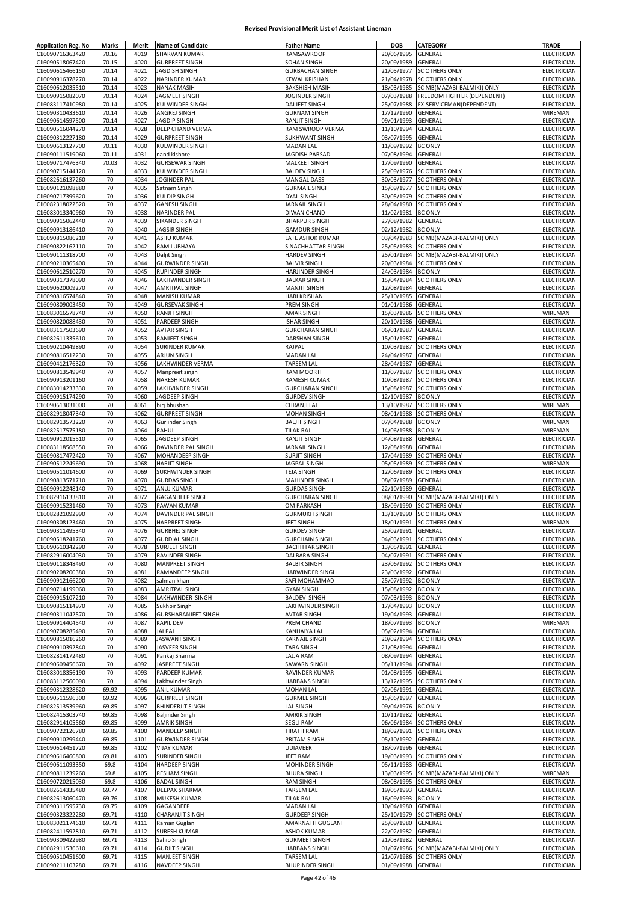| <b>Application Reg. No</b> | Marks | Merit | <b>Name of Candidate</b>   | <b>Father Name</b>     | <b>DOB</b>         | CATEGORY                    | <b>TRADE</b>       |
|----------------------------|-------|-------|----------------------------|------------------------|--------------------|-----------------------------|--------------------|
| C16090716363420            | 70.16 | 4019  | SHARVAN KUMAR              | RAMSAWROOP             | 20/06/1995         | GENERAL                     | ELECTRICIAN        |
| C16090518067420            | 70.15 | 4020  | <b>GURPREET SINGH</b>      | SOHAN SINGH            | 20/09/1989         | GENERAL                     | ELECTRICIAN        |
| C16090615466150            | 70.14 | 4021  | <b>JAGDISH SINGH</b>       | <b>GURBACHAN SINGH</b> | 21/05/1977         | SC OTHERS ONLY              | ELECTRICIAN        |
| C16090916378270            | 70.14 | 4022  | NARINDER KUMAR             | KEWAL KRISHAN          | 21/04/1978         | <b>SC OTHERS ONLY</b>       | ELECTRICIAN        |
|                            |       |       |                            |                        |                    |                             |                    |
| C16090612035510            | 70.14 | 4023  | <b>NANAK MASIH</b>         | <b>BAKSHISH MASIH</b>  | 18/03/1985         | SC MB(MAZABI-BALMIKI) ONLY  | ELECTRICIAN        |
| C16090915082070            | 70.14 | 4024  | JAGMEET SINGH              | JOGINDER SINGH         | 07/03/1988         | FREEDOM FIGHTER (DEPENDENT) | <b>ELECTRICIAN</b> |
| C16083117410980            | 70.14 | 4025  | KULWINDER SINGH            | DALJEET SINGH          | 25/07/1988         | EX-SERVICEMAN(DEPENDENT)    | ELECTRICIAN        |
| C16090310433610            | 70.14 | 4026  | ANGREJ SINGH               | <b>GURNAM SINGH</b>    | 17/12/1990         | GENERAL                     | WIREMAN            |
| C16090614597500            | 70.14 | 4027  | <b>JAGDIP SINGH</b>        | RANJIT SINGH           | 09/01/1993         | GENERAL                     | ELECTRICIAN        |
| C16090516044270            | 70.14 | 4028  | DEEP CHAND VERMA           | RAM SWROOP VERMA       | 11/10/1994         | GENERAL                     | ELECTRICIAN        |
| C16090312227180            | 70.14 | 4029  | <b>GURPREET SINGH</b>      | <b>SUKHWANT SINGH</b>  | 03/07/1995         | GENERAL                     | ELECTRICIAN        |
| C16090613127700            | 70.11 | 4030  | KULWINDER SINGH            | <b>MADAN LAL</b>       | 11/09/1992         | <b>BC ONLY</b>              | ELECTRICIAN        |
|                            |       |       | nand kishore               |                        | 07/08/1994         |                             |                    |
| C16090111519060            | 70.11 | 4031  |                            | JAGDISH PARSAD         |                    | GENERAL                     | ELECTRICIAN        |
| C16090717476340            | 70.03 | 4032  | <b>GURSEWAK SINGH</b>      | MALKEET SINGH          | 17/09/1990         | GENERAL                     | <b>ELECTRICIAN</b> |
| C16090715144120            | 70    | 4033  | KULWINDER SINGH            | <b>BALDEV SINGH</b>    | 25/09/1976         | <b>SC OTHERS ONLY</b>       | ELECTRICIAN        |
| C16082616137260            | 70    | 4034  | JOGINDER PAL               | <b>MANGAL DASS</b>     | 30/03/1977         | SC OTHERS ONLY              | ELECTRICIAN        |
| C16090121098880            | 70    | 4035  | Satnam Singh               | <b>GURMAIL SINGH</b>   | 15/09/1977         | <b>SC OTHERS ONLY</b>       | ELECTRICIAN        |
| C16090717399620            | 70    | 4036  | <b>KULDIP SINGH</b>        | DYAL SINGH             | 30/05/1979         | <b>SC OTHERS ONLY</b>       | ELECTRICIAN        |
| C16082318022520            | 70    | 4037  | <b>GANESH SINGH</b>        | JARNAIL SINGH          |                    | 28/04/1980 SC OTHERS ONLY   | ELECTRICIAN        |
| C16083013340960            | 70    | 4038  | NARINDER PAL               | DIWAN CHAND            | 11/02/1981         | <b>BC ONLY</b>              | <b>ELECTRICIAN</b> |
| C16090915062440            | 70    | 4039  | SIKANDER SINGH             | <b>BHARPUR SINGH</b>   | 27/08/1982         | GENERAL                     | ELECTRICIAN        |
|                            |       |       |                            |                        |                    |                             |                    |
| C16090913186410            | 70    | 4040  | <b>JAGSIR SINGH</b>        | <b>GAMDUR SINGH</b>    | 02/12/1982         | <b>BC ONLY</b>              | <b>ELECTRICIAN</b> |
| C16090815086210            | 70    | 4041  | <b>ASHU KUMAR</b>          | LATE ASHOK KUMAR       | 03/04/1983         | SC MB(MAZABI-BALMIKI) ONLY  | ELECTRICIAN        |
| C16090822162110            | 70    | 4042  | RAM LUBHAYA                | S NACHHATTAR SINGH     | 25/05/1983         | <b>SC OTHERS ONLY</b>       | ELECTRICIAN        |
| C16090111318700            | 70    | 4043  | Daljit Singh               | <b>HARDEV SINGH</b>    | 25/01/1984         | SC MB(MAZABI-BALMIKI) ONLY  | ELECTRICIAN        |
| C16090210365400            | 70    | 4044  | <b>GURWINDER SINGH</b>     | <b>BALVIR SINGH</b>    | 20/03/1984         | SC OTHERS ONLY              | ELECTRICIAN        |
| C16090612510270            | 70    | 4045  | <b>RUPINDER SINGH</b>      | HARJINDER SINGH        | 24/03/1984         | <b>BC ONLY</b>              | ELECTRICIAN        |
| C16090317378090            | 70    | 4046  | LAKHWINDER SINGH           | <b>BALKAR SINGH</b>    | 15/04/1984         | <b>SC OTHERS ONLY</b>       | <b>ELECTRICIAN</b> |
|                            |       |       |                            |                        |                    |                             |                    |
| C16090620009270            | 70    | 4047  | <b>AMRITPAL SINGH</b>      | <b>MANJIT SINGH</b>    | 12/08/1984         | GENERAL                     | ELECTRICIAN        |
| C16090816574840            | 70    | 4048  | <b>MANISH KUMAR</b>        | <b>HARI KRISHAN</b>    | 25/10/1985         | <b>GENERAL</b>              | ELECTRICIAN        |
| C16090809003450            | 70    | 4049  | <b>GURSEVAK SINGH</b>      | PREM SINGH             | 01/01/1986         | GENERAL                     | ELECTRICIAN        |
| C16083016578740            | 70    | 4050  | RANJIT SINGH               | AMAR SINGH             | 15/03/1986         | <b>SC OTHERS ONLY</b>       | WIREMAN            |
| C16090820088430            | 70    | 4051  | PARDEEP SINGH              | <b>ISHAR SINGH</b>     | 20/10/1986         | GENERAL                     | <b>ELECTRICIAN</b> |
| C16083117503690            | 70    | 4052  | <b>AVTAR SINGH</b>         | <b>GURCHARAN SINGH</b> | 06/01/1987         | GENERAL                     | <b>ELECTRICIAN</b> |
| C16082611335610            | 70    | 4053  | RANJEET SINGH              |                        |                    | GENERAL                     | ELECTRICIAN        |
|                            |       |       |                            | DARSHAN SINGH          | 15/01/1987         |                             |                    |
| C16090210449890            | 70    | 4054  | <b>SURINDER KUMAR</b>      | RAJPAL                 | 10/03/1987         | <b>SC OTHERS ONLY</b>       | ELECTRICIAN        |
| C16090816512230            | 70    | 4055  | ARJUN SINGH                | <b>MADAN LAL</b>       | 24/04/1987         | GENERAL                     | ELECTRICIAN        |
| C16090412176320            | 70    | 4056  | LAKHWINDER VERMA           | TARSEM LAL             | 28/04/1987         | GENERAL                     | ELECTRICIAN        |
| C16090813549940            | 70    | 4057  | Manpreet singh             | RAM MOORTI             | 11/07/1987         | SC OTHERS ONLY              | ELECTRICIAN        |
| C16090913201160            | 70    | 4058  | NARESH KUMAR               | RAMESH KUMAR           | 10/08/1987         | <b>SC OTHERS ONLY</b>       | <b>ELECTRICIAN</b> |
| C16083014233330            | 70    | 4059  | LAKHVINDER SINGH           | <b>GURCHARAN SINGH</b> | 15/08/1987         | <b>SC OTHERS ONLY</b>       | ELECTRICIAN        |
| C16090915174290            | 70    | 4060  | JAGDEEP SINGH              | <b>GURDEV SINGH</b>    | 12/10/1987 BC ONLY |                             | ELECTRICIAN        |
|                            |       |       |                            |                        |                    |                             |                    |
| C16090613031000            | 70    | 4061  | birj bhushan               | CHRANJI LAL            | 13/10/1987         | SC OTHERS ONLY              | WIREMAN            |
| C16082918047340            | 70    | 4062  | <b>GURPREET SINGH</b>      | <b>MOHAN SINGH</b>     | 08/01/1988         | SC OTHERS ONLY              | ELECTRICIAN        |
| C16082913573220            | 70    | 4063  | Gurjinder Singh            | <b>BALJIT SINGH</b>    | 07/04/1988         | <b>BC ONLY</b>              | WIREMAN            |
| C16082517575180            | 70    | 4064  | RAHUL                      | TILAK RAJ              | 14/06/1988         | <b>BC ONLY</b>              | WIREMAN            |
| C16090912015510            | 70    | 4065  | JAGDEEP SINGH              | RANJIT SINGH           | 04/08/1988         | GENERAL                     | <b>ELECTRICIAN</b> |
| C16083118568550            | 70    | 4066  | DAVINDER PAL SINGH         | JARNAIL SINGH          | 12/08/1988         | GENERAL                     | ELECTRICIAN        |
|                            | 70    | 4067  |                            |                        |                    |                             |                    |
| C16090817472420            |       |       | MOHANDEEP SINGH            | SURJIT SINGH           | 17/04/1989         | SC OTHERS ONLY              | ELECTRICIAN        |
| C16090512249690            | 70    | 4068  | <b>HARJIT SINGH</b>        | JAGPAL SINGH           | 05/05/1989         | <b>SC OTHERS ONLY</b>       | WIREMAN            |
| C16090511014600            | 70    | 4069  | SUKHWINDER SINGH           | <b>TEJA SINGH</b>      | 12/06/1989         | <b>SC OTHERS ONLY</b>       | <b>ELECTRICIAN</b> |
| C16090813571710            | 70    | 4070  | <b>GURDAS SINGH</b>        | MAHINDER SINGH         | 08/07/1989         | GENERAL                     | ELECTRICIAN        |
| C16090912248140            | 70    | 4071  | ANUJ KUMAR                 | <b>GURDAS SINGH</b>    | 22/10/1989         | GENERAL                     | ELECTRICIAN        |
| C16082916133810            | 70    | 4072  | GAGANDEEP SINGH            | <b>GURCHARAN SINGH</b> | 08/01/1990         | SC MB(MAZABI-BALMIKI) ONLY  | ELECTRICIAN        |
| C16090915231460            | 70    | 4073  | PAWAN KUMAR                | <b>OM PARKASH</b>      | 18/09/1990         | <b>SC OTHERS ONLY</b>       | ELECTRICIAN        |
| C16082821092990            | 70    | 4074  | DAVINDER PAL SINGH         | <b>GURMUKH SINGH</b>   |                    | 13/10/1990 SC OTHERS ONLY   | ELECTRICIAN        |
|                            |       |       |                            |                        |                    |                             |                    |
| C16090308123460            | 70    | 4075  | <b>HARPREET SINGH</b>      | JEET SINGH             |                    | 18/01/1991 SC OTHERS ONLY   | WIREMAN            |
| C16090311495340            | 70    | 4076  | <b>GURBHEJ SINGH</b>       | <b>GURDEV SINGH</b>    | 25/02/1991 GENERAL |                             | <b>ELECTRICIAN</b> |
| C16090518241760            | 70    | 4077  | <b>GURDIAL SINGH</b>       | <b>GURCHAIN SINGH</b>  |                    | 04/03/1991 SC OTHERS ONLY   | ELECTRICIAN        |
| C16090610342290            | 70    | 4078  | SURJEET SINGH              | <b>BACHITTAR SINGH</b> | 13/05/1991         | <b>GENERAL</b>              | ELECTRICIAN        |
| C16082916004030            | 70    | 4079  | <b>RAVINDER SINGH</b>      | DALBARA SINGH          | 04/07/1991         | <b>SC OTHERS ONLY</b>       | ELECTRICIAN        |
| C16090118348490            | 70    | 4080  | MANPREET SINGH             | <b>BALBIR SINGH</b>    |                    | 23/06/1992 SC OTHERS ONLY   | ELECTRICIAN        |
| C16090208200380            | 70    | 4081  | RAMANDEEP SINGH            | HARWINDER SINGH        | 23/06/1992 GENERAL |                             | <b>ELECTRICIAN</b> |
|                            |       |       |                            | SAFI MOHAMMAD          | 25/07/1992 BC ONLY |                             | <b>ELECTRICIAN</b> |
| C16090912166200            | 70    | 4082  | salman khan                |                        |                    |                             |                    |
| C16090714199060            | 70    | 4083  | AMRITPAL SINGH             | <b>GYAN SINGH</b>      | 15/08/1992         | <b>BC ONLY</b>              | <b>ELECTRICIAN</b> |
| C16090915107210            | 70    | 4084  | LAKHWINDER SINGH           | <b>BALDEV SINGH</b>    | 07/03/1993         | <b>BC ONLY</b>              | ELECTRICIAN        |
| C16090815114970            | 70    | 4085  | Sukhbir Singh              | LAKHWINDER SINGH       | 17/04/1993         | <b>BC ONLY</b>              | ELECTRICIAN        |
| C16090311042570            | 70    | 4086  | <b>GURSHARANJEET SINGH</b> | <b>AVTAR SINGH</b>     | 19/04/1993 GENERAL |                             | ELECTRICIAN        |
| C16090914404540            | 70    | 4087  | <b>KAPIL DEV</b>           | PREM CHAND             | 18/07/1993 BC ONLY |                             | WIREMAN            |
| C16090708285490            | 70    | 4088  | <b>JAI PAL</b>             | KANHAIYA LAL           | 05/02/1994         | <b>GENERAL</b>              | ELECTRICIAN        |
| C16090815016260            | 70    | 4089  | <b>JASWANT SINGH</b>       | KARNAIL SINGH          | 20/02/1994         | <b>SC OTHERS ONLY</b>       | ELECTRICIAN        |
| C16090910392840            | 70    | 4090  | JASVEER SINGH              | TARA SINGH             | 21/08/1994         | GENERAL                     | ELECTRICIAN        |
|                            |       |       |                            |                        |                    |                             | ELECTRICIAN        |
| C16082814172480            | 70    | 4091  | Pankaj Sharma              | LAJJA RAM              | 08/09/1994         | GENERAL                     |                    |
| C16090609456670            | 70    | 4092  | JASPREET SINGH             | SAWARN SINGH           | 05/11/1994         | GENERAL                     | ELECTRICIAN        |
| C16083018356190            | 70    | 4093  | PARDEEP KUMAR              | RAVINDER KUMAR         | 01/08/1995         | GENERAL                     | <b>ELECTRICIAN</b> |
| C16083112560090            | 70    | 4094  | Lakhwinder Singh           | <b>HARBANS SINGH</b>   | 13/12/1995         | <b>SC OTHERS ONLY</b>       | ELECTRICIAN        |
| C16090312328620            | 69.92 | 4095  | ANIL KUMAR                 | MOHAN LAL              | 02/06/1991         | GENERAL                     | ELECTRICIAN        |
| C16090511596300            | 69.92 | 4096  | <b>GURPREET SINGH</b>      | <b>GURMEL SINGH</b>    | 15/06/1997         | GENERAL                     | ELECTRICIAN        |
| C16082513539960            | 69.85 | 4097  | <b>BHINDERJIT SINGH</b>    | LAL SINGH              | 09/04/1976 BC ONLY |                             | ELECTRICIAN        |
|                            |       |       |                            |                        |                    |                             |                    |
| C16082415303740            | 69.85 | 4098  | <b>Baljinder Singh</b>     | <b>AMRIK SINGH</b>     | 10/11/1982         | GENERAL                     | ELECTRICIAN        |
| C16082914105560            | 69.85 | 4099  | <b>AMRIK SINGH</b>         | SEGLI RAM              | 06/06/1984         | <b>SC OTHERS ONLY</b>       | ELECTRICIAN        |
| C16090722126780            | 69.85 | 4100  | MANDEEP SINGH              | TIRATH RAM             | 18/02/1991         | <b>SC OTHERS ONLY</b>       | ELECTRICIAN        |
| C16090910299440            | 69.85 | 4101  | <b>GURWINDER SINGH</b>     | PRITAM SINGH           | 05/10/1992         | GENERAL                     | ELECTRICIAN        |
| C16090614451720            | 69.85 | 4102  | <b>VIJAY KUMAR</b>         | UDIAVEER               | 18/07/1996         | GENERAL                     | ELECTRICIAN        |
| C16090616460800            | 69.81 | 4103  | <b>SURINDER SINGH</b>      | JEET RAM               | 19/03/1993         | SC OTHERS ONLY              | ELECTRICIAN        |
| C16090611093350            | 69.8  | 4104  | <b>HARDEEP SINGH</b>       | MOHINDER SINGH         | 05/11/1983         | GENERAL                     | ELECTRICIAN        |
|                            |       |       |                            |                        |                    |                             |                    |
| C16090811239260            | 69.8  | 4105  | RESHAM SINGH               | <b>BHURA SINGH</b>     | 13/03/1995         | SC MB(MAZABI-BALMIKI) ONLY  | WIREMAN            |
| C16090720215030            | 69.8  | 4106  | <b>BADAL SINGH</b>         | <b>RAM SINGH</b>       | 08/08/1995         | SC OTHERS ONLY              | ELECTRICIAN        |
| C16082614335480            | 69.77 | 4107  | <b>DEEPAK SHARMA</b>       | TARSEM LAL             | 19/05/1993         | GENERAL                     | ELECTRICIAN        |
| C16082613060470            | 69.76 | 4108  | MUKESH KUMAR               | TILAK RAJ              | 16/09/1993         | <b>BC ONLY</b>              | ELECTRICIAN        |
| C16090311595730            | 69.75 | 4109  | GAGANDEEP                  | <b>MADAN LAL</b>       | 10/04/1980         | GENERAL                     | ELECTRICIAN        |
| C16090323322280            | 69.71 | 4110  | <b>CHARANJIT SINGH</b>     | <b>GURDEEP SINGH</b>   | 25/10/1979         | <b>SC OTHERS ONLY</b>       | ELECTRICIAN        |
| C16083021174610            | 69.71 | 4111  | Raman Guglani              | AMARNATH GUGLANI       | 25/09/1980         | GENERAL                     | ELECTRICIAN        |
|                            |       |       |                            |                        |                    |                             |                    |
| C16082411592810            | 69.71 | 4112  | <b>SURESH KUMAR</b>        | ASHOK KUMAR            | 22/02/1982         | GENERAL                     | ELECTRICIAN        |
| C16090309422980            | 69.71 | 4113  | Sahib Singh                | <b>GURMEET SINGH</b>   | 21/03/1982         | GENERAL                     | ELECTRICIAN        |
| C16082911536610            | 69.71 | 4114  | <b>GURJIT SINGH</b>        | <b>HARBANS SINGH</b>   | 01/07/1986         | SC MB(MAZABI-BALMIKI) ONLY  | ELECTRICIAN        |
|                            | 69.71 | 4115  | <b>MANJEET SINGH</b>       | <b>TARSEM LAL</b>      |                    | 21/07/1986 SC OTHERS ONLY   | ELECTRICIAN        |
| C16090510451600            |       |       | NAVDEEP SINGH              | <b>BHUPINDER SINGH</b> | 01/09/1988 GENERAL |                             | ELECTRICIAN        |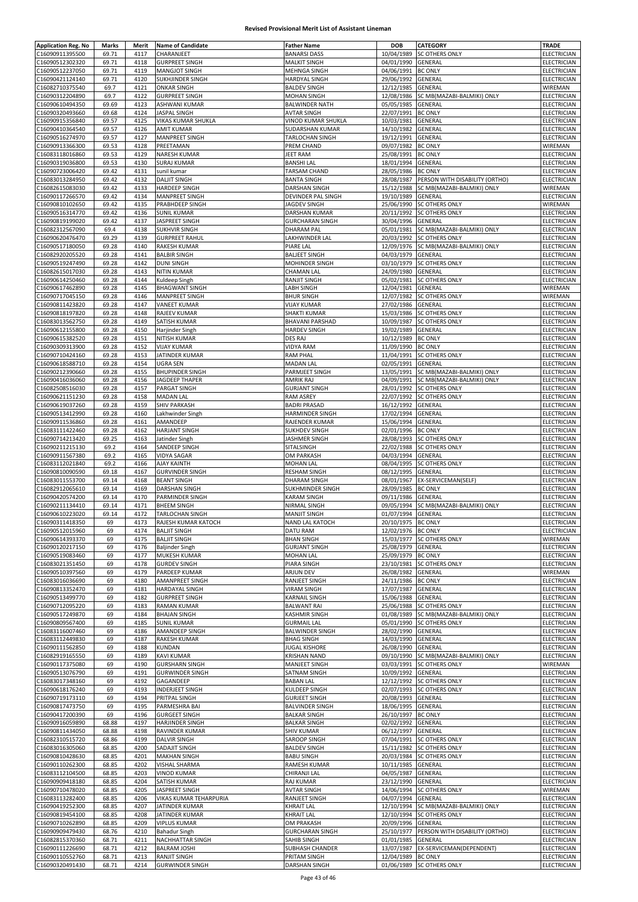| <b>Application Reg. No</b> | Marks | Merit | <b>Name of Candidate</b> | <b>Father Name</b>     | <b>DOB</b>         | CATEGORY                       | <b>TRADE</b>       |
|----------------------------|-------|-------|--------------------------|------------------------|--------------------|--------------------------------|--------------------|
| C16090911395500            | 69.71 | 4117  | CHARANJEET               | <b>BANARSI DASS</b>    | 10/04/1989         | <b>SC OTHERS ONLY</b>          | ELECTRICIAN        |
|                            |       |       |                          |                        |                    |                                |                    |
| C16090512302320            | 69.71 | 4118  | <b>GURPREET SINGH</b>    | <b>MALKIT SINGH</b>    | 04/01/1990         | GENERAL                        | ELECTRICIAN        |
| C16090512237050            | 69.71 | 4119  | MANGJOT SINGH            | MEHNGA SINGH           | 04/06/1991         | <b>BC ONLY</b>                 | ELECTRICIAN        |
| C16090421124140            | 69.71 | 4120  | SUKHJINDER SINGH         | <b>HARDYAL SINGH</b>   | 29/06/1992         | GENERAL                        | ELECTRICIAN        |
| C16082710375540            | 69.7  | 4121  | <b>ONKAR SINGH</b>       | <b>BALDEV SINGH</b>    | 12/12/1985         | GENERAL                        | WIREMAN            |
| C16090312204890            | 69.7  | 4122  | <b>GURPREET SINGH</b>    | <b>MOHAN SINGH</b>     | 12/08/1986         | SC MB(MAZABI-BALMIKI) ONLY     | <b>ELECTRICIAN</b> |
| C16090610494350            | 69.69 | 4123  | ASHWANI KUMAR            | <b>BALWINDER NATH</b>  | 05/05/1985         | GENERAL                        | ELECTRICIAN        |
| C16090320493660            | 69.68 | 4124  | JASPAL SINGH             | AVTAR SINGH            | 22/07/1991         | <b>BC ONLY</b>                 | ELECTRICIAN        |
| C16090915356840            | 69.57 | 4125  | VIKAS KUMAR SHUKLA       | VINOD KUMAR SHUKLA     | 10/03/1981         | GENERAL                        | ELECTRICIAN        |
| C16090410364540            | 69.57 | 4126  | <b>AMIT KUMAR</b>        | SUDARSHAN KUMAR        | 14/10/1982         | GENERAL                        | ELECTRICIAN        |
|                            |       |       |                          |                        |                    |                                |                    |
| C16090516274970            | 69.57 | 4127  | MANPREET SINGH           | TARLOCHAN SINGH        | 19/12/1991         | GENERAL                        | ELECTRICIAN        |
| C16090913366300            | 69.53 | 4128  | PREETAMAN                | PREM CHAND             | 09/07/1982         | <b>BC ONLY</b>                 | WIREMAN            |
| C16083118016860            | 69.53 | 4129  | NARESH KUMAR             | JEET RAM               | 25/08/1991         | <b>BC ONLY</b>                 | ELECTRICIAN        |
| C16090319036800            | 69.53 | 4130  | <b>SURAJ KUMAR</b>       | <b>BANSHI LAL</b>      | 18/01/1994         | GENERAL                        | ELECTRICIAN        |
| C16090723006420            | 69.42 | 4131  | sunil kumar              | TARSAM CHAND           | 28/05/1986         | <b>BC ONLY</b>                 | <b>ELECTRICIAN</b> |
| C16083013284950            | 69.42 | 4132  | <b>DALJIT SINGH</b>      | <b>BANTA SINGH</b>     | 28/08/1987         | PERSON WITH DISABILITY (ORTHO) | ELECTRICIAN        |
|                            | 69.42 | 4133  | <b>HARDEEP SINGH</b>     | DARSHAN SINGH          | 15/12/1988         | SC MB(MAZABI-BALMIKI) ONLY     | WIREMAN            |
| C16082615083030            |       |       |                          |                        |                    |                                |                    |
| C16090117266570            | 69.42 | 4134  | MANPREET SINGH           | DEVINDER PAL SINGH     | 19/10/1989         | GENERAL                        | ELECTRICIAN        |
| C16090810102650            | 69.42 | 4135  | PRABHDEEP SINGH          | JAGDEV SINGH           | 25/06/1990         | SC OTHERS ONLY                 | WIREMAN            |
| C16090516314770            | 69.42 | 4136  | <b>SUNIL KUMAR</b>       | DARSHAN KUMAR          | 20/11/1992         | SC OTHERS ONLY                 | ELECTRICIAN        |
| C16090819199020            | 69.42 | 4137  | JASPREET SINGH           | <b>GURCHARAN SINGH</b> | 30/04/1996         | GENERAL                        | ELECTRICIAN        |
| C16082312567090            | 69.4  | 4138  | <b>SUKHVIR SINGH</b>     | <b>DHARAM PAL</b>      | 05/01/1981         | SC MB(MAZABI-BALMIKI) ONLY     | ELECTRICIAN        |
| C16090620476470            | 69.29 | 4139  | <b>GURPREET RAHUL</b>    | LAKHWINDER LAL         | 20/03/1992         | SC OTHERS ONLY                 | ELECTRICIAN        |
|                            |       |       |                          |                        |                    |                                |                    |
| C16090517180050            | 69.28 | 4140  | <b>RAKESH KUMAR</b>      | PIARE LAL              | 12/09/1976         | SC MB(MAZABI-BALMIKI) ONLY     | ELECTRICIAN        |
| C16082920205520            | 69.28 | 4141  | <b>BALBIR SINGH</b>      | <b>BALJEET SINGH</b>   | 04/03/1979         | GENERAL                        | ELECTRICIAN        |
| C16090519247490            | 69.28 | 4142  | <b>DUNI SINGH</b>        | MOHINDER SINGH         | 03/10/1979         | SC OTHERS ONLY                 | ELECTRICIAN        |
| C16082615017030            | 69.28 | 4143  | <b>NITIN KUMAR</b>       | <b>CHAMAN LAL</b>      | 24/09/1980         | GENERAL                        | ELECTRICIAN        |
| C16090614250460            | 69.28 | 4144  | Kuldeep Singh            | RANJIT SINGH           | 05/02/1981         | <b>SC OTHERS ONLY</b>          | ELECTRICIAN        |
| C16090617462890            | 69.28 | 4145  | <b>BHAGWANT SINGH</b>    | LABH SINGH             | 12/04/1981         | GENERAL                        | WIREMAN            |
| C16090717045150            | 69.28 | 4146  | <b>MANPREET SINGH</b>    | <b>BHUR SINGH</b>      | 12/07/1982         | <b>SC OTHERS ONLY</b>          | WIREMAN            |
|                            |       |       |                          |                        |                    |                                |                    |
| C16090811423820            | 69.28 | 4147  | <b>VANEET KUMAR</b>      | <b>VIJAY KUMAR</b>     | 27/02/1986         | GENERAL                        | ELECTRICIAN        |
| C16090818197820            | 69.28 | 4148  | RAJEEV KUMAR             | <b>SHAKTI KUMAR</b>    | 15/03/1986         | SC OTHERS ONLY                 | ELECTRICIAN        |
| C16083013562750            | 69.28 | 4149  | SATISH KUMAR             | <b>BHAVANI PARSHAD</b> | 10/09/1987         | SC OTHERS ONLY                 | <b>ELECTRICIAN</b> |
| C16090612155800            | 69.28 | 4150  | Harjinder Singh          | <b>HARDEV SINGH</b>    | 19/02/1989         | <b>GENERAL</b>                 | ELECTRICIAN        |
| C16090615382520            | 69.28 | 4151  | NITISH KUMAR             | DES RAJ                | 10/12/1989         | <b>BC ONLY</b>                 | <b>ELECTRICIAN</b> |
| C16090309313900            | 69.28 | 4152  | <b>VIJAY KUMAR</b>       | <b>VIDYA RAM</b>       | 11/09/1990         | <b>BC ONLY</b>                 | ELECTRICIAN        |
| C16090710424160            | 69.28 | 4153  | JATINDER KUMAR           | <b>RAM PHAL</b>        | 11/04/1991         | SC OTHERS ONLY                 | ELECTRICIAN        |
|                            |       |       |                          |                        |                    |                                |                    |
| C16090618588710            | 69.28 | 4154  | <b>UGRA SEN</b>          | <b>MADAN LAL</b>       | 02/05/1991         | GENERAL                        | ELECTRICIAN        |
| C16090212390660            | 69.28 | 4155  | <b>BHUPINDER SINGH</b>   | PARMJEET SINGH         | 13/05/1991         | SC MB(MAZABI-BALMIKI) ONLY     | ELECTRICIAN        |
| C16090416036060            | 69.28 | 4156  | JAGDEEP THAPER           | AMRIK RAJ              | 04/09/1991         | SC MB(MAZABI-BALMIKI) ONLY     | ELECTRICIAN        |
| C16082508516030            | 69.28 | 4157  | PARGAT SINGH             | <b>GURJANT SINGH</b>   | 28/01/1992         | <b>SC OTHERS ONLY</b>          | ELECTRICIAN        |
| C16090621151230            | 69.28 | 4158  | <b>MADAN LAL</b>         | RAM ASREY              | 22/07/1992         | <b>SC OTHERS ONLY</b>          | ELECTRICIAN        |
| C16090619037260            | 69.28 | 4159  | <b>SHIV PARKASH</b>      | <b>BADRI PRASAD</b>    | 16/12/1992         | GENERAL                        | ELECTRICIAN        |
| C16090513412990            | 69.28 | 4160  | Lakhwinder Singh         | HARMINDER SINGH        | 17/02/1994         | GENERAL                        | ELECTRICIAN        |
|                            |       |       |                          |                        |                    |                                |                    |
| C16090911536860            | 69.28 | 4161  | AMANDEEP                 | RAJENDER KUMAR         | 15/06/1994         | GENERAL                        | ELECTRICIAN        |
| C16083111422460            | 69.28 | 4162  | <b>HARJANT SINGH</b>     | SUKHDEV SINGH          | 02/01/1996         | <b>BC ONLY</b>                 | ELECTRICIAN        |
| C16090714213420            | 69.25 | 4163  | Jatinder Singh           | JASHMER SINGH          | 28/08/1993         | SC OTHERS ONLY                 | ELECTRICIAN        |
| C16090211215130            | 69.2  | 4164  | SANDEEP SINGH            | SITALSINGH             | 22/02/1988         | <b>SC OTHERS ONLY</b>          | ELECTRICIAN        |
| C16090911567380            | 69.2  | 4165  | <b>VIDYA SAGAR</b>       | <b>OM PARKASH</b>      | 04/03/1994         | <b>GENERAL</b>                 | ELECTRICIAN        |
| C16083112021840            | 69.2  | 4166  | AJAY KAINTH              | <b>MOHAN LAL</b>       | 08/04/1995         | SC OTHERS ONLY                 | ELECTRICIAN        |
| C16090810090590            | 69.18 | 4167  | <b>GURVINDER SINGH</b>   | <b>RESHAM SINGH</b>    | 08/12/1995         | GENERAL                        | ELECTRICIAN        |
|                            | 69.14 | 4168  |                          |                        |                    |                                | ELECTRICIAN        |
| C16083011553700            |       |       | <b>BEANT SINGH</b>       | DHARAM SINGH           | 08/01/1967         | EX-SERVICEMAN(SELF)            |                    |
| C16082912065610            | 69.14 | 4169  | DARSHAN SINGH            | SUKHMINDER SINGH       | 28/09/1985         | <b>BC ONLY</b>                 | ELECTRICIAN        |
| C16090420574200            | 69.14 | 4170  | PARMINDER SINGH          | KARAM SINGH            | 09/11/1986         | <b>GENERAL</b>                 | ELECTRICIAN        |
| C16090211134410            | 69.14 | 4171  | <b>BHEEM SINGH</b>       | NIRMAL SINGH           | 09/05/1994         | SC MB(MAZABI-BALMIKI) ONLY     | ELECTRICIAN        |
| C16090610223020            | 69.14 | 4172  | TARLOCHAN SINGH          | <b>MANJIT SINGH</b>    | 01/07/1994         | GENERAL                        | ELECTRICIAN        |
| C16090311418350            | 69    | 4173  | RAJESH KUMAR KATOCH      | <b>NAND LAL KATOCH</b> | 20/10/1975 BC ONLY |                                | ELECTRICIAN        |
| C16090512015960            | 69    | 4174  | <b>BALJIT SINGH</b>      | DATU RAM               | 12/02/1976 BC ONLY |                                | ELECTRICIAN        |
| C16090614393370            | 69    | 4175  | <b>BALJIT SINGH</b>      | <b>BHAN SINGH</b>      | 15/03/1977         | <b>SC OTHERS ONLY</b>          | WIREMAN            |
|                            |       |       |                          |                        |                    |                                |                    |
| C16090120217150            | 69    | 4176  | <b>Baljinder Singh</b>   | <b>GURJANT SINGH</b>   | 25/08/1979         | GENERAL                        | ELECTRICIAN        |
| C16090519083460            | 69    | 4177  | MUKESH KUMAR             | <b>MOHAN LAL</b>       | 25/09/1979         | <b>BC ONLY</b>                 | <b>ELECTRICIAN</b> |
| C16083021351450            | 69    | 4178  | <b>GURDEV SINGH</b>      | PIARA SINGH            | 23/10/1981         | <b>SC OTHERS ONLY</b>          | ELECTRICIAN        |
| C16090510397560            | 69    | 4179  | PARDEEP KUMAR            | ARJUN DEV              | 26/08/1982         | GENERAL                        | <b>WIREMAN</b>     |
| C16083016036690            | 69    | 4180  | AMANPREET SINGH          | RANJEET SINGH          | 24/11/1986         | <b>BC ONLY</b>                 | ELECTRICIAN        |
| C16090813352470            | 69    | 4181  | <b>HARDAYAL SINGH</b>    | <b>VIRAM SINGH</b>     | 17/07/1987         | GENERAL                        | ELECTRICIAN        |
| C16090513499770            | 69    | 4182  | <b>GURPREET SINGH</b>    | <b>KARNAIL SINGH</b>   | 15/06/1988         | GENERAL                        | ELECTRICIAN        |
| C16090712095220            | 69    | 4183  | <b>RAMAN KUMAR</b>       | <b>BALWANT RAI</b>     | 25/06/1988         | <b>SC OTHERS ONLY</b>          | ELECTRICIAN        |
|                            |       |       | <b>BHAJAN SINGH</b>      |                        | 01/08/1989         |                                |                    |
| C16090517249870            | 69    | 4184  |                          | <b>KASHMIR SINGH</b>   |                    | SC MB(MAZABI-BALMIKI) ONLY     | ELECTRICIAN        |
| C16090809567400            | 69    | 4185  | <b>SUNIL KUMAR</b>       | <b>GURMAIL LAL</b>     | 05/01/1990         | <b>SC OTHERS ONLY</b>          | ELECTRICIAN        |
| C16083116007460            | 69    | 4186  | AMANDEEP SINGH           | <b>BALWINDER SINGH</b> | 28/02/1990         | GENERAL                        | ELECTRICIAN        |
| C16083112449830            | 69    | 4187  | RAKESH KUMAR             | <b>BHAG SINGH</b>      | 14/03/1990         | GENERAL                        | ELECTRICIAN        |
| C16090111562850            | 69    | 4188  | KUNDAN                   | <b>JUGAL KISHORE</b>   | 26/08/1990         | <b>GENERAL</b>                 | ELECTRICIAN        |
| C16082919165550            | 69    | 4189  | KAVI KUMAR               | <b>KRISHAN NAND</b>    | 09/10/1990         | SC MB(MAZABI-BALMIKI) ONLY     | <b>ELECTRICIAN</b> |
| C16090117375080            | 69    | 4190  | <b>GURSHARN SINGH</b>    | MANJEET SINGH          | 03/03/1991         | <b>SC OTHERS ONLY</b>          | WIREMAN            |
| C16090513076790            | 69    | 4191  | <b>GURWINDER SINGH</b>   | SATNAM SINGH           | 10/09/1992         | GENERAL                        | ELECTRICIAN        |
| C16083017348160            |       | 4192  | GAGANDEEP                | <b>BABAN LAL</b>       | 12/12/1992         | <b>SC OTHERS ONLY</b>          | ELECTRICIAN        |
|                            | 69    |       |                          |                        |                    |                                |                    |
| C16090618176240            | 69    | 4193  | <b>INDERJEET SINGH</b>   | KULDEEP SINGH          | 02/07/1993         | <b>SC OTHERS ONLY</b>          | ELECTRICIAN        |
| C16090719173110            | 69    | 4194  | PRITPAL SINGH            | <b>GURJEET SINGH</b>   | 20/08/1993         | GENERAL                        | ELECTRICIAN        |
| C16090817473750            | 69    | 4195  | PARMESHRA BAI            | <b>BALVINDER SINGH</b> | 18/06/1995         | GENERAL                        | ELECTRICIAN        |
| C16090417200390            | 69    | 4196  | <b>GURGEET SINGH</b>     | <b>BALKAR SINGH</b>    | 26/10/1997         | <b>BC ONLY</b>                 | ELECTRICIAN        |
| C16090916059890            | 68.88 | 4197  | HARJINDER SINGH          | <b>BALKAR SINGH</b>    | 02/02/1992         | GENERAL                        | ELECTRICIAN        |
| C16090811434050            | 68.88 | 4198  | RAVINDER KUMAR           | <b>SHIV KUMAR</b>      | 06/12/1997         | GENERAL                        | ELECTRICIAN        |
|                            |       | 4199  |                          |                        | 07/04/1991         |                                | ELECTRICIAN        |
| C16082310515720            | 68.86 |       | <b>DALVIR SINGH</b>      | SAROOP SINGH           |                    | <b>SC OTHERS ONLY</b>          |                    |
| C16083016305060            | 68.85 | 4200  | SADAJIT SINGH            | <b>BALDEV SINGH</b>    | 15/11/1982         | <b>SC OTHERS ONLY</b>          | ELECTRICIAN        |
| C16090810428630            | 68.85 | 4201  | <b>MAKHAN SINGH</b>      | <b>BABU SINGH</b>      | 20/03/1984         | <b>SC OTHERS ONLY</b>          | ELECTRICIAN        |
| C16090110262300            | 68.85 | 4202  | <b>VISHAL SHARMA</b>     | RAMESH KUMAR           | 10/11/1985         | GENERAL                        | ELECTRICIAN        |
| C16083112104500            | 68.85 | 4203  | <b>VINOD KUMAR</b>       | CHIRANJI LAL           | 04/05/1987         | GENERAL                        | ELECTRICIAN        |
| C16090909418180            | 68.85 | 4204  | SATISH KUMAR             | RAJ KUMAR              | 23/12/1990         | GENERAL                        | ELECTRICIAN        |
| C16090710478020            | 68.85 | 4205  | JASPREET SINGH           | <b>AVTAR SINGH</b>     | 14/06/1994         | <b>SC OTHERS ONLY</b>          | WIREMAN            |
| C16083113282400            |       | 4206  | VIKAS KUMAR TEHARPURIA   | RANJEET SINGH          | 04/07/1994         | GENERAL                        | ELECTRICIAN        |
|                            | 68.85 |       |                          |                        |                    |                                |                    |
| C16090419252300            | 68.85 | 4207  | JATINDER KUMAR           | <b>KHRAIT LAL</b>      | 12/10/1994         | SC MB(MAZABI-BALMIKI) ONLY     | ELECTRICIAN        |
| C16090819454100            | 68.85 | 4208  | JATINDER KUMAR           | <b>KHRAIT LAL</b>      | 12/10/1994         | <b>SC OTHERS ONLY</b>          | ELECTRICIAN        |
| C16090710262890            | 68.85 | 4209  | <b>VIPLUS KUMAR</b>      | OM PRAKASH             | 20/09/1996         | GENERAL                        | ELECTRICIAN        |
| C16090909479430            | 68.76 | 4210  | <b>Bahadur Singh</b>     | <b>GURCHARAN SINGH</b> | 25/10/1977         | PERSON WITH DISABILITY (ORTHO) | ELECTRICIAN        |
| C16082815370360            | 68.71 | 4211  | NACHHATTAR SINGH         | SAHIB SINGH            | 01/01/1985         | GENERAL                        | ELECTRICIAN        |
| C16090111226690            | 68.71 | 4212  | <b>BALRAM JOSHI</b>      | SUBHASH CHANDER        | 13/07/1987         | EX-SERVICEMAN(DEPENDENT)       | ELECTRICIAN        |
|                            |       |       |                          |                        |                    |                                |                    |
| C16090110552760            | 68.71 | 4213  | <b>RANJIT SINGH</b>      | PRITAM SINGH           | 12/04/1989         | <b>BC ONLY</b>                 | ELECTRICIAN        |
| C16090320491430            | 68.71 | 4214  | <b>GURWINDER SINGH</b>   | <b>DARSHAN SINGH</b>   |                    | 01/06/1989 SC OTHERS ONLY      | ELECTRICIAN        |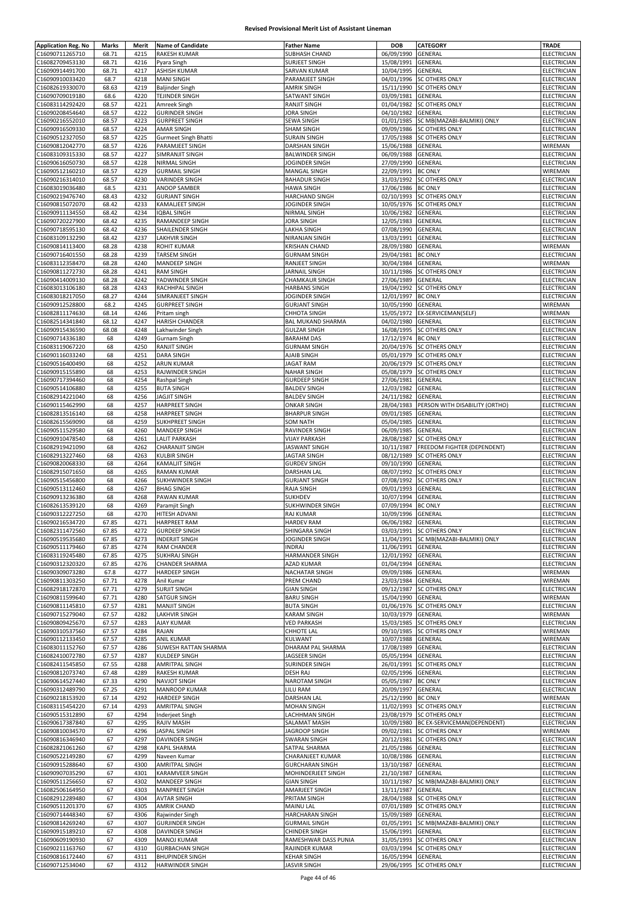| <b>Application Reg. No</b>         | <b>Marks</b> | Merit        | <b>Name of Candidate</b>                         | <b>Father Name</b>                 | <b>DOB</b>         | <b>CATEGORY</b>                        | <b>TRADE</b>               |
|------------------------------------|--------------|--------------|--------------------------------------------------|------------------------------------|--------------------|----------------------------------------|----------------------------|
| C16090711265710                    | 68.71        | 4215         | RAKESH KUMAR                                     | SUBHASH CHAND                      | 06/09/1990         | GENERAL                                | ELECTRICIAN                |
|                                    |              |              |                                                  |                                    | 15/08/1991         |                                        |                            |
| C16082709453130                    | 68.71        | 4216         | Pyara Singh                                      | SURJEET SINGH                      |                    | GENERAL                                | ELECTRICIAN                |
| C16090914491700                    | 68.71        | 4217         | ASHISH KUMAR                                     | SARVAN KUMAR                       | 10/04/1995         | GENERAL                                | ELECTRICIAN                |
| C16090910033420                    | 68.7         | 4218         | <b>MANI SINGH</b>                                | PARAMJEET SINGH                    | 04/01/1996         | SC OTHERS ONLY                         | ELECTRICIAN                |
| C16082619330070                    | 68.63        | 4219         | <b>Baljinder Singh</b>                           | AMRIK SINGH                        |                    | 15/11/1990 SC OTHERS ONLY              | ELECTRICIAN                |
| C16090709019180                    | 68.6         | 4220         | TEJINDER SINGH                                   | SATWANT SINGH                      | 03/09/1981         | GENERAL                                | ELECTRICIAN                |
| C16083114292420                    | 68.57        | 4221         | Amreek Singh                                     | RANJIT SINGH                       | 01/04/1982         | SC OTHERS ONLY                         | ELECTRICIAN                |
| C16090208454640                    | 68.57        | 4222         | <b>GURINDER SINGH</b>                            | JORA SINGH                         | 04/10/1982         | GENERAL                                | ELECTRICIAN                |
| C16090216552010                    | 68.57        | 4223         | <b>GURPREET SINGH</b>                            | SEWA SINGH                         | 01/01/1985         | SC MB(MAZABI-BALMIKI) ONLY             | ELECTRICIAN                |
| C16090916509330                    | 68.57        | 4224         | AMAR SINGH                                       | SHAM SINGH                         | 09/09/1986         | SC OTHERS ONLY                         | ELECTRICIAN                |
|                                    |              |              |                                                  |                                    |                    |                                        |                            |
| C16090512327050                    | 68.57        | 4225         | <b>Gurmeet Singh Bhatti</b>                      | <b>SURAIN SINGH</b>                | 17/05/1988         | SC OTHERS ONLY                         | ELECTRICIAN                |
| C16090812042770                    | 68.57        | 4226         | PARAMJEET SINGH                                  | DARSHAN SINGH                      | 15/06/1988         | GENERAL                                | WIREMAN                    |
| C16083109315330                    | 68.57        | 4227         | SIMRANJIT SINGH                                  | <b>BALWINDER SINGH</b>             | 06/09/1988         | GENERAL                                | ELECTRICIAN                |
| C16090616050730                    | 68.57        | 4228         | NIRMAL SINGH                                     | JOGINDER SINGH                     | 27/09/1990         | GENERAL                                | <b>ELECTRICIAN</b>         |
| C16090512160210                    | 68.57        | 4229         | <b>GURMAIL SINGH</b>                             | MANGAL SINGH                       | 22/09/1991 BC ONLY |                                        | WIREMAN                    |
| C16090216314010                    | 68.57        | 4230         | <b>VARINDER SINGH</b>                            | <b>BAHADUR SINGH</b>               | 31/03/1992         | SC OTHERS ONLY                         | ELECTRICIAN                |
| C16083019036480                    | 68.5         | 4231         | ANOOP SAMBER                                     | <b>HAWA SINGH</b>                  | 17/06/1986         | <b>BC ONLY</b>                         | <b>ELECTRICIAN</b>         |
|                                    |              |              |                                                  |                                    |                    |                                        |                            |
| C16090219476740                    | 68.43        | 4232         | <b>GURJANT SINGH</b>                             | <b>HARCHAND SINGH</b>              | 02/10/1993         | SC OTHERS ONLY                         | ELECTRICIAN                |
| C16090815072070                    | 68.42        | 4233         | <b>KAMALIEET SINGH</b>                           | JOGINDER SINGH                     | 10/05/1976         | SC OTHERS ONLY                         | ELECTRICIAN                |
| C16090911134550                    | 68.42        | 4234         | <b>IQBAL SINGH</b>                               | NIRMAL SINGH                       | 10/06/1982         | GENERAL                                | ELECTRICIAN                |
| C16090720227900                    | 68.42        | 4235         | RAMANDEEP SINGH                                  | JORA SINGH                         | 12/05/1983         | GENERAL                                | ELECTRICIAN                |
| C16090718595130                    | 68.42        | 4236         | SHAILENDER SINGH                                 | LAKHA SINGH                        | 07/08/1990         | GENERAL                                | ELECTRICIAN                |
| C16083109132290                    | 68.42        | 4237         | LAKHVIR SINGH                                    | NIRANJAN SINGH                     | 13/03/1991         | GENERAL                                | ELECTRICIAN                |
|                                    | 68.28        | 4238         |                                                  |                                    | 28/09/1980         | GENERAL                                |                            |
| C16090814113400                    |              |              | <b>ROHIT KUMAR</b>                               | <b>KRISHAN CHAND</b>               |                    |                                        | WIREMAN                    |
| C16090716401550                    | 68.28        | 4239         | <b>TARSEM SINGH</b>                              | <b>GURNAM SINGH</b>                | 29/04/1981         | <b>BC ONLY</b>                         | ELECTRICIAN                |
| C16083112358470                    | 68.28        | 4240         | <b>MANDEEP SINGH</b>                             | RANJEET SINGH                      | 30/04/1984         | GENERAL                                | WIREMAN                    |
| C16090811272730                    | 68.28        | 4241         | <b>RAM SINGH</b>                                 | <b>JARNAIL SINGH</b>               | 10/11/1986         | <b>SC OTHERS ONLY</b>                  | ELECTRICIAN                |
| C16090414009130                    | 68.28        | 4242         | YADWINDER SINGH                                  | CHAMKAUR SINGH                     | 27/06/1989         | GENERAL                                | ELECTRICIAN                |
| C16083013106180                    | 68.28        | 4243         | RACHHPAL SINGH                                   | <b>HARBANS SINGH</b>               | 19/04/1992         | <b>SC OTHERS ONLY</b>                  | ELECTRICIAN                |
| C16083018217050                    | 68.27        | 4244         | SIMRANJEET SINGH                                 | JOGINDER SINGH                     | 12/01/1997         | <b>BC ONLY</b>                         | ELECTRICIAN                |
|                                    |              |              |                                                  | <b>GURJANT SINGH</b>               |                    |                                        |                            |
| C16090912528800                    | 68.2         | 4245         | <b>GURPREET SINGH</b>                            |                                    | 10/05/1990         | GENERAL                                | WIREMAN                    |
| C16082811174630                    | 68.14        | 4246         | Pritam singh                                     | CHHOTA SINGH                       | 15/05/1972         | EX-SERVICEMAN(SELF)                    | WIREMAN                    |
| C16082514341840                    | 68.12        | 4247         | <b>HARISH CHANDER</b>                            | BAL MUKAND SHARMA                  | 04/02/1980         | GENERAL                                | <b>ELECTRICIAN</b>         |
| C16090915436590                    | 68.08        | 4248         | Lakhwinder Singh                                 | <b>GULZAR SINGH</b>                | 16/08/1995         | <b>SC OTHERS ONLY</b>                  | ELECTRICIAN                |
| C16090714336180                    | 68           | 4249         | Gurnam Singh                                     | <b>BARAHM DAS</b>                  | 17/12/1974 BC ONLY |                                        | ELECTRICIAN                |
| C16083119067220                    | 68           | 4250         | <b>RANJIT SINGH</b>                              | <b>GURNAM SINGH</b>                | 20/04/1976         | SC OTHERS ONLY                         | ELECTRICIAN                |
| C16090116033240                    | 68           | 4251         | <b>DARA SINGH</b>                                | AJAIB SINGH                        | 05/01/1979         | SC OTHERS ONLY                         | ELECTRICIAN                |
|                                    |              |              |                                                  |                                    |                    |                                        |                            |
| C16090516400490                    | 68           | 4252         | ARUN KUMAR                                       | <b>JAGAT RAM</b>                   | 20/06/1979         | SC OTHERS ONLY                         | ELECTRICIAN                |
| C16090915155890                    | 68           | 4253         | RAJWINDER SINGH                                  | <b>NAHAR SINGH</b>                 | 05/08/1979         | SC OTHERS ONLY                         | ELECTRICIAN                |
| C16090717394460                    | 68           | 4254         | Rashpal Singh                                    | <b>GURDEEP SINGH</b>               | 27/06/1981         | GENERAL                                | ELECTRICIAN                |
| C16090514106880                    | 68           | 4255         | <b>BUTA SINGH</b>                                | <b>BALDEV SINGH</b>                | 12/03/1982         | GENERAL                                | ELECTRICIAN                |
| C16082914221040                    | 68           | 4256         | <b>JAGJIT SINGH</b>                              | <b>BALDEV SINGH</b>                | 24/11/1982         | GENERAL                                | ELECTRICIAN                |
| C16090115462990                    | 68           | 4257         | <b>HARPREET SINGH</b>                            | <b>ONKAR SINGH</b>                 | 28/04/1983         | PERSON WITH DISABILITY (ORTHO)         | ELECTRICIAN                |
| C16082813516140                    | 68           | 4258         | <b>HARPREET SINGH</b>                            | <b>BHARPUR SINGH</b>               | 09/01/1985         | GENERAL                                | ELECTRICIAN                |
|                                    |              |              |                                                  |                                    |                    |                                        |                            |
| C16082615569090                    | 68           | 4259         | SUKHPREET SINGH                                  | SOM NATH                           | 05/04/1985         | GENERAL                                | ELECTRICIAN                |
| C16090511529580                    | 68           | 4260         | MANDEEP SINGH                                    | RAVINDER SINGH                     | 06/09/1985         | GENERAL                                | ELECTRICIAN                |
| C16090910478540                    | 68           | 4261         | LALIT PARKASH                                    | <b>VIJAY PARKASH</b>               | 28/08/1987         | SC OTHERS ONLY                         | ELECTRICIAN                |
| C16082919421090                    | 68           | 4262         | <b>CHARANJIT SINGH</b>                           | <b>JASWANT SINGH</b>               | 10/11/1987         | <b>FREEDOM FIGHTER (DEPENDENT)</b>     | ELECTRICIAN                |
| C16082913227460                    | 68           | 4263         | KULBIR SINGH                                     | <b>JAGTAR SINGH</b>                | 08/12/1989         | <b>SC OTHERS ONLY</b>                  | ELECTRICIAN                |
| C16090820068330                    | 68           | 4264         | KAMALJIT SINGH                                   | <b>GURDEV SINGH</b>                | 09/10/1990         | GENERAL                                | ELECTRICIAN                |
| C16082915071650                    | 68           | 4265         | <b>RAMAN KUMAR</b>                               | <b>DARSHAN LAL</b>                 | 08/07/1992         | <b>SC OTHERS ONLY</b>                  | ELECTRICIAN                |
|                                    | 68           | 4266         | <b>SUKHWINDER SINGH</b>                          |                                    | 07/08/1992         | SC OTHERS ONLY                         | <b>ELECTRICIAN</b>         |
| C16090515456800                    |              |              |                                                  | <b>GURJANT SINGH</b>               |                    |                                        |                            |
| C16090513112460                    | 68           | 4267         | <b>BHAG SINGH</b>                                | RAJA SINGH                         | 09/01/1993         | GENERAL                                | ELECTRICIAN                |
| C16090913236380                    | 68           | 4268         | PAWAN KUMAR                                      | SUKHDEV                            | 10/07/1994         | GENERAL                                | <b>ELECTRICIAN</b>         |
| C16082613539120                    | 68           | 4269         | Paramjit Singh                                   | SUKHWINDER SINGH                   | 07/09/1994         | <b>BC ONLY</b>                         | ELECTRICIAN                |
| C16090312227250                    | 68           | 4270         | HITESH ADVANI                                    | RAJ KUMAR                          | 10/09/1996         | GENERAL                                | ELECTRICIAN                |
| C16090216534720                    | 67.85        | 4271         | <b>HARPREET RAM</b>                              | HARDEV RAM                         | 06/06/1982 GENERAL |                                        | ELECTRICIAN                |
| C16082311472560                    | 67.85        | 4272         | <b>GURDEEP SINGH</b>                             | SHINGARA SINGH                     |                    | 03/03/1991 SC OTHERS ONLY              | <b>ELECTRICIAN</b>         |
|                                    |              |              |                                                  | JOGINDER SINGH                     | 11/04/1991         |                                        |                            |
| C16090519535680                    | 67.85        | 4273         | <b>INDERJIT SINGH</b>                            |                                    |                    | SC MB(MAZABI-BALMIKI) ONLY             | ELECTRICIAN                |
| C16090511179460                    | 67.85        | 4274         | <b>RAM CHANDER</b>                               | INDRAJ                             | 11/06/1991 GENERAL |                                        | ELECTRICIAN                |
| C16083119245480                    | 67.85        | 4275         | <b>SUKHRAJ SINGH</b>                             | HARMANDER SINGH                    | 12/01/1992         | GENERAL                                | ELECTRICIAN                |
| C16090312320320                    | 67.85        | 4276         | <b>CHANDER SHARMA</b>                            | AZAD KUMAR                         | 01/04/1994         | GENERAL                                | ELECTRICIAN                |
| C16090309073280                    | 67.8         | 4277         | HARDEEP SINGH                                    | NACHATAR SINGH                     | 09/09/1986         | GENERAL                                | WIREMAN                    |
| C16090811303250                    | 67.71        | 4278         | Anil Kumar                                       | PREM CHAND                         | 23/03/1984         | GENERAL                                | WIREMAN                    |
| C16082918172870                    | 67.71        | 4279         | <b>SURJIT SINGH</b>                              | <b>GIAN SINGH</b>                  | 09/12/1987         | SC OTHERS ONLY                         | ELECTRICIAN                |
|                                    |              |              |                                                  |                                    |                    |                                        |                            |
| C16090811599640                    | 67.71        | 4280         | <b>SATGUR SINGH</b>                              | <b>BARU SINGH</b>                  | 15/04/1990         | GENERAL                                | WIREMAN                    |
| C16090811145810                    | 67.57        | 4281         | <b>MANJIT SINGH</b>                              | <b>BUTA SINGH</b>                  | 01/06/1976         | SC OTHERS ONLY                         | ELECTRICIAN                |
| C16090715279040                    | 67.57        | 4282         | LAKHVIR SINGH                                    | KARAM SINGH                        | 10/03/1979         | GENERAL                                | WIREMAN                    |
| C16090809425670                    | 67.57        | 4283         | AJAY KUMAR                                       | <b>VED PARKASH</b>                 | 15/03/1985         | <b>SC OTHERS ONLY</b>                  | ELECTRICIAN                |
| C16090310537560                    | 67.57        | 4284         | RAJAN                                            | CHHOTE LAL                         | 09/10/1985         | SC OTHERS ONLY                         | WIREMAN                    |
| C16090112133450                    | 67.57        | 4285         | ANIL KUMAR                                       | KULWANT                            | 10/07/1988         | GENERAL                                | WIREMAN                    |
| C16083011152760                    | 67.57        | 4286         | SUWESH RATTAN SHARMA                             | DHARAM PAL SHARMA                  | 17/08/1989         | GENERAL                                | <b>ELECTRICIAN</b>         |
| C16082410072780                    | 67.57        | 4287         | KULDEEP SINGH                                    | JAGSEER SINGH                      | 05/05/1994         | GENERAL                                | ELECTRICIAN                |
| C16082411545850                    | 67.55        | 4288         | AMRITPAL SINGH                                   | SURINDER SINGH                     | 26/01/1991         | <b>SC OTHERS ONLY</b>                  | ELECTRICIAN                |
|                                    |              |              |                                                  |                                    |                    |                                        |                            |
| C16090812073740                    | 67.48        | 4289         | RAKESH KUMAR                                     | DESH RAJ                           | 02/05/1996 GENERAL |                                        | ELECTRICIAN                |
| C16090614527440                    | 67.33        | 4290         | <b>NAVJOT SINGH</b>                              | NAROTAM SINGH                      | 05/05/1987 BC ONLY |                                        | ELECTRICIAN                |
| C16090312489790                    | 67.25        | 4291         | MANROOP KUMAR                                    | LILU RAM                           | 20/09/1997         | GENERAL                                | ELECTRICIAN                |
| C16090218153920                    | 67.14        | 4292         | <b>HARDEEP SINGH</b>                             | <b>DARSHAN LAL</b>                 | 25/12/1990         | <b>BC ONLY</b>                         | WIREMAN                    |
| C16083115454220                    | 67.14        | 4293         | AMRITPAL SINGH                                   | MOHAN SINGH                        | 11/02/1993         | <b>SC OTHERS ONLY</b>                  | ELECTRICIAN                |
| C16090515312890                    | 67           | 4294         | Inderjeet Singh                                  | LACHHMAN SINGH                     | 23/08/1979         | <b>SC OTHERS ONLY</b>                  | ELECTRICIAN                |
| C16090617387840                    | 67           | 4295         | RAJIV MASIH                                      | SALAMAT MASIH                      |                    | 10/09/1980 BC EX-SERVICEMAN(DEPENDENT) | ELECTRICIAN                |
|                                    |              |              |                                                  |                                    |                    |                                        |                            |
| C16090810034570                    | 67           | 4296         | JASPAL SINGH                                     | JAGROOP SINGH                      |                    | 09/02/1981 SC OTHERS ONLY              | WIREMAN                    |
| C16090816346940                    | 67           | 4297         | DAVINDER SINGH                                   | SWARAN SINGH                       | 20/12/1981         | <b>SC OTHERS ONLY</b>                  | ELECTRICIAN                |
| C16082821061260                    | 67           | 4298         | KAPIL SHARMA                                     | SATPAL SHARMA                      | 21/05/1986         | GENERAL                                | ELECTRICIAN                |
| C16090522149280                    | 67           | 4299         | Naveen Kumar                                     | CHARANJEET KUMAR                   | 10/08/1986         | GENERAL                                | ELECTRICIAN                |
| C16090915288640                    | 67           | 4300         | AMRITPAL SINGH                                   | <b>GURCHARAN SINGH</b>             | 13/10/1987         | GENERAL                                | ELECTRICIAN                |
| C16090907035290                    | 67           | 4301         | KARAMVEER SINGH                                  | MOHINDERJEET SINGH                 | 21/10/1987         | GENERAL                                | ELECTRICIAN                |
| C16090511256650                    | 67           | 4302         | MANDEEP SINGH                                    | <b>GIAN SINGH</b>                  | 10/11/1987         | SC MB(MAZABI-BALMIKI) ONLY             | ELECTRICIAN                |
|                                    |              |              |                                                  |                                    |                    |                                        |                            |
| C16082506164950                    | 67           | 4303         | <b>MANPREET SINGH</b>                            | AMARJEET SINGH                     | 13/11/1987         | GENERAL                                | ELECTRICIAN                |
| C16082912289480                    | 67           | 4304         | <b>AVTAR SINGH</b>                               | PRITAM SINGH                       | 28/04/1988         | <b>SC OTHERS ONLY</b>                  | ELECTRICIAN                |
| C16090511201370                    | 67           | 4305         | <b>AMRIK CHAND</b>                               | MAINU LAL                          | 07/01/1989         | SC OTHERS ONLY                         | ELECTRICIAN                |
| C16090714448340                    | 67           | 4306         | Rajwinder Singh                                  | HARCHARAN SINGH                    | 15/09/1989         | GENERAL                                | ELECTRICIAN                |
| C16090814269240                    | 67           | 4307         | <b>GURJINDER SINGH</b>                           | <b>GURMAIL SINGH</b>               | 01/05/1991         | SC MB(MAZABI-BALMIKI) ONLY             | ELECTRICIAN                |
| C16090915189210                    | 67           | 4308         | <b>DAVINDER SINGH</b>                            | CHINDER SINGH                      | 15/06/1991         | GENERAL                                | ELECTRICIAN                |
| C16090609190930                    |              | 4309         | <b>MANOJ KUMAR</b>                               | RAMESHWAR DASS PUNIA               | 31/05/1993         | SC OTHERS ONLY                         | ELECTRICIAN                |
|                                    |              |              |                                                  |                                    |                    |                                        |                            |
|                                    | 67           |              |                                                  |                                    |                    |                                        |                            |
| C16090211163760                    | 67           | 4310         | <b>GURBACHAN SINGH</b>                           | RAJINDER KUMAR                     | 03/03/1994         | SC OTHERS ONLY                         | ELECTRICIAN                |
| C16090816172440<br>C16090712534040 | 67<br>67     | 4311<br>4312 | <b>BHUPINDER SINGH</b><br><b>HARWINDER SINGH</b> | KEHAR SINGH<br><b>JASVIR SINGH</b> | 16/05/1994 GENERAL | 29/06/1995 SC OTHERS ONLY              | ELECTRICIAN<br>ELECTRICIAN |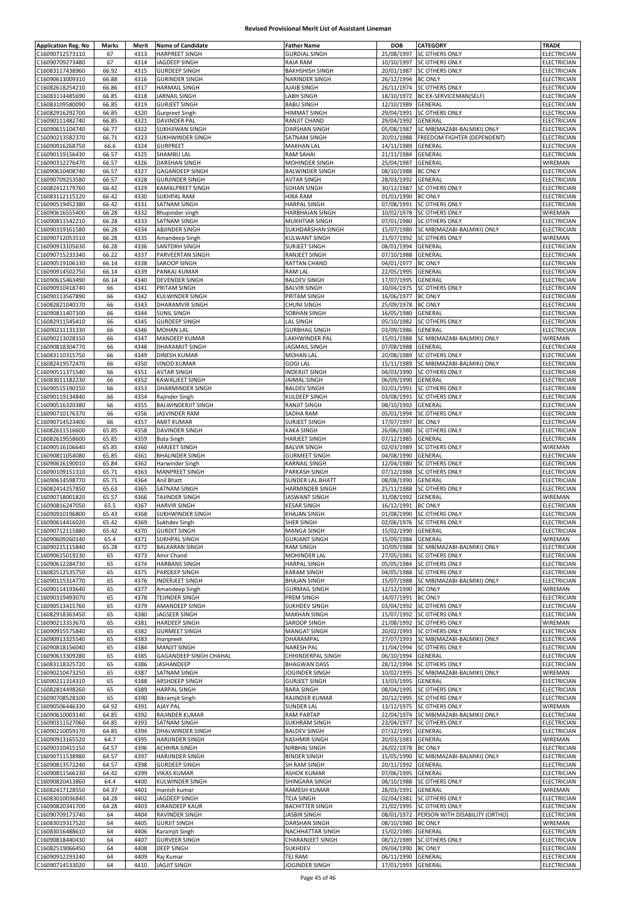| <b>Application Reg. No</b> | Marks | Merit | <b>Name of Candidate</b>  | <b>Father Name</b>      | <b>DOB</b>         | CATEGORY                              | TRADE              |
|----------------------------|-------|-------|---------------------------|-------------------------|--------------------|---------------------------------------|--------------------|
| C16090712573110            | 67    | 4313  | <b>HARPREET SINGH</b>     | <b>GURDIAL SINGH</b>    | 25/08/1997         | <b>SC OTHERS ONLY</b>                 | ELECTRICIAN        |
| C16090709273480            | 67    | 4314  | JAGDEEP SINGH             | RAJA RAM                | 10/10/1997         | <b>SC OTHERS ONLY</b>                 | ELECTRICIAN        |
|                            |       |       |                           |                         |                    |                                       |                    |
| C16083117438960            | 66.92 | 4315  | <b>GURDEEP SINGH</b>      | <b>BAKHSHISH SINGH</b>  | 20/01/1987         | <b>SC OTHERS ONLY</b>                 | ELECTRICIAN        |
| C16090613009310            | 66.88 | 4316  | <b>GURINDER SINGH</b>     | NARINDER SINGH          | 26/12/1994         | <b>BC ONLY</b>                        | ELECTRICIAN        |
| C16082618254210            | 66.86 | 4317  | <b>HARMAIL SINGH</b>      | AJAIB SINGH             | 26/11/1974         | <b>SC OTHERS ONLY</b>                 | ELECTRICIAN        |
| C16083114485690            | 66.85 | 4318  | <b>JARNAIL SINGH</b>      | LABH SINGH              | 18/10/1972         | <b>BC EX-SERVICEMAN(SELF)</b>         | ELECTRICIAN        |
| C16083109580090            | 66.85 | 4319  | <b>GURJEET SINGH</b>      | <b>BABU SINGH</b>       | 12/10/1989         | GENERAL                               | ELECTRICIAN        |
| C16082916292700            | 66.85 | 4320  | <b>Gurpreet Singh</b>     | <b>HIMMAT SINGH</b>     | 29/04/1991         | SC OTHERS ONLY                        | ELECTRICIAN        |
| C16090111482740            | 66.85 | 4321  | <b>DAVINDER PAL</b>       | RANJIT CHAND            | 29/04/1992         | GENERAL                               | <b>ELECTRICIAN</b> |
| C16090615104740            | 66.77 | 4322  | SUKHJIWAN SINGH           | DARSHAN SINGH           | 05/08/1987         | SC MB(MAZABI-BALMIKI) ONLY            | ELECTRICIAN        |
|                            |       |       |                           |                         |                    |                                       |                    |
| C16090213582370            | 66.71 | 4323  | SUKHWINDER SINGH          | SATNAM SINGH            | 20/01/1988         | FREEDOM FIGHTER (DEPENDENT)           | ELECTRICIAN        |
| C16090916268750            | 66.6  | 4324  | <b>GURPREET</b>           | <b>MAKHAN LAL</b>       | 14/11/1989         | GENERAL                               | <b>ELECTRICIAN</b> |
| C16090119156430            | 66.57 | 4325  | <b>SHAMBU LAL</b>         | RAM SAHAI               | 21/11/1984         | GENERAL                               | ELECTRICIAN        |
| C16090312276470            | 66.57 | 4326  | <b>DARSHAN SINGH</b>      | MOHINDER SINGH          | 25/04/1987         | GENERAL                               | WIREMAN            |
| C16090610408740            | 66.57 | 4327  | <b>GAGANDEEP SINGH</b>    | <b>BALWINDER SINGH</b>  | 08/10/1988         | <b>BC ONLY</b>                        | ELECTRICIAN        |
| C16090709253580            | 66.57 | 4328  | <b>GURJINDER SINGH</b>    | <b>AVTAR SINGH</b>      | 28/03/1992         | GENERAL                               | ELECTRICIAN        |
| C16082412179760            | 66.42 | 4329  | <b>KAMALPREET SINGH</b>   | <b>SOHAN SINGH</b>      | 30/12/1987         | <b>SC OTHERS ONLY</b>                 | ELECTRICIAN        |
|                            |       |       |                           |                         |                    |                                       |                    |
| C16083112115120            | 66.42 | 4330  | <b>SUKHPAL RAM</b>        | <b>HIRA RAM</b>         | 01/01/1990         | <b>BC ONLY</b>                        | <b>ELECTRICIAN</b> |
| C16090519452380            | 66.42 | 4331  | <b>SATNAM SINGH</b>       | <b>HARPAL SINGH</b>     | 07/08/1991         | <b>SC OTHERS ONLY</b>                 | ELECTRICIAN        |
| C16090616555400            | 66.28 | 4332  | Bhupinder singh           | HARBHAJAN SINGH         | 10/02/1978         | <b>SC OTHERS ONLY</b>                 | WIREMAN            |
| C16090811542210            | 66.28 | 4333  | SATNAM SINGH              | MUKHTIAR SINGH          | 07/01/1980         | <b>SC OTHERS ONLY</b>                 | ELECTRICIAN        |
| C16090319161580            | 66.28 | 4334  | <b>ABJINDER SINGH</b>     | SUKHDARSHAN SINGH       | 15/07/1980         | SC MB(MAZABI-BALMIKI) ONLY            | ELECTRICIAN        |
| C16090712053510            | 66.28 | 4335  | Amandeep Singh            | <b>KULWANT SINGH</b>    | 21/07/1992         | <b>SC OTHERS ONLY</b>                 | WIREMAN            |
| C16090913105630            | 66.28 | 4336  | <b>SANTOKH SINGH</b>      | <b>SURJEET SINGH</b>    | 08/01/1994         | GENERAL                               | ELECTRICIAN        |
|                            |       |       |                           |                         |                    |                                       |                    |
| C16090715233340            | 66.22 | 4337  | PARVEERTAN SINGH          | RANJEET SINGH           | 07/10/1988         | <b>GENERAL</b>                        | ELECTRICIAN        |
| C16090519106130            | 66.14 | 4338  | <b>SAROOP SINGH</b>       | RATTAN CHAND            | 04/01/1977         | <b>BC ONLY</b>                        | ELECTRICIAN        |
| C16090914502750            | 66.14 | 4339  | PANKAJ KUMAR              | <b>RAM LAL</b>          | 22/05/1995         | GENERAL                               | ELECTRICIAN        |
| C16090615463490            | 66.14 | 4340  | <b>DEVENDER SINGH</b>     | <b>BALDEV SINGH</b>     | 17/07/1995         | GENERAL                               | <b>ELECTRICIAN</b> |
| C16090910418740            | 66    | 4341  | PRITAM SINGH              | <b>BALVIR SINGH</b>     | 10/04/1975         | <b>SC OTHERS ONLY</b>                 | ELECTRICIAN        |
| C16090113567890            | 66    | 4342  | <b>KULWINDER SINGH</b>    | PRITAM SINGH            | 16/06/1977         | <b>BC ONLY</b>                        | ELECTRICIAN        |
|                            | 66    | 4343  | <b>DHARAMVIR SINGH</b>    | <b>CHUNI SINGH</b>      | 25/09/1978         | <b>BC ONLY</b>                        |                    |
| C16082821040170            |       |       |                           |                         |                    |                                       | ELECTRICIAN        |
| C16090811407100            | 66    | 4344  | <b>SUNIL SINGH</b>        | SOBHAN SINGH            | 16/05/1980         | GENERAL                               | <b>ELECTRICIAN</b> |
| C16082911545410            | 66    | 4345  | <b>GURDEEP SINGH</b>      | <b>LAL SINGH</b>        | 05/10/1982         | <b>SC OTHERS ONLY</b>                 | ELECTRICIAN        |
| C16090211131330            | 66    | 4346  | <b>MOHAN LAL</b>          | <b>GURBHAG SINGH</b>    | 03/09/1986         | GENERAL                               | ELECTRICIAN        |
| C16090213028150            | 66    | 4347  | MANDEEP KUMAR             | LAKHWINDER PAL          | 15/01/1988         | SC MB(MAZABI-BALMIKI) ONLY            | WIREMAN            |
| C16090818304770            | 66    | 4348  | <b>DHARAMJIT SINGH</b>    | <b>JAGMAIL SINGH</b>    | 07/08/1988         | GENERAL                               | <b>ELECTRICIAN</b> |
| C16083110315750            | 66    | 4349  | <b>DINESH KUMAR</b>       | MOHAN LAL               | 20/08/1989         | <b>SC OTHERS ONLY</b>                 | ELECTRICIAN        |
|                            | 66    |       |                           |                         | 15/11/1989         |                                       |                    |
| C16082419572470            |       | 4350  | <b>VINOD KUMAR</b>        | <b>GOGI LAL</b>         |                    | SC MB(MAZABI-BALMIKI) ONLY            | ELECTRICIAN        |
| C16090511371540            | 66    | 4351  | <b>AVTAR SINGH</b>        | INDERJIT SINGH          | 04/03/1990         | <b>SC OTHERS ONLY</b>                 | ELECTRICIAN        |
| C16083011182230            | 66    | 4352  | KAWALJEET SINGH           | JAIMAL SINGH            | 06/09/1990         | GENERAL                               | ELECTRICIAN        |
| C16090515190150            | 66    | 4353  | <b>DHARMINDER SINGH</b>   | <b>BALDEV SINGH</b>     | 02/01/1991         | <b>SC OTHERS ONLY</b>                 | ELECTRICIAN        |
| C16090119134840            | 66    | 4354  | Rajinder Singh            | KULDEEP SINGH           |                    | 03/08/1991 SC OTHERS ONLY             | ELECTRICIAN        |
| C16090516320380            | 66    | 4355  | <b>BALWINDERJIT SINGH</b> | RANJIT SINGH            | 08/10/1992         | <b>GENERAL</b>                        | ELECTRICIAN        |
| C16090710176370            | 66    | 4356  | <b>JASVINDER RAM</b>      | SADHA RAM               | 05/01/1994         | <b>SC OTHERS ONLY</b>                 | ELECTRICIAN        |
|                            |       |       |                           |                         |                    |                                       |                    |
| C16090714523400            | 66    | 4357  | <b>AMIT KUMAR</b>         | SURJEET SINGH           | 17/07/1997         | <b>BC ONLY</b>                        | ELECTRICIAN        |
| C16082611516600            | 65.85 | 4358  | DAVINDER SINGH            | KAKA SINGH              | 26/06/1980         | <b>SC OTHERS ONLY</b>                 | ELECTRICIAN        |
| C16082619558600            | 65.85 | 4359  | <b>Buta Singh</b>         | <b>HARJEET SINGH</b>    | 07/12/1985         | GENERAL                               | ELECTRICIAN        |
| C16090516106640            | 65.85 | 4360  | <b>HARJEET SINGH</b>      | <b>BALVIR SINGH</b>     | 02/03/1989         | <b>SC OTHERS ONLY</b>                 | WIREMAN            |
| C16090811054080            | 65.85 | 4361  | <b>BHALINDER SINGH</b>    | <b>GURMEET SINGH</b>    | 04/08/1990         | GENERAL                               | ELECTRICIAN        |
| C16090616190010            | 65.84 | 4362  | <b>Harwinder Singh</b>    | KARNAIL SINGH           | 12/04/1980         | <b>SC OTHERS ONLY</b>                 | ELECTRICIAN        |
| C16090109151310            | 65.71 | 4363  | <b>MANPREET SINGH</b>     | PARKASH SINGH           | 07/12/1988         | <b>SC OTHERS ONLY</b>                 | ELECTRICIAN        |
| C16090614598770            | 65.71 | 4364  | Anil Bhatt                | SUNDER LAL BHATT        | 08/08/1990         | GENERAL                               | <b>ELECTRICIAN</b> |
|                            |       |       |                           |                         |                    |                                       |                    |
| C16082414257850            | 65.63 | 4365  | SATNAM SINGH              | HARMINDER SINGH         | 25/11/1988         | SC OTHERS ONLY                        | ELECTRICIAN        |
| C16090718001820            | 65.57 | 4366  | TAJINDER SINGH            | JASWANT SINGH           | 31/08/1992         | GENERAL                               | WIREMAN            |
| C16090816247050            | 65.5  | 4367  | <b>HARVIR SINGH</b>       | <b>KESAR SINGH</b>      | 16/12/1991 BC ONLY |                                       | ELECTRICIAN        |
| C16090910196800            | 65.43 | 4368  | <b>SUKHWINDER SINGH</b>   | <b>KHAJAN SINGH</b>     |                    | 01/08/1990 SC OTHERS ONLY             | ELECTRICIAN        |
| C16090614416020            | 65.42 | 4369  | Sukhdev Singh             | SHER SINGH              |                    | 02/06/1976 SC OTHERS ONLY             | ELECTRICIAN        |
| C16090712115880            | 65.42 | 4370  | <b>GURDIT SINGH</b>       | <b>MANGA SINGH</b>      | 15/02/1990 GENERAL |                                       | ELECTRICIAN        |
| C16090609260140            | 65.4  | 4371  | <b>SUKHPAL SINGH</b>      | <b>GURJANT SINGH</b>    | 15/09/1984 GENERAL |                                       | WIREMAN            |
|                            |       |       |                           |                         |                    |                                       |                    |
| C16090215115840            | 65.28 | 4372  | <b>BALKARAN SINGH</b>     | <b>RAM SINGH</b>        | 10/09/1988         | SC MB(MAZABI-BALMIKI) ONLY            | ELECTRICIAN        |
| C16090615019230            | 65    | 4373  | Amir Chand                | MOHINDER LAL            | 27/05/1981         | <b>SC OTHERS ONLY</b>                 | ELECTRICIAN        |
| C16090612284730            | 65    | 4374  | <b>HARBANS SINGH</b>      | <b>HARPAL SINGH</b>     |                    | 05/05/1984 SC OTHERS ONLY             | ELECTRICIAN        |
| C16082512535750            | 65    | 4375  | PARDEEP SINGH             | <b>KARAM SINGH</b>      | 04/05/1988         | <b>SC OTHERS ONLY</b>                 | ELECTRICIAN        |
| C16090115314770            | 65    | 4376  | <b>INDERJEET SINGH</b>    | <b>BHAJAN SINGH</b>     | 15/07/1988         | SC MB(MAZABI-BALMIKI) ONLY            | ELECTRICIAN        |
| C16090114193640            | 65    | 4377  | Amandeep Singh            | <b>GURMAIL SINGH</b>    | 12/12/1990 BC ONLY |                                       | WIREMAN            |
|                            |       |       |                           |                         |                    |                                       |                    |
| C16090319493070            | 65    | 4378  | <b>TEJINDER SINGH</b>     | PREM SINGH              | 14/07/1991         | <b>BC ONLY</b>                        | <b>ELECTRICIAN</b> |
| C16090513415760            | 65    | 4379  | AMANDEEP SINGH            | <b>SUKHDEV SINGH</b>    | 03/04/1992         | <b>SC OTHERS ONLY</b>                 | ELECTRICIAN        |
| C16082918363450            | 65    | 4380  | JAGSEER SINGH             | <b>MAKHAN SINGH</b>     | 15/07/1992         | <b>SC OTHERS ONLY</b>                 | ELECTRICIAN        |
| C16090213353670            | 65    | 4381  | <b>HARDEEP SINGH</b>      | SAROOP SINGH            | 21/08/1992         | <b>SC OTHERS ONLY</b>                 | WIREMAN            |
| C16090915575840            | 65    | 4382  | <b>GURMEET SINGH</b>      | <b>MANGAT SINGH</b>     | 20/02/1993         | <b>SC OTHERS ONLY</b>                 | ELECTRICIAN        |
| C16090913325540            | 65    | 4383  | manpreet                  | DHARAMPAL               | 27/07/1993         | SC MB(MAZABI-BALMIKI) ONLY            | ELECTRICIAN        |
| C16090818156040            | 65    | 4384  | <b>MANJIT SINGH</b>       | <b>NARESH PAL</b>       |                    | 11/04/1994 SC OTHERS ONLY             | ELECTRICIAN        |
| C16090613309280            | 65    | 4385  | GAGANDEEP SINGH CHAHAL    | CHHINDERPAL SINGH       | 06/10/1994         | GENERAL                               | ELECTRICIAN        |
|                            |       |       |                           |                         |                    |                                       |                    |
| C16083118325720            | 65    | 4386  | JASHANDEEP                | <b>BHAGWAN DASS</b>     | 28/12/1994         | <b>SC OTHERS ONLY</b>                 | ELECTRICIAN        |
| C16090210473250            | 65    | 4387  | <b>SATNAM SINGH</b>       | JOGINDER SINGH          | 10/02/1995         | SC MB(MAZABI-BALMIKI) ONLY            | WIREMAN            |
| C16090211314310            | 65    | 4388  | ARSHDEEP SINGH            | <b>GURJEET SINGH</b>    | 13/03/1995         | GENERAL                               | ELECTRICIAN        |
| C16082814498260            | 65    | 4389  | <b>HARPAL SINGH</b>       | <b>BARA SINGH</b>       | 08/04/1995         | <b>SC OTHERS ONLY</b>                 | ELECTRICIAN        |
| C16090708528100            | 65    | 4390  | <b>Bikramjit Singh</b>    | RAJINDER KUMAR          | 20/12/1995         | <b>SC OTHERS ONLY</b>                 | ELECTRICIAN        |
| C16090506446330            | 64.92 | 4391  | AJAY PAL                  | <b>SUNDER LAL</b>       | 13/12/1975         | <b>SC OTHERS ONLY</b>                 | WIREMAN            |
| C16090610003140            |       | 4392  | RAJINDER KUMAR            | <b>RAM PARTAP</b>       |                    |                                       | ELECTRICIAN        |
|                            | 64.85 |       |                           |                         |                    | 22/04/1974 SC MB(MAZABI-BALMIKI) ONLY |                    |
| C16090311527060            | 64.85 | 4393  | <b>SATNAM SINGH</b>       | <b>SUKHRAM SINGH</b>    |                    | 23/04/1977 SC OTHERS ONLY             | ELECTRICIAN        |
| C16090210059170            | 64.85 | 4394  | <b>DHALWINDER SINGH</b>   | <b>BALDEV SINGH</b>     | 07/12/1991         | GENERAL                               | ELECTRICIAN        |
| C16090913165520            | 64.7  | 4395  | <b>HARJINDER SINGH</b>    | <b>KASHMIR SINGH</b>    | 20/03/1983         | <b>GENERAL</b>                        | WIREMAN            |
| C16090310415150            | 64.57 | 4396  | <b>ACHHRA SINGH</b>       | NIRBHAI SINGH           | 26/02/1978         | <b>BC ONLY</b>                        | ELECTRICIAN        |
| C16090711538980            | 64.57 | 4397  | <b>HARJINDER SINGH</b>    | <b>BINDER SINGH</b>     |                    | 15/05/1990 SC MB(MAZABI-BALMIKI) ONLY | ELECTRICIAN        |
| C16090813572240            | 64.57 | 4398  | <b>GURDEEP SINGH</b>      | SH RAM SINGH            | 20/11/1992         | GENERAL                               | ELECTRICIAN        |
|                            |       |       |                           |                         |                    |                                       |                    |
| C16090811566130            | 64.42 | 4399  | <b>VIKAS KUMAR</b>        | <b>ASHOK KUMAR</b>      | 07/06/1995         | GENERAL                               | ELECTRICIAN        |
| C16090820413860            | 64.4  | 4400  | <b>KULWINDER SINGH</b>    | SHINGARA SINGH          | 08/10/1988         | <b>SC OTHERS ONLY</b>                 | <b>ELECTRICIAN</b> |
| C16082417128550            | 64.37 | 4401  | manish kumar              | RAMESH KUMAR            | 28/03/1991         | GENERAL                               | WIREMAN            |
| C16083010036840            | 64.28 | 4402  | JAGDEEP SINGH             | <b>TEJA SINGH</b>       |                    | 02/04/1981 SC OTHERS ONLY             | ELECTRICIAN        |
| C16090820341700            | 64.28 | 4403  | <b>KIRANDEEP KAUR</b>     | <b>BACHITTER SINGH</b>  | 21/02/1995         | <b>SC OTHERS ONLY</b>                 | ELECTRICIAN        |
| C16090709173740            | 64    | 4404  | RAVINDER SINGH            | <b>JASBIR SINGH</b>     | 08/01/1972         | PERSON WITH DISABILITY (ORTHO)        | ELECTRICIAN        |
| C16083019317520            | 64    | 4405  | <b>GURJIT SINGH</b>       | DARSHAN SINGH           | 08/10/1980         | <b>BC ONLY</b>                        | WIREMAN            |
|                            |       | 4406  |                           |                         |                    |                                       |                    |
| C16083016488610            | 64    |       | Karamjit Singh            | NACHHATTAR SINGH        | 15/02/1985         | GENERAL                               | ELECTRICIAN        |
| C16090818440430            | 64    | 4407  | <b>GURVEER SINGH</b>      | <b>CHARANJEET SINGH</b> |                    | 08/12/1989 SC OTHERS ONLY             | ELECTRICIAN        |
| C16082519066450            | 64    | 4408  | <b>DEEP SINGH</b>         | SUKHDEV                 | 09/04/1990 BC ONLY |                                       | <b>ELECTRICIAN</b> |
| C16090912293240            | 64    | 4409  | Raj Kumar                 | TEJ RAM                 | 06/11/1990 GENERAL |                                       | <b>ELECTRICIAN</b> |
| C16090714533020            | 64    | 4410  | <b>JAGJIT SINGH</b>       | JOGINDER SINGH          | 17/01/1993 GENERAL |                                       | <b>ELECTRICIAN</b> |